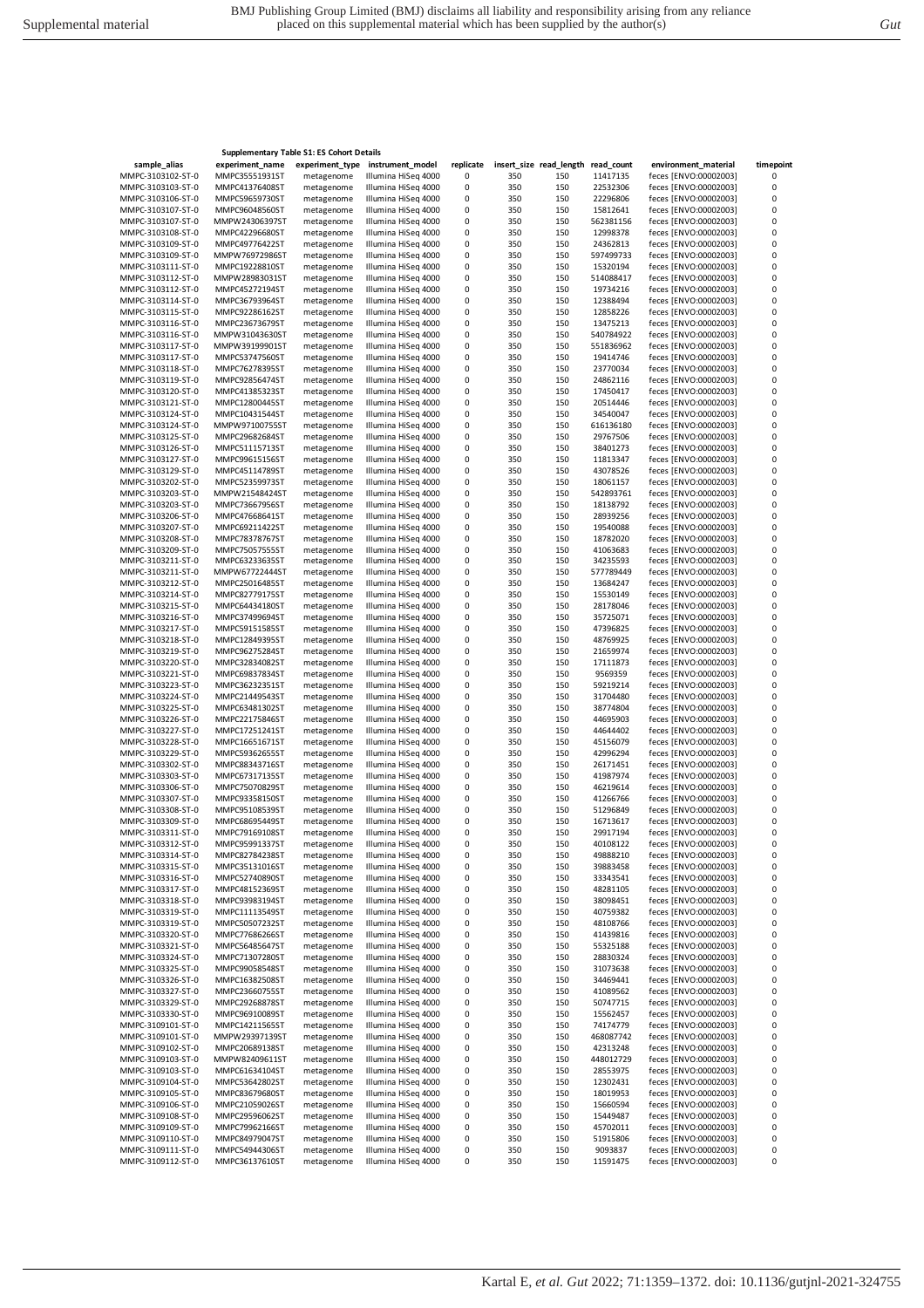|                                        |                                  | <b>Supplementary Table S1: ES Cohort Details</b> |                                            |           |            |                         |                       |                                                |           |
|----------------------------------------|----------------------------------|--------------------------------------------------|--------------------------------------------|-----------|------------|-------------------------|-----------------------|------------------------------------------------|-----------|
| sample_alias                           | experiment_name                  | experiment_type                                  | instrument_model                           | replicate |            | insert_size read_length | read_count            | environment_material                           | timepoint |
| MMPC-3103102-ST-0                      | MMPC35551931ST                   | metagenome                                       | Illumina HiSeg 4000                        | 0         | 350        | 150                     | 11417135              | feces [ENVO:00002003]                          | 0         |
| MMPC-3103103-ST-0                      | MMPC41376408ST                   | metagenome                                       | Illumina HiSeg 4000                        | 0         | 350        | 150                     | 22532306              | feces [ENVO:00002003]                          | 0         |
| MMPC-3103106-ST-0                      | MMPC59659730ST                   | metagenome                                       | Illumina HiSeq 4000                        | 0         | 350        | 150                     | 22296806              | feces [ENVO:00002003]                          | 0         |
| MMPC-3103107-ST-0<br>MMPC-3103107-ST-0 | MMPC96048560ST<br>MMPW24306397ST | metagenome<br>metagenome                         | Illumina HiSeq 4000<br>Illumina HiSeq 4000 | 0<br>0    | 350<br>350 | 150<br>150              | 15812641<br>562381156 | feces [ENVO:00002003]<br>feces [ENVO:00002003] | 0<br>0    |
| MMPC-3103108-ST-0                      | MMPC42296680ST                   | metagenome                                       | Illumina HiSeg 4000                        | 0         | 350        | 150                     | 12998378              | feces [ENVO:00002003]                          | 0         |
| MMPC-3103109-ST-0                      | MMPC49776422ST                   | metagenome                                       | Illumina HiSeq 4000                        | 0         | 350        | 150                     | 24362813              | feces [ENVO:00002003]                          | 0         |
| MMPC-3103109-ST-0                      | MMPW76972986ST                   | metagenome                                       | Illumina HiSeg 4000                        | 0         | 350        | 150                     | 597499733             | feces [ENVO:00002003]                          | 0         |
| MMPC-3103111-ST-0                      | MMPC19228810ST                   | metagenome                                       | Illumina HiSeq 4000                        | 0         | 350        | 150                     | 15320194              | feces [ENVO:00002003]                          | 0         |
| MMPC-3103112-ST-0                      | MMPW28983031ST                   | metagenome                                       | Illumina HiSeq 4000                        | 0         | 350        | 150                     | 514088417             | feces [ENVO:00002003]                          | 0         |
| MMPC-3103112-ST-0                      | MMPC45272194ST                   | metagenome                                       | Illumina HiSeq 4000                        | 0         | 350        | 150                     | 19734216              | feces [ENVO:00002003]                          | 0         |
| MMPC-3103114-ST-0                      | MMPC36793964ST                   | metagenome                                       | Illumina HiSeq 4000                        | 0         | 350        | 150                     | 12388494              | feces [ENVO:00002003]                          | 0         |
| MMPC-3103115-ST-0                      | MMPC92286162ST                   | metagenome                                       | Illumina HiSeq 4000                        | 0         | 350        | 150                     | 12858226              | feces [ENVO:00002003]                          | 0         |
| MMPC-3103116-ST-0                      | MMPC23673679ST                   | metagenome                                       | Illumina HiSeg 4000                        | 0         | 350        | 150                     | 13475213              | feces [ENVO:00002003]                          | 0         |
| MMPC-3103116-ST-0                      | MMPW31043630ST                   | metagenome                                       | Illumina HiSeg 4000                        | 0         | 350        | 150                     | 540784922             | feces [ENVO:00002003]                          | 0         |
| MMPC-3103117-ST-0                      | MMPW39199901ST                   | metagenome                                       | Illumina HiSeg 4000                        | 0         | 350        | 150                     | 551836962             | feces [ENVO:00002003]                          | 0         |
| MMPC-3103117-ST-0                      | MMPC53747560ST                   | metagenome                                       | Illumina HiSeq 4000                        | 0         | 350        | 150                     | 19414746              | feces [ENVO:00002003]                          | 0         |
| MMPC-3103118-ST-0<br>MMPC-3103119-ST-0 | MMPC76278395ST<br>MMPC92856474ST | metagenome<br>metagenome                         | Illumina HiSeq 4000<br>Illumina HiSeq 4000 | 0<br>0    | 350<br>350 | 150<br>150              | 23770034<br>24862116  | feces [ENVO:00002003]<br>feces [ENVO:00002003] | 0<br>0    |
| MMPC-3103120-ST-0                      | MMPC41385323ST                   | metagenome                                       | Illumina HiSeq 4000                        | 0         | 350        | 150                     | 17450417              | feces [ENVO:00002003]                          | 0         |
| MMPC-3103121-ST-0                      | MMPC12800445ST                   | metagenome                                       | Illumina HiSeq 4000                        | 0         | 350        | 150                     | 20514446              | feces [ENVO:00002003]                          | 0         |
| MMPC-3103124-ST-0                      | MMPC10431544ST                   | metagenome                                       | Illumina HiSeq 4000                        | 0         | 350        | 150                     | 34540047              | feces [ENVO:00002003]                          | 0         |
| MMPC-3103124-ST-0                      | MMPW97100755ST                   | metagenome                                       | Illumina HiSeg 4000                        | 0         | 350        | 150                     | 616136180             | feces [ENVO:00002003]                          | 0         |
| MMPC-3103125-ST-0                      | MMPC29682684ST                   | metagenome                                       | Illumina HiSeq 4000                        | 0         | 350        | 150                     | 29767506              | feces [ENVO:00002003]                          | 0         |
| MMPC-3103126-ST-0                      | MMPC51115713ST                   | metagenome                                       | Illumina HiSeq 4000                        | 0         | 350        | 150                     | 38401273              | feces [ENVO:00002003]                          | 0         |
| MMPC-3103127-ST-0                      | MMPC99615156ST                   | metagenome                                       | Illumina HiSeq 4000                        | 0         | 350        | 150                     | 11813347              | feces [ENVO:00002003]                          | 0         |
| MMPC-3103129-ST-0                      | MMPC45114789ST                   | metagenome                                       | Illumina HiSeq 4000                        | 0         | 350        | 150                     | 43078526              | feces [ENVO:00002003]                          | 0         |
| MMPC-3103202-ST-0                      | MMPC52359973ST                   | metagenome                                       | Illumina HiSeg 4000                        | 0         | 350        | 150                     | 18061157              | feces [ENVO:00002003]                          | 0         |
| MMPC-3103203-ST-0                      | MMPW21548424ST                   | metagenome                                       | Illumina HiSeq 4000                        | 0         | 350        | 150                     | 542893761             | feces [ENVO:00002003]                          | 0         |
| MMPC-3103203-ST-0                      | MMPC73667956ST                   | metagenome                                       | Illumina HiSeq 4000                        | 0         | 350        | 150                     | 18138792              | feces [ENVO:00002003]                          | 0         |
| MMPC-3103206-ST-0                      | MMPC47668641ST                   | metagenome                                       | Illumina HiSeq 4000                        | 0         | 350        | 150                     | 28939256              | feces [ENVO:00002003]                          | 0         |
| MMPC-3103207-ST-0                      | MMPC69211422ST<br>MMPC78378767ST | metagenome                                       | Illumina HiSeq 4000<br>Illumina HiSeg 4000 | 0<br>0    | 350        | 150<br>150              | 19540088              | feces [ENVO:00002003]<br>feces [ENVO:00002003] | 0<br>0    |
| MMPC-3103208-ST-0<br>MMPC-3103209-ST-0 | MMPC75057555ST                   | metagenome<br>metagenome                         | Illumina HiSeq 4000                        | 0         | 350<br>350 | 150                     | 18782020<br>41063683  | feces [ENVO:00002003]                          | 0         |
| MMPC-3103211-ST-0                      | MMPC63233635ST                   | metagenome                                       | Illumina HiSeq 4000                        | 0         | 350        | 150                     | 34235593              | feces [ENVO:00002003]                          | 0         |
| MMPC-3103211-ST-0                      | MMPW67722444ST                   | metagenome                                       | Illumina HiSeq 4000                        | 0         | 350        | 150                     | 577789449             | feces [ENVO:00002003]                          | 0         |
| MMPC-3103212-ST-0                      | MMPC25016485ST                   | metagenome                                       | Illumina HiSeq 4000                        | 0         | 350        | 150                     | 13684247              | feces [ENVO:00002003]                          | 0         |
| MMPC-3103214-ST-0                      | MMPC82779175ST                   | metagenome                                       | Illumina HiSeq 4000                        | 0         | 350        | 150                     | 15530149              | feces [ENVO:00002003]                          | 0         |
| MMPC-3103215-ST-0                      | MMPC64434180ST                   | metagenome                                       | Illumina HiSeq 4000                        | 0         | 350        | 150                     | 28178046              | feces [ENVO:00002003]                          | 0         |
| MMPC-3103216-ST-0                      | MMPC37499694ST                   | metagenome                                       | Illumina HiSeq 4000                        | 0         | 350        | 150                     | 35725071              | feces [ENVO:00002003]                          | 0         |
| MMPC-3103217-ST-0                      | MMPC59151585ST                   | metagenome                                       | Illumina HiSeq 4000                        | 0         | 350        | 150                     | 47396825              | feces [ENVO:00002003]                          | 0         |
| MMPC-3103218-ST-0                      | MMPC12849395ST                   | metagenome                                       | Illumina HiSeq 4000                        | 0         | 350        | 150                     | 48769925              | feces [ENVO:00002003]                          | 0         |
| MMPC-3103219-ST-0                      | MMPC96275284ST                   | metagenome                                       | Illumina HiSeq 4000                        | 0         | 350        | 150                     | 21659974              | feces [ENVO:00002003]                          | 0         |
| MMPC-3103220-ST-0                      | MMPC32834082ST                   | metagenome                                       | Illumina HiSeq 4000                        | 0         | 350        | 150                     | 17111873              | feces [ENVO:00002003]                          | 0         |
| MMPC-3103221-ST-0                      | MMPC69837834ST                   | metagenome                                       | Illumina HiSeq 4000                        | 0         | 350        | 150                     | 9569359               | feces [ENVO:00002003]                          | 0         |
| MMPC-3103223-ST-0                      | MMPC36232351ST                   | metagenome                                       | Illumina HiSeq 4000                        | 0         | 350        | 150                     | 59219214              | feces [ENVO:00002003]                          | 0         |
| MMPC-3103224-ST-0                      | MMPC21449543ST                   | metagenome                                       | Illumina HiSeq 4000                        | 0         | 350        | 150                     | 31704480              | feces [ENVO:00002003]                          | 0         |
| MMPC-3103225-ST-0<br>MMPC-3103226-ST-0 | MMPC63481302ST<br>MMPC22175846ST | metagenome<br>metagenome                         | Illumina HiSeq 4000<br>Illumina HiSeq 4000 | 0<br>0    | 350<br>350 | 150<br>150              | 38774804<br>44695903  | feces [ENVO:00002003]<br>feces [ENVO:00002003] | 0<br>0    |
| MMPC-3103227-ST-0                      | MMPC17251241ST                   | metagenome                                       | Illumina HiSeq 4000                        | 0         | 350        | 150                     | 44644402              | feces [ENVO:00002003]                          | 0         |
| MMPC-3103228-ST-0                      | MMPC16651671ST                   | metagenome                                       | Illumina HiSeq 4000                        | 0         | 350        | 150                     | 45156079              | feces [ENVO:00002003]                          | 0         |
| MMPC-3103229-ST-0                      | MMPC59362655ST                   | metagenome                                       | Illumina HiSeq 4000                        | 0         | 350        | 150                     | 42996294              | feces [ENVO:00002003]                          | 0         |
| MMPC-3103302-ST-0                      | MMPC88343716ST                   | metagenome                                       | Illumina HiSeg 4000                        | 0         | 350        | 150                     | 26171451              | feces [ENVO:00002003]                          | 0         |
| MMPC-3103303-ST-0                      | MMPC67317135ST                   | metagenome                                       | Illumina HiSeq 4000                        | 0         | 350        | 150                     | 41987974              | feces [ENVO:00002003]                          | 0         |
| MMPC-3103306-ST-0                      | MMPC75070829ST                   | metagenome                                       | Illumina HiSeq 4000                        | 0         | 350        | 150                     | 46219614              | feces [ENVO:00002003]                          | 0         |
| MMPC-3103307-ST-0                      | MMPC93358150ST                   | metagenome                                       | Illumina HiSeq 4000                        | 0         | 350        | 150                     | 41266766              | feces [ENVO:00002003]                          | 0         |
| MMPC-3103308-ST-0                      | MMPC95108539ST                   | metagenome                                       | Illumina HiSeg 4000                        | 0         | 350        | 150                     | 51296849              | feces [ENVO:00002003]                          | 0         |
| MMPC-3103309-ST-0                      | MMPC68695449ST                   | metagenome                                       | Illumina HiSeq 4000                        | 0         | 350        | 150                     | 16713617              | feces [ENVO:00002003]                          | 0         |
| MMPC-3103311-ST-0                      | MMPC79169108ST                   | metagenome                                       | Illumina HiSeg 4000                        | 0         | 350        | 150                     | 29917194              | feces [ENVO:00002003]                          | 0         |
| MMPC-3103312-ST-0                      | MMPC95991337ST                   | metagenome                                       | Illumina HiSeg 4000                        | 0         | 350        | 150                     | 40108122              | feces [ENVO:00002003]                          | $\pmb{0}$ |
| MMPC-3103314-ST-0                      | MMPC82784238ST                   | metagenome                                       | Illumina HiSeg 4000                        | 0         | 350        | 150                     | 49888210              | feces [ENVO:00002003]                          | 0         |
| MMPC-3103315-ST-0                      | MMPC35131016ST                   | metagenome                                       | Illumina HiSeg 4000                        | 0         | 350        | 150                     | 39883458              | feces [ENVO:00002003]<br>feces [ENVO:00002003] | 0         |
| MMPC-3103316-ST-0                      | MMPC52740890ST                   | metagenome                                       | Illumina HiSeq 4000<br>Illumina HiSeq 4000 | 0         | 350        | 150                     | 33343541              |                                                | 0         |
| MMPC-3103317-ST-0<br>MMPC-3103318-ST-0 | MMPC48152369ST<br>MMPC93983194ST | metagenome<br>metagenome                         | Illumina HiSeq 4000                        | 0<br>0    | 350<br>350 | 150<br>150              | 48281105<br>38098451  | feces [ENVO:00002003]<br>feces [ENVO:00002003] | 0<br>0    |
| MMPC-3103319-ST-0                      | MMPC11113549ST                   | metagenome                                       | Illumina HiSeg 4000                        | 0         | 350        | 150                     | 40759382              | feces [ENVO:00002003]                          | 0         |
| MMPC-3103319-ST-0                      | MMPC50507232ST                   | metagenome                                       | Illumina HiSeq 4000                        | 0         | 350        | 150                     | 48108766              | feces [ENVO:00002003]                          | 0         |
| MMPC-3103320-ST-0                      | MMPC77686266ST                   | metagenome                                       | Illumina HiSeq 4000                        | 0         | 350        | 150                     | 41439816              | feces [ENVO:00002003]                          | 0         |
| MMPC-3103321-ST-0                      | MMPC56485647ST                   | metagenome                                       | Illumina HiSeg 4000                        | 0         | 350        | 150                     | 55325188              | feces [ENVO:00002003]                          | 0         |
| MMPC-3103324-ST-0                      | MMPC71307280ST                   | metagenome                                       | Illumina HiSeg 4000                        | 0         | 350        | 150                     | 28830324              | feces [ENVO:00002003]                          | 0         |
| MMPC-3103325-ST-0                      | MMPC99058548ST                   | metagenome                                       | Illumina HiSeg 4000                        | 0         | 350        | 150                     | 31073638              | feces [ENVO:00002003]                          | 0         |
| MMPC-3103326-ST-0                      | MMPC16382508ST                   | metagenome                                       | Illumina HiSeq 4000                        | 0         | 350        | 150                     | 34469441              | feces [ENVO:00002003]                          | 0         |
| MMPC-3103327-ST-0                      | MMPC23660755ST                   | metagenome                                       | Illumina HiSeg 4000                        | 0         | 350        | 150                     | 41089562              | feces [ENVO:00002003]                          | 0         |
| MMPC-3103329-ST-0                      | MMPC29268878ST                   | metagenome                                       | Illumina HiSeg 4000                        | 0         | 350        | 150                     | 50747715              | feces [ENVO:00002003]                          | 0         |
| MMPC-3103330-ST-0                      | MMPC96910089ST                   | metagenome                                       | Illumina HiSeg 4000                        | 0         | 350        | 150                     | 15562457              | feces [ENVO:00002003]                          | 0         |
| MMPC-3109101-ST-0                      | MMPC14211565ST                   | metagenome                                       | Illumina HiSeq 4000                        | 0         | 350        | 150                     | 74174779              | feces [ENVO:00002003]                          | 0         |
| MMPC-3109101-ST-0                      | MMPW29397139ST                   | metagenome                                       | Illumina HiSeq 4000                        | 0         | 350        | 150                     | 468087742             | feces [ENVO:00002003]                          | 0         |
| MMPC-3109102-ST-0                      | MMPC20689138ST                   | metagenome                                       | Illumina HiSeq 4000                        | 0         | 350        | 150                     | 42313248              | feces [ENVO:00002003]                          | 0         |
| MMPC-3109103-ST-0<br>MMPC-3109103-ST-0 | MMPW82409611ST<br>MMPC61634104ST | metagenome<br>metagenome                         | Illumina HiSeq 4000<br>Illumina HiSeq 4000 | 0         | 350        | 150<br>150              | 448012729<br>28553975 | feces [ENVO:00002003]<br>feces [ENVO:00002003] | 0         |
| MMPC-3109104-ST-0                      | MMPC53642802ST                   | metagenome                                       | Illumina HiSeq 4000                        | 0<br>0    | 350<br>350 | 150                     | 12302431              | feces [ENVO:00002003]                          | 0<br>0    |
| MMPC-3109105-ST-0                      | MMPC83679680ST                   | metagenome                                       | Illumina HiSeq 4000                        | 0         | 350        | 150                     | 18019953              | feces [ENVO:00002003]                          | 0         |
| MMPC-3109106-ST-0                      | MMPC21059026ST                   | metagenome                                       | Illumina HiSeg 4000                        | 0         | 350        | 150                     | 15660594              | feces [ENVO:00002003]                          | 0         |
| MMPC-3109108-ST-0                      | MMPC29596062ST                   | metagenome                                       | Illumina HiSeq 4000                        | 0         | 350        | 150                     | 15449487              | feces [ENVO:00002003]                          | 0         |
| MMPC-3109109-ST-0                      | MMPC79962166ST                   | metagenome                                       | Illumina HiSeq 4000                        | 0         | 350        | 150                     | 45702011              | feces [ENVO:00002003]                          | 0         |
| MMPC-3109110-ST-0                      | MMPC84979047ST                   | metagenome                                       | Illumina HiSeq 4000                        | 0         | 350        | 150                     | 51915806              | feces [ENVO:00002003]                          | 0         |
| MMPC-3109111-ST-0                      | MMPC54944306ST                   | metagenome                                       | Illumina HiSeq 4000                        | 0         | 350        | 150                     | 9093837               | feces [ENVO:00002003]                          | 0         |
| MMPC-3109112-ST-0                      | MMPC36137610ST                   | metagenome                                       | Illumina HiSeq 4000                        | 0         | 350        | 150                     | 11591475              | feces [ENVO:00002003]                          | 0         |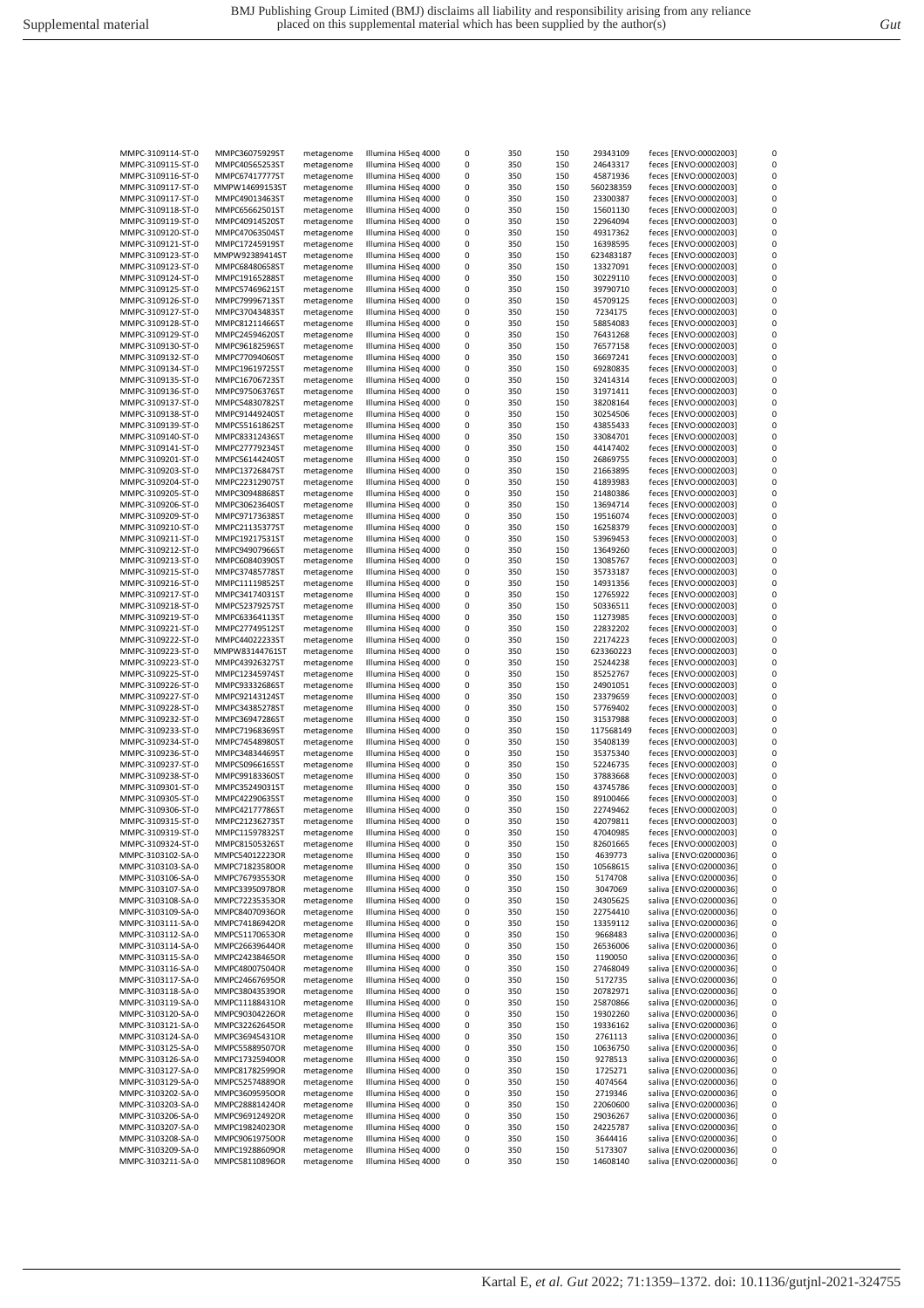| MMPC-3109114-ST-0 | MMPC36075929ST | metagenome | Illumina HiSeg 4000 | 0 | 350 | 150 | 29343109  | feces [ENVO:00002003]  | 0 |
|-------------------|----------------|------------|---------------------|---|-----|-----|-----------|------------------------|---|
| MMPC-3109115-ST-0 | MMPC40565253ST | metagenome | Illumina HiSeq 4000 | 0 | 350 | 150 | 24643317  | feces [ENVO:00002003]  | 0 |
|                   |                |            |                     |   |     |     |           |                        | 0 |
| MMPC-3109116-ST-0 | MMPC674177775T | metagenome | Illumina HiSeq 4000 | 0 | 350 | 150 | 45871936  | feces [ENVO:00002003]  |   |
| MMPC-3109117-ST-0 | MMPW14699153ST | metagenome | Illumina HiSeg 4000 | 0 | 350 | 150 | 560238359 | feces [ENVO:00002003]  | 0 |
| MMPC-3109117-ST-0 | MMPC49013463ST | metagenome | Illumina HiSeq 4000 | 0 | 350 | 150 | 23300387  | feces [ENVO:00002003]  | 0 |
| MMPC-3109118-ST-0 | MMPC65662501ST | metagenome | Illumina HiSeq 4000 | 0 | 350 | 150 | 15601130  | feces [ENVO:00002003]  | 0 |
| MMPC-3109119-ST-0 | MMPC40914520ST | metagenome | Illumina HiSeq 4000 | 0 | 350 | 150 | 22964094  | feces [ENVO:00002003]  | 0 |
|                   |                |            |                     |   |     |     |           |                        |   |
| MMPC-3109120-ST-0 | MMPC47063504ST | metagenome | Illumina HiSeq 4000 | 0 | 350 | 150 | 49317362  | feces [ENVO:00002003]  | 0 |
| MMPC-3109121-ST-0 | MMPC17245919ST | metagenome | Illumina HiSeg 4000 | 0 | 350 | 150 | 16398595  | feces [ENVO:00002003]  | 0 |
| MMPC-3109123-ST-0 | MMPW92389414ST | metagenome | Illumina HiSeg 4000 | 0 | 350 | 150 | 623483187 | feces [ENVO:00002003]  | 0 |
| MMPC-3109123-ST-0 | MMPC68480658ST | metagenome | Illumina HiSeq 4000 | 0 | 350 | 150 | 13327091  | feces [ENVO:00002003]  | 0 |
|                   |                |            |                     |   |     |     |           |                        |   |
| MMPC-3109124-ST-0 | MMPC19165288ST | metagenome | Illumina HiSeq 4000 | 0 | 350 | 150 | 30229110  | feces [ENVO:00002003]  | 0 |
| MMPC-3109125-ST-0 | MMPC57469621ST | metagenome | Illumina HiSeq 4000 | 0 | 350 | 150 | 39790710  | feces [ENVO:00002003]  | 0 |
| MMPC-3109126-ST-0 | MMPC79996713ST | metagenome | Illumina HiSeq 4000 | 0 | 350 | 150 | 45709125  | feces [ENVO:00002003]  | 0 |
| MMPC-3109127-ST-0 | MMPC37043483ST |            | Illumina HiSeq 4000 | 0 | 350 | 150 | 7234175   | feces [ENVO:00002003]  | 0 |
|                   |                | metagenome |                     |   |     |     |           |                        |   |
| MMPC-3109128-ST-0 | MMPC81211466ST | metagenome | Illumina HiSeq 4000 | 0 | 350 | 150 | 58854083  | feces [ENVO:00002003]  | 0 |
| MMPC-3109129-ST-0 | MMPC24594620ST | metagenome | Illumina HiSeq 4000 | 0 | 350 | 150 | 76431268  | feces [ENVO:00002003]  | 0 |
| MMPC-3109130-ST-0 | MMPC96182596ST | metagenome | Illumina HiSeq 4000 | 0 | 350 | 150 | 76577158  | feces [ENVO:00002003]  | 0 |
|                   |                |            | Illumina HiSeq 4000 | 0 | 350 | 150 | 36697241  |                        | 0 |
| MMPC-3109132-ST-0 | MMPC77094060ST | metagenome |                     |   |     |     |           | feces [ENVO:00002003]  |   |
| MMPC-3109134-ST-0 | MMPC19619725ST | metagenome | Illumina HiSeq 4000 | 0 | 350 | 150 | 69280835  | feces [ENVO:00002003]  | 0 |
| MMPC-3109135-ST-0 | MMPC16706723ST | metagenome | Illumina HiSeq 4000 | 0 | 350 | 150 | 32414314  | feces [ENVO:00002003]  | 0 |
| MMPC-3109136-ST-0 | MMPC97506376ST | metagenome | Illumina HiSeq 4000 | 0 | 350 | 150 | 31971411  | feces [ENVO:00002003]  | 0 |
|                   |                |            |                     |   |     |     |           |                        |   |
| MMPC-3109137-ST-0 | MMPC54830782ST | metagenome | Illumina HiSeq 4000 | 0 | 350 | 150 | 38208164  | feces [ENVO:00002003]  | 0 |
| MMPC-3109138-ST-0 | MMPC91449240ST | metagenome | Illumina HiSeq 4000 | 0 | 350 | 150 | 30254506  | feces [ENVO:00002003]  | 0 |
| MMPC-3109139-ST-0 | MMPC55161862ST | metagenome | Illumina HiSeg 4000 | 0 | 350 | 150 | 43855433  | feces [ENVO:00002003]  | 0 |
| MMPC-3109140-ST-0 | MMPC83312436ST | metagenome | Illumina HiSeq 4000 | 0 | 350 | 150 | 33084701  | feces [ENVO:00002003]  | 0 |
|                   |                |            |                     |   |     |     |           |                        |   |
| MMPC-3109141-ST-0 | MMPC27779234ST | metagenome | Illumina HiSeg 4000 | 0 | 350 | 150 | 44147402  | feces [ENVO:00002003]  | 0 |
| MMPC-3109201-ST-0 | MMPC56144240ST | metagenome | Illumina HiSeq 4000 | 0 | 350 | 150 | 26869755  | feces [ENVO:00002003]  | 0 |
| MMPC-3109203-ST-0 | MMPC13726847ST | metagenome | Illumina HiSeg 4000 | 0 | 350 | 150 | 21663895  | feces [ENVO:00002003]  | 0 |
| MMPC-3109204-ST-0 | MMPC22312907ST | metagenome | Illumina HiSeq 4000 | 0 | 350 | 150 | 41893983  | feces [ENVO:00002003]  | 0 |
|                   |                |            |                     |   |     |     |           |                        |   |
| MMPC-3109205-ST-0 | MMPC30948868ST | metagenome | Illumina HiSeq 4000 | 0 | 350 | 150 | 21480386  | feces [ENVO:00002003]  | 0 |
| MMPC-3109206-ST-0 | MMPC30623640ST | metagenome | Illumina HiSeq 4000 | 0 | 350 | 150 | 13694714  | feces [ENVO:00002003]  | 0 |
| MMPC-3109209-ST-0 | MMPC97173638ST | metagenome | Illumina HiSeq 4000 | 0 | 350 | 150 | 19516074  | feces [ENVO:00002003]  | 0 |
| MMPC-3109210-ST-0 | MMPC21135377ST | metagenome | Illumina HiSeg 4000 | 0 | 350 | 150 | 16258379  | feces [ENVO:00002003]  | 0 |
|                   |                |            |                     |   |     |     |           |                        |   |
| MMPC-3109211-ST-0 | MMPC19217531ST | metagenome | Illumina HiSeg 4000 | 0 | 350 | 150 | 53969453  | feces [ENVO:00002003]  | 0 |
| MMPC-3109212-ST-0 | MMPC94907966ST | metagenome | Illumina HiSeq 4000 | 0 | 350 | 150 | 13649260  | feces [ENVO:00002003]  | 0 |
| MMPC-3109213-ST-0 | MMPC60840390ST | metagenome | Illumina HiSeg 4000 | 0 | 350 | 150 | 13085767  | feces [ENVO:00002003]  | 0 |
| MMPC-3109215-ST-0 | MMPC37485778ST | metagenome | Illumina HiSeq 4000 | 0 | 350 | 150 | 35733187  | feces [ENVO:00002003]  | 0 |
|                   |                |            |                     |   |     |     |           |                        |   |
| MMPC-3109216-ST-0 | MMPC11119852ST | metagenome | Illumina HiSeq 4000 | 0 | 350 | 150 | 14931356  | feces [ENVO:00002003]  | 0 |
| MMPC-3109217-ST-0 | MMPC34174031ST | metagenome | Illumina HiSeq 4000 | 0 | 350 | 150 | 12765922  | feces [ENVO:00002003]  | 0 |
| MMPC-3109218-ST-0 | MMPC52379257ST | metagenome | Illumina HiSeq 4000 | 0 | 350 | 150 | 50336511  | feces [ENVO:00002003]  | 0 |
| MMPC-3109219-ST-0 | MMPC63364113ST | metagenome | Illumina HiSeq 4000 | 0 | 350 | 150 | 11273985  | feces [ENVO:00002003]  | 0 |
|                   |                |            |                     |   |     |     |           |                        |   |
| MMPC-3109221-ST-0 | MMPC27749512ST | metagenome | Illumina HiSeq 4000 | 0 | 350 | 150 | 22832202  | feces [ENVO:00002003]  | 0 |
| MMPC-3109222-ST-0 | MMPC44022233ST | metagenome | Illumina HiSeq 4000 | 0 | 350 | 150 | 22174223  | feces [ENVO:00002003]  | 0 |
| MMPC-3109223-ST-0 | MMPW83144761ST | metagenome | Illumina HiSeq 4000 | 0 | 350 | 150 | 623360223 | feces [ENVO:00002003]  | 0 |
| MMPC-3109223-ST-0 | MMPC43926327ST | metagenome | Illumina HiSeq 4000 | 0 | 350 | 150 | 25244238  | feces [ENVO:00002003]  | 0 |
|                   |                |            |                     |   |     |     |           |                        | 0 |
| MMPC-3109225-ST-0 | MMPC12345974ST | metagenome | Illumina HiSeg 4000 | 0 | 350 | 150 | 85252767  | feces [ENVO:00002003]  |   |
| MMPC-3109226-ST-0 | MMPC93332686ST | metagenome | Illumina HiSeq 4000 | 0 | 350 | 150 | 24901051  | feces [ENVO:00002003]  | 0 |
| MMPC-3109227-ST-0 | MMPC92143124ST | metagenome | Illumina HiSeq 4000 | 0 | 350 | 150 | 23379659  | feces [ENVO:00002003]  | 0 |
| MMPC-3109228-ST-0 | MMPC34385278ST | metagenome | Illumina HiSeq 4000 | 0 | 350 | 150 | 57769402  | feces [ENVO:00002003]  | 0 |
|                   |                |            |                     |   |     |     |           |                        |   |
| MMPC-3109232-ST-0 | MMPC36947286ST | metagenome | Illumina HiSeq 4000 | 0 | 350 | 150 | 31537988  | feces [ENVO:00002003]  | 0 |
| MMPC-3109233-ST-0 | MMPC71968369ST | metagenome | Illumina HiSeq 4000 | 0 | 350 | 150 | 117568149 | feces [ENVO:00002003]  | 0 |
| MMPC-3109234-ST-0 | MMPC74548980ST | metagenome | Illumina HiSeq 4000 | 0 | 350 | 150 | 35408139  | feces [ENVO:00002003]  | 0 |
| MMPC-3109236-ST-0 | MMPC34834469ST | metagenome | Illumina HiSeq 4000 | 0 | 350 | 150 | 35375340  | feces [ENVO:00002003]  | 0 |
|                   |                |            |                     |   |     |     |           |                        |   |
| MMPC-3109237-ST-0 | MMPC50966165ST | metagenome | Illumina HiSeq 4000 | 0 | 350 | 150 | 52246735  | feces [ENVO:00002003]  | 0 |
| MMPC-3109238-ST-0 | MMPC99183360ST | metagenome | Illumina HiSeq 4000 | 0 | 350 | 150 | 37883668  | feces [ENVO:00002003]  | 0 |
| MMPC-3109301-ST-0 | MMPC35249031ST | metagenome | Illumina HiSeg 4000 | 0 | 350 | 150 | 43745786  | feces [ENVO:00002003]  | 0 |
| MMPC-3109305-ST-0 | MMPC42290635ST | metagenome | Illumina HiSeq 4000 | 0 | 350 | 150 | 89100466  | feces [ENVO:00002003]  | 0 |
|                   |                |            |                     |   |     |     |           |                        |   |
| MMPC-3109306-ST-0 | MMPC42177786ST | metagenome | Illumina HiSeq 4000 | 0 | 350 | 150 | 22749462  | feces [ENVO:00002003]  | 0 |
| MMPC-3109315-ST-0 | MMPC21236273ST | metagenome | Illumina HiSeq 4000 | 0 | 350 | 150 | 42079811  | feces [ENVO:00002003]  | 0 |
| MMPC-3109319-ST-0 | MMPC11597832ST | metagenome | Illumina HiSeg 4000 | 0 | 350 | 150 | 47040985  | feces [ENVO:00002003]  | 0 |
| MMPC-3109324-ST-0 | MMPC81505326ST |            | Illumina HiSeg 4000 | 0 | 350 | 150 |           | feces [ENVO:00002003]  |   |
|                   |                | metagenome |                     |   |     |     | 82601665  |                        |   |
| MMPC-3103102-SA-0 | MMPC54012223OR | metagenome | Illumina HiSeq 4000 | 0 | 350 | 150 | 4639773   | saliva [ENVO:02000036] | 0 |
| MMPC-3103103-SA-0 | MMPC71823580OR | metagenome | Illumina HiSeg 4000 | 0 | 350 | 150 | 10568615  | saliva [ENVO:02000036] | 0 |
| MMPC-3103106-SA-0 | MMPC76793553OR | metagenome | Illumina HiSeq 4000 | 0 | 350 | 150 | 5174708   | saliva [ENVO:02000036] | 0 |
| MMPC-3103107-SA-0 | MMPC33950978OR | metagenome | Illumina HiSeq 4000 | 0 | 350 | 150 | 3047069   | saliva [ENVO:02000036] | 0 |
|                   |                |            |                     |   |     |     |           |                        |   |
| MMPC-3103108-SA-0 | MMPC72235353OR | metagenome | Illumina HiSeg 4000 | 0 | 350 | 150 | 24305625  | saliva [ENVO:02000036] | 0 |
| MMPC-3103109-SA-0 | MMPC84070936OR | metagenome | Illumina HiSeg 4000 | 0 | 350 | 150 | 22754410  | saliva [ENVO:02000036] | 0 |
| MMPC-3103111-SA-0 | MMPC74186942OR | metagenome | Illumina HiSeq 4000 | 0 | 350 | 150 | 13359112  | saliva [ENVO:02000036] | 0 |
| MMPC-3103112-SA-0 | MMPC51170653OR | metagenome | Illumina HiSeq 4000 | 0 | 350 | 150 | 9668483   | saliva [ENVO:02000036] | 0 |
|                   |                |            |                     |   |     |     |           |                        |   |
| MMPC-3103114-SA-0 | MMPC26639644OR | metagenome | Illumina HiSeq 4000 | 0 | 350 | 150 | 26536006  | saliva [ENVO:02000036] | 0 |
| MMPC-3103115-SA-0 | MMPC24238465OR | metagenome | Illumina HiSeq 4000 | 0 | 350 | 150 | 1190050   | saliva [ENVO:02000036] | 0 |
| MMPC-3103116-SA-0 | MMPC48007504OR | metagenome | Illumina HiSeq 4000 | 0 | 350 | 150 | 27468049  | saliva [ENVO:02000036] | 0 |
| MMPC-3103117-SA-0 | MMPC24667695OR | metagenome | Illumina HiSeq 4000 | 0 | 350 | 150 | 5172735   | saliva [ENVO:02000036] | 0 |
|                   |                |            |                     |   |     |     |           |                        |   |
| MMPC-3103118-SA-0 | MMPC38043539OR | metagenome | Illumina HiSeq 4000 | 0 | 350 | 150 | 20782971  | saliva [ENVO:02000036] | 0 |
| MMPC-3103119-SA-0 | MMPC11188431OR | metagenome | Illumina HiSeq 4000 | 0 | 350 | 150 | 25870866  | saliva [ENVO:02000036] | 0 |
| MMPC-3103120-SA-0 | MMPC90304226OR | metagenome | Illumina HiSeq 4000 | 0 | 350 | 150 | 19302260  | saliva [ENVO:02000036] | 0 |
| MMPC-3103121-SA-0 | MMPC32262645OR | metagenome | Illumina HiSeq 4000 | 0 | 350 | 150 | 19336162  | saliva [ENVO:02000036] | 0 |
|                   |                |            |                     |   |     |     |           |                        |   |
| MMPC-3103124-SA-0 | MMPC36945431OR | metagenome | Illumina HiSeq 4000 | 0 | 350 | 150 | 2761113   | saliva [ENVO:02000036] | 0 |
| MMPC-3103125-SA-0 | MMPC55889507OR | metagenome | Illumina HiSeq 4000 | 0 | 350 | 150 | 10636750  | saliva [ENVO:02000036] | 0 |
| MMPC-3103126-SA-0 | MMPC17325940OR | metagenome | Illumina HiSeq 4000 | 0 | 350 | 150 | 9278513   | saliva [ENVO:02000036] | 0 |
| MMPC-3103127-SA-0 | MMPC81782599OR | metagenome | Illumina HiSeq 4000 | 0 | 350 | 150 | 1725271   | saliva [ENVO:02000036] | 0 |
|                   |                |            |                     |   |     |     |           |                        |   |
| MMPC-3103129-SA-0 | MMPC52574889OR | metagenome | Illumina HiSeg 4000 | 0 | 350 | 150 | 4074564   | saliva [ENVO:02000036] | 0 |
| MMPC-3103202-SA-0 | MMPC36095950OR | metagenome | Illumina HiSeq 4000 | 0 | 350 | 150 | 2719346   | saliva [ENVO:02000036] | 0 |
| MMPC-3103203-SA-0 | MMPC28881424OR | metagenome | Illumina HiSeq 4000 | 0 | 350 | 150 | 22060600  | saliva [ENVO:02000036] | 0 |
| MMPC-3103206-SA-0 | MMPC96912492OR | metagenome | Illumina HiSeq 4000 | 0 | 350 | 150 | 29036267  | saliva [ENVO:02000036] | 0 |
|                   |                |            |                     |   |     |     |           |                        |   |
| MMPC-3103207-SA-0 | MMPC19824023OR | metagenome | Illumina HiSeq 4000 | 0 | 350 | 150 | 24225787  | saliva [ENVO:02000036] | 0 |
| MMPC-3103208-SA-0 | MMPC90619750OR | metagenome | Illumina HiSeq 4000 | 0 | 350 | 150 | 3644416   | saliva [ENVO:02000036] | 0 |
| MMPC-3103209-SA-0 | MMPC19288609OR | metagenome | Illumina HiSeq 4000 | 0 | 350 | 150 | 5173307   | saliva [ENVO:02000036] | 0 |
| MMPC-3103211-SA-0 | MMPC58110896OR | metagenome | Illumina HiSeq 4000 | 0 | 350 | 150 | 14608140  | saliva [ENVO:02000036] | 0 |
|                   |                |            |                     |   |     |     |           |                        |   |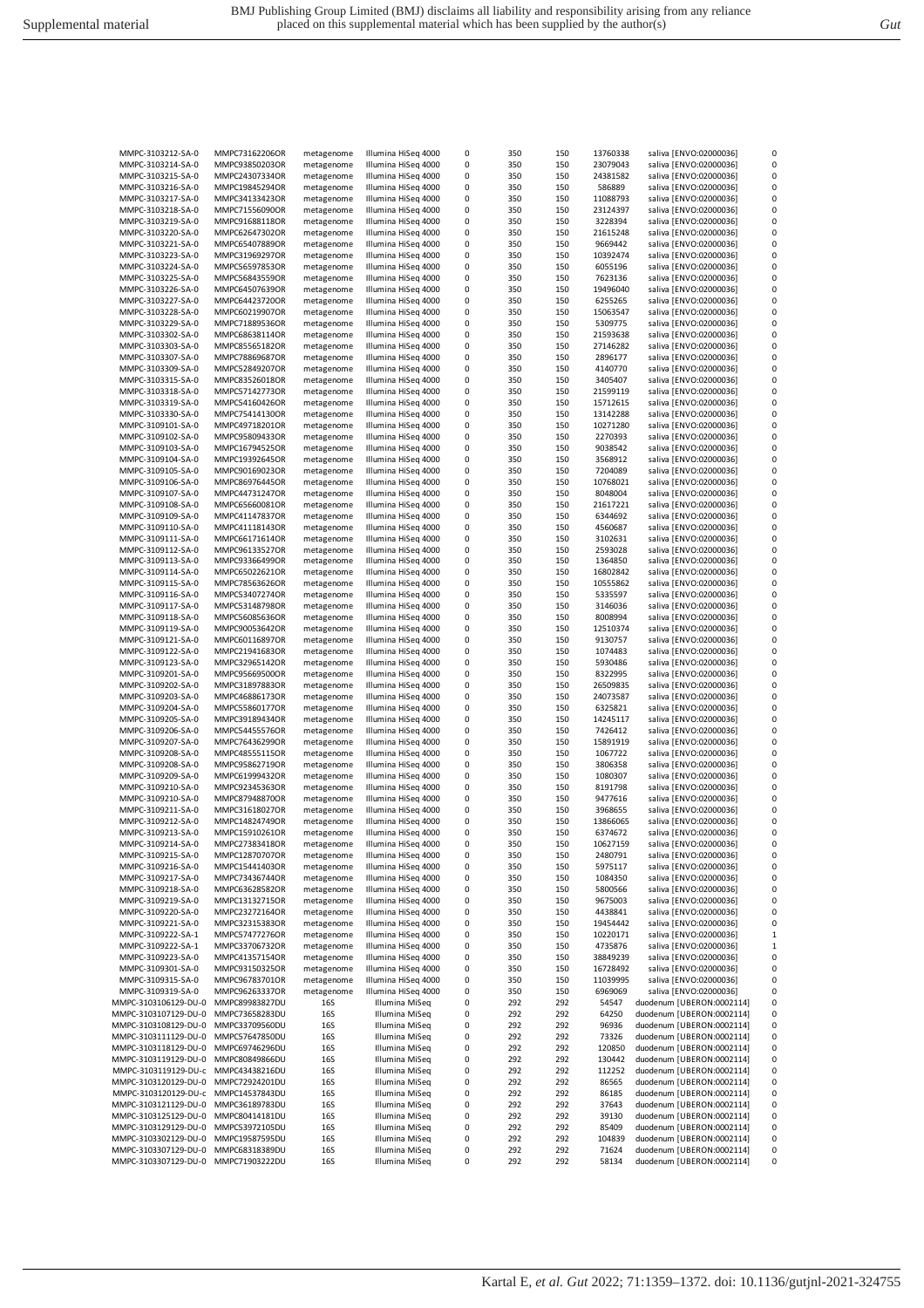| MMPC-3103212-SA-0                            | MMPC73162206OR                   | metagenome | Illumina HiSeg 4000              | 0      | 350        | 150        | 13760338       | saliva [ENVO:02000036]                                 | 0            |
|----------------------------------------------|----------------------------------|------------|----------------------------------|--------|------------|------------|----------------|--------------------------------------------------------|--------------|
| MMPC-3103214-SA-0                            | MMPC93850203OR                   | metagenome | Illumina HiSeg 4000              | 0      | 350        | 150        | 23079043       | saliva [ENVO:02000036]                                 | 0            |
| MMPC-3103215-SA-0                            | MMPC24307334OR                   | metagenome | Illumina HiSeg 4000              | 0      | 350        | 150        | 24381582       | saliva [ENVO:02000036]                                 | 0            |
| MMPC-3103216-SA-0                            | MMPC19845294OR                   | metagenome | Illumina HiSeq 4000              | 0      | 350        | 150        | 586889         | saliva [ENVO:02000036]                                 | 0            |
| MMPC-3103217-SA-0                            | MMPC34133423OR                   | metagenome | Illumina HiSeg 4000              | 0      | 350        | 150        | 11088793       | saliva [ENVO:02000036]                                 | 0            |
| MMPC-3103218-SA-0                            | MMPC71556090OR                   | metagenome | Illumina HiSeg 4000              | 0      | 350        | 150        | 23124397       | saliva [ENVO:02000036]                                 | 0            |
| MMPC-3103219-SA-0                            | MMPC91688118OR                   | metagenome | Illumina HiSeg 4000              | 0      | 350        | 150        | 3228394        | saliva [ENVO:02000036]                                 | 0            |
|                                              |                                  |            | Illumina HiSeg 4000              | 0      |            |            |                |                                                        | 0            |
| MMPC-3103220-SA-0                            | MMPC62647302OR                   | metagenome | Illumina HiSeg 4000              |        | 350        | 150        | 21615248       | saliva [ENVO:02000036]                                 | 0            |
| MMPC-3103221-SA-0                            | MMPC65407889OR                   | metagenome |                                  | 0      | 350        | 150        | 9669442        | saliva [ENVO:02000036]                                 |              |
| MMPC-3103223-SA-0                            | MMPC31969297OR                   | metagenome | Illumina HiSeg 4000              | 0      | 350        | 150        | 10392474       | saliva [ENVO:02000036]                                 | 0            |
| MMPC-3103224-SA-0                            | MMPC56597853OR                   | metagenome | Illumina HiSeq 4000              | 0      | 350        | 150        | 6055196        | saliva [ENVO:02000036]                                 | 0            |
| MMPC-3103225-SA-0                            | MMPC56843559OR                   | metagenome | Illumina HiSeg 4000              | 0      | 350        | 150        | 7623136        | saliva [ENVO:02000036]                                 | 0            |
| MMPC-3103226-SA-0                            | MMPC64507639OR                   | metagenome | Illumina HiSeq 4000              | 0      | 350        | 150        | 19496040       | saliva [ENVO:02000036]                                 | 0            |
| MMPC-3103227-SA-0                            | MMPC64423720OR                   | metagenome | Illumina HiSeq 4000              | 0      | 350        | 150        | 6255265        | saliva [ENVO:02000036]                                 | 0            |
| MMPC-3103228-SA-0                            | MMPC60219907OR                   | metagenome | Illumina HiSeg 4000              | 0      | 350        | 150        | 15063547       | saliva [ENVO:02000036]                                 | 0            |
| MMPC-3103229-SA-0                            | MMPC71889536OR                   | metagenome | Illumina HiSeg 4000              | 0      | 350        | 150        | 5309775        | saliva [ENVO:02000036]                                 | 0            |
| MMPC-3103302-SA-0                            | MMPC68638114OR                   | metagenome | Illumina HiSeg 4000              | 0      | 350        | 150        | 21593638       | saliva [ENVO:02000036]                                 | 0            |
| MMPC-3103303-SA-0                            | MMPC85565182OR                   | metagenome | Illumina HiSeq 4000              | 0      | 350        | 150        | 27146282       | saliva [ENVO:02000036]                                 | 0            |
| MMPC-3103307-SA-0                            | MMPC78869687OR                   | metagenome | Illumina HiSeg 4000              | 0      | 350        | 150        | 2896177        | saliva [ENVO:02000036]                                 | 0            |
| MMPC-3103309-SA-0                            | MMPC52849207OR                   | metagenome | Illumina HiSeg 4000              | 0      | 350        | 150        | 4140770        | saliva [ENVO:02000036]                                 | 0            |
| MMPC-3103315-SA-0                            | MMPC83526018OR                   | metagenome | Illumina HiSeq 4000              | 0      | 350        | 150        | 3405407        | saliva [ENVO:02000036]                                 | 0            |
| MMPC-3103318-SA-0                            | MMPC57142773OR                   | metagenome | Illumina HiSeg 4000              | 0      | 350        | 150        | 21599119       | saliva [ENVO:02000036]                                 | 0            |
| MMPC-3103319-SA-0                            | MMPC54160426OR                   | metagenome | Illumina HiSeg 4000              | 0      | 350        | 150        | 15712615       | saliva [ENVO:02000036]                                 | 0            |
| MMPC-3103330-SA-0                            | MMPC75414130OR                   | metagenome | Illumina HiSeg 4000              | 0      | 350        | 150        | 13142288       | saliva [ENVO:02000036]                                 | 0            |
| MMPC-3109101-SA-0                            | MMPC49718201OR                   | metagenome | Illumina HiSeq 4000              | 0      | 350        | 150        | 10271280       | saliva [ENVO:02000036]                                 | 0            |
| MMPC-3109102-SA-0                            | MMPC95809433OR                   |            | Illumina HiSeq 4000              | 0      | 350        | 150        | 2270393        | saliva [ENVO:02000036]                                 | 0            |
| MMPC-3109103-SA-0                            | MMPC16794525OR                   | metagenome | Illumina HiSeg 4000              | 0      | 350        | 150        | 9038542        |                                                        | 0            |
|                                              |                                  | metagenome |                                  |        |            |            |                | saliva [ENVO:02000036]                                 |              |
| MMPC-3109104-SA-0                            | MMPC19392645OR                   | metagenome | Illumina HiSeq 4000              | 0      | 350        | 150        | 3568912        | saliva [ENVO:02000036]                                 | 0            |
| MMPC-3109105-SA-0                            | MMPC90169023OR                   | metagenome | Illumina HiSeg 4000              | 0      | 350        | 150        | 7204089        | saliva [ENVO:02000036]                                 | 0            |
| MMPC-3109106-SA-0                            | MMPC86976445OR                   | metagenome | Illumina HiSeg 4000              | 0      | 350        | 150        | 10768021       | saliva [ENVO:02000036]                                 | 0            |
| MMPC-3109107-SA-0                            | MMPC44731247OR                   | metagenome | Illumina HiSeg 4000              | 0      | 350        | 150        | 8048004        | saliva [ENVO:02000036]                                 | 0            |
| MMPC-3109108-SA-0                            | MMPC65660081OR                   | metagenome | Illumina HiSeg 4000              | 0      | 350        | 150        | 21617221       | saliva [ENVO:02000036]                                 | 0            |
| MMPC-3109109-SA-0                            | MMPC41147837OR                   | metagenome | Illumina HiSeg 4000              | 0      | 350        | 150        | 6344692        | saliva [ENVO:02000036]                                 | 0            |
| MMPC-3109110-SA-0                            | MMPC41118143OR                   | metagenome | Illumina HiSeg 4000              | 0      | 350        | 150        | 4560687        | saliva [ENVO:02000036]                                 | 0            |
| MMPC-3109111-SA-0                            | MMPC66171614OR                   | metagenome | Illumina HiSeq 4000              | 0      | 350        | 150        | 3102631        | saliva [ENVO:02000036]                                 | 0            |
| MMPC-3109112-SA-0                            | MMPC96133527OR                   | metagenome | Illumina HiSeg 4000              | 0      | 350        | 150        | 2593028        | saliva [ENVO:02000036]                                 | 0            |
| MMPC-3109113-SA-0                            | MMPC93366499OR                   | metagenome | Illumina HiSeg 4000              | 0      | 350        | 150        | 1364850        | saliva [ENVO:02000036]                                 | 0            |
| MMPC-3109114-SA-0                            | MMPC65022621OR                   | metagenome | Illumina HiSeg 4000              | 0      | 350        | 150        | 16802842       | saliva [ENVO:02000036]                                 | 0            |
| MMPC-3109115-SA-0                            | MMPC78563626OR                   | metagenome | Illumina HiSeg 4000              | 0      | 350        | 150        | 10555862       | saliva [ENVO:02000036]                                 | 0            |
| MMPC-3109116-SA-0                            | MMPC53407274OR                   | metagenome | Illumina HiSeg 4000              | 0      | 350        | 150        | 5335597        | saliva [ENVO:02000036]                                 | 0            |
| MMPC-3109117-SA-0                            | MMPC53148798OR                   | metagenome | Illumina HiSeg 4000              | 0      | 350        | 150        | 3146036        | saliva [ENVO:02000036]                                 | 0            |
| MMPC-3109118-SA-0                            | MMPC56085636OR                   | metagenome | Illumina HiSeq 4000              | 0      | 350        | 150        | 8008994        | saliva [ENVO:02000036]                                 | 0            |
| MMPC-3109119-SA-0                            | MMPC90053642OR                   | metagenome | Illumina HiSeg 4000              | 0      | 350        | 150        | 12510374       | saliva [ENVO:02000036]                                 | 0            |
| MMPC-3109121-SA-0                            | MMPC60116897OR                   | metagenome | Illumina HiSeg 4000              | 0      | 350        | 150        | 9130757        | saliva [ENVO:02000036]                                 | 0            |
| MMPC-3109122-SA-0                            | MMPC21941683OR                   | metagenome | Illumina HiSeg 4000              | 0      | 350        | 150        | 1074483        | saliva [ENVO:02000036]                                 | 0            |
| MMPC-3109123-SA-0                            | MMPC32965142OR                   | metagenome | Illumina HiSeg 4000              | 0      | 350        | 150        | 5930486        | saliva [ENVO:02000036]                                 | 0            |
| MMPC-3109201-SA-0                            | MMPC95669500OR                   | metagenome | Illumina HiSeq 4000              | 0      | 350        | 150        | 8322995        | saliva [ENVO:02000036]                                 | 0            |
|                                              |                                  |            | Illumina HiSeg 4000              | 0      | 350        | 150        |                | saliva [ENVO:02000036]                                 | 0            |
| MMPC-3109202-SA-0                            | MMPC31897883OR                   | metagenome | Illumina HiSeq 4000              | 0      | 350        | 150        | 26509835       |                                                        | 0            |
| MMPC-3109203-SA-0                            | MMPC46886173OR                   | metagenome |                                  |        |            |            | 24073587       | saliva [ENVO:02000036]                                 |              |
| MMPC-3109204-SA-0                            | MMPC55860177OR                   | metagenome | Illumina HiSeg 4000              | 0      | 350        | 150        | 6325821        | saliva [ENVO:02000036]                                 | 0            |
| MMPC-3109205-SA-0                            | MMPC39189434OR                   | metagenome | Illumina HiSeg 4000              | 0      | 350        | 150        | 14245117       | saliva [ENVO:02000036]                                 | 0            |
| MMPC-3109206-SA-0                            | MMPC54455576OR                   | metagenome | Illumina HiSeg 4000              | 0      | 350        | 150        | 7426412        | saliva [ENVO:02000036]                                 | 0            |
| MMPC-3109207-SA-0                            | MMPC76436299OR                   | metagenome | Illumina HiSeg 4000              | 0      | 350        | 150        | 15891919       | saliva [ENVO:02000036]                                 | 0            |
| MMPC-3109208-SA-0                            | MMPC48555115OR                   | metagenome | Illumina HiSeq 4000              | 0      | 350        | 150        | 1067722        | saliva [ENVO:02000036]                                 | 0            |
| MMPC-3109208-SA-0                            | MMPC95862719OR                   | metagenome | Illumina HiSeq 4000              | 0      | 350        | 150        | 3806358        | saliva [ENVO:02000036]                                 | 0            |
| MMPC-3109209-SA-0                            | MMPC61999432OR                   | metagenome | Illumina HiSeq 4000              | 0      | 350        | 150        | 1080307        | saliva [ENVO:02000036]                                 | 0            |
| MMPC-3109210-SA-0                            | MMPC92345363OR                   | metagenome | Illumina HiSeg 4000              | 0      | 350        | 150        | 8191798        | saliva [ENVO:02000036]                                 | 0            |
| MMPC-3109210-SA-0                            | MMPC87948870OR                   | metagenome | Illumina HiSeg 4000              | 0      | 350        | 150        | 9477616        | saliva [ENVO:02000036]                                 | 0            |
| MMPC-3109211-SA-0                            | MMPC31618027OR                   | metagenome | Illumina HiSeg 4000              | 0      | 350        | 150        | 3968655        | saliva [ENVO:02000036]                                 | 0            |
| MMPC-3109212-SA-0                            | MMPC14824749OR                   | metagenome | Illumina HiSeq 4000              | 0      | 350        | 150        | 13866065       | saliva [ENVO:02000036]                                 | 0            |
| MMPC-3109213-SA-0                            | MMPC15910261OR                   | metagenome | Illumina HiSeq 4000              | U      | 35U        | 150        | 63/46/2        | saliva [ENVO:02000036]                                 |              |
| MMPC-3109214-SA-0                            | MMPC27383418OR                   | metagenome | Illumina HiSeg 4000              | 0      | 350        | 150        | 10627159       | saliva [ENVO:02000036]                                 | 0            |
| MMPC-3109215-SA-0                            | MMPC12870707OR                   | metagenome | Illumina HiSeq 4000              | 0      | 350        | 150        | 2480791        | saliva [ENVO:02000036]                                 | 0            |
| MMPC-3109216-SA-0                            | MMPC15441403OR                   | metagenome | Illumina HiSeq 4000              | 0      | 350        | 150        | 5975117        | saliva [ENVO:02000036]                                 | 0            |
| MMPC-3109217-SA-0                            | MMPC73436744OR                   | metagenome | Illumina HiSeg 4000              | 0      | 350        | 150        | 1084350        | saliva [ENVO:02000036]                                 | 0            |
| MMPC-3109218-SA-0                            | MMPC63628582OR                   | metagenome | Illumina HiSeq 4000              | 0      | 350        | 150        | 5800566        | saliva [ENVO:02000036]                                 | 0            |
| MMPC-3109219-SA-0                            | MMPC13132715OR                   | metagenome | Illumina HiSeg 4000              | 0      | 350        | 150        | 9675003        | saliva [ENVO:02000036]                                 | 0            |
| MMPC-3109220-SA-0                            | MMPC23272164OR                   | metagenome | Illumina HiSeg 4000              | 0      | 350        | 150        | 4438841        | saliva [ENVO:02000036]                                 | 0            |
| MMPC-3109221-SA-0                            | MMPC32315383OR                   | metagenome | Illumina HiSeq 4000              | 0      | 350        | 150        | 19454442       | saliva [ENVO:02000036]                                 | 0            |
| MMPC-3109222-SA-1                            | MMPC57477276OR                   | metagenome | Illumina HiSeq 4000              | 0      | 350        | 150        | 10220171       | saliva [ENVO:02000036]                                 | $\mathbf{1}$ |
| MMPC-3109222-SA-1                            | MMPC33706732OR                   | metagenome | Illumina HiSeq 4000              | 0      | 350        | 150        | 4735876        | saliva [ENVO:02000036]                                 | 1            |
| MMPC-3109223-SA-0                            | MMPC41357154OR                   | metagenome | Illumina HiSeq 4000              | 0      | 350        | 150        | 38849239       | saliva [ENVO:02000036]                                 | 0            |
| MMPC-3109301-SA-0                            | MMPC93150325OR                   | metagenome | Illumina HiSeg 4000              | 0      | 350        | 150        | 16728492       | saliva [ENVO:02000036]                                 | 0            |
| MMPC-3109315-SA-0                            | MMPC96783701OR                   | metagenome | Illumina HiSeq 4000              | 0      | 350        | 150        | 11039995       | saliva [ENVO:02000036]                                 | 0            |
| MMPC-3109319-SA-0                            | MMPC96263337OR                   | metagenome | Illumina HiSeg 4000              | 0      | 350        | 150        | 6969069        | saliva [ENVO:02000036]                                 | 0            |
| MMPC-3103106129-DU-0                         | MMPC89983827DU                   | 16S        | Illumina MiSeq                   | 0      | 292        | 292        | 54547          | duodenum [UBERON:0002114]                              | 0            |
| MMPC-3103107129-DU-0                         | MMPC73658283DU                   | 16S        | Illumina MiSeq                   | 0      | 292        | 292        | 64250          | duodenum [UBERON:0002114]                              | 0            |
| MMPC-3103108129-DU-0                         | MMPC33709560DU                   | 16S        | Illumina MiSeq                   | 0      | 292        | 292        | 96936          | duodenum [UBERON:0002114]                              | 0            |
| MMPC-3103111129-DU-0                         | MMPC57647850DU                   | 16S        | Illumina MiSeq                   | 0      | 292        | 292        | 73326          | duodenum [UBERON:0002114]                              | 0            |
|                                              |                                  |            |                                  |        |            |            |                |                                                        |              |
| MMPC-3103118129-DU-0                         | MMPC69746296DU                   | 16S        | Illumina MiSeq                   | 0      | 292        | 292        | 120850         | duodenum [UBERON:0002114]                              | 0            |
| MMPC-3103119129-DU-0                         | MMPC80849866DU                   | 16S        | Illumina MiSeq                   | 0      | 292        | 292        | 130442         | duodenum [UBERON:0002114]                              | 0            |
| MMPC-3103119129-DU-c                         | MMPC43438216DU                   | 16S        | Illumina MiSeq                   | 0      | 292        | 292        | 112252         | duodenum [UBERON:0002114]                              | 0            |
| MMPC-3103120129-DU-0                         | MMPC72924201DU                   | 16S        | Illumina MiSeq                   | 0      | 292        | 292        | 86565          | duodenum [UBERON:0002114]                              | 0            |
|                                              |                                  | 16S        | Illumina MiSeq                   | 0      | 292        | 292        | 86185          | duodenum [UBERON:0002114]                              | 0            |
| MMPC-3103120129-DU-c                         | MMPC14537843DU                   |            |                                  |        |            |            |                |                                                        |              |
| MMPC-3103121129-DU-0                         | MMPC36189783DU                   | 16S        | Illumina MiSeq                   | 0      | 292        | 292        | 37643          | duodenum [UBERON:0002114]                              | 0            |
| MMPC-3103125129-DU-0                         | MMPC80414181DU                   | 16S        | Illumina MiSeq                   | 0      | 292        | 292        | 39130          | duodenum [UBERON:0002114]                              | 0            |
| MMPC-3103129129-DU-0                         | MMPC53972105DU                   | 16S        | Illumina MiSeq                   | 0      | 292        | 292        | 85409          | duodenum [UBERON:0002114]                              | 0            |
| MMPC-3103302129-DU-0                         | MMPC19587595DU                   | 16S        | Illumina MiSeq                   | 0      | 292        | 292        | 104839         | duodenum [UBERON:0002114]                              | 0            |
| MMPC-3103307129-DU-0<br>MMPC-3103307129-DU-0 | MMPC68318389DU<br>MMPC71903222DU | 16S<br>16S | Illumina MiSeq<br>Illumina MiSeq | 0<br>0 | 292<br>292 | 292<br>292 | 71624<br>58134 | duodenum [UBERON:0002114]<br>duodenum [UBERON:0002114] | 0<br>0       |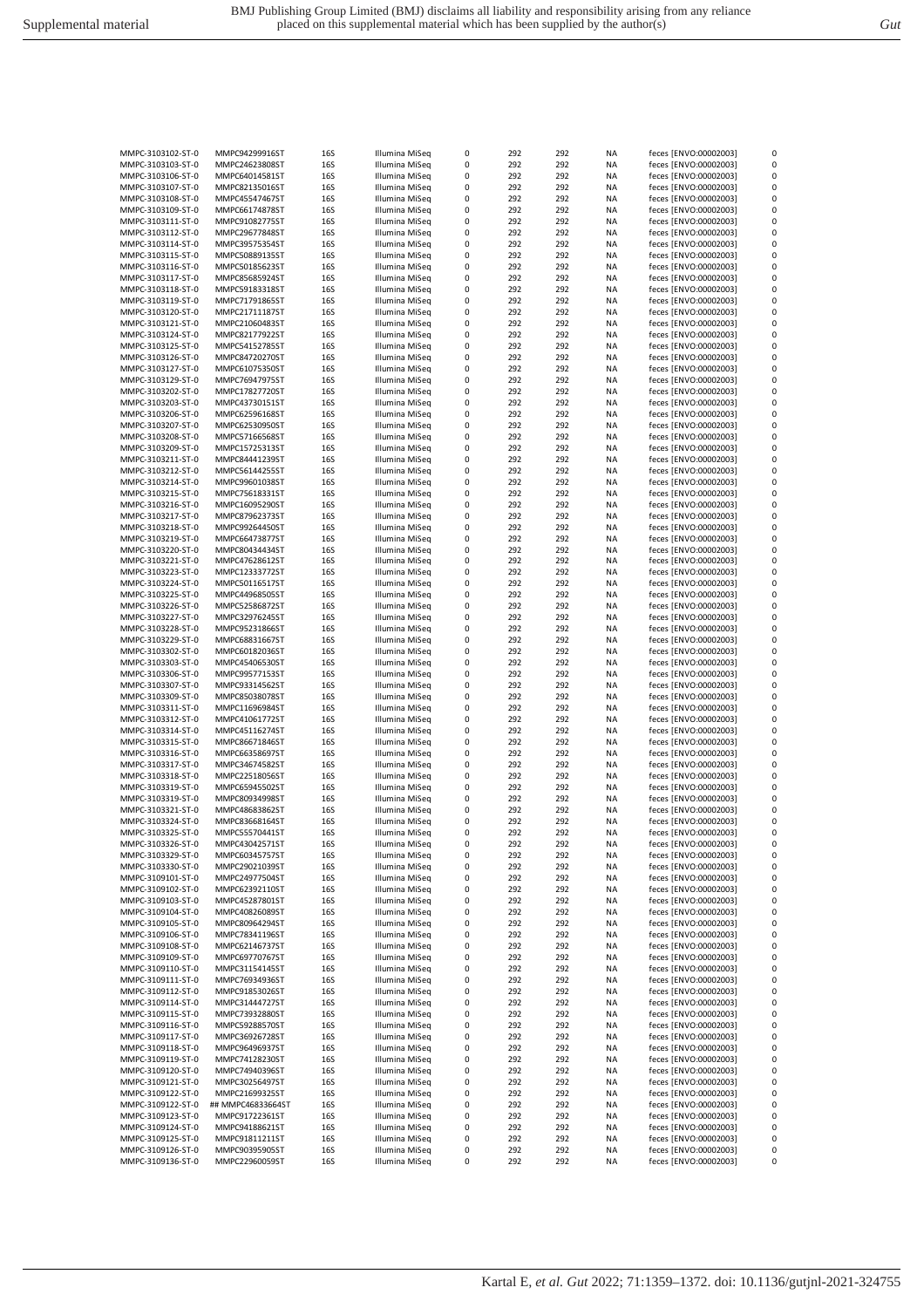| MMPC-3103102-ST-0 | MMPC94299916ST    | 16S        | Illumina MiSeq | 0 | 292 | 292 | ΝA        | feces [ENVO:00002003] | 0 |
|-------------------|-------------------|------------|----------------|---|-----|-----|-----------|-----------------------|---|
| MMPC-3103103-ST-0 | MMPC24623808ST    | 16S        | Illumina MiSeq | 0 | 292 | 292 | NA        | feces [ENVO:00002003] | 0 |
|                   |                   |            |                |   |     |     |           | feces [ENVO:00002003] | 0 |
| MMPC-3103106-ST-0 | MMPC64014581ST    | 16S        | Illumina MiSeq | 0 | 292 | 292 | ΝA        |                       |   |
| MMPC-3103107-ST-0 | MMPC82135016ST    | 16S        | Illumina MiSeq | 0 | 292 | 292 | ΝA        | feces [ENVO:00002003] | 0 |
| MMPC-3103108-ST-0 | MMPC45547467ST    | 16S        | Illumina MiSeq | 0 | 292 | 292 | NA        | feces [ENVO:00002003] | 0 |
| MMPC-3103109-ST-0 | MMPC66174878ST    | 16S        | Illumina MiSeq | 0 | 292 | 292 | NA        | feces [ENVO:00002003] | 0 |
| MMPC-3103111-ST-0 | MMPC91082775ST    | 16S        | Illumina MiSeq | 0 | 292 | 292 | NA        | feces [ENVO:00002003] | 0 |
|                   |                   |            |                |   |     |     |           |                       |   |
| MMPC-3103112-ST-0 | MMPC29677848ST    | 16S        | Illumina MiSeg | 0 | 292 | 292 | NA        | feces [ENVO:00002003] | 0 |
| MMPC-3103114-ST-0 | MMPC39575354ST    | 16S        | Illumina MiSeq | 0 | 292 | 292 | NA        | feces [ENVO:00002003] | 0 |
| MMPC-3103115-ST-0 | MMPC50889135ST    | 16S        | Illumina MiSeq | 0 | 292 | 292 | NA        | feces [ENVO:00002003] | 0 |
| MMPC-3103116-ST-0 | MMPC50185623ST    | 16S        | Illumina MiSeq | 0 | 292 | 292 | ΝA        | feces [ENVO:00002003] | 0 |
|                   |                   |            |                |   |     |     |           |                       |   |
| MMPC-3103117-ST-0 | MMPC85685924ST    | 16S        | Illumina MiSeq | 0 | 292 | 292 | ΝA        | feces [ENVO:00002003] | 0 |
| MMPC-3103118-ST-0 | MMPC59183318ST    | 16S        | Illumina MiSeq | 0 | 292 | 292 | NA        | feces [ENVO:00002003] | 0 |
| MMPC-3103119-ST-0 | MMPC71791865ST    | 16S        | Illumina MiSeq | 0 | 292 | 292 | NA        | feces [ENVO:00002003] | 0 |
| MMPC-3103120-ST-0 | MMPC21711187ST    | 16S        | Illumina MiSeq | 0 | 292 | 292 | NA        | feces [ENVO:00002003] | 0 |
|                   |                   |            |                |   |     |     |           |                       |   |
| MMPC-3103121-ST-0 | MMPC21060483ST    | 16S        | Illumina MiSeg | 0 | 292 | 292 | NA        | feces [ENVO:00002003] | 0 |
| MMPC-3103124-ST-0 | MMPC82177922ST    | 16S        | Illumina MiSeq | 0 | 292 | 292 | NA        | feces [ENVO:00002003] | 0 |
| MMPC-3103125-ST-0 | MMPC54152785ST    | 16S        | Illumina MiSeq | 0 | 292 | 292 | ΝA        | feces [ENVO:00002003] | 0 |
| MMPC-3103126-ST-0 | MMPC84720270ST    | 16S        | Illumina MiSeq | 0 | 292 | 292 | NA        | feces [ENVO:00002003] | 0 |
|                   |                   |            |                |   |     |     |           |                       |   |
| MMPC-3103127-ST-0 | MMPC61075350ST    | 16S        | Illumina MiSeq | 0 | 292 | 292 | NA        | feces [ENVO:00002003] | 0 |
| MMPC-3103129-ST-0 | MMPC76947975ST    | 16S        | Illumina MiSeq | 0 | 292 | 292 | NA        | feces [ENVO:00002003] | 0 |
| MMPC-3103202-ST-0 | MMPC17827720ST    | 16S        | Illumina MiSeq | 0 | 292 | 292 | NA        | feces [ENVO:00002003] | 0 |
| MMPC-3103203-ST-0 | MMPC43730151ST    | 16S        | Illumina MiSeq | 0 | 292 | 292 | NA        | feces [ENVO:00002003] | 0 |
|                   |                   |            |                |   |     |     |           |                       |   |
| MMPC-3103206-ST-0 | MMPC62596168ST    | 16S        | Illumina MiSeq | 0 | 292 | 292 | NA        | feces [ENVO:00002003] | 0 |
| MMPC-3103207-ST-0 | MMPC62530950ST    | 16S        | Illumina MiSeq | 0 | 292 | 292 | ΝA        | feces [ENVO:00002003] | 0 |
| MMPC-3103208-ST-0 | MMPC57166568ST    | 16S        | Illumina MiSeq | 0 | 292 | 292 | ΝA        | feces [ENVO:00002003] | 0 |
| MMPC-3103209-ST-0 | MMPC15725313ST    | 16S        | Illumina MiSeq | 0 | 292 | 292 | NA        | feces [ENVO:00002003] | 0 |
|                   |                   |            |                |   |     |     |           |                       |   |
| MMPC-3103211-ST-0 | MMPC84441239ST    | 16S        | Illumina MiSeq | 0 | 292 | 292 | NA        | feces [ENVO:00002003] | 0 |
| MMPC-3103212-ST-0 | MMPC56144255ST    | 16S        | Illumina MiSeq | 0 | 292 | 292 | NA        | feces [ENVO:00002003] | 0 |
| MMPC-3103214-ST-0 | MMPC99601038ST    | 16S        | Illumina MiSeq | 0 | 292 | 292 | NA        | feces [ENVO:00002003] | 0 |
| MMPC-3103215-ST-0 | MMPC75618331ST    | 16S        | Illumina MiSeq | 0 | 292 | 292 | NA        | feces [ENVO:00002003] | 0 |
|                   |                   |            |                |   |     |     |           |                       |   |
| MMPC-3103216-ST-0 | MMPC16095290ST    | 16S        | Illumina MiSeq | 0 | 292 | 292 | NA        | feces [ENVO:00002003] | 0 |
| MMPC-3103217-ST-0 | MMPC87962373ST    | 16S        | Illumina MiSeq | 0 | 292 | 292 | ΝA        | feces [ENVO:00002003] | 0 |
| MMPC-3103218-ST-0 | MMPC99264450ST    | 16S        | Illumina MiSeq | 0 | 292 | 292 | NA        | feces [ENVO:00002003] | 0 |
| MMPC-3103219-ST-0 | MMPC66473877ST    | 16S        | Illumina MiSeq | 0 | 292 | 292 |           | feces [ENVO:00002003] | 0 |
|                   |                   |            |                |   |     |     | NA        |                       |   |
| MMPC-3103220-ST-0 | MMPC80434434ST    | 16S        | Illumina MiSeq | 0 | 292 | 292 | NA        | feces [ENVO:00002003] | 0 |
| MMPC-3103221-ST-0 | MMPC47628612ST    | 16S        | Illumina MiSeq | 0 | 292 | 292 | NA        | feces [ENVO:00002003] | 0 |
| MMPC-3103223-ST-0 | MMPC12333772ST    | 16S        | Illumina MiSeq | 0 | 292 | 292 | NA        | feces [ENVO:00002003] | 0 |
| MMPC-3103224-ST-0 | MMPC50116517ST    | 16S        | Illumina MiSeq | 0 | 292 | 292 | NA        | feces [ENVO:00002003] | 0 |
|                   |                   |            |                |   |     |     |           |                       |   |
| MMPC-3103225-ST-0 | MMPC44968505ST    | 16S        | Illumina MiSeq | 0 | 292 | 292 | ΝA        | feces [ENVO:00002003] | 0 |
| MMPC-3103226-ST-0 | MMPC52586872ST    | 16S        | Illumina MiSeq | 0 | 292 | 292 | ΝA        | feces [ENVO:00002003] | 0 |
| MMPC-3103227-ST-0 | MMPC32976245ST    | 16S        | Illumina MiSeq | 0 | 292 | 292 | NA        | feces [ENVO:00002003] | 0 |
| MMPC-3103228-ST-0 | MMPC95231866ST    | 16S        | Illumina MiSeq | 0 | 292 | 292 | NA        | feces [ENVO:00002003] | 0 |
|                   |                   |            |                |   |     |     |           |                       |   |
| MMPC-3103229-ST-0 | MMPC68831667ST    | 16S        | Illumina MiSeq | 0 | 292 | 292 | NA        | feces [ENVO:00002003] | 0 |
| MMPC-3103302-ST-0 | MMPC60182036ST    | 16S        | Illumina MiSeq | 0 | 292 | 292 | NA        | feces [ENVO:00002003] | 0 |
| MMPC-3103303-ST-0 | MMPC45406530ST    | 16S        | Illumina MiSeq | 0 | 292 | 292 | NA        | feces [ENVO:00002003] | 0 |
| MMPC-3103306-ST-0 | MMPC99577153ST    | 16S        | Illumina MiSeq | 0 | 292 | 292 | ΝA        | feces [ENVO:00002003] | 0 |
|                   |                   |            |                |   |     |     |           |                       |   |
| MMPC-3103307-ST-0 | MMPC93314562ST    | 16S        | Illumina MiSeq | 0 | 292 | 292 | NA        | feces [ENVO:00002003] | 0 |
| MMPC-3103309-ST-0 | MMPC85038078ST    | 16S        | Illumina MiSeq | 0 | 292 | 292 | NA        | feces [ENVO:00002003] | 0 |
| MMPC-3103311-ST-0 | MMPC11696984ST    | 16S        | Illumina MiSeq | 0 | 292 | 292 | NA        | feces [ENVO:00002003] | 0 |
|                   |                   |            |                |   |     |     |           |                       | 0 |
| MMPC-3103312-ST-0 | MMPC41061772ST    | 16S        | Illumina MiSeq | 0 | 292 | 292 | NA        | feces [ENVO:00002003] |   |
| MMPC-3103314-ST-0 | MMPC45116274ST    | 16S        | Illumina MiSeq | 0 | 292 | 292 | NA        | feces [ENVO:00002003] | 0 |
| MMPC-3103315-ST-0 | MMPC86671846ST    | 16S        | Illumina MiSeq | 0 | 292 | 292 | NA        | feces [ENVO:00002003] | 0 |
| MMPC-3103316-ST-0 | MMPC66358697ST    | 16S        | Illumina MiSeq | 0 | 292 | 292 | ΝA        | feces [ENVO:00002003] | 0 |
|                   |                   |            |                |   |     |     |           |                       | 0 |
| MMPC-3103317-ST-0 | MMPC34674582ST    | 16S        | Illumina MiSeq | 0 | 292 | 292 | ΝA        | feces [ENVO:00002003] |   |
| MMPC-3103318-ST-0 | MMPC22518056ST    | 16S        | Illumina MiSeq | 0 | 292 | 292 | NA        | feces [ENVO:00002003] | 0 |
| MMPC-3103319-ST-0 | MMPC65945502ST    |            |                |   |     |     |           |                       | 0 |
| MMPC-3103319-ST-0 |                   |            |                | 0 |     |     |           |                       |   |
|                   |                   | 16S        | Illumina MiSeq |   | 292 | 292 | NA        | feces [ENVO:00002003] |   |
| MMPC-3103321-ST-0 | MMPC80934998ST    | 16S        | Illumina MiSeq | 0 | 292 | 292 | NA        | feces [ENVO:00002003] | 0 |
|                   | MMPC48683862ST    | 16S        | Illumina MiSeq | 0 | 292 | 292 | NA        | feces [ENVO:00002003] | 0 |
| MMPC-3103324-ST-0 | MMPC83668164ST    | 16S        | Illumina MiSeq | 0 | 292 | 292 | NA        | feces [ENVO:00002003] | 0 |
| MMPC-3103325-ST-0 | MMPC55570441ST    | 16S        |                | 0 | 292 | 292 | NA        | feces [ENVO:00002003] | 0 |
|                   |                   |            | Illumina MiSeq |   |     |     |           |                       |   |
| MMPC-3103326-ST-0 | MMPC43042571ST    | 16S        | Illumina MiSeq | 0 | 292 | 292 | ΝA        | feces [ENVO:00002003] | 0 |
| MMPC-3103329-ST-0 | MMPC60345757ST    | <b>16S</b> | Illumina MiSeq | 0 | 292 | 292 | NA        | feces [ENVO:00002003] | 0 |
| MMPC-3103330-ST-0 | MMPC29021039ST    | <b>16S</b> | Illumina MiSeq | 0 | 292 | 292 | <b>NA</b> | feces [ENVO:00002003] | 0 |
| MMPC-3109101-ST-0 | MMPC24977504ST    | 16S        | Illumina MiSeq | 0 | 292 | 292 | NA        | feces [ENVO:00002003] | 0 |
|                   |                   |            |                |   |     |     |           |                       |   |
| MMPC-3109102-ST-0 | MMPC62392110ST    | <b>16S</b> | Illumina MiSeq | 0 | 292 | 292 | NA        | feces [ENVO:00002003] | 0 |
| MMPC-3109103-ST-0 | MMPC45287801ST    | 16S        | Illumina MiSeq | 0 | 292 | 292 | NA        | feces [ENVO:00002003] | 0 |
| MMPC-3109104-ST-0 | MMPC40826089ST    | 16S        | Illumina MiSeq | 0 | 292 | 292 | NA        | feces [ENVO:00002003] | 0 |
| MMPC-3109105-ST-0 | MMPC80964294ST    | 16S        | Illumina MiSeg | 0 | 292 | 292 | NA        | feces [ENVO:00002003] | 0 |
|                   |                   |            |                |   |     |     |           |                       |   |
| MMPC-3109106-ST-0 | MMPC78341196ST    | 16S        | Illumina MiSeq | 0 | 292 | 292 | NA        | feces [ENVO:00002003] | 0 |
| MMPC-3109108-ST-0 | MMPC62146737ST    | <b>16S</b> | Illumina MiSeq | 0 | 292 | 292 | NA        | feces [ENVO:00002003] | 0 |
| MMPC-3109109-ST-0 | MMPC69770767ST    | 16S        | Illumina MiSeg | 0 | 292 | 292 | NA        | feces [ENVO:00002003] | 0 |
| MMPC-3109110-ST-0 | MMPC31154145ST    | <b>16S</b> | Illumina MiSeq | 0 | 292 | 292 | NA        | feces [ENVO:00002003] | 0 |
| MMPC-3109111-ST-0 | MMPC76934936ST    | 16S        | Illumina MiSeq | 0 | 292 | 292 | ΝA        | feces [ENVO:00002003] | 0 |
|                   |                   |            |                |   |     |     |           |                       |   |
| MMPC-3109112-ST-0 | MMPC91853026ST    | 16S        | Illumina MiSeq | 0 | 292 | 292 | ΝA        | feces [ENVO:00002003] | 0 |
| MMPC-3109114-ST-0 | MMPC31444727ST    | 16S        | Illumina MiSeq | 0 | 292 | 292 | NA        | feces [ENVO:00002003] | 0 |
| MMPC-3109115-ST-0 | MMPC73932880ST    | 16S        | Illumina MiSeq | 0 | 292 | 292 | NA        | feces [ENVO:00002003] | 0 |
| MMPC-3109116-ST-0 | MMPC59288570ST    | <b>16S</b> | Illumina MiSeg | 0 | 292 | 292 | NA        | feces [ENVO:00002003] | 0 |
|                   |                   |            |                |   |     |     |           |                       |   |
| MMPC-3109117-ST-0 | MMPC36926728ST    | <b>16S</b> | Illumina MiSeq | 0 | 292 | 292 | NA        | feces [ENVO:00002003] | 0 |
| MMPC-3109118-ST-0 | MMPC96496937ST    | <b>16S</b> | Illumina MiSeq | 0 | 292 | 292 | NA        | feces [ENVO:00002003] | 0 |
| MMPC-3109119-ST-0 | MMPC74128230ST    | 16S        | Illumina MiSeq | 0 | 292 | 292 | NA        | feces [ENVO:00002003] | 0 |
| MMPC-3109120-ST-0 | MMPC74940396ST    | 16S        | Illumina MiSeq | 0 | 292 | 292 | NA        | feces [ENVO:00002003] | 0 |
|                   |                   |            |                |   |     |     |           |                       |   |
| MMPC-3109121-ST-0 | MMPC30256497ST    | 16S        | Illumina MiSeq | 0 | 292 | 292 | NA        | feces [ENVO:00002003] | 0 |
| MMPC-3109122-ST-0 | MMPC21699325ST    | <b>16S</b> | Illumina MiSeq | 0 | 292 | 292 | NA        | feces [ENVO:00002003] | 0 |
| MMPC-3109122-ST-0 | ## MMPC46833664ST | <b>16S</b> | Illumina MiSeq | 0 | 292 | 292 | <b>NA</b> | feces [ENVO:00002003] | 0 |
|                   |                   |            |                |   |     |     |           |                       |   |
| MMPC-3109123-ST-0 | MMPC91722361ST    | <b>16S</b> | Illumina MiSeq | 0 | 292 | 292 | NA        | feces [ENVO:00002003] | 0 |
| MMPC-3109124-ST-0 | MMPC94188621ST    | <b>16S</b> | Illumina MiSeq | 0 | 292 | 292 | NA        | feces [ENVO:00002003] | 0 |
| MMPC-3109125-ST-0 | MMPC91811211ST    | <b>16S</b> | Illumina MiSeq | 0 | 292 | 292 | NA        | feces [ENVO:00002003] | 0 |
| MMPC-3109126-ST-0 | MMPC90395905ST    | 16S        | Illumina MiSeq | 0 | 292 | 292 | NA        | feces [ENVO:00002003] | 0 |
| MMPC-3109136-ST-0 | MMPC22960059ST    | 16S        | Illumina MiSeq | 0 | 292 | 292 | NA        | feces [ENVO:00002003] | 0 |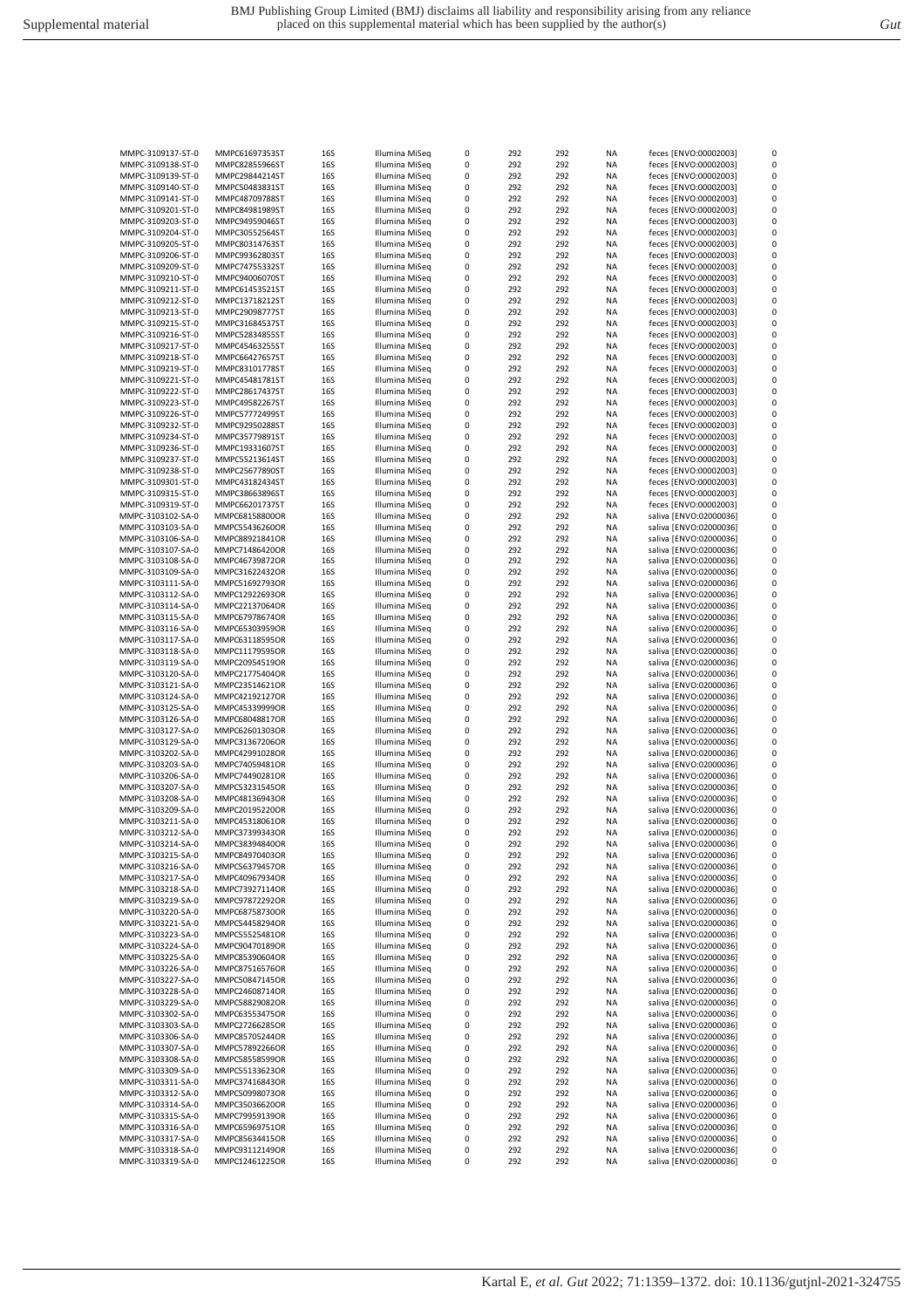| MMPC-3109137-ST-0 | MMPC61697353ST | 16S        | Illumina MiSeq | 0 | 292 | 292 | NA        | feces [ENVO:00002003]  | 0        |
|-------------------|----------------|------------|----------------|---|-----|-----|-----------|------------------------|----------|
| MMPC-3109138-ST-0 | MMPC82855966ST | 16S        | Illumina MiSeq | 0 | 292 | 292 | <b>NA</b> | feces [ENVO:00002003]  | $\Omega$ |
| MMPC-3109139-ST-0 | MMPC29844214ST | 16S        | Illumina MiSeq | 0 | 292 | 292 | <b>NA</b> | feces [ENVO:00002003]  | $\Omega$ |
|                   |                |            |                |   |     |     |           |                        |          |
| MMPC-3109140-ST-0 | MMPC50483831ST | 16S        | Illumina MiSeq | 0 | 292 | 292 | ΝA        | feces [ENVO:00002003]  | 0        |
| MMPC-3109141-ST-0 | MMPC48709788ST | 16S        | Illumina MiSeq | 0 | 292 | 292 | ΝA        | feces [ENVO:00002003]  | $\Omega$ |
| MMPC-3109201-ST-0 | MMPC84981989ST | 16S        | Illumina MiSeq | 0 | 292 | 292 | NA        | feces [ENVO:00002003]  | 0        |
|                   |                | 16S        |                | 0 | 292 | 292 | ΝA        |                        | 0        |
| MMPC-3109203-ST-0 | MMPC94959046ST |            | Illumina MiSeq |   |     |     |           | feces [ENVO:00002003]  |          |
| MMPC-3109204-ST-0 | MMPC30552564ST | 16S        | Illumina MiSeq | 0 | 292 | 292 | NA        | feces [ENVO:00002003]  | 0        |
| MMPC-3109205-ST-0 | MMPC80314763ST | 16S        | Illumina MiSeq | 0 | 292 | 292 | ΝA        | feces [ENVO:00002003]  | 0        |
| MMPC-3109206-ST-0 | MMPC99362803ST | 16S        | Illumina MiSeq | 0 | 292 | 292 | <b>NA</b> | feces [ENVO:00002003]  | $\Omega$ |
|                   |                |            |                |   |     |     |           |                        |          |
| MMPC-3109209-ST-0 | MMPC74755332ST | 16S        | Illumina MiSeq | 0 | 292 | 292 | NA        | feces [ENVO:00002003]  | 0        |
| MMPC-3109210-ST-0 | MMPC94006070ST | 16S        | Illumina MiSeq | 0 | 292 | 292 | ΝA        | feces [ENVO:00002003]  | 0        |
| MMPC-3109211-ST-0 | MMPC61453521ST | 16S        | Illumina MiSeq | 0 | 292 | 292 | NA        | feces [ENVO:00002003]  | 0        |
|                   |                |            |                |   |     |     |           |                        |          |
| MMPC-3109212-ST-0 | MMPC13718212ST | 16S        | Illumina MiSeq | 0 | 292 | 292 | ΝA        | feces [ENVO:00002003]  | 0        |
| MMPC-3109213-ST-0 | MMPC29098777ST | 16S        | Illumina MiSeq | 0 | 292 | 292 | NA        | feces [ENVO:00002003]  | 0        |
| MMPC-3109215-ST-0 | MMPC31684537ST | 16S        | Illumina MiSeq | 0 | 292 | 292 | <b>NA</b> | feces [ENVO:00002003]  | $\Omega$ |
|                   |                |            | Illumina MiSeq | 0 | 292 | 292 | <b>NA</b> | feces [ENVO:00002003]  | $\Omega$ |
| MMPC-3109216-ST-0 | MMPC52834855ST | 16S        |                |   |     |     |           |                        |          |
| MMPC-3109217-ST-0 | MMPC45463255ST | 16S        | Illumina MiSeg | 0 | 292 | 292 | ΝA        | feces [ENVO:00002003]  | 0        |
| MMPC-3109218-ST-0 | MMPC66427657ST | 16S        | Illumina MiSeq | 0 | 292 | 292 | ΝA        | feces [ENVO:00002003]  | $\Omega$ |
| MMPC-3109219-ST-0 | MMPC83101778ST | 16S        | Illumina MiSeq | 0 | 292 | 292 | NA        | feces [ENVO:00002003]  | 0        |
|                   |                |            |                |   |     |     |           |                        |          |
| MMPC-3109221-ST-0 | MMPC45481781ST | 16S        | Illumina MiSeq | 0 | 292 | 292 | ΝA        | feces [ENVO:00002003]  | 0        |
| MMPC-3109222-ST-0 | MMPC28617437ST | 16S        | Illumina MiSeq | 0 | 292 | 292 | NA        | feces [ENVO:00002003]  | 0        |
| MMPC-3109223-ST-0 | MMPC49582267ST | 16S        | Illumina MiSeq | 0 | 292 | 292 | NA        | feces [ENVO:00002003]  | 0        |
| MMPC-3109226-ST-0 | MMPC57772499ST | 16S        | Illumina MiSeq | 0 | 292 | 292 | <b>NA</b> | feces [ENVO:00002003]  | $\Omega$ |
|                   |                |            |                |   |     |     |           |                        |          |
| MMPC-3109232-ST-0 | MMPC92950288ST | 16S        | Illumina MiSeq | 0 | 292 | 292 | ΝA        | feces [ENVO:00002003]  | $\Omega$ |
| MMPC-3109234-ST-0 | MMPC35779891ST | 16S        | Illumina MiSeq | 0 | 292 | 292 | ΝA        | feces [ENVO:00002003]  | 0        |
| MMPC-3109236-ST-0 | MMPC19331607ST | 16S        | Illumina MiSeq | 0 | 292 | 292 | NA        | feces [ENVO:00002003]  | 0        |
|                   |                |            |                |   |     |     |           |                        |          |
| MMPC-3109237-ST-0 | MMPC55213614ST | 16S        | Illumina MiSeq | 0 | 292 | 292 | ΝA        | feces [ENVO:00002003]  | 0        |
| MMPC-3109238-ST-0 | MMPC25677890ST | 16S        | Illumina MiSeq | 0 | 292 | 292 | NA        | feces [ENVO:00002003]  | 0        |
| MMPC-3109301-ST-0 | MMPC43182434ST | 16S        | Illumina MiSeq | 0 | 292 | 292 | NA        | feces [ENVO:00002003]  | 0        |
|                   |                |            | Illumina MiSeq | 0 | 292 | 292 | <b>NA</b> |                        | 0        |
| MMPC-3109315-ST-0 | MMPC38663896ST | 16S        |                |   |     |     |           | feces [ENVO:00002003]  |          |
| MMPC-3109319-ST-0 | MMPC66201737ST | 16S        | Illumina MiSeq | 0 | 292 | 292 | ΝA        | feces [ENVO:00002003]  | $\Omega$ |
| MMPC-3103102-SA-0 | MMPC68158800OR | 16S        | Illumina MiSeq | 0 | 292 | 292 | ΝA        | saliva [ENVO:02000036] | 0        |
| MMPC-3103103-SA-0 | MMPC55436260OR | 16S        | Illumina MiSeq | 0 | 292 | 292 | NA        | saliva [ENVO:02000036] | 0        |
|                   |                |            |                |   |     |     |           |                        |          |
| MMPC-3103106-SA-0 | MMPC88921841OR | 16S        | Illumina MiSeq | 0 | 292 | 292 | ΝA        | saliva [ENVO:02000036] | 0        |
| MMPC-3103107-SA-0 | MMPC71486420OR | 16S        | Illumina MiSeq | 0 | 292 | 292 | NA        | saliva [ENVO:02000036] | 0        |
| MMPC-3103108-SA-0 | MMPC46739872OR | 16S        | Illumina MiSeq | 0 | 292 | 292 | NA        | saliva [ENVO:02000036] | 0        |
|                   |                | 16S        |                | 0 | 292 | 292 | <b>NA</b> | saliva [ENVO:02000036] | 0        |
| MMPC-3103109-SA-0 | MMPC31622432OR |            | Illumina MiSeq |   |     |     |           |                        |          |
| MMPC-3103111-SA-0 | MMPC51692793OR | 16S        | Illumina MiSeq | 0 | 292 | 292 | <b>NA</b> | saliva [ENVO:02000036] | $\Omega$ |
| MMPC-3103112-SA-0 | MMPC12922693OR | 16S        | Illumina MiSeq | 0 | 292 | 292 | ΝA        | saliva [ENVO:02000036] | 0        |
| MMPC-3103114-SA-0 | MMPC22137064OR | 16S        | Illumina MiSeq | 0 | 292 | 292 | ΝA        | saliva [ENVO:02000036] | 0        |
|                   |                |            |                |   | 292 |     |           |                        | 0        |
| MMPC-3103115-SA-0 | MMPC67978674OR | 16S        | Illumina MiSeq | 0 |     | 292 | ΝA        | saliva [ENVO:02000036] |          |
| MMPC-3103116-SA-0 | MMPC65303959OR | 16S        | Illumina MiSeq | 0 | 292 | 292 | NA        | saliva [ENVO:02000036] | 0        |
| MMPC-3103117-SA-0 | MMPC63118595OR | 16S        | Illumina MiSeq | 0 | 292 | 292 | ΝA        | saliva [ENVO:02000036] | 0        |
| MMPC-3103118-SA-0 | MMPC11179595OR | 16S        | Illumina MiSeq | 0 | 292 | 292 | ΝA        | saliva [ENVO:02000036] | 0        |
|                   |                |            |                |   |     |     |           | saliva [ENVO:02000036] | $\Omega$ |
| MMPC-3103119-SA-0 | MMPC20954519OR | 16S        | Illumina MiSeq | 0 | 292 | 292 | <b>NA</b> |                        |          |
| MMPC-3103120-SA-0 | MMPC21775404OR | 16S        | Illumina MiSeq | 0 | 292 | 292 | ΝA        | saliva [ENVO:02000036] | 0        |
| MMPC-3103121-SA-0 | MMPC23514621OR | 16S        | Illumina MiSeq | 0 | 292 | 292 | ΝA        | saliva [ENVO:02000036] | $\Omega$ |
| MMPC-3103124-SA-0 | MMPC42192127OR | 16S        | Illumina MiSeq | 0 | 292 | 292 | ΝA        | saliva [ENVO:02000036] | 0        |
|                   |                |            |                |   |     |     |           |                        |          |
| MMPC-3103125-SA-0 | MMPC453399990R | 16S        | Illumina MiSeq | 0 | 292 | 292 | NA        | saliva [ENVO:02000036] | 0        |
| MMPC-3103126-SA-0 | MMPC68048817OR | 16S        | Illumina MiSeq | 0 | 292 | 292 | NA        | saliva [ENVO:02000036] | 0        |
| MMPC-3103127-SA-0 | MMPC62601303OR | 16S        | Illumina MiSeq | 0 | 292 | 292 | ΝA        | saliva [ENVO:02000036] | 0        |
|                   |                | 16S        | Illumina MiSeq | 0 | 292 | 292 | <b>NA</b> | saliva [ENVO:02000036] | $\Omega$ |
| MMPC-3103129-SA-0 | MMPC31367206OR |            |                |   |     |     |           |                        |          |
| MMPC-3103202-SA-0 | MMPC42991028OR | 16S        | Illumina MiSeq | 0 | 292 | 292 | ΝA        | saliva [ENVO:02000036] | 0        |
| MMPC-3103203-SA-0 | MMPC74059481OR | 16S        | Illumina MiSeq | 0 | 292 | 292 | ΝA        | saliva [ENVO:02000036] | 0        |
| MMPC-3103206-SA-0 | MMPC74490281OR | 16S        | Illumina MiSeg | 0 | 292 | 292 | ΝA        | saliva [ENVO:02000036] | 0        |
|                   |                |            |                |   |     |     |           |                        |          |
| MMPC-3103207-SA-0 | MMPC53231545OR | 16S        | Illumina MiSeq | 0 | 292 | 292 | ΝA        | saliva [ENVO:02000036] | 0        |
| MMPC-3103208-SA-0 | MMPC48136943OR | 16S        | Illumina MiSeq | 0 | 292 | 292 | ΝA        | saliva [ENVO:02000036] | 0        |
| MMPC-3103209-SA-0 | MMPC20195220OR | 16S        | Illumina MiSeg | 0 | 292 | 292 | NA        | saliva [ENVO:02000036] | 0        |
| MMPC-3103211-SA-0 | MMPC45318061OR | 16S        | Illumina MiSeq | 0 | 292 | 292 | <b>NA</b> | saliva [ENVO:02000036] | 0        |
|                   |                |            |                | 0 | 292 | 292 |           |                        |          |
| MMPC-3103212-SA-0 | MMPC37399343OR | <b>16S</b> | Illumina MiSeq |   |     |     | ΝA        | saliva [ENVO:02000036] | 0        |
| MMPC-3103214-SA-0 | MMPC38394840OR | 16S        | Illumina MiSeq | 0 | 292 | 292 | ΝA        | saliva [ENVO:02000036] |          |
| MMPC-3103215-SA-0 | MMPC84970403OR | 16S        | Illumina MiSeq | 0 | 292 | 292 | ΝA        | saliva [ENVO:02000036] | 0        |
| MMPC-3103216-SA-0 | MMPC56379457OR | 16S        | Illumina MiSeq | 0 | 292 | 292 | ΝA        | saliva [ENVO:02000036] | 0        |
|                   |                |            |                |   |     |     |           |                        |          |
| MMPC-3103217-SA-0 | MMPC40967934OR | 16S        | Illumina MiSeq | 0 | 292 | 292 | NA        | saliva [ENVO:02000036] | 0        |
| MMPC-3103218-SA-0 | MMPC73927114OR | 16S        | Illumina MiSeq | 0 | 292 | 292 | NA        | saliva [ENVO:02000036] | 0        |
| MMPC-3103219-SA-0 | MMPC97872292OR | 16S        | Illumina MiSeq | 0 | 292 | 292 | NA        | saliva [ENVO:02000036] | 0        |
| MMPC-3103220-SA-0 | MMPC68758730OR | 16S        | Illumina MiSeq | 0 | 292 | 292 | NA        | saliva [ENVO:02000036] | 0        |
|                   |                |            |                |   |     |     |           |                        |          |
| MMPC-3103221-SA-0 | MMPC54458294OR | 16S        | Illumina MiSeq | 0 | 292 | 292 | NA        | saliva [ENVO:02000036] | 0        |
| MMPC-3103223-SA-0 | MMPC55525481OR | 16S        | Illumina MiSeq | 0 | 292 | 292 | ΝA        | saliva [ENVO:02000036] | 0        |
| MMPC-3103224-SA-0 | MMPC90470189OR | 16S        | Illumina MiSeq | 0 | 292 | 292 | ΝA        | saliva [ENVO:02000036] | 0        |
|                   |                |            |                |   |     |     |           |                        |          |
| MMPC-3103225-SA-0 | MMPC85390604OR | 16S        | Illumina MiSeq | 0 | 292 | 292 | NA        | saliva [ENVO:02000036] | 0        |
| MMPC-3103226-SA-0 | MMPC87516576OR | 16S        | Illumina MiSeq | 0 | 292 | 292 | NA        | saliva [ENVO:02000036] | 0        |
| MMPC-3103227-SA-0 | MMPC50847145OR | 16S        | Illumina MiSeq | 0 | 292 | 292 | NA        | saliva [ENVO:02000036] | 0        |
| MMPC-3103228-SA-0 | MMPC24608714OR | 16S        | Illumina MiSeq | 0 | 292 | 292 | NA        | saliva [ENVO:02000036] | 0        |
|                   |                |            |                |   |     |     |           |                        |          |
| MMPC-3103229-SA-0 | MMPC58829082OR | 16S        | Illumina MiSeq | 0 | 292 | 292 | NA        | saliva [ENVO:02000036] | 0        |
| MMPC-3103302-SA-0 | MMPC63553475OR | 16S        | Illumina MiSeq | 0 | 292 | 292 | NA        | saliva [ENVO:02000036] | 0        |
| MMPC-3103303-SA-0 | MMPC27266285OR | 16S        | Illumina MiSeq | 0 | 292 | 292 | ΝA        | saliva [ENVO:02000036] | 0        |
| MMPC-3103306-SA-0 | MMPC85705244OR | 16S        | Illumina MiSeq | 0 | 292 | 292 | ΝA        | saliva [ENVO:02000036] | 0        |
|                   |                |            |                |   |     |     |           |                        |          |
| MMPC-3103307-SA-0 | MMPC57892266OR | 16S        | Illumina MiSeq | 0 | 292 | 292 | NA        | saliva [ENVO:02000036] | 0        |
| MMPC-3103308-SA-0 | MMPC58558599OR | 16S        | Illumina MiSeq | 0 | 292 | 292 | NA        | saliva [ENVO:02000036] | 0        |
| MMPC-3103309-SA-0 | MMPC55133623OR | 16S        | Illumina MiSeq | 0 | 292 | 292 | NA        | saliva [ENVO:02000036] | 0        |
|                   |                |            |                |   |     |     |           |                        | 0        |
| MMPC-3103311-SA-0 | MMPC37416843OR | 16S        | Illumina MiSeq | 0 | 292 | 292 | NA        | saliva [ENVO:02000036] |          |
| MMPC-3103312-SA-0 | MMPC50998073OR | 16S        | Illumina MiSeq | 0 | 292 | 292 | NA        | saliva [ENVO:02000036] | 0        |
| MMPC-3103314-SA-0 | MMPC35036620OR | 16S        | Illumina MiSeq | 0 | 292 | 292 | ΝA        | saliva [ENVO:02000036] | 0        |
| MMPC-3103315-SA-0 | MMPC79959139OR | 16S        | Illumina MiSeq | 0 | 292 | 292 | ΝA        | saliva [ENVO:02000036] | 0        |
|                   |                |            |                |   |     |     |           |                        |          |
| MMPC-3103316-SA-0 | MMPC65969751OR | 16S        | Illumina MiSeq | 0 | 292 | 292 | NA        | saliva [ENVO:02000036] | 0        |
| MMPC-3103317-SA-0 | MMPC85634415OR | 16S        | Illumina MiSeq | 0 | 292 | 292 | NA        | saliva [ENVO:02000036] | 0        |
| MMPC-3103318-SA-0 | MMPC93112149OR | 16S        | Illumina MiSeq | 0 | 292 | 292 | NA        | saliva [ENVO:02000036] | 0        |
|                   |                |            |                |   |     |     |           |                        |          |
| MMPC-3103319-SA-0 | MMPC12461225OR | 16S        | Illumina MiSeq | 0 | 292 | 292 | NA        | saliva [ENVO:02000036] | 0        |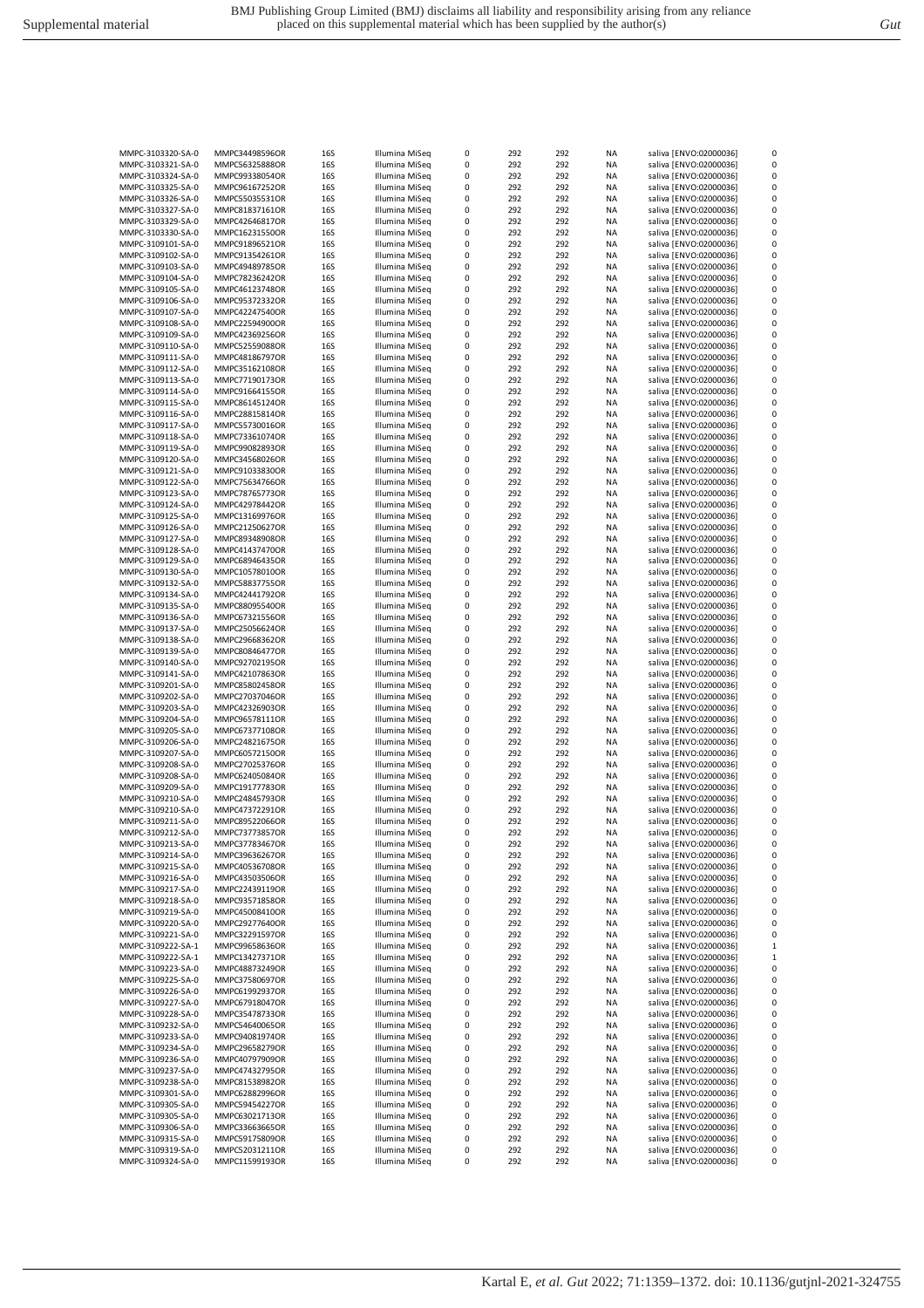| MMPC-3103321-SA-0<br>MMPC56325888OR<br>16S<br>Illumina MiSeg<br>0<br>292<br>292<br>ΝA<br>saliva [ENVO:02000036]<br>MMPC-3103324-SA-0<br>MMPC99338054OR<br>16S<br>Illumina MiSeq<br>0<br>292<br>292<br>NA<br>saliva [ENVO:02000036]<br><b>16S</b><br>Illumina MiSeq<br>0<br>292<br>292<br>NA<br>saliva [ENVO:02000036]<br>MMPC-3103325-SA-0<br>MMPC96167252OR<br>Illumina MiSeq<br>0<br>292<br>saliva [ENVO:02000036]<br>MMPC-3103326-SA-0<br>MMPC55035531OR<br>16S<br>292<br>ΝA<br>Illumina MiSeq<br>0<br>292<br>292<br>saliva [ENVO:02000036]<br>MMPC-3103327-SA-0<br>MMPC81837161OR<br><b>16S</b><br>NA<br>MMPC-3103329-SA-0<br>MMPC42646817OR<br>16S<br>Illumina MiSeq<br>0<br>292<br>292<br>NA<br>saliva [ENVO:02000036]<br>0<br>292<br>292<br>MMPC-3103330-SA-0<br>MMPC16231550OR<br>16S<br>Illumina MiSeq<br>NA<br>saliva [ENVO:02000036]<br>MMPC-3109101-SA-0<br>MMPC91896521OR<br>16S<br>Illumina MiSeg<br>0<br>292<br>292<br>ΝA<br>saliva [ENVO:02000036]<br>MMPC-3109102-SA-0<br>MMPC91354261OR<br>16S<br>Illumina MiSeq<br>0<br>292<br>292<br>ΝA<br>saliva [ENVO:02000036]<br>MMPC-3109103-SA-0<br>16S<br>Illumina MiSeq<br>0<br>292<br>292<br>NA<br>saliva [ENVO:02000036]<br>MMPC49489785OR<br>Illumina MiSeq<br>0<br>292<br>MMPC-3109104-SA-0<br>MMPC78236242OR<br>16S<br>292<br>ΝA<br>saliva [ENVO:02000036]<br>Illumina MiSeq<br>0<br>292<br>292<br><b>NA</b><br>saliva [ENVO:02000036]<br>MMPC-3109105-SA-0<br>MMPC46123748OR<br>16S<br>Illumina MiSeq<br>0<br>292<br>292<br><b>NA</b><br>saliva [ENVO:02000036]<br>MMPC-3109106-SA-0<br>MMPC95372332OR<br>16S<br>292<br>292<br>MMPC-3109107-SA-0<br>MMPC42247540OR<br><b>16S</b><br>Illumina MiSeq<br>0<br>NA<br>saliva [ENVO:02000036]<br>MMPC-3109108-SA-0<br>MMPC22594900OR<br>16S<br>Illumina MiSeq<br>0<br>292<br>292<br>ΝA<br>saliva [ENVO:02000036]<br>292<br>MMPC-3109109-SA-0<br>MMPC42369256OR<br>16S<br>Illumina MiSeq<br>0<br>292<br>ΝA<br>saliva [ENVO:02000036]<br>0<br>292<br>MMPC-3109110-SA-0<br>MMPC52559088OR<br>16S<br>Illumina MiSeq<br>292<br>NA<br>saliva [ENVO:02000036]<br>Illumina MiSeq<br>0<br>292<br>MMPC-3109111-SA-0<br>MMPC48186797OR<br>16S<br>292<br>ΝA<br>saliva [ENVO:02000036]<br>0<br>292<br>292<br>saliva [ENVO:02000036]<br>MMPC-3109112-SA-0<br>MMPC35162108OR<br><b>16S</b><br>Illumina MiSeq<br>NA<br>Illumina MiSeq<br>0<br>292<br>saliva [ENVO:02000036]<br>MMPC-3109113-SA-0<br>MMPC77190173OR<br><b>16S</b><br>292<br>NA<br>0<br>292<br>292<br>saliva [ENVO:02000036]<br>MMPC-3109114-SA-0<br>MMPC91664155OR<br>16S<br>Illumina MiSeq<br>NA<br>Illumina MiSeq<br>292<br>292<br>saliva [ENVO:02000036]<br>MMPC-3109115-SA-0<br>MMPC86145124OR<br><b>16S</b><br>0<br>NA<br>MMPC-3109116-SA-0<br>MMPC28815814OR<br>16S<br>Illumina MiSeq<br>0<br>292<br>292<br>ΝA<br>saliva [ENVO:02000036]<br>16S<br>Illumina MiSeq<br>0<br>292<br>292<br>NA<br>saliva [ENVO:02000036]<br>MMPC-3109117-SA-0<br>MMPC55730016OR<br>Illumina MiSeq<br>0<br>292<br>MMPC-3109118-SA-0<br>MMPC73361074OR<br>16S<br>292<br>ΝA<br>saliva [ENVO:02000036]<br>0<br>292<br>292<br><b>NA</b><br>saliva [ENVO:02000036]<br>MMPC-3109119-SA-0<br>MMPC99082893OR<br>16S<br>Illumina MiSeq<br>Illumina MiSeq<br>0<br>292<br>saliva [ENVO:02000036]<br>MMPC-3109120-SA-0<br>MMPC34568026OR<br>16S<br>292<br>NA<br>292<br>MMPC-3109121-SA-0<br>MMPC91033830OR<br><b>16S</b><br>Illumina MiSeq<br>0<br>292<br>NA<br>saliva [ENVO:02000036]<br>Illumina MiSeq<br>MMPC-3109122-SA-0<br>MMPC75634766OR<br><b>16S</b><br>0<br>292<br>292<br>NA<br>saliva [ENVO:02000036]<br>MMPC-3109123-SA-0<br>MMPC78765773OR<br>16S<br>Illumina MiSeq<br>0<br>292<br>292<br>ΝA<br>saliva [ENVO:02000036]<br>MMPC-3109124-SA-0<br>MMPC42978442OR<br>16S<br>Illumina MiSeq<br>0<br>292<br>292<br>ΝA<br>saliva [ENVO:02000036]<br>16S<br>Illumina MiSeq<br>0<br>292<br>292<br>ΝA<br>saliva [ENVO:02000036]<br>MMPC-3109125-SA-0<br>MMPC13169976OR<br>0<br>292<br>MMPC-3109126-SA-0<br>MMPC21250627OR<br><b>16S</b><br>Illumina MiSeq<br>292<br>NA<br>saliva [ENVO:02000036]<br>Illumina MiSeq<br>0<br>292<br>saliva [ENVO:02000036]<br>MMPC-3109127-SA-0<br>MMPC89348908OR<br>16S<br>292<br>NA<br>0<br>292<br>292<br>saliva [ENVO:02000036]<br>MMPC-3109128-SA-0<br>MMPC41437470OR<br>16S<br>Illumina MiSeq<br>NA<br>Illumina MiSeq<br>292<br>292<br>saliva [ENVO:02000036]<br>MMPC-3109129-SA-0<br>MMPC68946435OR<br>16S<br>0<br>NA<br>MMPC-3109130-SA-0<br>MMPC10578010OR<br><b>16S</b><br>Illumina MiSeg<br>0<br>292<br>292<br>ΝA<br>saliva [ENVO:02000036]<br>MMPC-3109132-SA-0<br>MMPC58837755OR<br>16S<br>Illumina MiSeq<br>0<br>292<br>292<br>ΝA<br>saliva [ENVO:02000036]<br>292<br>MMPC-3109134-SA-0<br><b>16S</b><br>Illumina MiSeq<br>0<br>292<br>ΝA<br>saliva [ENVO:02000036]<br>MMPC42441792OR<br>0<br>292<br>292<br>MMPC-3109135-SA-0<br>MMPC88095540OR<br><b>16S</b><br>Illumina MiSeq<br>NA<br>saliva [ENVO:02000036]<br>Illumina MiSeq<br>292<br>saliva [ENVO:02000036]<br>MMPC-3109136-SA-0<br>MMPC67321556OR<br>16S<br>0<br>292<br>NA<br>292<br>MMPC-3109137-SA-0<br>MMPC25056624OR<br>16S<br>Illumina MiSeq<br>0<br>292<br>NA<br>saliva [ENVO:02000036]<br>Illumina MiSeq<br>MMPC-3109138-SA-0<br>MMPC29668362OR<br><b>16S</b><br>0<br>292<br>292<br>NA<br>saliva [ENVO:02000036]<br>MMPC-3109139-SA-0<br>MMPC80846477OR<br>16S<br>Illumina MiSeq<br>0<br>292<br>292<br>ΝA<br>saliva [ENVO:02000036]<br>MMPC-3109140-SA-0<br>MMPC92702195OR<br>16S<br>Illumina MiSeq<br>0<br>292<br>292<br>ΝA<br>saliva [ENVO:02000036]<br>Illumina MiSeq<br>0<br>292<br>292<br>ΝA<br>saliva [ENVO:02000036]<br>MMPC-3109141-SA-0<br>MMPC42107863OR<br>16S<br>0<br>MMPC-3109201-SA-0<br>MMPC85802458OR<br>16S<br>Illumina MiSeq<br>292<br>292<br>NA<br>saliva [ENVO:02000036]<br>Illumina MiSeq<br>0<br>saliva [ENVO:02000036]<br>MMPC-3109202-SA-0<br>MMPC27037046OR<br>16S<br>292<br>292<br>NA<br>Illumina MiSeq<br>0<br>292<br>292<br><b>NA</b><br>saliva [ENVO:02000036]<br>MMPC-3109203-SA-0<br>MMPC42326903OR<br>16S<br>MMPC-3109204-SA-0<br>MMPC96578111OR<br>16S<br>Illumina MiSeq<br>0<br>292<br>292<br>NA<br>saliva [ENVO:02000036]<br>MMPC-3109205-SA-0<br>MMPC67377108OR<br><b>16S</b><br>Illumina MiSeq<br>0<br>292<br>292<br>ΝA<br>saliva [ENVO:02000036]<br>MMPC-3109206-SA-0<br>MMPC24821675OR<br>16S<br>Illumina MiSeq<br>0<br>292<br>292<br>ΝA<br>saliva [ENVO:02000036]<br>MMPC-3109207-SA-0<br>MMPC60572150OR<br><b>16S</b><br>Illumina MiSeq<br>0<br>292<br>292<br>ΝA<br>saliva [ENVO:02000036]<br>292<br>292<br>MMPC-3109208-SA-0<br>MMPC27025376OR<br><b>16S</b><br>Illumina MiSeq<br>0<br>NA<br>saliva [ENVO:02000036]<br>saliva [ENVO:02000036]<br>MMPC-3109208-SA-0<br>MMPC62405084OR<br>16S<br>Illumina MiSeq<br>0<br>292<br>292<br>NA<br>Illumina MiSeq<br>292<br>saliva [ENVO:02000036]<br>MMPC-3109209-SA-0<br>MMPC19177783OR<br><b>16S</b><br>0<br>292<br>NA<br>MMPC-3109210-SA-0<br>MMPC24845793OR<br><b>16S</b><br>Illumina MiSeq<br>0<br>292<br>292<br><b>NA</b><br>saliva [ENVO:02000036]<br>Illumina MiSeq<br>0<br>292<br>292<br>saliva [ENVO:02000036]<br>MMPC-3109210-SA-0<br>MMPC47372291OR<br>16S<br>NA<br>0<br>292<br><b>NA</b><br>MMPC-3109211-SA-0<br>MMPC89522066OR<br>16S<br>Illumina MiSeq<br>292<br>saliva [ENVO:02000036]<br>292<br>292<br>MMPC-3109212-SA-0<br>16S<br>Illumina MiSeq<br>0<br>ΝA<br>saliva [ENVO:02000036]<br>MMPC73773857OR<br>0<br>292<br>292<br>MMPC-3109213-SA-0<br>16S<br>Illumina MiSeq<br>ΝA<br>saliva [ENVO:02000036]<br>MMPC37783467OR<br>Illumina MiSeq<br>0<br>292<br>292<br><b>NA</b><br>saliva [ENVO:02000036]<br>MMPC-3109214-SA-0<br>MMPC39636267OR<br>16S<br>MMPC-3109215-SA-0<br>Illumina MiSeg<br>0<br>292<br>292<br><b>NA</b><br>saliva [ENVO:02000036]<br>MMPC40536708OR<br>16S<br>Illumina MiSeq<br>saliva [ENVO:02000036]<br>MMPC-3109216-SA-0<br>MMPC43503506OR<br>16S<br>0<br>292<br>292<br>ΝA<br>Illumina MiSeq<br>292<br>saliva [ENVO:02000036]<br>MMPC-3109217-SA-0<br>MMPC22439119OR<br>16S<br>0<br>292<br>NA<br>MMPC-3109218-SA-0<br>MMPC93571858OR<br>16S<br>Illumina MiSeq<br>0<br>292<br>292<br>ΝA<br>saliva [ENVO:02000036]<br>Illumina MiSeq<br>MMPC-3109219-SA-0<br>MMPC45008410OR<br>16S<br>0<br>292<br>292<br>ΝA<br>saliva [ENVO:02000036]<br>MMPC-3109220-SA-0<br>16S<br>Illumina MiSeq<br>0<br>292<br>292<br>NA<br>saliva [ENVO:02000036]<br>MMPC29277640OR<br>Illumina MiSeq<br>292<br>MMPC-3109221-SA-0<br>MMPC32291597OR<br>16S<br>0<br>292<br>NA<br>saliva [ENVO:02000036]<br>Illumina MiSeq<br>292<br>292<br>saliva [ENVO:02000036]<br>MMPC-3109222-SA-1<br>MMPC99658636OR<br>16S<br>0<br>NA<br>Illumina MiSeq<br>MMPC-3109222-SA-1<br>MMPC13427371OR<br>16S<br>0<br>292<br>292<br>ΝA<br>saliva [ENVO:02000036]<br>MMPC-3109223-SA-0<br>Illumina MiSeq<br>292<br>292<br>saliva [ENVO:02000036]<br>MMPC48873249OR<br>16S<br>0<br>ΝA<br>MMPC-3109225-SA-0<br>MMPC37580697OR<br>16S<br>Illumina MiSeq<br>0<br>292<br>292<br>ΝA<br>saliva [ENVO:02000036]<br>MMPC-3109226-SA-0<br>MMPC61992937OR<br>16S<br>Illumina MiSeq<br>0<br>292<br>292<br>ΝA<br>saliva [ENVO:02000036]<br>MMPC-3109227-SA-0<br>16S<br>Illumina MiSeq<br>0<br>292<br>292<br>ΝA<br>saliva [ENVO:02000036]<br>MMPC67918047OR<br>Illumina MiSeq<br>292<br>saliva [ENVO:02000036]<br>MMPC-3109228-SA-0<br>MMPC35478733OR<br>16S<br>0<br>292<br>ΝA<br>MMPC-3109232-SA-0<br>Illumina MiSeq<br>0<br>292<br>292<br>saliva [ENVO:02000036]<br>MMPC54640065OR<br>16S<br>NA<br>MMPC-3109233-SA-0<br>MMPC94081974OR<br>16S<br>Illumina MiSeq<br>0<br>292<br>292<br>ΝA<br>saliva [ENVO:02000036]<br>Illumina MiSeq<br>292<br>saliva [ENVO:02000036]<br>MMPC-3109234-SA-0<br>MMPC29658279OR<br>16S<br>0<br>292<br>ΝA<br>MMPC-3109236-SA-0<br>MMPC40797909OR<br>16S<br>Illumina MiSeq<br>0<br>292<br>292<br>ΝA<br>saliva [ENVO:02000036]<br>Illumina MiSeq<br>MMPC-3109237-SA-0<br>MMPC47432795OR<br>16S<br>0<br>292<br>292<br>ΝA<br>saliva [ENVO:02000036]<br>MMPC-3109238-SA-0<br>16S<br>Illumina MiSeq<br>0<br>292<br>292<br>ΝA<br>saliva [ENVO:02000036]<br>MMPC81538982OR<br>Illumina MiSeq<br>MMPC-3109301-SA-0<br>MMPC62882996OR<br>16S<br>0<br>292<br>292<br>ΝA<br>saliva [ENVO:02000036]<br>Illumina MiSeq<br>292<br>saliva [ENVO:02000036]<br>MMPC-3109305-SA-0<br>MMPC59454227OR<br>16S<br>0<br>292<br>NA<br>MMPC-3109305-SA-0<br>Illumina MiSeq<br>0<br>292<br>saliva [ENVO:02000036]<br>MMPC63021713OR<br>16S<br>292<br>ΝA<br>Illumina MiSeq<br>292<br>292<br>saliva [ENVO:02000036]<br>MMPC-3109306-SA-0<br>MMPC33663665OR<br>16S<br>0<br>NA<br>Illumina MiSeq<br>292<br>saliva [ENVO:02000036]<br>MMPC-3109315-SA-0<br>MMPC59175809OR<br><b>16S</b><br>0<br>292<br>ΝA<br>MMPC-3109319-SA-0<br>MMPC52031211OR<br><b>16S</b><br>Illumina MiSeq<br>0<br>292<br>292<br>ΝA<br>saliva [ENVO:02000036]<br>Illumina MiSeq<br>MMPC-3109324-SA-0<br>MMPC11599193OR<br>0<br>292<br>292<br>saliva [ENVO:02000036]<br>16S<br>ΝA | saliva [ENVO:02000036]<br>0 |
|-------------------------------------------------------------------------------------------------------------------------------------------------------------------------------------------------------------------------------------------------------------------------------------------------------------------------------------------------------------------------------------------------------------------------------------------------------------------------------------------------------------------------------------------------------------------------------------------------------------------------------------------------------------------------------------------------------------------------------------------------------------------------------------------------------------------------------------------------------------------------------------------------------------------------------------------------------------------------------------------------------------------------------------------------------------------------------------------------------------------------------------------------------------------------------------------------------------------------------------------------------------------------------------------------------------------------------------------------------------------------------------------------------------------------------------------------------------------------------------------------------------------------------------------------------------------------------------------------------------------------------------------------------------------------------------------------------------------------------------------------------------------------------------------------------------------------------------------------------------------------------------------------------------------------------------------------------------------------------------------------------------------------------------------------------------------------------------------------------------------------------------------------------------------------------------------------------------------------------------------------------------------------------------------------------------------------------------------------------------------------------------------------------------------------------------------------------------------------------------------------------------------------------------------------------------------------------------------------------------------------------------------------------------------------------------------------------------------------------------------------------------------------------------------------------------------------------------------------------------------------------------------------------------------------------------------------------------------------------------------------------------------------------------------------------------------------------------------------------------------------------------------------------------------------------------------------------------------------------------------------------------------------------------------------------------------------------------------------------------------------------------------------------------------------------------------------------------------------------------------------------------------------------------------------------------------------------------------------------------------------------------------------------------------------------------------------------------------------------------------------------------------------------------------------------------------------------------------------------------------------------------------------------------------------------------------------------------------------------------------------------------------------------------------------------------------------------------------------------------------------------------------------------------------------------------------------------------------------------------------------------------------------------------------------------------------------------------------------------------------------------------------------------------------------------------------------------------------------------------------------------------------------------------------------------------------------------------------------------------------------------------------------------------------------------------------------------------------------------------------------------------------------------------------------------------------------------------------------------------------------------------------------------------------------------------------------------------------------------------------------------------------------------------------------------------------------------------------------------------------------------------------------------------------------------------------------------------------------------------------------------------------------------------------------------------------------------------------------------------------------------------------------------------------------------------------------------------------------------------------------------------------------------------------------------------------------------------------------------------------------------------------------------------------------------------------------------------------------------------------------------------------------------------------------------------------------------------------------------------------------------------------------------------------------------------------------------------------------------------------------------------------------------------------------------------------------------------------------------------------------------------------------------------------------------------------------------------------------------------------------------------------------------------------------------------------------------------------------------------------------------------------------------------------------------------------------------------------------------------------------------------------------------------------------------------------------------------------------------------------------------------------------------------------------------------------------------------------------------------------------------------------------------------------------------------------------------------------------------------------------------------------------------------------------------------------------------------------------------------------------------------------------------------------------------------------------------------------------------------------------------------------------------------------------------------------------------------------------------------------------------------------------------------------------------------------------------------------------------------------------------------------------------------------------------------------------------------------------------------------------------------------------------------------------------------------------------------------------------------------------------------------------------------------------------------------------------------------------------------------------------------------------------------------------------------------------------------------------------------------------------------------------------------------------------------------------------------------------------------------------------------------------------------------------------------------------------------------------------------------------------------------------------------------------------------------------------------------------------------------------------------------------------------------------------------------------------------------------------------------------------------------------------------------------------------------------------------------------------------------------------------------------------------------------------------------------------------------------------------------------------------------------------------------------------------------------------------------------------------------------------------------------------------------------------------------------------------------------------------------------------------------------------------------------------------------------------------------------------------------------------------------------------------------------------------------------------------------------------------------------------------------------------------------------------------------------------------------------------------------------------------------------------------------------------------------------------------------------------------------------------------------------------------------------------------------------------------------------------------------------------------------------------------------------------------------------------------------------------------------------------------------------------------------------------------------------------------------------------------------------------------------------------------------------------------------------------------------------------------------------------------------------------------------------------------------------------------------------------------------------------------------------------------------------------------------------------------------------------------------------------------------------------------------------------------------------------------------------------------------------------------------------------------------------------------------------------------------------------------------------------------------------------------------------------------------------------------------------------------------------------------------------------------------------------------------------------------------------------------------------------------------------------------------------------------------------------------------------------------------------------------------------------------------------------------------------------------------------------------|-----------------------------|
|                                                                                                                                                                                                                                                                                                                                                                                                                                                                                                                                                                                                                                                                                                                                                                                                                                                                                                                                                                                                                                                                                                                                                                                                                                                                                                                                                                                                                                                                                                                                                                                                                                                                                                                                                                                                                                                                                                                                                                                                                                                                                                                                                                                                                                                                                                                                                                                                                                                                                                                                                                                                                                                                                                                                                                                                                                                                                                                                                                                                                                                                                                                                                                                                                                                                                                                                                                                                                                                                                                                                                                                                                                                                                                                                                                                                                                                                                                                                                                                                                                                                                                                                                                                                                                                                                                                                                                                                                                                                                                                                                                                                                                                                                                                                                                                                                                                                                                                                                                                                                                                                                                                                                                                                                                                                                                                                                                                                                                                                                                                                                                                                                                                                                                                                                                                                                                                                                                                                                                                                                                                                                                                                                                                                                                                                                                                                                                                                                                                                                                                                                                                                                                                                                                                                                                                                                                                                                                                                                                                                                                                                                                                                                                                                                                                                                                                                                                                                                                                                                                                                                                                                                                                                                                                                                                                                                                                                                                                                                                                                                                                                                                                                                                                                                                                                                                                                                                                                                                                                                                                                                                                                                                                                                                                                                                                                                                                                                                                                                                                                                                                                                                                                                                                                                                                                                                                                                                                                                                                                                                                                                                                                                                                                                                                                                                                                                                                                                                                                                                                                                                                                                                                                                                                                                                                                                                                                                                                                                                                                                                                                                                                                                                                                                                                                                                                                                                                             | 0                           |
|                                                                                                                                                                                                                                                                                                                                                                                                                                                                                                                                                                                                                                                                                                                                                                                                                                                                                                                                                                                                                                                                                                                                                                                                                                                                                                                                                                                                                                                                                                                                                                                                                                                                                                                                                                                                                                                                                                                                                                                                                                                                                                                                                                                                                                                                                                                                                                                                                                                                                                                                                                                                                                                                                                                                                                                                                                                                                                                                                                                                                                                                                                                                                                                                                                                                                                                                                                                                                                                                                                                                                                                                                                                                                                                                                                                                                                                                                                                                                                                                                                                                                                                                                                                                                                                                                                                                                                                                                                                                                                                                                                                                                                                                                                                                                                                                                                                                                                                                                                                                                                                                                                                                                                                                                                                                                                                                                                                                                                                                                                                                                                                                                                                                                                                                                                                                                                                                                                                                                                                                                                                                                                                                                                                                                                                                                                                                                                                                                                                                                                                                                                                                                                                                                                                                                                                                                                                                                                                                                                                                                                                                                                                                                                                                                                                                                                                                                                                                                                                                                                                                                                                                                                                                                                                                                                                                                                                                                                                                                                                                                                                                                                                                                                                                                                                                                                                                                                                                                                                                                                                                                                                                                                                                                                                                                                                                                                                                                                                                                                                                                                                                                                                                                                                                                                                                                                                                                                                                                                                                                                                                                                                                                                                                                                                                                                                                                                                                                                                                                                                                                                                                                                                                                                                                                                                                                                                                                                                                                                                                                                                                                                                                                                                                                                                                                                                                                                                             | 0                           |
|                                                                                                                                                                                                                                                                                                                                                                                                                                                                                                                                                                                                                                                                                                                                                                                                                                                                                                                                                                                                                                                                                                                                                                                                                                                                                                                                                                                                                                                                                                                                                                                                                                                                                                                                                                                                                                                                                                                                                                                                                                                                                                                                                                                                                                                                                                                                                                                                                                                                                                                                                                                                                                                                                                                                                                                                                                                                                                                                                                                                                                                                                                                                                                                                                                                                                                                                                                                                                                                                                                                                                                                                                                                                                                                                                                                                                                                                                                                                                                                                                                                                                                                                                                                                                                                                                                                                                                                                                                                                                                                                                                                                                                                                                                                                                                                                                                                                                                                                                                                                                                                                                                                                                                                                                                                                                                                                                                                                                                                                                                                                                                                                                                                                                                                                                                                                                                                                                                                                                                                                                                                                                                                                                                                                                                                                                                                                                                                                                                                                                                                                                                                                                                                                                                                                                                                                                                                                                                                                                                                                                                                                                                                                                                                                                                                                                                                                                                                                                                                                                                                                                                                                                                                                                                                                                                                                                                                                                                                                                                                                                                                                                                                                                                                                                                                                                                                                                                                                                                                                                                                                                                                                                                                                                                                                                                                                                                                                                                                                                                                                                                                                                                                                                                                                                                                                                                                                                                                                                                                                                                                                                                                                                                                                                                                                                                                                                                                                                                                                                                                                                                                                                                                                                                                                                                                                                                                                                                                                                                                                                                                                                                                                                                                                                                                                                                                                                                                             | 0                           |
|                                                                                                                                                                                                                                                                                                                                                                                                                                                                                                                                                                                                                                                                                                                                                                                                                                                                                                                                                                                                                                                                                                                                                                                                                                                                                                                                                                                                                                                                                                                                                                                                                                                                                                                                                                                                                                                                                                                                                                                                                                                                                                                                                                                                                                                                                                                                                                                                                                                                                                                                                                                                                                                                                                                                                                                                                                                                                                                                                                                                                                                                                                                                                                                                                                                                                                                                                                                                                                                                                                                                                                                                                                                                                                                                                                                                                                                                                                                                                                                                                                                                                                                                                                                                                                                                                                                                                                                                                                                                                                                                                                                                                                                                                                                                                                                                                                                                                                                                                                                                                                                                                                                                                                                                                                                                                                                                                                                                                                                                                                                                                                                                                                                                                                                                                                                                                                                                                                                                                                                                                                                                                                                                                                                                                                                                                                                                                                                                                                                                                                                                                                                                                                                                                                                                                                                                                                                                                                                                                                                                                                                                                                                                                                                                                                                                                                                                                                                                                                                                                                                                                                                                                                                                                                                                                                                                                                                                                                                                                                                                                                                                                                                                                                                                                                                                                                                                                                                                                                                                                                                                                                                                                                                                                                                                                                                                                                                                                                                                                                                                                                                                                                                                                                                                                                                                                                                                                                                                                                                                                                                                                                                                                                                                                                                                                                                                                                                                                                                                                                                                                                                                                                                                                                                                                                                                                                                                                                                                                                                                                                                                                                                                                                                                                                                                                                                                                                                             | 0                           |
|                                                                                                                                                                                                                                                                                                                                                                                                                                                                                                                                                                                                                                                                                                                                                                                                                                                                                                                                                                                                                                                                                                                                                                                                                                                                                                                                                                                                                                                                                                                                                                                                                                                                                                                                                                                                                                                                                                                                                                                                                                                                                                                                                                                                                                                                                                                                                                                                                                                                                                                                                                                                                                                                                                                                                                                                                                                                                                                                                                                                                                                                                                                                                                                                                                                                                                                                                                                                                                                                                                                                                                                                                                                                                                                                                                                                                                                                                                                                                                                                                                                                                                                                                                                                                                                                                                                                                                                                                                                                                                                                                                                                                                                                                                                                                                                                                                                                                                                                                                                                                                                                                                                                                                                                                                                                                                                                                                                                                                                                                                                                                                                                                                                                                                                                                                                                                                                                                                                                                                                                                                                                                                                                                                                                                                                                                                                                                                                                                                                                                                                                                                                                                                                                                                                                                                                                                                                                                                                                                                                                                                                                                                                                                                                                                                                                                                                                                                                                                                                                                                                                                                                                                                                                                                                                                                                                                                                                                                                                                                                                                                                                                                                                                                                                                                                                                                                                                                                                                                                                                                                                                                                                                                                                                                                                                                                                                                                                                                                                                                                                                                                                                                                                                                                                                                                                                                                                                                                                                                                                                                                                                                                                                                                                                                                                                                                                                                                                                                                                                                                                                                                                                                                                                                                                                                                                                                                                                                                                                                                                                                                                                                                                                                                                                                                                                                                                                                                             |                             |
|                                                                                                                                                                                                                                                                                                                                                                                                                                                                                                                                                                                                                                                                                                                                                                                                                                                                                                                                                                                                                                                                                                                                                                                                                                                                                                                                                                                                                                                                                                                                                                                                                                                                                                                                                                                                                                                                                                                                                                                                                                                                                                                                                                                                                                                                                                                                                                                                                                                                                                                                                                                                                                                                                                                                                                                                                                                                                                                                                                                                                                                                                                                                                                                                                                                                                                                                                                                                                                                                                                                                                                                                                                                                                                                                                                                                                                                                                                                                                                                                                                                                                                                                                                                                                                                                                                                                                                                                                                                                                                                                                                                                                                                                                                                                                                                                                                                                                                                                                                                                                                                                                                                                                                                                                                                                                                                                                                                                                                                                                                                                                                                                                                                                                                                                                                                                                                                                                                                                                                                                                                                                                                                                                                                                                                                                                                                                                                                                                                                                                                                                                                                                                                                                                                                                                                                                                                                                                                                                                                                                                                                                                                                                                                                                                                                                                                                                                                                                                                                                                                                                                                                                                                                                                                                                                                                                                                                                                                                                                                                                                                                                                                                                                                                                                                                                                                                                                                                                                                                                                                                                                                                                                                                                                                                                                                                                                                                                                                                                                                                                                                                                                                                                                                                                                                                                                                                                                                                                                                                                                                                                                                                                                                                                                                                                                                                                                                                                                                                                                                                                                                                                                                                                                                                                                                                                                                                                                                                                                                                                                                                                                                                                                                                                                                                                                                                                                                                             | 0                           |
|                                                                                                                                                                                                                                                                                                                                                                                                                                                                                                                                                                                                                                                                                                                                                                                                                                                                                                                                                                                                                                                                                                                                                                                                                                                                                                                                                                                                                                                                                                                                                                                                                                                                                                                                                                                                                                                                                                                                                                                                                                                                                                                                                                                                                                                                                                                                                                                                                                                                                                                                                                                                                                                                                                                                                                                                                                                                                                                                                                                                                                                                                                                                                                                                                                                                                                                                                                                                                                                                                                                                                                                                                                                                                                                                                                                                                                                                                                                                                                                                                                                                                                                                                                                                                                                                                                                                                                                                                                                                                                                                                                                                                                                                                                                                                                                                                                                                                                                                                                                                                                                                                                                                                                                                                                                                                                                                                                                                                                                                                                                                                                                                                                                                                                                                                                                                                                                                                                                                                                                                                                                                                                                                                                                                                                                                                                                                                                                                                                                                                                                                                                                                                                                                                                                                                                                                                                                                                                                                                                                                                                                                                                                                                                                                                                                                                                                                                                                                                                                                                                                                                                                                                                                                                                                                                                                                                                                                                                                                                                                                                                                                                                                                                                                                                                                                                                                                                                                                                                                                                                                                                                                                                                                                                                                                                                                                                                                                                                                                                                                                                                                                                                                                                                                                                                                                                                                                                                                                                                                                                                                                                                                                                                                                                                                                                                                                                                                                                                                                                                                                                                                                                                                                                                                                                                                                                                                                                                                                                                                                                                                                                                                                                                                                                                                                                                                                                                                             | 0                           |
|                                                                                                                                                                                                                                                                                                                                                                                                                                                                                                                                                                                                                                                                                                                                                                                                                                                                                                                                                                                                                                                                                                                                                                                                                                                                                                                                                                                                                                                                                                                                                                                                                                                                                                                                                                                                                                                                                                                                                                                                                                                                                                                                                                                                                                                                                                                                                                                                                                                                                                                                                                                                                                                                                                                                                                                                                                                                                                                                                                                                                                                                                                                                                                                                                                                                                                                                                                                                                                                                                                                                                                                                                                                                                                                                                                                                                                                                                                                                                                                                                                                                                                                                                                                                                                                                                                                                                                                                                                                                                                                                                                                                                                                                                                                                                                                                                                                                                                                                                                                                                                                                                                                                                                                                                                                                                                                                                                                                                                                                                                                                                                                                                                                                                                                                                                                                                                                                                                                                                                                                                                                                                                                                                                                                                                                                                                                                                                                                                                                                                                                                                                                                                                                                                                                                                                                                                                                                                                                                                                                                                                                                                                                                                                                                                                                                                                                                                                                                                                                                                                                                                                                                                                                                                                                                                                                                                                                                                                                                                                                                                                                                                                                                                                                                                                                                                                                                                                                                                                                                                                                                                                                                                                                                                                                                                                                                                                                                                                                                                                                                                                                                                                                                                                                                                                                                                                                                                                                                                                                                                                                                                                                                                                                                                                                                                                                                                                                                                                                                                                                                                                                                                                                                                                                                                                                                                                                                                                                                                                                                                                                                                                                                                                                                                                                                                                                                                                                             | 0                           |
|                                                                                                                                                                                                                                                                                                                                                                                                                                                                                                                                                                                                                                                                                                                                                                                                                                                                                                                                                                                                                                                                                                                                                                                                                                                                                                                                                                                                                                                                                                                                                                                                                                                                                                                                                                                                                                                                                                                                                                                                                                                                                                                                                                                                                                                                                                                                                                                                                                                                                                                                                                                                                                                                                                                                                                                                                                                                                                                                                                                                                                                                                                                                                                                                                                                                                                                                                                                                                                                                                                                                                                                                                                                                                                                                                                                                                                                                                                                                                                                                                                                                                                                                                                                                                                                                                                                                                                                                                                                                                                                                                                                                                                                                                                                                                                                                                                                                                                                                                                                                                                                                                                                                                                                                                                                                                                                                                                                                                                                                                                                                                                                                                                                                                                                                                                                                                                                                                                                                                                                                                                                                                                                                                                                                                                                                                                                                                                                                                                                                                                                                                                                                                                                                                                                                                                                                                                                                                                                                                                                                                                                                                                                                                                                                                                                                                                                                                                                                                                                                                                                                                                                                                                                                                                                                                                                                                                                                                                                                                                                                                                                                                                                                                                                                                                                                                                                                                                                                                                                                                                                                                                                                                                                                                                                                                                                                                                                                                                                                                                                                                                                                                                                                                                                                                                                                                                                                                                                                                                                                                                                                                                                                                                                                                                                                                                                                                                                                                                                                                                                                                                                                                                                                                                                                                                                                                                                                                                                                                                                                                                                                                                                                                                                                                                                                                                                                                                                             | 0                           |
|                                                                                                                                                                                                                                                                                                                                                                                                                                                                                                                                                                                                                                                                                                                                                                                                                                                                                                                                                                                                                                                                                                                                                                                                                                                                                                                                                                                                                                                                                                                                                                                                                                                                                                                                                                                                                                                                                                                                                                                                                                                                                                                                                                                                                                                                                                                                                                                                                                                                                                                                                                                                                                                                                                                                                                                                                                                                                                                                                                                                                                                                                                                                                                                                                                                                                                                                                                                                                                                                                                                                                                                                                                                                                                                                                                                                                                                                                                                                                                                                                                                                                                                                                                                                                                                                                                                                                                                                                                                                                                                                                                                                                                                                                                                                                                                                                                                                                                                                                                                                                                                                                                                                                                                                                                                                                                                                                                                                                                                                                                                                                                                                                                                                                                                                                                                                                                                                                                                                                                                                                                                                                                                                                                                                                                                                                                                                                                                                                                                                                                                                                                                                                                                                                                                                                                                                                                                                                                                                                                                                                                                                                                                                                                                                                                                                                                                                                                                                                                                                                                                                                                                                                                                                                                                                                                                                                                                                                                                                                                                                                                                                                                                                                                                                                                                                                                                                                                                                                                                                                                                                                                                                                                                                                                                                                                                                                                                                                                                                                                                                                                                                                                                                                                                                                                                                                                                                                                                                                                                                                                                                                                                                                                                                                                                                                                                                                                                                                                                                                                                                                                                                                                                                                                                                                                                                                                                                                                                                                                                                                                                                                                                                                                                                                                                                                                                                                                                             | 0                           |
|                                                                                                                                                                                                                                                                                                                                                                                                                                                                                                                                                                                                                                                                                                                                                                                                                                                                                                                                                                                                                                                                                                                                                                                                                                                                                                                                                                                                                                                                                                                                                                                                                                                                                                                                                                                                                                                                                                                                                                                                                                                                                                                                                                                                                                                                                                                                                                                                                                                                                                                                                                                                                                                                                                                                                                                                                                                                                                                                                                                                                                                                                                                                                                                                                                                                                                                                                                                                                                                                                                                                                                                                                                                                                                                                                                                                                                                                                                                                                                                                                                                                                                                                                                                                                                                                                                                                                                                                                                                                                                                                                                                                                                                                                                                                                                                                                                                                                                                                                                                                                                                                                                                                                                                                                                                                                                                                                                                                                                                                                                                                                                                                                                                                                                                                                                                                                                                                                                                                                                                                                                                                                                                                                                                                                                                                                                                                                                                                                                                                                                                                                                                                                                                                                                                                                                                                                                                                                                                                                                                                                                                                                                                                                                                                                                                                                                                                                                                                                                                                                                                                                                                                                                                                                                                                                                                                                                                                                                                                                                                                                                                                                                                                                                                                                                                                                                                                                                                                                                                                                                                                                                                                                                                                                                                                                                                                                                                                                                                                                                                                                                                                                                                                                                                                                                                                                                                                                                                                                                                                                                                                                                                                                                                                                                                                                                                                                                                                                                                                                                                                                                                                                                                                                                                                                                                                                                                                                                                                                                                                                                                                                                                                                                                                                                                                                                                                                                                             | 0                           |
|                                                                                                                                                                                                                                                                                                                                                                                                                                                                                                                                                                                                                                                                                                                                                                                                                                                                                                                                                                                                                                                                                                                                                                                                                                                                                                                                                                                                                                                                                                                                                                                                                                                                                                                                                                                                                                                                                                                                                                                                                                                                                                                                                                                                                                                                                                                                                                                                                                                                                                                                                                                                                                                                                                                                                                                                                                                                                                                                                                                                                                                                                                                                                                                                                                                                                                                                                                                                                                                                                                                                                                                                                                                                                                                                                                                                                                                                                                                                                                                                                                                                                                                                                                                                                                                                                                                                                                                                                                                                                                                                                                                                                                                                                                                                                                                                                                                                                                                                                                                                                                                                                                                                                                                                                                                                                                                                                                                                                                                                                                                                                                                                                                                                                                                                                                                                                                                                                                                                                                                                                                                                                                                                                                                                                                                                                                                                                                                                                                                                                                                                                                                                                                                                                                                                                                                                                                                                                                                                                                                                                                                                                                                                                                                                                                                                                                                                                                                                                                                                                                                                                                                                                                                                                                                                                                                                                                                                                                                                                                                                                                                                                                                                                                                                                                                                                                                                                                                                                                                                                                                                                                                                                                                                                                                                                                                                                                                                                                                                                                                                                                                                                                                                                                                                                                                                                                                                                                                                                                                                                                                                                                                                                                                                                                                                                                                                                                                                                                                                                                                                                                                                                                                                                                                                                                                                                                                                                                                                                                                                                                                                                                                                                                                                                                                                                                                                                                                             | 0                           |
|                                                                                                                                                                                                                                                                                                                                                                                                                                                                                                                                                                                                                                                                                                                                                                                                                                                                                                                                                                                                                                                                                                                                                                                                                                                                                                                                                                                                                                                                                                                                                                                                                                                                                                                                                                                                                                                                                                                                                                                                                                                                                                                                                                                                                                                                                                                                                                                                                                                                                                                                                                                                                                                                                                                                                                                                                                                                                                                                                                                                                                                                                                                                                                                                                                                                                                                                                                                                                                                                                                                                                                                                                                                                                                                                                                                                                                                                                                                                                                                                                                                                                                                                                                                                                                                                                                                                                                                                                                                                                                                                                                                                                                                                                                                                                                                                                                                                                                                                                                                                                                                                                                                                                                                                                                                                                                                                                                                                                                                                                                                                                                                                                                                                                                                                                                                                                                                                                                                                                                                                                                                                                                                                                                                                                                                                                                                                                                                                                                                                                                                                                                                                                                                                                                                                                                                                                                                                                                                                                                                                                                                                                                                                                                                                                                                                                                                                                                                                                                                                                                                                                                                                                                                                                                                                                                                                                                                                                                                                                                                                                                                                                                                                                                                                                                                                                                                                                                                                                                                                                                                                                                                                                                                                                                                                                                                                                                                                                                                                                                                                                                                                                                                                                                                                                                                                                                                                                                                                                                                                                                                                                                                                                                                                                                                                                                                                                                                                                                                                                                                                                                                                                                                                                                                                                                                                                                                                                                                                                                                                                                                                                                                                                                                                                                                                                                                                                                                             | 0                           |
|                                                                                                                                                                                                                                                                                                                                                                                                                                                                                                                                                                                                                                                                                                                                                                                                                                                                                                                                                                                                                                                                                                                                                                                                                                                                                                                                                                                                                                                                                                                                                                                                                                                                                                                                                                                                                                                                                                                                                                                                                                                                                                                                                                                                                                                                                                                                                                                                                                                                                                                                                                                                                                                                                                                                                                                                                                                                                                                                                                                                                                                                                                                                                                                                                                                                                                                                                                                                                                                                                                                                                                                                                                                                                                                                                                                                                                                                                                                                                                                                                                                                                                                                                                                                                                                                                                                                                                                                                                                                                                                                                                                                                                                                                                                                                                                                                                                                                                                                                                                                                                                                                                                                                                                                                                                                                                                                                                                                                                                                                                                                                                                                                                                                                                                                                                                                                                                                                                                                                                                                                                                                                                                                                                                                                                                                                                                                                                                                                                                                                                                                                                                                                                                                                                                                                                                                                                                                                                                                                                                                                                                                                                                                                                                                                                                                                                                                                                                                                                                                                                                                                                                                                                                                                                                                                                                                                                                                                                                                                                                                                                                                                                                                                                                                                                                                                                                                                                                                                                                                                                                                                                                                                                                                                                                                                                                                                                                                                                                                                                                                                                                                                                                                                                                                                                                                                                                                                                                                                                                                                                                                                                                                                                                                                                                                                                                                                                                                                                                                                                                                                                                                                                                                                                                                                                                                                                                                                                                                                                                                                                                                                                                                                                                                                                                                                                                                                                                             | 0                           |
|                                                                                                                                                                                                                                                                                                                                                                                                                                                                                                                                                                                                                                                                                                                                                                                                                                                                                                                                                                                                                                                                                                                                                                                                                                                                                                                                                                                                                                                                                                                                                                                                                                                                                                                                                                                                                                                                                                                                                                                                                                                                                                                                                                                                                                                                                                                                                                                                                                                                                                                                                                                                                                                                                                                                                                                                                                                                                                                                                                                                                                                                                                                                                                                                                                                                                                                                                                                                                                                                                                                                                                                                                                                                                                                                                                                                                                                                                                                                                                                                                                                                                                                                                                                                                                                                                                                                                                                                                                                                                                                                                                                                                                                                                                                                                                                                                                                                                                                                                                                                                                                                                                                                                                                                                                                                                                                                                                                                                                                                                                                                                                                                                                                                                                                                                                                                                                                                                                                                                                                                                                                                                                                                                                                                                                                                                                                                                                                                                                                                                                                                                                                                                                                                                                                                                                                                                                                                                                                                                                                                                                                                                                                                                                                                                                                                                                                                                                                                                                                                                                                                                                                                                                                                                                                                                                                                                                                                                                                                                                                                                                                                                                                                                                                                                                                                                                                                                                                                                                                                                                                                                                                                                                                                                                                                                                                                                                                                                                                                                                                                                                                                                                                                                                                                                                                                                                                                                                                                                                                                                                                                                                                                                                                                                                                                                                                                                                                                                                                                                                                                                                                                                                                                                                                                                                                                                                                                                                                                                                                                                                                                                                                                                                                                                                                                                                                                                                                             |                             |
|                                                                                                                                                                                                                                                                                                                                                                                                                                                                                                                                                                                                                                                                                                                                                                                                                                                                                                                                                                                                                                                                                                                                                                                                                                                                                                                                                                                                                                                                                                                                                                                                                                                                                                                                                                                                                                                                                                                                                                                                                                                                                                                                                                                                                                                                                                                                                                                                                                                                                                                                                                                                                                                                                                                                                                                                                                                                                                                                                                                                                                                                                                                                                                                                                                                                                                                                                                                                                                                                                                                                                                                                                                                                                                                                                                                                                                                                                                                                                                                                                                                                                                                                                                                                                                                                                                                                                                                                                                                                                                                                                                                                                                                                                                                                                                                                                                                                                                                                                                                                                                                                                                                                                                                                                                                                                                                                                                                                                                                                                                                                                                                                                                                                                                                                                                                                                                                                                                                                                                                                                                                                                                                                                                                                                                                                                                                                                                                                                                                                                                                                                                                                                                                                                                                                                                                                                                                                                                                                                                                                                                                                                                                                                                                                                                                                                                                                                                                                                                                                                                                                                                                                                                                                                                                                                                                                                                                                                                                                                                                                                                                                                                                                                                                                                                                                                                                                                                                                                                                                                                                                                                                                                                                                                                                                                                                                                                                                                                                                                                                                                                                                                                                                                                                                                                                                                                                                                                                                                                                                                                                                                                                                                                                                                                                                                                                                                                                                                                                                                                                                                                                                                                                                                                                                                                                                                                                                                                                                                                                                                                                                                                                                                                                                                                                                                                                                                                                             | 0                           |
|                                                                                                                                                                                                                                                                                                                                                                                                                                                                                                                                                                                                                                                                                                                                                                                                                                                                                                                                                                                                                                                                                                                                                                                                                                                                                                                                                                                                                                                                                                                                                                                                                                                                                                                                                                                                                                                                                                                                                                                                                                                                                                                                                                                                                                                                                                                                                                                                                                                                                                                                                                                                                                                                                                                                                                                                                                                                                                                                                                                                                                                                                                                                                                                                                                                                                                                                                                                                                                                                                                                                                                                                                                                                                                                                                                                                                                                                                                                                                                                                                                                                                                                                                                                                                                                                                                                                                                                                                                                                                                                                                                                                                                                                                                                                                                                                                                                                                                                                                                                                                                                                                                                                                                                                                                                                                                                                                                                                                                                                                                                                                                                                                                                                                                                                                                                                                                                                                                                                                                                                                                                                                                                                                                                                                                                                                                                                                                                                                                                                                                                                                                                                                                                                                                                                                                                                                                                                                                                                                                                                                                                                                                                                                                                                                                                                                                                                                                                                                                                                                                                                                                                                                                                                                                                                                                                                                                                                                                                                                                                                                                                                                                                                                                                                                                                                                                                                                                                                                                                                                                                                                                                                                                                                                                                                                                                                                                                                                                                                                                                                                                                                                                                                                                                                                                                                                                                                                                                                                                                                                                                                                                                                                                                                                                                                                                                                                                                                                                                                                                                                                                                                                                                                                                                                                                                                                                                                                                                                                                                                                                                                                                                                                                                                                                                                                                                                                                                             | 0                           |
|                                                                                                                                                                                                                                                                                                                                                                                                                                                                                                                                                                                                                                                                                                                                                                                                                                                                                                                                                                                                                                                                                                                                                                                                                                                                                                                                                                                                                                                                                                                                                                                                                                                                                                                                                                                                                                                                                                                                                                                                                                                                                                                                                                                                                                                                                                                                                                                                                                                                                                                                                                                                                                                                                                                                                                                                                                                                                                                                                                                                                                                                                                                                                                                                                                                                                                                                                                                                                                                                                                                                                                                                                                                                                                                                                                                                                                                                                                                                                                                                                                                                                                                                                                                                                                                                                                                                                                                                                                                                                                                                                                                                                                                                                                                                                                                                                                                                                                                                                                                                                                                                                                                                                                                                                                                                                                                                                                                                                                                                                                                                                                                                                                                                                                                                                                                                                                                                                                                                                                                                                                                                                                                                                                                                                                                                                                                                                                                                                                                                                                                                                                                                                                                                                                                                                                                                                                                                                                                                                                                                                                                                                                                                                                                                                                                                                                                                                                                                                                                                                                                                                                                                                                                                                                                                                                                                                                                                                                                                                                                                                                                                                                                                                                                                                                                                                                                                                                                                                                                                                                                                                                                                                                                                                                                                                                                                                                                                                                                                                                                                                                                                                                                                                                                                                                                                                                                                                                                                                                                                                                                                                                                                                                                                                                                                                                                                                                                                                                                                                                                                                                                                                                                                                                                                                                                                                                                                                                                                                                                                                                                                                                                                                                                                                                                                                                                                                                                             | 0                           |
|                                                                                                                                                                                                                                                                                                                                                                                                                                                                                                                                                                                                                                                                                                                                                                                                                                                                                                                                                                                                                                                                                                                                                                                                                                                                                                                                                                                                                                                                                                                                                                                                                                                                                                                                                                                                                                                                                                                                                                                                                                                                                                                                                                                                                                                                                                                                                                                                                                                                                                                                                                                                                                                                                                                                                                                                                                                                                                                                                                                                                                                                                                                                                                                                                                                                                                                                                                                                                                                                                                                                                                                                                                                                                                                                                                                                                                                                                                                                                                                                                                                                                                                                                                                                                                                                                                                                                                                                                                                                                                                                                                                                                                                                                                                                                                                                                                                                                                                                                                                                                                                                                                                                                                                                                                                                                                                                                                                                                                                                                                                                                                                                                                                                                                                                                                                                                                                                                                                                                                                                                                                                                                                                                                                                                                                                                                                                                                                                                                                                                                                                                                                                                                                                                                                                                                                                                                                                                                                                                                                                                                                                                                                                                                                                                                                                                                                                                                                                                                                                                                                                                                                                                                                                                                                                                                                                                                                                                                                                                                                                                                                                                                                                                                                                                                                                                                                                                                                                                                                                                                                                                                                                                                                                                                                                                                                                                                                                                                                                                                                                                                                                                                                                                                                                                                                                                                                                                                                                                                                                                                                                                                                                                                                                                                                                                                                                                                                                                                                                                                                                                                                                                                                                                                                                                                                                                                                                                                                                                                                                                                                                                                                                                                                                                                                                                                                                                                                             | 0                           |
|                                                                                                                                                                                                                                                                                                                                                                                                                                                                                                                                                                                                                                                                                                                                                                                                                                                                                                                                                                                                                                                                                                                                                                                                                                                                                                                                                                                                                                                                                                                                                                                                                                                                                                                                                                                                                                                                                                                                                                                                                                                                                                                                                                                                                                                                                                                                                                                                                                                                                                                                                                                                                                                                                                                                                                                                                                                                                                                                                                                                                                                                                                                                                                                                                                                                                                                                                                                                                                                                                                                                                                                                                                                                                                                                                                                                                                                                                                                                                                                                                                                                                                                                                                                                                                                                                                                                                                                                                                                                                                                                                                                                                                                                                                                                                                                                                                                                                                                                                                                                                                                                                                                                                                                                                                                                                                                                                                                                                                                                                                                                                                                                                                                                                                                                                                                                                                                                                                                                                                                                                                                                                                                                                                                                                                                                                                                                                                                                                                                                                                                                                                                                                                                                                                                                                                                                                                                                                                                                                                                                                                                                                                                                                                                                                                                                                                                                                                                                                                                                                                                                                                                                                                                                                                                                                                                                                                                                                                                                                                                                                                                                                                                                                                                                                                                                                                                                                                                                                                                                                                                                                                                                                                                                                                                                                                                                                                                                                                                                                                                                                                                                                                                                                                                                                                                                                                                                                                                                                                                                                                                                                                                                                                                                                                                                                                                                                                                                                                                                                                                                                                                                                                                                                                                                                                                                                                                                                                                                                                                                                                                                                                                                                                                                                                                                                                                                                                                             | 0                           |
|                                                                                                                                                                                                                                                                                                                                                                                                                                                                                                                                                                                                                                                                                                                                                                                                                                                                                                                                                                                                                                                                                                                                                                                                                                                                                                                                                                                                                                                                                                                                                                                                                                                                                                                                                                                                                                                                                                                                                                                                                                                                                                                                                                                                                                                                                                                                                                                                                                                                                                                                                                                                                                                                                                                                                                                                                                                                                                                                                                                                                                                                                                                                                                                                                                                                                                                                                                                                                                                                                                                                                                                                                                                                                                                                                                                                                                                                                                                                                                                                                                                                                                                                                                                                                                                                                                                                                                                                                                                                                                                                                                                                                                                                                                                                                                                                                                                                                                                                                                                                                                                                                                                                                                                                                                                                                                                                                                                                                                                                                                                                                                                                                                                                                                                                                                                                                                                                                                                                                                                                                                                                                                                                                                                                                                                                                                                                                                                                                                                                                                                                                                                                                                                                                                                                                                                                                                                                                                                                                                                                                                                                                                                                                                                                                                                                                                                                                                                                                                                                                                                                                                                                                                                                                                                                                                                                                                                                                                                                                                                                                                                                                                                                                                                                                                                                                                                                                                                                                                                                                                                                                                                                                                                                                                                                                                                                                                                                                                                                                                                                                                                                                                                                                                                                                                                                                                                                                                                                                                                                                                                                                                                                                                                                                                                                                                                                                                                                                                                                                                                                                                                                                                                                                                                                                                                                                                                                                                                                                                                                                                                                                                                                                                                                                                                                                                                                                                                             | 0                           |
|                                                                                                                                                                                                                                                                                                                                                                                                                                                                                                                                                                                                                                                                                                                                                                                                                                                                                                                                                                                                                                                                                                                                                                                                                                                                                                                                                                                                                                                                                                                                                                                                                                                                                                                                                                                                                                                                                                                                                                                                                                                                                                                                                                                                                                                                                                                                                                                                                                                                                                                                                                                                                                                                                                                                                                                                                                                                                                                                                                                                                                                                                                                                                                                                                                                                                                                                                                                                                                                                                                                                                                                                                                                                                                                                                                                                                                                                                                                                                                                                                                                                                                                                                                                                                                                                                                                                                                                                                                                                                                                                                                                                                                                                                                                                                                                                                                                                                                                                                                                                                                                                                                                                                                                                                                                                                                                                                                                                                                                                                                                                                                                                                                                                                                                                                                                                                                                                                                                                                                                                                                                                                                                                                                                                                                                                                                                                                                                                                                                                                                                                                                                                                                                                                                                                                                                                                                                                                                                                                                                                                                                                                                                                                                                                                                                                                                                                                                                                                                                                                                                                                                                                                                                                                                                                                                                                                                                                                                                                                                                                                                                                                                                                                                                                                                                                                                                                                                                                                                                                                                                                                                                                                                                                                                                                                                                                                                                                                                                                                                                                                                                                                                                                                                                                                                                                                                                                                                                                                                                                                                                                                                                                                                                                                                                                                                                                                                                                                                                                                                                                                                                                                                                                                                                                                                                                                                                                                                                                                                                                                                                                                                                                                                                                                                                                                                                                                                                             | 0                           |
|                                                                                                                                                                                                                                                                                                                                                                                                                                                                                                                                                                                                                                                                                                                                                                                                                                                                                                                                                                                                                                                                                                                                                                                                                                                                                                                                                                                                                                                                                                                                                                                                                                                                                                                                                                                                                                                                                                                                                                                                                                                                                                                                                                                                                                                                                                                                                                                                                                                                                                                                                                                                                                                                                                                                                                                                                                                                                                                                                                                                                                                                                                                                                                                                                                                                                                                                                                                                                                                                                                                                                                                                                                                                                                                                                                                                                                                                                                                                                                                                                                                                                                                                                                                                                                                                                                                                                                                                                                                                                                                                                                                                                                                                                                                                                                                                                                                                                                                                                                                                                                                                                                                                                                                                                                                                                                                                                                                                                                                                                                                                                                                                                                                                                                                                                                                                                                                                                                                                                                                                                                                                                                                                                                                                                                                                                                                                                                                                                                                                                                                                                                                                                                                                                                                                                                                                                                                                                                                                                                                                                                                                                                                                                                                                                                                                                                                                                                                                                                                                                                                                                                                                                                                                                                                                                                                                                                                                                                                                                                                                                                                                                                                                                                                                                                                                                                                                                                                                                                                                                                                                                                                                                                                                                                                                                                                                                                                                                                                                                                                                                                                                                                                                                                                                                                                                                                                                                                                                                                                                                                                                                                                                                                                                                                                                                                                                                                                                                                                                                                                                                                                                                                                                                                                                                                                                                                                                                                                                                                                                                                                                                                                                                                                                                                                                                                                                                                                             |                             |
|                                                                                                                                                                                                                                                                                                                                                                                                                                                                                                                                                                                                                                                                                                                                                                                                                                                                                                                                                                                                                                                                                                                                                                                                                                                                                                                                                                                                                                                                                                                                                                                                                                                                                                                                                                                                                                                                                                                                                                                                                                                                                                                                                                                                                                                                                                                                                                                                                                                                                                                                                                                                                                                                                                                                                                                                                                                                                                                                                                                                                                                                                                                                                                                                                                                                                                                                                                                                                                                                                                                                                                                                                                                                                                                                                                                                                                                                                                                                                                                                                                                                                                                                                                                                                                                                                                                                                                                                                                                                                                                                                                                                                                                                                                                                                                                                                                                                                                                                                                                                                                                                                                                                                                                                                                                                                                                                                                                                                                                                                                                                                                                                                                                                                                                                                                                                                                                                                                                                                                                                                                                                                                                                                                                                                                                                                                                                                                                                                                                                                                                                                                                                                                                                                                                                                                                                                                                                                                                                                                                                                                                                                                                                                                                                                                                                                                                                                                                                                                                                                                                                                                                                                                                                                                                                                                                                                                                                                                                                                                                                                                                                                                                                                                                                                                                                                                                                                                                                                                                                                                                                                                                                                                                                                                                                                                                                                                                                                                                                                                                                                                                                                                                                                                                                                                                                                                                                                                                                                                                                                                                                                                                                                                                                                                                                                                                                                                                                                                                                                                                                                                                                                                                                                                                                                                                                                                                                                                                                                                                                                                                                                                                                                                                                                                                                                                                                                                                             | 0                           |
|                                                                                                                                                                                                                                                                                                                                                                                                                                                                                                                                                                                                                                                                                                                                                                                                                                                                                                                                                                                                                                                                                                                                                                                                                                                                                                                                                                                                                                                                                                                                                                                                                                                                                                                                                                                                                                                                                                                                                                                                                                                                                                                                                                                                                                                                                                                                                                                                                                                                                                                                                                                                                                                                                                                                                                                                                                                                                                                                                                                                                                                                                                                                                                                                                                                                                                                                                                                                                                                                                                                                                                                                                                                                                                                                                                                                                                                                                                                                                                                                                                                                                                                                                                                                                                                                                                                                                                                                                                                                                                                                                                                                                                                                                                                                                                                                                                                                                                                                                                                                                                                                                                                                                                                                                                                                                                                                                                                                                                                                                                                                                                                                                                                                                                                                                                                                                                                                                                                                                                                                                                                                                                                                                                                                                                                                                                                                                                                                                                                                                                                                                                                                                                                                                                                                                                                                                                                                                                                                                                                                                                                                                                                                                                                                                                                                                                                                                                                                                                                                                                                                                                                                                                                                                                                                                                                                                                                                                                                                                                                                                                                                                                                                                                                                                                                                                                                                                                                                                                                                                                                                                                                                                                                                                                                                                                                                                                                                                                                                                                                                                                                                                                                                                                                                                                                                                                                                                                                                                                                                                                                                                                                                                                                                                                                                                                                                                                                                                                                                                                                                                                                                                                                                                                                                                                                                                                                                                                                                                                                                                                                                                                                                                                                                                                                                                                                                                                                             | 0                           |
|                                                                                                                                                                                                                                                                                                                                                                                                                                                                                                                                                                                                                                                                                                                                                                                                                                                                                                                                                                                                                                                                                                                                                                                                                                                                                                                                                                                                                                                                                                                                                                                                                                                                                                                                                                                                                                                                                                                                                                                                                                                                                                                                                                                                                                                                                                                                                                                                                                                                                                                                                                                                                                                                                                                                                                                                                                                                                                                                                                                                                                                                                                                                                                                                                                                                                                                                                                                                                                                                                                                                                                                                                                                                                                                                                                                                                                                                                                                                                                                                                                                                                                                                                                                                                                                                                                                                                                                                                                                                                                                                                                                                                                                                                                                                                                                                                                                                                                                                                                                                                                                                                                                                                                                                                                                                                                                                                                                                                                                                                                                                                                                                                                                                                                                                                                                                                                                                                                                                                                                                                                                                                                                                                                                                                                                                                                                                                                                                                                                                                                                                                                                                                                                                                                                                                                                                                                                                                                                                                                                                                                                                                                                                                                                                                                                                                                                                                                                                                                                                                                                                                                                                                                                                                                                                                                                                                                                                                                                                                                                                                                                                                                                                                                                                                                                                                                                                                                                                                                                                                                                                                                                                                                                                                                                                                                                                                                                                                                                                                                                                                                                                                                                                                                                                                                                                                                                                                                                                                                                                                                                                                                                                                                                                                                                                                                                                                                                                                                                                                                                                                                                                                                                                                                                                                                                                                                                                                                                                                                                                                                                                                                                                                                                                                                                                                                                                                                                             | 0                           |
|                                                                                                                                                                                                                                                                                                                                                                                                                                                                                                                                                                                                                                                                                                                                                                                                                                                                                                                                                                                                                                                                                                                                                                                                                                                                                                                                                                                                                                                                                                                                                                                                                                                                                                                                                                                                                                                                                                                                                                                                                                                                                                                                                                                                                                                                                                                                                                                                                                                                                                                                                                                                                                                                                                                                                                                                                                                                                                                                                                                                                                                                                                                                                                                                                                                                                                                                                                                                                                                                                                                                                                                                                                                                                                                                                                                                                                                                                                                                                                                                                                                                                                                                                                                                                                                                                                                                                                                                                                                                                                                                                                                                                                                                                                                                                                                                                                                                                                                                                                                                                                                                                                                                                                                                                                                                                                                                                                                                                                                                                                                                                                                                                                                                                                                                                                                                                                                                                                                                                                                                                                                                                                                                                                                                                                                                                                                                                                                                                                                                                                                                                                                                                                                                                                                                                                                                                                                                                                                                                                                                                                                                                                                                                                                                                                                                                                                                                                                                                                                                                                                                                                                                                                                                                                                                                                                                                                                                                                                                                                                                                                                                                                                                                                                                                                                                                                                                                                                                                                                                                                                                                                                                                                                                                                                                                                                                                                                                                                                                                                                                                                                                                                                                                                                                                                                                                                                                                                                                                                                                                                                                                                                                                                                                                                                                                                                                                                                                                                                                                                                                                                                                                                                                                                                                                                                                                                                                                                                                                                                                                                                                                                                                                                                                                                                                                                                                                                                             | 0                           |
|                                                                                                                                                                                                                                                                                                                                                                                                                                                                                                                                                                                                                                                                                                                                                                                                                                                                                                                                                                                                                                                                                                                                                                                                                                                                                                                                                                                                                                                                                                                                                                                                                                                                                                                                                                                                                                                                                                                                                                                                                                                                                                                                                                                                                                                                                                                                                                                                                                                                                                                                                                                                                                                                                                                                                                                                                                                                                                                                                                                                                                                                                                                                                                                                                                                                                                                                                                                                                                                                                                                                                                                                                                                                                                                                                                                                                                                                                                                                                                                                                                                                                                                                                                                                                                                                                                                                                                                                                                                                                                                                                                                                                                                                                                                                                                                                                                                                                                                                                                                                                                                                                                                                                                                                                                                                                                                                                                                                                                                                                                                                                                                                                                                                                                                                                                                                                                                                                                                                                                                                                                                                                                                                                                                                                                                                                                                                                                                                                                                                                                                                                                                                                                                                                                                                                                                                                                                                                                                                                                                                                                                                                                                                                                                                                                                                                                                                                                                                                                                                                                                                                                                                                                                                                                                                                                                                                                                                                                                                                                                                                                                                                                                                                                                                                                                                                                                                                                                                                                                                                                                                                                                                                                                                                                                                                                                                                                                                                                                                                                                                                                                                                                                                                                                                                                                                                                                                                                                                                                                                                                                                                                                                                                                                                                                                                                                                                                                                                                                                                                                                                                                                                                                                                                                                                                                                                                                                                                                                                                                                                                                                                                                                                                                                                                                                                                                                                                                             | 0                           |
|                                                                                                                                                                                                                                                                                                                                                                                                                                                                                                                                                                                                                                                                                                                                                                                                                                                                                                                                                                                                                                                                                                                                                                                                                                                                                                                                                                                                                                                                                                                                                                                                                                                                                                                                                                                                                                                                                                                                                                                                                                                                                                                                                                                                                                                                                                                                                                                                                                                                                                                                                                                                                                                                                                                                                                                                                                                                                                                                                                                                                                                                                                                                                                                                                                                                                                                                                                                                                                                                                                                                                                                                                                                                                                                                                                                                                                                                                                                                                                                                                                                                                                                                                                                                                                                                                                                                                                                                                                                                                                                                                                                                                                                                                                                                                                                                                                                                                                                                                                                                                                                                                                                                                                                                                                                                                                                                                                                                                                                                                                                                                                                                                                                                                                                                                                                                                                                                                                                                                                                                                                                                                                                                                                                                                                                                                                                                                                                                                                                                                                                                                                                                                                                                                                                                                                                                                                                                                                                                                                                                                                                                                                                                                                                                                                                                                                                                                                                                                                                                                                                                                                                                                                                                                                                                                                                                                                                                                                                                                                                                                                                                                                                                                                                                                                                                                                                                                                                                                                                                                                                                                                                                                                                                                                                                                                                                                                                                                                                                                                                                                                                                                                                                                                                                                                                                                                                                                                                                                                                                                                                                                                                                                                                                                                                                                                                                                                                                                                                                                                                                                                                                                                                                                                                                                                                                                                                                                                                                                                                                                                                                                                                                                                                                                                                                                                                                                                                             | 0                           |
|                                                                                                                                                                                                                                                                                                                                                                                                                                                                                                                                                                                                                                                                                                                                                                                                                                                                                                                                                                                                                                                                                                                                                                                                                                                                                                                                                                                                                                                                                                                                                                                                                                                                                                                                                                                                                                                                                                                                                                                                                                                                                                                                                                                                                                                                                                                                                                                                                                                                                                                                                                                                                                                                                                                                                                                                                                                                                                                                                                                                                                                                                                                                                                                                                                                                                                                                                                                                                                                                                                                                                                                                                                                                                                                                                                                                                                                                                                                                                                                                                                                                                                                                                                                                                                                                                                                                                                                                                                                                                                                                                                                                                                                                                                                                                                                                                                                                                                                                                                                                                                                                                                                                                                                                                                                                                                                                                                                                                                                                                                                                                                                                                                                                                                                                                                                                                                                                                                                                                                                                                                                                                                                                                                                                                                                                                                                                                                                                                                                                                                                                                                                                                                                                                                                                                                                                                                                                                                                                                                                                                                                                                                                                                                                                                                                                                                                                                                                                                                                                                                                                                                                                                                                                                                                                                                                                                                                                                                                                                                                                                                                                                                                                                                                                                                                                                                                                                                                                                                                                                                                                                                                                                                                                                                                                                                                                                                                                                                                                                                                                                                                                                                                                                                                                                                                                                                                                                                                                                                                                                                                                                                                                                                                                                                                                                                                                                                                                                                                                                                                                                                                                                                                                                                                                                                                                                                                                                                                                                                                                                                                                                                                                                                                                                                                                                                                                                                                             | 0                           |
|                                                                                                                                                                                                                                                                                                                                                                                                                                                                                                                                                                                                                                                                                                                                                                                                                                                                                                                                                                                                                                                                                                                                                                                                                                                                                                                                                                                                                                                                                                                                                                                                                                                                                                                                                                                                                                                                                                                                                                                                                                                                                                                                                                                                                                                                                                                                                                                                                                                                                                                                                                                                                                                                                                                                                                                                                                                                                                                                                                                                                                                                                                                                                                                                                                                                                                                                                                                                                                                                                                                                                                                                                                                                                                                                                                                                                                                                                                                                                                                                                                                                                                                                                                                                                                                                                                                                                                                                                                                                                                                                                                                                                                                                                                                                                                                                                                                                                                                                                                                                                                                                                                                                                                                                                                                                                                                                                                                                                                                                                                                                                                                                                                                                                                                                                                                                                                                                                                                                                                                                                                                                                                                                                                                                                                                                                                                                                                                                                                                                                                                                                                                                                                                                                                                                                                                                                                                                                                                                                                                                                                                                                                                                                                                                                                                                                                                                                                                                                                                                                                                                                                                                                                                                                                                                                                                                                                                                                                                                                                                                                                                                                                                                                                                                                                                                                                                                                                                                                                                                                                                                                                                                                                                                                                                                                                                                                                                                                                                                                                                                                                                                                                                                                                                                                                                                                                                                                                                                                                                                                                                                                                                                                                                                                                                                                                                                                                                                                                                                                                                                                                                                                                                                                                                                                                                                                                                                                                                                                                                                                                                                                                                                                                                                                                                                                                                                                                                             | 0                           |
|                                                                                                                                                                                                                                                                                                                                                                                                                                                                                                                                                                                                                                                                                                                                                                                                                                                                                                                                                                                                                                                                                                                                                                                                                                                                                                                                                                                                                                                                                                                                                                                                                                                                                                                                                                                                                                                                                                                                                                                                                                                                                                                                                                                                                                                                                                                                                                                                                                                                                                                                                                                                                                                                                                                                                                                                                                                                                                                                                                                                                                                                                                                                                                                                                                                                                                                                                                                                                                                                                                                                                                                                                                                                                                                                                                                                                                                                                                                                                                                                                                                                                                                                                                                                                                                                                                                                                                                                                                                                                                                                                                                                                                                                                                                                                                                                                                                                                                                                                                                                                                                                                                                                                                                                                                                                                                                                                                                                                                                                                                                                                                                                                                                                                                                                                                                                                                                                                                                                                                                                                                                                                                                                                                                                                                                                                                                                                                                                                                                                                                                                                                                                                                                                                                                                                                                                                                                                                                                                                                                                                                                                                                                                                                                                                                                                                                                                                                                                                                                                                                                                                                                                                                                                                                                                                                                                                                                                                                                                                                                                                                                                                                                                                                                                                                                                                                                                                                                                                                                                                                                                                                                                                                                                                                                                                                                                                                                                                                                                                                                                                                                                                                                                                                                                                                                                                                                                                                                                                                                                                                                                                                                                                                                                                                                                                                                                                                                                                                                                                                                                                                                                                                                                                                                                                                                                                                                                                                                                                                                                                                                                                                                                                                                                                                                                                                                                                                                             |                             |
|                                                                                                                                                                                                                                                                                                                                                                                                                                                                                                                                                                                                                                                                                                                                                                                                                                                                                                                                                                                                                                                                                                                                                                                                                                                                                                                                                                                                                                                                                                                                                                                                                                                                                                                                                                                                                                                                                                                                                                                                                                                                                                                                                                                                                                                                                                                                                                                                                                                                                                                                                                                                                                                                                                                                                                                                                                                                                                                                                                                                                                                                                                                                                                                                                                                                                                                                                                                                                                                                                                                                                                                                                                                                                                                                                                                                                                                                                                                                                                                                                                                                                                                                                                                                                                                                                                                                                                                                                                                                                                                                                                                                                                                                                                                                                                                                                                                                                                                                                                                                                                                                                                                                                                                                                                                                                                                                                                                                                                                                                                                                                                                                                                                                                                                                                                                                                                                                                                                                                                                                                                                                                                                                                                                                                                                                                                                                                                                                                                                                                                                                                                                                                                                                                                                                                                                                                                                                                                                                                                                                                                                                                                                                                                                                                                                                                                                                                                                                                                                                                                                                                                                                                                                                                                                                                                                                                                                                                                                                                                                                                                                                                                                                                                                                                                                                                                                                                                                                                                                                                                                                                                                                                                                                                                                                                                                                                                                                                                                                                                                                                                                                                                                                                                                                                                                                                                                                                                                                                                                                                                                                                                                                                                                                                                                                                                                                                                                                                                                                                                                                                                                                                                                                                                                                                                                                                                                                                                                                                                                                                                                                                                                                                                                                                                                                                                                                                                                             | 0                           |
|                                                                                                                                                                                                                                                                                                                                                                                                                                                                                                                                                                                                                                                                                                                                                                                                                                                                                                                                                                                                                                                                                                                                                                                                                                                                                                                                                                                                                                                                                                                                                                                                                                                                                                                                                                                                                                                                                                                                                                                                                                                                                                                                                                                                                                                                                                                                                                                                                                                                                                                                                                                                                                                                                                                                                                                                                                                                                                                                                                                                                                                                                                                                                                                                                                                                                                                                                                                                                                                                                                                                                                                                                                                                                                                                                                                                                                                                                                                                                                                                                                                                                                                                                                                                                                                                                                                                                                                                                                                                                                                                                                                                                                                                                                                                                                                                                                                                                                                                                                                                                                                                                                                                                                                                                                                                                                                                                                                                                                                                                                                                                                                                                                                                                                                                                                                                                                                                                                                                                                                                                                                                                                                                                                                                                                                                                                                                                                                                                                                                                                                                                                                                                                                                                                                                                                                                                                                                                                                                                                                                                                                                                                                                                                                                                                                                                                                                                                                                                                                                                                                                                                                                                                                                                                                                                                                                                                                                                                                                                                                                                                                                                                                                                                                                                                                                                                                                                                                                                                                                                                                                                                                                                                                                                                                                                                                                                                                                                                                                                                                                                                                                                                                                                                                                                                                                                                                                                                                                                                                                                                                                                                                                                                                                                                                                                                                                                                                                                                                                                                                                                                                                                                                                                                                                                                                                                                                                                                                                                                                                                                                                                                                                                                                                                                                                                                                                                                                             | 0                           |
|                                                                                                                                                                                                                                                                                                                                                                                                                                                                                                                                                                                                                                                                                                                                                                                                                                                                                                                                                                                                                                                                                                                                                                                                                                                                                                                                                                                                                                                                                                                                                                                                                                                                                                                                                                                                                                                                                                                                                                                                                                                                                                                                                                                                                                                                                                                                                                                                                                                                                                                                                                                                                                                                                                                                                                                                                                                                                                                                                                                                                                                                                                                                                                                                                                                                                                                                                                                                                                                                                                                                                                                                                                                                                                                                                                                                                                                                                                                                                                                                                                                                                                                                                                                                                                                                                                                                                                                                                                                                                                                                                                                                                                                                                                                                                                                                                                                                                                                                                                                                                                                                                                                                                                                                                                                                                                                                                                                                                                                                                                                                                                                                                                                                                                                                                                                                                                                                                                                                                                                                                                                                                                                                                                                                                                                                                                                                                                                                                                                                                                                                                                                                                                                                                                                                                                                                                                                                                                                                                                                                                                                                                                                                                                                                                                                                                                                                                                                                                                                                                                                                                                                                                                                                                                                                                                                                                                                                                                                                                                                                                                                                                                                                                                                                                                                                                                                                                                                                                                                                                                                                                                                                                                                                                                                                                                                                                                                                                                                                                                                                                                                                                                                                                                                                                                                                                                                                                                                                                                                                                                                                                                                                                                                                                                                                                                                                                                                                                                                                                                                                                                                                                                                                                                                                                                                                                                                                                                                                                                                                                                                                                                                                                                                                                                                                                                                                                                                             | 0                           |
|                                                                                                                                                                                                                                                                                                                                                                                                                                                                                                                                                                                                                                                                                                                                                                                                                                                                                                                                                                                                                                                                                                                                                                                                                                                                                                                                                                                                                                                                                                                                                                                                                                                                                                                                                                                                                                                                                                                                                                                                                                                                                                                                                                                                                                                                                                                                                                                                                                                                                                                                                                                                                                                                                                                                                                                                                                                                                                                                                                                                                                                                                                                                                                                                                                                                                                                                                                                                                                                                                                                                                                                                                                                                                                                                                                                                                                                                                                                                                                                                                                                                                                                                                                                                                                                                                                                                                                                                                                                                                                                                                                                                                                                                                                                                                                                                                                                                                                                                                                                                                                                                                                                                                                                                                                                                                                                                                                                                                                                                                                                                                                                                                                                                                                                                                                                                                                                                                                                                                                                                                                                                                                                                                                                                                                                                                                                                                                                                                                                                                                                                                                                                                                                                                                                                                                                                                                                                                                                                                                                                                                                                                                                                                                                                                                                                                                                                                                                                                                                                                                                                                                                                                                                                                                                                                                                                                                                                                                                                                                                                                                                                                                                                                                                                                                                                                                                                                                                                                                                                                                                                                                                                                                                                                                                                                                                                                                                                                                                                                                                                                                                                                                                                                                                                                                                                                                                                                                                                                                                                                                                                                                                                                                                                                                                                                                                                                                                                                                                                                                                                                                                                                                                                                                                                                                                                                                                                                                                                                                                                                                                                                                                                                                                                                                                                                                                                                                                             | 0                           |
|                                                                                                                                                                                                                                                                                                                                                                                                                                                                                                                                                                                                                                                                                                                                                                                                                                                                                                                                                                                                                                                                                                                                                                                                                                                                                                                                                                                                                                                                                                                                                                                                                                                                                                                                                                                                                                                                                                                                                                                                                                                                                                                                                                                                                                                                                                                                                                                                                                                                                                                                                                                                                                                                                                                                                                                                                                                                                                                                                                                                                                                                                                                                                                                                                                                                                                                                                                                                                                                                                                                                                                                                                                                                                                                                                                                                                                                                                                                                                                                                                                                                                                                                                                                                                                                                                                                                                                                                                                                                                                                                                                                                                                                                                                                                                                                                                                                                                                                                                                                                                                                                                                                                                                                                                                                                                                                                                                                                                                                                                                                                                                                                                                                                                                                                                                                                                                                                                                                                                                                                                                                                                                                                                                                                                                                                                                                                                                                                                                                                                                                                                                                                                                                                                                                                                                                                                                                                                                                                                                                                                                                                                                                                                                                                                                                                                                                                                                                                                                                                                                                                                                                                                                                                                                                                                                                                                                                                                                                                                                                                                                                                                                                                                                                                                                                                                                                                                                                                                                                                                                                                                                                                                                                                                                                                                                                                                                                                                                                                                                                                                                                                                                                                                                                                                                                                                                                                                                                                                                                                                                                                                                                                                                                                                                                                                                                                                                                                                                                                                                                                                                                                                                                                                                                                                                                                                                                                                                                                                                                                                                                                                                                                                                                                                                                                                                                                                                                             | 0                           |
|                                                                                                                                                                                                                                                                                                                                                                                                                                                                                                                                                                                                                                                                                                                                                                                                                                                                                                                                                                                                                                                                                                                                                                                                                                                                                                                                                                                                                                                                                                                                                                                                                                                                                                                                                                                                                                                                                                                                                                                                                                                                                                                                                                                                                                                                                                                                                                                                                                                                                                                                                                                                                                                                                                                                                                                                                                                                                                                                                                                                                                                                                                                                                                                                                                                                                                                                                                                                                                                                                                                                                                                                                                                                                                                                                                                                                                                                                                                                                                                                                                                                                                                                                                                                                                                                                                                                                                                                                                                                                                                                                                                                                                                                                                                                                                                                                                                                                                                                                                                                                                                                                                                                                                                                                                                                                                                                                                                                                                                                                                                                                                                                                                                                                                                                                                                                                                                                                                                                                                                                                                                                                                                                                                                                                                                                                                                                                                                                                                                                                                                                                                                                                                                                                                                                                                                                                                                                                                                                                                                                                                                                                                                                                                                                                                                                                                                                                                                                                                                                                                                                                                                                                                                                                                                                                                                                                                                                                                                                                                                                                                                                                                                                                                                                                                                                                                                                                                                                                                                                                                                                                                                                                                                                                                                                                                                                                                                                                                                                                                                                                                                                                                                                                                                                                                                                                                                                                                                                                                                                                                                                                                                                                                                                                                                                                                                                                                                                                                                                                                                                                                                                                                                                                                                                                                                                                                                                                                                                                                                                                                                                                                                                                                                                                                                                                                                                                                                             | 0                           |
|                                                                                                                                                                                                                                                                                                                                                                                                                                                                                                                                                                                                                                                                                                                                                                                                                                                                                                                                                                                                                                                                                                                                                                                                                                                                                                                                                                                                                                                                                                                                                                                                                                                                                                                                                                                                                                                                                                                                                                                                                                                                                                                                                                                                                                                                                                                                                                                                                                                                                                                                                                                                                                                                                                                                                                                                                                                                                                                                                                                                                                                                                                                                                                                                                                                                                                                                                                                                                                                                                                                                                                                                                                                                                                                                                                                                                                                                                                                                                                                                                                                                                                                                                                                                                                                                                                                                                                                                                                                                                                                                                                                                                                                                                                                                                                                                                                                                                                                                                                                                                                                                                                                                                                                                                                                                                                                                                                                                                                                                                                                                                                                                                                                                                                                                                                                                                                                                                                                                                                                                                                                                                                                                                                                                                                                                                                                                                                                                                                                                                                                                                                                                                                                                                                                                                                                                                                                                                                                                                                                                                                                                                                                                                                                                                                                                                                                                                                                                                                                                                                                                                                                                                                                                                                                                                                                                                                                                                                                                                                                                                                                                                                                                                                                                                                                                                                                                                                                                                                                                                                                                                                                                                                                                                                                                                                                                                                                                                                                                                                                                                                                                                                                                                                                                                                                                                                                                                                                                                                                                                                                                                                                                                                                                                                                                                                                                                                                                                                                                                                                                                                                                                                                                                                                                                                                                                                                                                                                                                                                                                                                                                                                                                                                                                                                                                                                                                                                             | 0                           |
|                                                                                                                                                                                                                                                                                                                                                                                                                                                                                                                                                                                                                                                                                                                                                                                                                                                                                                                                                                                                                                                                                                                                                                                                                                                                                                                                                                                                                                                                                                                                                                                                                                                                                                                                                                                                                                                                                                                                                                                                                                                                                                                                                                                                                                                                                                                                                                                                                                                                                                                                                                                                                                                                                                                                                                                                                                                                                                                                                                                                                                                                                                                                                                                                                                                                                                                                                                                                                                                                                                                                                                                                                                                                                                                                                                                                                                                                                                                                                                                                                                                                                                                                                                                                                                                                                                                                                                                                                                                                                                                                                                                                                                                                                                                                                                                                                                                                                                                                                                                                                                                                                                                                                                                                                                                                                                                                                                                                                                                                                                                                                                                                                                                                                                                                                                                                                                                                                                                                                                                                                                                                                                                                                                                                                                                                                                                                                                                                                                                                                                                                                                                                                                                                                                                                                                                                                                                                                                                                                                                                                                                                                                                                                                                                                                                                                                                                                                                                                                                                                                                                                                                                                                                                                                                                                                                                                                                                                                                                                                                                                                                                                                                                                                                                                                                                                                                                                                                                                                                                                                                                                                                                                                                                                                                                                                                                                                                                                                                                                                                                                                                                                                                                                                                                                                                                                                                                                                                                                                                                                                                                                                                                                                                                                                                                                                                                                                                                                                                                                                                                                                                                                                                                                                                                                                                                                                                                                                                                                                                                                                                                                                                                                                                                                                                                                                                                                                                             |                             |
|                                                                                                                                                                                                                                                                                                                                                                                                                                                                                                                                                                                                                                                                                                                                                                                                                                                                                                                                                                                                                                                                                                                                                                                                                                                                                                                                                                                                                                                                                                                                                                                                                                                                                                                                                                                                                                                                                                                                                                                                                                                                                                                                                                                                                                                                                                                                                                                                                                                                                                                                                                                                                                                                                                                                                                                                                                                                                                                                                                                                                                                                                                                                                                                                                                                                                                                                                                                                                                                                                                                                                                                                                                                                                                                                                                                                                                                                                                                                                                                                                                                                                                                                                                                                                                                                                                                                                                                                                                                                                                                                                                                                                                                                                                                                                                                                                                                                                                                                                                                                                                                                                                                                                                                                                                                                                                                                                                                                                                                                                                                                                                                                                                                                                                                                                                                                                                                                                                                                                                                                                                                                                                                                                                                                                                                                                                                                                                                                                                                                                                                                                                                                                                                                                                                                                                                                                                                                                                                                                                                                                                                                                                                                                                                                                                                                                                                                                                                                                                                                                                                                                                                                                                                                                                                                                                                                                                                                                                                                                                                                                                                                                                                                                                                                                                                                                                                                                                                                                                                                                                                                                                                                                                                                                                                                                                                                                                                                                                                                                                                                                                                                                                                                                                                                                                                                                                                                                                                                                                                                                                                                                                                                                                                                                                                                                                                                                                                                                                                                                                                                                                                                                                                                                                                                                                                                                                                                                                                                                                                                                                                                                                                                                                                                                                                                                                                                                                                             | 0                           |
|                                                                                                                                                                                                                                                                                                                                                                                                                                                                                                                                                                                                                                                                                                                                                                                                                                                                                                                                                                                                                                                                                                                                                                                                                                                                                                                                                                                                                                                                                                                                                                                                                                                                                                                                                                                                                                                                                                                                                                                                                                                                                                                                                                                                                                                                                                                                                                                                                                                                                                                                                                                                                                                                                                                                                                                                                                                                                                                                                                                                                                                                                                                                                                                                                                                                                                                                                                                                                                                                                                                                                                                                                                                                                                                                                                                                                                                                                                                                                                                                                                                                                                                                                                                                                                                                                                                                                                                                                                                                                                                                                                                                                                                                                                                                                                                                                                                                                                                                                                                                                                                                                                                                                                                                                                                                                                                                                                                                                                                                                                                                                                                                                                                                                                                                                                                                                                                                                                                                                                                                                                                                                                                                                                                                                                                                                                                                                                                                                                                                                                                                                                                                                                                                                                                                                                                                                                                                                                                                                                                                                                                                                                                                                                                                                                                                                                                                                                                                                                                                                                                                                                                                                                                                                                                                                                                                                                                                                                                                                                                                                                                                                                                                                                                                                                                                                                                                                                                                                                                                                                                                                                                                                                                                                                                                                                                                                                                                                                                                                                                                                                                                                                                                                                                                                                                                                                                                                                                                                                                                                                                                                                                                                                                                                                                                                                                                                                                                                                                                                                                                                                                                                                                                                                                                                                                                                                                                                                                                                                                                                                                                                                                                                                                                                                                                                                                                                                                             | 0                           |
|                                                                                                                                                                                                                                                                                                                                                                                                                                                                                                                                                                                                                                                                                                                                                                                                                                                                                                                                                                                                                                                                                                                                                                                                                                                                                                                                                                                                                                                                                                                                                                                                                                                                                                                                                                                                                                                                                                                                                                                                                                                                                                                                                                                                                                                                                                                                                                                                                                                                                                                                                                                                                                                                                                                                                                                                                                                                                                                                                                                                                                                                                                                                                                                                                                                                                                                                                                                                                                                                                                                                                                                                                                                                                                                                                                                                                                                                                                                                                                                                                                                                                                                                                                                                                                                                                                                                                                                                                                                                                                                                                                                                                                                                                                                                                                                                                                                                                                                                                                                                                                                                                                                                                                                                                                                                                                                                                                                                                                                                                                                                                                                                                                                                                                                                                                                                                                                                                                                                                                                                                                                                                                                                                                                                                                                                                                                                                                                                                                                                                                                                                                                                                                                                                                                                                                                                                                                                                                                                                                                                                                                                                                                                                                                                                                                                                                                                                                                                                                                                                                                                                                                                                                                                                                                                                                                                                                                                                                                                                                                                                                                                                                                                                                                                                                                                                                                                                                                                                                                                                                                                                                                                                                                                                                                                                                                                                                                                                                                                                                                                                                                                                                                                                                                                                                                                                                                                                                                                                                                                                                                                                                                                                                                                                                                                                                                                                                                                                                                                                                                                                                                                                                                                                                                                                                                                                                                                                                                                                                                                                                                                                                                                                                                                                                                                                                                                                                                             | 0                           |
|                                                                                                                                                                                                                                                                                                                                                                                                                                                                                                                                                                                                                                                                                                                                                                                                                                                                                                                                                                                                                                                                                                                                                                                                                                                                                                                                                                                                                                                                                                                                                                                                                                                                                                                                                                                                                                                                                                                                                                                                                                                                                                                                                                                                                                                                                                                                                                                                                                                                                                                                                                                                                                                                                                                                                                                                                                                                                                                                                                                                                                                                                                                                                                                                                                                                                                                                                                                                                                                                                                                                                                                                                                                                                                                                                                                                                                                                                                                                                                                                                                                                                                                                                                                                                                                                                                                                                                                                                                                                                                                                                                                                                                                                                                                                                                                                                                                                                                                                                                                                                                                                                                                                                                                                                                                                                                                                                                                                                                                                                                                                                                                                                                                                                                                                                                                                                                                                                                                                                                                                                                                                                                                                                                                                                                                                                                                                                                                                                                                                                                                                                                                                                                                                                                                                                                                                                                                                                                                                                                                                                                                                                                                                                                                                                                                                                                                                                                                                                                                                                                                                                                                                                                                                                                                                                                                                                                                                                                                                                                                                                                                                                                                                                                                                                                                                                                                                                                                                                                                                                                                                                                                                                                                                                                                                                                                                                                                                                                                                                                                                                                                                                                                                                                                                                                                                                                                                                                                                                                                                                                                                                                                                                                                                                                                                                                                                                                                                                                                                                                                                                                                                                                                                                                                                                                                                                                                                                                                                                                                                                                                                                                                                                                                                                                                                                                                                                                                             | 0                           |
|                                                                                                                                                                                                                                                                                                                                                                                                                                                                                                                                                                                                                                                                                                                                                                                                                                                                                                                                                                                                                                                                                                                                                                                                                                                                                                                                                                                                                                                                                                                                                                                                                                                                                                                                                                                                                                                                                                                                                                                                                                                                                                                                                                                                                                                                                                                                                                                                                                                                                                                                                                                                                                                                                                                                                                                                                                                                                                                                                                                                                                                                                                                                                                                                                                                                                                                                                                                                                                                                                                                                                                                                                                                                                                                                                                                                                                                                                                                                                                                                                                                                                                                                                                                                                                                                                                                                                                                                                                                                                                                                                                                                                                                                                                                                                                                                                                                                                                                                                                                                                                                                                                                                                                                                                                                                                                                                                                                                                                                                                                                                                                                                                                                                                                                                                                                                                                                                                                                                                                                                                                                                                                                                                                                                                                                                                                                                                                                                                                                                                                                                                                                                                                                                                                                                                                                                                                                                                                                                                                                                                                                                                                                                                                                                                                                                                                                                                                                                                                                                                                                                                                                                                                                                                                                                                                                                                                                                                                                                                                                                                                                                                                                                                                                                                                                                                                                                                                                                                                                                                                                                                                                                                                                                                                                                                                                                                                                                                                                                                                                                                                                                                                                                                                                                                                                                                                                                                                                                                                                                                                                                                                                                                                                                                                                                                                                                                                                                                                                                                                                                                                                                                                                                                                                                                                                                                                                                                                                                                                                                                                                                                                                                                                                                                                                                                                                                                                                             | 0                           |
|                                                                                                                                                                                                                                                                                                                                                                                                                                                                                                                                                                                                                                                                                                                                                                                                                                                                                                                                                                                                                                                                                                                                                                                                                                                                                                                                                                                                                                                                                                                                                                                                                                                                                                                                                                                                                                                                                                                                                                                                                                                                                                                                                                                                                                                                                                                                                                                                                                                                                                                                                                                                                                                                                                                                                                                                                                                                                                                                                                                                                                                                                                                                                                                                                                                                                                                                                                                                                                                                                                                                                                                                                                                                                                                                                                                                                                                                                                                                                                                                                                                                                                                                                                                                                                                                                                                                                                                                                                                                                                                                                                                                                                                                                                                                                                                                                                                                                                                                                                                                                                                                                                                                                                                                                                                                                                                                                                                                                                                                                                                                                                                                                                                                                                                                                                                                                                                                                                                                                                                                                                                                                                                                                                                                                                                                                                                                                                                                                                                                                                                                                                                                                                                                                                                                                                                                                                                                                                                                                                                                                                                                                                                                                                                                                                                                                                                                                                                                                                                                                                                                                                                                                                                                                                                                                                                                                                                                                                                                                                                                                                                                                                                                                                                                                                                                                                                                                                                                                                                                                                                                                                                                                                                                                                                                                                                                                                                                                                                                                                                                                                                                                                                                                                                                                                                                                                                                                                                                                                                                                                                                                                                                                                                                                                                                                                                                                                                                                                                                                                                                                                                                                                                                                                                                                                                                                                                                                                                                                                                                                                                                                                                                                                                                                                                                                                                                                                                             | 0                           |
|                                                                                                                                                                                                                                                                                                                                                                                                                                                                                                                                                                                                                                                                                                                                                                                                                                                                                                                                                                                                                                                                                                                                                                                                                                                                                                                                                                                                                                                                                                                                                                                                                                                                                                                                                                                                                                                                                                                                                                                                                                                                                                                                                                                                                                                                                                                                                                                                                                                                                                                                                                                                                                                                                                                                                                                                                                                                                                                                                                                                                                                                                                                                                                                                                                                                                                                                                                                                                                                                                                                                                                                                                                                                                                                                                                                                                                                                                                                                                                                                                                                                                                                                                                                                                                                                                                                                                                                                                                                                                                                                                                                                                                                                                                                                                                                                                                                                                                                                                                                                                                                                                                                                                                                                                                                                                                                                                                                                                                                                                                                                                                                                                                                                                                                                                                                                                                                                                                                                                                                                                                                                                                                                                                                                                                                                                                                                                                                                                                                                                                                                                                                                                                                                                                                                                                                                                                                                                                                                                                                                                                                                                                                                                                                                                                                                                                                                                                                                                                                                                                                                                                                                                                                                                                                                                                                                                                                                                                                                                                                                                                                                                                                                                                                                                                                                                                                                                                                                                                                                                                                                                                                                                                                                                                                                                                                                                                                                                                                                                                                                                                                                                                                                                                                                                                                                                                                                                                                                                                                                                                                                                                                                                                                                                                                                                                                                                                                                                                                                                                                                                                                                                                                                                                                                                                                                                                                                                                                                                                                                                                                                                                                                                                                                                                                                                                                                                                                             | 0                           |
|                                                                                                                                                                                                                                                                                                                                                                                                                                                                                                                                                                                                                                                                                                                                                                                                                                                                                                                                                                                                                                                                                                                                                                                                                                                                                                                                                                                                                                                                                                                                                                                                                                                                                                                                                                                                                                                                                                                                                                                                                                                                                                                                                                                                                                                                                                                                                                                                                                                                                                                                                                                                                                                                                                                                                                                                                                                                                                                                                                                                                                                                                                                                                                                                                                                                                                                                                                                                                                                                                                                                                                                                                                                                                                                                                                                                                                                                                                                                                                                                                                                                                                                                                                                                                                                                                                                                                                                                                                                                                                                                                                                                                                                                                                                                                                                                                                                                                                                                                                                                                                                                                                                                                                                                                                                                                                                                                                                                                                                                                                                                                                                                                                                                                                                                                                                                                                                                                                                                                                                                                                                                                                                                                                                                                                                                                                                                                                                                                                                                                                                                                                                                                                                                                                                                                                                                                                                                                                                                                                                                                                                                                                                                                                                                                                                                                                                                                                                                                                                                                                                                                                                                                                                                                                                                                                                                                                                                                                                                                                                                                                                                                                                                                                                                                                                                                                                                                                                                                                                                                                                                                                                                                                                                                                                                                                                                                                                                                                                                                                                                                                                                                                                                                                                                                                                                                                                                                                                                                                                                                                                                                                                                                                                                                                                                                                                                                                                                                                                                                                                                                                                                                                                                                                                                                                                                                                                                                                                                                                                                                                                                                                                                                                                                                                                                                                                                                                                             | 0                           |
|                                                                                                                                                                                                                                                                                                                                                                                                                                                                                                                                                                                                                                                                                                                                                                                                                                                                                                                                                                                                                                                                                                                                                                                                                                                                                                                                                                                                                                                                                                                                                                                                                                                                                                                                                                                                                                                                                                                                                                                                                                                                                                                                                                                                                                                                                                                                                                                                                                                                                                                                                                                                                                                                                                                                                                                                                                                                                                                                                                                                                                                                                                                                                                                                                                                                                                                                                                                                                                                                                                                                                                                                                                                                                                                                                                                                                                                                                                                                                                                                                                                                                                                                                                                                                                                                                                                                                                                                                                                                                                                                                                                                                                                                                                                                                                                                                                                                                                                                                                                                                                                                                                                                                                                                                                                                                                                                                                                                                                                                                                                                                                                                                                                                                                                                                                                                                                                                                                                                                                                                                                                                                                                                                                                                                                                                                                                                                                                                                                                                                                                                                                                                                                                                                                                                                                                                                                                                                                                                                                                                                                                                                                                                                                                                                                                                                                                                                                                                                                                                                                                                                                                                                                                                                                                                                                                                                                                                                                                                                                                                                                                                                                                                                                                                                                                                                                                                                                                                                                                                                                                                                                                                                                                                                                                                                                                                                                                                                                                                                                                                                                                                                                                                                                                                                                                                                                                                                                                                                                                                                                                                                                                                                                                                                                                                                                                                                                                                                                                                                                                                                                                                                                                                                                                                                                                                                                                                                                                                                                                                                                                                                                                                                                                                                                                                                                                                                                                             | 0                           |
|                                                                                                                                                                                                                                                                                                                                                                                                                                                                                                                                                                                                                                                                                                                                                                                                                                                                                                                                                                                                                                                                                                                                                                                                                                                                                                                                                                                                                                                                                                                                                                                                                                                                                                                                                                                                                                                                                                                                                                                                                                                                                                                                                                                                                                                                                                                                                                                                                                                                                                                                                                                                                                                                                                                                                                                                                                                                                                                                                                                                                                                                                                                                                                                                                                                                                                                                                                                                                                                                                                                                                                                                                                                                                                                                                                                                                                                                                                                                                                                                                                                                                                                                                                                                                                                                                                                                                                                                                                                                                                                                                                                                                                                                                                                                                                                                                                                                                                                                                                                                                                                                                                                                                                                                                                                                                                                                                                                                                                                                                                                                                                                                                                                                                                                                                                                                                                                                                                                                                                                                                                                                                                                                                                                                                                                                                                                                                                                                                                                                                                                                                                                                                                                                                                                                                                                                                                                                                                                                                                                                                                                                                                                                                                                                                                                                                                                                                                                                                                                                                                                                                                                                                                                                                                                                                                                                                                                                                                                                                                                                                                                                                                                                                                                                                                                                                                                                                                                                                                                                                                                                                                                                                                                                                                                                                                                                                                                                                                                                                                                                                                                                                                                                                                                                                                                                                                                                                                                                                                                                                                                                                                                                                                                                                                                                                                                                                                                                                                                                                                                                                                                                                                                                                                                                                                                                                                                                                                                                                                                                                                                                                                                                                                                                                                                                                                                                                                                             |                             |
|                                                                                                                                                                                                                                                                                                                                                                                                                                                                                                                                                                                                                                                                                                                                                                                                                                                                                                                                                                                                                                                                                                                                                                                                                                                                                                                                                                                                                                                                                                                                                                                                                                                                                                                                                                                                                                                                                                                                                                                                                                                                                                                                                                                                                                                                                                                                                                                                                                                                                                                                                                                                                                                                                                                                                                                                                                                                                                                                                                                                                                                                                                                                                                                                                                                                                                                                                                                                                                                                                                                                                                                                                                                                                                                                                                                                                                                                                                                                                                                                                                                                                                                                                                                                                                                                                                                                                                                                                                                                                                                                                                                                                                                                                                                                                                                                                                                                                                                                                                                                                                                                                                                                                                                                                                                                                                                                                                                                                                                                                                                                                                                                                                                                                                                                                                                                                                                                                                                                                                                                                                                                                                                                                                                                                                                                                                                                                                                                                                                                                                                                                                                                                                                                                                                                                                                                                                                                                                                                                                                                                                                                                                                                                                                                                                                                                                                                                                                                                                                                                                                                                                                                                                                                                                                                                                                                                                                                                                                                                                                                                                                                                                                                                                                                                                                                                                                                                                                                                                                                                                                                                                                                                                                                                                                                                                                                                                                                                                                                                                                                                                                                                                                                                                                                                                                                                                                                                                                                                                                                                                                                                                                                                                                                                                                                                                                                                                                                                                                                                                                                                                                                                                                                                                                                                                                                                                                                                                                                                                                                                                                                                                                                                                                                                                                                                                                                                                                             | 0                           |
|                                                                                                                                                                                                                                                                                                                                                                                                                                                                                                                                                                                                                                                                                                                                                                                                                                                                                                                                                                                                                                                                                                                                                                                                                                                                                                                                                                                                                                                                                                                                                                                                                                                                                                                                                                                                                                                                                                                                                                                                                                                                                                                                                                                                                                                                                                                                                                                                                                                                                                                                                                                                                                                                                                                                                                                                                                                                                                                                                                                                                                                                                                                                                                                                                                                                                                                                                                                                                                                                                                                                                                                                                                                                                                                                                                                                                                                                                                                                                                                                                                                                                                                                                                                                                                                                                                                                                                                                                                                                                                                                                                                                                                                                                                                                                                                                                                                                                                                                                                                                                                                                                                                                                                                                                                                                                                                                                                                                                                                                                                                                                                                                                                                                                                                                                                                                                                                                                                                                                                                                                                                                                                                                                                                                                                                                                                                                                                                                                                                                                                                                                                                                                                                                                                                                                                                                                                                                                                                                                                                                                                                                                                                                                                                                                                                                                                                                                                                                                                                                                                                                                                                                                                                                                                                                                                                                                                                                                                                                                                                                                                                                                                                                                                                                                                                                                                                                                                                                                                                                                                                                                                                                                                                                                                                                                                                                                                                                                                                                                                                                                                                                                                                                                                                                                                                                                                                                                                                                                                                                                                                                                                                                                                                                                                                                                                                                                                                                                                                                                                                                                                                                                                                                                                                                                                                                                                                                                                                                                                                                                                                                                                                                                                                                                                                                                                                                                                                             | 0                           |
|                                                                                                                                                                                                                                                                                                                                                                                                                                                                                                                                                                                                                                                                                                                                                                                                                                                                                                                                                                                                                                                                                                                                                                                                                                                                                                                                                                                                                                                                                                                                                                                                                                                                                                                                                                                                                                                                                                                                                                                                                                                                                                                                                                                                                                                                                                                                                                                                                                                                                                                                                                                                                                                                                                                                                                                                                                                                                                                                                                                                                                                                                                                                                                                                                                                                                                                                                                                                                                                                                                                                                                                                                                                                                                                                                                                                                                                                                                                                                                                                                                                                                                                                                                                                                                                                                                                                                                                                                                                                                                                                                                                                                                                                                                                                                                                                                                                                                                                                                                                                                                                                                                                                                                                                                                                                                                                                                                                                                                                                                                                                                                                                                                                                                                                                                                                                                                                                                                                                                                                                                                                                                                                                                                                                                                                                                                                                                                                                                                                                                                                                                                                                                                                                                                                                                                                                                                                                                                                                                                                                                                                                                                                                                                                                                                                                                                                                                                                                                                                                                                                                                                                                                                                                                                                                                                                                                                                                                                                                                                                                                                                                                                                                                                                                                                                                                                                                                                                                                                                                                                                                                                                                                                                                                                                                                                                                                                                                                                                                                                                                                                                                                                                                                                                                                                                                                                                                                                                                                                                                                                                                                                                                                                                                                                                                                                                                                                                                                                                                                                                                                                                                                                                                                                                                                                                                                                                                                                                                                                                                                                                                                                                                                                                                                                                                                                                                                                                             | 0                           |
|                                                                                                                                                                                                                                                                                                                                                                                                                                                                                                                                                                                                                                                                                                                                                                                                                                                                                                                                                                                                                                                                                                                                                                                                                                                                                                                                                                                                                                                                                                                                                                                                                                                                                                                                                                                                                                                                                                                                                                                                                                                                                                                                                                                                                                                                                                                                                                                                                                                                                                                                                                                                                                                                                                                                                                                                                                                                                                                                                                                                                                                                                                                                                                                                                                                                                                                                                                                                                                                                                                                                                                                                                                                                                                                                                                                                                                                                                                                                                                                                                                                                                                                                                                                                                                                                                                                                                                                                                                                                                                                                                                                                                                                                                                                                                                                                                                                                                                                                                                                                                                                                                                                                                                                                                                                                                                                                                                                                                                                                                                                                                                                                                                                                                                                                                                                                                                                                                                                                                                                                                                                                                                                                                                                                                                                                                                                                                                                                                                                                                                                                                                                                                                                                                                                                                                                                                                                                                                                                                                                                                                                                                                                                                                                                                                                                                                                                                                                                                                                                                                                                                                                                                                                                                                                                                                                                                                                                                                                                                                                                                                                                                                                                                                                                                                                                                                                                                                                                                                                                                                                                                                                                                                                                                                                                                                                                                                                                                                                                                                                                                                                                                                                                                                                                                                                                                                                                                                                                                                                                                                                                                                                                                                                                                                                                                                                                                                                                                                                                                                                                                                                                                                                                                                                                                                                                                                                                                                                                                                                                                                                                                                                                                                                                                                                                                                                                                                                             | 0                           |
|                                                                                                                                                                                                                                                                                                                                                                                                                                                                                                                                                                                                                                                                                                                                                                                                                                                                                                                                                                                                                                                                                                                                                                                                                                                                                                                                                                                                                                                                                                                                                                                                                                                                                                                                                                                                                                                                                                                                                                                                                                                                                                                                                                                                                                                                                                                                                                                                                                                                                                                                                                                                                                                                                                                                                                                                                                                                                                                                                                                                                                                                                                                                                                                                                                                                                                                                                                                                                                                                                                                                                                                                                                                                                                                                                                                                                                                                                                                                                                                                                                                                                                                                                                                                                                                                                                                                                                                                                                                                                                                                                                                                                                                                                                                                                                                                                                                                                                                                                                                                                                                                                                                                                                                                                                                                                                                                                                                                                                                                                                                                                                                                                                                                                                                                                                                                                                                                                                                                                                                                                                                                                                                                                                                                                                                                                                                                                                                                                                                                                                                                                                                                                                                                                                                                                                                                                                                                                                                                                                                                                                                                                                                                                                                                                                                                                                                                                                                                                                                                                                                                                                                                                                                                                                                                                                                                                                                                                                                                                                                                                                                                                                                                                                                                                                                                                                                                                                                                                                                                                                                                                                                                                                                                                                                                                                                                                                                                                                                                                                                                                                                                                                                                                                                                                                                                                                                                                                                                                                                                                                                                                                                                                                                                                                                                                                                                                                                                                                                                                                                                                                                                                                                                                                                                                                                                                                                                                                                                                                                                                                                                                                                                                                                                                                                                                                                                                                                             | 0                           |
|                                                                                                                                                                                                                                                                                                                                                                                                                                                                                                                                                                                                                                                                                                                                                                                                                                                                                                                                                                                                                                                                                                                                                                                                                                                                                                                                                                                                                                                                                                                                                                                                                                                                                                                                                                                                                                                                                                                                                                                                                                                                                                                                                                                                                                                                                                                                                                                                                                                                                                                                                                                                                                                                                                                                                                                                                                                                                                                                                                                                                                                                                                                                                                                                                                                                                                                                                                                                                                                                                                                                                                                                                                                                                                                                                                                                                                                                                                                                                                                                                                                                                                                                                                                                                                                                                                                                                                                                                                                                                                                                                                                                                                                                                                                                                                                                                                                                                                                                                                                                                                                                                                                                                                                                                                                                                                                                                                                                                                                                                                                                                                                                                                                                                                                                                                                                                                                                                                                                                                                                                                                                                                                                                                                                                                                                                                                                                                                                                                                                                                                                                                                                                                                                                                                                                                                                                                                                                                                                                                                                                                                                                                                                                                                                                                                                                                                                                                                                                                                                                                                                                                                                                                                                                                                                                                                                                                                                                                                                                                                                                                                                                                                                                                                                                                                                                                                                                                                                                                                                                                                                                                                                                                                                                                                                                                                                                                                                                                                                                                                                                                                                                                                                                                                                                                                                                                                                                                                                                                                                                                                                                                                                                                                                                                                                                                                                                                                                                                                                                                                                                                                                                                                                                                                                                                                                                                                                                                                                                                                                                                                                                                                                                                                                                                                                                                                                                                                             | 0                           |
|                                                                                                                                                                                                                                                                                                                                                                                                                                                                                                                                                                                                                                                                                                                                                                                                                                                                                                                                                                                                                                                                                                                                                                                                                                                                                                                                                                                                                                                                                                                                                                                                                                                                                                                                                                                                                                                                                                                                                                                                                                                                                                                                                                                                                                                                                                                                                                                                                                                                                                                                                                                                                                                                                                                                                                                                                                                                                                                                                                                                                                                                                                                                                                                                                                                                                                                                                                                                                                                                                                                                                                                                                                                                                                                                                                                                                                                                                                                                                                                                                                                                                                                                                                                                                                                                                                                                                                                                                                                                                                                                                                                                                                                                                                                                                                                                                                                                                                                                                                                                                                                                                                                                                                                                                                                                                                                                                                                                                                                                                                                                                                                                                                                                                                                                                                                                                                                                                                                                                                                                                                                                                                                                                                                                                                                                                                                                                                                                                                                                                                                                                                                                                                                                                                                                                                                                                                                                                                                                                                                                                                                                                                                                                                                                                                                                                                                                                                                                                                                                                                                                                                                                                                                                                                                                                                                                                                                                                                                                                                                                                                                                                                                                                                                                                                                                                                                                                                                                                                                                                                                                                                                                                                                                                                                                                                                                                                                                                                                                                                                                                                                                                                                                                                                                                                                                                                                                                                                                                                                                                                                                                                                                                                                                                                                                                                                                                                                                                                                                                                                                                                                                                                                                                                                                                                                                                                                                                                                                                                                                                                                                                                                                                                                                                                                                                                                                                                                             | 0                           |
|                                                                                                                                                                                                                                                                                                                                                                                                                                                                                                                                                                                                                                                                                                                                                                                                                                                                                                                                                                                                                                                                                                                                                                                                                                                                                                                                                                                                                                                                                                                                                                                                                                                                                                                                                                                                                                                                                                                                                                                                                                                                                                                                                                                                                                                                                                                                                                                                                                                                                                                                                                                                                                                                                                                                                                                                                                                                                                                                                                                                                                                                                                                                                                                                                                                                                                                                                                                                                                                                                                                                                                                                                                                                                                                                                                                                                                                                                                                                                                                                                                                                                                                                                                                                                                                                                                                                                                                                                                                                                                                                                                                                                                                                                                                                                                                                                                                                                                                                                                                                                                                                                                                                                                                                                                                                                                                                                                                                                                                                                                                                                                                                                                                                                                                                                                                                                                                                                                                                                                                                                                                                                                                                                                                                                                                                                                                                                                                                                                                                                                                                                                                                                                                                                                                                                                                                                                                                                                                                                                                                                                                                                                                                                                                                                                                                                                                                                                                                                                                                                                                                                                                                                                                                                                                                                                                                                                                                                                                                                                                                                                                                                                                                                                                                                                                                                                                                                                                                                                                                                                                                                                                                                                                                                                                                                                                                                                                                                                                                                                                                                                                                                                                                                                                                                                                                                                                                                                                                                                                                                                                                                                                                                                                                                                                                                                                                                                                                                                                                                                                                                                                                                                                                                                                                                                                                                                                                                                                                                                                                                                                                                                                                                                                                                                                                                                                                                                                             |                             |
|                                                                                                                                                                                                                                                                                                                                                                                                                                                                                                                                                                                                                                                                                                                                                                                                                                                                                                                                                                                                                                                                                                                                                                                                                                                                                                                                                                                                                                                                                                                                                                                                                                                                                                                                                                                                                                                                                                                                                                                                                                                                                                                                                                                                                                                                                                                                                                                                                                                                                                                                                                                                                                                                                                                                                                                                                                                                                                                                                                                                                                                                                                                                                                                                                                                                                                                                                                                                                                                                                                                                                                                                                                                                                                                                                                                                                                                                                                                                                                                                                                                                                                                                                                                                                                                                                                                                                                                                                                                                                                                                                                                                                                                                                                                                                                                                                                                                                                                                                                                                                                                                                                                                                                                                                                                                                                                                                                                                                                                                                                                                                                                                                                                                                                                                                                                                                                                                                                                                                                                                                                                                                                                                                                                                                                                                                                                                                                                                                                                                                                                                                                                                                                                                                                                                                                                                                                                                                                                                                                                                                                                                                                                                                                                                                                                                                                                                                                                                                                                                                                                                                                                                                                                                                                                                                                                                                                                                                                                                                                                                                                                                                                                                                                                                                                                                                                                                                                                                                                                                                                                                                                                                                                                                                                                                                                                                                                                                                                                                                                                                                                                                                                                                                                                                                                                                                                                                                                                                                                                                                                                                                                                                                                                                                                                                                                                                                                                                                                                                                                                                                                                                                                                                                                                                                                                                                                                                                                                                                                                                                                                                                                                                                                                                                                                                                                                                                                                             | 0                           |
|                                                                                                                                                                                                                                                                                                                                                                                                                                                                                                                                                                                                                                                                                                                                                                                                                                                                                                                                                                                                                                                                                                                                                                                                                                                                                                                                                                                                                                                                                                                                                                                                                                                                                                                                                                                                                                                                                                                                                                                                                                                                                                                                                                                                                                                                                                                                                                                                                                                                                                                                                                                                                                                                                                                                                                                                                                                                                                                                                                                                                                                                                                                                                                                                                                                                                                                                                                                                                                                                                                                                                                                                                                                                                                                                                                                                                                                                                                                                                                                                                                                                                                                                                                                                                                                                                                                                                                                                                                                                                                                                                                                                                                                                                                                                                                                                                                                                                                                                                                                                                                                                                                                                                                                                                                                                                                                                                                                                                                                                                                                                                                                                                                                                                                                                                                                                                                                                                                                                                                                                                                                                                                                                                                                                                                                                                                                                                                                                                                                                                                                                                                                                                                                                                                                                                                                                                                                                                                                                                                                                                                                                                                                                                                                                                                                                                                                                                                                                                                                                                                                                                                                                                                                                                                                                                                                                                                                                                                                                                                                                                                                                                                                                                                                                                                                                                                                                                                                                                                                                                                                                                                                                                                                                                                                                                                                                                                                                                                                                                                                                                                                                                                                                                                                                                                                                                                                                                                                                                                                                                                                                                                                                                                                                                                                                                                                                                                                                                                                                                                                                                                                                                                                                                                                                                                                                                                                                                                                                                                                                                                                                                                                                                                                                                                                                                                                                                                                             | 0                           |
|                                                                                                                                                                                                                                                                                                                                                                                                                                                                                                                                                                                                                                                                                                                                                                                                                                                                                                                                                                                                                                                                                                                                                                                                                                                                                                                                                                                                                                                                                                                                                                                                                                                                                                                                                                                                                                                                                                                                                                                                                                                                                                                                                                                                                                                                                                                                                                                                                                                                                                                                                                                                                                                                                                                                                                                                                                                                                                                                                                                                                                                                                                                                                                                                                                                                                                                                                                                                                                                                                                                                                                                                                                                                                                                                                                                                                                                                                                                                                                                                                                                                                                                                                                                                                                                                                                                                                                                                                                                                                                                                                                                                                                                                                                                                                                                                                                                                                                                                                                                                                                                                                                                                                                                                                                                                                                                                                                                                                                                                                                                                                                                                                                                                                                                                                                                                                                                                                                                                                                                                                                                                                                                                                                                                                                                                                                                                                                                                                                                                                                                                                                                                                                                                                                                                                                                                                                                                                                                                                                                                                                                                                                                                                                                                                                                                                                                                                                                                                                                                                                                                                                                                                                                                                                                                                                                                                                                                                                                                                                                                                                                                                                                                                                                                                                                                                                                                                                                                                                                                                                                                                                                                                                                                                                                                                                                                                                                                                                                                                                                                                                                                                                                                                                                                                                                                                                                                                                                                                                                                                                                                                                                                                                                                                                                                                                                                                                                                                                                                                                                                                                                                                                                                                                                                                                                                                                                                                                                                                                                                                                                                                                                                                                                                                                                                                                                                                                                             | 0                           |
|                                                                                                                                                                                                                                                                                                                                                                                                                                                                                                                                                                                                                                                                                                                                                                                                                                                                                                                                                                                                                                                                                                                                                                                                                                                                                                                                                                                                                                                                                                                                                                                                                                                                                                                                                                                                                                                                                                                                                                                                                                                                                                                                                                                                                                                                                                                                                                                                                                                                                                                                                                                                                                                                                                                                                                                                                                                                                                                                                                                                                                                                                                                                                                                                                                                                                                                                                                                                                                                                                                                                                                                                                                                                                                                                                                                                                                                                                                                                                                                                                                                                                                                                                                                                                                                                                                                                                                                                                                                                                                                                                                                                                                                                                                                                                                                                                                                                                                                                                                                                                                                                                                                                                                                                                                                                                                                                                                                                                                                                                                                                                                                                                                                                                                                                                                                                                                                                                                                                                                                                                                                                                                                                                                                                                                                                                                                                                                                                                                                                                                                                                                                                                                                                                                                                                                                                                                                                                                                                                                                                                                                                                                                                                                                                                                                                                                                                                                                                                                                                                                                                                                                                                                                                                                                                                                                                                                                                                                                                                                                                                                                                                                                                                                                                                                                                                                                                                                                                                                                                                                                                                                                                                                                                                                                                                                                                                                                                                                                                                                                                                                                                                                                                                                                                                                                                                                                                                                                                                                                                                                                                                                                                                                                                                                                                                                                                                                                                                                                                                                                                                                                                                                                                                                                                                                                                                                                                                                                                                                                                                                                                                                                                                                                                                                                                                                                                                                                             | 0                           |
|                                                                                                                                                                                                                                                                                                                                                                                                                                                                                                                                                                                                                                                                                                                                                                                                                                                                                                                                                                                                                                                                                                                                                                                                                                                                                                                                                                                                                                                                                                                                                                                                                                                                                                                                                                                                                                                                                                                                                                                                                                                                                                                                                                                                                                                                                                                                                                                                                                                                                                                                                                                                                                                                                                                                                                                                                                                                                                                                                                                                                                                                                                                                                                                                                                                                                                                                                                                                                                                                                                                                                                                                                                                                                                                                                                                                                                                                                                                                                                                                                                                                                                                                                                                                                                                                                                                                                                                                                                                                                                                                                                                                                                                                                                                                                                                                                                                                                                                                                                                                                                                                                                                                                                                                                                                                                                                                                                                                                                                                                                                                                                                                                                                                                                                                                                                                                                                                                                                                                                                                                                                                                                                                                                                                                                                                                                                                                                                                                                                                                                                                                                                                                                                                                                                                                                                                                                                                                                                                                                                                                                                                                                                                                                                                                                                                                                                                                                                                                                                                                                                                                                                                                                                                                                                                                                                                                                                                                                                                                                                                                                                                                                                                                                                                                                                                                                                                                                                                                                                                                                                                                                                                                                                                                                                                                                                                                                                                                                                                                                                                                                                                                                                                                                                                                                                                                                                                                                                                                                                                                                                                                                                                                                                                                                                                                                                                                                                                                                                                                                                                                                                                                                                                                                                                                                                                                                                                                                                                                                                                                                                                                                                                                                                                                                                                                                                                                                                             | 0                           |
|                                                                                                                                                                                                                                                                                                                                                                                                                                                                                                                                                                                                                                                                                                                                                                                                                                                                                                                                                                                                                                                                                                                                                                                                                                                                                                                                                                                                                                                                                                                                                                                                                                                                                                                                                                                                                                                                                                                                                                                                                                                                                                                                                                                                                                                                                                                                                                                                                                                                                                                                                                                                                                                                                                                                                                                                                                                                                                                                                                                                                                                                                                                                                                                                                                                                                                                                                                                                                                                                                                                                                                                                                                                                                                                                                                                                                                                                                                                                                                                                                                                                                                                                                                                                                                                                                                                                                                                                                                                                                                                                                                                                                                                                                                                                                                                                                                                                                                                                                                                                                                                                                                                                                                                                                                                                                                                                                                                                                                                                                                                                                                                                                                                                                                                                                                                                                                                                                                                                                                                                                                                                                                                                                                                                                                                                                                                                                                                                                                                                                                                                                                                                                                                                                                                                                                                                                                                                                                                                                                                                                                                                                                                                                                                                                                                                                                                                                                                                                                                                                                                                                                                                                                                                                                                                                                                                                                                                                                                                                                                                                                                                                                                                                                                                                                                                                                                                                                                                                                                                                                                                                                                                                                                                                                                                                                                                                                                                                                                                                                                                                                                                                                                                                                                                                                                                                                                                                                                                                                                                                                                                                                                                                                                                                                                                                                                                                                                                                                                                                                                                                                                                                                                                                                                                                                                                                                                                                                                                                                                                                                                                                                                                                                                                                                                                                                                                                                                             | 0                           |
|                                                                                                                                                                                                                                                                                                                                                                                                                                                                                                                                                                                                                                                                                                                                                                                                                                                                                                                                                                                                                                                                                                                                                                                                                                                                                                                                                                                                                                                                                                                                                                                                                                                                                                                                                                                                                                                                                                                                                                                                                                                                                                                                                                                                                                                                                                                                                                                                                                                                                                                                                                                                                                                                                                                                                                                                                                                                                                                                                                                                                                                                                                                                                                                                                                                                                                                                                                                                                                                                                                                                                                                                                                                                                                                                                                                                                                                                                                                                                                                                                                                                                                                                                                                                                                                                                                                                                                                                                                                                                                                                                                                                                                                                                                                                                                                                                                                                                                                                                                                                                                                                                                                                                                                                                                                                                                                                                                                                                                                                                                                                                                                                                                                                                                                                                                                                                                                                                                                                                                                                                                                                                                                                                                                                                                                                                                                                                                                                                                                                                                                                                                                                                                                                                                                                                                                                                                                                                                                                                                                                                                                                                                                                                                                                                                                                                                                                                                                                                                                                                                                                                                                                                                                                                                                                                                                                                                                                                                                                                                                                                                                                                                                                                                                                                                                                                                                                                                                                                                                                                                                                                                                                                                                                                                                                                                                                                                                                                                                                                                                                                                                                                                                                                                                                                                                                                                                                                                                                                                                                                                                                                                                                                                                                                                                                                                                                                                                                                                                                                                                                                                                                                                                                                                                                                                                                                                                                                                                                                                                                                                                                                                                                                                                                                                                                                                                                                                                             | 0                           |
|                                                                                                                                                                                                                                                                                                                                                                                                                                                                                                                                                                                                                                                                                                                                                                                                                                                                                                                                                                                                                                                                                                                                                                                                                                                                                                                                                                                                                                                                                                                                                                                                                                                                                                                                                                                                                                                                                                                                                                                                                                                                                                                                                                                                                                                                                                                                                                                                                                                                                                                                                                                                                                                                                                                                                                                                                                                                                                                                                                                                                                                                                                                                                                                                                                                                                                                                                                                                                                                                                                                                                                                                                                                                                                                                                                                                                                                                                                                                                                                                                                                                                                                                                                                                                                                                                                                                                                                                                                                                                                                                                                                                                                                                                                                                                                                                                                                                                                                                                                                                                                                                                                                                                                                                                                                                                                                                                                                                                                                                                                                                                                                                                                                                                                                                                                                                                                                                                                                                                                                                                                                                                                                                                                                                                                                                                                                                                                                                                                                                                                                                                                                                                                                                                                                                                                                                                                                                                                                                                                                                                                                                                                                                                                                                                                                                                                                                                                                                                                                                                                                                                                                                                                                                                                                                                                                                                                                                                                                                                                                                                                                                                                                                                                                                                                                                                                                                                                                                                                                                                                                                                                                                                                                                                                                                                                                                                                                                                                                                                                                                                                                                                                                                                                                                                                                                                                                                                                                                                                                                                                                                                                                                                                                                                                                                                                                                                                                                                                                                                                                                                                                                                                                                                                                                                                                                                                                                                                                                                                                                                                                                                                                                                                                                                                                                                                                                                                                             | 0                           |
|                                                                                                                                                                                                                                                                                                                                                                                                                                                                                                                                                                                                                                                                                                                                                                                                                                                                                                                                                                                                                                                                                                                                                                                                                                                                                                                                                                                                                                                                                                                                                                                                                                                                                                                                                                                                                                                                                                                                                                                                                                                                                                                                                                                                                                                                                                                                                                                                                                                                                                                                                                                                                                                                                                                                                                                                                                                                                                                                                                                                                                                                                                                                                                                                                                                                                                                                                                                                                                                                                                                                                                                                                                                                                                                                                                                                                                                                                                                                                                                                                                                                                                                                                                                                                                                                                                                                                                                                                                                                                                                                                                                                                                                                                                                                                                                                                                                                                                                                                                                                                                                                                                                                                                                                                                                                                                                                                                                                                                                                                                                                                                                                                                                                                                                                                                                                                                                                                                                                                                                                                                                                                                                                                                                                                                                                                                                                                                                                                                                                                                                                                                                                                                                                                                                                                                                                                                                                                                                                                                                                                                                                                                                                                                                                                                                                                                                                                                                                                                                                                                                                                                                                                                                                                                                                                                                                                                                                                                                                                                                                                                                                                                                                                                                                                                                                                                                                                                                                                                                                                                                                                                                                                                                                                                                                                                                                                                                                                                                                                                                                                                                                                                                                                                                                                                                                                                                                                                                                                                                                                                                                                                                                                                                                                                                                                                                                                                                                                                                                                                                                                                                                                                                                                                                                                                                                                                                                                                                                                                                                                                                                                                                                                                                                                                                                                                                                                                                             |                             |
|                                                                                                                                                                                                                                                                                                                                                                                                                                                                                                                                                                                                                                                                                                                                                                                                                                                                                                                                                                                                                                                                                                                                                                                                                                                                                                                                                                                                                                                                                                                                                                                                                                                                                                                                                                                                                                                                                                                                                                                                                                                                                                                                                                                                                                                                                                                                                                                                                                                                                                                                                                                                                                                                                                                                                                                                                                                                                                                                                                                                                                                                                                                                                                                                                                                                                                                                                                                                                                                                                                                                                                                                                                                                                                                                                                                                                                                                                                                                                                                                                                                                                                                                                                                                                                                                                                                                                                                                                                                                                                                                                                                                                                                                                                                                                                                                                                                                                                                                                                                                                                                                                                                                                                                                                                                                                                                                                                                                                                                                                                                                                                                                                                                                                                                                                                                                                                                                                                                                                                                                                                                                                                                                                                                                                                                                                                                                                                                                                                                                                                                                                                                                                                                                                                                                                                                                                                                                                                                                                                                                                                                                                                                                                                                                                                                                                                                                                                                                                                                                                                                                                                                                                                                                                                                                                                                                                                                                                                                                                                                                                                                                                                                                                                                                                                                                                                                                                                                                                                                                                                                                                                                                                                                                                                                                                                                                                                                                                                                                                                                                                                                                                                                                                                                                                                                                                                                                                                                                                                                                                                                                                                                                                                                                                                                                                                                                                                                                                                                                                                                                                                                                                                                                                                                                                                                                                                                                                                                                                                                                                                                                                                                                                                                                                                                                                                                                                                                             | 0                           |
|                                                                                                                                                                                                                                                                                                                                                                                                                                                                                                                                                                                                                                                                                                                                                                                                                                                                                                                                                                                                                                                                                                                                                                                                                                                                                                                                                                                                                                                                                                                                                                                                                                                                                                                                                                                                                                                                                                                                                                                                                                                                                                                                                                                                                                                                                                                                                                                                                                                                                                                                                                                                                                                                                                                                                                                                                                                                                                                                                                                                                                                                                                                                                                                                                                                                                                                                                                                                                                                                                                                                                                                                                                                                                                                                                                                                                                                                                                                                                                                                                                                                                                                                                                                                                                                                                                                                                                                                                                                                                                                                                                                                                                                                                                                                                                                                                                                                                                                                                                                                                                                                                                                                                                                                                                                                                                                                                                                                                                                                                                                                                                                                                                                                                                                                                                                                                                                                                                                                                                                                                                                                                                                                                                                                                                                                                                                                                                                                                                                                                                                                                                                                                                                                                                                                                                                                                                                                                                                                                                                                                                                                                                                                                                                                                                                                                                                                                                                                                                                                                                                                                                                                                                                                                                                                                                                                                                                                                                                                                                                                                                                                                                                                                                                                                                                                                                                                                                                                                                                                                                                                                                                                                                                                                                                                                                                                                                                                                                                                                                                                                                                                                                                                                                                                                                                                                                                                                                                                                                                                                                                                                                                                                                                                                                                                                                                                                                                                                                                                                                                                                                                                                                                                                                                                                                                                                                                                                                                                                                                                                                                                                                                                                                                                                                                                                                                                                                                             | 0                           |
|                                                                                                                                                                                                                                                                                                                                                                                                                                                                                                                                                                                                                                                                                                                                                                                                                                                                                                                                                                                                                                                                                                                                                                                                                                                                                                                                                                                                                                                                                                                                                                                                                                                                                                                                                                                                                                                                                                                                                                                                                                                                                                                                                                                                                                                                                                                                                                                                                                                                                                                                                                                                                                                                                                                                                                                                                                                                                                                                                                                                                                                                                                                                                                                                                                                                                                                                                                                                                                                                                                                                                                                                                                                                                                                                                                                                                                                                                                                                                                                                                                                                                                                                                                                                                                                                                                                                                                                                                                                                                                                                                                                                                                                                                                                                                                                                                                                                                                                                                                                                                                                                                                                                                                                                                                                                                                                                                                                                                                                                                                                                                                                                                                                                                                                                                                                                                                                                                                                                                                                                                                                                                                                                                                                                                                                                                                                                                                                                                                                                                                                                                                                                                                                                                                                                                                                                                                                                                                                                                                                                                                                                                                                                                                                                                                                                                                                                                                                                                                                                                                                                                                                                                                                                                                                                                                                                                                                                                                                                                                                                                                                                                                                                                                                                                                                                                                                                                                                                                                                                                                                                                                                                                                                                                                                                                                                                                                                                                                                                                                                                                                                                                                                                                                                                                                                                                                                                                                                                                                                                                                                                                                                                                                                                                                                                                                                                                                                                                                                                                                                                                                                                                                                                                                                                                                                                                                                                                                                                                                                                                                                                                                                                                                                                                                                                                                                                                                                             | 0                           |
|                                                                                                                                                                                                                                                                                                                                                                                                                                                                                                                                                                                                                                                                                                                                                                                                                                                                                                                                                                                                                                                                                                                                                                                                                                                                                                                                                                                                                                                                                                                                                                                                                                                                                                                                                                                                                                                                                                                                                                                                                                                                                                                                                                                                                                                                                                                                                                                                                                                                                                                                                                                                                                                                                                                                                                                                                                                                                                                                                                                                                                                                                                                                                                                                                                                                                                                                                                                                                                                                                                                                                                                                                                                                                                                                                                                                                                                                                                                                                                                                                                                                                                                                                                                                                                                                                                                                                                                                                                                                                                                                                                                                                                                                                                                                                                                                                                                                                                                                                                                                                                                                                                                                                                                                                                                                                                                                                                                                                                                                                                                                                                                                                                                                                                                                                                                                                                                                                                                                                                                                                                                                                                                                                                                                                                                                                                                                                                                                                                                                                                                                                                                                                                                                                                                                                                                                                                                                                                                                                                                                                                                                                                                                                                                                                                                                                                                                                                                                                                                                                                                                                                                                                                                                                                                                                                                                                                                                                                                                                                                                                                                                                                                                                                                                                                                                                                                                                                                                                                                                                                                                                                                                                                                                                                                                                                                                                                                                                                                                                                                                                                                                                                                                                                                                                                                                                                                                                                                                                                                                                                                                                                                                                                                                                                                                                                                                                                                                                                                                                                                                                                                                                                                                                                                                                                                                                                                                                                                                                                                                                                                                                                                                                                                                                                                                                                                                                                                             | 0                           |
|                                                                                                                                                                                                                                                                                                                                                                                                                                                                                                                                                                                                                                                                                                                                                                                                                                                                                                                                                                                                                                                                                                                                                                                                                                                                                                                                                                                                                                                                                                                                                                                                                                                                                                                                                                                                                                                                                                                                                                                                                                                                                                                                                                                                                                                                                                                                                                                                                                                                                                                                                                                                                                                                                                                                                                                                                                                                                                                                                                                                                                                                                                                                                                                                                                                                                                                                                                                                                                                                                                                                                                                                                                                                                                                                                                                                                                                                                                                                                                                                                                                                                                                                                                                                                                                                                                                                                                                                                                                                                                                                                                                                                                                                                                                                                                                                                                                                                                                                                                                                                                                                                                                                                                                                                                                                                                                                                                                                                                                                                                                                                                                                                                                                                                                                                                                                                                                                                                                                                                                                                                                                                                                                                                                                                                                                                                                                                                                                                                                                                                                                                                                                                                                                                                                                                                                                                                                                                                                                                                                                                                                                                                                                                                                                                                                                                                                                                                                                                                                                                                                                                                                                                                                                                                                                                                                                                                                                                                                                                                                                                                                                                                                                                                                                                                                                                                                                                                                                                                                                                                                                                                                                                                                                                                                                                                                                                                                                                                                                                                                                                                                                                                                                                                                                                                                                                                                                                                                                                                                                                                                                                                                                                                                                                                                                                                                                                                                                                                                                                                                                                                                                                                                                                                                                                                                                                                                                                                                                                                                                                                                                                                                                                                                                                                                                                                                                                                                             | 0                           |
|                                                                                                                                                                                                                                                                                                                                                                                                                                                                                                                                                                                                                                                                                                                                                                                                                                                                                                                                                                                                                                                                                                                                                                                                                                                                                                                                                                                                                                                                                                                                                                                                                                                                                                                                                                                                                                                                                                                                                                                                                                                                                                                                                                                                                                                                                                                                                                                                                                                                                                                                                                                                                                                                                                                                                                                                                                                                                                                                                                                                                                                                                                                                                                                                                                                                                                                                                                                                                                                                                                                                                                                                                                                                                                                                                                                                                                                                                                                                                                                                                                                                                                                                                                                                                                                                                                                                                                                                                                                                                                                                                                                                                                                                                                                                                                                                                                                                                                                                                                                                                                                                                                                                                                                                                                                                                                                                                                                                                                                                                                                                                                                                                                                                                                                                                                                                                                                                                                                                                                                                                                                                                                                                                                                                                                                                                                                                                                                                                                                                                                                                                                                                                                                                                                                                                                                                                                                                                                                                                                                                                                                                                                                                                                                                                                                                                                                                                                                                                                                                                                                                                                                                                                                                                                                                                                                                                                                                                                                                                                                                                                                                                                                                                                                                                                                                                                                                                                                                                                                                                                                                                                                                                                                                                                                                                                                                                                                                                                                                                                                                                                                                                                                                                                                                                                                                                                                                                                                                                                                                                                                                                                                                                                                                                                                                                                                                                                                                                                                                                                                                                                                                                                                                                                                                                                                                                                                                                                                                                                                                                                                                                                                                                                                                                                                                                                                                                                                             | 0                           |
|                                                                                                                                                                                                                                                                                                                                                                                                                                                                                                                                                                                                                                                                                                                                                                                                                                                                                                                                                                                                                                                                                                                                                                                                                                                                                                                                                                                                                                                                                                                                                                                                                                                                                                                                                                                                                                                                                                                                                                                                                                                                                                                                                                                                                                                                                                                                                                                                                                                                                                                                                                                                                                                                                                                                                                                                                                                                                                                                                                                                                                                                                                                                                                                                                                                                                                                                                                                                                                                                                                                                                                                                                                                                                                                                                                                                                                                                                                                                                                                                                                                                                                                                                                                                                                                                                                                                                                                                                                                                                                                                                                                                                                                                                                                                                                                                                                                                                                                                                                                                                                                                                                                                                                                                                                                                                                                                                                                                                                                                                                                                                                                                                                                                                                                                                                                                                                                                                                                                                                                                                                                                                                                                                                                                                                                                                                                                                                                                                                                                                                                                                                                                                                                                                                                                                                                                                                                                                                                                                                                                                                                                                                                                                                                                                                                                                                                                                                                                                                                                                                                                                                                                                                                                                                                                                                                                                                                                                                                                                                                                                                                                                                                                                                                                                                                                                                                                                                                                                                                                                                                                                                                                                                                                                                                                                                                                                                                                                                                                                                                                                                                                                                                                                                                                                                                                                                                                                                                                                                                                                                                                                                                                                                                                                                                                                                                                                                                                                                                                                                                                                                                                                                                                                                                                                                                                                                                                                                                                                                                                                                                                                                                                                                                                                                                                                                                                                                                             | 0                           |
|                                                                                                                                                                                                                                                                                                                                                                                                                                                                                                                                                                                                                                                                                                                                                                                                                                                                                                                                                                                                                                                                                                                                                                                                                                                                                                                                                                                                                                                                                                                                                                                                                                                                                                                                                                                                                                                                                                                                                                                                                                                                                                                                                                                                                                                                                                                                                                                                                                                                                                                                                                                                                                                                                                                                                                                                                                                                                                                                                                                                                                                                                                                                                                                                                                                                                                                                                                                                                                                                                                                                                                                                                                                                                                                                                                                                                                                                                                                                                                                                                                                                                                                                                                                                                                                                                                                                                                                                                                                                                                                                                                                                                                                                                                                                                                                                                                                                                                                                                                                                                                                                                                                                                                                                                                                                                                                                                                                                                                                                                                                                                                                                                                                                                                                                                                                                                                                                                                                                                                                                                                                                                                                                                                                                                                                                                                                                                                                                                                                                                                                                                                                                                                                                                                                                                                                                                                                                                                                                                                                                                                                                                                                                                                                                                                                                                                                                                                                                                                                                                                                                                                                                                                                                                                                                                                                                                                                                                                                                                                                                                                                                                                                                                                                                                                                                                                                                                                                                                                                                                                                                                                                                                                                                                                                                                                                                                                                                                                                                                                                                                                                                                                                                                                                                                                                                                                                                                                                                                                                                                                                                                                                                                                                                                                                                                                                                                                                                                                                                                                                                                                                                                                                                                                                                                                                                                                                                                                                                                                                                                                                                                                                                                                                                                                                                                                                                                                                             | 0                           |
|                                                                                                                                                                                                                                                                                                                                                                                                                                                                                                                                                                                                                                                                                                                                                                                                                                                                                                                                                                                                                                                                                                                                                                                                                                                                                                                                                                                                                                                                                                                                                                                                                                                                                                                                                                                                                                                                                                                                                                                                                                                                                                                                                                                                                                                                                                                                                                                                                                                                                                                                                                                                                                                                                                                                                                                                                                                                                                                                                                                                                                                                                                                                                                                                                                                                                                                                                                                                                                                                                                                                                                                                                                                                                                                                                                                                                                                                                                                                                                                                                                                                                                                                                                                                                                                                                                                                                                                                                                                                                                                                                                                                                                                                                                                                                                                                                                                                                                                                                                                                                                                                                                                                                                                                                                                                                                                                                                                                                                                                                                                                                                                                                                                                                                                                                                                                                                                                                                                                                                                                                                                                                                                                                                                                                                                                                                                                                                                                                                                                                                                                                                                                                                                                                                                                                                                                                                                                                                                                                                                                                                                                                                                                                                                                                                                                                                                                                                                                                                                                                                                                                                                                                                                                                                                                                                                                                                                                                                                                                                                                                                                                                                                                                                                                                                                                                                                                                                                                                                                                                                                                                                                                                                                                                                                                                                                                                                                                                                                                                                                                                                                                                                                                                                                                                                                                                                                                                                                                                                                                                                                                                                                                                                                                                                                                                                                                                                                                                                                                                                                                                                                                                                                                                                                                                                                                                                                                                                                                                                                                                                                                                                                                                                                                                                                                                                                                                                                             |                             |
|                                                                                                                                                                                                                                                                                                                                                                                                                                                                                                                                                                                                                                                                                                                                                                                                                                                                                                                                                                                                                                                                                                                                                                                                                                                                                                                                                                                                                                                                                                                                                                                                                                                                                                                                                                                                                                                                                                                                                                                                                                                                                                                                                                                                                                                                                                                                                                                                                                                                                                                                                                                                                                                                                                                                                                                                                                                                                                                                                                                                                                                                                                                                                                                                                                                                                                                                                                                                                                                                                                                                                                                                                                                                                                                                                                                                                                                                                                                                                                                                                                                                                                                                                                                                                                                                                                                                                                                                                                                                                                                                                                                                                                                                                                                                                                                                                                                                                                                                                                                                                                                                                                                                                                                                                                                                                                                                                                                                                                                                                                                                                                                                                                                                                                                                                                                                                                                                                                                                                                                                                                                                                                                                                                                                                                                                                                                                                                                                                                                                                                                                                                                                                                                                                                                                                                                                                                                                                                                                                                                                                                                                                                                                                                                                                                                                                                                                                                                                                                                                                                                                                                                                                                                                                                                                                                                                                                                                                                                                                                                                                                                                                                                                                                                                                                                                                                                                                                                                                                                                                                                                                                                                                                                                                                                                                                                                                                                                                                                                                                                                                                                                                                                                                                                                                                                                                                                                                                                                                                                                                                                                                                                                                                                                                                                                                                                                                                                                                                                                                                                                                                                                                                                                                                                                                                                                                                                                                                                                                                                                                                                                                                                                                                                                                                                                                                                                                                                             | 0                           |
|                                                                                                                                                                                                                                                                                                                                                                                                                                                                                                                                                                                                                                                                                                                                                                                                                                                                                                                                                                                                                                                                                                                                                                                                                                                                                                                                                                                                                                                                                                                                                                                                                                                                                                                                                                                                                                                                                                                                                                                                                                                                                                                                                                                                                                                                                                                                                                                                                                                                                                                                                                                                                                                                                                                                                                                                                                                                                                                                                                                                                                                                                                                                                                                                                                                                                                                                                                                                                                                                                                                                                                                                                                                                                                                                                                                                                                                                                                                                                                                                                                                                                                                                                                                                                                                                                                                                                                                                                                                                                                                                                                                                                                                                                                                                                                                                                                                                                                                                                                                                                                                                                                                                                                                                                                                                                                                                                                                                                                                                                                                                                                                                                                                                                                                                                                                                                                                                                                                                                                                                                                                                                                                                                                                                                                                                                                                                                                                                                                                                                                                                                                                                                                                                                                                                                                                                                                                                                                                                                                                                                                                                                                                                                                                                                                                                                                                                                                                                                                                                                                                                                                                                                                                                                                                                                                                                                                                                                                                                                                                                                                                                                                                                                                                                                                                                                                                                                                                                                                                                                                                                                                                                                                                                                                                                                                                                                                                                                                                                                                                                                                                                                                                                                                                                                                                                                                                                                                                                                                                                                                                                                                                                                                                                                                                                                                                                                                                                                                                                                                                                                                                                                                                                                                                                                                                                                                                                                                                                                                                                                                                                                                                                                                                                                                                                                                                                                                                             | 0                           |
|                                                                                                                                                                                                                                                                                                                                                                                                                                                                                                                                                                                                                                                                                                                                                                                                                                                                                                                                                                                                                                                                                                                                                                                                                                                                                                                                                                                                                                                                                                                                                                                                                                                                                                                                                                                                                                                                                                                                                                                                                                                                                                                                                                                                                                                                                                                                                                                                                                                                                                                                                                                                                                                                                                                                                                                                                                                                                                                                                                                                                                                                                                                                                                                                                                                                                                                                                                                                                                                                                                                                                                                                                                                                                                                                                                                                                                                                                                                                                                                                                                                                                                                                                                                                                                                                                                                                                                                                                                                                                                                                                                                                                                                                                                                                                                                                                                                                                                                                                                                                                                                                                                                                                                                                                                                                                                                                                                                                                                                                                                                                                                                                                                                                                                                                                                                                                                                                                                                                                                                                                                                                                                                                                                                                                                                                                                                                                                                                                                                                                                                                                                                                                                                                                                                                                                                                                                                                                                                                                                                                                                                                                                                                                                                                                                                                                                                                                                                                                                                                                                                                                                                                                                                                                                                                                                                                                                                                                                                                                                                                                                                                                                                                                                                                                                                                                                                                                                                                                                                                                                                                                                                                                                                                                                                                                                                                                                                                                                                                                                                                                                                                                                                                                                                                                                                                                                                                                                                                                                                                                                                                                                                                                                                                                                                                                                                                                                                                                                                                                                                                                                                                                                                                                                                                                                                                                                                                                                                                                                                                                                                                                                                                                                                                                                                                                                                                                                                             | 1                           |
|                                                                                                                                                                                                                                                                                                                                                                                                                                                                                                                                                                                                                                                                                                                                                                                                                                                                                                                                                                                                                                                                                                                                                                                                                                                                                                                                                                                                                                                                                                                                                                                                                                                                                                                                                                                                                                                                                                                                                                                                                                                                                                                                                                                                                                                                                                                                                                                                                                                                                                                                                                                                                                                                                                                                                                                                                                                                                                                                                                                                                                                                                                                                                                                                                                                                                                                                                                                                                                                                                                                                                                                                                                                                                                                                                                                                                                                                                                                                                                                                                                                                                                                                                                                                                                                                                                                                                                                                                                                                                                                                                                                                                                                                                                                                                                                                                                                                                                                                                                                                                                                                                                                                                                                                                                                                                                                                                                                                                                                                                                                                                                                                                                                                                                                                                                                                                                                                                                                                                                                                                                                                                                                                                                                                                                                                                                                                                                                                                                                                                                                                                                                                                                                                                                                                                                                                                                                                                                                                                                                                                                                                                                                                                                                                                                                                                                                                                                                                                                                                                                                                                                                                                                                                                                                                                                                                                                                                                                                                                                                                                                                                                                                                                                                                                                                                                                                                                                                                                                                                                                                                                                                                                                                                                                                                                                                                                                                                                                                                                                                                                                                                                                                                                                                                                                                                                                                                                                                                                                                                                                                                                                                                                                                                                                                                                                                                                                                                                                                                                                                                                                                                                                                                                                                                                                                                                                                                                                                                                                                                                                                                                                                                                                                                                                                                                                                                                                                             | 1                           |
|                                                                                                                                                                                                                                                                                                                                                                                                                                                                                                                                                                                                                                                                                                                                                                                                                                                                                                                                                                                                                                                                                                                                                                                                                                                                                                                                                                                                                                                                                                                                                                                                                                                                                                                                                                                                                                                                                                                                                                                                                                                                                                                                                                                                                                                                                                                                                                                                                                                                                                                                                                                                                                                                                                                                                                                                                                                                                                                                                                                                                                                                                                                                                                                                                                                                                                                                                                                                                                                                                                                                                                                                                                                                                                                                                                                                                                                                                                                                                                                                                                                                                                                                                                                                                                                                                                                                                                                                                                                                                                                                                                                                                                                                                                                                                                                                                                                                                                                                                                                                                                                                                                                                                                                                                                                                                                                                                                                                                                                                                                                                                                                                                                                                                                                                                                                                                                                                                                                                                                                                                                                                                                                                                                                                                                                                                                                                                                                                                                                                                                                                                                                                                                                                                                                                                                                                                                                                                                                                                                                                                                                                                                                                                                                                                                                                                                                                                                                                                                                                                                                                                                                                                                                                                                                                                                                                                                                                                                                                                                                                                                                                                                                                                                                                                                                                                                                                                                                                                                                                                                                                                                                                                                                                                                                                                                                                                                                                                                                                                                                                                                                                                                                                                                                                                                                                                                                                                                                                                                                                                                                                                                                                                                                                                                                                                                                                                                                                                                                                                                                                                                                                                                                                                                                                                                                                                                                                                                                                                                                                                                                                                                                                                                                                                                                                                                                                                                                             | 0                           |
|                                                                                                                                                                                                                                                                                                                                                                                                                                                                                                                                                                                                                                                                                                                                                                                                                                                                                                                                                                                                                                                                                                                                                                                                                                                                                                                                                                                                                                                                                                                                                                                                                                                                                                                                                                                                                                                                                                                                                                                                                                                                                                                                                                                                                                                                                                                                                                                                                                                                                                                                                                                                                                                                                                                                                                                                                                                                                                                                                                                                                                                                                                                                                                                                                                                                                                                                                                                                                                                                                                                                                                                                                                                                                                                                                                                                                                                                                                                                                                                                                                                                                                                                                                                                                                                                                                                                                                                                                                                                                                                                                                                                                                                                                                                                                                                                                                                                                                                                                                                                                                                                                                                                                                                                                                                                                                                                                                                                                                                                                                                                                                                                                                                                                                                                                                                                                                                                                                                                                                                                                                                                                                                                                                                                                                                                                                                                                                                                                                                                                                                                                                                                                                                                                                                                                                                                                                                                                                                                                                                                                                                                                                                                                                                                                                                                                                                                                                                                                                                                                                                                                                                                                                                                                                                                                                                                                                                                                                                                                                                                                                                                                                                                                                                                                                                                                                                                                                                                                                                                                                                                                                                                                                                                                                                                                                                                                                                                                                                                                                                                                                                                                                                                                                                                                                                                                                                                                                                                                                                                                                                                                                                                                                                                                                                                                                                                                                                                                                                                                                                                                                                                                                                                                                                                                                                                                                                                                                                                                                                                                                                                                                                                                                                                                                                                                                                                                                                             | 0                           |
|                                                                                                                                                                                                                                                                                                                                                                                                                                                                                                                                                                                                                                                                                                                                                                                                                                                                                                                                                                                                                                                                                                                                                                                                                                                                                                                                                                                                                                                                                                                                                                                                                                                                                                                                                                                                                                                                                                                                                                                                                                                                                                                                                                                                                                                                                                                                                                                                                                                                                                                                                                                                                                                                                                                                                                                                                                                                                                                                                                                                                                                                                                                                                                                                                                                                                                                                                                                                                                                                                                                                                                                                                                                                                                                                                                                                                                                                                                                                                                                                                                                                                                                                                                                                                                                                                                                                                                                                                                                                                                                                                                                                                                                                                                                                                                                                                                                                                                                                                                                                                                                                                                                                                                                                                                                                                                                                                                                                                                                                                                                                                                                                                                                                                                                                                                                                                                                                                                                                                                                                                                                                                                                                                                                                                                                                                                                                                                                                                                                                                                                                                                                                                                                                                                                                                                                                                                                                                                                                                                                                                                                                                                                                                                                                                                                                                                                                                                                                                                                                                                                                                                                                                                                                                                                                                                                                                                                                                                                                                                                                                                                                                                                                                                                                                                                                                                                                                                                                                                                                                                                                                                                                                                                                                                                                                                                                                                                                                                                                                                                                                                                                                                                                                                                                                                                                                                                                                                                                                                                                                                                                                                                                                                                                                                                                                                                                                                                                                                                                                                                                                                                                                                                                                                                                                                                                                                                                                                                                                                                                                                                                                                                                                                                                                                                                                                                                                                                             | 0                           |
|                                                                                                                                                                                                                                                                                                                                                                                                                                                                                                                                                                                                                                                                                                                                                                                                                                                                                                                                                                                                                                                                                                                                                                                                                                                                                                                                                                                                                                                                                                                                                                                                                                                                                                                                                                                                                                                                                                                                                                                                                                                                                                                                                                                                                                                                                                                                                                                                                                                                                                                                                                                                                                                                                                                                                                                                                                                                                                                                                                                                                                                                                                                                                                                                                                                                                                                                                                                                                                                                                                                                                                                                                                                                                                                                                                                                                                                                                                                                                                                                                                                                                                                                                                                                                                                                                                                                                                                                                                                                                                                                                                                                                                                                                                                                                                                                                                                                                                                                                                                                                                                                                                                                                                                                                                                                                                                                                                                                                                                                                                                                                                                                                                                                                                                                                                                                                                                                                                                                                                                                                                                                                                                                                                                                                                                                                                                                                                                                                                                                                                                                                                                                                                                                                                                                                                                                                                                                                                                                                                                                                                                                                                                                                                                                                                                                                                                                                                                                                                                                                                                                                                                                                                                                                                                                                                                                                                                                                                                                                                                                                                                                                                                                                                                                                                                                                                                                                                                                                                                                                                                                                                                                                                                                                                                                                                                                                                                                                                                                                                                                                                                                                                                                                                                                                                                                                                                                                                                                                                                                                                                                                                                                                                                                                                                                                                                                                                                                                                                                                                                                                                                                                                                                                                                                                                                                                                                                                                                                                                                                                                                                                                                                                                                                                                                                                                                                                                                             |                             |
|                                                                                                                                                                                                                                                                                                                                                                                                                                                                                                                                                                                                                                                                                                                                                                                                                                                                                                                                                                                                                                                                                                                                                                                                                                                                                                                                                                                                                                                                                                                                                                                                                                                                                                                                                                                                                                                                                                                                                                                                                                                                                                                                                                                                                                                                                                                                                                                                                                                                                                                                                                                                                                                                                                                                                                                                                                                                                                                                                                                                                                                                                                                                                                                                                                                                                                                                                                                                                                                                                                                                                                                                                                                                                                                                                                                                                                                                                                                                                                                                                                                                                                                                                                                                                                                                                                                                                                                                                                                                                                                                                                                                                                                                                                                                                                                                                                                                                                                                                                                                                                                                                                                                                                                                                                                                                                                                                                                                                                                                                                                                                                                                                                                                                                                                                                                                                                                                                                                                                                                                                                                                                                                                                                                                                                                                                                                                                                                                                                                                                                                                                                                                                                                                                                                                                                                                                                                                                                                                                                                                                                                                                                                                                                                                                                                                                                                                                                                                                                                                                                                                                                                                                                                                                                                                                                                                                                                                                                                                                                                                                                                                                                                                                                                                                                                                                                                                                                                                                                                                                                                                                                                                                                                                                                                                                                                                                                                                                                                                                                                                                                                                                                                                                                                                                                                                                                                                                                                                                                                                                                                                                                                                                                                                                                                                                                                                                                                                                                                                                                                                                                                                                                                                                                                                                                                                                                                                                                                                                                                                                                                                                                                                                                                                                                                                                                                                                                                             | 0                           |
|                                                                                                                                                                                                                                                                                                                                                                                                                                                                                                                                                                                                                                                                                                                                                                                                                                                                                                                                                                                                                                                                                                                                                                                                                                                                                                                                                                                                                                                                                                                                                                                                                                                                                                                                                                                                                                                                                                                                                                                                                                                                                                                                                                                                                                                                                                                                                                                                                                                                                                                                                                                                                                                                                                                                                                                                                                                                                                                                                                                                                                                                                                                                                                                                                                                                                                                                                                                                                                                                                                                                                                                                                                                                                                                                                                                                                                                                                                                                                                                                                                                                                                                                                                                                                                                                                                                                                                                                                                                                                                                                                                                                                                                                                                                                                                                                                                                                                                                                                                                                                                                                                                                                                                                                                                                                                                                                                                                                                                                                                                                                                                                                                                                                                                                                                                                                                                                                                                                                                                                                                                                                                                                                                                                                                                                                                                                                                                                                                                                                                                                                                                                                                                                                                                                                                                                                                                                                                                                                                                                                                                                                                                                                                                                                                                                                                                                                                                                                                                                                                                                                                                                                                                                                                                                                                                                                                                                                                                                                                                                                                                                                                                                                                                                                                                                                                                                                                                                                                                                                                                                                                                                                                                                                                                                                                                                                                                                                                                                                                                                                                                                                                                                                                                                                                                                                                                                                                                                                                                                                                                                                                                                                                                                                                                                                                                                                                                                                                                                                                                                                                                                                                                                                                                                                                                                                                                                                                                                                                                                                                                                                                                                                                                                                                                                                                                                                                                                             | 0                           |
|                                                                                                                                                                                                                                                                                                                                                                                                                                                                                                                                                                                                                                                                                                                                                                                                                                                                                                                                                                                                                                                                                                                                                                                                                                                                                                                                                                                                                                                                                                                                                                                                                                                                                                                                                                                                                                                                                                                                                                                                                                                                                                                                                                                                                                                                                                                                                                                                                                                                                                                                                                                                                                                                                                                                                                                                                                                                                                                                                                                                                                                                                                                                                                                                                                                                                                                                                                                                                                                                                                                                                                                                                                                                                                                                                                                                                                                                                                                                                                                                                                                                                                                                                                                                                                                                                                                                                                                                                                                                                                                                                                                                                                                                                                                                                                                                                                                                                                                                                                                                                                                                                                                                                                                                                                                                                                                                                                                                                                                                                                                                                                                                                                                                                                                                                                                                                                                                                                                                                                                                                                                                                                                                                                                                                                                                                                                                                                                                                                                                                                                                                                                                                                                                                                                                                                                                                                                                                                                                                                                                                                                                                                                                                                                                                                                                                                                                                                                                                                                                                                                                                                                                                                                                                                                                                                                                                                                                                                                                                                                                                                                                                                                                                                                                                                                                                                                                                                                                                                                                                                                                                                                                                                                                                                                                                                                                                                                                                                                                                                                                                                                                                                                                                                                                                                                                                                                                                                                                                                                                                                                                                                                                                                                                                                                                                                                                                                                                                                                                                                                                                                                                                                                                                                                                                                                                                                                                                                                                                                                                                                                                                                                                                                                                                                                                                                                                                                                             | 0                           |
|                                                                                                                                                                                                                                                                                                                                                                                                                                                                                                                                                                                                                                                                                                                                                                                                                                                                                                                                                                                                                                                                                                                                                                                                                                                                                                                                                                                                                                                                                                                                                                                                                                                                                                                                                                                                                                                                                                                                                                                                                                                                                                                                                                                                                                                                                                                                                                                                                                                                                                                                                                                                                                                                                                                                                                                                                                                                                                                                                                                                                                                                                                                                                                                                                                                                                                                                                                                                                                                                                                                                                                                                                                                                                                                                                                                                                                                                                                                                                                                                                                                                                                                                                                                                                                                                                                                                                                                                                                                                                                                                                                                                                                                                                                                                                                                                                                                                                                                                                                                                                                                                                                                                                                                                                                                                                                                                                                                                                                                                                                                                                                                                                                                                                                                                                                                                                                                                                                                                                                                                                                                                                                                                                                                                                                                                                                                                                                                                                                                                                                                                                                                                                                                                                                                                                                                                                                                                                                                                                                                                                                                                                                                                                                                                                                                                                                                                                                                                                                                                                                                                                                                                                                                                                                                                                                                                                                                                                                                                                                                                                                                                                                                                                                                                                                                                                                                                                                                                                                                                                                                                                                                                                                                                                                                                                                                                                                                                                                                                                                                                                                                                                                                                                                                                                                                                                                                                                                                                                                                                                                                                                                                                                                                                                                                                                                                                                                                                                                                                                                                                                                                                                                                                                                                                                                                                                                                                                                                                                                                                                                                                                                                                                                                                                                                                                                                                                                                             | 0                           |
|                                                                                                                                                                                                                                                                                                                                                                                                                                                                                                                                                                                                                                                                                                                                                                                                                                                                                                                                                                                                                                                                                                                                                                                                                                                                                                                                                                                                                                                                                                                                                                                                                                                                                                                                                                                                                                                                                                                                                                                                                                                                                                                                                                                                                                                                                                                                                                                                                                                                                                                                                                                                                                                                                                                                                                                                                                                                                                                                                                                                                                                                                                                                                                                                                                                                                                                                                                                                                                                                                                                                                                                                                                                                                                                                                                                                                                                                                                                                                                                                                                                                                                                                                                                                                                                                                                                                                                                                                                                                                                                                                                                                                                                                                                                                                                                                                                                                                                                                                                                                                                                                                                                                                                                                                                                                                                                                                                                                                                                                                                                                                                                                                                                                                                                                                                                                                                                                                                                                                                                                                                                                                                                                                                                                                                                                                                                                                                                                                                                                                                                                                                                                                                                                                                                                                                                                                                                                                                                                                                                                                                                                                                                                                                                                                                                                                                                                                                                                                                                                                                                                                                                                                                                                                                                                                                                                                                                                                                                                                                                                                                                                                                                                                                                                                                                                                                                                                                                                                                                                                                                                                                                                                                                                                                                                                                                                                                                                                                                                                                                                                                                                                                                                                                                                                                                                                                                                                                                                                                                                                                                                                                                                                                                                                                                                                                                                                                                                                                                                                                                                                                                                                                                                                                                                                                                                                                                                                                                                                                                                                                                                                                                                                                                                                                                                                                                                                                                             | 0                           |
|                                                                                                                                                                                                                                                                                                                                                                                                                                                                                                                                                                                                                                                                                                                                                                                                                                                                                                                                                                                                                                                                                                                                                                                                                                                                                                                                                                                                                                                                                                                                                                                                                                                                                                                                                                                                                                                                                                                                                                                                                                                                                                                                                                                                                                                                                                                                                                                                                                                                                                                                                                                                                                                                                                                                                                                                                                                                                                                                                                                                                                                                                                                                                                                                                                                                                                                                                                                                                                                                                                                                                                                                                                                                                                                                                                                                                                                                                                                                                                                                                                                                                                                                                                                                                                                                                                                                                                                                                                                                                                                                                                                                                                                                                                                                                                                                                                                                                                                                                                                                                                                                                                                                                                                                                                                                                                                                                                                                                                                                                                                                                                                                                                                                                                                                                                                                                                                                                                                                                                                                                                                                                                                                                                                                                                                                                                                                                                                                                                                                                                                                                                                                                                                                                                                                                                                                                                                                                                                                                                                                                                                                                                                                                                                                                                                                                                                                                                                                                                                                                                                                                                                                                                                                                                                                                                                                                                                                                                                                                                                                                                                                                                                                                                                                                                                                                                                                                                                                                                                                                                                                                                                                                                                                                                                                                                                                                                                                                                                                                                                                                                                                                                                                                                                                                                                                                                                                                                                                                                                                                                                                                                                                                                                                                                                                                                                                                                                                                                                                                                                                                                                                                                                                                                                                                                                                                                                                                                                                                                                                                                                                                                                                                                                                                                                                                                                                                                                             | 0                           |
|                                                                                                                                                                                                                                                                                                                                                                                                                                                                                                                                                                                                                                                                                                                                                                                                                                                                                                                                                                                                                                                                                                                                                                                                                                                                                                                                                                                                                                                                                                                                                                                                                                                                                                                                                                                                                                                                                                                                                                                                                                                                                                                                                                                                                                                                                                                                                                                                                                                                                                                                                                                                                                                                                                                                                                                                                                                                                                                                                                                                                                                                                                                                                                                                                                                                                                                                                                                                                                                                                                                                                                                                                                                                                                                                                                                                                                                                                                                                                                                                                                                                                                                                                                                                                                                                                                                                                                                                                                                                                                                                                                                                                                                                                                                                                                                                                                                                                                                                                                                                                                                                                                                                                                                                                                                                                                                                                                                                                                                                                                                                                                                                                                                                                                                                                                                                                                                                                                                                                                                                                                                                                                                                                                                                                                                                                                                                                                                                                                                                                                                                                                                                                                                                                                                                                                                                                                                                                                                                                                                                                                                                                                                                                                                                                                                                                                                                                                                                                                                                                                                                                                                                                                                                                                                                                                                                                                                                                                                                                                                                                                                                                                                                                                                                                                                                                                                                                                                                                                                                                                                                                                                                                                                                                                                                                                                                                                                                                                                                                                                                                                                                                                                                                                                                                                                                                                                                                                                                                                                                                                                                                                                                                                                                                                                                                                                                                                                                                                                                                                                                                                                                                                                                                                                                                                                                                                                                                                                                                                                                                                                                                                                                                                                                                                                                                                                                                                                             | 0                           |
|                                                                                                                                                                                                                                                                                                                                                                                                                                                                                                                                                                                                                                                                                                                                                                                                                                                                                                                                                                                                                                                                                                                                                                                                                                                                                                                                                                                                                                                                                                                                                                                                                                                                                                                                                                                                                                                                                                                                                                                                                                                                                                                                                                                                                                                                                                                                                                                                                                                                                                                                                                                                                                                                                                                                                                                                                                                                                                                                                                                                                                                                                                                                                                                                                                                                                                                                                                                                                                                                                                                                                                                                                                                                                                                                                                                                                                                                                                                                                                                                                                                                                                                                                                                                                                                                                                                                                                                                                                                                                                                                                                                                                                                                                                                                                                                                                                                                                                                                                                                                                                                                                                                                                                                                                                                                                                                                                                                                                                                                                                                                                                                                                                                                                                                                                                                                                                                                                                                                                                                                                                                                                                                                                                                                                                                                                                                                                                                                                                                                                                                                                                                                                                                                                                                                                                                                                                                                                                                                                                                                                                                                                                                                                                                                                                                                                                                                                                                                                                                                                                                                                                                                                                                                                                                                                                                                                                                                                                                                                                                                                                                                                                                                                                                                                                                                                                                                                                                                                                                                                                                                                                                                                                                                                                                                                                                                                                                                                                                                                                                                                                                                                                                                                                                                                                                                                                                                                                                                                                                                                                                                                                                                                                                                                                                                                                                                                                                                                                                                                                                                                                                                                                                                                                                                                                                                                                                                                                                                                                                                                                                                                                                                                                                                                                                                                                                                                                                             | 0                           |
|                                                                                                                                                                                                                                                                                                                                                                                                                                                                                                                                                                                                                                                                                                                                                                                                                                                                                                                                                                                                                                                                                                                                                                                                                                                                                                                                                                                                                                                                                                                                                                                                                                                                                                                                                                                                                                                                                                                                                                                                                                                                                                                                                                                                                                                                                                                                                                                                                                                                                                                                                                                                                                                                                                                                                                                                                                                                                                                                                                                                                                                                                                                                                                                                                                                                                                                                                                                                                                                                                                                                                                                                                                                                                                                                                                                                                                                                                                                                                                                                                                                                                                                                                                                                                                                                                                                                                                                                                                                                                                                                                                                                                                                                                                                                                                                                                                                                                                                                                                                                                                                                                                                                                                                                                                                                                                                                                                                                                                                                                                                                                                                                                                                                                                                                                                                                                                                                                                                                                                                                                                                                                                                                                                                                                                                                                                                                                                                                                                                                                                                                                                                                                                                                                                                                                                                                                                                                                                                                                                                                                                                                                                                                                                                                                                                                                                                                                                                                                                                                                                                                                                                                                                                                                                                                                                                                                                                                                                                                                                                                                                                                                                                                                                                                                                                                                                                                                                                                                                                                                                                                                                                                                                                                                                                                                                                                                                                                                                                                                                                                                                                                                                                                                                                                                                                                                                                                                                                                                                                                                                                                                                                                                                                                                                                                                                                                                                                                                                                                                                                                                                                                                                                                                                                                                                                                                                                                                                                                                                                                                                                                                                                                                                                                                                                                                                                                                                                             |                             |
|                                                                                                                                                                                                                                                                                                                                                                                                                                                                                                                                                                                                                                                                                                                                                                                                                                                                                                                                                                                                                                                                                                                                                                                                                                                                                                                                                                                                                                                                                                                                                                                                                                                                                                                                                                                                                                                                                                                                                                                                                                                                                                                                                                                                                                                                                                                                                                                                                                                                                                                                                                                                                                                                                                                                                                                                                                                                                                                                                                                                                                                                                                                                                                                                                                                                                                                                                                                                                                                                                                                                                                                                                                                                                                                                                                                                                                                                                                                                                                                                                                                                                                                                                                                                                                                                                                                                                                                                                                                                                                                                                                                                                                                                                                                                                                                                                                                                                                                                                                                                                                                                                                                                                                                                                                                                                                                                                                                                                                                                                                                                                                                                                                                                                                                                                                                                                                                                                                                                                                                                                                                                                                                                                                                                                                                                                                                                                                                                                                                                                                                                                                                                                                                                                                                                                                                                                                                                                                                                                                                                                                                                                                                                                                                                                                                                                                                                                                                                                                                                                                                                                                                                                                                                                                                                                                                                                                                                                                                                                                                                                                                                                                                                                                                                                                                                                                                                                                                                                                                                                                                                                                                                                                                                                                                                                                                                                                                                                                                                                                                                                                                                                                                                                                                                                                                                                                                                                                                                                                                                                                                                                                                                                                                                                                                                                                                                                                                                                                                                                                                                                                                                                                                                                                                                                                                                                                                                                                                                                                                                                                                                                                                                                                                                                                                                                                                                                                                             | 0                           |
|                                                                                                                                                                                                                                                                                                                                                                                                                                                                                                                                                                                                                                                                                                                                                                                                                                                                                                                                                                                                                                                                                                                                                                                                                                                                                                                                                                                                                                                                                                                                                                                                                                                                                                                                                                                                                                                                                                                                                                                                                                                                                                                                                                                                                                                                                                                                                                                                                                                                                                                                                                                                                                                                                                                                                                                                                                                                                                                                                                                                                                                                                                                                                                                                                                                                                                                                                                                                                                                                                                                                                                                                                                                                                                                                                                                                                                                                                                                                                                                                                                                                                                                                                                                                                                                                                                                                                                                                                                                                                                                                                                                                                                                                                                                                                                                                                                                                                                                                                                                                                                                                                                                                                                                                                                                                                                                                                                                                                                                                                                                                                                                                                                                                                                                                                                                                                                                                                                                                                                                                                                                                                                                                                                                                                                                                                                                                                                                                                                                                                                                                                                                                                                                                                                                                                                                                                                                                                                                                                                                                                                                                                                                                                                                                                                                                                                                                                                                                                                                                                                                                                                                                                                                                                                                                                                                                                                                                                                                                                                                                                                                                                                                                                                                                                                                                                                                                                                                                                                                                                                                                                                                                                                                                                                                                                                                                                                                                                                                                                                                                                                                                                                                                                                                                                                                                                                                                                                                                                                                                                                                                                                                                                                                                                                                                                                                                                                                                                                                                                                                                                                                                                                                                                                                                                                                                                                                                                                                                                                                                                                                                                                                                                                                                                                                                                                                                                                                             | 0                           |
|                                                                                                                                                                                                                                                                                                                                                                                                                                                                                                                                                                                                                                                                                                                                                                                                                                                                                                                                                                                                                                                                                                                                                                                                                                                                                                                                                                                                                                                                                                                                                                                                                                                                                                                                                                                                                                                                                                                                                                                                                                                                                                                                                                                                                                                                                                                                                                                                                                                                                                                                                                                                                                                                                                                                                                                                                                                                                                                                                                                                                                                                                                                                                                                                                                                                                                                                                                                                                                                                                                                                                                                                                                                                                                                                                                                                                                                                                                                                                                                                                                                                                                                                                                                                                                                                                                                                                                                                                                                                                                                                                                                                                                                                                                                                                                                                                                                                                                                                                                                                                                                                                                                                                                                                                                                                                                                                                                                                                                                                                                                                                                                                                                                                                                                                                                                                                                                                                                                                                                                                                                                                                                                                                                                                                                                                                                                                                                                                                                                                                                                                                                                                                                                                                                                                                                                                                                                                                                                                                                                                                                                                                                                                                                                                                                                                                                                                                                                                                                                                                                                                                                                                                                                                                                                                                                                                                                                                                                                                                                                                                                                                                                                                                                                                                                                                                                                                                                                                                                                                                                                                                                                                                                                                                                                                                                                                                                                                                                                                                                                                                                                                                                                                                                                                                                                                                                                                                                                                                                                                                                                                                                                                                                                                                                                                                                                                                                                                                                                                                                                                                                                                                                                                                                                                                                                                                                                                                                                                                                                                                                                                                                                                                                                                                                                                                                                                                                                             | 0                           |
|                                                                                                                                                                                                                                                                                                                                                                                                                                                                                                                                                                                                                                                                                                                                                                                                                                                                                                                                                                                                                                                                                                                                                                                                                                                                                                                                                                                                                                                                                                                                                                                                                                                                                                                                                                                                                                                                                                                                                                                                                                                                                                                                                                                                                                                                                                                                                                                                                                                                                                                                                                                                                                                                                                                                                                                                                                                                                                                                                                                                                                                                                                                                                                                                                                                                                                                                                                                                                                                                                                                                                                                                                                                                                                                                                                                                                                                                                                                                                                                                                                                                                                                                                                                                                                                                                                                                                                                                                                                                                                                                                                                                                                                                                                                                                                                                                                                                                                                                                                                                                                                                                                                                                                                                                                                                                                                                                                                                                                                                                                                                                                                                                                                                                                                                                                                                                                                                                                                                                                                                                                                                                                                                                                                                                                                                                                                                                                                                                                                                                                                                                                                                                                                                                                                                                                                                                                                                                                                                                                                                                                                                                                                                                                                                                                                                                                                                                                                                                                                                                                                                                                                                                                                                                                                                                                                                                                                                                                                                                                                                                                                                                                                                                                                                                                                                                                                                                                                                                                                                                                                                                                                                                                                                                                                                                                                                                                                                                                                                                                                                                                                                                                                                                                                                                                                                                                                                                                                                                                                                                                                                                                                                                                                                                                                                                                                                                                                                                                                                                                                                                                                                                                                                                                                                                                                                                                                                                                                                                                                                                                                                                                                                                                                                                                                                                                                                                                                             | 0                           |
|                                                                                                                                                                                                                                                                                                                                                                                                                                                                                                                                                                                                                                                                                                                                                                                                                                                                                                                                                                                                                                                                                                                                                                                                                                                                                                                                                                                                                                                                                                                                                                                                                                                                                                                                                                                                                                                                                                                                                                                                                                                                                                                                                                                                                                                                                                                                                                                                                                                                                                                                                                                                                                                                                                                                                                                                                                                                                                                                                                                                                                                                                                                                                                                                                                                                                                                                                                                                                                                                                                                                                                                                                                                                                                                                                                                                                                                                                                                                                                                                                                                                                                                                                                                                                                                                                                                                                                                                                                                                                                                                                                                                                                                                                                                                                                                                                                                                                                                                                                                                                                                                                                                                                                                                                                                                                                                                                                                                                                                                                                                                                                                                                                                                                                                                                                                                                                                                                                                                                                                                                                                                                                                                                                                                                                                                                                                                                                                                                                                                                                                                                                                                                                                                                                                                                                                                                                                                                                                                                                                                                                                                                                                                                                                                                                                                                                                                                                                                                                                                                                                                                                                                                                                                                                                                                                                                                                                                                                                                                                                                                                                                                                                                                                                                                                                                                                                                                                                                                                                                                                                                                                                                                                                                                                                                                                                                                                                                                                                                                                                                                                                                                                                                                                                                                                                                                                                                                                                                                                                                                                                                                                                                                                                                                                                                                                                                                                                                                                                                                                                                                                                                                                                                                                                                                                                                                                                                                                                                                                                                                                                                                                                                                                                                                                                                                                                                                                                             |                             |
|                                                                                                                                                                                                                                                                                                                                                                                                                                                                                                                                                                                                                                                                                                                                                                                                                                                                                                                                                                                                                                                                                                                                                                                                                                                                                                                                                                                                                                                                                                                                                                                                                                                                                                                                                                                                                                                                                                                                                                                                                                                                                                                                                                                                                                                                                                                                                                                                                                                                                                                                                                                                                                                                                                                                                                                                                                                                                                                                                                                                                                                                                                                                                                                                                                                                                                                                                                                                                                                                                                                                                                                                                                                                                                                                                                                                                                                                                                                                                                                                                                                                                                                                                                                                                                                                                                                                                                                                                                                                                                                                                                                                                                                                                                                                                                                                                                                                                                                                                                                                                                                                                                                                                                                                                                                                                                                                                                                                                                                                                                                                                                                                                                                                                                                                                                                                                                                                                                                                                                                                                                                                                                                                                                                                                                                                                                                                                                                                                                                                                                                                                                                                                                                                                                                                                                                                                                                                                                                                                                                                                                                                                                                                                                                                                                                                                                                                                                                                                                                                                                                                                                                                                                                                                                                                                                                                                                                                                                                                                                                                                                                                                                                                                                                                                                                                                                                                                                                                                                                                                                                                                                                                                                                                                                                                                                                                                                                                                                                                                                                                                                                                                                                                                                                                                                                                                                                                                                                                                                                                                                                                                                                                                                                                                                                                                                                                                                                                                                                                                                                                                                                                                                                                                                                                                                                                                                                                                                                                                                                                                                                                                                                                                                                                                                                                                                                                                                                             | 0                           |
|                                                                                                                                                                                                                                                                                                                                                                                                                                                                                                                                                                                                                                                                                                                                                                                                                                                                                                                                                                                                                                                                                                                                                                                                                                                                                                                                                                                                                                                                                                                                                                                                                                                                                                                                                                                                                                                                                                                                                                                                                                                                                                                                                                                                                                                                                                                                                                                                                                                                                                                                                                                                                                                                                                                                                                                                                                                                                                                                                                                                                                                                                                                                                                                                                                                                                                                                                                                                                                                                                                                                                                                                                                                                                                                                                                                                                                                                                                                                                                                                                                                                                                                                                                                                                                                                                                                                                                                                                                                                                                                                                                                                                                                                                                                                                                                                                                                                                                                                                                                                                                                                                                                                                                                                                                                                                                                                                                                                                                                                                                                                                                                                                                                                                                                                                                                                                                                                                                                                                                                                                                                                                                                                                                                                                                                                                                                                                                                                                                                                                                                                                                                                                                                                                                                                                                                                                                                                                                                                                                                                                                                                                                                                                                                                                                                                                                                                                                                                                                                                                                                                                                                                                                                                                                                                                                                                                                                                                                                                                                                                                                                                                                                                                                                                                                                                                                                                                                                                                                                                                                                                                                                                                                                                                                                                                                                                                                                                                                                                                                                                                                                                                                                                                                                                                                                                                                                                                                                                                                                                                                                                                                                                                                                                                                                                                                                                                                                                                                                                                                                                                                                                                                                                                                                                                                                                                                                                                                                                                                                                                                                                                                                                                                                                                                                                                                                                                                                             | 0                           |
|                                                                                                                                                                                                                                                                                                                                                                                                                                                                                                                                                                                                                                                                                                                                                                                                                                                                                                                                                                                                                                                                                                                                                                                                                                                                                                                                                                                                                                                                                                                                                                                                                                                                                                                                                                                                                                                                                                                                                                                                                                                                                                                                                                                                                                                                                                                                                                                                                                                                                                                                                                                                                                                                                                                                                                                                                                                                                                                                                                                                                                                                                                                                                                                                                                                                                                                                                                                                                                                                                                                                                                                                                                                                                                                                                                                                                                                                                                                                                                                                                                                                                                                                                                                                                                                                                                                                                                                                                                                                                                                                                                                                                                                                                                                                                                                                                                                                                                                                                                                                                                                                                                                                                                                                                                                                                                                                                                                                                                                                                                                                                                                                                                                                                                                                                                                                                                                                                                                                                                                                                                                                                                                                                                                                                                                                                                                                                                                                                                                                                                                                                                                                                                                                                                                                                                                                                                                                                                                                                                                                                                                                                                                                                                                                                                                                                                                                                                                                                                                                                                                                                                                                                                                                                                                                                                                                                                                                                                                                                                                                                                                                                                                                                                                                                                                                                                                                                                                                                                                                                                                                                                                                                                                                                                                                                                                                                                                                                                                                                                                                                                                                                                                                                                                                                                                                                                                                                                                                                                                                                                                                                                                                                                                                                                                                                                                                                                                                                                                                                                                                                                                                                                                                                                                                                                                                                                                                                                                                                                                                                                                                                                                                                                                                                                                                                                                                                                                             | 0                           |
|                                                                                                                                                                                                                                                                                                                                                                                                                                                                                                                                                                                                                                                                                                                                                                                                                                                                                                                                                                                                                                                                                                                                                                                                                                                                                                                                                                                                                                                                                                                                                                                                                                                                                                                                                                                                                                                                                                                                                                                                                                                                                                                                                                                                                                                                                                                                                                                                                                                                                                                                                                                                                                                                                                                                                                                                                                                                                                                                                                                                                                                                                                                                                                                                                                                                                                                                                                                                                                                                                                                                                                                                                                                                                                                                                                                                                                                                                                                                                                                                                                                                                                                                                                                                                                                                                                                                                                                                                                                                                                                                                                                                                                                                                                                                                                                                                                                                                                                                                                                                                                                                                                                                                                                                                                                                                                                                                                                                                                                                                                                                                                                                                                                                                                                                                                                                                                                                                                                                                                                                                                                                                                                                                                                                                                                                                                                                                                                                                                                                                                                                                                                                                                                                                                                                                                                                                                                                                                                                                                                                                                                                                                                                                                                                                                                                                                                                                                                                                                                                                                                                                                                                                                                                                                                                                                                                                                                                                                                                                                                                                                                                                                                                                                                                                                                                                                                                                                                                                                                                                                                                                                                                                                                                                                                                                                                                                                                                                                                                                                                                                                                                                                                                                                                                                                                                                                                                                                                                                                                                                                                                                                                                                                                                                                                                                                                                                                                                                                                                                                                                                                                                                                                                                                                                                                                                                                                                                                                                                                                                                                                                                                                                                                                                                                                                                                                                                                                             |                             |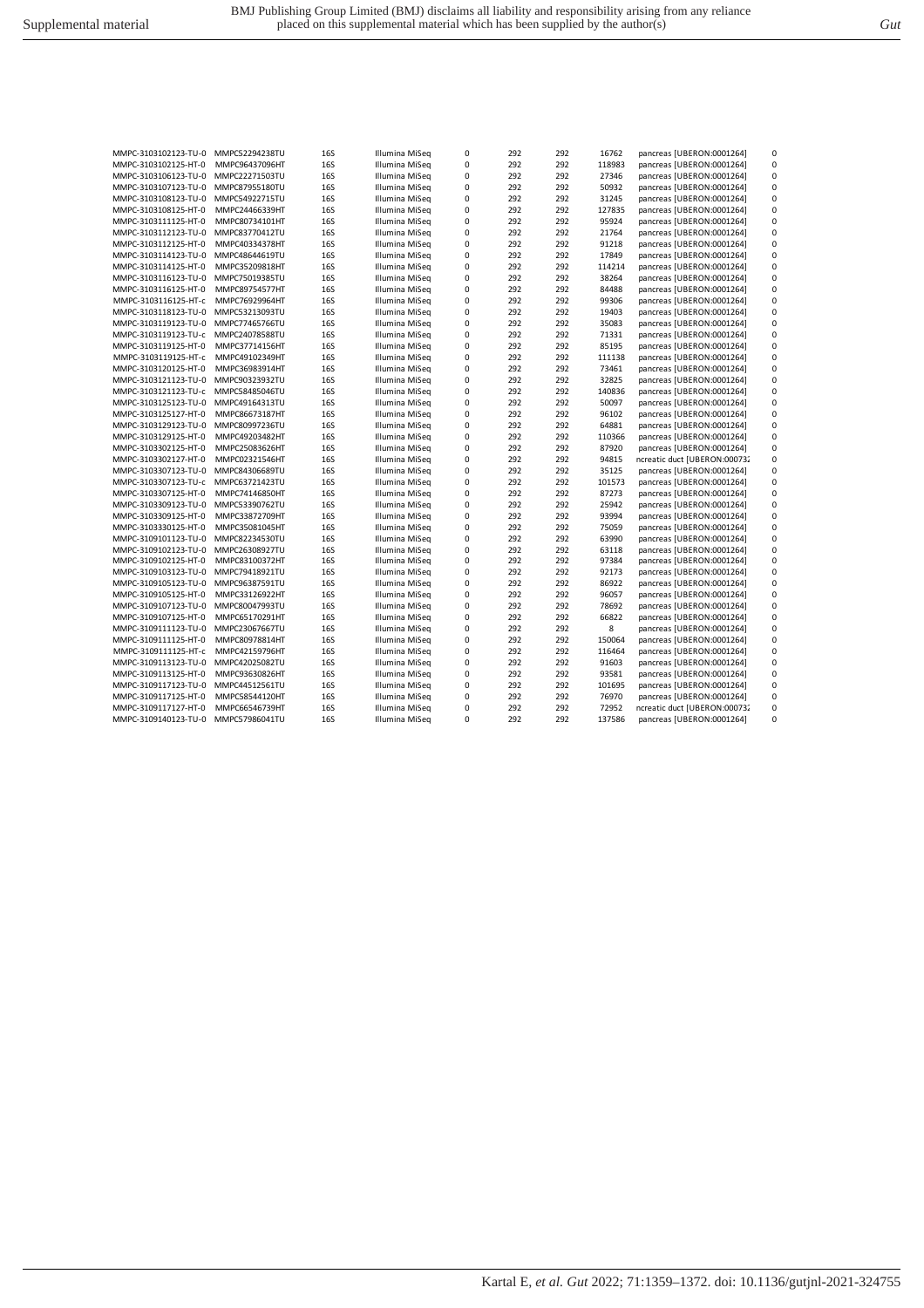| Illumina MiSeg | 292 | 292 | 86922 | pancreas [UBERON:0001264] |  |
|----------------|-----|-----|-------|---------------------------|--|
| Illumina MiSeg | 292 | 292 | 96057 | pancreas [UBERON:0001264] |  |
| Illumina MiSeg | 292 | 292 | 78692 | pancreas [UBERON:0001264] |  |

Kartal E*, et al. Gut* 2022; 71:1359–1372. doi: 10.1136/gutjnl-2021-324755

| MMPC-3103106123-TU-0 | MMPC22271503TU | <b>16S</b> | Illumina MiSeq | 0 | 292 | 292 | 27346  | pancreas [UBERON:0001264]    | 0           |
|----------------------|----------------|------------|----------------|---|-----|-----|--------|------------------------------|-------------|
| MMPC-3103107123-TU-0 | MMPC87955180TU | 16S        | Illumina MiSeq | 0 | 292 | 292 | 50932  | pancreas [UBERON:0001264]    | $\mathbf 0$ |
| MMPC-3103108123-TU-0 | MMPC54922715TU | 16S        | Illumina MiSeq | 0 | 292 | 292 | 31245  | pancreas [UBERON:0001264]    | $\mathbf 0$ |
| MMPC-3103108125-HT-0 | MMPC24466339HT | 16S        | Illumina MiSeq | 0 | 292 | 292 | 127835 | pancreas [UBERON:0001264]    | $\pmb{0}$   |
| MMPC-3103111125-HT-0 | MMPC80734101HT | 16S        | Illumina MiSeq | 0 | 292 | 292 | 95924  | pancreas [UBERON:0001264]    | $\mathbf 0$ |
| MMPC-3103112123-TU-0 | MMPC83770412TU | 16S        | Illumina MiSeq | 0 | 292 | 292 | 21764  | pancreas [UBERON:0001264]    | 0           |
| MMPC-3103112125-HT-0 | MMPC40334378HT | 16S        | Illumina MiSeq | 0 | 292 | 292 | 91218  | pancreas [UBERON:0001264]    | 0           |
| MMPC-3103114123-TU-0 | MMPC48644619TU | <b>16S</b> | Illumina MiSeq | 0 | 292 | 292 | 17849  | pancreas [UBERON:0001264]    | $\mathbf 0$ |
| MMPC-3103114125-HT-0 | MMPC35209818HT | 16S        | Illumina MiSeq | 0 | 292 | 292 | 114214 | pancreas [UBERON:0001264]    | $\mathbf 0$ |
| MMPC-3103116123-TU-0 | MMPC75019385TU | <b>16S</b> | Illumina MiSeq | 0 | 292 | 292 | 38264  | pancreas [UBERON:0001264]    | $\mathbf 0$ |
| MMPC-3103116125-HT-0 | MMPC89754577HT | 16S        | Illumina MiSeq | 0 | 292 | 292 | 84488  | pancreas [UBERON:0001264]    | $\mathbf 0$ |
| MMPC-3103116125-HT-c | MMPC76929964HT | 16S        | Illumina MiSeq | 0 | 292 | 292 | 99306  | pancreas [UBERON:0001264]    | $\pmb{0}$   |
| MMPC-3103118123-TU-0 | MMPC53213093TU | 16S        | Illumina MiSeg | 0 | 292 | 292 | 19403  | pancreas [UBERON:0001264]    | $\mathbf 0$ |
| MMPC-3103119123-TU-0 | MMPC77465766TU | <b>16S</b> | Illumina MiSeq | 0 | 292 | 292 | 35083  | pancreas [UBERON:0001264]    | $\pmb{0}$   |
| MMPC-3103119123-TU-c | MMPC24078588TU | 16S        | Illumina MiSeg | 0 | 292 | 292 | 71331  | pancreas [UBERON:0001264]    | $\pmb{0}$   |
| MMPC-3103119125-HT-0 | MMPC37714156HT | 16S        | Illumina MiSeq | 0 | 292 | 292 | 85195  | pancreas [UBERON:0001264]    | $\mathbf 0$ |
| MMPC-3103119125-HT-c | MMPC49102349HT | <b>16S</b> | Illumina MiSeg | 0 | 292 | 292 | 111138 | pancreas [UBERON:0001264]    | $\mathbf 0$ |
| MMPC-3103120125-HT-0 | MMPC36983914HT | <b>16S</b> | Illumina MiSeq | 0 | 292 | 292 | 73461  | pancreas [UBERON:0001264]    | $\mathbf 0$ |
| MMPC-3103121123-TU-0 | MMPC90323932TU | <b>16S</b> | Illumina MiSeq | 0 | 292 | 292 | 32825  | pancreas [UBERON:0001264]    | $\mathbf 0$ |
| MMPC-3103121123-TU-c | MMPC58485046TU | 16S        | Illumina MiSeq | 0 | 292 | 292 | 140836 | pancreas [UBERON:0001264]    | $\mathbf 0$ |
| MMPC-3103125123-TU-0 | MMPC49164313TU | <b>16S</b> | Illumina MiSeq | 0 | 292 | 292 | 50097  | pancreas [UBERON:0001264]    | $\mathbf 0$ |
| MMPC-3103125127-HT-0 | MMPC86673187HT | 16S        | Illumina MiSeq | 0 | 292 | 292 | 96102  | pancreas [UBERON:0001264]    | 0           |
| MMPC-3103129123-TU-0 | MMPC80997236TU | 16S        | Illumina MiSeq | 0 | 292 | 292 | 64881  | pancreas [UBERON:0001264]    | $\mathbf 0$ |
| MMPC-3103129125-HT-0 | MMPC49203482HT | 16S        | Illumina MiSeq | 0 | 292 | 292 | 110366 | pancreas [UBERON:0001264]    | 0           |
| MMPC-3103302125-HT-0 | MMPC25083626HT | 16S        | Illumina MiSeq | 0 | 292 | 292 | 87920  | pancreas [UBERON:0001264]    | 0           |
| MMPC-3103302127-HT-0 | MMPC02321546HT | <b>16S</b> | Illumina MiSeg | 0 | 292 | 292 | 94815  | ncreatic duct [UBERON:000732 | $\mathbf 0$ |
| MMPC-3103307123-TU-0 | MMPC84306689TU | 16S        | Illumina MiSeq | 0 | 292 | 292 | 35125  | pancreas [UBERON:0001264]    | 0           |
| MMPC-3103307123-TU-c | MMPC63721423TU | 16S        | Illumina MiSeg | 0 | 292 | 292 | 101573 | pancreas [UBERON:0001264]    | $\mathbf 0$ |
| MMPC-3103307125-HT-0 | MMPC74146850HT | 16S        | Illumina MiSeq | 0 | 292 | 292 | 87273  | pancreas [UBERON:0001264]    | $\mathbf 0$ |
| MMPC-3103309123-TU-0 | MMPC53390762TU | 16S        | Illumina MiSeg | 0 | 292 | 292 | 25942  | pancreas [UBERON:0001264]    | $\mathbf 0$ |
| MMPC-3103309125-HT-0 | MMPC33872709HT | <b>16S</b> | Illumina MiSeq | 0 | 292 | 292 | 93994  | pancreas [UBERON:0001264]    | $\mathbf 0$ |
| MMPC-3103330125-HT-0 | MMPC35081045HT | <b>16S</b> | Illumina MiSeq | 0 | 292 | 292 | 75059  | pancreas [UBERON:0001264]    | $\mathbf 0$ |
| MMPC-3109101123-TU-0 | MMPC82234530TU | 16S        | Illumina MiSeq | 0 | 292 | 292 | 63990  | pancreas [UBERON:0001264]    | $\pmb{0}$   |
| MMPC-3109102123-TU-0 | MMPC26308927TU | 16S        | Illumina MiSeg | 0 | 292 | 292 | 63118  | pancreas [UBERON:0001264]    | $\mathbf 0$ |
| MMPC-3109102125-HT-0 | MMPC83100372HT | 16S        | Illumina MiSeg | 0 | 292 | 292 | 97384  | pancreas [UBERON:0001264]    | $\pmb{0}$   |
| MMPC-3109103123-TU-0 | MMPC79418921TU | 16S        | Illumina MiSeg | 0 | 292 | 292 | 92173  | pancreas [UBERON:0001264]    | $\pmb{0}$   |
| MMPC-3109105123-TU-0 | MMPC96387591TU | <b>16S</b> | Illumina MiSeg | 0 | 292 | 292 | 86922  | pancreas [UBERON:0001264]    | $\mathbf 0$ |
| MMPC-3109105125-HT-0 | MMPC33126922HT | 16S        | Illumina MiSeg | 0 | 292 | 292 | 96057  | pancreas [UBERON:0001264]    | $\mathbf 0$ |
| MMPC-3109107123-TU-0 | MMPC80047993TU | <b>16S</b> | Illumina MiSeq | 0 | 292 | 292 | 78692  | pancreas [UBERON:0001264]    | $\mathbf 0$ |
| MMPC-3109107125-HT-0 | MMPC65170291HT | <b>16S</b> | Illumina MiSeq | 0 | 292 | 292 | 66822  | pancreas [UBERON:0001264]    | $\mathbf 0$ |
| MMPC-3109111123-TU-0 | MMPC23067667TU | 16S        | Illumina MiSeq | 0 | 292 | 292 | 8      | pancreas [UBERON:0001264]    | $\mathbf 0$ |
| MMPC-3109111125-HT-0 | MMPC80978814HT | 16S        | Illumina MiSeq | 0 | 292 | 292 | 150064 | pancreas [UBERON:0001264]    | $\mathbf 0$ |
| MMPC-3109111125-HT-c | MMPC42159796HT | 16S        | Illumina MiSeq | 0 | 292 | 292 | 116464 | pancreas [UBERON:0001264]    | $\mathbf 0$ |
| MMPC-3109113123-TU-0 | MMPC42025082TU | <b>16S</b> | Illumina MiSeg | 0 | 292 | 292 | 91603  | pancreas [UBERON:0001264]    | $\mathbf 0$ |
| MMPC-3109113125-HT-0 | MMPC93630826HT | 16S        | Illumina MiSeg | 0 | 292 | 292 | 93581  | pancreas [UBERON:0001264]    | $\mathbf 0$ |
| MMPC-3109117123-TU-0 | MMPC44512561TU | <b>16S</b> | Illumina MiSeq | 0 | 292 | 292 | 101695 | pancreas [UBERON:0001264]    | 0           |
| MMPC-3109117125-HT-0 | MMPC58544120HT | 16S        | Illumina MiSeq | 0 | 292 | 292 | 76970  | pancreas [UBERON:0001264]    | $\mathbf 0$ |
| MMPC-3109117127-HT-0 | MMPC66546739HT | <b>16S</b> | Illumina MiSeq | 0 | 292 | 292 | 72952  | ncreatic duct [UBERON:000732 | 0           |
| MMPC-3109140123-TU-0 | MMPC57986041TU | 16S        | Illumina MiSeq | 0 | 292 | 292 | 137586 | pancreas [UBERON:0001264]    | $\mathbf 0$ |

MMPC-3103102123-TU-0 MMPC52294238TU 16S Illumina MiSeq 0 292 292 16762 pancreas [UBERON:0001264] 0 MMPC-3103102125-HT-0 MMPC96437096HT 16S Illumina MiSeq 0 292 292 118983 pancreas [UBERON:0001264] 0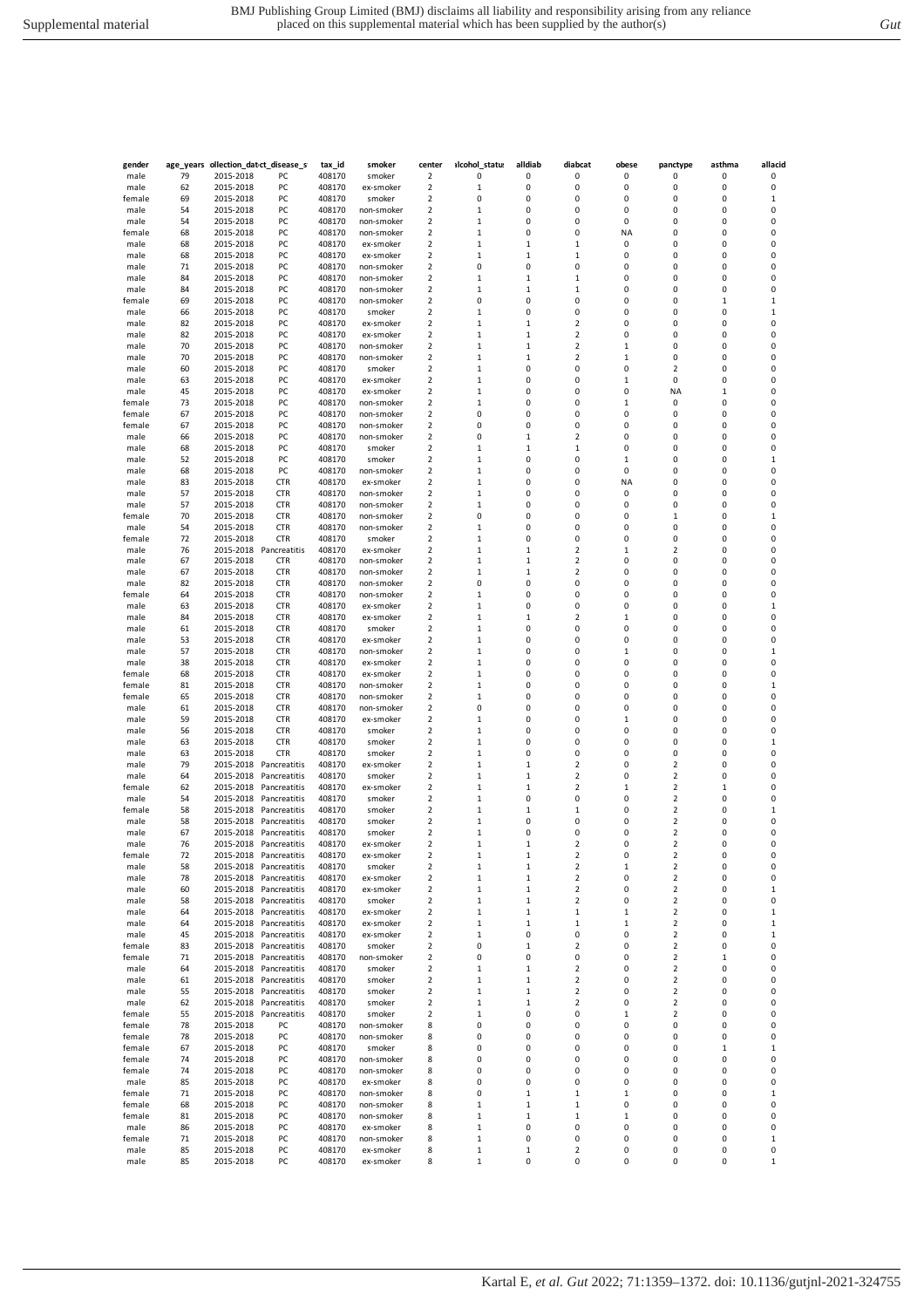| ۰. | v<br>. . |   |    |  |
|----|----------|---|----|--|
|    |          |   | ٠. |  |
| ×  | .        | I |    |  |

| gender           |          |                        | age_years ollection_datet_disease_s    | tax_id           | smoker                   | center                                             | alcohol_statu:              | alldiab           | diabcat                    | obese        | panctype                                           | asthma       | allacid     |
|------------------|----------|------------------------|----------------------------------------|------------------|--------------------------|----------------------------------------------------|-----------------------------|-------------------|----------------------------|--------------|----------------------------------------------------|--------------|-------------|
| male             | 79       | 2015-2018              | PC                                     | 408170           | smoker                   | $\overline{\mathbf{2}}$                            | 0                           | 0                 | 0                          | 0            | 0                                                  | 0            | 0           |
| male             | 62       | 2015-2018              | PC                                     | 408170           | ex-smoker                | 2                                                  | $\,1\,$                     | 0                 | 0                          | 0            | 0                                                  | 0            | 0           |
| female<br>male   | 69<br>54 | 2015-2018<br>2015-2018 | PC<br>PC                               | 408170<br>408170 | smoker<br>non-smoker     | 2<br>$\overline{2}$                                | 0<br>$\mathbf{1}$           | 0<br>0            | 0<br>0                     | 0<br>0       | 0<br>0                                             | 0<br>0       | 1<br>0      |
| male             | 54       | 2015-2018              | PC                                     | 408170           | non-smoker               | $\overline{\mathbf{2}}$                            | 1                           | 0                 | 0                          | 0            | 0                                                  | 0            | 0           |
| female           | 68       | 2015-2018              | PC                                     | 408170           | non-smoker               | $\overline{\mathbf{2}}$                            | 1                           | 0                 | 0                          | ΝA           | 0                                                  | 0            | 0           |
| male             | 68       | 2015-2018              | PC                                     | 408170           | ex-smoker                | $\overline{\mathbf{2}}$                            | $\mathbf 1$                 | 1                 | 1                          | 0            | 0                                                  | 0            | 0           |
| male             | 68       | 2015-2018              | PC                                     | 408170           | ex-smoker                | $\overline{\mathbf{2}}$                            | $\mathbf 1$                 | 1                 | $\mathbf 1$                | 0            | 0                                                  | 0            | 0           |
| male             | 71       | 2015-2018              | PC                                     | 408170           | non-smoker               | 2                                                  | 0                           | 0                 | 0                          | 0            | 0                                                  | 0            | 0           |
| male<br>male     | 84<br>84 | 2015-2018<br>2015-2018 | PC<br>PC                               | 408170<br>408170 | non-smoker<br>non-smoker | 2<br>$\overline{2}$                                | $\,1\,$<br>1                | 1<br>$\mathbf{1}$ | $\mathbf 1$<br>1           | 0<br>0       | 0<br>0                                             | 0<br>0       | 0<br>0      |
| female           | 69       | 2015-2018              | PC                                     | 408170           | non-smoker               | $\overline{2}$                                     | 0                           | 0                 | 0                          | 0            | 0                                                  | $\mathbf{1}$ | 1           |
| male             | 66       | 2015-2018              | PC                                     | 408170           | smoker                   | $\overline{\mathbf{2}}$                            | 1                           | 0                 | 0                          | 0            | 0                                                  | 0            | 1           |
| male             | 82       | 2015-2018              | PC                                     | 408170           | ex-smoker                | $\overline{\mathbf{2}}$                            | $\mathbf{1}$                | 1                 | 2                          | 0            | 0                                                  | 0            | 0           |
| male             | 82       | 2015-2018              | PC                                     | 408170           | ex-smoker                | $\overline{\mathbf{2}}$                            | $\mathbf 1$                 | 1                 | 2                          | 0            | 0                                                  | 0            | 0           |
| male             | 70       | 2015-2018              | PC                                     | 408170           | non-smoker               | $\overline{\mathbf{2}}$                            | $\mathbf{1}$                | 1                 | 2                          | 1            | 0                                                  | 0            | 0           |
| male<br>male     | 70<br>60 | 2015-2018<br>2015-2018 | PC<br>PC                               | 408170<br>408170 | non-smoker<br>smoker     | 2<br>$\overline{2}$                                | $\,1\,$<br>$\mathbf{1}$     | 1<br>0            | 2<br>0                     | 1<br>0       | 0<br>2                                             | 0<br>0       | 0<br>0      |
| male             | 63       | 2015-2018              | PC                                     | 408170           | ex-smoker                | $\overline{2}$                                     | $\mathbf{1}$                | 0                 | 0                          | $\mathbf{1}$ | 0                                                  | 0            | 0           |
| male             | 45       | 2015-2018              | PC                                     | 408170           | ex-smoker                | 2                                                  | 1                           | 0                 | 0                          | 0            | ΝA                                                 | 1            | 0           |
| female           | 73       | 2015-2018              | PC                                     | 408170           | non-smoker               | $\overline{\mathbf{2}}$                            | 1                           | 0                 | 0                          | 1            | 0                                                  | 0            | 0           |
| female           | 67       | 2015-2018              | PC                                     | 408170           | non-smoker               | $\overline{\mathbf{2}}$                            | 0                           | 0                 | 0                          | 0            | 0                                                  | 0            | 0           |
| female           | 67       | 2015-2018              | PC                                     | 408170           | non-smoker               | 2                                                  | 0                           | 0                 | 0                          | 0            | 0                                                  | 0            | 0           |
| male<br>male     | 66<br>68 | 2015-2018<br>2015-2018 | PC<br>PC                               | 408170<br>408170 | non-smoker<br>smoker     | 2<br>$\overline{2}$                                | 0<br>1                      | 1<br>$\mathbf{1}$ | $\overline{2}$<br>1        | 0<br>0       | 0<br>0                                             | 0<br>0       | 0<br>0      |
| male             | 52       | 2015-2018              | PC                                     | 408170           | smoker                   | $\overline{2}$                                     | $\mathbf{1}$                | 0                 | 0                          | $\mathbf{1}$ | 0                                                  | 0            | 1           |
| male             | 68       | 2015-2018              | PC                                     | 408170           | non-smoker               | 2                                                  | 1                           | 0                 | 0                          | 0            | 0                                                  | 0            | 0           |
| male             | 83       | 2015-2018              | <b>CTR</b>                             | 408170           | ex-smoker                | $\overline{\mathbf{2}}$                            | $\,1\,$                     | 0                 | 0                          | ΝA           | 0                                                  | 0            | 0           |
| male             | 57       | 2015-2018              | <b>CTR</b>                             | 408170           | non-smoker               | $\overline{\mathbf{2}}$                            | 1                           | 0                 | 0                          | 0            | 0                                                  | 0            | 0           |
| male             | 57       | 2015-2018              | <b>CTR</b>                             | 408170           | non-smoker               | $\overline{\mathbf{2}}$                            | $\mathbf{1}$                | 0                 | 0                          | 0            | 0                                                  | 0            | 0           |
| female<br>male   | 70<br>54 | 2015-2018<br>2015-2018 | <b>CTR</b><br><b>CTR</b>               | 408170<br>408170 | non-smoker<br>non-smoker | 2<br>$\overline{2}$                                | 0<br>$\mathbf{1}$           | 0<br>0            | 0<br>0                     | 0<br>0       | $\mathbf 1$<br>0                                   | 0<br>0       | 1<br>0      |
| female           | 72       | 2015-2018              | <b>CTR</b>                             | 408170           | smoker                   | $\overline{2}$                                     | $\mathbf{1}$                | 0                 | 0                          | 0            | 0                                                  | 0            | 0           |
| male             | 76       | 2015-2018              | Pancreatitis                           | 408170           | ex-smoker                | 2                                                  | 1                           | 1                 | 2                          | 1            | 2                                                  | 0            | 0           |
| male             | 67       | 2015-2018              | <b>CTR</b>                             | 408170           | non-smoker               | $\overline{\mathbf{2}}$                            | $\,1\,$                     | 1                 | 2                          | 0            | 0                                                  | 0            | 0           |
| male             | 67       | 2015-2018              | <b>CTR</b>                             | 408170           | non-smoker               | $\overline{\mathbf{2}}$                            | $\mathbf 1$                 | 1                 | 2                          | 0            | 0                                                  | 0            | 0           |
| male             | 82       | 2015-2018              | <b>CTR</b>                             | 408170           | non-smoker               | $\overline{\mathbf{2}}$                            | 0                           | 0                 | 0                          | 0            | 0                                                  | 0            | 0           |
| female<br>male   | 64<br>63 | 2015-2018<br>2015-2018 | <b>CTR</b><br><b>CTR</b>               | 408170<br>408170 | non-smoker<br>ex-smoker  | $\overline{\mathbf{2}}$<br>$\overline{2}$          | $\,1\,$<br>$\mathbf{1}$     | 0<br>0            | 0<br>0                     | 0<br>0       | 0<br>0                                             | 0<br>0       | 0<br>1      |
| male             | 84       | 2015-2018              | <b>CTR</b>                             | 408170           | ex-smoker                | $\overline{2}$                                     | $\mathbf{1}$                | $\mathbf{1}$      | 2                          | 1            | 0                                                  | 0            | 0           |
| male             | 61       | 2015-2018              | <b>CTR</b>                             | 408170           | smoker                   | $\overline{\mathbf{2}}$                            | 1                           | 0                 | 0                          | 0            | 0                                                  | 0            | 0           |
| male             | 53       | 2015-2018              | <b>CTR</b>                             | 408170           | ex-smoker                | $\overline{\mathbf{2}}$                            | $\mathbf 1$                 | 0                 | 0                          | 0            | 0                                                  | 0            | 0           |
| male             | 57       | 2015-2018              | <b>CTR</b>                             | 408170           | non-smoker               | $\overline{\mathbf{c}}$                            | 1                           | 0                 | 0                          | 1            | 0                                                  | 0            | 1           |
| male             | 38       | 2015-2018              | <b>CTR</b>                             | 408170           | ex-smoker                | $\overline{\mathbf{c}}$                            | $\mathbf{1}$                | 0                 | 0                          | 0            | 0                                                  | 0            | 0           |
| female<br>female | 68<br>81 | 2015-2018<br>2015-2018 | <b>CTR</b><br><b>CTR</b>               | 408170<br>408170 | ex-smoker<br>non-smoker  | 2<br>2                                             | $\,1\,$<br>$\,1\,$          | 0<br>0            | 0<br>0                     | 0<br>0       | 0<br>0                                             | 0<br>0       | 0<br>1      |
| female           | 65       | 2015-2018              | <b>CTR</b>                             | 408170           | non-smoker               | $\overline{2}$                                     | $\mathbf{1}$                | 0                 | 0                          | 0            | 0                                                  | 0            | 0           |
| male             | 61       | 2015-2018              | <b>CTR</b>                             | 408170           | non-smoker               | $\overline{2}$                                     | 0                           | 0                 | 0                          | 0            | 0                                                  | 0            | 0           |
| male             | 59       | 2015-2018              | <b>CTR</b>                             | 408170           | ex-smoker                | 2                                                  | 1                           | 0                 | 0                          | 1            | 0                                                  | 0            | 0           |
| male             | 56       | 2015-2018              | <b>CTR</b>                             | 408170           | smoker                   | $\overline{\mathbf{c}}$                            | 1                           | 0                 | 0                          | 0            | 0                                                  | 0            | 0           |
| male             | 63       | 2015-2018              | <b>CTR</b>                             | 408170<br>408170 | smoker                   | $\overline{\mathbf{2}}$<br>$\overline{\mathbf{c}}$ | $\mathbf{1}$<br>$\,1\,$     | 0<br>0            | 0<br>0                     | 0<br>0       | 0<br>0                                             | 0<br>0       | 1<br>0      |
| male<br>male     | 63<br>79 | 2015-2018<br>2015-2018 | <b>CTR</b><br>Pancreatitis             | 408170           | smoker<br>ex-smoker      | $\overline{2}$                                     | $\mathbf{1}$                | 1                 | 2                          | 0            | 2                                                  | 0            | 0           |
| male             | 64       | 2015-2018              | Pancreatitis                           | 408170           | smoker                   | $\overline{2}$                                     | $\mathbf{1}$                | $\mathbf{1}$      | 2                          | 0            | 2                                                  | 0            | 0           |
| female           | 62       | 2015-2018              | Pancreatitis                           | 408170           | ex-smoker                | $\overline{2}$                                     | $\mathbf{1}$                | $\mathbf{1}$      | 2                          | $\mathbf{1}$ | 2                                                  | $\mathbf{1}$ | 0           |
| male             | 54       | 2015-2018              | Pancreatitis                           | 408170           | smoker                   | $\overline{2}$                                     | 1                           | 0                 | 0                          | 0            | 2                                                  | 0            | 0           |
| female           | 58       | 2015-2018              | Pancreatitis                           | 408170           | smoker                   | $\overline{\mathbf{c}}$                            | 1                           | 1                 | 1                          | 0            | 2                                                  | 0            | 1           |
| male<br>male     | 58<br>67 | 2015-2018              | Pancreatitis<br>2015-2018 Pancreatitis | 408170<br>408170 | smoker<br>smoker         | $\overline{\mathbf{c}}$<br>$\overline{\mathbf{c}}$ | $\mathbf{1}$<br>$\,1\,$     | 0<br>0            | 0<br>0                     | 0<br>0       | $\overline{\mathbf{c}}$<br>2                       | 0<br>0       | 0<br>0      |
| male             | 76       |                        | 2015-2018 Pancreatitis                 | 408170           | ex-smoker                | 2                                                  | $\mathbf{1}$                | 1                 | 2                          | 0            | 2                                                  | 0            | 0           |
| female           | 72       | 2015-2018              | Pancreatitis                           | 408170           | ex-smoker                | 2                                                  | $\mathbf{1}$                | 1                 | 2                          | 0            | 2                                                  | 0            | 0           |
| male             | 58       |                        | 2015-2018 Pancreatitis                 | 408170           | smoker                   | $\overline{2}$                                     | 1                           | $\mathbf{1}$      | 2                          | 1            | 2                                                  | 0            | 0           |
| male             | 78       |                        | 2015-2018 Pancreatitis                 | 408170           | ex-smoker                | 2                                                  | $\,1\,$                     | 1                 | 2                          | 0            | 2                                                  | 0            | 0           |
| male             | 60       | 2015-2018              | Pancreatitis                           | 408170           | ex-smoker                | 2                                                  | $\,1\,$                     | 1                 | 2                          | 0            | 2                                                  | 0            | 1           |
| male<br>male     | 58<br>64 | 2015-2018<br>2015-2018 | Pancreatitis<br>Pancreatitis           | 408170<br>408170 | smoker<br>ex-smoker      | $\mathbf 2$<br>$\overline{\mathbf{2}}$             | $\mathbf{1}$<br>$\mathbf 1$ | $\mathbf{1}$<br>1 | $\mathbf 2$<br>$\mathbf 1$ | 0<br>1       | $\overline{\mathbf{c}}$<br>$\overline{\mathbf{c}}$ | 0<br>0       | 0<br>1      |
| male             | 64       | 2015-2018              | Pancreatitis                           | 408170           | ex-smoker                | 2                                                  | $\,1\,$                     | 1                 | $\mathbf 1$                | 1            | 2                                                  | 0            | 1           |
| male             | 45       | 2015-2018              | Pancreatitis                           | 408170           | ex-smoker                | $\overline{2}$                                     | $\,1\,$                     | 0                 | 0                          | 0            | 2                                                  | 0            | 1           |
| female           | 83       | 2015-2018              | Pancreatitis                           | 408170           | smoker                   | $\overline{2}$                                     | 0                           | $\mathbf{1}$      | 2                          | 0            | 2                                                  | 0            | 0           |
| female           | 71       | 2015-2018              | Pancreatitis                           | 408170           | non-smoker               | $\overline{\mathbf{2}}$                            | 0                           | 0                 | 0                          | 0            | 2                                                  | $\mathbf 1$  | 0           |
| male             | 64       | 2015-2018              | Pancreatitis                           | 408170           | smoker                   | $\overline{\mathbf{2}}$                            | 1                           | 1                 | 2                          | 0            | 2                                                  | 0            | 0           |
| male<br>male     | 61<br>55 | 2015-2018<br>2015-2018 | Pancreatitis<br>Pancreatitis           | 408170<br>408170 | smoker<br>smoker         | $\overline{\mathbf{2}}$<br>$\mathbf 2$             | $\mathbf 1$<br>$\,1\,$      | 1<br>1            | 2<br>$\mathbf 2$           | 0<br>0       | $\overline{\mathbf{c}}$<br>$\overline{\mathbf{2}}$ | 0<br>0       | 0<br>0      |
| male             | 62       | 2015-2018              | Pancreatitis                           | 408170           | smoker                   | 2                                                  | $\,1\,$                     | 1                 | 2                          | 0            | 2                                                  | 0            | 0           |
| female           | 55       | 2015-2018              | Pancreatitis                           | 408170           | smoker                   | 2                                                  | $\,1\,$                     | 0                 | 0                          | 1            | 2                                                  | 0            | 0           |
| female           | 78       | 2015-2018              | PC                                     | 408170           | non-smoker               | 8                                                  | 0                           | 0                 | 0                          | 0            | 0                                                  | 0            | 0           |
| female           | 78       | 2015-2018              | PC                                     | 408170           | non-smoker               | 8                                                  | 0                           | 0                 | 0                          | 0            | 0                                                  | 0            | 0           |
| female           | 67       | 2015-2018              | PC                                     | 408170           | smoker                   | 8                                                  | 0                           | 0                 | 0                          | 0            | 0                                                  | $\mathbf 1$  | $\mathbf 1$ |
| female<br>female | 74<br>74 | 2015-2018<br>2015-2018 | PC<br>PC                               | 408170<br>408170 | non-smoker<br>non-smoker | 8<br>8                                             | 0<br>0                      | 0<br>0            | 0<br>0                     | 0<br>0       | 0<br>0                                             | 0<br>0       | 0<br>0      |
| male             | 85       | 2015-2018              | PC                                     | 408170           | ex-smoker                | 8                                                  | 0                           | 0                 | 0                          | 0            | 0                                                  | 0            | 0           |
| female           | 71       | 2015-2018              | PC                                     | 408170           | non-smoker               | 8                                                  | 0                           | 1                 | $\mathbf 1$                | 1            | 0                                                  | 0            | 1           |
| female           | 68       | 2015-2018              | PC                                     | 408170           | non-smoker               | 8                                                  | $\mathbf{1}$                | $\mathbf 1$       | 1                          | 0            | 0                                                  | 0            | 0           |
| female           | 81       | 2015-2018              | PC                                     | 408170           | non-smoker               | 8                                                  | $\mathbf{1}$                | $\mathbf{1}$      | $\mathbf 1$                | $\mathbf{1}$ | 0                                                  | 0            | 0           |
| male             | 86       | 2015-2018              | PC                                     | 408170           | ex-smoker                | 8                                                  | 1                           | 0                 | 0                          | 0            | 0                                                  | 0            | 0           |
| female<br>male   | 71<br>85 | 2015-2018<br>2015-2018 | PC<br>PC                               | 408170<br>408170 | non-smoker<br>ex-smoker  | 8<br>8                                             | $\,1\,$<br>1                | 0<br>1            | 0<br>2                     | 0<br>0       | 0<br>0                                             | 0<br>0       | 1<br>0      |
| male             | 85       | 2015-2018              | PC                                     | 408170           | ex-smoker                | 8                                                  | $1\,$                       | 0                 | 0                          | 0            | 0                                                  | 0            | $\mathbf 1$ |
|                  |          |                        |                                        |                  |                          |                                                    |                             |                   |                            |              |                                                    |              |             |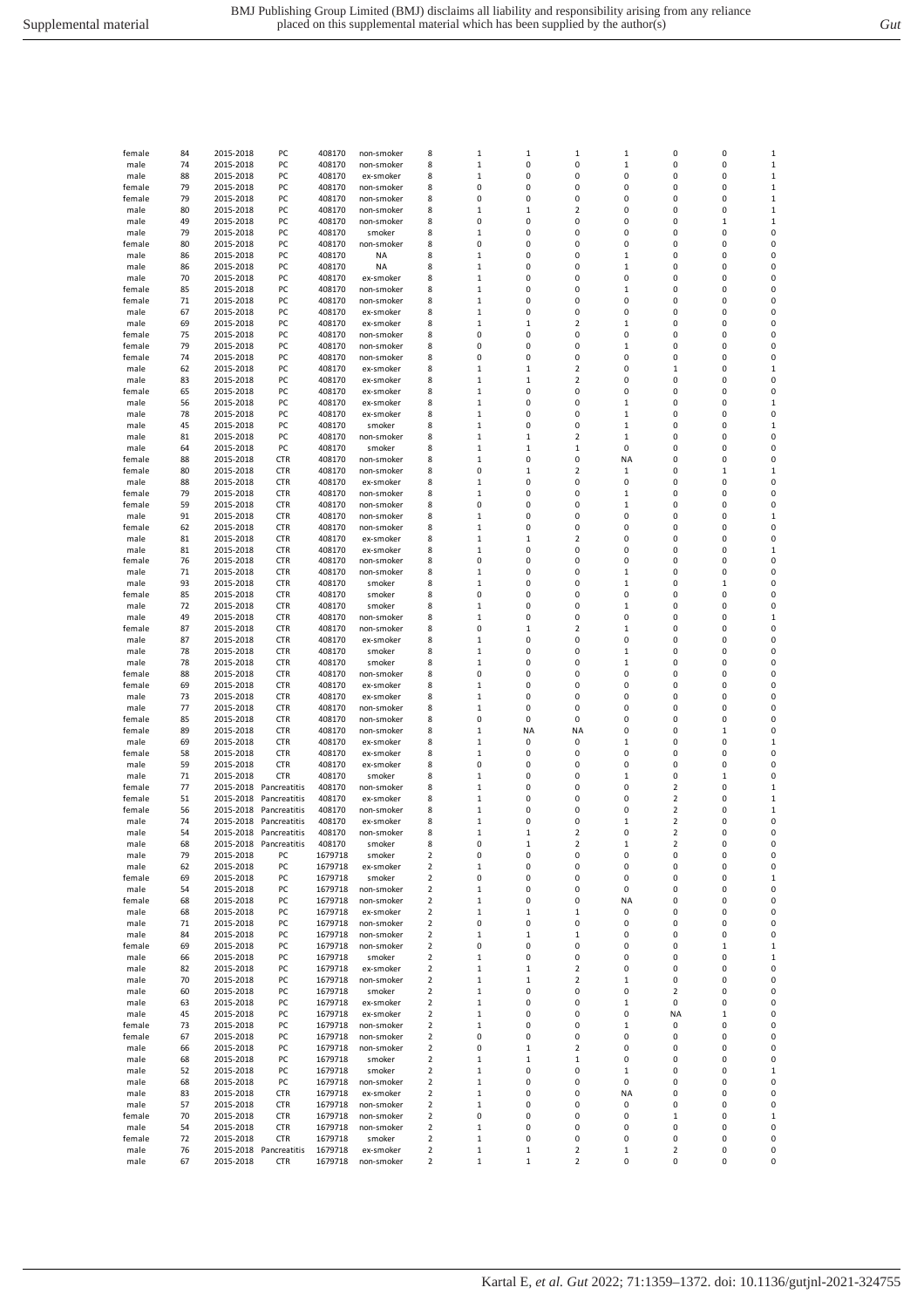| female       | 84       | 2015-2018              | PC                                   | 408170             | non-smoker              | 8                       | 1                     | 1                          | $\mathbf 1$             | 1                | 0      | 0            | 1                |
|--------------|----------|------------------------|--------------------------------------|--------------------|-------------------------|-------------------------|-----------------------|----------------------------|-------------------------|------------------|--------|--------------|------------------|
| male         | 74       | 2015-2018              | PC                                   | 408170             | non-smoker              | 8                       | $\,1\,$               | 0                          | 0                       | $\mathbf 1$      | 0      | 0            | $\mathbf 1$      |
| male         | 88       | 2015-2018              | PC                                   | 408170             | ex-smoker               | 8                       | $\mathbf 1$           | 0                          | 0                       | 0                | 0      | 0            | $\mathbf 1$      |
| female       | 79       | 2015-2018              | PC                                   | 408170             | non-smoker              | 8                       | 0                     | 0                          | 0                       | 0                | 0      | 0            | $\mathbf{1}$     |
| female       | 79       | 2015-2018              | PC                                   | 408170             | non-smoker              | 8                       | 0                     | 0                          | 0                       | 0                | O      | 0            | $\mathbf{1}$     |
| male         | 80       | 2015-2018              | PC                                   | 408170             | non-smoker              | 8                       | 1                     | 1                          | $\overline{\mathbf{2}}$ | 0                | 0      | 0            | 1                |
| male         | 49       | 2015-2018              | PC                                   | 408170             | non-smoker              | 8                       | 0                     | 0                          | 0                       | 0                | 0      | 1            | $\mathbf 1$      |
| male         | 79       | 2015-2018              | PC                                   | 408170             | smoker                  | 8                       | $\mathbf{1}$          | 0                          | 0                       | 0                | 0      | 0            | 0                |
| female       | 80       | 2015-2018              | PC                                   | 408170             | non-smoker              | 8                       | 0                     | 0                          | 0                       | 0                | 0      | 0            | 0                |
| male         | 86       | 2015-2018              | PC                                   | 408170             | <b>NA</b>               | 8                       | $\,1\,$               | 0                          | 0                       | $\mathbf 1$      | 0      | 0            | 0                |
| male         | 86       | 2015-2018              | PC                                   | 408170             | ΝA                      | 8                       | $\mathbf{1}$          | 0                          | 0                       | $\mathbf{1}$     | 0      | 0            | 0                |
| male         | 70       | 2015-2018              | PC                                   | 408170             | ex-smoker               | 8                       | $\mathbf{1}$          | 0                          | 0                       | 0                | 0      | 0            | 0                |
| female       | 85       | 2015-2018              | PC                                   | 408170             | non-smoker              | 8                       | $\,1\,$               | 0                          | 0                       | 1                | 0      | 0            | 0                |
| female       | 71       | 2015-2018              | PC                                   | 408170             | non-smoker              | 8                       | $\mathbf 1$           | 0                          | 0                       | 0                | 0      | 0            | 0                |
| male         | 67       | 2015-2018              | PC                                   | 408170             | ex-smoker               | 8                       | $\mathbf 1$           | 0                          | 0                       | 0                | 0      | 0            | 0                |
| male         | 69       | 2015-2018              | PC                                   | 408170             | ex-smoker               | 8                       | $1\,$                 | $\mathbf 1$                | $\overline{2}$          | $\mathbf 1$      | 0      | 0            | 0                |
| female       | 75       | 2015-2018              | PC                                   | 408170             | non-smoker              | 8                       | 0                     | 0                          | 0                       | 0                | 0      | 0            | 0                |
| female       | 79       | 2015-2018              | PC                                   | 408170             | non-smoker              | 8                       | 0                     | 0                          | 0                       | $\mathbf 1$      | 0      | 0            | 0                |
| female       | 74       | 2015-2018              | PC                                   | 408170             | non-smoker              | 8                       | 0                     | 0                          | 0                       | 0                | 0      | 0            | 0                |
| male         | 62       | 2015-2018              | PC                                   | 408170             | ex-smoker               | 8                       | 1                     | 1                          | $\overline{2}$          | 0                | 1      | 0            | 1                |
| male         | 83       | 2015-2018              | PC                                   | 408170             | ex-smoker               | 8                       | $\,1\,$               | 1                          | 2                       | 0                | 0      | 0            | 0                |
| female       | 65       | 2015-2018              | PC                                   | 408170             | ex-smoker               | 8                       | $\mathbf{1}$          | 0                          | 0                       | 0                | 0      | 0            | 0                |
| male         | 56       | 2015-2018              | PC                                   | 408170             | ex-smoker               | 8                       | $\mathbf 1$           | 0                          | 0                       | $\mathbf 1$      | 0      | 0            | $\mathbf{1}$     |
| male         | 78       | 2015-2018              | PC                                   | 408170             | ex-smoker               | 8                       | $\mathbf{1}$          | 0                          | 0                       | $\mathbf 1$      | 0      | 0            | 0                |
| male         | 45       | 2015-2018              | PC                                   | 408170             | smoker                  | 8                       | $\mathbf{1}$          | 0                          | 0                       | $\mathbf{1}$     | 0      | 0            | $\mathbf 1$      |
| male         | 81       | 2015-2018              | PC                                   | 408170             | non-smoker              | 8                       | $\mathbf{1}$          | $\mathbf 1$                | $\overline{2}$          | $\mathbf 1$      | 0      | 0            | 0                |
| male         | 64       | 2015-2018              | PC                                   | 408170             | smoker                  | 8                       | $\,1\,$               | 1                          | $\mathbf 1$             | 0                | 0      | 0            | 0                |
|              |          |                        |                                      |                    |                         |                         |                       | 0                          | 0                       |                  | 0      | 0            |                  |
| female       | 88       | 2015-2018<br>2015-2018 | <b>CTR</b>                           | 408170             | non-smoker              | 8                       | $\mathbf 1$<br>0      | $\mathbf 1$                | $\overline{2}$          | ΝA               | 0      | $\mathbf 1$  | 0                |
| female       | 80       |                        | <b>CTR</b>                           | 408170             | non-smoker              | 8                       |                       |                            |                         | 1                |        |              | $\mathbf{1}$     |
| male         | 88       | 2015-2018              | <b>CTR</b>                           | 408170             | ex-smoker               | 8                       | $\mathbf 1$           | 0                          | 0                       | 0                | 0      | 0            | 0                |
| female       | 79       | 2015-2018              | <b>CTR</b>                           | 408170             | non-smoker              | 8                       | $\,1\,$               | 0                          | 0                       | $\mathbf 1$      | 0      | 0            | 0                |
| female       | 59       | 2015-2018              | <b>CTR</b>                           | 408170             | non-smoker              | 8                       | 0                     | 0                          | 0                       | $\mathbf{1}$     | 0      | 0            | 0                |
| male         | 91       | 2015-2018              | <b>CTR</b>                           | 408170             | non-smoker              | 8                       | 1                     | 0                          | 0                       | 0                | 0      | 0            | 1                |
| female       | 62       | 2015-2018              | <b>CTR</b>                           | 408170             | non-smoker              | 8                       | 1                     | 0                          | 0                       | 0                | 0      | 0            | 0                |
| male         | 81       | 2015-2018              | <b>CTR</b>                           | 408170             | ex-smoker               | 8                       | $\,1\,$               | 1                          | 2                       | 0                | 0      | 0            | 0                |
| male         | 81       | 2015-2018              | <b>CTR</b>                           | 408170             | ex-smoker               | 8                       | $\mathbf{1}$          | 0                          | 0                       | 0                | 0      | 0            | $\mathbf 1$      |
| female       | 76       | 2015-2018              | <b>CTR</b>                           | 408170             | non-smoker              | 8                       | 0                     | 0                          | 0                       | 0                | 0      | 0            | 0                |
| male         | 71       | 2015-2018              | <b>CTR</b>                           | 408170             | non-smoker              | 8                       | $\,1\,$               | 0                          | 0                       | $\mathbf 1$      | 0      | 0            | 0                |
| male         | 93       | 2015-2018              | <b>CTR</b>                           | 408170             | smoker                  | 8                       | $\,1\,$               | 0                          | 0                       | $\mathbf 1$      | 0      | $\mathbf{1}$ | 0                |
| female       | 85       | 2015-2018              | <b>CTR</b>                           | 408170             | smoker                  | 8                       | 0                     | 0                          | 0                       | 0                | 0      | 0            | 0                |
| male         | 72       | 2015-2018              | <b>CTR</b>                           | 408170             | smoker                  | 8                       | $\mathbf{1}$          | 0                          | 0                       | $\mathbf 1$      | 0      | 0            | 0                |
| male         | 49       | 2015-2018              | <b>CTR</b>                           | 408170             | non-smoker              | 8                       | 1                     | 0                          | 0                       | 0                | 0      | 0            | 1                |
| female       | 87       | 2015-2018              | <b>CTR</b>                           | 408170             | non-smoker              | 8                       | 0                     | $\mathbf 1$                | $\overline{2}$          | 1                | 0      | 0            | 0                |
| male         | 87       | 2015-2018              | <b>CTR</b>                           | 408170             | ex-smoker               | 8                       | $\mathbf 1$           | 0                          | 0                       | 0                | 0      | 0            | 0                |
| male         | 78       | 2015-2018              | <b>CTR</b>                           | 408170             | smoker                  | 8                       | $\,1\,$               | 0                          | 0                       | $\mathbf 1$      | 0      | 0            | 0                |
| male         | 78       | 2015-2018              | <b>CTR</b>                           | 408170             | smoker                  | 8                       | $\,1\,$               | 0                          | 0                       | $\mathbf{1}$     | 0      | 0            | 0                |
| female       | 88       | 2015-2018              | <b>CTR</b>                           | 408170             | non-smoker              | 8                       | 0                     | 0                          | 0                       | 0                | 0      | 0            | 0                |
| female       | 69       | 2015-2018              | <b>CTR</b>                           | 408170             | ex-smoker               | 8                       | $\mathbf{1}$          | 0                          | 0                       | 0                | 0      | 0            | 0                |
|              |          |                        |                                      |                    |                         |                         |                       |                            |                         |                  |        |              |                  |
| male         | 73       | 2015-2018              | <b>CTR</b>                           | 408170             | ex-smoker               | 8                       | $\,1\,$               | 0                          | 0                       | 0                | 0      | 0            | 0                |
| male         | 77       | 2015-2018              | <b>CTR</b>                           | 408170             | non-smoker              | 8                       | $\,1\,$               | 0                          | 0                       | 0                | 0      | 0            | 0                |
| female       | 85       | 2015-2018              | <b>CTR</b>                           | 408170             | non-smoker              | 8                       | 0                     | 0                          | 0                       | 0                | 0      | 0            | 0                |
| female       | 89       | 2015-2018              | <b>CTR</b>                           |                    | non-smoker              | 8                       | $\,1\,$               | NA                         | <b>NA</b>               | 0                | 0      | $\mathbf 1$  | 0                |
|              |          |                        |                                      | 408170             |                         |                         |                       | 0                          | 0                       |                  | 0      | 0            |                  |
| male         | 69       | 2015-2018<br>2015-2018 | <b>CTR</b>                           | 408170             | ex-smoker               | 8<br>8                  | $1\,$<br>$\mathbf{1}$ | 0                          | 0                       | $\mathbf 1$<br>0 | 0      | 0            | $\mathbf 1$<br>0 |
| female       | 58       |                        | <b>CTR</b>                           | 408170             | ex-smoker               |                         |                       |                            |                         |                  |        |              |                  |
| male         | 59       | 2015-2018              | <b>CTR</b>                           | 408170             | ex-smoker               | 8                       | 0                     | 0                          | 0                       | 0                | 0      | 0            | 0                |
| male         | 71       | 2015-2018              | CTR                                  | 408170             | smoker                  | 8                       | 1                     | 0                          | 0                       | 1                | 0      | 1            | 0                |
| female       | 77       |                        | 2015-2018 Pancreatitis               | 408170             | non-smoker              | 8                       | $\mathbf 1$           | 0                          | 0                       | 0                | 2      | 0            | $\mathbf{1}$     |
| female       | 51       | 2015-2018              | Pancreatitis                         | 408170             | ex-smoker               | 8                       | $\mathbf 1$           | 0                          | 0                       | 0                | 2      | 0            | $\mathbf 1$      |
| female       | 56       | 2015-2018              | Pancreatitis                         | 408170             | non-smoker              | 8                       | $\mathbf 1$           | 0                          | 0                       | 0                | 2      | 0            | $\mathbf{1}$     |
| male         | 74       |                        | 2015-2018 Pancreatitis               | 408170             | ex-smoker               | 8                       | $\mathbf 1$           | 0                          | 0                       | $\mathbf 1$      | 2      | 0            | 0                |
| male         | 54       |                        | 2015-2018 Pancreatitis               | 408170             | non-smoker              | 8                       | $\mathbf{1}$          | 1                          | 2                       | 0                | 2      | 0            | 0                |
| male         | 68       |                        | 2015-2018 Pancreatitis               | 408170             | smoker<br>smoker        |                         | $\Omega$              | 1                          | $\mathfrak{p}$          |                  | 2      | 0            | $\Omega$         |
| male         | 79       | 2015-2018              | PC                                   | 1679718            |                         | $\overline{\mathbf{2}}$ | 0                     | 0                          | 0                       | 0                | 0      | $\pmb{0}$    | 0                |
| male         | 62       | 2015-2018              | PC                                   | 1679718            | ex-smoker               | $\overline{\mathbf{2}}$ | $\,1\,$               | 0                          | 0                       | 0                | 0      | 0            | 0                |
| female       | 69       | 2015-2018              | PC                                   | 1679718            | smoker                  | $\overline{\mathbf{2}}$ | 0                     | 0                          | 0                       | 0                | 0      | 0            | $\mathbf 1$      |
| male         | 54       | 2015-2018              | PC                                   | 1679718            | non-smoker              | $\overline{2}$          | $\,1\,$               | 0                          | 0                       | 0                | 0      | 0            | 0                |
| female       | 68       | 2015-2018              | PC                                   | 1679718            | non-smoker              | $\overline{2}$          | $\mathbf 1$           | 0                          | 0                       | NA               | 0      | 0            | 0                |
| male         | 68       | 2015-2018              | PC                                   | 1679718            | ex-smoker               | $\overline{2}$          | $\mathbf{1}$          | $\mathbf 1$                | $\mathbf 1$             | 0                | 0      | 0            | 0                |
| male         | 71       | 2015-2018              | PC                                   | 1679718            | non-smoker              | $\overline{2}$          | 0                     | 0                          | 0                       | 0                | 0      | 0            | 0                |
| male         | 84       | 2015-2018              | PC                                   | 1679718            | non-smoker              | $\overline{\mathbf{2}}$ | 1                     | 1                          | $\mathbf 1$             | 0                | 0      | 0            | 0                |
| female       | 69       | 2015-2018              | PC                                   | 1679718            | non-smoker              | $\overline{2}$          | 0                     | 0                          | 0                       | 0                | 0      | $\mathbf 1$  | $\mathbf 1$      |
| male         | 66       | 2015-2018              | PC                                   | 1679718            | smoker                  | $\overline{2}$          | $\,1\,$               | 0                          | $\pmb{0}$               | 0                | 0      | 0            | $\mathbf 1$      |
| male         | 82       | 2015-2018              | PC                                   | 1679718            | ex-smoker               | $\overline{2}$          | $\mathbf 1$           | 1                          | $\overline{2}$          | 0                | 0      | 0            | 0                |
| male         | 70       | 2015-2018              | PC                                   | 1679718            | non-smoker              | $\overline{\mathbf{2}}$ | $\mathbf{1}$          | $\mathbf 1$                | $\overline{\mathbf{2}}$ | $\mathbf 1$      | 0      | 0            | 0                |
| male         | 60       | 2015-2018              | PC                                   | 1679718            | smoker                  | 2                       | $\mathbf{1}$          | 0                          | 0                       | 0                | 2      | 0            | 0                |
| male         | 63       | 2015-2018              | PC                                   | 1679718            | ex-smoker               | 2                       | $\mathbf{1}$          | 0                          | 0                       | $\mathbf{1}$     | 0      | 0            | 0                |
| male         | 45       | 2015-2018              | PC                                   | 1679718            | ex-smoker               | $\overline{2}$          | $\mathbf{1}$          | 0                          | 0                       | 0                | NA     | $\mathbf{1}$ | 0                |
| female       | 73       | 2015-2018              | PC                                   | 1679718            | non-smoker              | $\overline{\mathbf{2}}$ | 1                     | 0                          | 0                       | 1                | 0      | 0            | 0                |
| female       | 67       | 2015-2018              | PC                                   | 1679718            | non-smoker              | 2                       | 0                     | 0                          | 0                       | 0                | 0      | 0            | 0                |
| male         | 66       | 2015-2018              | PC                                   | 1679718            | non-smoker              | $\mathbf 2$             | 0                     | 1                          | $\mathbf 2$             | 0                | 0      | 0            | 0                |
| male         | 68       | 2015-2018              | PC                                   | 1679718            | smoker                  | 2                       | $\mathbf 1$           | $\mathbf 1$                | $\mathbf 1$             | 0                | 0      | 0            | 0                |
| male         | 52       | 2015-2018              | PC                                   | 1679718            | smoker                  | $\overline{2}$          | $\mathbf{1}$          | 0                          | $\pmb{0}$               | $\mathbf 1$      | 0      | 0            | $\mathbf 1$      |
| male         | 68       | 2015-2018              | PC                                   | 1679718            | non-smoker              | $\overline{2}$          | $\mathbf{1}$          | 0                          | 0                       | 0                | 0      | 0            | 0                |
| male         | 83       | 2015-2018              | <b>CTR</b>                           | 1679718            | ex-smoker               | $\overline{2}$          | $\mathbf{1}$          | 0                          | 0                       | NA               | 0      | 0            | 0                |
| male         | 57       | 2015-2018              | <b>CTR</b>                           | 1679718            | non-smoker              | $\overline{\mathbf{2}}$ | 1                     | 0                          | 0                       | 0                | 0      | 0            | 0                |
| female       | 70       | 2015-2018              | <b>CTR</b>                           | 1679718            | non-smoker              | $\overline{\mathbf{2}}$ | 0                     | 0                          | 0                       | 0                | 1      | 0            | $\mathbf 1$      |
| male         | 54       | 2015-2018              | <b>CTR</b>                           | 1679718            | non-smoker              | $\mathbf 2$             | $\mathbf 1$           | 0                          | 0                       | 0                | 0      | 0            | 0                |
| female       | 72       | 2015-2018              | <b>CTR</b>                           | 1679718            | smoker                  | 2                       | $\,1\,$               | 0                          | 0                       | 0                | 0      | 0            | 0                |
| male<br>male | 76<br>67 | 2015-2018              | 2015-2018 Pancreatitis<br><b>CTR</b> | 1679718<br>1679718 | ex-smoker<br>non-smoker | $\overline{2}$<br>2     | $1\,$<br>$\mathbf 1$  | $\mathbf 1$<br>$\mathbf 1$ | 2<br>2                  | $\mathbf 1$<br>0 | 2<br>0 | 0<br>0       | 0<br>0           |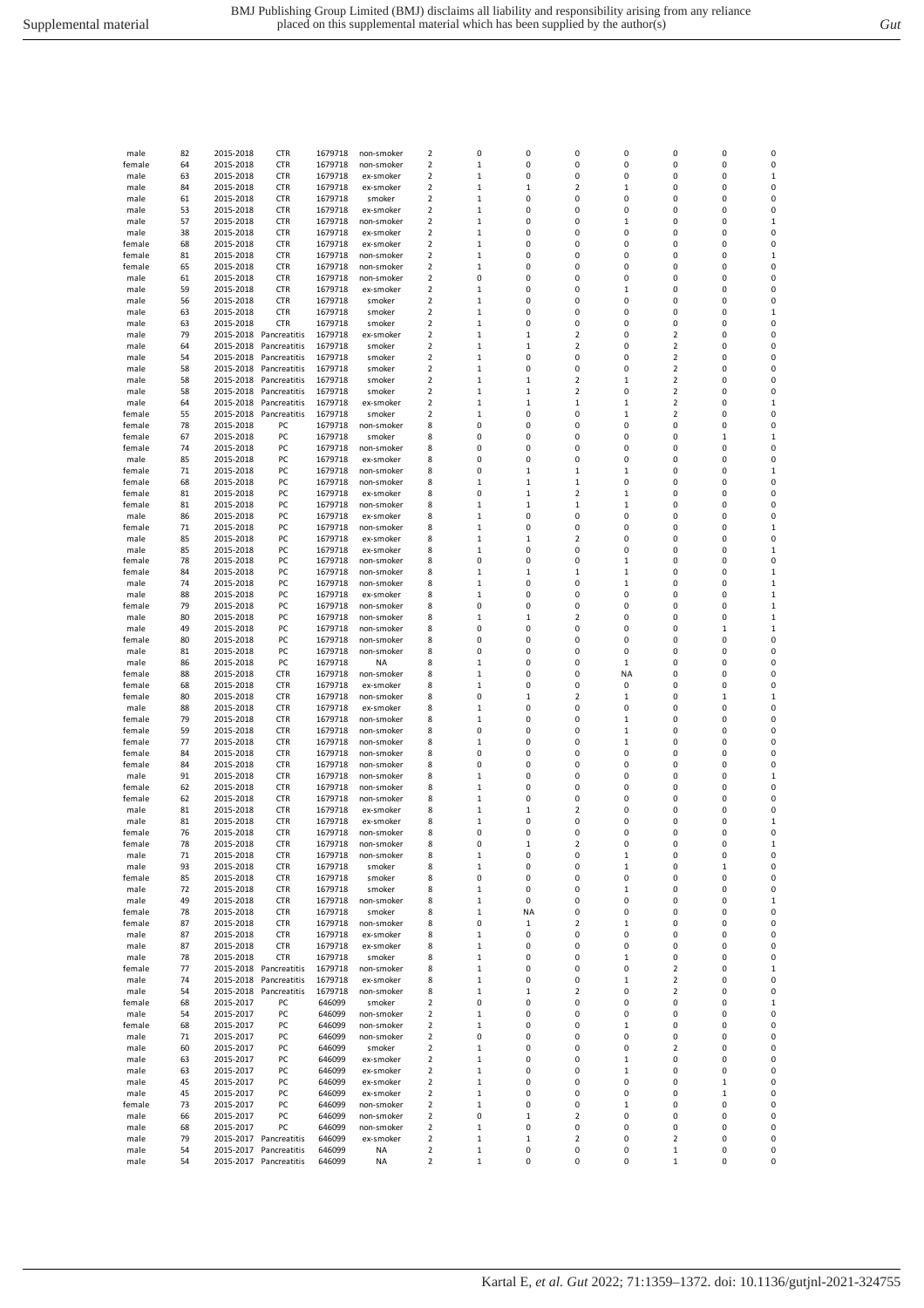| male             | 82       | 2015-2018              | <b>CTR</b>                   | 1679718            | non-smoker               | 2      | $\mathbf 0$            | 0                          | 0                            | 0                 | 0                            | 0            | 0                 |
|------------------|----------|------------------------|------------------------------|--------------------|--------------------------|--------|------------------------|----------------------------|------------------------------|-------------------|------------------------------|--------------|-------------------|
| female           | 64       | 2015-2018              | <b>CTR</b>                   | 1679718            | non-smoker               | 2      | $\mathbf{1}$           | 0                          | 0                            | 0                 | 0                            | 0            | 0                 |
| male             | 63       | 2015-2018              | <b>CTR</b>                   | 1679718            | ex-smoker                | 2      | 1                      | 0                          | 0                            | 0                 | 0                            | 0            | 1                 |
| male             | 84       | 2015-2018              | <b>CTR</b>                   | 1679718            | ex-smoker                | 2      | 1                      | 1                          | 2                            | $\mathbf{1}$      | 0                            | 0            | 0                 |
| male             | 61       | 2015-2018              | <b>CTR</b>                   | 1679718            | smoker                   | 2      | $\mathbf{1}$           | 0                          | 0                            | 0                 | 0                            | 0            | 0                 |
| male             | 53<br>57 | 2015-2018<br>2015-2018 | <b>CTR</b>                   | 1679718<br>1679718 | ex-smoker                | 2<br>2 | 1<br>$\mathbf{1}$      | 0<br>0                     | 0<br>0                       | 0<br>1            | 0<br>0                       | 0<br>0       | 0<br>$\mathbf{1}$ |
| male<br>male     | 38       | 2015-2018              | <b>CTR</b><br><b>CTR</b>     | 1679718            | non-smoker<br>ex-smoker  | 2      | $\mathbf{1}$           | 0                          | 0                            | 0                 | 0                            | 0            | 0                 |
| female           | 68       | 2015-2018              | <b>CTR</b>                   | 1679718            | ex-smoker                | 2      | $\mathbf{1}$           | 0                          | 0                            | 0                 | 0                            | 0            | 0                 |
| female           | 81       | 2015-2018              | <b>CTR</b>                   | 1679718            | non-smoker               | 2      | $\mathbf{1}$           | 0                          | 0                            | 0                 | 0                            | 0            | 1                 |
| female           | 65       | 2015-2018              | <b>CTR</b>                   | 1679718            | non-smoker               | 2      | 1                      | 0                          | 0                            | 0                 | 0                            | 0            | 0                 |
| male             | 61       | 2015-2018              | <b>CTR</b>                   | 1679718            | non-smoker               | 2      | 0                      | 0                          | 0                            | 0                 | 0                            | 0            | 0                 |
| male             | 59       | 2015-2018              | <b>CTR</b>                   | 1679718            | ex-smoker                | 2      | $\mathbf{1}$           | 0                          | 0                            | 1                 | 0                            | 0            | 0                 |
| male             | 56       | 2015-2018              | <b>CTR</b>                   | 1679718            | smoker                   | 2      | $\mathbf 1$            | 0                          | 0                            | 0                 | 0                            | 0            | 0                 |
| male             | 63       | 2015-2018              | <b>CTR</b>                   | 1679718            | smoker                   | 2      | $\mathbf{1}$           | 0                          | 0                            | 0                 | 0                            | 0            | 1                 |
| male             | 63       | 2015-2018              | <b>CTR</b>                   | 1679718            | smoker                   | 2      | 1                      | 0                          | 0                            | 0                 | 0                            | 0            | 0                 |
| male<br>male     | 79<br>64 | 2015-2018<br>2015-2018 | Pancreatitis<br>Pancreatitis | 1679718<br>1679718 | ex-smoker<br>smoker      | 2<br>2 | 1<br>1                 | $\mathbf 1$<br>$\mathbf 1$ | $\overline{\mathbf{c}}$<br>2 | 0<br>0            | $\overline{\mathbf{c}}$<br>2 | 0<br>0       | 0<br>0            |
| male             | 54       | 2015-2018              | Pancreatitis                 | 1679718            | smoker                   | 2      | $\mathbf{1}$           | 0                          | 0                            | 0                 | 2                            | 0            | 0                 |
| male             | 58       | 2015-2018              | Pancreatitis                 | 1679718            | smoker                   | 2      | $\mathbf{1}$           | 0                          | 0                            | 0                 | $\overline{\mathbf{c}}$      | 0            | 0                 |
| male             | 58       | 2015-2018              | Pancreatitis                 | 1679718            | smoker                   | 2      | $\mathbf{1}$           | $\mathbf 1$                | 2                            | 1                 | $\overline{2}$               | 0            | 0                 |
| male             | 58       | 2015-2018              | Pancreatitis                 | 1679718            | smoker                   | 2      | $\mathbf{1}$           | $\mathbf 1$                | 2                            | 0                 | $\overline{\mathbf{c}}$      | 0            | 0                 |
| male             | 64       | 2015-2018              | Pancreatitis                 | 1679718            | ex-smoker                | 2      | $\,1\,$                | 1                          | 1                            | 1                 | $\overline{\mathbf{c}}$      | 0            | 1                 |
| female           | 55       | 2015-2018              | Pancreatitis                 | 1679718            | smoker                   | 2      | $\mathbf{1}$           | 0                          | 0                            | $\mathbf{1}$      | $\overline{2}$               | 0            | 0                 |
| female           | 78       | 2015-2018              | PC                           | 1679718            | non-smoker               | 8      | 0                      | 0                          | 0                            | 0                 | 0                            | 0            | 0                 |
| female           | 67       | 2015-2018              | PC                           | 1679718            | smoker                   | 8      | 0                      | 0                          | 0                            | 0                 | 0                            | 1            | 1                 |
| female           | 74       | 2015-2018              | PC                           | 1679718            | non-smoker               | 8      | 0                      | 0                          | 0                            | 0                 | 0                            | 0            | 0                 |
| male             | 85       | 2015-2018              | PC                           | 1679718            | ex-smoker                | 8      | 0                      | 0                          | 0                            | 0                 | 0                            | 0            | 0                 |
| female           | 71<br>68 | 2015-2018<br>2015-2018 | PC<br>PC                     | 1679718<br>1679718 | non-smoker<br>non-smoker | 8<br>8 | $\mathbf 0$<br>$\,1\,$ | $\mathbf 1$<br>1           | 1<br>1                       | $\mathbf{1}$<br>0 | 0<br>0                       | 0<br>0       | 1<br>0            |
| female<br>female | 81       | 2015-2018              | PC                           | 1679718            | ex-smoker                | 8      | 0                      | $\mathbf 1$                | 2                            | 1                 | 0                            | 0            | 0                 |
| female           | 81       | 2015-2018              | PC                           | 1679718            | non-smoker               | 8      | $\mathbf{1}$           | $\mathbf 1$                | 1                            | 1                 | 0                            | 0            | 0                 |
| male             | 86       | 2015-2018              | PC                           | 1679718            | ex-smoker                | 8      | 1                      | 0                          | 0                            | 0                 | 0                            | 0            | 0                 |
| female           | 71       | 2015-2018              | PC                           | 1679718            | non-smoker               | 8      | $\mathbf{1}$           | 0                          | 0                            | 0                 | 0                            | 0            | 1                 |
| male             | 85       | 2015-2018              | PC                           | 1679718            | ex-smoker                | 8      | $\,1\,$                | 1                          | 2                            | 0                 | 0                            | 0            | 0                 |
| male             | 85       | 2015-2018              | PC                           | 1679718            | ex-smoker                | 8      | $\mathbf 1$            | 0                          | 0                            | 0                 | 0                            | 0            | 1                 |
| female           | 78       | 2015-2018              | PC                           | 1679718            | non-smoker               | 8      | $\mathbf 0$            | 0                          | 0                            | 1                 | 0                            | 0            | 0                 |
| female           | 84       | 2015-2018              | PC                           | 1679718            | non-smoker               | 8      | $\mathbf{1}$           | $\mathbf 1$                | 1                            | 1                 | 0                            | 0            | 1                 |
| male             | 74       | 2015-2018              | PC                           | 1679718            | non-smoker               | 8      | 1                      | 0                          | 0                            | 1                 | 0                            | 0            | $\mathbf{1}$      |
| male             | 88       | 2015-2018              | PC                           | 1679718            | ex-smoker                | 8      | 1                      | 0                          | 0                            | 0                 | 0                            | 0            | 1<br>1            |
| female<br>male   | 79<br>80 | 2015-2018<br>2015-2018 | PC<br>PC                     | 1679718<br>1679718 | non-smoker<br>non-smoker | 8<br>8 | 0<br>1                 | 0<br>1                     | 0<br>2                       | 0<br>0            | 0<br>0                       | 0<br>0       | 1                 |
| male             | 49       | 2015-2018              | PC                           | 1679718            | non-smoker               | 8      | $\mathbf 0$            | 0                          | 0                            | 0                 | 0                            | $\mathbf{1}$ | $\mathbf{1}$      |
| female           | 80       | 2015-2018              | PC                           | 1679718            | non-smoker               | 8      | $\pmb{0}$              | 0                          | 0                            | 0                 | 0                            | 0            | 0                 |
| male             | 81       | 2015-2018              | PC                           | 1679718            | non-smoker               | 8      | 0                      | 0                          | 0                            | 0                 | 0                            | 0            | 0                 |
| male             | 86       | 2015-2018              | PC                           | 1679718            | <b>NA</b>                | 8      | $\mathbf{1}$           | 0                          | 0                            | 1                 | 0                            | 0            | 0                 |
| female           | 88       | 2015-2018              | <b>CTR</b>                   | 1679718            | non-smoker               | 8      | 1                      | 0                          | 0                            | <b>NA</b>         | 0                            | 0            | 0                 |
| female           | 68       | 2015-2018              | <b>CTR</b>                   | 1679718            | ex-smoker                | 8      | 1                      | 0                          | 0                            | 0                 | 0                            | 0            | 0                 |
| female           | 80       | 2015-2018              | <b>CTR</b>                   | 1679718            | non-smoker               | 8      | 0                      | 1                          | 2                            | 1                 | 0                            | 1            | 1                 |
| male             | 88       | 2015-2018              | <b>CTR</b>                   | 1679718            | ex-smoker                | 8      | $\mathbf{1}$           | 0                          | 0                            | 0                 | 0                            | 0            | 0                 |
| female<br>female | 79<br>59 | 2015-2018<br>2015-2018 | <b>CTR</b><br><b>CTR</b>     | 1679718<br>1679718 | non-smoker<br>non-smoker | 8<br>8 | $\,1\,$<br>0           | 0<br>0                     | 0<br>0                       | 1<br>$\mathbf{1}$ | 0<br>0                       | 0<br>0       | 0<br>0            |
| female           | 77       | 2015-2018              | <b>CTR</b>                   | 1679718            | non-smoker               | 8      | $\mathbf{1}$           | 0                          | 0                            | 1                 | 0                            | 0            | 0                 |
| female           | 84       | 2015-2018              | <b>CTR</b>                   | 1679718            | non-smoker               | 8      | 0                      | 0                          | 0                            | 0                 | 0                            | 0            | 0                 |
| female           | 84       | 2015-2018              | <b>CTR</b>                   | 1679718            | non-smoker               | 8      | 0                      | 0                          | 0                            | 0                 | 0                            | 0            | 0                 |
| male             | 91       | 2015-2018              | <b>CTR</b>                   | 1679718            | non-smoker               | 8      | 1                      | 0                          | 0                            | 0                 | 0                            | 0            | 1                 |
| female           | 62       | 2015-2018              | <b>CTR</b>                   | 1679718            | non-smoker               | 8      | $\mathbf{1}$           | 0                          | 0                            | 0                 | 0                            | 0            | 0                 |
| female           | 62       | 2015-2018              | <b>CTR</b>                   | 1679718            | non-smoker               | 8      | $\mathbf{1}$           | 0                          | 0                            | 0                 | 0                            | 0            | 0                 |
| male             | 81       | 2015-2018              | <b>CTR</b>                   | 1679718            | ex-smoker                | 8      | 1                      |                            | 2                            | c                 | O                            | 0            |                   |
| male             | 81       | 2015-2018              | <b>CTR</b>                   | 1679718            | ex-smoker                | 8      | $\mathbf 1$            | 0                          | 0                            | 0                 | 0                            | 0            |                   |
| female           | 76       | 2015-2018              | <b>CTR</b>                   | 1679718            | non-smoker               | 8      | 0                      | 0                          | 0                            | 0                 | 0                            | 0            | 0                 |
| female           | 78       | 2015-2018              | <b>CTR</b>                   | 1679718            | non-smoker               | 8      | 0<br>$\,1\,$           | 1                          | 2<br>0                       | 0<br>1            | 0<br>0                       | 0<br>0       | 1<br>0            |
| male<br>male     | 71<br>93 | 2015-2018<br>2015-2018 | <b>CTR</b><br><b>CTR</b>     | 1679718<br>1679718 | non-smoker<br>smoker     | 8<br>8 | $\,1\,$                | 0<br>0                     | 0                            | $\mathbf 1$       | 0                            | 1            | 0                 |
| female           | 85       | 2015-2018              | <b>CTR</b>                   | 1679718            | smoker                   | 8      | 0                      | 0                          | 0                            | 0                 | 0                            | 0            |                   |
| male             | 72       | 2015-2018              | <b>CTR</b>                   | 1679718            | smoker                   | 8      | $\mathbf 1$            | 0                          | 0                            | $\mathbf{1}$      | 0                            | 0            | 0                 |
| male             | 49       | 2015-2018              | <b>CTR</b>                   | 1679718            | non-smoker               | 8      | $\,1\,$                | 0                          | 0                            | 0                 | 0                            | 0            | 1                 |
| female           | 78       | 2015-2018              | <b>CTR</b>                   | 1679718            | smoker                   | 8      | $\mathbf{1}$           | <b>NA</b>                  | 0                            | 0                 | 0                            | 0            | 0                 |
| female           | 87       | 2015-2018              | <b>CTR</b>                   | 1679718            | non-smoker               | 8      | 0                      | 1                          | 2                            | 1                 | 0                            | 0            |                   |
| male             | 87       | 2015-2018              | <b>CTR</b>                   | 1679718            | ex-smoker                | 8      | 1                      | 0                          | 0                            | 0                 | 0                            | 0            |                   |
| male             | 87       | 2015-2018              | <b>CTR</b>                   | 1679718            | ex-smoker                | 8      | $\,1\,$                | 0                          | 0                            | 0                 | 0                            | 0            | 0                 |
| male             | 78       | 2015-2018              | <b>CTR</b>                   | 1679718            | smoker                   | 8      | $\,1\,$                | 0                          | 0                            | 1                 | 0                            | 0            | 0                 |
| female           | 77       | 2015-2018              | Pancreatitis                 | 1679718            | non-smoker               | 8      | $\mathbf 1$            | 0                          | 0                            | 0                 | 2                            | 0            |                   |
| male             | 74       | 2015-2018              | Pancreatitis<br>Pancreatitis | 1679718            | ex-smoker<br>non-smoker  | 8      | $\,1\,$                | 0                          | 0                            | 1                 | 2                            | 0            | 0                 |
| male<br>female   | 54<br>68 | 2015-2018<br>2015-2017 | PC                           | 1679718<br>646099  | smoker                   | 8<br>2 | $\,1\,$<br>0           | 1<br>0                     | 2<br>0                       | 0<br>0            | 2<br>0                       | 0<br>0       | 0<br>1            |
| male             | 54       | 2015-2017              | PC                           | 646099             | non-smoker               | 2      | 1                      | 0                          | 0                            | 0                 | 0                            | 0            | 0                 |
| female           | 68       | 2015-2017              | PC                           | 646099             | non-smoker               | 2      | 1                      | 0                          | 0                            | 1                 | 0                            | 0            | 0                 |
| male             | 71       | 2015-2017              | PC                           | 646099             | non-smoker               | 2      | 0                      | 0                          | 0                            | 0                 | 0                            | 0            |                   |
| male             | 60       | 2015-2017              | PC                           | 646099             | smoker                   | 2      | $\mathbf 1$            | 0                          | 0                            | 0                 | 2                            | 0            | 0                 |
| male             | 63       | 2015-2017              | PC                           | 646099             | ex-smoker                | 2      | $\mathbf 1$            | 0                          | 0                            | 1                 | 0                            | 0            | 0                 |
|                  |          | 2045.2047              |                              | $\sim$ $\sim$      |                          |        |                        |                            |                              |                   |                              |              |                   |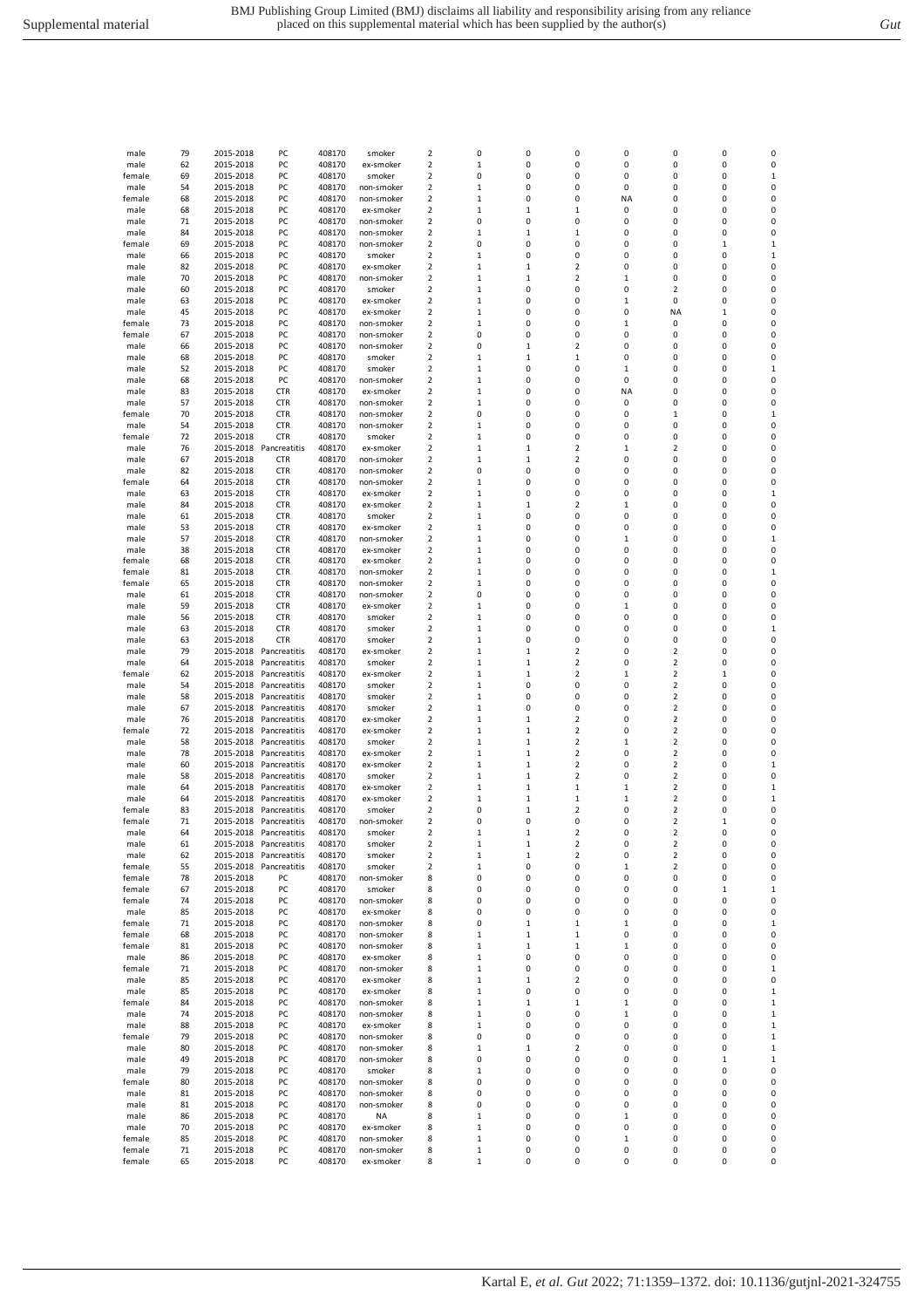|        |    | 2015-2018 |                        |        | smoker     |   |             |              |                         |              |                         |   |              |
|--------|----|-----------|------------------------|--------|------------|---|-------------|--------------|-------------------------|--------------|-------------------------|---|--------------|
| male   | 79 |           | PC                     | 408170 |            | 2 | 0           | 0            | 0                       | 0            | 0                       | 0 | 0            |
| male   | 62 | 2015-2018 | PC                     | 408170 | ex-smoker  | 2 | 1           | 0            | 0                       | 0            | 0                       | 0 | 0            |
| female | 69 | 2015-2018 | PC                     | 408170 | smoker     | 2 | 0           | 0            | 0                       | 0            | 0                       | 0 | 1            |
| male   | 54 | 2015-2018 | PC                     | 408170 | non-smoker | 2 | $\mathbf 1$ | 0            | 0                       | 0            | 0                       | 0 | 0            |
| female | 68 | 2015-2018 | PC                     | 408170 | non-smoker | 2 | 1           | 0            | $\pmb{0}$               | NA           | 0                       | 0 | 0            |
|        |    |           |                        |        |            |   |             |              |                         |              |                         |   |              |
| male   | 68 | 2015-2018 | PC                     | 408170 | ex-smoker  | 2 | 1           | $\mathbf 1$  | $\mathbf{1}$            | 0            | 0                       | 0 | 0            |
| male   | 71 | 2015-2018 | PC                     | 408170 | non-smoker | 2 | 0           | 0            | 0                       | 0            | 0                       | 0 | 0            |
| male   | 84 | 2015-2018 | PC                     | 408170 | non-smoker | 2 | $\mathbf 1$ | $\mathbf 1$  | 1                       | 0            | O                       | 0 | 0            |
| female | 69 | 2015-2018 | PC                     | 408170 | non-smoker | 2 | 0           | 0            | 0                       | 0            | 0                       | 1 | $\mathbf{1}$ |
|        |    |           |                        |        |            |   |             |              |                         |              |                         |   |              |
| male   | 66 | 2015-2018 | PC                     | 408170 | smoker     | 2 | 1           | 0            | 0                       | 0            | 0                       | 0 | $\mathbf 1$  |
| male   | 82 | 2015-2018 | PC                     | 408170 | ex-smoker  | 2 | 1           | 1            | $\overline{2}$          | 0            | 0                       | 0 | $\pmb{0}$    |
| male   | 70 | 2015-2018 | PC                     | 408170 | non-smoker | 2 | 1           | 1            | 2                       | 1            | 0                       | 0 | 0            |
| male   | 60 | 2015-2018 | PC                     | 408170 | smoker     | 2 | $\mathbf 1$ | 0            | 0                       | 0            | 2                       | 0 | 0            |
|        |    |           |                        |        |            |   |             |              |                         |              |                         |   |              |
| male   | 63 | 2015-2018 | PC                     | 408170 | ex-smoker  | 2 | 1           | 0            | 0                       | $\mathbf{1}$ | 0                       | 0 | 0            |
| male   | 45 | 2015-2018 | PC                     | 408170 | ex-smoker  | 2 | $\mathbf 1$ | 0            | 0                       | 0            | <b>NA</b>               | 1 | 0            |
| female | 73 | 2015-2018 | PC                     | 408170 | non-smoker | 2 | 1           | 0            | 0                       | 1            | 0                       | 0 | 0            |
| female | 67 | 2015-2018 | PC                     | 408170 | non-smoker | 2 | 0           | 0            | 0                       | 0            | 0                       | 0 | 0            |
|        |    |           |                        |        |            |   |             |              |                         |              |                         |   |              |
| male   | 66 | 2015-2018 | PC                     | 408170 | non-smoker | 2 | 0           | $\mathbf 1$  | 2                       | 0            | 0                       | 0 | 0            |
| male   | 68 | 2015-2018 | PC                     | 408170 | smoker     | 2 | 1           | $\mathbf 1$  | $\mathbf{1}$            | 0            | 0                       | 0 | 0            |
| male   | 52 | 2015-2018 | PC                     | 408170 | smoker     | 2 | 1           | 0            | 0                       | $\mathbf 1$  | 0                       | 0 | $\mathbf 1$  |
|        | 68 | 2015-2018 | PC                     | 408170 | non-smoker | 2 | 1           | 0            | 0                       | 0            | 0                       | 0 | 0            |
| male   |    |           |                        |        |            |   |             |              |                         |              |                         |   |              |
| male   | 83 | 2015-2018 | <b>CTR</b>             | 408170 | ex-smoker  | 2 | $\mathbf 1$ | 0            | 0                       | <b>NA</b>    | 0                       | 0 | 0            |
| male   | 57 | 2015-2018 | <b>CTR</b>             | 408170 | non-smoker | 2 | $\mathbf 1$ | 0            | 0                       | 0            | 0                       | 0 | 0            |
| female | 70 | 2015-2018 | <b>CTR</b>             | 408170 | non-smoker | 2 | 0           | 0            | 0                       | 0            | 1                       | 0 | $\mathbf 1$  |
| male   | 54 | 2015-2018 | <b>CTR</b>             | 408170 | non-smoker | 2 | $\,1\,$     | 0            | 0                       | 0            | 0                       | 0 | 0            |
|        |    |           |                        |        |            |   |             |              |                         |              |                         |   |              |
| female | 72 | 2015-2018 | <b>CTR</b>             | 408170 | smoker     | 2 | 1           | 0            | 0                       | 0            | 0                       | 0 | 0            |
| male   | 76 | 2015-2018 | Pancreatitis           | 408170 | ex-smoker  | 2 | $\mathbf 1$ | $\mathbf 1$  | $\overline{2}$          | $\mathbf{1}$ | 2                       | 0 | 0            |
| male   | 67 | 2015-2018 | <b>CTR</b>             | 408170 | non-smoker | 2 | 1           | $\mathbf 1$  | $\overline{2}$          | 0            | 0                       | 0 | 0            |
| male   | 82 | 2015-2018 | <b>CTR</b>             | 408170 | non-smoker | 2 | 0           | 0            | 0                       | 0            | 0                       | 0 | 0            |
|        |    |           |                        |        |            |   |             |              |                         |              |                         |   |              |
| female | 64 | 2015-2018 | <b>CTR</b>             | 408170 | non-smoker | 2 | $\mathbf 1$ | 0            | 0                       | 0            | 0                       | 0 | 0            |
| male   | 63 | 2015-2018 | <b>CTR</b>             | 408170 | ex-smoker  | 2 | 1           | 0            | 0                       | 0            | 0                       | 0 | $\mathbf 1$  |
| male   | 84 | 2015-2018 | <b>CTR</b>             | 408170 | ex-smoker  | 2 | $\mathbf 1$ | $\mathbf 1$  | $\overline{2}$          | 1            | 0                       | 0 | 0            |
|        | 61 | 2015-2018 | <b>CTR</b>             | 408170 | smoker     | 2 | 1           | 0            | $\pmb{0}$               | 0            | 0                       | 0 | 0            |
| male   |    |           |                        |        |            |   |             |              |                         |              |                         |   |              |
| male   | 53 | 2015-2018 | <b>CTR</b>             | 408170 | ex-smoker  | 2 | 1           | 0            | 0                       | 0            | 0                       | 0 | 0            |
| male   | 57 | 2015-2018 | <b>CTR</b>             | 408170 | non-smoker | 2 | $\mathbf 1$ | 0            | 0                       | $\mathbf{1}$ | 0                       | 0 | $\mathbf{1}$ |
| male   | 38 | 2015-2018 | <b>CTR</b>             | 408170 | ex-smoker  | 2 | $\mathbf 1$ | 0            | 0                       | 0            | 0                       | 0 | 0            |
| female | 68 | 2015-2018 | <b>CTR</b>             | 408170 | ex-smoker  | 2 | $\mathbf 1$ | 0            | 0                       | 0            | 0                       | 0 | 0            |
|        |    |           |                        |        |            |   |             |              |                         |              |                         |   |              |
| female | 81 | 2015-2018 | <b>CTR</b>             | 408170 | non-smoker | 2 | 1           | 0            | 0                       | 0            | 0                       | 0 | $\mathbf{1}$ |
| female | 65 | 2015-2018 | <b>CTR</b>             | 408170 | non-smoker | 2 | 1           | 0            | 0                       | 0            | 0                       | 0 | 0            |
| male   | 61 | 2015-2018 | <b>CTR</b>             | 408170 | non-smoker | 2 | 0           | 0            | 0                       | 0            | 0                       | 0 | 0            |
| male   | 59 | 2015-2018 | <b>CTR</b>             | 408170 | ex-smoker  | 2 | $\mathbf 1$ | 0            | 0                       | $\mathbf{1}$ | 0                       | 0 | 0            |
|        |    |           |                        |        |            |   |             |              |                         |              |                         |   |              |
| male   | 56 | 2015-2018 | <b>CTR</b>             | 408170 | smoker     | 2 | 1           | 0            | 0                       | 0            | 0                       | 0 | 0            |
| male   | 63 | 2015-2018 | <b>CTR</b>             | 408170 | smoker     | 2 | $\mathbf 1$ | 0            | 0                       | 0            | 0                       | 0 | $\mathbf 1$  |
| male   | 63 | 2015-2018 | <b>CTR</b>             | 408170 | smoker     | 2 | $\mathbf 1$ | 0            | 0                       | 0            | 0                       | 0 | 0            |
| male   | 79 | 2015-2018 | Pancreatitis           | 408170 | ex-smoker  | 2 | 1           | 1            | $\overline{\mathbf{2}}$ | 0            | 2                       | 0 | 0            |
|        |    |           |                        |        |            |   |             |              |                         |              |                         |   |              |
| male   | 64 | 2015-2018 | Pancreatitis           | 408170 | smoker     | 2 | $\mathbf 1$ | $\mathbf 1$  | $\overline{2}$          | 0            | $\overline{\mathbf{c}}$ | 0 | 0            |
| female | 62 | 2015-2018 | Pancreatitis           | 408170 | ex-smoker  | 2 | 1           | 1            | $\overline{2}$          | 1            | 2                       | 1 | 0            |
| male   | 54 | 2015-2018 | Pancreatitis           | 408170 | smoker     | 2 | $\,1\,$     | 0            | 0                       | 0            | 2                       | 0 | 0            |
| male   | 58 | 2015-2018 | Pancreatitis           | 408170 | smoker     | 2 | 1           | 0            | 0                       | 0            | 2                       | 0 | 0            |
|        |    |           |                        |        |            |   |             |              |                         |              |                         |   |              |
| male   | 67 | 2015-2018 | Pancreatitis           | 408170 | smoker     | 2 | $\mathbf 1$ | 0            | 0                       | 0            | 2                       | 0 | 0            |
| male   | 76 | 2015-2018 | Pancreatitis           | 408170 | ex-smoker  | 2 | $\mathbf 1$ | $\mathbf 1$  | $\overline{2}$          | 0            | 2                       | 0 | 0            |
| female | 72 | 2015-2018 | Pancreatitis           | 408170 | ex-smoker  | 2 | 1           | $\mathbf 1$  | $\overline{2}$          | 0            | 2                       | 0 | 0            |
| male   | 58 | 2015-2018 | Pancreatitis           | 408170 | smoker     | 2 | $\mathbf 1$ | $\mathbf 1$  | $\overline{2}$          | 1            | $\overline{\mathbf{c}}$ | 0 | 0            |
|        |    |           |                        |        |            |   |             |              |                         |              |                         |   |              |
| male   | 78 | 2015-2018 | Pancreatitis           | 408170 | ex-smoker  | 2 | 1           | 1            | 2                       | 0            | 2                       | 0 | 0            |
| male   | 60 | 2015-2018 | Pancreatitis           | 408170 | ex-smoker  | 2 | $\mathbf 1$ | $\mathbf{1}$ | $\mathbf 2$             | 0            | 2                       | 0 | $\mathbf 1$  |
| male   | 58 | 2015-2018 | Pancreatitis           | 408170 | smoker     | 2 | 1           | $\mathbf 1$  | 2                       | 0            | 2                       | 0 | 0            |
| male   | 64 | 2015-2018 | Pancreatitis           | 408170 | ex-smoker  | 2 | $\mathbf 1$ | $\mathbf 1$  | $\mathbf{1}$            | $\mathbf 1$  | 2                       | 0 | $\mathbf 1$  |
|        |    |           |                        |        |            |   |             |              |                         |              |                         |   |              |
| male   | 64 | 2015-2018 | Pancreatitis           | 408170 | ex-smoker  | 2 | $\mathbf 1$ | $\mathbf 1$  | $\mathbf{1}$            | 1            | 2                       | 0 | $\mathbf 1$  |
| female | 83 | 2015-2018 | Pancreatitis           | 408170 | smoker     | 2 | 0           | 1            | $\overline{2}$          | 0            | 2                       | 0 | 0            |
| female | 71 |           | 2015-2018 Pancreatitis | 408170 | non-smoker | 2 | 0           | 0            | 0                       | 0            | 2                       | 1 | 0            |
| male   | 64 |           | 2015-2018 Pancreatitis | 408170 | smoker     | 2 | 1           | $\mathbf 1$  | 2                       | 0            | 2                       | 0 | 0            |
|        |    |           |                        |        |            |   |             |              |                         |              |                         |   |              |
| male   | 61 | 2015-2018 | Pancreatitis           | 408170 | smoker     | 2 | 1           |              | 2                       | 0            | 2                       |   | 0            |
| male   | 62 |           | 2015-2018 Pancreatitis | 408170 | smoker     | 2 | 1           | 1            | 2                       | 0            | 2                       | 0 | 0            |
| female | 55 | 2015-2018 | Pancreatitis           | 408170 | smoker     | 2 | 1           | 0            | 0                       | 1            | 2                       | 0 | 0            |
| female | 78 | 2015-2018 | PC                     | 408170 | non-smoker | 8 | 0           | 0            | 0                       | 0            | 0                       | 0 | 0            |
| female | 67 | 2015-2018 | PC                     | 408170 | smoker     | 8 | 0           | 0            | 0                       | 0            | 0                       | 1 | $\mathbf 1$  |
|        |    |           |                        |        |            |   |             |              |                         |              |                         |   |              |
| female | 74 | 2015-2018 | PC                     | 408170 | non-smoker | 8 | 0           | 0            | 0                       | 0            | 0                       | 0 | 0            |
| male   | 85 | 2015-2018 | PC                     | 408170 | ex-smoker  | 8 | 0           | 0            | 0                       | 0            | 0                       | 0 | 0            |
| female | 71 | 2015-2018 | PC                     | 408170 | non-smoker | 8 | 0           | 1            | $\mathbf{1}$            | 1            | 0                       | 0 | $\mathbf 1$  |
| female | 68 | 2015-2018 | PC                     | 408170 | non-smoker | 8 | 1           | 1            | $\mathbf 1$             | 0            | 0                       | 0 | 0            |
|        |    |           |                        |        |            |   |             |              |                         |              |                         |   |              |
| female | 81 | 2015-2018 | PC                     | 408170 | non-smoker | 8 | 1           | $\mathbf 1$  | $\mathbf 1$             | $\mathbf 1$  | 0                       | 0 | 0            |
| male   | 86 | 2015-2018 | PC                     | 408170 | ex-smoker  | 8 | 1           | 0            | 0                       | 0            | 0                       | 0 | 0            |
| female | 71 | 2015-2018 | PC                     | 408170 | non-smoker | 8 | $\mathbf 1$ | 0            | 0                       | 0            | 0                       | 0 | $\mathbf{1}$ |
| male   | 85 | 2015-2018 | PC                     | 408170 | ex-smoker  | 8 | 1           | 1            | 2                       | 0            | 0                       | 0 | 0            |
|        |    |           |                        |        |            |   |             |              |                         |              |                         |   |              |
| male   | 85 | 2015-2018 | PC                     | 408170 | ex-smoker  | 8 | 1           | 0            | 0                       | 0            | 0                       | 0 | $\mathbf 1$  |
| female | 84 | 2015-2018 | PC                     | 408170 | non-smoker | 8 | 1           | 1            | $\mathbf{1}$            | 1            | 0                       | 0 | $\mathbf 1$  |
| male   | 74 | 2015-2018 | PC                     | 408170 | non-smoker | 8 | 1           | 0            | 0                       | 1            | 0                       | 0 | $\mathbf 1$  |
| male   | 88 | 2015-2018 | PC                     | 408170 | ex-smoker  | 8 | 1           | 0            | 0                       | 0            | 0                       | 0 | $\mathbf 1$  |
|        |    |           |                        |        |            |   |             |              |                         |              |                         |   |              |
| female | 79 | 2015-2018 | PC                     | 408170 | non-smoker | 8 | 0           | 0            | 0                       | 0            | 0                       | 0 | $\mathbf 1$  |
| male   | 80 | 2015-2018 | PC                     | 408170 | non-smoker | 8 | $\mathbf 1$ | $\mathbf 1$  | 2                       | 0            | 0                       | 0 | $\mathbf 1$  |
| male   | 49 | 2015-2018 | PC                     | 408170 | non-smoker | 8 | 0           | 0            | 0                       | 0            | 0                       | 1 | $\mathbf 1$  |
| male   | 79 | 2015-2018 | PC                     | 408170 | smoker     | 8 | 1           | 0            | 0                       | 0            | 0                       | 0 | 0            |
|        |    |           |                        |        |            |   |             |              |                         |              |                         |   |              |
| female | 80 | 2015-2018 | PC                     | 408170 | non-smoker | 8 | 0           | 0            | 0                       | 0            | 0                       | 0 | 0            |
| male   | 81 | 2015-2018 | PC                     | 408170 | non-smoker | 8 | 0           | 0            | $\pmb{0}$               | 0            | 0                       | 0 | 0            |
| male   | 81 | 2015-2018 | PC                     | 408170 | non-smoker | 8 | 0           | 0            | 0                       | 0            | 0                       | 0 | 0            |
| male   | 86 | 2015-2018 | PC                     | 408170 | <b>NA</b>  | 8 | 1           | 0            | 0                       | 1            | 0                       | 0 | 0            |
|        |    |           |                        |        |            |   |             |              |                         |              |                         |   |              |
| male   | 70 | 2015-2018 | PC                     | 408170 | ex-smoker  | 8 | 1           | 0            | 0                       | 0            | 0                       | 0 | 0            |
| female | 85 | 2015-2018 | PC                     | 408170 | non-smoker | 8 | 1           | 0            | 0                       | 1            | 0                       | 0 | 0            |
| female | 71 | 2015-2018 | PC                     | 408170 | non-smoker | 8 | 1           | 0            | 0                       | 0            | 0                       | 0 | 0            |
| fomale | 65 | 2015-2019 | <b>DC</b>              | 108170 | av-cmokar  | Q |             | $\Omega$     | $\Omega$                |              |                         |   | $\Omega$     |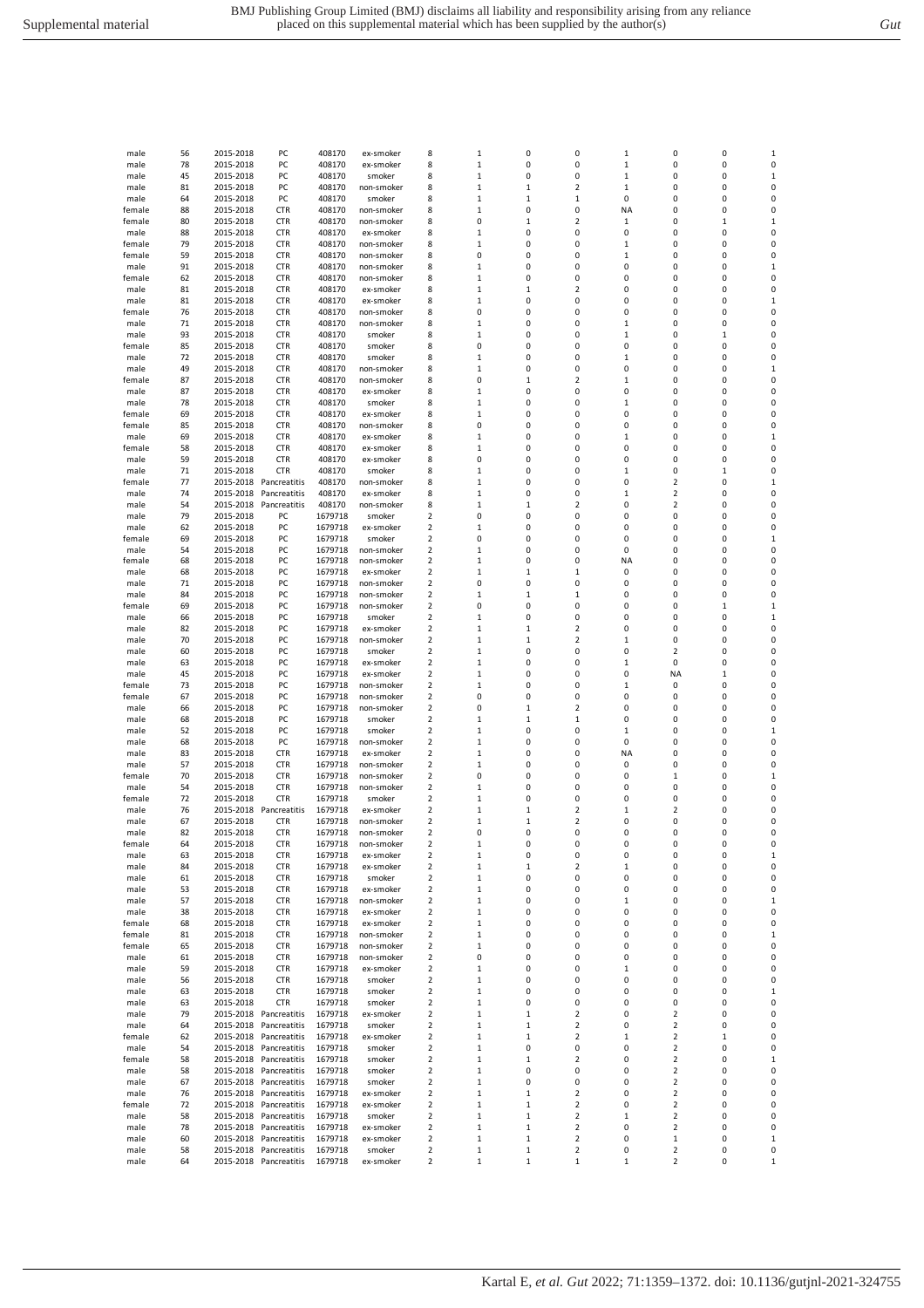| male   | 56 | 2015-2018 | PC                     | 408170  | ex-smoker  | 8                       | 1            | 0           | 0                       | 1            | 0                       | 0            | 1           |
|--------|----|-----------|------------------------|---------|------------|-------------------------|--------------|-------------|-------------------------|--------------|-------------------------|--------------|-------------|
| male   | 78 | 2015-2018 | PC                     | 408170  | ex-smoker  | 8                       | 1            | 0           | 0                       | 1            | 0                       | 0            | 0           |
| male   | 45 | 2015-2018 | PC                     | 408170  | smoker     | 8                       | 1            | 0           | 0                       | 1            | 0                       | 0            | $\mathbf 1$ |
| male   | 81 | 2015-2018 | PC                     | 408170  | non-smoker | 8                       | 1            | 1           | 2                       | $\mathbf{1}$ | 0                       | 0            | 0           |
| male   | 64 | 2015-2018 | PC                     | 408170  | smoker     | 8                       | 1            | 1           | 1                       | 0            | 0                       | 0            | 0           |
|        |    |           |                        |         |            |                         |              |             |                         |              |                         |              |             |
| female | 88 | 2015-2018 | <b>CTR</b>             | 408170  | non-smoker | 8                       | $\mathbf 1$  | 0           | 0                       | <b>NA</b>    | 0                       | 0            | 0           |
| female | 80 | 2015-2018 | <b>CTR</b>             | 408170  | non-smoker | 8                       | 0            | 1           | 2                       | 1            | 0                       | $\mathbf{1}$ | $\mathbf 1$ |
| male   | 88 | 2015-2018 | <b>CTR</b>             | 408170  | ex-smoker  | 8                       | 1            | 0           | 0                       | 0            | 0                       | 0            | 0           |
| female | 79 | 2015-2018 | <b>CTR</b>             | 408170  | non-smoker | 8                       | 1            | 0           | 0                       | 1            | 0                       | 0            | 0           |
| female | 59 | 2015-2018 | <b>CTR</b>             | 408170  | non-smoker | 8                       | 0            | 0           | 0                       | 1            | 0                       | 0            | 0           |
| male   | 91 | 2015-2018 | <b>CTR</b>             | 408170  | non-smoker | 8                       | 1            | 0           | 0                       | 0            | 0                       | 0            | $\mathbf 1$ |
| female | 62 | 2015-2018 | <b>CTR</b>             | 408170  | non-smoker | 8                       | 1            | 0           | 0                       | 0            | 0                       | 0            | 0           |
| male   | 81 | 2015-2018 | <b>CTR</b>             | 408170  | ex-smoker  | 8                       | 1            | $\mathbf 1$ | $\overline{\mathbf{c}}$ | 0            | 0                       | 0            | 0           |
|        |    |           |                        |         |            |                         |              |             |                         |              |                         |              |             |
| male   | 81 | 2015-2018 | <b>CTR</b>             | 408170  | ex-smoker  | 8                       | $\mathbf 1$  | 0           | 0                       | 0            | 0                       | 0            | $\mathbf 1$ |
| female | 76 | 2015-2018 | <b>CTR</b>             | 408170  | non-smoker | 8                       | 0            | 0           | 0                       | 0            | 0                       | 0            | 0           |
| male   | 71 | 2015-2018 | <b>CTR</b>             | 408170  | non-smoker | 8                       | 1            | 0           | 0                       | 1            | 0                       | 0            | 0           |
| male   | 93 | 2015-2018 | <b>CTR</b>             | 408170  | smoker     | 8                       | 1            | 0           | 0                       | 1            | 0                       | $\mathbf{1}$ | 0           |
| female | 85 | 2015-2018 | <b>CTR</b>             | 408170  | smoker     | 8                       | 0            | 0           | 0                       | 0            | 0                       | 0            | 0           |
| male   | 72 | 2015-2018 | <b>CTR</b>             | 408170  | smoker     | 8                       | 1            | 0           | 0                       | $\mathbf{1}$ | 0                       | 0            | 0           |
| male   | 49 | 2015-2018 | <b>CTR</b>             | 408170  | non-smoker | 8                       | $\mathbf 1$  | 0           | 0                       | 0            | 0                       | 0            | $\mathbf 1$ |
| female | 87 | 2015-2018 | <b>CTR</b>             | 408170  | non-smoker | 8                       | 0            | $\mathbf 1$ | $\overline{2}$          | 1            | 0                       | 0            | 0           |
|        |    |           |                        |         |            |                         |              |             |                         |              |                         |              |             |
| male   | 87 | 2015-2018 | <b>CTR</b>             | 408170  | ex-smoker  | 8                       | 1            | 0           | 0                       | 0            | 0                       | 0            | 0           |
| male   | 78 | 2015-2018 | <b>CTR</b>             | 408170  | smoker     | 8                       | 1            | 0           | 0                       | $\mathbf 1$  | 0                       | 0            | 0           |
| female | 69 | 2015-2018 | <b>CTR</b>             | 408170  | ex-smoker  | 8                       | 1            | 0           | 0                       | 0            | 0                       | 0            | 0           |
| female | 85 | 2015-2018 | <b>CTR</b>             | 408170  | non-smoker | 8                       | 0            | 0           | 0                       | 0            | 0                       | 0            | 0           |
| male   | 69 | 2015-2018 | <b>CTR</b>             | 408170  | ex-smoker  | 8                       | 1            | 0           | 0                       | 1            | 0                       | 0            | $\mathbf 1$ |
| female | 58 | 2015-2018 | <b>CTR</b>             | 408170  | ex-smoker  | 8                       | $\mathbf 1$  | 0           | 0                       | 0            | 0                       | 0            | 0           |
| male   | 59 | 2015-2018 | <b>CTR</b>             | 408170  | ex-smoker  | 8                       | 0            | 0           | 0                       | 0            | 0                       | 0            | 0           |
| male   | 71 | 2015-2018 | <b>CTR</b>             | 408170  | smoker     | 8                       | 1            | 0           | 0                       | 1            | 0                       | $\mathbf{1}$ | 0           |
|        | 77 |           |                        | 408170  | non-smoker |                         |              | 0           | 0                       | 0            | $\overline{2}$          | 0            | $\mathbf 1$ |
| female |    | 2015-2018 | Pancreatitis           |         |            | 8                       | 1            |             |                         |              |                         |              |             |
| male   | 74 | 2015-2018 | Pancreatitis           | 408170  | ex-smoker  | 8                       | 1            | 0           | 0                       | 1            | $\overline{2}$          | 0            | 0           |
| male   | 54 | 2015-2018 | Pancreatitis           | 408170  | non-smoker | 8                       | $\mathbf 1$  | 1           | $\overline{\mathbf{c}}$ | 0            | $\overline{2}$          | 0            | 0           |
| male   | 79 | 2015-2018 | PC                     | 1679718 | smoker     | 2                       | 0            | 0           | 0                       | 0            | 0                       | 0            | 0           |
| male   | 62 | 2015-2018 | PC                     | 1679718 | ex-smoker  | 2                       | $\mathbf 1$  | 0           | 0                       | 0            | 0                       | 0            | 0           |
| female | 69 | 2015-2018 | PC                     | 1679718 | smoker     | 2                       | 0            | 0           | 0                       | 0            | 0                       | 0            | $\mathbf 1$ |
| male   | 54 | 2015-2018 | PC                     | 1679718 | non-smoker | 2                       | 1            | 0           | 0                       | 0            | 0                       | 0            | 0           |
| female | 68 | 2015-2018 | PC                     | 1679718 | non-smoker | 2                       | 1            | 0           | 0                       | <b>NA</b>    | 0                       | 0            | 0           |
|        |    |           |                        |         |            |                         |              |             |                         |              |                         |              |             |
| male   | 68 | 2015-2018 | PC                     | 1679718 | ex-smoker  | 2                       | 1            | 1           | 1                       | 0            | 0                       | 0            | 0           |
| male   | 71 | 2015-2018 | PC                     | 1679718 | non-smoker | 2                       | 0            | 0           | 0                       | 0            | 0                       | 0            | 0           |
| male   | 84 | 2015-2018 | PC                     | 1679718 | non-smoker | 2                       | 1            | 1           | 1                       | 0            | 0                       | 0            | 0           |
| female | 69 | 2015-2018 | PC                     | 1679718 | non-smoker | 2                       | 0            | 0           | 0                       | 0            | 0                       | $\mathbf{1}$ | $\mathbf 1$ |
| male   | 66 | 2015-2018 | PC                     | 1679718 | smoker     | 2                       | $\mathbf 1$  | 0           | 0                       | 0            | 0                       | 0            | $\mathbf 1$ |
| male   | 82 | 2015-2018 | PC                     | 1679718 | ex-smoker  | 2                       | 1            | 1           | $\overline{\mathbf{c}}$ | 0            | 0                       | 0            | 0           |
| male   | 70 | 2015-2018 | PC                     | 1679718 | non-smoker | 2                       | 1            | 1           | 2                       | $\mathbf 1$  | 0                       | 0            | 0           |
| male   | 60 | 2015-2018 | PC                     | 1679718 | smoker     | 2                       | 1            | 0           | 0                       | 0            | 2                       | 0            | 0           |
|        |    |           |                        |         |            |                         |              |             |                         |              |                         |              |             |
| male   | 63 | 2015-2018 | PC                     | 1679718 | ex-smoker  | 2                       | $\mathbf 1$  | 0           | 0                       | $\mathbf{1}$ | 0                       | 0            | 0           |
| male   | 45 | 2015-2018 | PC                     | 1679718 | ex-smoker  | 2                       | 1            | 0           | 0                       | 0            | NA                      | $\mathbf{1}$ | 0           |
| female | 73 | 2015-2018 | PC                     | 1679718 | non-smoker | 2                       | $\mathbf 1$  | 0           | 0                       | $\mathbf{1}$ | 0                       | 0            | 0           |
| female | 67 | 2015-2018 | PC                     | 1679718 | non-smoker | 2                       | 0            | 0           | 0                       | 0            | 0                       | 0            | 0           |
| male   | 66 | 2015-2018 | PC                     | 1679718 | non-smoker | 2                       | 0            | $\mathbf 1$ | $\overline{2}$          | 0            | 0                       | 0            | 0           |
| male   | 68 | 2015-2018 | PC                     | 1679718 | smoker     | 2                       | 1            | 1           | 1                       | 0            | 0                       | 0            | 0           |
| male   | 52 | 2015-2018 | PC                     | 1679718 | smoker     | 2                       | 1            | 0           | 0                       | 1            | 0                       | 0            | 1           |
|        | 68 |           | PC                     |         |            | 2                       | $\mathbf 1$  | 0           | 0                       | 0            | 0                       | 0            | 0           |
| male   |    | 2015-2018 |                        | 1679718 | non-smoker |                         |              |             |                         |              |                         |              |             |
| male   | 83 | 2015-2018 | <b>CTR</b>             | 1679718 | ex-smoker  | 2                       | 1            | 0           | 0                       | <b>NA</b>    | 0                       | 0            | 0           |
| male   | 57 | 2015-2018 | <b>CTR</b>             | 1679718 | non-smoker | 2                       | 1            | 0           | 0                       | 0            | 0                       | 0            | 0           |
| female | 70 | 2015-2018 | <b>CTR</b>             | 1679718 | non-smoker | 2                       | 0            | 0           | 0                       | 0            | $\mathbf 1$             | 0            | $\mathbf 1$ |
| male   | 54 | 2015-2018 | <b>CTR</b>             | 1679718 | non-smoker | 2                       | 1            | 0           | 0                       | 0            | 0                       | 0            | 0           |
| female | 72 | 2015-2018 | <b>CTR</b>             | 1679718 | smoker     | 2                       | 1            | 0           | 0                       | 0            | 0                       | 0            | 0           |
| male   | 76 | 2015-2018 | Pancreatitis           | 1679718 | ex-smoker  | 2                       | 1            | 1           | $\overline{\mathbf{c}}$ | 1            | 2                       | 0            | 0           |
| male   | 67 | 2015-2018 | CTR                    | 1679718 | non-smoker | 2                       | 1            | 1           | $\overline{\mathbf{c}}$ | 0            | 0                       | 0            | 0           |
| male   | 82 | 2015-2018 | <b>CTR</b>             | 1679718 | non-smoker | 2                       | 0            | 0           | 0                       | 0            | 0                       | 0            | 0           |
|        |    |           |                        |         |            |                         |              |             |                         |              |                         |              |             |
| female | 64 | 2015-2018 | CTR                    | 1679718 | non-smoker | 2                       | 1            | 0           | 0                       | 0            | 0                       | 0            | 0           |
| male   | 63 | 2015-2018 | <b>CTR</b>             | 1679718 | ex-smoker  | 2                       | 1            | 0           | 0                       | 0            | 0                       | $\pmb{0}$    | $\mathbf 1$ |
| male   | 84 | 2015-2018 | <b>CTR</b>             | 1679718 | ex-smoker  | 2                       | $\mathbf 1$  | $\mathbf 1$ | $\overline{\mathbf{c}}$ | $\mathbf 1$  | 0                       | $\pmb{0}$    | 0           |
| male   | 61 | 2015-2018 | <b>CTR</b>             | 1679718 | smoker     | 2                       | $\mathbf 1$  | 0           | 0                       | 0            | 0                       | 0            | 0           |
| male   | 53 | 2015-2018 | <b>CTR</b>             | 1679718 | ex-smoker  | 2                       | 1            | 0           | 0                       | 0            | 0                       | 0            | 0           |
| male   | 57 | 2015-2018 | <b>CTR</b>             | 1679718 | non-smoker | 2                       | 1            | 0           | 0                       | 1            | 0                       | 0            | $\mathbf 1$ |
| male   | 38 | 2015-2018 | <b>CTR</b>             | 1679718 | ex-smoker  | 2                       | $\mathbf 1$  | 0           | 0                       | 0            | 0                       | 0            | 0           |
| female | 68 | 2015-2018 | <b>CTR</b>             | 1679718 | ex-smoker  | 2                       | $\mathbf 1$  | 0           | 0                       | 0            | 0                       | $\pmb{0}$    | 0           |
|        |    |           |                        |         |            |                         |              |             |                         |              |                         |              |             |
| female | 81 | 2015-2018 | <b>CTR</b>             | 1679718 | non-smoker | 2                       | 1            | 0           | 0                       | 0            | 0                       | 0            | $\mathbf 1$ |
| female | 65 | 2015-2018 | <b>CTR</b>             | 1679718 | non-smoker | 2                       | $\mathbf 1$  | 0           | 0                       | 0            | 0                       | 0            | 0           |
| male   | 61 | 2015-2018 | <b>CTR</b>             | 1679718 | non-smoker | 2                       | 0            | 0           | 0                       | 0            | 0                       | 0            | 0           |
| male   | 59 | 2015-2018 | <b>CTR</b>             | 1679718 | ex-smoker  | 2                       | 1            | 0           | 0                       | $\mathbf 1$  | 0                       | 0            | 0           |
| male   | 56 | 2015-2018 | <b>CTR</b>             | 1679718 | smoker     | 2                       | 1            | 0           | 0                       | 0            | 0                       | 0            | 0           |
| male   | 63 | 2015-2018 | <b>CTR</b>             | 1679718 | smoker     | 2                       | 1            | 0           | 0                       | 0            | 0                       | 0            | $\mathbf 1$ |
| male   | 63 | 2015-2018 | CTR                    | 1679718 | smoker     | 2                       | 1            | 0           | 0                       | 0            | 0                       | $\pmb{0}$    | 0           |
|        |    |           |                        |         |            |                         |              |             |                         |              |                         |              |             |
| male   | 79 | 2015-2018 | Pancreatitis           | 1679718 | ex-smoker  | 2                       | $\mathbf 1$  | 1           | $\overline{\mathbf{c}}$ | 0            | $\overline{2}$          | $\pmb{0}$    | 0           |
| male   | 64 | 2015-2018 | Pancreatitis           | 1679718 | smoker     | 2                       | 1            | $\mathbf 1$ | $\overline{2}$          | 0            | $\overline{2}$          | 0            | 0           |
| female | 62 | 2015-2018 | Pancreatitis           | 1679718 | ex-smoker  | 2                       | $\mathbf{1}$ | 1           | 2                       | $\mathbf 1$  | 2                       | $\mathbf{1}$ | 0           |
| male   | 54 | 2015-2018 | Pancreatitis           | 1679718 | smoker     | 2                       | 1            | 0           | 0                       | 0            | $\overline{2}$          | 0            | 0           |
| female | 58 |           | 2015-2018 Pancreatitis | 1679718 | smoker     | 2                       | 1            | 1           | $\overline{\mathbf{c}}$ | 0            | $\overline{2}$          | 0            | $\mathbf 1$ |
| male   | 58 | 2015-2018 | Pancreatitis           | 1679718 | smoker     | 2                       | 1            | 0           | 0                       | 0            | $\mathbf 2$             | 0            | 0           |
| male   | 67 | 2015-2018 | Pancreatitis           | 1679718 | smoker     | $\overline{\mathbf{2}}$ | $\mathbf 1$  | 0           | 0                       | 0            | $\mathbf 2$             | $\pmb{0}$    | 0           |
|        | 76 | 2015-2018 | Pancreatitis           | 1679718 |            | 2                       | 1            |             | 2                       | 0            | $\overline{2}$          | $\pmb{0}$    | 0           |
| male   |    | 2015-2018 |                        |         | ex-smoker  |                         |              | 1           |                         |              |                         |              |             |
| female |    |           | Pancreatitis           | 1679718 | ex-smoker  | 2                       | $\mathbf 1$  | $\mathbf 1$ | $\overline{2}$          | 0            | $\overline{2}$          | 0            | 0           |
|        | 72 |           |                        |         |            |                         |              |             |                         |              |                         |              |             |
| male   | 58 |           | 2015-2018 Pancreatitis | 1679718 | smoker     | 2                       | $\,1\,$      | $\mathbf 1$ | 2                       | 1            | $\overline{2}$          | 0            | 0           |
| male   | 78 | 2015-2018 | Pancreatitis           | 1679718 | ex-smoker  | 2                       | $\mathbf{1}$ | $\mathbf 1$ | 2                       | 0            | $\overline{2}$          | 0            | 0           |
| male   | 60 |           | 2015-2018 Pancreatitis | 1679718 | ex-smoker  | 2                       | 1            | 1           | 2                       | 0            | 1                       | 0            | $\mathbf 1$ |
| male   | 58 |           | 2015-2018 Pancreatitis | 1679718 | smoker     | 2                       | 1            | 1           | 2                       | 0            | $\overline{2}$          | 0            | 0           |
| male   | 64 |           | 2015-2018 Pancreatitis | 1679718 | ex-smoker  | 2                       | 1            | 1           | 1                       | 1            | $\overline{\mathbf{c}}$ | 0            | $\mathbf 1$ |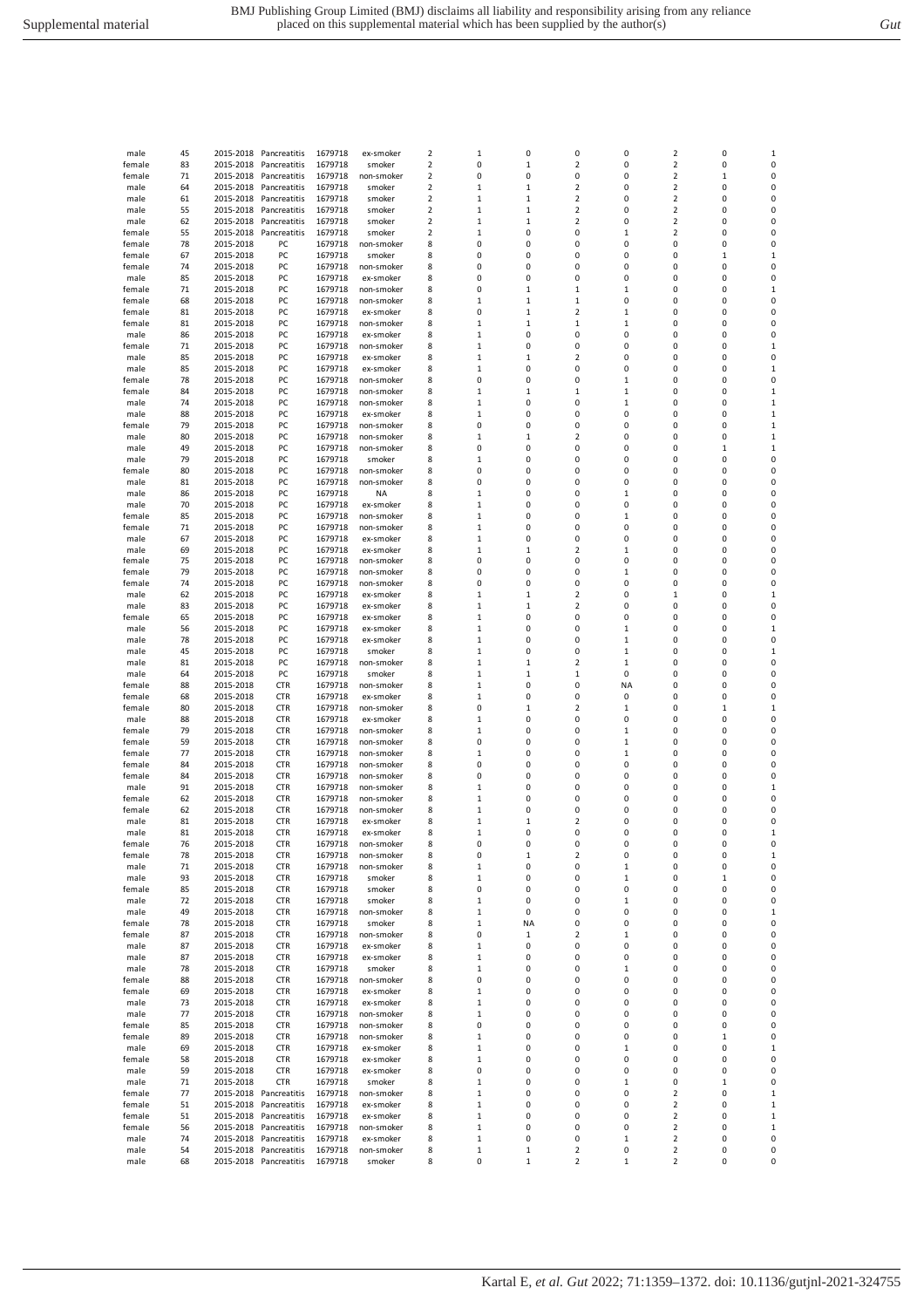Kartal E*, et al. Gut* 2022; 71:1359–1372. doi: 10.1136/gutjnl-2021-324755

| male   | 74 | 2015-2018 | PC           | 1679718 | non-smoker | 8 | $\mathbf{1}$ | 0              | $\pmb{0}$      | $\mathbf{1}$ | 0                        | 0            | $\mathbf{1}$ |
|--------|----|-----------|--------------|---------|------------|---|--------------|----------------|----------------|--------------|--------------------------|--------------|--------------|
| male   | 88 | 2015-2018 | PC           | 1679718 | ex-smoker  | 8 | $\mathbf 1$  | 0              | 0              | 0            | 0                        | 0            | $\mathbf 1$  |
| female | 79 | 2015-2018 | PC           | 1679718 | non-smoker | 8 | 0            | $\mathbf 0$    | 0              | 0            | 0                        | 0            | $\mathbf 1$  |
| male   | 80 | 2015-2018 | PC           | 1679718 | non-smoker | 8 | $\mathbf{1}$ | $\mathbf{1}$   | $\overline{2}$ | 0            | 0                        | 0            | $\mathbf{1}$ |
| male   | 49 | 2015-2018 | PC           | 1679718 | non-smoker | 8 | 0            | 0              | 0              | 0            | 0                        | $\mathbf{1}$ | $\mathbf 1$  |
| male   | 79 | 2015-2018 | PC           | 1679718 | smoker     | 8 | $\mathbf{1}$ | 0              | 0              | $\pmb{0}$    | 0                        | 0            | 0            |
| female | 80 | 2015-2018 | PC           | 1679718 | non-smoker | 8 | 0            | 0              | 0              | 0            | 0                        | 0            | 0            |
| male   | 81 | 2015-2018 | PC           | 1679718 | non-smoker | 8 | $\Omega$     | 0              | $\mathbf 0$    | $\mathbf 0$  | $\mathbf 0$              | $\Omega$     | 0            |
| male   | 86 | 2015-2018 | PC           | 1679718 | <b>NA</b>  | 8 | $\mathbf{1}$ | 0              | 0              | $\mathbf{1}$ | 0                        | 0            | 0            |
| male   | 70 | 2015-2018 | PC           | 1679718 | ex-smoker  | 8 | $\mathbf{1}$ | 0              | $\mathbf 0$    | 0            | 0                        | 0            | 0            |
| female | 85 | 2015-2018 | PC           | 1679718 | non-smoker | 8 | 1            | 0              | $\mathbf 0$    | $\mathbf{1}$ | 0                        | 0            | 0            |
| female | 71 | 2015-2018 | PC           | 1679718 | non-smoker | 8 | $\mathbf 1$  | 0              | 0              | 0            | 0                        | 0            | 0            |
| male   | 67 | 2015-2018 | PC           | 1679718 | ex-smoker  | 8 | $\mathbf 1$  | 0              | 0              | 0            | 0                        | 0            | 0            |
| male   | 69 | 2015-2018 | PC           | 1679718 | ex-smoker  | 8 | 1            | $\mathbf 1$    | $\overline{2}$ | 1            | $\pmb{0}$                | 0            | 0            |
| female | 75 | 2015-2018 | PC           | 1679718 | non-smoker | 8 | 0            | $\pmb{0}$      | 0              | $\mathbf 0$  | 0                        | 0            | 0            |
| female | 79 | 2015-2018 | PC           | 1679718 | non-smoker | 8 | $\Omega$     | $\mathbf 0$    | $\mathbf 0$    | $\mathbf 1$  | $\mathbf 0$              | 0            | 0            |
| female | 74 | 2015-2018 | PC           | 1679718 | non-smoker | 8 | 0            | 0              | $\mathbf 0$    | 0            | 0                        | 0            | 0            |
| male   | 62 | 2015-2018 | PC           | 1679718 | ex-smoker  | 8 | $\mathbf{1}$ | $\mathbf{1}$   | $\overline{2}$ | 0            | $\mathbf{1}$             | 0            | $\mathbf{1}$ |
| male   | 83 | 2015-2018 | PC           | 1679718 | ex-smoker  | 8 | $\mathbf{1}$ | $\mathbf{1}$   | $\overline{2}$ | 0            | 0                        | 0            | 0            |
| female | 65 | 2015-2018 | PC           | 1679718 | ex-smoker  | 8 | $\mathbf 1$  | 0              | $\Omega$       | 0            | 0                        | $\Omega$     | 0            |
| male   | 56 | 2015-2018 | PC           | 1679718 | ex-smoker  | 8 | $\mathbf 1$  | $\mathbf 0$    | $\mathbf 0$    | $\mathbf{1}$ | 0                        | 0            | $\mathbf{1}$ |
| male   | 78 | 2015-2018 | PC           | 1679718 | ex-smoker  | 8 | $\mathbf 1$  | 0              | 0              | 1            | 0                        | 0            | 0            |
| male   | 45 | 2015-2018 | PC           | 1679718 | smoker     | 8 | $\mathbf 1$  | 0              | 0              | $\mathbf 1$  | 0                        | 0            | $\mathbf 1$  |
| male   | 81 | 2015-2018 | PC           | 1679718 | non-smoker | 8 | 1            | $\mathbf 1$    | $\overline{2}$ | $\mathbf 1$  | $\pmb{0}$                | 0            | 0            |
| male   | 64 | 2015-2018 | PC           | 1679718 | smoker     | 8 | $\mathbf{1}$ | $\overline{1}$ | $\mathbf 1$    | $\mathbf 0$  | 0                        | 0            | 0            |
| female | 88 | 2015-2018 | <b>CTR</b>   | 1679718 | non-smoker | 8 | $\mathbf{1}$ | $\mathbf 0$    | $\mathbf 0$    | <b>NA</b>    | $\mathbf 0$              | $\mathbf 0$  | 0            |
| female | 68 | 2015-2018 | <b>CTR</b>   | 1679718 | ex-smoker  | 8 | $\mathbf 1$  | 0              | 0              | 0            | 0                        | 0            | 0            |
| female | 80 | 2015-2018 | <b>CTR</b>   | 1679718 | non-smoker | 8 | 0            | $\mathbf{1}$   | $\overline{2}$ | $\mathbf{1}$ | 0                        | $\mathbf{1}$ | $\mathbf{1}$ |
| male   | 88 | 2015-2018 | <b>CTR</b>   | 1679718 | ex-smoker  | 8 | 1            | 0              | 0              | 0            | 0                        | $\Omega$     | 0            |
| female | 79 | 2015-2018 | <b>CTR</b>   | 1679718 | non-smoker | 8 | $\mathbf{1}$ | 0              | 0              | $\mathbf{1}$ | 0                        | 0            | 0            |
| female | 59 | 2015-2018 | <b>CTR</b>   | 1679718 | non-smoker | 8 | 0            | $\mathbf 0$    | $\mathbf 0$    | $\mathbf{1}$ | 0                        | $\mathbf 0$  | 0            |
| female | 77 | 2015-2018 | <b>CTR</b>   | 1679718 | non-smoker | 8 | 1            | 0              | 0              | 1            | 0                        | 0            | 0            |
| female | 84 | 2015-2018 | <b>CTR</b>   | 1679718 | non-smoker | 8 | 0            | 0              | 0              | 0            | 0                        | $\pmb{0}$    | 0            |
| female | 84 | 2015-2018 | <b>CTR</b>   | 1679718 | non-smoker | 8 | 0            | $\mathbf 0$    | $\mathbf 0$    | $\mathbf 0$  | $\pmb{0}$                | $\mathbf 0$  | 0            |
| male   | 91 | 2015-2018 | <b>CTR</b>   | 1679718 | non-smoker | 8 | $\mathbf{1}$ | 0              | $\mathbf 0$    | 0            | 0                        | 0            | 1            |
| female | 62 | 2015-2018 | <b>CTR</b>   | 1679718 | non-smoker | 8 | $\mathbf{1}$ | $\mathbf 0$    | $\mathbf 0$    | 0            | 0                        | 0            | 0            |
| female | 62 | 2015-2018 | <b>CTR</b>   | 1679718 | non-smoker | 8 | $\mathbf 1$  | 0              | 0              | 0            | 0                        | 0            | 0            |
| male   | 81 | 2015-2018 | <b>CTR</b>   | 1679718 | ex-smoker  | 8 | $\mathbf 1$  | $\mathbf 1$    | $\overline{2}$ | 0            | 0                        | 0            | 0            |
| male   | 81 | 2015-2018 | <b>CTR</b>   | 1679718 | ex-smoker  | 8 | 1            | 0              | $\mathbf 0$    | 0            | 0                        | 0            | $\mathbf 1$  |
| female | 76 | 2015-2018 | <b>CTR</b>   | 1679718 | non-smoker | 8 | 0            | 0              | 0              | 0            | 0                        | 0            | 0            |
| female | 78 | 2015-2018 | <b>CTR</b>   | 1679718 | non-smoker | 8 | 0            | $\mathbf 1$    | 2              | 0            | 0                        | 0            | $\mathbf{1}$ |
| male   | 71 | 2015-2018 | <b>CTR</b>   | 1679718 | non-smoker | 8 | 1            | 0              | $\pmb{0}$      | $\mathbf 1$  | $\mathbf 0$              | 0            | 0            |
| male   | 93 | 2015-2018 | <b>CTR</b>   | 1679718 | smoker     | 8 | $\mathbf{1}$ | 0              | $\mathbf 0$    | $\mathbf 1$  | 0                        | $\mathbf{1}$ | 0            |
| female | 85 | 2015-2018 | <b>CTR</b>   | 1679718 | smoker     | 8 | $\mathbf 0$  | $\mathbf 0$    | $\mathbf 0$    | $\mathbf 0$  | 0                        | $\mathbf 0$  | $\mathbf 0$  |
| male   | 72 | 2015-2018 | <b>CTR</b>   | 1679718 | smoker     | 8 | $\mathbf{1}$ | 0              | 0              | $\mathbf{1}$ | 0                        | 0            | 0            |
| male   | 49 | 2015-2018 | <b>CTR</b>   | 1679718 | non-smoker | 8 | $\mathbf{1}$ | $\mathbf 0$    | $\mathbf 0$    | 0            | 0                        | 0            | $\mathbf{1}$ |
| female | 78 | 2015-2018 | <b>CTR</b>   | 1679718 | smoker     | 8 | $\mathbf{1}$ | <b>NA</b>      | $\mathbf 0$    | 0            | 0                        | 0            | 0            |
| female | 87 | 2015-2018 | <b>CTR</b>   | 1679718 | non-smoker | 8 | 0            | 1              | $\overline{2}$ | 1            | 0                        | 0            | 0            |
| male   | 87 | 2015-2018 | <b>CTR</b>   | 1679718 | ex-smoker  | 8 | $\mathbf{1}$ | $\mathbf 0$    | $\mathbf 0$    | 0            | 0                        | 0            | 0            |
| male   | 87 | 2015-2018 | <b>CTR</b>   | 1679718 | ex-smoker  | 8 | 1            | 0              | 0              | 0            | 0                        | 0            | 0            |
| male   | 78 | 2015-2018 | <b>CTR</b>   | 1679718 | smoker     | 8 | $\mathbf 1$  | 0              | 0              | $\mathbf 1$  | 0                        | 0            | 0            |
| female | 88 | 2015-2018 | <b>CTR</b>   | 1679718 | non-smoker | 8 | 0            | $\mathbf 0$    | $\mathbf 0$    | $\mathbf 0$  | $\mathbf 0$              | $\mathbf 0$  | 0            |
| female | 69 | 2015-2018 | <b>CTR</b>   | 1679718 | ex-smoker  | 8 | $\mathbf{1}$ | 0              | $\mathbf 0$    | 0            | 0                        | 0            | 0            |
| male   | 73 | 2015-2018 | <b>CTR</b>   | 1679718 | ex-smoker  | 8 | $\mathbf{1}$ | $\mathbf 0$    | $\mathbf 0$    | 0            | $\mathbf 0$              | $\mathbf 0$  | 0            |
| male   | 77 | 2015-2018 | <b>CTR</b>   | 1679718 | non-smoker | 8 | $\mathbf{1}$ | 0              | 0              | 0            | 0                        | 0            | 0            |
| female | 85 | 2015-2018 | <b>CTR</b>   | 1679718 | non-smoker | 8 | 0            | 0              | 0              | 0            | 0                        | 0            | 0            |
| female | 89 | 2015-2018 | <b>CTR</b>   | 1679718 | non-smoker | 8 | 1            | $\mathbf 0$    | $\mathbf 0$    | 0            | 0                        | $\mathbf{1}$ | 0            |
| male   | 69 | 2015-2018 | <b>CTR</b>   | 1679718 | ex-smoker  | 8 | $\mathbf 1$  | 0              | 0              | 1            | 0                        | 0            | $\mathbf{1}$ |
| female | 58 | 2015-2018 | <b>CTR</b>   | 1679718 | ex-smoker  | 8 | $\mathbf 1$  | 0              | 0              | 0            | 0                        | 0            | 0            |
| male   | 59 | 2015-2018 | <b>CTR</b>   | 1679718 | ex-smoker  | 8 | $\Omega$     | 0              | 0              | 0            | 0                        | 0            | 0            |
| male   | 71 | 2015-2018 | <b>CTR</b>   | 1679718 | smoker     | 8 | $\mathbf{1}$ | 0              | $\mathbf 0$    | 1            | 0                        | $\mathbf{1}$ | 0            |
| female | 77 | 2015-2018 | Pancreatitis | 1679718 | non-smoker | 8 | $\mathbf{1}$ | $\mathbf 0$    | $\mathbf 0$    | $\mathbf 0$  | $\overline{2}$           | $\mathbf 0$  | $\mathbf{1}$ |
| female | 51 | 2015-2018 | Pancreatitis | 1679718 | ex-smoker  | 8 | $\mathbf 1$  | 0              | 0              | 0            | $\overline{2}$           | 0            | $\mathbf{1}$ |
| female | 51 | 2015-2018 | Pancreatitis | 1679718 | ex-smoker  | 8 | $\mathbf{1}$ | 0              | $\mathbf 0$    | $\mathbf 0$  | $\overline{2}$           | $\mathbf 0$  | $\mathbf 1$  |
| female | 56 | 2015-2018 | Pancreatitis | 1679718 | non-smoker | 8 | 1            | 0              | 0              | 0            | $\overline{\mathbf{c}}$  | 0            | 1            |
| male   | 74 | 2015-2018 | Pancreatitis | 1679718 | ex-smoker  | 8 | $\mathbf 1$  | 0              | 0              | $\mathbf{1}$ | $\overline{2}$           | 0            | 0            |
| male   | 54 | 2015-2018 | Pancreatitis | 1679718 | non-smoker | 8 | $\mathbf{1}$ | 1              | $\overline{2}$ | 0            | $\overline{2}$           | 0            | $\Omega$     |
| male   | 68 | 2015-2018 | Pancreatitis | 1679718 | smoker     | 8 | 0            | 1              | $\overline{2}$ | 1            | $\overline{\phantom{a}}$ | 0            | 0            |

male 45 2015-2018 Pancreatitis 1679718 ex-smoker 2 1 0 0 0 2 0 1<br>
female 83 2015-2018 Pancreatitis 1679718 smoker 2 0 1 2 0 2 0 0<br>
female 71 2015-2018 Pancreatitis 1679718 non-smoker 2 0 0 0 0 2 1 0 2015-2018 Pancreatitis 1679718 smoker 2 0 1 2 0 2<br>2015-2018 Pancreatitis 1679718 non-smoker 2 0 0 0 0 2 female 71 2015-2018 Pancreatitis 1679718 non-smoker 2 0 0 0 0 0 2 1 0<br>
male 64 2015-2018 Pancreatitis 1679718 smoker 2 1 1 2 0 2 0 0<br>
male 61 2015-2018 Pancreatitis 1679718 smoker 2 1 1 2 0 2 0 0 male 64 2015-2018 Pancreatitis 1679718 smoker 2 1 1 1 2 0 2 0 0 male 61 2015-2018 Pancreatitis 1679718 smoker 2 1 1 2 0 2 0 0<br>
male 55 2015-2018 Pancreatitis 1679718 smoker 2 1 1 2 0 2 0 0 male 55 2015-2018 Pancreatitis 1679718 smoker 2 1 1 2 0 2 0 0<br>
male 62 2015-2018 Pancreatitis 1679718 smoker 2 1 1 2 0 2 0 0<br>
female 55 2015-2018 Pancreatitis 1679718 smoker 2 1 0 0 1 2 0 0 male 62 2015-2018 Pancreatitis 1679718 smoker 2 1 1 2 0 2 0 0 female 55 2015-2018 Pancreatitis 1679718 smoker 2 1 0 0 1 2 0 0 female 78 2015-2018 PC 1679718 non-smoker 8 0 0 0 0 0 0 0 female 67 2015-2018 PC 1679718 smoker 8 0 0 0 0 0 1 1 female 74 2015-2018 PC 1679718 non-smoker 8 0 0 0 0 0 0 0 male 85 2015-2018 PC 1679718 ex-smoker 8 0 0 0 0 0 0 0 female 71 2015-2018 PC 1679718 non-smoker 8 0 1 1 1 0 0 1 female 68 2015-2018 PC 1679718 non-smoker 8 1 1 1 0 0 0 0 female 81 2015-2018 PC 1679718 ex-smoker 8 0 1 2 1 0 0 0 female 81 2015-2018 PC 1679718 non-smoker 8 1 1 1 1 0 0 0 male 86 2015-2018 PC 1679718 ex-smoker 8 1 0 0 0 0 0 0 female 71 2015-2018 PC 1679718 non-smoker 8 1 0 0 0 0 0 1 male 85 2015-2018 PC 1679718 ex-smoker 8 1 1 2 0 0 0 0 male 85 2015-2018 PC 1679718 ex-smoker 8 1 0 0 0 0 0 1 female 78 2015-2018 PC 1679718 non-smoker 8 0 0 0 1 0 0 0 female 84 2015-2018 PC 1679718 non-smoker 8 1 1 1 1 0 0 1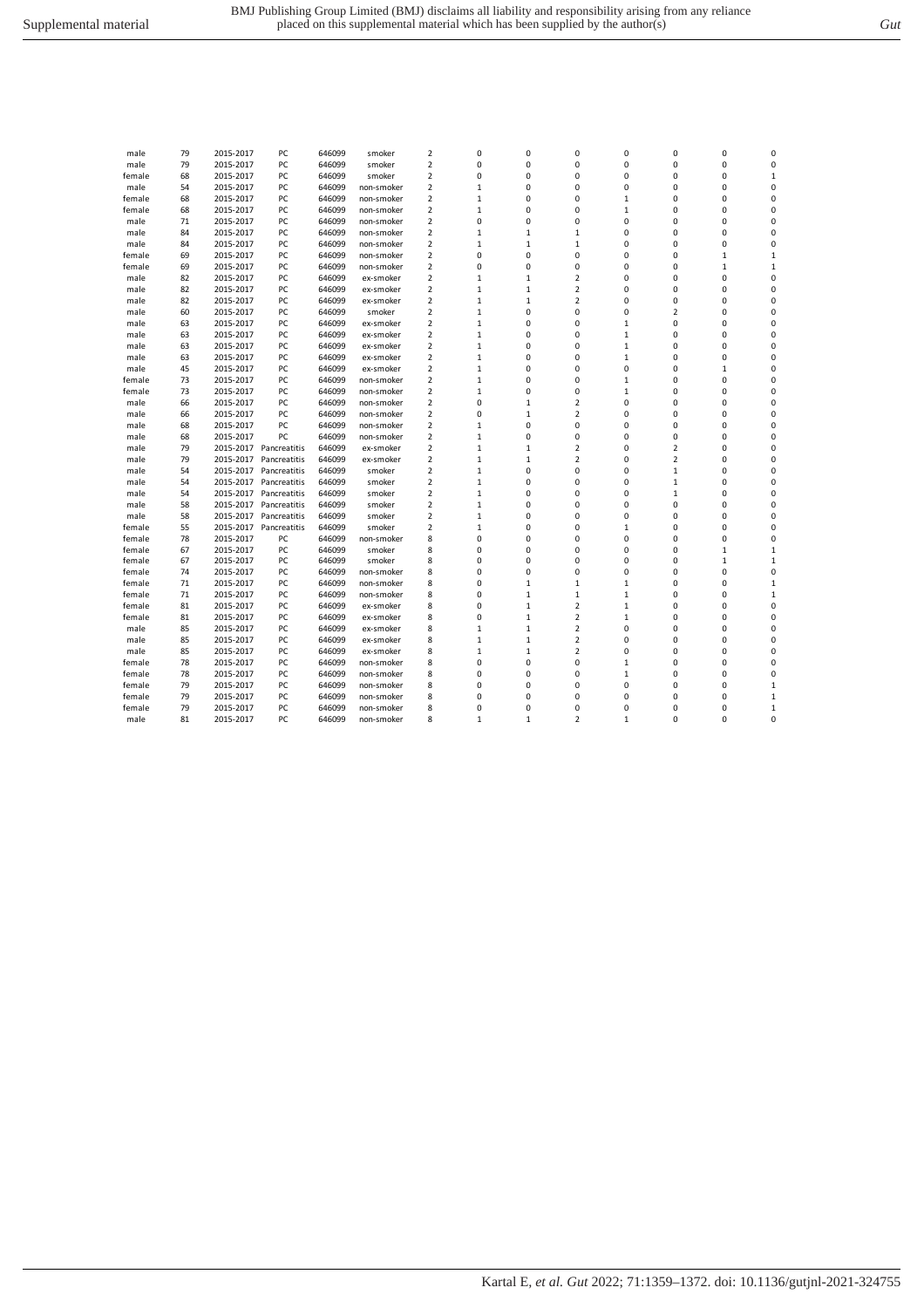| male   | 79 | 2015-2017 | PC           | 646099 | smoker     | $\overline{2}$          | 0            | 0            | 0                       | 0            | 0                       | 0            | 0            |
|--------|----|-----------|--------------|--------|------------|-------------------------|--------------|--------------|-------------------------|--------------|-------------------------|--------------|--------------|
| male   | 79 | 2015-2017 | PC           | 646099 | smoker     | 2                       | 0            | 0            | 0                       | 0            | 0                       | 0            | 0            |
| female | 68 | 2015-2017 | PC           | 646099 | smoker     | $\overline{2}$          | 0            | 0            | 0                       | 0            | 0                       | 0            | $\mathbf 1$  |
| male   | 54 | 2015-2017 | PC           | 646099 | non-smoker | $\overline{2}$          | $\mathbf 1$  | $\mathbf 0$  | 0                       | 0            | 0                       | 0            | 0            |
| female | 68 | 2015-2017 | PC           | 646099 | non-smoker | $\overline{2}$          | $\mathbf 1$  | 0            | 0                       | $\mathbf{1}$ | 0                       | 0            | 0            |
| female | 68 | 2015-2017 | PC           | 646099 | non-smoker | 2                       | $\mathbf 1$  | 0            | 0                       | $\mathbf{1}$ | 0                       | 0            | 0            |
| male   | 71 | 2015-2017 | PC           | 646099 | non-smoker | $\overline{2}$          | 0            | $\mathbf 0$  | 0                       | 0            | 0                       | 0            | 0            |
| male   | 84 | 2015-2017 | PC           | 646099 | non-smoker | $\overline{2}$          | $\mathbf 1$  | $\mathbf{1}$ | $\mathbf{1}$            | 0            | 0                       | 0            | 0            |
| male   | 84 | 2015-2017 | PC           | 646099 | non-smoker | $\overline{2}$          | $\mathbf 1$  | $\mathbf{1}$ | $\mathbf 1$             | 0            | 0                       | 0            | 0            |
| female | 69 | 2015-2017 | PC           | 646099 | non-smoker | 2                       | 0            | 0            | 0                       | 0            | 0                       | $\mathbf 1$  | $\mathbf 1$  |
| female | 69 | 2015-2017 | PC           | 646099 | non-smoker | $\overline{2}$          | 0            | $\mathbf 0$  | 0                       | 0            | 0                       | $\mathbf{1}$ | $\mathbf{1}$ |
| male   | 82 | 2015-2017 | PC           | 646099 | ex-smoker  | $\overline{2}$          | $\mathbf 1$  | $\mathbf{1}$ | $\overline{\mathbf{c}}$ | 0            | 0                       | $\Omega$     | $\mathbf 0$  |
| male   | 82 | 2015-2017 | PC           | 646099 | ex-smoker  | $\overline{2}$          | $\mathbf{1}$ | $\mathbf{1}$ | $\overline{2}$          | 0            | 0                       | 0            | 0            |
| male   | 82 | 2015-2017 | PC           | 646099 | ex-smoker  | $\overline{2}$          | $\mathbf 1$  | $\mathbf{1}$ | $\overline{2}$          | 0            | 0                       | 0            | 0            |
| male   | 60 | 2015-2017 | PC           | 646099 | smoker     | $\overline{2}$          | $\mathbf 1$  | $\mathbf 0$  | 0                       | 0            | $\overline{\mathbf{c}}$ | 0            | 0            |
|        | 63 | 2015-2017 | PC           | 646099 | ex-smoker  | $\overline{2}$          | $\mathbf{1}$ | $\mathbf 0$  | 0                       | $\mathbf{1}$ | 0                       | 0            | 0            |
| male   |    |           | PC           |        |            |                         |              | $\mathbf 0$  | 0                       |              | 0                       | 0            | $\mathbf 0$  |
| male   | 63 | 2015-2017 |              | 646099 | ex-smoker  | $\overline{2}$          | $\mathbf 1$  |              |                         | $\mathbf{1}$ |                         |              |              |
| male   | 63 | 2015-2017 | PC           | 646099 | ex-smoker  | 2                       | $\mathbf 1$  | 0            | 0                       | $\mathbf{1}$ | 0                       | $\Omega$     | 0            |
| male   | 63 | 2015-2017 | PC           | 646099 | ex-smoker  | $\overline{2}$          | $\mathbf 1$  | 0            | 0                       | $\mathbf{1}$ | 0                       | 0            | 0            |
| male   | 45 | 2015-2017 | PC           | 646099 | ex-smoker  | $\overline{2}$          | $\mathbf{1}$ | $\mathbf 0$  | 0                       | 0            | 0                       | $\mathbf{1}$ | 0            |
| female | 73 | 2015-2017 | PC           | 646099 | non-smoker | $\overline{2}$          | $\mathbf 1$  | 0            | 0                       | $\mathbf{1}$ | 0                       | 0            | 0            |
| female | 73 | 2015-2017 | PC           | 646099 | non-smoker | $\overline{2}$          | $\mathbf 1$  | 0            | 0                       | $\mathbf{1}$ | 0                       | 0            | 0            |
| male   | 66 | 2015-2017 | PC           | 646099 | non-smoker | $\overline{2}$          | 0            | $\mathbf{1}$ | $\overline{2}$          | 0            | 0                       | 0            | 0            |
| male   | 66 | 2015-2017 | PC           | 646099 | non-smoker | $\overline{2}$          | 0            | $\mathbf{1}$ | $\overline{2}$          | 0            | 0                       | 0            | $\mathbf 0$  |
| male   | 68 | 2015-2017 | PC           | 646099 | non-smoker | $\overline{2}$          | $\mathbf{1}$ | $\mathbf 0$  | 0                       | 0            | 0                       | 0            | 0            |
| male   | 68 | 2015-2017 | PC           | 646099 | non-smoker | $\overline{2}$          | $\mathbf 1$  | 0            | 0                       | 0            | 0                       | 0            | 0            |
| male   | 79 | 2015-2017 | Pancreatitis | 646099 | ex-smoker  | 2                       | 1            | $\mathbf{1}$ | 2                       | 0            | 2                       | 0            | 0            |
| male   | 79 | 2015-2017 | Pancreatitis | 646099 | ex-smoker  | $\overline{2}$          | $\mathbf{1}$ | $\mathbf{1}$ | $\overline{2}$          | 0            | $\overline{2}$          | 0            | 0            |
| male   | 54 | 2015-2017 | Pancreatitis | 646099 | smoker     | $\overline{2}$          | $\mathbf 1$  | $\mathbf 0$  | 0                       | 0            | $\mathbf{1}$            | 0            | 0            |
| male   | 54 | 2015-2017 | Pancreatitis | 646099 | smoker     | $\overline{\mathbf{c}}$ | $\mathbf 1$  | 0            | 0                       | 0            | 1                       | 0            | 0            |
| male   | 54 | 2015-2017 | Pancreatitis | 646099 | smoker     | $\overline{\mathbf{c}}$ | $\mathbf 1$  | $\mathbf 0$  | 0                       | 0            | 1                       | 0            | 0            |
| male   | 58 | 2015-2017 | Pancreatitis | 646099 | smoker     | $\overline{2}$          | $\mathbf{1}$ | $\mathbf 0$  | 0                       | 0            | 0                       | 0            | 0            |
| male   | 58 | 2015-2017 | Pancreatitis | 646099 | smoker     | $\overline{2}$          | $\mathbf 1$  | 0            | 0                       | 0            | 0                       | $\Omega$     | 0            |
| female | 55 | 2015-2017 | Pancreatitis | 646099 | smoker     | $\overline{2}$          | $\mathbf{1}$ | $\mathbf 0$  | 0                       | $\mathbf{1}$ | 0                       | 0            | 0            |
| female | 78 | 2015-2017 | PC           | 646099 | non-smoker | 8                       | 0            | 0            | 0                       | 0            | 0                       | 0            | 0            |
| female | 67 | 2015-2017 | PC           | 646099 | smoker     | 8                       | 0            | 0            | 0                       | 0            | 0                       | 1            | $\mathbf 1$  |
| female | 67 | 2015-2017 | PC           | 646099 | smoker     | 8                       | 0            | $\mathbf 0$  | 0                       | 0            | 0                       | $\mathbf{1}$ | $\mathbf{1}$ |
| female | 74 | 2015-2017 | PC           | 646099 | non-smoker | 8                       | 0            | $\mathbf 0$  | 0                       | 0            | 0                       | 0            | 0            |
| female | 71 | 2015-2017 | PC           | 646099 | non-smoker | 8                       | 0            | $\mathbf{1}$ | $\mathbf 1$             | $\mathbf{1}$ | 0                       | 0            | $\mathbf 1$  |
| female | 71 | 2015-2017 | PC           | 646099 | non-smoker | 8                       | 0            | $\mathbf{1}$ | $\mathbf{1}$            | $\mathbf{1}$ | 0                       | 0            | $\mathbf 1$  |
| female | 81 | 2015-2017 | PC           | 646099 | ex-smoker  | 8                       | 0            | $\mathbf{1}$ | $\overline{2}$          | $\mathbf{1}$ | 0                       | 0            | 0            |
| female | 81 | 2015-2017 | PC           | 646099 | ex-smoker  | 8                       | 0            | $\mathbf{1}$ | $\overline{2}$          | $\mathbf{1}$ | 0                       | $\Omega$     | $\mathbf 0$  |
| male   | 85 | 2015-2017 | PC           | 646099 | ex-smoker  | 8                       | $\mathbf{1}$ | $\mathbf{1}$ | $\overline{2}$          | 0            | 0                       | 0            | 0            |
|        |    |           |              |        |            | 8                       | $\mathbf 1$  |              | $\overline{2}$          | 0            | 0                       | 0            | 0            |
| male   | 85 | 2015-2017 | PC           | 646099 | ex-smoker  |                         |              | $\mathbf{1}$ |                         |              |                         |              |              |
| male   | 85 | 2015-2017 | PC           | 646099 | ex-smoker  | 8                       | $\mathbf 1$  | $\mathbf{1}$ | $\overline{\mathbf{2}}$ | 0            | 0                       | 0            | 0            |
| female | 78 | 2015-2017 | PC           | 646099 | non-smoker | 8                       | 0            | $\mathbf 0$  | 0                       | $\mathbf{1}$ | 0                       | 0            | 0            |
| female | 78 | 2015-2017 | PC           | 646099 | non-smoker | 8                       | 0            | $\mathbf 0$  | 0                       | $\mathbf{1}$ | 0                       | 0            | 0            |
| female | 79 | 2015-2017 | PC           | 646099 | non-smoker | 8                       | 0            | 0            | 0                       | 0            | 0                       | 0            | $\mathbf 1$  |
| female | 79 | 2015-2017 | PC           | 646099 | non-smoker | 8                       | 0            | 0            | 0                       | 0            | 0                       | 0            | $\mathbf 1$  |
| female | 79 | 2015-2017 | PC           | 646099 | non-smoker | 8                       | 0            | $\mathbf 0$  | 0                       | 0            | 0                       | $\Omega$     | $\mathbf{1}$ |
| male   | 81 | 2015-2017 | PC           | 646099 | non-smoker | 8                       | $\mathbf 1$  | $\mathbf{1}$ | $\overline{2}$          | $\mathbf{1}$ | 0                       | 0            | 0            |
|        |    |           |              |        |            |                         |              |              |                         |              |                         |              |              |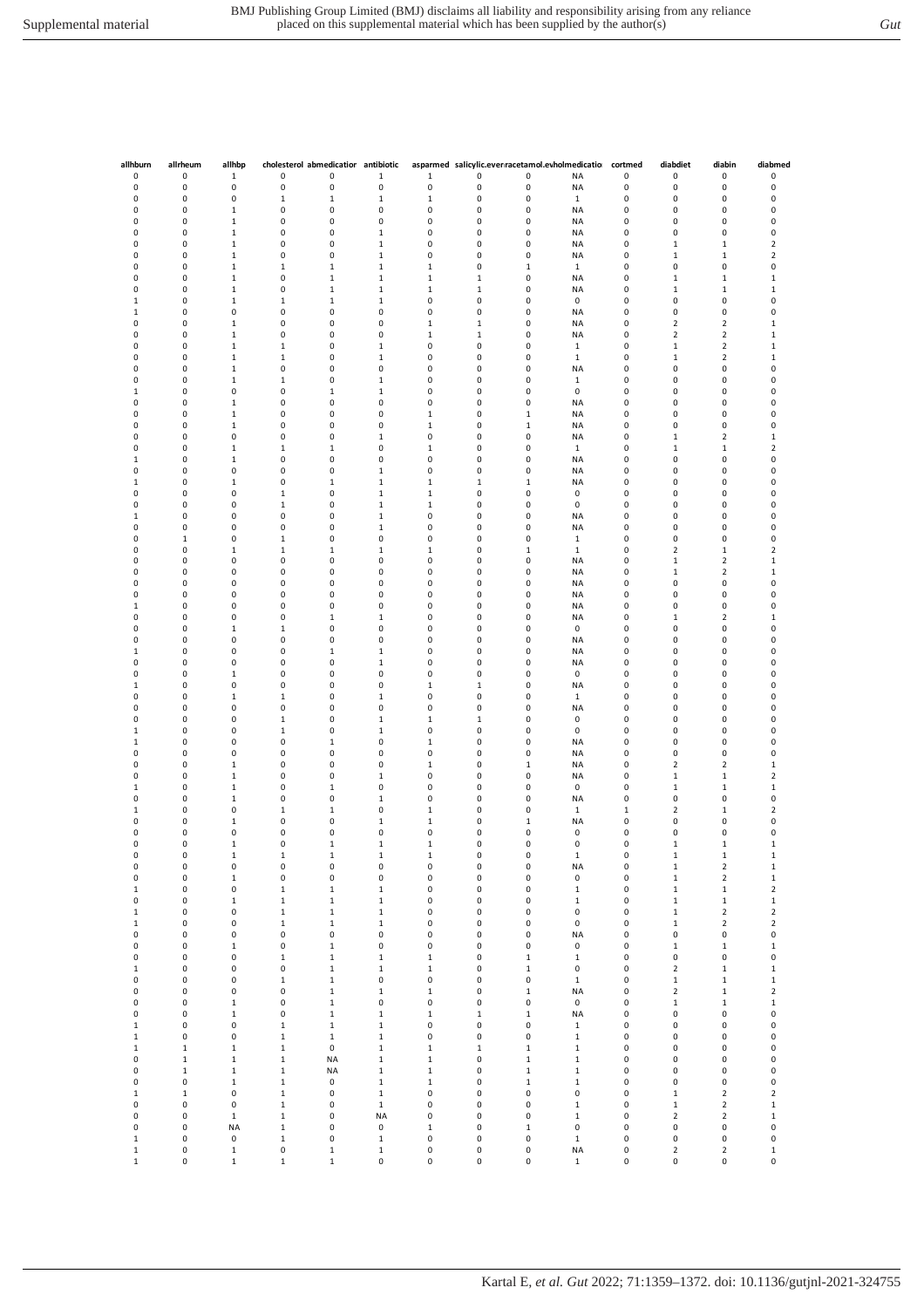| allhburn     | allrheum     | allhbp       |              | cholesterol abmedicatior antibiotic |              |              |              |              | asparmed salicylic.ever racetamol.evholmedicatio | cortmed      | diabdiet                | diabin                  | diabmed          |
|--------------|--------------|--------------|--------------|-------------------------------------|--------------|--------------|--------------|--------------|--------------------------------------------------|--------------|-------------------------|-------------------------|------------------|
| 0            | 0            | $\mathbf 1$  | 0            | 0                                   | $\mathbf 1$  | $\mathbf 1$  | 0            | 0            | <b>NA</b>                                        | 0            | 0                       | 0                       | 0                |
| 0            | 0            | 0            | 0            | 0                                   | $\pmb{0}$    | $\pmb{0}$    | 0            | 0            | <b>NA</b>                                        | $\pmb{0}$    | 0                       | 0                       | 0                |
| $\pmb{0}$    | $\pmb{0}$    | 0            | $\mathbf 1$  | $\mathbf 1$                         | $\mathbf 1$  | $\,1\,$      | 0            | 0            | $\mathbf 1$                                      | $\pmb{0}$    | 0                       | 0                       | 0                |
| 0            | 0            | $\mathbf 1$  | 0            | 0                                   | 0            | 0            | 0            | 0            | NA                                               | 0            | 0                       | 0                       | 0                |
| 0            | 0            | $\mathbf 1$  | 0            | 0                                   | 0            | 0            | 0            | 0            | NA                                               | 0            | 0                       | 0                       | 0                |
| 0            | 0            | $\mathbf 1$  | 0            | 0                                   | $\mathbf 1$  | 0            | 0            | 0            | <b>NA</b>                                        | 0            | 0                       | 0                       | 0                |
| 0            | 0            | $\mathbf 1$  | 0            | 0                                   | $\mathbf 1$  | 0            | 0            | 0            | ΝA                                               | 0            | $\,1$                   | $\mathbf{1}$            | 2                |
| 0            | 0            | $\mathbf 1$  | 0            | 0                                   | $\mathbf 1$  | 0            | 0            | 0            | <b>NA</b>                                        | 0            | $\mathbf 1$             | $1\,$                   | $\mathbf 2$      |
| 0            | $\pmb{0}$    | $\mathbf 1$  | 1            | $\mathbf 1$                         | $\mathbf 1$  | $\mathbf 1$  | 0            | $\,1\,$      | 1                                                | 0            | 0                       | 0                       | 0                |
| 0            | $\pmb{0}$    | $\mathbf 1$  | 0            | $\mathbf 1$                         | $\mathbf 1$  | $\mathbf 1$  | $\mathbf 1$  | 0            | NA                                               | 0            | $\mathbf 1$             | $\mathbf 1$             | $\mathbf 1$      |
|              |              |              |              |                                     |              |              |              |              |                                                  |              |                         |                         |                  |
| 0            | 0            | $\mathbf 1$  | 0            | $1\,$                               | $\mathbf 1$  | $\mathbf 1$  | $\,1\,$      | 0            | NA                                               | 0            | $\mathbf 1$             | $\mathbf{1}$            | $\mathbf 1$      |
| $1\,$        | 0            | $\mathbf 1$  | $\mathbf 1$  | $\,1\,$                             | $\mathbf 1$  | 0            | 0            | 0            | 0                                                | 0            | 0                       | 0                       | 0                |
| $\mathbf{1}$ | 0            | 0            | 0            | 0                                   | 0            | 0            | 0            | 0            | <b>NA</b>                                        | 0            | 0                       | 0                       | 0                |
| 0            | 0            | $\mathbf 1$  | 0            | 0                                   | 0            | $\mathbf 1$  | $\,1$        | 0            | ΝA                                               | 0            | $\overline{\mathbf{c}}$ | $\overline{2}$          | 1                |
| 0            | 0            | $\mathbf 1$  | 0            | 0                                   | 0            | $\mathbf 1$  | $\mathbf 1$  | 0            | <b>NA</b>                                        | 0            | $\overline{\mathbf{c}}$ | $\overline{2}$          | $\mathbf 1$      |
| 0            | 0            | $\mathbf 1$  | $\mathbf 1$  | 0                                   | $\mathbf 1$  | 0            | 0            | 0            | $\mathbf{1}$                                     | $\pmb{0}$    | $\,1\,$                 | $\overline{\mathbf{c}}$ | $\mathbf 1$      |
| 0            | $\pmb{0}$    | $\mathbf 1$  | $\mathbf 1$  | 0                                   | $\mathbf 1$  | 0            | 0            | 0            | $\mathbf{1}$                                     | 0            | $\,1\,$                 | $\overline{2}$          | $\mathbf 1$      |
| 0            | 0            | $\mathbf 1$  | 0            | 0                                   | 0            | 0            | 0            | 0            | NA                                               | 0            | 0                       | 0                       | 0                |
| 0            | 0            | $\mathbf 1$  | $\mathbf{1}$ | 0                                   | $\mathbf{1}$ | 0            | $\pmb{0}$    | 0            | $\mathbf{1}$                                     | 0            | 0                       | 0                       | 0                |
| $\mathbf 1$  | 0            | 0            | 0            | $\mathbf{1}$                        | $\mathbf{1}$ | 0            | 0            | 0            | 0                                                | 0            | 0                       | 0                       | 0                |
|              |              |              |              |                                     |              |              |              |              |                                                  |              |                         |                         |                  |
| 0            | 0            | $\mathbf 1$  | 0            | 0                                   | 0            | 0            | $\pmb{0}$    | 0            | <b>NA</b>                                        | 0            | 0                       | 0                       | 0                |
| 0            | 0            | $\mathbf 1$  | 0            | 0                                   | 0            | $\mathbf 1$  | 0            | $\,1\,$      | NA                                               | 0            | 0                       | 0                       | 0                |
| 0            | $\pmb{0}$    | $\mathbf 1$  | 0            | 0                                   | 0            | $\mathbf 1$  | 0            | $\,1\,$      | NA                                               | 0            | 0                       | 0                       | 0                |
| 0            | $\pmb{0}$    | 0            | 0            | 0                                   | $\mathbf 1$  | 0            | 0            | 0            | NA                                               | 0            | $\mathbf 1$             | $\overline{2}$          | $\mathbf 1$      |
| 0            | 0            | $\mathbf 1$  | $\mathbf 1$  | $\,1\,$                             | $\pmb{0}$    | $\mathbf 1$  | 0            | 0            | $\mathbf{1}$                                     | 0            | 1                       | $\mathbf{1}$            | $\mathbf 2$      |
| $\mathbf{1}$ | 0            | $\mathbf 1$  | 0            | 0                                   | 0            | 0            | 0            | 0            | NA                                               | 0            | 0                       | 0                       | 0                |
| 0            | 0            | 0            | 0            | 0                                   | $\mathbf 1$  | 0            | 0            | 0            | NA                                               | 0            | 0                       | 0                       | 0                |
| $\mathbf{1}$ | 0            | $\mathbf 1$  | 0            | $\mathbf 1$                         | $\mathbf 1$  | $\mathbf{1}$ | $\mathbf{1}$ | $\mathbf{1}$ | NA                                               | 0            | 0                       | 0                       | 0                |
| 0            | 0            | 0            | $\mathbf 1$  | 0                                   | $\mathbf 1$  | $\mathbf 1$  | 0            | 0            | 0                                                | 0            | 0                       | 0                       | 0                |
|              |              |              |              |                                     |              |              |              |              |                                                  |              |                         |                         |                  |
| 0            | $\pmb{0}$    | 0            | $\mathbf 1$  | 0                                   | $\mathbf 1$  | $\mathbf 1$  | 0            | 0            | 0                                                | 0            | 0                       | 0                       | 0                |
| $\,1\,$      | $\pmb{0}$    | 0            | 0            | 0                                   | $\mathbf 1$  | 0            | 0            | 0            | NA                                               | 0            | 0                       | 0                       | 0                |
| 0            | 0            | 0            | 0            | 0                                   | $\mathbf 1$  | 0            | 0            | 0            | NA                                               | 0            | 0                       | 0                       | 0                |
| 0            | $\mathbf{1}$ | 0            | $\mathbf 1$  | 0                                   | 0            | 0            | $\pmb{0}$    | $\pmb{0}$    | $\mathbf{1}$                                     | 0            | 0                       | 0                       | 0                |
| 0            | 0            | $\mathbf 1$  | $\mathbf 1$  | $\mathbf{1}$                        | $\mathbf 1$  | $\mathbf{1}$ | 0            | $\mathbf{1}$ | $\mathbf{1}$                                     | 0            | 2                       | $\mathbf{1}$            | 2                |
| 0            | 0            | 0            | 0            | 0                                   | 0            | 0            | $\pmb{0}$    | 0            | NA                                               | 0            | $\mathbf{1}$            | $\overline{2}$          | $\mathbf{1}$     |
| 0            | 0            | 0            | 0            | 0                                   | 0            | 0            | 0            | 0            | NA                                               | 0            | $\,1$                   | $\overline{2}$          | $\mathbf 1$      |
| 0            | 0            | 0            | 0            | 0                                   | 0            | 0            | 0            | 0            | NA                                               | 0            | 0                       | 0                       | 0                |
| 0            | $\pmb{0}$    | 0            | 0            | 0                                   | 0            | 0            | 0            | 0            | NA                                               | 0            | 0                       | 0                       | 0                |
|              | $\pmb{0}$    | 0            | 0            | 0                                   | 0            | 0            | 0            | 0            |                                                  | 0            | 0                       | 0                       | 0                |
| $\mathbf 1$  |              |              |              |                                     |              |              |              |              | NA                                               |              |                         |                         |                  |
| 0            | 0            | 0            | 0            | $\,1\,$                             | $\mathbf 1$  | 0            | 0            | 0            | NA                                               | 0            | $\,1$                   | $\overline{2}$          | $\mathbf 1$      |
| 0            | 0            | $\mathbf 1$  | $\mathbf{1}$ | 0                                   | 0            | 0            | 0            | 0            | 0                                                | 0            | 0                       | 0                       | 0                |
| 0            | 0            | 0            | 0            | 0                                   | 0            | 0            | 0            | 0            | <b>NA</b>                                        | 0            | 0                       | 0                       | 0                |
| 1            | 0            | 0            | 0            | $\mathbf 1$                         | $\mathbf 1$  | 0            | 0            | 0            | <b>NA</b>                                        | 0            | 0                       | 0                       | 0                |
| 0            | $\pmb{0}$    | 0            | 0            | 0                                   | $\mathbf 1$  | 0            | 0            | 0            | ΝA                                               | 0            | 0                       | 0                       | 0                |
| 0            | $\pmb{0}$    | $\mathbf 1$  | 0            | 0                                   | 0            | 0            | 0            | 0            | 0                                                | 0            | 0                       | 0                       | 0                |
| $\mathbf 1$  | $\pmb{0}$    | 0            | 0            | 0                                   | 0            | $\mathbf 1$  | $\mathbf 1$  | 0            | NA                                               | 0            | 0                       | 0                       | 0                |
| 0            | 0            | $\mathbf 1$  | $\mathbf{1}$ | 0                                   | $\mathbf 1$  | 0            | $\pmb{0}$    | 0            | $\mathbf{1}$                                     | 0            | 0                       | 0                       | 0                |
| 0            | 0            | 0            | 0            | 0                                   | 0            | $\pmb{0}$    | 0            | 0            | NA                                               | 0            | $\pmb{0}$               | 0                       | 0                |
| 0            | 0            | 0            | $\mathbf{1}$ | 0                                   | $\mathbf 1$  | $\mathbf{1}$ | $\mathbf{1}$ | 0            | 0                                                | 0            | 0                       | 0                       | 0                |
| $\,1$        | 0            | 0            | $\mathbf 1$  | 0                                   | $\mathbf 1$  | 0            | 0            | 0            | 0                                                | 0            | 0                       | 0                       | 0                |
|              |              |              |              |                                     |              |              |              |              |                                                  |              |                         |                         |                  |
| 1            | 0            | 0            | 0            | $\mathbf 1$                         | 0            | $\mathbf 1$  | 0            | 0            | NA                                               | 0            | 0                       | 0                       | 0                |
| 0            | $\pmb{0}$    | 0            | 0            | 0                                   | 0            | 0            | 0            | 0            | NA                                               | 0            | 0                       | 0                       | 0                |
| 0            | $\pmb{0}$    | $\mathbf 1$  | 0            | 0                                   | 0            | $\mathbf 1$  | 0            | $\,1\,$      | NA                                               | 0            | $\overline{\mathbf{c}}$ | $\overline{2}$          | $\mathbf 1$      |
| 0            | $\pmb{0}$    | $\mathbf 1$  | 0            | 0                                   | $\mathbf 1$  | 0            | 0            | 0            | NA                                               | 0            | $\mathbf 1$             | $\mathbf 1$             | $\mathbf 2$      |
| $\,1$        | 0            | $\mathbf 1$  | 0            | $\mathbf 1$                         | 0            | 0            | 0            | 0            | 0                                                | 0            | $\,1$                   | $1\,$                   | $\mathbf 1$      |
| 0            | 0            | $\mathbf{1}$ | 0            | 0                                   | $\mathbf 1$  | 0            | 0            | 0            | NA                                               | 0            | 0                       | 0                       | 0                |
| $\mathbf 1$  | 0            | 0            | $\mathbf{1}$ | $\mathbf{1}$                        | 0            | $\mathbf{1}$ | 0            | 0            | $\mathbf{1}$                                     | $\mathbf{1}$ | 2                       | $\mathbf{1}$            | 2                |
| 0            | 0            | $\mathbf 1$  | 0            | 0                                   | $\mathbf 1$  | $\mathbf 1$  | 0            | $1\,$        | ΝA                                               | 0            | 0                       | 0                       | 0                |
| 0            | $\pmb{0}$    | 0            | 0            | 0                                   | 0            | 0            | 0            | 0            | 0                                                | 0            | 0                       | 0                       | 0                |
| 0            | $\pmb{0}$    | $\mathbf 1$  | 0            | $\mathbf 1$                         | $\mathbf 1$  | $\mathbf 1$  | 0            | 0            | $\pmb{0}$                                        | 0            | $\,1$                   | $\,1\,$                 | $\mathbf 1$      |
| 0            | 0            | 1            | $\mathbf{1}$ | $\mathbf 1$                         | $\mathbf 1$  | 1            | 0            | 0            | $\mathbf{1}$                                     | 0            | 1                       | $\mathbf 1$             | $\mathbf{1}$     |
| 0            | 0            | 0            | 0            | 0                                   | 0            | $\pmb{0}$    | 0            | 0            | <b>NA</b>                                        | $\pmb{0}$    | $\mathbf 1$             | $\overline{\mathbf{c}}$ | $\mathbf 1$      |
| 0            | $\pmb{0}$    | $\mathbf 1$  | 0            | 0                                   | $\pmb{0}$    | 0            | $\pmb{0}$    | 0            | $\pmb{0}$                                        | 0            |                         | $\overline{2}$          |                  |
|              |              |              |              |                                     |              |              |              |              |                                                  |              | $\mathbf 1$             |                         | $\mathbf 1$      |
| $\mathbf 1$  | $\pmb{0}$    | $\pmb{0}$    | $\mathbf 1$  | $\mathbf 1$                         | $\mathbf 1$  | 0            | 0            | 0            | $\mathbf 1$                                      | 0            | $\mathbf 1$             | $\mathbf 1$             | $\mathbf 2$      |
| 0            | $\pmb{0}$    | $\mathbf 1$  | $\mathbf 1$  | $\mathbf 1$                         | $\mathbf 1$  | 0            | 0            | $\pmb{0}$    | $\,1\,$                                          | 0            | $\mathbf 1$             | $\mathbf 1$             | $\mathbf 1$      |
| $\mathbf 1$  | $\pmb{0}$    | $\pmb{0}$    | $\mathbf 1$  | $\mathbf 1$                         | $\mathbf 1$  | 0            | 0            | $\pmb{0}$    | $\pmb{0}$                                        | 0            | $\mathbf 1$             | $\mathbf 2$             | $\mathbf 2$      |
| $\mathbf 1$  | $\pmb{0}$    | $\mathsf 0$  | $\mathbf 1$  | $\mathbf 1$                         | $\mathbf 1$  | 0            | $\pmb{0}$    | 0            | $\mathbf 0$                                      | 0            | $\mathbf 1$             | $\mathbf 2$             | $\mathbf 2$      |
| 0            | $\pmb{0}$    | 0            | 0            | 0                                   | 0            | 0            | 0            | 0            | <b>NA</b>                                        | 0            | 0                       | 0                       | 0                |
| 0            | $\pmb{0}$    | $\mathbf 1$  | 0            | $\mathbf 1$                         | 0            | 0            | 0            | 0            | $\pmb{0}$                                        | 0            | $\mathbf 1$             | $\mathbf 1$             | $\mathbf 1$      |
| 0            | $\pmb{0}$    | 0            | 1            | $\mathbf 1$                         | $\mathbf 1$  | $\mathbf 1$  | 0            | $\,1\,$      | $\mathbf{1}$                                     | 0            | 0                       | $\pmb{0}$               | 0                |
| $\mathbf 1$  | $\pmb{0}$    | $\pmb{0}$    | 0            | $\mathbf 1$                         | $\mathbf 1$  | $\mathbf 1$  | 0            | $\mathbf 1$  | $\pmb{0}$                                        | 0            | $\overline{2}$          | $\mathbf 1$             | $\mathbf 1$      |
| $\pmb{0}$    | $\pmb{0}$    | $\pmb{0}$    | $\mathbf 1$  | $\,1\,$                             | $\pmb{0}$    | $\pmb{0}$    | $\pmb{0}$    | $\pmb{0}$    | $\mathbf 1$                                      | 0            | $\mathbf 1$             | $\mathbf 1$             | $\mathbf 1$      |
| $\pmb{0}$    | $\pmb{0}$    | $\pmb{0}$    | 0            | $\mathbf 1$                         | $\mathbf{1}$ | $\mathbf 1$  | $\pmb{0}$    | $\mathbf 1$  | <b>NA</b>                                        | 0            | $\mathbf 2$             | $\mathbf 1$             | $\mathbf 2$      |
|              | $\pmb{0}$    |              |              | $\mathbf 1$                         | 0            | 0            |              | $\pmb{0}$    | $\pmb{0}$                                        | 0            |                         |                         |                  |
| 0            |              | $\mathbf 1$  | 0            |                                     |              |              | 0            |              |                                                  |              | $\mathbf 1$             | $\mathbf 1$             | $\mathbf 1$      |
| $\pmb{0}$    | $\pmb{0}$    | $\mathbf 1$  | 0            | $\mathbf 1$                         | $\mathbf{1}$ | $\mathbf 1$  | $\mathbf 1$  | $\mathbf 1$  | <b>NA</b>                                        | 0            | 0                       | $\pmb{0}$               | 0                |
| $\mathbf 1$  | $\pmb{0}$    | 0            | $\mathbf 1$  | $\mathbf 1$                         | $\mathbf 1$  | 0            | 0            | 0            | $\mathbf 1$                                      | 0            | 0                       | 0                       | 0                |
| $\mathbf 1$  | $\pmb{0}$    | 0            | $\mathbf 1$  | $\,1\,$                             | $\mathbf 1$  | 0            | $\pmb{0}$    | 0            | $\mathbf 1$                                      | 0            | 0                       | 0                       | 0                |
| $\mathbf 1$  | $\mathbf 1$  | $\mathbf 1$  | $\mathbf 1$  | $\pmb{0}$                           | $\mathbf 1$  | $\mathbf 1$  | $\,1\,$      | $\mathbf 1$  | $\,1\,$                                          | 0            | 0                       | 0                       | 0                |
| 0            | $\mathbf 1$  | $\mathbf 1$  | $\mathbf 1$  | <b>NA</b>                           | $\mathbf 1$  | $\mathbf 1$  | 0            | $\,1\,$      | $\,1\,$                                          | 0            | 0                       | 0                       | $\pmb{0}$        |
| $\pmb{0}$    | $\mathbf 1$  | $\mathbf 1$  | $\mathbf 1$  | <b>NA</b>                           | $\mathbf 1$  | $\mathbf 1$  | $\pmb{0}$    | $\mathbf 1$  | $\mathbf 1$                                      | 0            | $\pmb{0}$               | $\pmb{0}$               | $\pmb{0}$        |
| $\pmb{0}$    | 0            | $\mathbf 1$  | $\mathbf 1$  | $\pmb{0}$                           | $\mathbf 1$  | $\mathbf 1$  | 0            | $\mathbf 1$  | $\mathbf 1$                                      | 0            | $\pmb{0}$               | 0                       | $\mathbf 0$      |
| $\mathbf 1$  | $\mathbf 1$  | $\pmb{0}$    | $\mathbf 1$  | $\pmb{0}$                           | $\mathbf 1$  | 0            | $\pmb{0}$    | $\pmb{0}$    | $\pmb{0}$                                        | 0            | $\mathbf 1$             | $\mathbf 2$             | $\mathbf 2$      |
| 0            | 0            | 0            | $\mathbf 1$  | 0                                   | $\mathbf 1$  | 0            | 0            | 0            | $\mathbf 1$                                      | 0            | $\mathbf 1$             | $\overline{\mathbf{c}}$ | $\mathbf 1$      |
|              | 0            |              | $\mathbf 1$  | 0                                   | <b>NA</b>    | 0            | 0            | 0            | $\mathbf 1$                                      | 0            |                         |                         |                  |
| 0            |              | $\mathbf 1$  |              |                                     |              |              |              |              |                                                  |              | $\overline{\mathbf{c}}$ | $\overline{\mathbf{c}}$ | $\mathbf 1$<br>0 |
| 0            | 0            | <b>NA</b>    | $\mathbf 1$  | 0                                   | 0            | $\mathbf 1$  | 0            | $\,1\,$      | 0                                                | 0            | 0                       | 0                       |                  |
| $\mathbf 1$  | $\pmb{0}$    | $\mathsf 0$  | $\mathbf 1$  | 0                                   | $\mathbf 1$  | $\pmb{0}$    | $\pmb{0}$    | 0            | $\mathbf 1$                                      | 0            | $\pmb{0}$               | $\pmb{0}$               | 0                |
| $\mathbf 1$  | $\pmb{0}$    | $\mathbf 1$  | 0            | $\mathbf 1$                         | $\mathbf 1$  | 0            | $\pmb{0}$    | 0            | <b>NA</b>                                        | 0            | $\overline{\mathbf{2}}$ | $\mathbf 2$             | $\mathbf 1$      |
| $\mathbf 1$  | $\pmb{0}$    | $\mathbf 1$  | $\mathbf 1$  | $\mathbf 1$                         | $\pmb{0}$    | $\pmb{0}$    | 0            | $\pmb{0}$    | $\mathbf{1}$                                     | 0            | 0                       | $\pmb{0}$               | 0                |
|              |              |              |              |                                     |              |              |              |              |                                                  |              |                         |                         |                  |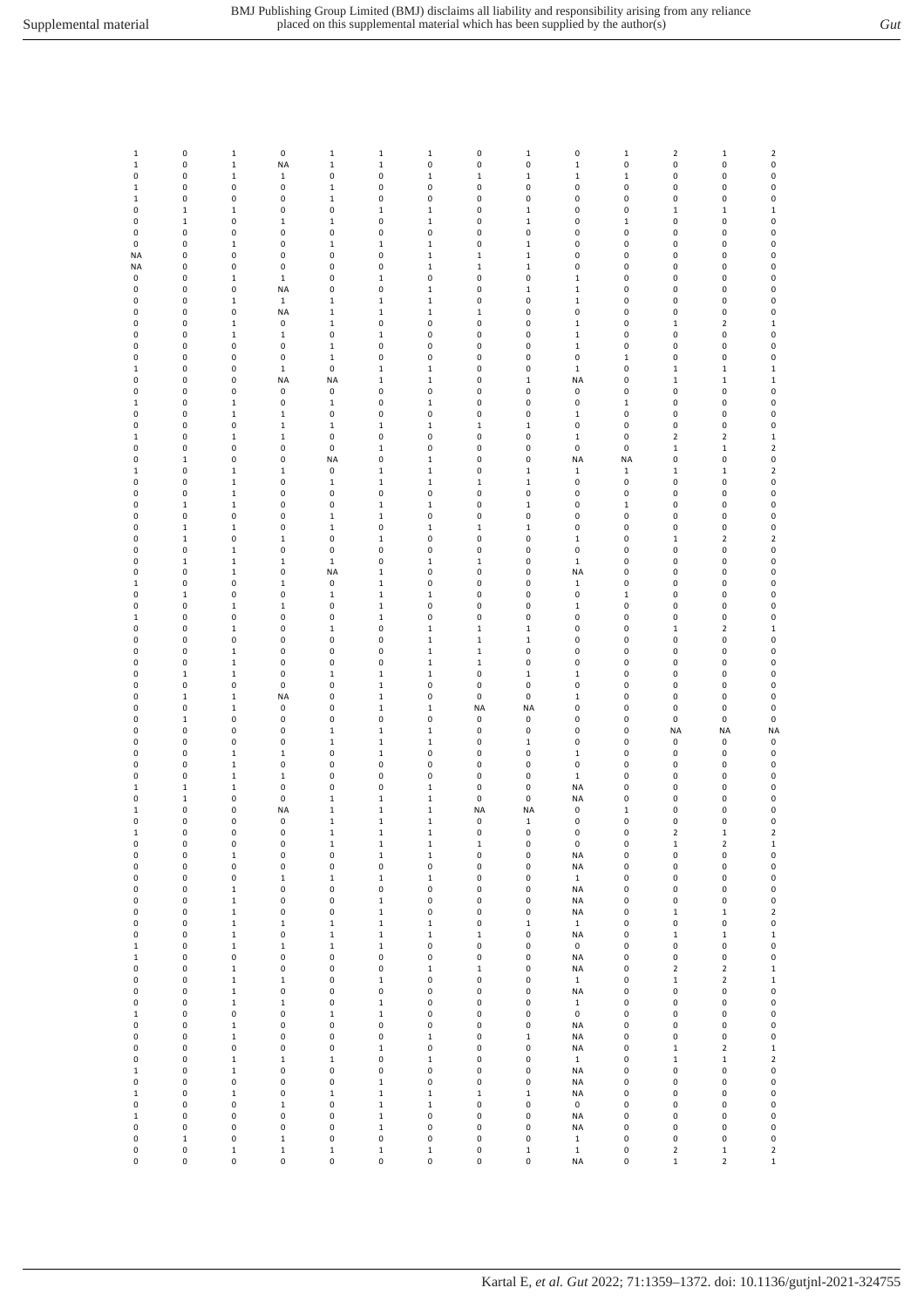| 1                           | 0              | $\mathbf 1$      | 0                        | $\,1\,$                  | $\,1\,$                     | $\mathbf 1$                 | 0           | $\mathbf 1$                | 0                         | $\mathbf 1$      | $\mathbf 2$             | $\mathbf{1}$                  | 2                                     |
|-----------------------------|----------------|------------------|--------------------------|--------------------------|-----------------------------|-----------------------------|-------------|----------------------------|---------------------------|------------------|-------------------------|-------------------------------|---------------------------------------|
| $\mathbf 1$                 | 0              | $\mathbf 1$      | <b>NA</b>                | $\,1\,$                  | $\,1\,$                     | $\pmb{0}$                   | 0           | 0                          | $\mathbf 1$               | 0                | 0                       | 0                             | $\mathbf 0$                           |
| 0                           | 0              | $\mathbf 1$      | $\mathbf 1$              | 0                        | $\pmb{0}$                   | $\,1\,$                     | $\mathbf 1$ | $\mathbf 1$                | $\mathbf 1$               | $\mathbf 1$      | 0                       | 0                             | $\pmb{0}$                             |
| $\mathbf 1$                 | 0              | 0                | $\pmb{0}$                | $\,1\,$                  | $\pmb{0}$                   | $\pmb{0}$                   | 0           | 0                          | $\pmb{0}$                 | 0                | 0                       | 0                             | $\pmb{0}$                             |
| $\,1\,$                     | 0              | 0                | $\pmb{0}$                | $\,1\,$                  | $\pmb{0}$                   | $\pmb{0}$                   | 0           | 0                          | $\pmb{0}$                 | 0                | 0                       | 0                             | $\pmb{0}$                             |
| 0                           | $\mathbf 1$    | $\mathbf 1$<br>0 | $\pmb{0}$                | 0                        | $\mathbf{1}$<br>$\pmb{0}$   | $\mathbf{1}$                | 0<br>0      | $\mathbf 1$<br>$\mathbf 1$ | 0                         | 0                | $1\,$<br>0              | $\mathbf 1$<br>0              | $\mathbf 1$<br>0                      |
| 0                           | $\mathbf 1$    |                  | $\mathbf{1}$             | $\,1\,$                  |                             | $\mathbf 1$                 |             |                            | 0                         | $\mathbf 1$      |                         |                               |                                       |
| 0                           | $\pmb{0}$      | 0                | $\pmb{0}$                | 0                        | $\pmb{0}$                   | 0                           | 0           | 0                          | $\pmb{0}$                 | 0                | 0                       | 0                             | $\mathbf 0$                           |
| 0                           | 0              | $\mathbf 1$      | $\pmb{0}$                | $\,1\,$                  | $\,1\,$                     | $\mathbf 1$                 | 0           | $\mathbf 1$                | $\pmb{0}$                 | 0                | 0                       | 0                             | $\pmb{0}$                             |
| NA                          | 0              | 0                | $\pmb{0}$                | 0                        | $\pmb{0}$                   | $\mathbf 1$                 | $\,1\,$     | $\mathbf 1$                | $\pmb{0}$                 | 0                | 0                       | 0                             | $\pmb{0}$                             |
| NA                          | 0              | 0                | $\pmb{0}$                | 0                        | $\pmb{0}$                   | $\mathbf 1$                 | $\mathbf 1$ | $\mathbf 1$                | $\pmb{0}$                 | 0                | 0                       | 0                             | 0                                     |
| 0                           | 0              | $\mathbf 1$      | $\mathbf 1$              | 0                        | $\,1\,$                     | $\pmb{0}$                   | 0           | 0                          | $\mathbf{1}$              | 0                | 0                       | 0                             | $\pmb{0}$                             |
| 0                           | 0              | 0                | <b>NA</b>                | 0                        | 0                           | $\mathbf{1}$                | 0           | $\mathbf 1$<br>0           | $\mathbf{1}$              | 0                | 0                       | 0                             | $\pmb{0}$                             |
| 0<br>0                      | 0<br>0         | $\mathbf 1$<br>0 | $\mathbf{1}$             | $\,1\,$<br>$\mathbf 1$   | $\mathbf{1}$                | $\mathbf 1$<br>$\mathbf 1$  | 0           | 0                          | $\mathbf{1}$<br>$\pmb{0}$ | 0<br>0           | 0<br>0                  | 0<br>0                        | $\mathbf 0$<br>$\pmb{0}$              |
| 0                           | 0              | $\mathbf 1$      | <b>NA</b><br>$\pmb{0}$   | $\mathbf 1$              | $\mathbf 1$<br>$\pmb{0}$    | 0                           | 1<br>0      | 0                          | $\mathbf{1}$              | 0                | $\mathbf 1$             | $\overline{\mathbf{c}}$       | $\mathbf 1$                           |
| 0                           | 0              | $\mathbf 1$      | $\mathbf 1$              | 0                        | $\,1\,$                     | $\pmb{0}$                   | 0           | 0                          | $\mathbf 1$               | 0                | 0                       | 0                             | 0                                     |
| 0                           | 0              | 0                | $\pmb{0}$                | $\,1\,$                  | $\pmb{0}$                   | $\pmb{0}$                   | 0           | 0                          |                           | 0                | 0                       | 0                             | $\pmb{0}$                             |
| 0                           | 0              | 0                | $\pmb{0}$                | $\mathbf 1$              | $\pmb{0}$                   | $\pmb{0}$                   | 0           | 0                          | $\mathbf{1}$<br>0         |                  | 0                       | 0                             |                                       |
| $1\,$                       | 0              | 0                | $\mathbf 1$              | 0                        | $\mathbf{1}$                | $\mathbf{1}$                | 0           | 0                          | $\mathbf{1}$              | $\mathbf 1$<br>0 | $\,1\,$                 | $\mathbf 1$                   | $\pmb{0}$<br>$\mathbf{1}$             |
| 0                           | 0              | 0                | <b>NA</b>                | <b>NA</b>                | $\mathbf{1}$                | $\mathbf{1}$                | 0           | $\mathbf 1$                | <b>NA</b>                 | 0                | $\mathbf{1}$            | $1\,$                         | $\mathbf 1$                           |
| 0                           | 0              | 0                | 0                        | 0                        | $\pmb{0}$                   | $\pmb{0}$                   | 0           | 0                          | 0                         | 0                | 0                       | 0                             | 0                                     |
| $\mathbf 1$                 | 0              | $\mathbf 1$      | $\pmb{0}$                | $\mathbf 1$              | $\pmb{0}$                   | $\mathbf 1$                 | 0           | 0                          | 0                         | $\mathbf 1$      | 0                       | 0                             | $\pmb{0}$                             |
| 0                           | 0              | $\mathbf 1$      | $\mathbf 1$              | 0                        | $\pmb{0}$                   | $\pmb{0}$                   | 0           | 0                          | $\mathbf 1$               | 0                | 0                       | 0                             | $\pmb{0}$                             |
| 0                           | 0              | 0                | $\mathbf 1$              | $\,1\,$                  | $\mathbf 1$                 | $\mathbf 1$                 | $\mathbf 1$ | $\mathbf 1$                | 0                         | 0                | 0                       | 0                             | 0                                     |
| $\,1\,$                     | 0              | $\mathbf 1$      | $\mathbf 1$              | 0                        | $\pmb{0}$                   | $\pmb{0}$                   | 0           | 0                          | $\mathbf 1$               | 0                | $\overline{\mathbf{2}}$ | $\overline{\mathbf{2}}$       | $\mathbf 1$                           |
| 0                           | 0              | 0                | $\pmb{0}$                | 0                        | $\mathbf{1}$                | 0                           | 0           | 0                          | 0                         | 0                | $1\,$                   | $\,1\,$                       | $\mathbf 2$                           |
| 0                           | $\mathbf 1$    | 0                | $\pmb{0}$                | <b>NA</b>                | $\pmb{0}$                   | $\mathbf{1}$                | 0           | 0                          | <b>NA</b>                 | <b>NA</b>        | 0                       | $\pmb{0}$                     | 0                                     |
| $\,1\,$                     | 0              | $\mathbf 1$      | $\mathbf 1$              | $\pmb{0}$                | $\mathbf 1$                 | $\mathbf 1$                 | 0           | $\mathbf 1$                | $\mathbf 1$               | $\mathbf 1$      | $\mathbf 1$             | $\mathbf 1$                   | $\overline{\mathbf{c}}$               |
| 0                           | 0              | $\mathbf 1$      | $\pmb{0}$                | $\,1\,$                  | $\mathbf 1$                 | $\mathbf 1$                 | $\mathbf 1$ | $\mathbf 1$                | 0                         | 0                | 0                       | 0                             | $\mathbf 0$                           |
| 0                           | 0              | $\mathbf 1$      | $\pmb{0}$                | 0                        | $\pmb{0}$                   | $\pmb{0}$                   | 0           | 0                          | 0                         | 0                | 0                       | 0                             | $\pmb{0}$                             |
| 0                           | $\mathbf 1$    | $\mathbf 1$      | $\pmb{0}$                | $\pmb{0}$                | $\,1\,$                     | $\mathbf 1$                 | 0           | $\mathbf 1$                | $\pmb{0}$                 | $\mathbf 1$      | 0                       | 0                             | $\pmb{0}$                             |
| 0                           | 0              | 0                | $\pmb{0}$                | $\,1\,$                  | $\mathbf 1$                 | 0                           | 0           | 0                          | 0                         | 0                | 0                       | 0                             | $\pmb{0}$                             |
| 0                           | $\mathbf 1$    | $\mathbf 1$      | $\pmb{0}$                | $\mathbf 1$              | 0                           | $\mathbf{1}$                | $\mathbf 1$ | $\mathbf 1$                | 0                         | 0                | 0                       | 0                             | 0                                     |
| 0                           | $\mathbf 1$    | 0                | $\mathbf{1}$             | 0                        | $\mathbf{1}$                | 0                           | 0           | 0                          | $\mathbf{1}$              | 0                | $\mathbf{1}$            | $\overline{\mathbf{c}}$       | $\mathbf 2$                           |
| 0                           | 0              | $\mathbf 1$      | $\pmb{0}$                | 0                        | $\pmb{0}$                   | 0                           | 0           | 0                          | $\pmb{0}$                 | 0                | 0                       | 0                             | 0                                     |
| 0                           | $\mathbf 1$    | $\mathbf 1$      | $\,1\,$                  | $\mathbf 1$              | $\pmb{0}$                   | $\mathbf 1$                 | $\mathbf 1$ | 0                          | $\mathbf 1$               | 0                | 0                       | 0                             | $\pmb{0}$                             |
| 0                           | 0              | $\mathbf 1$      | $\pmb{0}$                | <b>NA</b>                | $\,1\,$                     | 0                           | 0           | 0                          | <b>NA</b>                 | 0                | 0                       | 0                             | $\pmb{0}$                             |
| $\mathbf 1$                 | 0              | 0                | $\mathbf 1$              | $\pmb{0}$                | $\,1\,$                     | 0                           | 0           | 0                          | $\mathbf 1$               | 0                | 0                       | 0                             | $\mathbf 0$                           |
| 0                           | $\mathbf 1$    | 0                | $\pmb{0}$                | $\,1\,$                  | $\,1\,$                     | $\mathbf 1$                 | 0           | 0                          | 0                         | $\mathbf 1$      | 0                       | 0                             | $\pmb{0}$                             |
| 0                           | 0              | $\mathbf 1$      | $\mathbf 1$              | $\pmb{0}$                | $\mathbf 1$                 | $\pmb{0}$                   | 0           | 0                          | $\mathbf{1}$              | 0                | 0                       | 0                             | $\pmb{0}$                             |
| $1\,$                       | 0              | 0                | 0                        | 0                        | $\mathbf{1}$                | 0                           | 0           | 0                          | 0                         | 0                | 0                       | 0                             | 0                                     |
| 0                           | 0              | $\mathbf 1$      | $\pmb{0}$                | $\mathbf 1$              | 0                           | $\mathbf 1$                 | $\mathbf 1$ | $\mathbf 1$                | 0                         | 0                | $\mathbf 1$             | $\mathbf 2$                   | $\mathbf 1$                           |
| 0                           | 0              | $\pmb{0}$        | $\pmb{0}$                | 0                        | 0                           | $\mathbf 1$                 | $\mathbf 1$ | $\mathbf 1$                | $\pmb{0}$                 | 0                | 0                       | 0                             | $\mathbf 0$                           |
| 0                           | 0              | $\mathbf 1$      | $\pmb{0}$                | 0                        | $\pmb{0}$                   | $\mathbf 1$                 | $\mathbf 1$ | 0                          | $\pmb{0}$                 | 0                | 0                       | 0                             | $\pmb{0}$                             |
| 0                           | 0              | $\mathbf 1$      | $\pmb{0}$                | $\pmb{0}$                | $\pmb{0}$                   | $\mathbf 1$                 | $\mathbf 1$ | 0                          | $\pmb{0}$                 | 0                | 0                       | 0                             | $\pmb{0}$                             |
| 0                           | $\mathbf 1$    | $\mathbf 1$      | $\pmb{0}$                | $\,1\,$                  | $\mathbf 1$                 | $\mathbf 1$                 | 0           | $\mathbf 1$                | $\mathbf{1}$              | 0                | 0                       | 0                             | $\pmb{0}$                             |
| 0                           | 0              | 0                | $\pmb{0}$                | 0                        | $\,1\,$                     | 0                           | 0           | 0                          | $\pmb{0}$                 | 0                | 0                       | 0                             | $\pmb{0}$                             |
| 0                           | $\mathbf 1$    | $\mathbf 1$      | NA                       | 0                        | $\mathbf{1}$                | 0                           | 0           | 0                          | $\mathbf{1}$              | 0                | 0                       | 0                             | 0                                     |
| 0                           | 0              | $\mathbf 1$      | $\pmb{0}$                | 0                        | $\,1\,$                     | $\mathbf{1}$                | <b>NA</b>   | <b>NA</b>                  | $\pmb{0}$                 | 0                | 0                       | 0                             | 0                                     |
| 0                           | $\mathbf 1$    | 0                | $\pmb{0}$                | $\pmb{0}$                | $\pmb{0}$                   | $\pmb{0}$                   | 0           | 0                          | 0                         | 0                | 0                       | 0                             | $\pmb{0}$                             |
| 0                           | 0              | 0                | $\pmb{0}$                | $\,1\,$                  | $\,1\,$                     | $\mathbf 1$                 | 0           | 0                          | 0                         | 0                | <b>NA</b>               | <b>NA</b>                     | <b>NA</b>                             |
| 0                           | 0              | 0                | $\pmb{0}$                | $\mathbf 1$              | $\,1\,$                     | $\mathbf 1$                 | 0           | $\mathbf 1$                | 0                         | 0                | 0                       | 0                             | $\pmb{0}$                             |
| 0                           | 0              | $\mathbf 1$      | $\mathbf 1$              | 0                        | $\mathbf 1$                 | $\pmb{0}$                   | 0           | 0                          | $\mathbf{1}$              | 0                | 0                       | 0                             | $\pmb{0}$                             |
| 0                           | 0              | $\mathbf 1$      | $\pmb{0}$                | 0                        | $\pmb{0}$                   | 0                           | 0           | 0                          | 0                         | 0                | 0                       | 0                             | $\pmb{0}$                             |
| 0                           | 0              | $\mathbf 1$      | $\mathbf{1}$             | 0                        | 0                           | 0                           | 0           | 0                          | $\mathbf 1$               | 0                | 0                       | 0                             | $\pmb{0}$                             |
| $\,1\,$                     | $\mathbf 1$    | $\mathbf 1$      | $\pmb{0}$                | 0                        | 0                           | $\,1\,$                     | 0           | 0                          | <b>NA</b>                 | 0                | 0                       | 0                             | 0                                     |
| 0                           | $\mathbf 1$    | 0                | $\pmb{0}$                | $\,1\,$                  | $\mathbf 1$                 | $\mathbf 1$                 | 0           | 0                          | <b>NA</b>                 | 0                | 0                       | 0                             | $\mathbf 0$                           |
| $\mathbf 1$                 | $\pmb{0}$      | $\pmb{0}$        | <b>NA</b>                | $\mathbf 1$              | $\mathbf 1$                 | $\mathbf 1$                 | <b>NA</b>   | <b>NA</b>                  | 0                         | $\mathbf 1$      | 0                       | 0                             | $\mathbf 0$                           |
| 0                           | 0              | 0                | 0                        | 1                        | 1                           | 1                           |             |                            | 0                         | 0                | 0                       | $\Omega$                      | 0                                     |
| $\mathbf 1$                 | 0              | 0                | $\pmb{0}$                | $\,$ 1 $\,$              | $\mathbf 1$                 | $\,$ 1 $\,$                 | 0           | 0                          | 0                         | $\pmb{0}$        | $\mathbf 2$             | $\mathbf 1$                   | $\begin{array}{c} 2 \\ 1 \end{array}$ |
| 0                           | 0              | 0                | $\pmb{0}$                | $\,1\,$                  | $\mathbf 1$                 | $\mathbf 1$                 | $\mathbf 1$ | 0                          | $\pmb{0}$                 | 0                | $\mathbf 1$             | $\mathbf 2$                   |                                       |
| 0                           | 0              | $\mathbf{1}$     | $\pmb{0}$                | $\pmb{0}$                | $\mathbf{1}$                | $\mathbf{1}$                | 0           | 0                          | <b>NA</b>                 | 0                | 0                       | 0                             | $\mathbf 0$                           |
| 0                           | $\pmb{0}$      | 0                | $\pmb{0}$                | $\pmb{0}$                | $\pmb{0}$                   | $\pmb{0}$                   | 0           | 0                          | <b>NA</b>                 | $\pmb{0}$        | 0                       | 0                             | $\pmb{0}$<br>$\pmb{0}$                |
| $\pmb{0}$<br>$\pmb{0}$      |                |                  |                          |                          |                             |                             |             |                            |                           |                  |                         |                               |                                       |
|                             | $\pmb{0}$      | 0                | $\mathbf{1}$             | $\mathbf 1$              | $\mathbf 1$                 | $\mathbf{1}$                | 0           | 0                          | $\mathbf{1}$              | $\pmb{0}$        | 0                       | 0                             |                                       |
|                             | $\pmb{0}$      | $\mathbf 1$      | $\pmb{0}$                | $\pmb{0}$                | $\pmb{0}$                   | $\pmb{0}$                   | 0           | 0                          | <b>NA</b>                 | $\pmb{0}$        | 0                       | $\pmb{0}$                     | $\bf{0}$                              |
| $\mathsf{O}\xspace$         | $\pmb{0}$      | $\mathbf 1$      | 0                        | $\pmb{0}$                | $\mathbf{1}$                | 0                           | 0           | 0                          | <b>NA</b>                 | $\pmb{0}$        | 0                       | 0                             | $\pmb{0}$                             |
| $\pmb{0}$                   | $\pmb{0}$      | $\mathbf 1$      | $\pmb{0}$                | $\pmb{0}$                | $\mathbf 1$                 | $\pmb{0}$                   | 0           | $\pmb{0}$                  | <b>NA</b>                 | $\pmb{0}$        | $\mathbf 1$             | $\mathbf 1$                   | $\mathbf 2$                           |
| 0                           | 0              | $\mathbf 1$      | $\mathbf 1$              | $\mathbf 1$              | $\mathbf 1$                 | $\mathbf 1$                 | 0           | $\mathbf{1}$               | $\mathbf{1}$              | $\pmb{0}$        | 0                       | 0                             | $\pmb{0}$                             |
| $\mathbf 0$                 | 0              | $\mathbf 1$      | $\pmb{0}$                | $\mathbf{1}$             | $\mathbf{1}$                | $\mathbf{1}$                | $\mathbf 1$ | $\mathsf{O}\xspace$        | <b>NA</b>                 | $\pmb{0}$        | $\mathbf 1$             | $\mathbf 1$                   | $\mathbf 1$                           |
| $\mathbf 1$                 | $\pmb{0}$      | $\mathbf 1$      | $\mathbf 1$              | $\mathbf{1}$             | $\mathbf{1}$                | 0                           | 0           | 0                          | $\mathbf 0$               | 0                | 0                       | 0                             | $\mathbf{0}$                          |
| $\mathbf{1}$                | $\pmb{0}$      | 0                | 0                        | $\pmb{0}$                | $\pmb{0}$                   | 0                           | 0           | 0                          | <b>NA</b>                 | 0                | 0                       | 0                             | $\mathbf 0$                           |
| $\pmb{0}$                   | $\pmb{0}$      | $\mathbf 1$      | 0                        | $\pmb{0}$                | $\pmb{0}$                   | $\mathbf 1$                 | $\mathbf 1$ | $\mathsf{O}\xspace$        | <b>NA</b>                 | $\pmb{0}$        | $\overline{2}$          | $\mathbf 2$                   | $\mathbf 1$                           |
| $\pmb{0}$                   | 0              | $\mathbf 1$      | $\mathbf 1$              | $\pmb{0}$                | $\mathbf{1}$                | 0                           | 0           | $\pmb{0}$                  | $\mathbf{1}$              | $\pmb{0}$        | $\mathbf{1}$            | $\sqrt{2}$                    | $\mathbf 1$                           |
| $\pmb{0}$                   | $\pmb{0}$      | $\mathbf 1$      | $\pmb{0}$                | $\pmb{0}$                | $\mathbf 0$                 | $\pmb{0}$                   | 0           | $\pmb{0}$                  | <b>NA</b>                 | $\pmb{0}$        | 0                       | $\pmb{0}$                     | $\pmb{0}$                             |
| 0                           | 0              | $\mathbf 1$      | $\mathbf 1$              | $\pmb{0}$                | $\mathbf 1$                 | $\pmb{0}$                   | 0           | 0                          | $\mathbf{1}$              | 0                | 0                       | 0                             | $\pmb{0}$                             |
| $\mathbf{1}$                | 0              | 0                | 0                        | $\mathbf{1}$             | $\mathbf{1}$                | 0                           | 0           | 0                          | $\mathbf 0$               | $\pmb{0}$        | 0                       | $\pmb{0}$                     | $\pmb{0}$                             |
| $\pmb{0}$                   | 0              | $\mathbf 1$      | 0                        | $\pmb{0}$                | $\mathbf 0$                 | $\pmb{0}$                   | 0           | 0                          | <b>NA</b>                 | $\pmb{0}$        | 0                       | 0                             | $\pmb{0}$                             |
| 0                           | $\pmb{0}$      | $\mathbf 1$      | $\pmb{0}$                | $\pmb{0}$                | $\mathbf 0$                 | $\mathbf{1}$                | 0           | $\mathbf 1$                | <b>NA</b>                 | $\pmb{0}$        | 0                       | $\pmb{0}$                     | $\mathbf{0}$                          |
| $\pmb{0}$                   | $\pmb{0}$      | 0                | 0                        | $\pmb{0}$                | $\mathbf 1$<br>0            | 0                           | 0<br>0      | 0<br>0                     | <b>NA</b>                 | 0<br>$\pmb{0}$   | $\mathbf 1$             | $\mathbf 2$<br>$\mathbf 1$    | $\mathbf 1$                           |
| $\pmb{0}$                   | 0              | $\mathbf 1$      | $\mathbf{1}$             | $\mathbf 1$              |                             | $\mathbf 1$                 |             |                            | $\mathbf{1}$              |                  | $\mathbf 1$             |                               | $\overline{\mathbf{c}}$               |
| $\mathbf 1$                 | 0              | $\mathbf 1$      | 0                        | $\pmb{0}$                | $\pmb{0}$                   | $\pmb{0}$                   | 0<br>0      | $\pmb{0}$                  | <b>NA</b>                 | $\pmb{0}$        | $\pmb{0}$<br>0          | $\pmb{0}$                     | $\pmb{0}$                             |
| 0                           | 0              | 0                | $\pmb{0}$                | $\pmb{0}$                | $\mathbf 1$                 | $\pmb{0}$                   | $\,1\,$     | 0                          | <b>NA</b><br><b>NA</b>    | $\pmb{0}$        | 0                       | 0<br>$\pmb{0}$                | $\pmb{0}$                             |
| $\mathbf{1}$<br>$\mathbf 0$ | 0<br>$\pmb{0}$ | $\mathbf 1$<br>0 | $\pmb{0}$<br>$\mathbf 1$ | $\mathbf 1$<br>$\pmb{0}$ | $\mathbf 1$<br>$\mathbf{1}$ | $\mathbf 1$<br>$\mathbf{1}$ | 0           | $\mathbf 1$<br>0           | $\boldsymbol{0}$          | $\pmb{0}$<br>0   | 0                       | 0                             | $\pmb{0}$                             |
| $\mathbf{1}$                | $\pmb{0}$      | 0                | 0                        | $\pmb{0}$                | $\mathbf 1$                 | 0                           | 0           | 0                          | <b>NA</b>                 | 0                | 0                       | 0                             | $\mathbf 0$<br>0                      |
| $\pmb{0}$                   | $\pmb{0}$      | 0                | 0                        | $\pmb{0}$                | $\mathbf 1$                 | 0                           | 0           | 0                          | <b>NA</b>                 | $\pmb{0}$        | 0                       | $\pmb{0}$                     | $\pmb{0}$                             |
| 0                           | $\mathbf 1$    | 0                | $\mathbf 1$              | $\pmb{0}$                | 0                           | $\pmb{0}$                   | 0           | 0                          | $\mathbf 1$               | $\pmb{0}$        | 0                       | $\pmb{0}$                     | $\pmb{0}$                             |
| 0<br>0                      | 0<br>0         | $\mathbf 1$<br>0 | $\mathbf{1}$<br>0        | $\,1\,$<br>0             | $\mathbf 1$<br>0            | $\mathbf 1$<br>0            | 0<br>0      | $\mathbf{1}$<br>0          | $\mathbf{1}$<br><b>NA</b> | 0<br>0           | 2<br>$\mathbf 1$        | $\mathbf 1$<br>$\overline{2}$ | $\mathbf 2$<br>$\mathbf 1$            |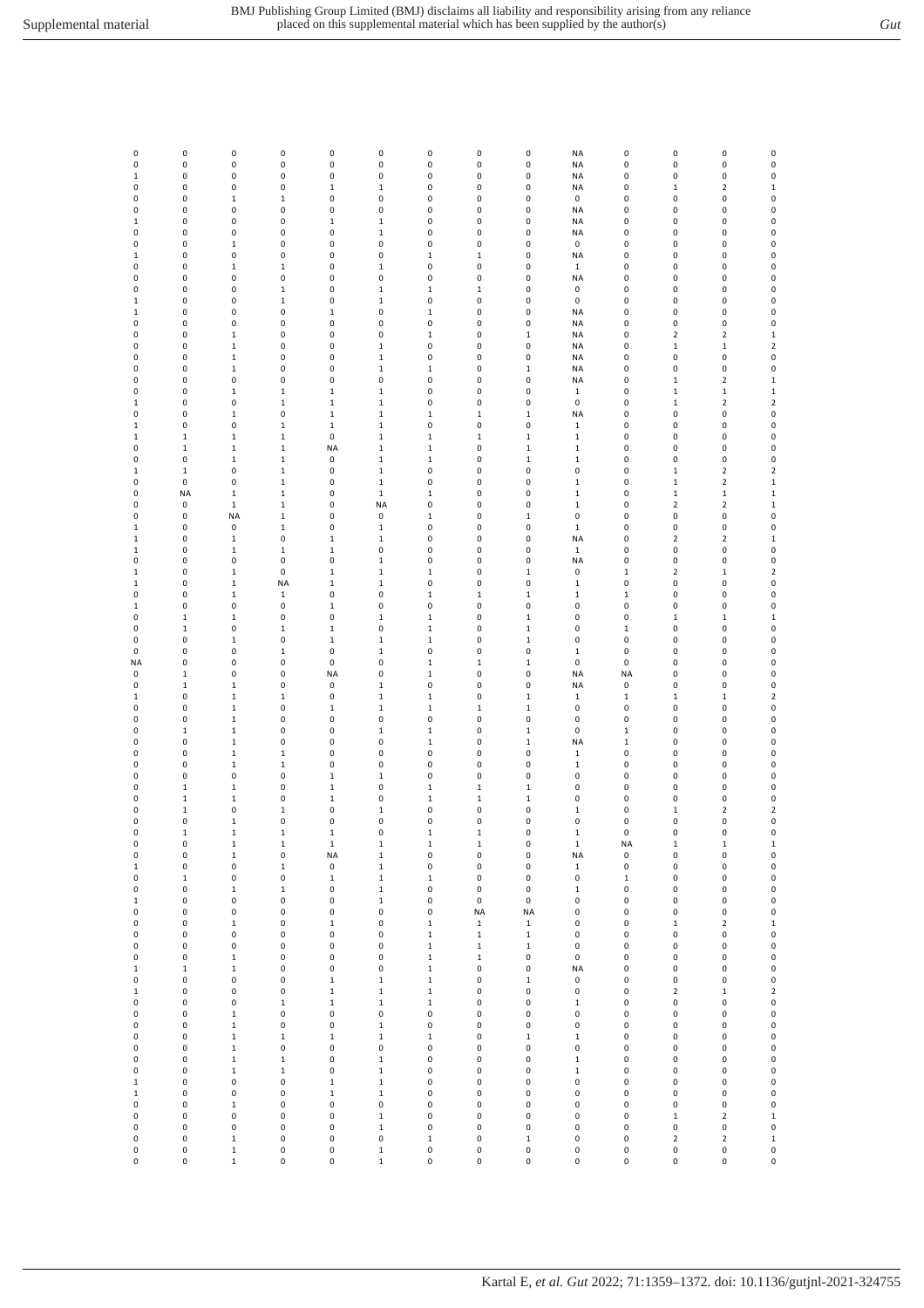| v<br>۰.<br>. .<br>× | I<br>. |
|---------------------|--------|
|                     |        |

| 0                           | $\pmb{0}$                            | $\pmb{0}$                              | 0                          | $\pmb{0}$                          | $\pmb{0}$                                        | $\pmb{0}$                                      | $\pmb{0}$                  | 0                                    | <b>NA</b>                    | 0                                  | $\pmb{0}$             | 0                       | 0                               |
|-----------------------------|--------------------------------------|----------------------------------------|----------------------------|------------------------------------|--------------------------------------------------|------------------------------------------------|----------------------------|--------------------------------------|------------------------------|------------------------------------|-----------------------|-------------------------|---------------------------------|
| 0                           | 0                                    | $\pmb{0}$                              | 0                          | 0                                  | $\pmb{0}$                                        | 0                                              | 0                          | 0                                    | NA                           | 0                                  | 0                     | 0                       | $\pmb{0}$                       |
| $\mathbf 1$                 | 0                                    | 0                                      | 0                          | 0                                  | $\pmb{0}$                                        | 0                                              | 0                          | 0                                    | NA                           | 0                                  | 0                     | 0                       | 0                               |
| 0                           | 0                                    | $\pmb{0}$                              | 0                          | $\mathbf 1$                        | $\mathbf 1$                                      | 0                                              | 0                          | 0                                    | NA                           | 0                                  | $\mathbf 1$           | $\overline{\mathbf{2}}$ | $\mathbf 1$                     |
| 0                           | 0                                    | $\,1\,$                                | $\mathbf 1$                | 0                                  | $\pmb{0}$                                        | 0                                              | 0                          | 0                                    | 0                            | 0                                  | 0                     | 0                       | $\pmb{0}$                       |
| 0                           | 0                                    | 0                                      | 0                          | 0                                  | $\pmb{0}$                                        | 0                                              | 0                          | 0                                    | NA                           | 0                                  | 0                     | 0                       | 0                               |
| $\,1$                       | 0                                    | 0                                      | 0                          | $\mathbf 1$                        | $\,1\,$                                          | 0                                              | 0                          | 0                                    | <b>NA</b>                    | 0                                  | 0                     | 0                       | 0                               |
| 0                           | 0                                    | 0                                      | 0                          | 0                                  | $\,1\,$                                          | 0                                              | 0                          | 0                                    | <b>NA</b>                    | 0                                  | 0                     | 0                       | 0                               |
| 0                           | 0                                    | $\,1\,$                                | 0                          | 0                                  | $\pmb{0}$                                        | 0                                              | 0                          | 0                                    | 0                            | 0                                  | 0                     | 0                       | $\mathbf 0$                     |
| $\mathbf 1$                 | 0                                    | $\pmb{0}$                              | 0                          | 0                                  | $\pmb{0}$                                        | $\mathbf 1$                                    | $\mathbf 1$                | $\pmb{0}$                            | NA                           | 0                                  | 0                     | 0                       | $\mathbf 0$                     |
| 0                           | 0                                    | $\mathbf 1$                            | $\mathbf 1$                | 0                                  | $\mathbf 1$                                      | 0                                              | 0                          | 0                                    | $\mathbf 1$                  | 0                                  | 0                     | 0                       | 0                               |
| 0                           | 0                                    | $\pmb{0}$                              | 0                          | 0                                  | $\pmb{0}$                                        | 0                                              | 0                          | 0                                    | NA                           | 0                                  | 0                     | 0                       | 0                               |
| 0                           | 0                                    | 0                                      | $\mathbf 1$                | 0                                  | $\mathbf{1}$                                     | $\mathbf{1}$                                   | $\mathbf 1$                | 0                                    | 0                            | 0                                  | 0                     | 0                       | 0                               |
| $1\,$                       | 0                                    | $\pmb{0}$                              | $\mathbf 1$                | 0                                  | $\,1\,$                                          | 0                                              | 0                          | 0                                    | 0                            | 0                                  | 0                     | 0                       | 0                               |
| $\mathbf{1}$                | 0                                    | 0                                      | 0                          | $\mathbf 1$                        | $\pmb{0}$                                        | $\mathbf 1$                                    | 0                          | 0                                    | NA                           | 0                                  | 0                     | 0                       | 0                               |
| 0                           | 0                                    | $\pmb{0}$                              | 0                          | 0                                  | $\pmb{0}$                                        | 0                                              | 0                          | 0                                    | NA                           | 0                                  | 0                     | 0                       | $\pmb{0}$                       |
| 0                           | 0                                    | $\mathbf 1$                            | 0                          | 0                                  | $\pmb{0}$                                        | $\mathbf 1$                                    | 0                          | $\mathbf 1$                          | NA                           | 0                                  | $\mathbf 2$           | $\mathbf 2$             | $\mathbf 1$                     |
| 0                           | 0                                    | $\,1\,$                                | 0                          | 0                                  | $\mathbf 1$                                      | 0                                              | 0                          | 0                                    | NA                           | 0                                  | $\mathbf 1$           | $\mathbf 1$             | $\mathbf 2$                     |
| 0                           | $\pmb{0}$                            | $\,1\,$                                | 0                          | 0                                  | $\mathbf 1$                                      | 0                                              | 0                          | 0                                    | <b>NA</b>                    | 0                                  | 0                     | 0                       | $\pmb{0}$                       |
| 0                           | 0                                    | $\,1\,$                                | 0                          | 0                                  | $\mathbf{1}$                                     | $\mathbf{1}$                                   | 0                          | $\,1\,$                              | NA                           | 0                                  | 0                     | 0                       | 0                               |
| 0                           | 0                                    | 0                                      | 0                          | 0                                  | $\pmb{0}$                                        | 0                                              | 0                          | 0                                    | <b>NA</b>                    | 0                                  | $\mathbf 1$           | $\mathbf 2$             | $\mathbf 1$                     |
| 0                           | 0                                    | $\mathbf 1$                            | $\mathbf 1$                | $\mathbf 1$                        | $\mathbf{1}$                                     | 0                                              | 0                          | 0                                    | $\mathbf{1}$                 | 0                                  | $\mathbf 1$           | $\mathbf 1$             | $\mathbf 1$                     |
| $\,1$                       | 0                                    | 0                                      | $\mathbf 1$                | $\mathbf 1$                        | $\,1\,$                                          | 0                                              | 0                          | $\pmb{0}$                            | 0                            | 0                                  | $\mathbf 1$           | $\mathbf 2$             | $\mathbf 2$                     |
| 0                           | $\pmb{0}$                            | $\,1\,$                                | 0                          | $\mathbf 1$                        | $\,1\,$                                          | $\mathbf 1$                                    | $\mathbf 1$                | $\mathbf 1$                          | NA                           | 0                                  | 0                     | 0                       | 0                               |
| 1                           | 0                                    | $\pmb{0}$                              | $\mathbf 1$                | $\mathbf 1$                        | $\mathbf 1$                                      | 0                                              | 0                          | 0                                    | $\mathbf 1$                  | 0                                  | 0                     | 0                       | 0                               |
| 1                           | $\mathbf 1$                          | $\mathbf 1$                            | $\mathbf 1$                | 0                                  | $\mathbf 1$                                      | $\mathbf 1$                                    | $\mathbf 1$                | $\mathbf 1$                          | $\mathbf 1$                  | 0                                  | 0                     | 0                       | 0                               |
| 0                           | $\mathbf 1$                          | $\mathbf{1}$                           | $\mathbf 1$                | NA                                 | $\mathbf{1}$                                     | $\mathbf{1}$                                   | 0                          | $\mathbf{1}$                         | $\mathbf{1}$                 | 0                                  | 0                     | 0                       | $\pmb{0}$                       |
| 0                           | 0                                    | $\mathbf{1}$                           | $\mathbf 1$                | 0                                  | $\,1\,$                                          | $\mathbf{1}$                                   | 0                          | $\,1\,$                              | $\mathbf{1}$                 | 0                                  | 0                     | 0                       | 0                               |
| $\mathbf{1}$                | $\mathbf 1$                          | 0                                      | $\mathbf 1$                | 0                                  | $\mathbf{1}$                                     | 0                                              | 0                          | $\pmb{0}$                            | 0                            | 0                                  | $\mathbf 1$           | $\mathbf 2$             | $\mathbf 2$                     |
| 0                           | $\pmb{0}$                            | 0                                      | $\mathbf 1$                | 0                                  | $\,1\,$                                          | 0                                              | 0                          | 0                                    | $\mathbf 1$                  | 0                                  | $\mathbf 1$           | $\mathbf 2$             | $\mathbf 1$                     |
| 0                           | <b>NA</b>                            | $\,1\,$                                | $\mathbf 1$                | 0                                  | $\mathbf 1$                                      | $\mathbf 1$                                    | 0                          | 0                                    | $\mathbf 1$                  | 0                                  | $\mathbf 1$           | $\mathbf 1$             | $\mathbf 1$                     |
| 0                           | 0                                    | $\,1\,$                                | $\mathbf 1$                | 0                                  | <b>NA</b>                                        | 0                                              | 0                          | 0                                    | $\mathbf 1$                  | 0                                  | $\mathbf 2$           | $\mathbf 2$             | $\mathbf 1$                     |
| 0                           | $\pmb{0}$                            | <b>NA</b>                              | $\mathbf 1$                | 0                                  | $\pmb{0}$                                        | $\mathbf 1$                                    | 0                          | $\mathbf 1$                          | 0                            | 0                                  | 0                     | 0                       | $\mathbf 0$                     |
| 1                           | 0                                    | 0                                      | $\mathbf 1$                | 0                                  | $\mathbf{1}$                                     | 0                                              | 0                          | 0                                    | $\mathbf{1}$                 | 0                                  | 0                     | 0                       | $\pmb{0}$                       |
| $\,1$                       | 0                                    | $\mathbf 1$                            | 0                          | $\mathbf 1$                        | $\,1\,$                                          | 0                                              | 0                          | 0                                    | <b>NA</b>                    | 0                                  | $\mathbf 2$           | $\mathbf 2$             | $\mathbf 1$                     |
| 1                           | 0                                    | $\mathbf 1$                            | $\mathbf 1$                | $\mathbf 1$                        | $\pmb{0}$                                        | 0                                              | 0                          | 0                                    | $\mathbf 1$                  | 0                                  | 0                     | 0                       | 0                               |
| 0                           | 0                                    | $\pmb{0}$                              | 0                          | 0                                  | $\,1\,$                                          | 0                                              | 0                          | 0                                    | <b>NA</b>                    | 0                                  | 0                     | 0                       | 0                               |
| 1                           | $\pmb{0}$                            | $\,1\,$                                | 0                          | $\mathbf 1$                        | $\mathbf 1$                                      | $\mathbf 1$                                    | 0                          | $\,1\,$                              | 0                            | $\mathbf 1$                        | $\mathbf 2$           | $\mathbf 1$             | $\mathbf 2$                     |
| $\,1$                       | 0                                    | $\,1\,$                                | <b>NA</b>                  | $\,1\,$                            | $\mathbf 1$                                      | 0                                              | 0                          | 0                                    | $\mathbf 1$                  | 0                                  | 0                     | 0                       | $\mathbf 0$                     |
| 0                           | 0                                    | $\mathbf 1$                            | $\mathbf 1$                | 0                                  | $\pmb{0}$                                        | $\mathbf 1$                                    | $\mathbf 1$                | $\mathbf 1$                          | $\mathbf 1$                  | $\mathbf 1$                        | 0                     | 0                       | 0                               |
| 1                           | 0                                    | $\pmb{0}$                              | 0                          | $\mathbf 1$                        | $\pmb{0}$                                        | 0                                              | 0                          | 0                                    | 0                            | 0                                  | 0                     | 0                       | 0                               |
| 0                           | $\mathbf{1}$                         | $\mathbf{1}$                           | 0                          | 0                                  | $\mathbf{1}$                                     | $\mathbf{1}$                                   | 0                          | $\,1\,$                              | 0                            | 0                                  | $\,1\,$               | $\mathbf 1$             | $\mathbf 1$                     |
| 0                           | $\mathbf 1$                          | 0                                      | $\mathbf 1$                | $\mathbf 1$                        | $\pmb{0}$                                        | $\mathbf 1$                                    | 0                          | $\mathbf 1$                          | 0                            | $\mathbf 1$                        | 0                     | 0                       | 0                               |
| 0<br>0<br>NA                | 0<br>0<br>0                          | $\mathbf 1$<br>0<br>0<br>$\pmb{0}$     | 0<br>$\mathbf 1$<br>0<br>0 | $\mathbf 1$<br>0<br>$\pmb{0}$      | $\,1\,$<br>$\mathbf 1$<br>$\pmb{0}$<br>$\pmb{0}$ | $\mathbf 1$<br>0<br>$\mathbf 1$<br>$\mathbf 1$ | 0<br>0<br>$\mathbf 1$<br>0 | $\mathbf 1$<br>0<br>$\mathbf 1$<br>0 | 0<br>$\mathbf 1$<br>0        | 0<br>0<br>0                        | 0<br>0<br>0<br>0      | 0<br>0<br>0<br>0        | 0<br>$\mathbf 0$<br>$\mathbf 0$ |
| 0<br>0<br>$\mathbf{1}$<br>0 | $\mathbf 1$<br>$\mathbf 1$<br>0<br>0 | $\mathbf 1$<br>$\,1\,$<br>$\mathbf{1}$ | 0<br>$\mathbf 1$<br>0      | <b>NA</b><br>0<br>0<br>$\mathbf 1$ | $\mathbf 1$<br>$\,1\,$<br>$\mathbf{1}$           | 0<br>$\mathbf{1}$<br>$\mathbf{1}$              | 0<br>0<br>$\mathbf 1$      | 0<br>$\,1\,$<br>$\mathbf{1}$         | NA<br>NA<br>$\mathbf 1$<br>0 | <b>NA</b><br>0<br>$\mathbf 1$<br>0 | 0<br>$\mathbf 1$<br>0 | 0<br>$\mathbf 1$<br>0   | 0<br>0<br>$\mathbf 2$<br>0      |
| 0                           | 0                                    | $\mathbf 1$                            | 0                          | 0                                  | $\pmb{0}$                                        | 0                                              | 0                          | 0                                    | 0                            | 0                                  | 0                     | 0                       | 0                               |
| 0                           | $\mathbf 1$                          | $\,1\,$                                | 0                          | 0                                  | $\mathbf 1$                                      | $\mathbf 1$                                    | 0                          | $\mathbf 1$                          | 0                            | $\mathbf 1$                        | 0                     | 0                       | $\mathbf 0$                     |
| 0                           | 0                                    | $\,1\,$                                | 0                          | 0                                  | $\pmb{0}$                                        | $\mathbf 1$                                    | 0                          | $\mathbf 1$                          | NA                           | $\mathbf 1$                        | 0                     | 0                       | 0                               |
| 0                           | 0                                    | $\mathbf 1$                            | $\mathbf 1$                | 0                                  | $\pmb{0}$                                        | 0                                              | 0                          | 0                                    | $\mathbf 1$                  | 0                                  | 0                     | 0                       | 0                               |
| 0                           | 0                                    | $\,1\,$                                | $\mathbf 1$                | 0                                  | $\pmb{0}$                                        | 0                                              | 0                          | 0                                    | $\mathbf 1$                  | 0                                  | 0                     | 0                       | 0                               |
| 0                           | 0                                    | $\pmb{0}$                              | 0                          | $\,1\,$                            | $\mathbf{1}$                                     | 0                                              | 0                          | 0                                    | 0                            | 0                                  | 0                     | 0                       | $\pmb{0}$                       |
| 0                           | $\mathbf 1$                          | $\mathbf 1$                            | 0                          | $\mathbf 1$                        | $\pmb{0}$                                        | $\mathbf{1}$                                   | $\mathbf{1}$               | $\,1\,$                              | 0                            | 0                                  | 0                     | 0                       | 0                               |
| 0                           | $\mathbf 1$                          | $\mathbf 1$                            | 0                          | $\mathbf 1$                        | $\pmb{0}$                                        | $\mathbf 1$                                    | $\mathbf 1$                | $\mathbf 1$                          | 0                            | 0                                  | 0                     | 0                       | 0                               |
| 0                           | $\mathbf 1$                          | 0                                      | $\mathbf 1$                | 0                                  | $\mathbf 1$                                      | $\pmb{0}$                                      | 0                          | 0                                    | $\mathbf 1$                  | $\pmb{0}$                          | $\mathbf 1$           | $\mathbf 2$             | $\mathbf 2$                     |
| 0                           | 0                                    | 1                                      | 0                          | 0                                  | $\pmb{0}$                                        | 0                                              | 0                          | 0                                    | 0                            | 0                                  | 0                     | 0                       | 0                               |
| 0                           | $\mathbf 1$                          | $\,1\,$                                | $\mathbf 1$                | $\,1\,$                            | $\pmb{0}$                                        | $\mathbf 1$                                    | $\mathbf 1$                | 0                                    | $\mathbf 1$                  | $\pmb{0}$                          | $\pmb{0}$             | 0                       | 0                               |
| 0                           | $\pmb{0}$                            | $\mathbf 1$                            | $\mathbf 1$                | $\mathbf 1$                        | $\mathbf 1$                                      | $\mathbf 1$                                    | $\mathbf 1$                | 0                                    | $\mathbf 1$                  | <b>NA</b>                          | $\mathbf 1$           | $\mathbf 1$             | $\mathbf 1$                     |
| 0                           | 0                                    | $\mathbf 1$                            | 0                          | <b>NA</b>                          | $\mathbf 1$                                      | 0                                              | 0                          | 0                                    | NA                           | 0                                  | 0                     | 0                       | $\mathbf{0}$                    |
| $\,1$                       | 0                                    | 0                                      | $\mathbf 1$                | 0                                  | $\,1\,$                                          | 0                                              | 0                          | 0                                    | $\mathbf 1$                  | 0                                  | 0                     | 0                       | $\mathbf 0$                     |
| 0                           | $\mathbf 1$                          | 0                                      | 0                          | $\mathbf 1$                        | $\mathbf 1$                                      | $\mathbf 1$                                    | 0                          | 0                                    | 0                            | $\mathbf 1$                        | 0                     | 0                       | 0                               |
| 0                           | $\pmb{0}$                            | $\mathbf 1$                            | $\mathbf 1$                | 0                                  | $\,1\,$                                          | $\pmb{0}$                                      | 0                          | $\pmb{0}$                            | $\mathbf 1$                  | 0                                  | 0                     | 0                       | $\mathbf{0}$                    |
| $\mathbf 1$                 | 0                                    | 0                                      | 0                          | $\pmb{0}$                          | $\,1\,$                                          | 0                                              | 0                          | 0                                    | 0                            | 0                                  | 0                     | 0                       | 0                               |
| 0                           | 0                                    | 0                                      | 0                          | 0                                  | $\pmb{0}$                                        | 0                                              | <b>NA</b>                  | <b>NA</b>                            | 0                            | 0                                  | 0                     | 0                       | 0                               |
| 0                           | 0                                    | $\mathbf 1$                            | 0                          | $\mathbf 1$                        | $\pmb{0}$                                        | $\mathbf 1$                                    | $\mathbf 1$                | $\mathbf 1$                          | 0                            | 0                                  | $\mathbf 1$           | 2                       | $\mathbf 1$                     |
| 0                           | $\pmb{0}$                            | 0                                      | 0                          | 0                                  | $\pmb{0}$                                        | $\mathbf 1$                                    | $\mathbf{1}$               | $\,1\,$                              | 0                            | 0                                  | 0                     | 0                       | $\mathbf{0}$                    |
| 0                           | $\pmb{0}$                            | 0                                      | 0                          | 0                                  | $\pmb{0}$                                        | $\mathbf 1$                                    | $\mathbf{1}$               | $\,1\,$                              | 0                            | 0                                  | 0                     | 0                       | $\mathbf{0}$                    |
| 0                           | 0                                    | $\mathbf 1$                            | 0                          | 0                                  | $\pmb{0}$                                        | $\mathbf 1$                                    | $\mathbf 1$                | 0                                    | 0                            | 0                                  | 0                     | 0                       | $\mathbf{0}$                    |
| $\mathbf{1}$                | $\mathbf 1$                          | $\mathbf 1$                            | 0                          | 0                                  | $\pmb{0}$                                        | $\mathbf 1$                                    | 0                          | $\pmb{0}$                            | <b>NA</b>                    | 0                                  | 0                     | 0                       | $\mathbf{0}$                    |
| 0                           | 0                                    | $\pmb{0}$                              | 0                          | $\mathbf 1$                        | $\,1\,$                                          | $\mathbf 1$                                    | 0                          | $\mathbf 1$                          | 0                            | 0                                  | $\pmb{0}$             | 0                       | 0                               |
| $\mathbf 1$                 | $\pmb{0}$                            | $\pmb{0}$                              | 0                          | $\mathbf 1$                        | $\mathbf 1$                                      | $\mathbf 1$                                    | 0                          | $\pmb{0}$                            | 0                            | 0                                  | $\mathbf 2$           | $\mathbf 1$             | $\mathbf 2$                     |
| 0                           | 0                                    | 0                                      | $\mathbf 1$                | $\mathbf 1$                        | $\mathbf 1$                                      | $\mathbf 1$                                    | 0                          | 0                                    | $\mathbf 1$                  | 0                                  | 0                     | 0                       | $\mathbf 0$                     |
| 0                           | 0                                    | $\mathbf 1$                            | 0                          | 0                                  | $\pmb{0}$                                        | 0                                              | 0                          | 0                                    | 0                            | 0                                  | 0                     | 0                       | $\mathbf 0$                     |
| 0                           | 0                                    | $\mathbf 1$                            | 0                          | 0                                  | $\,1\,$                                          | 0                                              | 0                          | 0                                    | 0                            | 0                                  | 0                     | 0                       | $\mathbf{0}$                    |
| 0                           | 0                                    | $\mathbf 1$                            | $\mathbf 1$                | $\mathbf 1$                        | $\,1\,$                                          | $\mathbf 1$                                    | 0                          | $\mathbf 1$                          | $\mathbf 1$                  | 0                                  | 0                     | 0                       | $\mathbf{0}$                    |
| 0                           | $\pmb{0}$                            | $\mathbf 1$                            | 0                          | 0                                  | $\pmb{0}$                                        | $\pmb{0}$                                      | 0                          | $\pmb{0}$                            | 0                            | $\pmb{0}$                          | 0                     | 0                       | $\mathbf{0}$                    |
| 0                           | 0                                    | $\mathbf 1$                            | $\mathbf 1$                | 0                                  | $\mathbf 1$                                      | 0                                              | 0                          | 0                                    | $\mathbf 1$                  | 0                                  | 0                     | 0                       | 0                               |
| 0                           | 0                                    | $\mathbf 1$                            | $\mathbf 1$                | 0                                  | $\,1\,$                                          | 0                                              | 0                          | 0                                    | $\mathbf 1$                  | 0                                  | 0                     | 0                       | 0                               |
| $\mathbf 1$                 | 0                                    | 0                                      | 0                          | $\mathbf 1$                        | $\mathbf 1$                                      | 0                                              | 0                          | 0                                    | 0                            | 0                                  | 0                     | 0                       | 0                               |
| $\mathbf 1$                 | $\pmb{0}$                            | $\pmb{0}$                              | 0                          | $\mathbf 1$                        | $\mathbf 1$                                      | 0                                              | 0                          | 0                                    | 0                            | 0                                  | 0                     | 0                       | $\mathbf 0$                     |
| 0                           | 0                                    | $\,1\,$                                | 0                          | 0                                  | $\pmb{0}$                                        | 0                                              | 0                          | 0                                    | 0                            | 0                                  | 0                     | 0                       | $\mathbf{0}$                    |
| 0                           | 0                                    | 0                                      | 0                          | 0                                  | $\mathbf 1$                                      | 0                                              | 0                          | 0                                    | 0                            | 0                                  | $\mathbf 1$           | $\mathbf 2$             | $\mathbf{1}$                    |
| 0                           | 0                                    | 0                                      | 0                          | 0                                  | $\mathbf{1}$                                     | 0                                              | 0                          | 0                                    | 0                            | 0                                  | 0                     | 0                       | $\mathbf{0}$                    |
| 0                           | 0                                    | $\mathbf 1$                            | 0                          | 0                                  | $\pmb{0}$                                        | $\mathbf 1$                                    | 0                          | $\mathbf 1$                          | 0                            | 0                                  | $\mathbf 2$           | 2                       | $\mathbf 1$                     |
| 0                           | $\pmb{0}$                            | $\mathbf 1$                            | 0                          | 0                                  | $\mathbf 1$                                      | $\mathsf 0$                                    | 0                          | $\pmb{0}$                            | 0                            | $\pmb{0}$                          | $\pmb{0}$             | 0                       | 0                               |
| 0                           | 0                                    | $\mathbf 1$                            | 0                          | 0                                  | $\mathbf 1$                                      | 0                                              | 0                          | 0                                    | 0                            | 0                                  | 0                     | 0                       | $\pmb{0}$                       |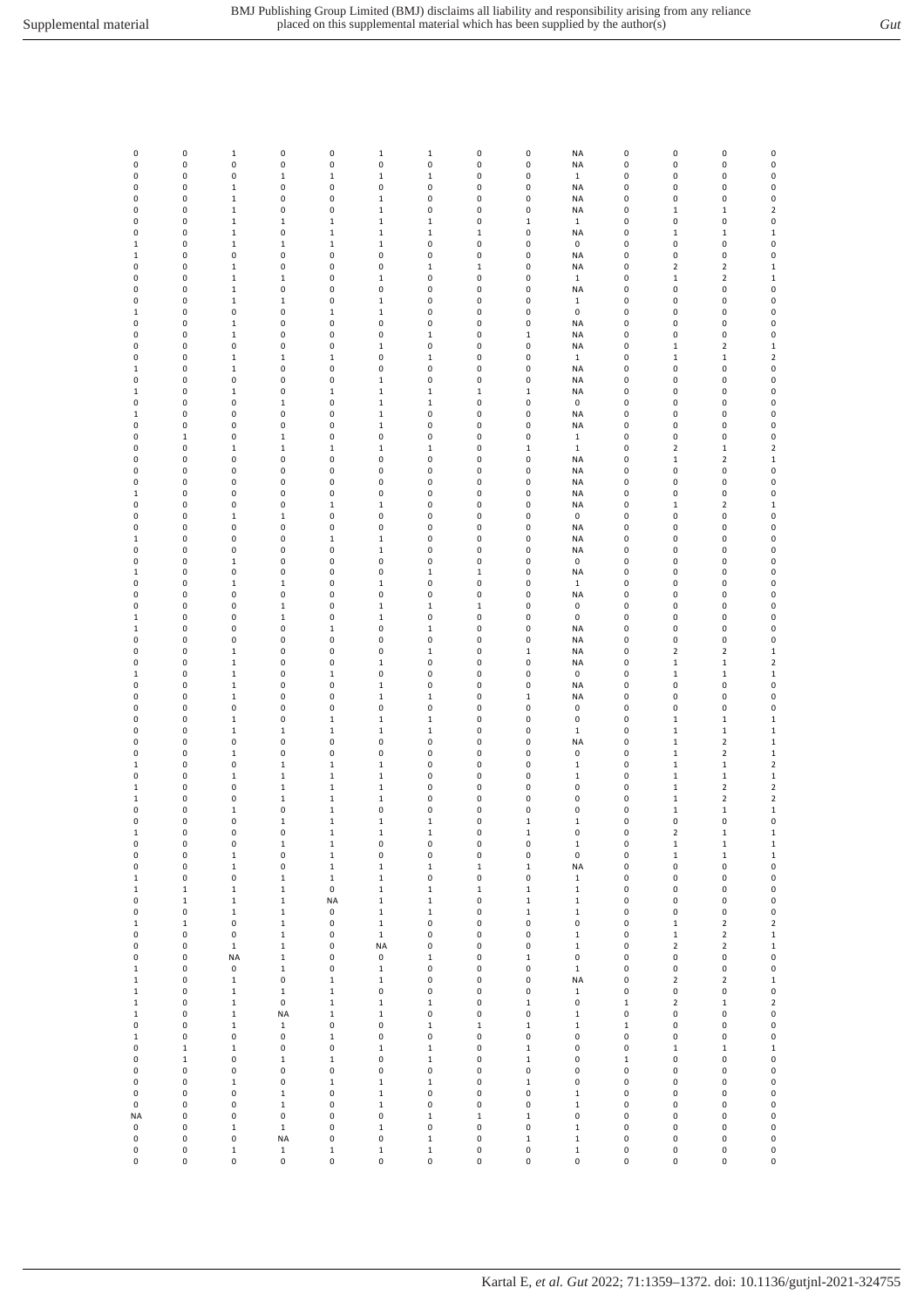| 0                           | 0                | $\mathbf 1$                 | 0                          | 0                          | $\,1\,$                    | $\mathbf 1$              | 0                    | 0                        | <b>NA</b>                 | 0                        | 0                             | 0                              | $\pmb{0}$                     |
|-----------------------------|------------------|-----------------------------|----------------------------|----------------------------|----------------------------|--------------------------|----------------------|--------------------------|---------------------------|--------------------------|-------------------------------|--------------------------------|-------------------------------|
| 0<br>0                      | 0<br>0           | 0<br>0                      | 0<br>$\mathbf 1$           | 0<br>$\mathbf 1$           | $\pmb{0}$<br>$\mathbf 1$   | $\pmb{0}$<br>$\mathbf 1$ | 0<br>0               | 0<br>0                   | <b>NA</b><br>$\mathbf 1$  | 0<br>0                   | 0<br>0                        | 0<br>0                         | $\pmb{0}$<br>$\pmb{0}$        |
| 0                           | 0                | $\mathbf{1}$                | 0                          | 0                          | $\pmb{0}$                  | 0                        | 0                    | 0                        | NA                        | 0                        | 0                             | 0                              | $\pmb{0}$                     |
| 0                           | 0                | $\mathbf 1$                 | 0                          | 0                          | $\mathbf 1$                | 0                        | 0                    | 0                        | <b>NA</b>                 | 0                        | 0                             | 0                              | $\pmb{0}$                     |
| 0<br>0                      | 0<br>0           | $\mathbf 1$<br>$\mathbf 1$  | 0<br>$\mathbf 1$           | $\pmb{0}$<br>$\,1\,$       | $\,1\,$<br>$\,1\,$         | 0<br>$\mathbf 1$         | 0<br>0               | $\pmb{0}$<br>$\,1\,$     | <b>NA</b><br>$\mathbf 1$  | 0<br>0                   | $\,1$<br>0                    | $\,1\,$<br>0                   | $\mathbf 2$<br>$\pmb{0}$      |
| 0                           | 0                | $\mathbf 1$                 | 0                          | $\,1\,$                    | $\,1\,$                    | $\mathbf 1$              | $\mathbf 1$          | $\pmb{0}$                | <b>NA</b>                 | 0                        | $\mathbf 1$                   | $\mathbf 1$                    | $\mathbf 1$                   |
| $\mathbf{1}$                | 0                | $\mathbf 1$                 | $\mathbf 1$                | $\mathbf 1$                | $\,1\,$                    | 0                        | 0<br>0               | 0                        | $\mathbf 0$               | 0                        | 0                             | $\pmb{0}$                      | 0<br>$\pmb{0}$                |
| 1<br>0                      | 0<br>0           | 0<br>$\mathbf 1$            | 0<br>0                     | 0<br>0                     | $\pmb{0}$<br>$\pmb{0}$     | 0<br>$\mathbf 1$         | $\mathbf{1}$         | 0<br>0                   | <b>NA</b><br>NA           | 0<br>0                   | 0<br>$\overline{2}$           | 0<br>$\overline{2}$            | $\mathbf 1$                   |
| 0                           | 0                | $\mathbf 1$                 | $\mathbf 1$                | 0                          | $\mathbf 1$                | 0                        | 0                    | 0                        | $\mathbf 1$               | 0                        | $\mathbf 1$                   | $\overline{\mathbf{c}}$        | $\mathbf 1$                   |
| 0<br>0                      | 0<br>0           | $\mathbf 1$<br>$\mathbf 1$  | 0<br>$\mathbf 1$           | 0<br>$\pmb{0}$             | $\pmb{0}$<br>$\mathbf 1$   | 0<br>0                   | 0<br>0               | 0<br>$\pmb{0}$           | <b>NA</b><br>$\mathbf 1$  | 0<br>0                   | 0<br>0                        | 0<br>0                         | $\pmb{0}$<br>$\pmb{0}$        |
| $\mathbf{1}$                | 0                | 0                           | 0                          | $\,1\,$                    | $\,1\,$                    | 0                        | 0                    | 0                        | $\pmb{0}$                 | 0                        | 0                             | 0                              | $\pmb{0}$                     |
| 0                           | 0                | $\mathbf 1$                 | 0                          | 0                          | $\pmb{0}$                  | 0                        | 0                    | 0                        | <b>NA</b>                 | 0                        | 0                             | 0                              | $\pmb{0}$                     |
| 0<br>0                      | 0<br>0           | $\mathbf 1$<br>0            | 0<br>0                     | 0<br>0                     | $\pmb{0}$<br>$\mathbf{1}$  | 1<br>0                   | 0<br>0               | $\,1\,$<br>0             | <b>NA</b><br>NA           | 0<br>0                   | 0<br>$1\,$                    | 0<br>2                         | $\pmb{0}$<br>$\mathbf 1$      |
| 0                           | 0                | $\mathbf 1$                 | $\mathbf 1$                | $\,1\,$                    | $\pmb{0}$                  | $\mathbf 1$              | 0                    | 0                        | $\mathbf{1}$              | 0                        | $\mathbf 1$                   | $\,1\,$                        | $\mathbf 2$                   |
| $\mathbf{1}$                | 0                | $\mathbf 1$                 | 0                          | $\pmb{0}$                  | $\pmb{0}$                  | 0                        | 0                    | $\pmb{0}$                | NA                        | 0                        | 0                             | 0                              | $\pmb{0}$                     |
| 0<br>$\mathbf{1}$           | 0<br>0           | 0<br>$\mathbf 1$            | 0<br>0                     | $\pmb{0}$<br>$\,1\,$       | $\,1\,$<br>$\,1\,$         | 0<br>1                   | 0<br>$\,1\,$         | $\pmb{0}$<br>$\,1\,$     | <b>NA</b><br><b>NA</b>    | 0<br>0                   | 0<br>0                        | 0<br>0                         | $\pmb{0}$<br>$\pmb{0}$        |
| 0                           | 0                | 0                           | $\mathbf 1$                | $\pmb{0}$                  | $\,1\,$                    | $\mathbf 1$              | 0                    | $\pmb{0}$                | $\pmb{0}$                 | 0                        | 0                             | 0                              | $\pmb{0}$                     |
| 1<br>0                      | 0<br>0           | 0<br>0                      | 0<br>0                     | 0<br>0                     | $\mathbf 1$<br>$\,1\,$     | 0<br>0                   | $\pmb{0}$<br>0       | 0<br>0                   | <b>NA</b><br>NA           | 0<br>0                   | 0<br>0                        | $\pmb{0}$<br>0                 | $\pmb{0}$<br>$\pmb{0}$        |
| 0                           | $\mathbf 1$      | 0                           | $\mathbf 1$                | 0                          | $\pmb{0}$                  | 0                        | 0                    | 0                        | $\mathbf 1$               | 0                        | 0                             | 0                              | $\pmb{0}$                     |
| 0                           | 0                | 1                           | $1\,$                      | $\,1\,$                    | $\mathbf{1}$               | 1                        | 0                    | $\,1\,$                  | $\mathbf{1}$              | 0                        | $\overline{\mathbf{c}}$       | $1\,$                          | $\mathbf 2$                   |
| 0<br>0                      | 0<br>0           | 0<br>0                      | 0<br>0                     | $\pmb{0}$<br>0             | $\pmb{0}$<br>$\pmb{0}$     | 0<br>0                   | 0<br>0               | $\pmb{0}$<br>0           | <b>NA</b><br><b>NA</b>    | 0<br>0                   | $\mathbf 1$<br>0              | $\mathbf 2$<br>0               | $\mathbf 1$<br>$\pmb{0}$      |
| 0                           | 0                | 0                           | 0                          | $\pmb{0}$                  | $\pmb{0}$                  | 0                        | 0                    | $\pmb{0}$                | <b>NA</b>                 | 0                        | 0                             | $\pmb{0}$                      | $\pmb{0}$                     |
| $\mathbf{1}$                | 0                | 0                           | 0                          | 0                          | $\pmb{0}$                  | 0                        | 0                    | 0                        | <b>NA</b>                 | 0                        | 0                             | 0                              | $\pmb{0}$                     |
| 0<br>0                      | 0<br>0           | 0<br>$\mathbf{1}$           | 0<br>$1\,$                 | $\mathbf 1$<br>0           | $\,1\,$<br>$\pmb{0}$       | 0<br>0                   | 0<br>0               | 0<br>0                   | <b>NA</b><br>0            | 0<br>0                   | $\mathbf 1$<br>0              | $\overline{2}$<br>0            | $\mathbf 1$<br>$\pmb{0}$      |
| 0                           | 0                | 0                           | 0                          | $\pmb{0}$                  | $\pmb{0}$                  | 0                        | 0                    | $\pmb{0}$                | NA                        | 0                        | 0                             | 0                              | $\pmb{0}$                     |
| $1\,$<br>0                  | 0<br>0           | 0<br>0                      | 0<br>0                     | $\mathbf 1$<br>0           | $\mathbf 1$<br>$\,1\,$     | 0<br>0                   | 0<br>0               | $\pmb{0}$<br>0           | <b>NA</b><br><b>NA</b>    | 0<br>0                   | 0<br>0                        | 0<br>0                         | $\pmb{0}$<br>$\pmb{0}$        |
| 0                           | 0                | $\mathbf 1$                 | 0                          | 0                          | $\pmb{0}$                  | 0                        | 0                    | $\pmb{0}$                | $\pmb{0}$                 | 0                        | 0                             | $\pmb{0}$                      | $\pmb{0}$                     |
| $\mathbf{1}$                | 0                | 0                           | 0                          | 0                          | $\pmb{0}$                  | $\mathbf 1$              | $\,1\,$              | 0                        | <b>NA</b>                 | 0                        | 0                             | $\pmb{0}$                      | $\pmb{0}$                     |
| 0<br>0                      | 0<br>0           | $\mathbf 1$<br>0            | $\mathbf 1$<br>0           | 0<br>0                     | $\,1\,$<br>$\pmb{0}$       | 0<br>0                   | 0<br>0               | 0<br>0                   | $\mathbf 1$<br><b>NA</b>  | 0<br>0                   | 0<br>0                        | 0<br>0                         | $\pmb{0}$<br>$\pmb{0}$        |
| 0                           | 0                | 0                           | $\mathbf{1}$               | 0                          | $\mathbf{1}$               | $\mathbf 1$              | $\mathbf{1}$         | 0                        | $\pmb{0}$                 | 0                        | 0                             | 0                              | $\pmb{0}$                     |
| $1\,$                       | 0                | 0                           | $\mathbf 1$                | 0                          | $\,1\,$                    | 0                        | 0                    | 0                        | $\pmb{0}$                 | 0                        | 0                             | 0                              | $\pmb{0}$                     |
| $\mathbf{1}$<br>0           | 0<br>0           | 0<br>0                      | 0<br>0                     | $\,1\,$<br>0               | $\pmb{0}$<br>$\pmb{0}$     | $\mathbf 1$<br>0         | 0<br>0               | 0<br>$\pmb{0}$           | <b>NA</b><br><b>NA</b>    | 0<br>0                   | 0<br>0                        | 0<br>0                         | $\pmb{0}$<br>$\pmb{0}$        |
| 0                           | 0                | $\mathbf 1$                 | 0                          | 0                          | $\pmb{0}$                  | 1                        | 0                    | $\,1\,$                  | <b>NA</b>                 | 0                        | $\overline{\mathbf{c}}$       | $\overline{\mathbf{c}}$        | $\mathbf 1$                   |
| 0                           | 0                | $\mathbf 1$<br>$\mathbf{1}$ | 0<br>0                     | 0<br>$\,1\,$               | $\,1\,$<br>$\pmb{0}$       | 0<br>0                   | 0<br>0               | 0<br>0                   | <b>NA</b><br>$\mathbf 0$  | 0<br>0                   | $\,1\,$                       | $\,1\,$                        | $\overline{2}$<br>$\mathbf 1$ |
| $\mathbf{1}$<br>0           | 0<br>0           | $\mathbf 1$                 | 0                          | $\pmb{0}$                  | $\mathbf 1$                | 0                        | 0                    | $\pmb{0}$                | NA                        | 0                        | $\,1$<br>0                    | $\mathbf{1}$<br>$\pmb{0}$      | $\pmb{0}$                     |
| 0                           | 0                | $\mathbf 1$                 | 0                          | $\pmb{0}$                  | $\,1\,$                    | 1                        | 0                    | $\,1\,$                  | <b>NA</b>                 | 0                        | 0                             | 0                              | $\pmb{0}$                     |
| 0<br>0                      | 0<br>0           | 0<br>$\mathbf 1$            | 0<br>0                     | $\pmb{0}$<br>$\,1\,$       | $\pmb{0}$<br>$\,1\,$       | 0<br>$\mathbf 1$         | 0<br>0               | $\pmb{0}$<br>0           | $\pmb{0}$<br>$\pmb{0}$    | 0<br>0                   | 0<br>$\mathbf 1$              | 0<br>$\mathbf 1$               | $\pmb{0}$<br>$\mathbf 1$      |
| 0                           | 0                | $\mathbf 1$                 | $\mathbf 1$                | $\mathbf 1$                | $\mathbf 1$                | $\mathbf 1$              | 0                    | 0                        | $\mathbf 1$               | 0                        | $\mathbf 1$                   | $\mathbf 1$                    | $\mathbf 1$                   |
| 0                           | 0                | 0                           | 0                          | 0                          | $\pmb{0}$                  | 0                        | 0                    | 0                        | <b>NA</b>                 | 0                        | $\mathbf 1$                   | $\mathbf 2$                    | $\mathbf 1$                   |
| 0<br>$\mathbf{1}$           | 0<br>0           | $\mathbf{1}$<br>0           | 0<br>$\mathbf{1}$          | 0<br>$\,1\,$               | 0<br>$\mathbf{1}$          | 0<br>0                   | 0<br>0               | 0<br>0                   | $\pmb{0}$<br>$\mathbf{1}$ | 0<br>0                   | $\mathbf 1$<br>$\mathbf 1$    | $\overline{2}$<br>$\mathbf{1}$ | $\mathbf 1$<br>$\mathbf 2$    |
| 0                           | 0                | $\mathbf 1$                 | $\mathbf 1$                | $\,1\,$                    | $\mathbf{1}$               | 0                        | 0                    | 0                        | $\mathbf 1$               | 0                        | $\mathbf 1$                   | $\,1\,$                        | $\mathbf 1$                   |
| $\mathbf{1}$<br>$\,1$       | 0<br>0           | 0<br>0                      | $\mathbf 1$<br>$\mathbf 1$ | $\,1\,$<br>$\mathbf 1$     | $\,1\,$<br>$\,1\,$         | 0<br>0                   | 0<br>0               | $\pmb{0}$<br>0           | 0<br>0                    | $\pmb{0}$<br>0           | $\mathbf 1$<br>$\mathbf 1$    | $\mathbf 2$<br>$\mathbf 2$     | $\mathbf 2$<br>$\mathbf 2$    |
| 0                           | 0                | $\mathbf 1$                 | 0                          | $\mathbf 1$                | $\pmb{0}$                  | 0                        | 0                    | 0                        | 0                         | $\pmb{0}$                | $\,1\,$                       | $\,1\,$                        | $\mathbf 1$                   |
| 0                           | 0                | 0                           | $\mathbf 1$                | $\mathbf 1$                | $\mathbf 1$                | $\mathbf{1}$             | 0                    | $\mathbf{1}$             | 1                         | 0                        | 0                             | 0                              | 0                             |
| $\mathbf{1}$<br>0           | 0<br>0           | 0<br>0                      | 0<br>$\mathbf 1$           | $\,1\,$<br>$\,1\,$         | $\,1\,$<br>$\pmb{0}$       | $\mathbf{1}$<br>0        | 0<br>0               | $\,1\,$<br>$\pmb{0}$     | $\pmb{0}$<br>$\,1\,$      | 0<br>$\pmb{0}$           | $\overline{2}$<br>$\mathbf 1$ | $\,1\,$<br>$\,1\,$             | $\mathbf 1$<br>$\mathbf 1$    |
| 0                           | 0                | $\mathbf 1$                 | 0                          | $\mathbf 1$                | $\pmb{0}$                  | 0                        | 0                    | $\pmb{0}$                | $\pmb{0}$                 | $\pmb{0}$                | $\mathbf 1$                   | $\mathbf 1$                    | $\mathbf 1$                   |
| 0<br>$\mathbf 1$            | 0<br>0           | 1<br>0                      | 0<br>$\mathbf 1$           | $\mathbf 1$<br>$\mathbf 1$ | $\mathbf 1$<br>$\mathbf 1$ | $\mathbf 1$<br>0         | $\mathbf 1$<br>0     | $\mathbf 1$<br>$\pmb{0}$ | <b>NA</b><br>$\mathbf 1$  | $\pmb{0}$<br>0           | 0<br>0                        | $\pmb{0}$<br>0                 | $\pmb{0}$<br>$\mathbf 0$      |
| $\,1$                       | $\mathbf 1$      | $\mathbf 1$                 | $\mathbf 1$                | $\pmb{0}$                  | $\mathbf 1$                | $\mathbf 1$              | $\mathbf 1$          | $\mathbf 1$              | $\mathbf 1$               | 0                        | $\pmb{0}$                     | $\pmb{0}$                      | $\pmb{0}$                     |
| 0                           | $\mathbf 1$<br>0 | $\mathbf 1$                 | $\mathbf 1$                | <b>NA</b>                  | $\mathbf 1$                | $\mathbf 1$              | 0                    | $\mathbf 1$              | $\mathbf 1$               | 0                        | 0                             | 0                              | $\pmb{0}$<br>$\mathbf 0$      |
| 0<br>$\mathbf{1}$           | $\mathbf 1$      | $\mathbf 1$<br>0            | $\mathbf 1$<br>$\,1$       | $\pmb{0}$<br>0             | $\mathbf 1$<br>$\,1\,$     | $\mathbf 1$<br>0         | 0<br>0               | $\mathbf 1$<br>$\pmb{0}$ | $\mathbf 1$<br>0          | 0<br>0                   | 0<br>$\mathbf 1$              | 0<br>$\overline{2}$            | $\overline{\mathbf{c}}$       |
| 0                           | 0                | 0                           | $\mathbf 1$                | $\pmb{0}$                  | $\mathbf 1$                | 0                        | 0                    | $\pmb{0}$                | $\mathbf 1$               | 0                        | $\mathbf 1$                   | $\mathbf 2$                    | $\mathbf 1$                   |
| 0<br>0                      | 0<br>0           | $\mathbf 1$<br><b>NA</b>    | $\mathbf 1$<br>$\mathbf 1$ | $\pmb{0}$<br>$\pmb{0}$     | <b>NA</b><br>$\pmb{0}$     | 0<br>$\mathbf 1$         | 0<br>0               | $\pmb{0}$<br>$\mathbf 1$ | $\mathbf 1$<br>$\pmb{0}$  | $\pmb{0}$<br>0           | $\mathbf 2$<br>$\pmb{0}$      | $\mathbf 2$<br>$\pmb{0}$       | $\mathbf 1$<br>$\pmb{0}$      |
| $\,1$                       | 0                | $\pmb{0}$                   | $\mathbf 1$                | $\pmb{0}$                  | $\mathbf 1$                | $\pmb{0}$                | 0                    | $\pmb{0}$                | $\mathbf 1$               | $\pmb{0}$                | $\pmb{0}$                     | $\pmb{0}$                      | $\pmb{0}$                     |
| $\mathbf 1$                 | 0                | $\mathbf 1$                 | 0                          | $\mathbf 1$                | $\mathbf 1$                | 0                        | 0                    | 0                        | <b>NA</b>                 | 0                        | 2                             | $\mathbf 2$                    | $\mathbf 1$                   |
| $\mathbf 1$<br>$\mathbf{1}$ | 0<br>0           | $\mathbf 1$<br>$\mathbf 1$  | $\mathbf 1$<br>0           | $\mathbf 1$<br>$\mathbf 1$ | $\pmb{0}$<br>$\,1\,$       | 0<br>$\mathbf 1$         | 0<br>0               | 0<br>$\,1\,$             | $\mathbf 1$<br>$\pmb{0}$  | 0<br>$\mathbf 1$         | $\pmb{0}$<br>$\mathbf 2$      | 0<br>$\,1\,$                   | $\mathbf 0$<br>$\mathbf 2$    |
| $\mathbf{1}$                | 0                | $\mathbf 1$                 | <b>NA</b>                  | $\mathbf 1$                | $\mathbf 1$                | 0                        | 0                    | $\pmb{0}$                | $\mathbf 1$               | $\pmb{0}$                | 0                             | 0                              | $\pmb{0}$                     |
| 0<br>$\,1$                  | 0<br>0           | $\mathbf 1$<br>0            | $\mathbf 1$<br>0           | $\pmb{0}$<br>$\mathbf 1$   | $\pmb{0}$<br>$\pmb{0}$     | 1<br>$\pmb{0}$           | $\,1\,$<br>$\pmb{0}$ | $\,1\,$<br>$\pmb{0}$     | $\mathbf 1$<br>$\pmb{0}$  | $\mathbf 1$<br>$\pmb{0}$ | 0<br>0                        | 0<br>$\pmb{0}$                 | 0<br>$\pmb{0}$                |
| 0                           | $\mathbf 1$      | $\mathbf 1$                 | $\mathsf 0$                | $\pmb{0}$                  | $\mathbf 1$                | $\mathbf 1$              | 0                    | $\,1\,$                  | $\pmb{0}$                 | $\pmb{0}$                | $\mathbf 1$                   | $\mathbf 1$                    | $\mathbf 1$                   |
| 0                           | $\mathbf 1$      | 0                           | $\mathbf 1$                | $\mathbf 1$                | $\pmb{0}$                  | $\mathbf 1$              | 0                    | $\mathbf 1$              | $\pmb{0}$                 | $\mathbf 1$              | 0                             | 0                              | $\pmb{0}$                     |
| 0<br>0                      | 0<br>0           | 0<br>$\mathbf 1$            | 0<br>0                     | $\pmb{0}$<br>$\,1\,$       | $\pmb{0}$<br>$\,1\,$       | 0<br>$\mathbf 1$         | 0<br>0               | $\pmb{0}$<br>$\,1\,$     | $\pmb{0}$<br>0            | 0<br>0                   | 0<br>0                        | 0<br>0                         | $\mathsf 0$<br>$\pmb{0}$      |
| 0                           | 0                | 0                           | $\mathbf 1$                | $\pmb{0}$                  | $\mathbf 1$                | $\pmb{0}$                | 0                    | $\pmb{0}$                | $\mathbf 1$               | $\pmb{0}$                | 0                             | 0                              | 0                             |
| 0<br><b>NA</b>              | 0<br>0           | 0<br>0                      | $\mathbf 1$<br>0           | $\pmb{0}$<br>$\pmb{0}$     | $\,1\,$<br>$\pmb{0}$       | $\pmb{0}$<br>$\mathbf 1$ | 0<br>$\,1\,$         | $\pmb{0}$<br>$\mathbf 1$ | $\mathbf 1$<br>$\pmb{0}$  | $\pmb{0}$<br>$\pmb{0}$   | 0<br>0                        | 0<br>$\pmb{0}$                 | $\pmb{0}$<br>$\pmb{0}$        |
| 0                           | 0                | $\mathbf 1$                 | $\mathbf 1$                | $\pmb{0}$                  | $\,1\,$                    | 0                        | 0                    | 0                        | $\mathbf 1$               | 0                        | 0                             | 0                              | $\pmb{0}$                     |
| 0                           | 0                | 0                           | NA                         | $\pmb{0}$                  | $\pmb{0}$                  | $\mathbf 1$              | 0                    | $\mathbf 1$              | $\mathbf 1$               | $\mathsf{O}\xspace$      | 0                             | $\pmb{0}$                      | $\pmb{0}$                     |
| 0<br>0                      | 0<br>0           | $\mathbf 1$<br>0            | $\mathbf{1}$<br>0          | $\mathbf 1$<br>$\pmb{0}$   | $\mathbf 1$<br>$\pmb{0}$   | $\mathbf 1$<br>0         | 0<br>0               | 0<br>$\pmb{0}$           | $\mathbf 1$<br>$\pmb{0}$  | 0<br>0                   | 0<br>0                        | 0<br>$\pmb{0}$                 | 0<br>0                        |
|                             |                  |                             |                            |                            |                            |                          |                      |                          |                           |                          |                               |                                |                               |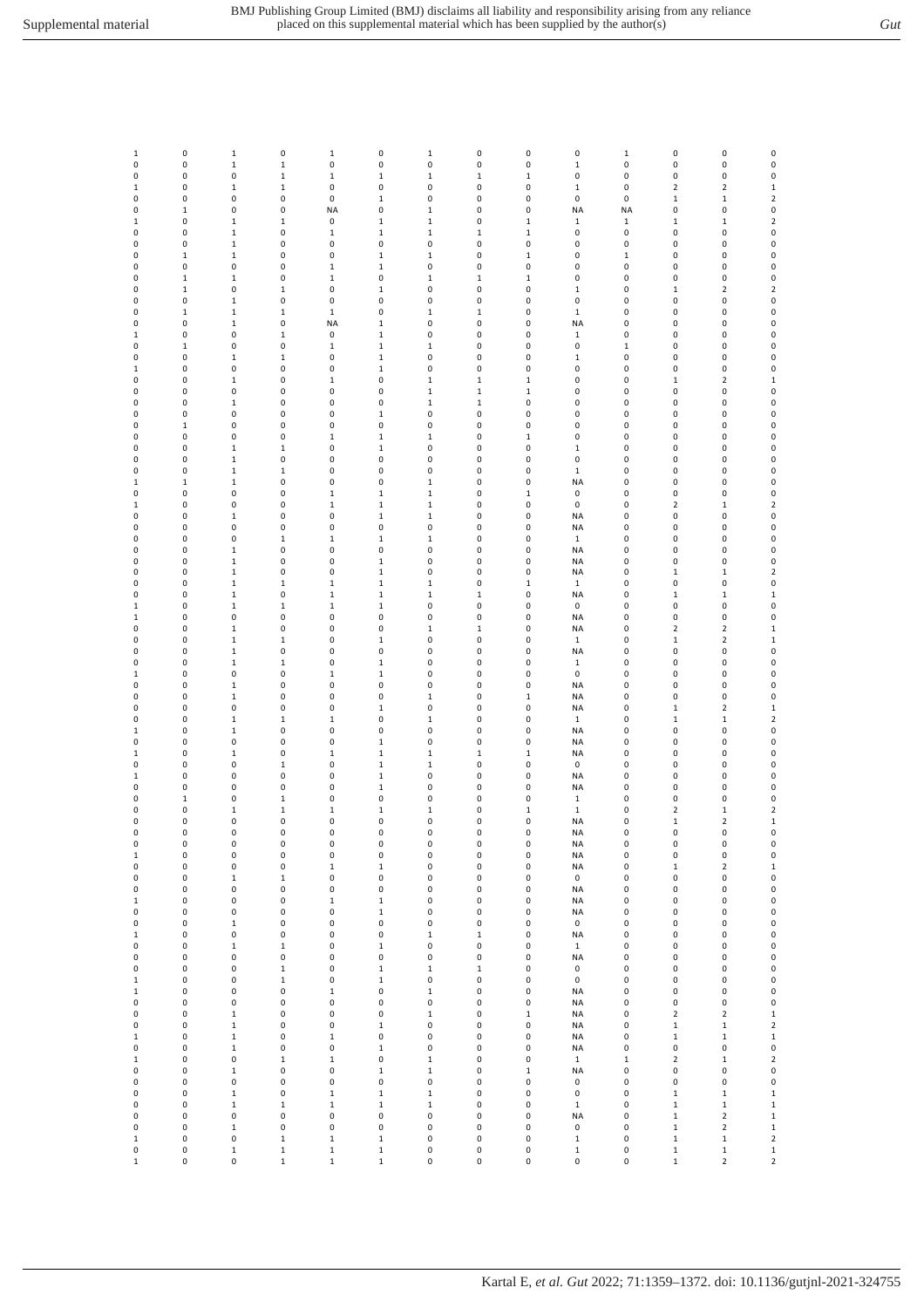| 1            | 0            | $\,1\,$      | 0                          | $\,1\,$                    | $\pmb{0}$                  | $\mathbf 1$  | 0            | 0              | $\pmb{0}$    | $\mathbf 1$    | 0                          | 0                                      | $\pmb{0}$                   |
|--------------|--------------|--------------|----------------------------|----------------------------|----------------------------|--------------|--------------|----------------|--------------|----------------|----------------------------|----------------------------------------|-----------------------------|
| 0            | 0            | $\mathbf 1$  | $\mathbf 1$                | 0                          | $\pmb{0}$                  | $\pmb{0}$    | 0            | 0              | $\mathbf 1$  | 0              | 0                          | 0                                      | $\pmb{0}$                   |
| 0            | 0            | 0            | $\,1$                      | $\mathbf 1$                | $\mathbf 1$                | $\mathbf 1$  | $\,1\,$      | $\,1\,$        | $\pmb{0}$    | 0              | 0                          | 0                                      | $\pmb{0}$                   |
| $\mathbf{1}$ | 0            | $\mathbf 1$  | $\,1$                      | 0                          | $\pmb{0}$                  | 0            | $\pmb{0}$    | 0              | $\mathbf 1$  | 0              | $\overline{\mathbf{c}}$    | $\mathbf 2$                            | $\mathbf 1$                 |
| 0            | 0            | 0            | 0                          | $\pmb{0}$                  | $\mathbf 1$                | 0            | 0            | $\pmb{0}$      | $\pmb{0}$    | 0              | $\mathbf 1$                | $1\,$                                  | $\mathbf 2$                 |
|              | $\mathbf 1$  | 0            | 0                          | <b>NA</b>                  | $\pmb{0}$                  |              |              | $\pmb{0}$      | <b>NA</b>    | <b>NA</b>      | 0                          | 0                                      | $\pmb{0}$                   |
| 0            |              |              |                            |                            |                            | $\mathbf 1$  | 0            |                |              |                |                            |                                        |                             |
| $\mathbf{1}$ | 0            | $\mathbf 1$  | $\mathbf 1$                | 0                          | $\,1\,$                    | 1            | 0            | $\,1\,$        | $\mathbf 1$  | $\mathbf 1$    | $\mathbf 1$                | $\,1\,$                                | $\mathbf 2$                 |
| 0            | 0            | $\mathbf 1$  | 0                          | $\mathbf 1$                | $\,1\,$                    | $\mathbf 1$  | $\mathbf 1$  | $\,1\,$        | $\pmb{0}$    | 0              | 0                          | 0                                      | $\pmb{0}$                   |
| 0            | 0            | $\mathbf 1$  | 0                          | 0                          | $\pmb{0}$                  | 0            | 0            | 0              | $\pmb{0}$    | 0              | 0                          | 0                                      | $\pmb{0}$                   |
| 0            | $\mathbf 1$  | $\mathbf 1$  | 0                          | 0                          | $\,1\,$                    | $\mathbf 1$  | 0            | $\mathbf 1$    | $\pmb{0}$    | $\mathbf 1$    | 0                          | $\pmb{0}$                              | $\pmb{0}$                   |
| 0            | 0            | 0            | 0                          | $\,1\,$                    | $\,1\,$                    | 0            | 0            | 0              | 0            | 0              | 0                          | 0                                      | $\pmb{0}$                   |
| 0            | $\mathbf 1$  | $\mathbf 1$  | 0                          | $\,1\,$                    | $\pmb{0}$                  | $\mathbf 1$  | $\mathbf 1$  | $1\,$          | 0            | 0              | 0                          | 0                                      | $\pmb{0}$                   |
| 0            | $\mathbf 1$  | 0            | $\mathbf 1$                | $\pmb{0}$                  | $\,1\,$                    | 0            | 0            | 0              | $\mathbf 1$  | 0              | $1\,$                      | $\overline{\mathbf{c}}$                | $\mathbf 2$                 |
|              |              |              |                            |                            |                            |              |              |                |              |                |                            |                                        | $\pmb{0}$                   |
| 0            | 0            | $\mathbf 1$  | $\pmb{0}$                  | $\pmb{0}$                  | $\pmb{0}$                  | $\pmb{0}$    | 0            | $\pmb{0}$      | $\pmb{0}$    | $\pmb{0}$      | $\pmb{0}$                  | 0                                      |                             |
| 0            | $\mathbf 1$  | $\mathbf 1$  | $\mathbf 1$                | $\mathbf 1$                | $\pmb{0}$                  | $\mathbf 1$  | $\mathbf 1$  | 0              | $\mathbf 1$  | 0              | 0                          | 0                                      | $\pmb{0}$                   |
| 0            | 0            | $\mathbf 1$  | 0                          | <b>NA</b>                  | $\mathbf 1$                | 0            | 0            | 0              | <b>NA</b>    | 0              | 0                          | 0                                      | $\pmb{0}$                   |
| 1            | 0            | 0            | $\mathbf 1$                | 0                          | $\,1\,$                    | 0            | 0            | 0              | $\mathbf 1$  | 0              | 0                          | 0                                      | $\pmb{0}$                   |
| 0            | $\mathbf 1$  | 0            | 0                          | $\,1\,$                    | $\,1\,$                    | $\mathbf 1$  | 0            | 0              | $\pmb{0}$    | $\mathbf 1$    | 0                          | 0                                      | $\pmb{0}$                   |
| 0            | 0            | $\mathbf 1$  | $\mathbf 1$                | 0                          | $\,1\,$                    | 0            | 0            | $\pmb{0}$      | $\mathbf 1$  | 0              | 0                          | 0                                      | $\pmb{0}$                   |
| $\mathbf{1}$ | 0            | 0            | 0                          | $\pmb{0}$                  | $\,1\,$                    | 0            | 0            | $\pmb{0}$      | $\pmb{0}$    | 0              | 0                          | 0                                      | $\pmb{0}$                   |
| 0            | 0            | 1            | 0                          | $\,1\,$                    | $\pmb{0}$                  | $\mathbf 1$  | $\mathbf 1$  | $\,1\,$        | 0            | 0              | $\mathbf 1$                | $\mathbf 2$                            | $\mathbf 1$                 |
|              |              |              |                            |                            |                            |              |              |                |              |                |                            |                                        |                             |
| 0            | 0            | 0            | 0                          | 0                          | $\pmb{0}$                  | $\mathbf 1$  | $\mathbf 1$  | $\,1\,$        | $\pmb{0}$    | 0              | 0                          | 0                                      | $\pmb{0}$                   |
| 0            | 0            | $\mathbf 1$  | $\pmb{0}$                  | $\pmb{0}$                  | $\pmb{0}$                  | $\mathbf 1$  | $\mathbf 1$  | $\pmb{0}$      | $\pmb{0}$    | 0              | 0                          | 0                                      | $\pmb{0}$                   |
| 0            | 0            | 0            | 0                          | 0                          | $\mathbf 1$                | 0            | 0            | 0              | $\pmb{0}$    | 0              | 0                          | 0                                      | 0                           |
| 0            | $\mathbf 1$  | 0            | 0                          | 0                          | $\pmb{0}$                  | 0            | 0            | 0              | 0            | 0              | 0                          | 0                                      | $\pmb{0}$                   |
| 0            | 0            | 0            | 0                          | $\,1\,$                    | $\mathbf{1}$               | $\mathbf 1$  | 0            | $\,1\,$        | 0            | 0              | 0                          | 0                                      | $\pmb{0}$                   |
| 0            | 0            | $\mathbf 1$  | $\mathbf 1$                | 0                          | $\,1\,$                    | 0            | 0            | 0              | $\mathbf 1$  | 0              | 0                          | 0                                      | $\pmb{0}$                   |
| 0            | 0            | $\mathbf 1$  | $\pmb{0}$                  | $\pmb{0}$                  | $\pmb{0}$                  | $\pmb{0}$    | 0            | $\pmb{0}$      | $\pmb{0}$    | $\pmb{0}$      | 0                          | 0                                      | $\pmb{0}$                   |
| 0            | 0            | $\mathbf 1$  | $\mathbf 1$                | 0                          | $\pmb{0}$                  | 0            | 0            | 0              | $\mathbf 1$  | 0              | 0                          | 0                                      | $\pmb{0}$                   |
|              |              |              |                            |                            |                            |              |              |                |              |                |                            |                                        |                             |
| $\mathbf{1}$ | $\mathbf 1$  | $\mathbf 1$  | 0                          | 0                          | $\pmb{0}$                  | 1            | 0            | $\pmb{0}$      | <b>NA</b>    | 0              | 0                          | 0                                      | $\pmb{0}$                   |
| 0            | 0            | 0            | 0                          | $\mathbf 1$                | $\,1\,$                    | $\mathbf 1$  | 0            | $\,1\,$        | $\mathbf 0$  | 0              | 0                          | 0                                      | $\pmb{0}$                   |
| 1            | 0            | 0            | 0                          | $\mathbf 1$                | $\mathbf 1$                | $\mathbf 1$  | 0            | 0              | $\mathbf 0$  | 0              | 2                          | $\,1\,$                                | $\mathbf 2$                 |
| 0            | 0            | $\mathbf{1}$ | 0                          | 0                          | $\,1\,$                    | $\mathbf 1$  | 0            | 0              | NA           | 0              | 0                          | $\pmb{0}$                              | $\pmb{0}$                   |
| 0            | 0            | 0            | $\pmb{0}$                  | $\pmb{0}$                  | $\pmb{0}$                  | 0            | 0            | $\pmb{0}$      | <b>NA</b>    | 0              | 0                          | 0                                      | $\pmb{0}$                   |
| 0            | 0            | 0            | $\mathbf 1$                | $\,1\,$                    | $\,1\,$                    | 1            | 0            | $\pmb{0}$      | $\mathbf 1$  | 0              | 0                          | 0                                      | $\pmb{0}$                   |
| 0            | 0            | $\mathbf 1$  | 0                          | 0                          | $\pmb{0}$                  | 0            | 0            | 0              | <b>NA</b>    | 0              | 0                          | 0                                      | $\pmb{0}$                   |
|              |              |              | $\pmb{0}$                  | $\pmb{0}$                  |                            |              |              | $\pmb{0}$      |              |                |                            |                                        |                             |
| 0            | 0            | $\mathbf 1$  |                            |                            | $\,1\,$                    | 0            | 0            |                | <b>NA</b>    | 0              | 0                          | 0                                      | $\pmb{0}$                   |
| 0            | 0            | $\mathbf 1$  | 0                          | 0                          | $\mathbf 1$                | 0            | 0            | 0              | <b>NA</b>    | 0              | $\mathbf 1$                | $\,1\,$                                | $\mathbf 2$                 |
| 0            | 0            | $\mathbf 1$  | $\mathbf 1$                | $\mathbf 1$                | $\,1\,$                    | $\mathbf 1$  | 0            | $\mathbf 1$    | $\mathbf 1$  | 0              | 0                          | 0                                      | $\pmb{0}$                   |
| 0            | 0            | $\mathbf 1$  | 0                          | $1\,$                      | $\mathbf{1}$               | $\mathbf 1$  | $\mathbf{1}$ | 0              | NA           | 0              | $\,1$                      | $\mathbf{1}$                           | $\mathbf 1$                 |
| $\mathbf{1}$ | 0            | $\mathbf 1$  | $\mathbf 1$                | $\,1\,$                    | $\,1\,$                    | 0            | 0            | 0              | $\pmb{0}$    | 0              | 0                          | 0                                      | $\pmb{0}$                   |
| $\mathbf{1}$ | 0            | 0            | $\pmb{0}$                  | $\pmb{0}$                  | $\pmb{0}$                  | 0            | 0            | $\pmb{0}$      | <b>NA</b>    | 0              | 0                          | 0                                      | $\pmb{0}$                   |
| 0            | 0            | $\mathbf 1$  | $\pmb{0}$                  | $\pmb{0}$                  | $\pmb{0}$                  | $\mathbf 1$  | $\mathbf 1$  | 0              | <b>NA</b>    | 0              | 2                          | $\mathbf 2$                            | $\mathbf 1$                 |
| 0            | 0            | $\mathbf 1$  | $\mathbf 1$                | 0                          | $\,1\,$                    | 0            | 0            | 0              | $\mathbf 1$  | 0              | $\mathbf 1$                | $\overline{\mathbf{c}}$                | $\mathbf 1$                 |
| 0            | 0            | $\mathbf 1$  | 0                          | 0                          | $\pmb{0}$                  | 0            | 0            | 0              | <b>NA</b>    | 0              | 0                          | 0                                      | 0                           |
|              |              |              |                            |                            |                            |              |              |                |              |                |                            |                                        |                             |
| 0            | 0            | $\mathbf 1$  | $\mathbf 1$                | 0                          | $\mathbf 1$                | 0            | 0            | 0              | $\mathbf 1$  | 0              | 0                          | 0                                      | $\pmb{0}$                   |
| $\mathbf{1}$ | 0            | 0            | 0                          | $\,1\,$                    | $\,1\,$                    | 0            | 0            | 0              | $\pmb{0}$    | 0              | 0                          | $\pmb{0}$                              | $\pmb{0}$                   |
| 0            | 0            | $\mathbf 1$  | 0                          | 0                          | $\pmb{0}$                  | 0            | 0            | $\pmb{0}$      | <b>NA</b>    | 0              | 0                          | 0                                      | $\pmb{0}$                   |
| 0            | 0            | $\mathbf 1$  | 0                          | 0                          | $\pmb{0}$                  | 1            | 0            | $\,1\,$        | <b>NA</b>    | 0              | 0                          | 0                                      | $\pmb{0}$                   |
| 0            | 0            | $\pmb{0}$    | 0                          | $\pmb{0}$                  | $\,1\,$                    | 0            | 0            | $\pmb{0}$      | <b>NA</b>    | 0              | $\mathbf 1$                | $\mathbf 2$                            | $\mathbf 1$                 |
| 0            | 0            | $\mathbf 1$  | $\mathbf 1$                | $\,1\,$                    | $\pmb{0}$                  | $\mathbf 1$  | 0            | 0              | $\mathbf{1}$ | 0              | $\mathbf 1$                | $\,1\,$                                | $\mathbf 2$                 |
| 1            | 0            | $\mathbf 1$  | 0                          | 0                          | $\pmb{0}$                  | 0            | 0            | 0              | <b>NA</b>    | 0              | 0                          | 0                                      | $\pmb{0}$                   |
| 0            | 0            | 0            | 0                          | 0                          | $\,1\,$                    | 0            | 0            | 0              | <b>NA</b>    | 0              | 0                          | 0                                      | $\pmb{0}$                   |
| $\mathbf{1}$ | 0            | $\mathbf{1}$ | 0                          | $\,1\,$                    | $\mathbf{1}$               | $\mathbf 1$  | $\mathbf{1}$ | $\,1\,$        | NA           | 0              | 0                          | 0                                      | $\pmb{0}$                   |
|              |              |              |                            |                            |                            |              |              |                |              |                |                            |                                        |                             |
| 0            | 0            | 0            | $\mathbf 1$                | $\pmb{0}$                  | $\,1\,$                    | $\mathbf 1$  | 0            | 0              | $\mathbf 0$  | 0              | 0                          | 0                                      | $\pmb{0}$                   |
| $\mathbf{1}$ | 0            | 0            | $\pmb{0}$                  | 0                          | $\,1\,$                    | 0            | 0            | $\pmb{0}$      | NA           | 0              | 0                          | 0                                      | $\pmb{0}$                   |
| 0            | 0            | 0            | $\pmb{0}$                  | 0                          | $\,1\,$                    | 0            | 0            | $\pmb{0}$      | <b>NA</b>    | $\pmb{0}$      | 0                          | 0                                      | $\pmb{0}$                   |
| 0            | $\mathbf 1$  | 0            | $\mathbf 1$                | 0                          | $\pmb{0}$                  | 0            | 0            | 0              | $\mathbf 1$  | 0              | 0                          | 0                                      | $\pmb{0}$                   |
| 0            | 0            | $\mathbf 1$  | $\mathbf 1$                | $\mathbf 1$                | $\,1\,$                    | $\mathbf 1$  | 0            | $\,1\,$        | $\mathbf 1$  | $\pmb{0}$      | $\overline{2}$             | $1\,$                                  | $\mathbf 2$                 |
| U            | <sup>0</sup> | O            | <sup>0</sup>               | $\Omega$                   | $\Omega$                   | $\Omega$     | <sup>0</sup> | $\Omega$       | <b>NA</b>    | $\Omega$       | 1                          | $\mathcal{P}$                          | $\mathbf{1}$                |
| 0            | 0            | 0            | 0                          | 0                          | $\pmb{0}$                  | 0            | 0            | 0              | <b>NA</b>    | 0              | 0                          | 0                                      | 0                           |
| 0            | 0            | 0            | 0                          | $\pmb{0}$                  | $\pmb{0}$                  | 0            | 0            | $\pmb{0}$      | <b>NA</b>    | 0              | 0                          | 0                                      | $\pmb{0}$                   |
| $\mathbf{1}$ | 0            | 0            | 0                          | $\pmb{0}$                  | $\pmb{0}$                  | 0            | 0            | 0              | <b>NA</b>    | 0              | 0                          | 0                                      | $\pmb{0}$                   |
|              |              |              |                            |                            |                            |              |              |                |              |                |                            |                                        |                             |
| 0            | 0            | 0            | 0                          | $\mathbf 1$                | $\mathbf 1$                | 0            | 0            | $\pmb{0}$      | <b>NA</b>    | $\pmb{0}$      | $\mathbf 1$                | $\mathbf 2$                            | $\mathbf 1$                 |
| 0            | 0            | $\mathbf 1$  | $\mathbf 1$                | $\pmb{0}$                  | $\pmb{0}$                  | 0            | 0            | $\pmb{0}$      | 0            | 0              | 0                          | 0                                      | $\pmb{0}$                   |
| 0            | 0            | 0            | $\mathsf{O}\xspace$        | $\pmb{0}$                  | $\pmb{0}$                  | 0            | 0            | $\pmb{0}$      | <b>NA</b>    | $\pmb{0}$      | $\pmb{0}$                  | 0                                      | $\pmb{0}$                   |
| 1            | 0            | 0            | 0                          | $\mathbf 1$                | $\mathbf 1$                | 0            | 0            | 0              | <b>NA</b>    | 0              | 0                          | 0                                      | $\pmb{0}$                   |
| 0            | 0            | 0            | 0                          | 0                          | $\,1\,$                    | 0            | 0            | 0              | <b>NA</b>    | 0              | 0                          | 0                                      | $\pmb{0}$                   |
| 0            | 0            | $\mathbf 1$  | 0                          | $\pmb{0}$                  | $\pmb{0}$                  | 0            | 0            | 0              | $\mathbf 0$  | 0              | 0                          | 0                                      | $\pmb{0}$                   |
| $\mathbf{1}$ | 0            | 0            | $\pmb{0}$                  | $\pmb{0}$                  | $\pmb{0}$                  | $\mathbf 1$  | $\mathbf{1}$ | $\pmb{0}$      | <b>NA</b>    | 0              | 0                          | 0                                      | $\pmb{0}$                   |
| 0            | 0            | $\mathbf 1$  | $\mathbf 1$                | $\pmb{0}$                  | $\,1\,$                    | 0            | 0            | $\pmb{0}$      | $\mathbf 1$  | 0              | 0                          | 0                                      | $\pmb{0}$                   |
| 0            | 0            | 0            | 0                          | 0                          | $\pmb{0}$                  | 0            | 0            | 0              | <b>NA</b>    | 0              | 0                          | 0                                      | $\pmb{0}$                   |
| 0            | 0            | 0            | $\mathbf 1$                | $\pmb{0}$                  | $\,1\,$                    | $\mathbf 1$  | $\mathbf 1$  | $\pmb{0}$      | $\pmb{0}$    | 0              | 0                          | 0                                      | $\mathbf 0$                 |
|              |              |              |                            |                            |                            |              |              |                |              |                |                            |                                        |                             |
| 1            | 0            | 0            | $\mathbf 1$                | 0                          | $\mathbf 1$                | 0            | 0            | 0              | $\mathbf 0$  | 0              | 0                          | 0                                      | $\pmb{0}$                   |
| $\mathbf 1$  | 0            | 0            | 0                          | $\mathbf 1$                | $\pmb{0}$                  | $\mathbf 1$  | 0            | 0              | <b>NA</b>    | 0              | 0                          | 0                                      | $\pmb{0}$                   |
| 0            | 0            | 0            | 0                          | 0                          | $\pmb{0}$                  | 0            | 0            | 0              | <b>NA</b>    | 0              | 0                          | 0                                      | $\pmb{0}$                   |
| 0            | 0            | $\mathbf 1$  | 0                          | $\pmb{0}$                  | $\pmb{0}$                  | $\mathbf{1}$ | 0            | $\,1\,$        | <b>NA</b>    | 0              | $\overline{\mathbf{2}}$    | $\overline{\mathbf{2}}$                | $\mathbf 1$                 |
| 0            | 0            | 1            | 0                          | $\pmb{0}$                  | $\,1\,$                    | 0            | 0            | $\pmb{0}$      | <b>NA</b>    | 0              | $\mathbf 1$                | $\mathbf 1$                            | $\mathbf 2$                 |
| $\mathbf{1}$ | 0            | $\mathbf 1$  | 0                          | $\mathbf 1$                | $\pmb{0}$                  | 0            | 0            | $\pmb{0}$      | <b>NA</b>    | $\pmb{0}$      | $\mathbf 1$                | $\mathbf 1$                            | $\mathbf 1$                 |
| 0            | 0            | $\mathbf 1$  | $\mathsf 0$                | $\pmb{0}$                  | $\,1\,$                    | 0            | 0            | $\pmb{0}$      | <b>NA</b>    | 0              | 0                          | 0                                      | $\pmb{0}$                   |
| $\mathbf 1$  | 0            | 0            | $\mathbf 1$                | $\mathbf 1$                | $\pmb{0}$                  | $\,1$        | 0            | 0              | $\mathbf{1}$ | $\mathbf 1$    | 2                          | $\mathbf 1$                            | $\overline{\mathbf{c}}$     |
| 0            | 0            | $\mathbf 1$  | 0                          | 0                          | $\mathbf 1$                | $\mathbf 1$  | 0            | $\mathbf 1$    | <b>NA</b>    | 0              | 0                          | 0                                      | $\pmb{0}$                   |
| 0            | 0            | 0            | 0                          | $\pmb{0}$                  | $\pmb{0}$                  | 0            | 0            | 0              | $\mathbf 0$  | 0              | 0                          | 0                                      | 0                           |
|              |              |              |                            |                            |                            |              |              |                |              |                |                            |                                        |                             |
| 0            | 0            | $\mathbf 1$  | $\pmb{0}$                  | $\,1\,$                    | $\,1\,$                    | $\mathbf 1$  | 0            | $\pmb{0}$      | $\pmb{0}$    | 0              | $\mathbf 1$                | $\,1\,$                                | $\mathbf 1$                 |
|              | 0            | 1            | $\mathbf 1$                | $\mathbf 1$                | $\,1\,$                    | $\mathbf 1$  | 0            | $\pmb{0}$      | $\mathbf 1$  | 0              | $\mathbf 1$                | $\mathbf 1$                            | $\mathbf 1$                 |
| 0            |              | 0            | 0                          | $\pmb{0}$                  | $\pmb{0}$                  | 0            | 0            | $\pmb{0}$      | <b>NA</b>    | 0              | $\mathbf 1$                | $\mathbf 2$                            | $\mathbf 1$                 |
| 0            | 0            |              |                            |                            |                            |              |              |                |              |                |                            |                                        |                             |
| 0            | 0            | $\mathbf 1$  | 0                          | $\pmb{0}$                  | $\pmb{0}$                  | 0            | 0            | 0              | $\pmb{0}$    | 0              | $\mathbf 1$                | $\overline{\mathbf{c}}$                | $\mathbf 1$                 |
| $\,1$        | 0            | 0            | $\mathbf 1$                | $\mathbf 1$                | $\mathbf 1$                | 0            | 0            | $\pmb{0}$      | $\mathbf 1$  | $\pmb{0}$      | $\mathbf 1$                | $\mathbf 1$                            | $\mathbf 2$                 |
| 0            | 0            | $\mathbf 1$  | $\mathbf 1$<br>$\mathbf 1$ | $\mathbf 1$<br>$\mathbf 1$ | $\mathbf 1$<br>$\mathbf 1$ | 0            | 0            | 0<br>$\pmb{0}$ | $\mathbf 1$  | 0<br>$\pmb{0}$ | $\mathbf 1$<br>$\mathbf 1$ | $\mathbf 1$<br>$\overline{\mathbf{2}}$ | $\mathbf 1$<br>$\mathbf{2}$ |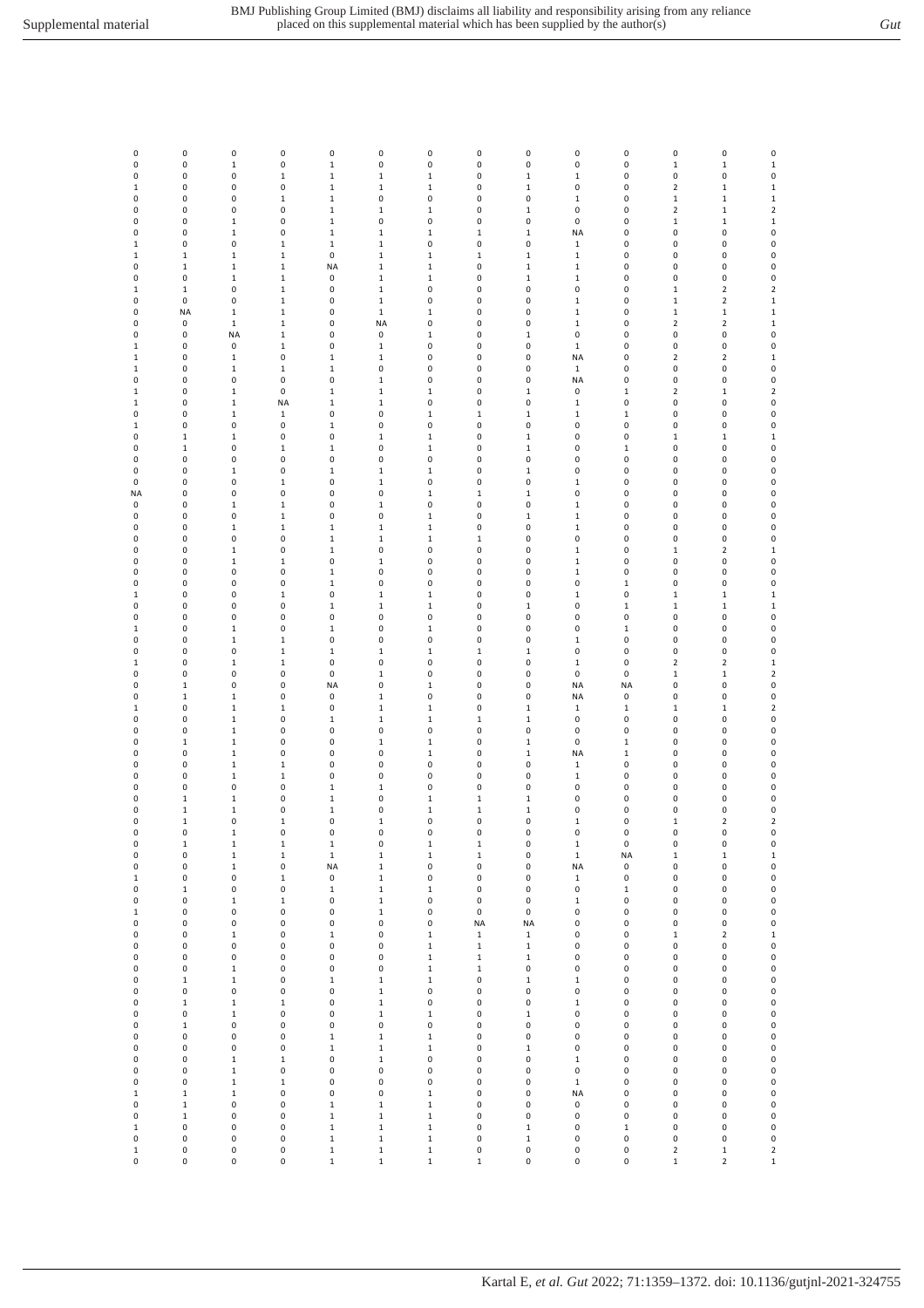| 0           | 0            | 0            | 0            | $\pmb{0}$   | $\pmb{0}$    | $\pmb{0}$    | 0            | 0           | $\pmb{0}$    | 0           | 0            | 0              | $\pmb{0}$           |
|-------------|--------------|--------------|--------------|-------------|--------------|--------------|--------------|-------------|--------------|-------------|--------------|----------------|---------------------|
| 0           | 0            | $\mathbf 1$  | $\pmb{0}$    | $\,1\,$     | 0            | 0            | 0            | $\pmb{0}$   | $\pmb{0}$    | 0           | $\mathbf 1$  | $\mathbf 1$    | $\mathbf 1$         |
| 0           | 0            | $\pmb{0}$    | $\mathbf 1$  | $\mathbf 1$ | $\mathbf{1}$ | $\mathbf 1$  | 0            | $\mathbf 1$ | $\,1\,$      | 0           | 0            | $\pmb{0}$      | $\mathsf{O}\xspace$ |
|             | 0            | $\pmb{0}$    | $\pmb{0}$    | $\mathbf 1$ |              |              | 0            | $\mathbf 1$ | $\pmb{0}$    | 0           | $\mathbf 2$  | $\mathbf 1$    | $\mathbf 1$         |
| $1\,$       |              |              |              |             | $\mathbf 1$  | $\mathbf 1$  |              |             |              |             |              |                |                     |
| 0           | 0            | $\pmb{0}$    | $\mathbf 1$  | $\,1\,$     | $\pmb{0}$    | 0            | 0            | $\pmb{0}$   | $\,1\,$      | 0           | $\mathbf 1$  | $\mathbf 1$    | $\mathbf 1$         |
| 0           | 0            | 0            | 0            | $\,1\,$     | $\mathbf 1$  | $\mathbf 1$  | 0            | $\mathbf 1$ | $\pmb{0}$    | 0           | $\mathbf 2$  | $\mathbf 1$    | $\mathbf 2$         |
| 0           | 0            | $\mathbf 1$  | 0            | $\mathbf 1$ | 0            | 0            | $\pmb{0}$    | 0           | $\pmb{0}$    | 0           | $\mathbf 1$  | $\mathbf 1$    | $\mathbf 1$         |
| 0           | 0            | $\mathbf 1$  | 0            | $\,1\,$     | $\mathbf 1$  | $\mathbf{1}$ | $1\,$        | $\mathbf 1$ | <b>NA</b>    | 0           | 0            | 0              | $\pmb{0}$           |
| $1\,$       | 0            | 0            | $\mathbf 1$  | $\,1\,$     | $\mathbf{1}$ | 0            | 0            | 0           | $\,1\,$      | 0           | 0            | 0              | $\mathbf 0$         |
|             |              |              |              |             |              |              |              |             |              |             |              |                |                     |
| $1\,$       | $\mathbf 1$  | $\mathbf 1$  | $\,1\,$      | 0           | $\mathbf{1}$ | $\mathbf 1$  | $\mathbf{1}$ | $\,1\,$     | $\,1\,$      | 0           | 0            | 0              | $\pmb{0}$           |
| 0           | $\mathbf 1$  | $\mathbf 1$  | $\mathbf 1$  | <b>NA</b>   | $\mathbf 1$  | 1            | 0            | $\mathbf 1$ | $\,1\,$      | 0           | 0            | $\pmb{0}$      | $\pmb{0}$           |
| 0           | 0            | $\mathbf 1$  | $\,1\,$      | $\pmb{0}$   | $\mathbf 1$  | 1            | 0            | $\mathbf 1$ | $\mathbf 1$  | 0           | 0            | $\pmb{0}$      | $\pmb{0}$           |
| $\,1\,$     | $\mathbf 1$  | $\pmb{0}$    | $\,1\,$      | $\pmb{0}$   | $\mathbf 1$  | 0            | 0            | 0           | $\pmb{0}$    | 0           | $\,1\,$      | $\overline{2}$ | $\mathbf 2$         |
| 0           | $\pmb{0}$    | $\pmb{0}$    | $\mathbf 1$  | $\pmb{0}$   | $\mathbf 1$  | 0            | 0            | $\pmb{0}$   | $\mathbf 1$  | 0           | $\,1\,$      | $\mathbf 2$    | $\mathbf 1$         |
| 0           | <b>NA</b>    | $\mathbf 1$  | $\mathbf 1$  | 0           | $\mathbf 1$  | 1            | 0            | 0           | $\mathbf 1$  | 0           | $\mathbf 1$  | $\mathbf 1$    | $\mathbf 1$         |
|             |              |              |              |             |              |              |              |             |              |             |              |                |                     |
| 0           | 0            | $\mathbf 1$  | $\,1\,$      | 0           | <b>NA</b>    | 0            | 0            | 0           | $\,1\,$      | 0           | $\mathbf 2$  | $\overline{2}$ | $\mathbf 1$         |
| 0           | 0            | <b>NA</b>    | $\,1\,$      | 0           | 0            | $\mathbf{1}$ | 0            | $\mathbf 1$ | $\pmb{0}$    | 0           | 0            | 0              | $\pmb{0}$           |
| $1\,$       | 0            | 0            | $\,1\,$      | $\pmb{0}$   | $\mathbf 1$  | 0            | 0            | 0           | $\,1\,$      | 0           | 0            | $\pmb{0}$      | $\pmb{0}$           |
| $\,1\,$     | 0            | $\mathbf 1$  | $\pmb{0}$    | $\,1\,$     | $\mathbf 1$  | 0            | 0            | $\pmb{0}$   | <b>NA</b>    | 0           | $\mathbf 2$  | $\mathbf 2$    | $\mathbf 1$         |
| $\,1\,$     | 0            | $\mathbf 1$  | $\,1\,$      | $\,1\,$     | 0            | 0            | 0            | 0           | $\,$ 1       | 0           | 0            | 0              | $\pmb{0}$           |
| 0           | 0            | $\pmb{0}$    | 0            | $\pmb{0}$   | $\mathbf 1$  | 0            | 0            | 0           |              | 0           |              | 0              | $\pmb{0}$           |
|             |              |              |              |             |              |              |              |             | <b>NA</b>    |             | 0            |                |                     |
| $\mathbf 1$ | 0            | $\mathbf 1$  | 0            | $\,1\,$     | $\mathbf 1$  | 1            | $\pmb{0}$    | $\mathbf 1$ | $\pmb{0}$    | $\mathbf 1$ | $\mathbf 2$  | $\mathbf 1$    | $\mathbf 2$         |
| $\mathbf 1$ | 0            | $\mathbf 1$  | NA           | $\,1\,$     | $\mathbf 1$  | 0            | 0            | 0           | $\mathbf 1$  | 0           | 0            | 0              | $\pmb{0}$           |
| 0           | 0            | $\mathbf 1$  | $\mathbf{1}$ | 0           | 0            | $\mathbf 1$  | $\mathbf{1}$ | $\,1\,$     | $\,1\,$      | $\mathbf 1$ | 0            | 0              | $\pmb{0}$           |
| $\,1\,$     | 0            | $\pmb{0}$    | 0            | $\mathbf 1$ | 0            | 0            | 0            | 0           | $\pmb{0}$    | 0           | 0            | $\pmb{0}$      | $\pmb{0}$           |
| 0           | $\mathbf 1$  | $\mathbf 1$  | 0            | $\pmb{0}$   | $\mathbf 1$  | 1            | 0            | $\mathbf 1$ | $\pmb{0}$    | 0           | $\,1\,$      | $\mathbf 1$    | $\mathbf 1$         |
| 0           | $\mathbf 1$  | $\pmb{0}$    | $\mathbf 1$  | $\,1\,$     | 0            | $\mathbf 1$  | 0            | $\mathbf 1$ | $\pmb{0}$    | $\mathbf 1$ | 0            | 0              | $\pmb{0}$           |
|             | $\pmb{0}$    | $\pmb{0}$    | 0            | $\pmb{0}$   |              |              |              | $\pmb{0}$   | $\pmb{0}$    |             |              | $\pmb{0}$      |                     |
| 0           |              |              |              |             | $\pmb{0}$    | 0            | 0            |             |              | 0           | 0            |                | $\pmb{0}$           |
| 0           | 0            | $\mathbf 1$  | 0            | $\,$ 1      | $\,1\,$      | $\mathbf 1$  | 0            | $\mathbf 1$ | $\pmb{0}$    | 0           | 0            | 0              | $\pmb{0}$           |
| 0           | 0            | 0            | $\mathbf 1$  | 0           | $\mathbf 1$  | 0            | $\pmb{0}$    | 0           | $\mathbf 1$  | 0           | 0            | 0              | $\pmb{0}$           |
| <b>NA</b>   | 0            | 0            | 0            | 0           | 0            | $\mathbf{1}$ | $\mathbf{1}$ | $\mathbf 1$ | $\pmb{0}$    | 0           | 0            | 0              | $\pmb{0}$           |
| 0           | 0            | $\mathbf 1$  | $\,1\,$      | $\pmb{0}$   | $\mathbf 1$  | 0            | 0            | 0           | $\,1\,$      | 0           | 0            | 0              | $\mathbf 0$         |
| 0           | $\pmb{0}$    | $\pmb{0}$    | $\,1\,$      | $\pmb{0}$   | $\pmb{0}$    | 1            | 0            | $\mathbf 1$ | $\,1\,$      | 0           | 0            | $\pmb{0}$      | $\pmb{0}$           |
| 0           | 0            | $\mathbf 1$  | $\,1\,$      | $\,1\,$     | $\mathbf 1$  | 1            | 0            | 0           | $\mathbf 1$  | 0           | 0            | 0              | $\pmb{0}$           |
|             |              |              |              |             |              |              |              |             |              |             |              |                |                     |
| 0           | 0            | 0            | 0            | $\,1\,$     | $\mathbf 1$  | 1            | $\,1\,$      | 0           | $\pmb{0}$    | 0           | 0            | 0              | $\pmb{0}$           |
| 0           | 0            | $\mathbf 1$  | 0            | $\,$ 1      | 0            | 0            | $\pmb{0}$    | 0           | $\mathbf 1$  | 0           | $\mathbf 1$  | $\overline{2}$ | $\mathbf 1$         |
| 0           | 0            | $\mathbf 1$  | $\mathbf 1$  | $\pmb{0}$   | $\mathbf 1$  | 0            | 0            | 0           | $\mathbf 1$  | 0           | 0            | 0              | $\pmb{0}$           |
| 0           | 0            | 0            | 0            | $\,1\,$     | 0            | 0            | 0            | 0           | $\,1\,$      | 0           | 0            | 0              | $\pmb{0}$           |
| 0           | 0            | 0            | 0            | $\mathbf 1$ | 0            | 0            | 0            | 0           | $\pmb{0}$    | $\mathbf 1$ | 0            | $\pmb{0}$      | $\pmb{0}$           |
| $1\,$       | 0            | 0            | $1\,$        | 0           | $\mathbf 1$  | 1            | 0            | 0           | $\mathbf{1}$ | 0           | $\mathbf 1$  | $\mathbf 1$    | $\mathbf 1$         |
|             |              |              |              |             |              |              |              |             |              |             |              |                |                     |
| 0           | 0            | $\pmb{0}$    | $\pmb{0}$    | $\,1\,$     | $\mathbf 1$  | $\mathbf 1$  | 0            | $\mathbf 1$ | $\pmb{0}$    | $\mathbf 1$ | $\mathbf 1$  | $\mathbf 1$    | $\mathbf 1$         |
| 0           | 0            | 0            | $\pmb{0}$    | $\pmb{0}$   | $\pmb{0}$    | 0            | 0            | 0           | $\pmb{0}$    | 0           | 0            | 0              | $\pmb{0}$           |
| $\mathbf 1$ | 0            | $\mathbf 1$  | 0            | $\,$ 1      | 0            | $\mathbf 1$  | 0            | 0           | $\pmb{0}$    | $\mathbf 1$ | 0            | 0              | $\pmb{0}$           |
| 0           | 0            | $\mathbf 1$  | $\mathbf 1$  | 0           | 0            | 0            | $\pmb{0}$    | 0           | $\mathbf 1$  | 0           | 0            | 0              | $\pmb{0}$           |
| 0           | 0            | 0            | $1\,$        | $1\,$       | $\mathbf 1$  | $\mathbf{1}$ | $\mathbf{1}$ | $\,1$       | $\pmb{0}$    | 0           | 0            | 0              | $\pmb{0}$           |
| $1\,$       | 0            | $\mathbf 1$  | $\mathbf 1$  | 0           | 0            | 0            | 0            | 0           | $\,1\,$      | 0           | $\mathbf 2$  | $\overline{2}$ | $\mathbf 1$         |
|             | $\pmb{0}$    | $\pmb{0}$    | $\pmb{0}$    | $\pmb{0}$   |              |              |              | $\pmb{0}$   |              |             |              |                |                     |
| 0           |              |              |              |             | $\mathbf 1$  | 0            | 0            |             | $\pmb{0}$    | 0           | $\mathbf 1$  | $\mathbf 1$    | $\mathbf 2$         |
| 0           | $\mathbf{1}$ | $\pmb{0}$    | $\pmb{0}$    | <b>NA</b>   | 0            | $\mathbf 1$  | 0            | 0           | <b>NA</b>    | <b>NA</b>   | 0            | $\pmb{0}$      | $\pmb{0}$           |
| 0           | $\mathbf 1$  | $\mathbf 1$  | 0            | $\pmb{0}$   | $\mathbf 1$  | 0            | 0            | 0           | <b>NA</b>    | 0           | 0            | 0              | $\pmb{0}$           |
| $\,1\,$     | 0            | $\mathbf 1$  | $\mathbf 1$  | $\pmb{0}$   | $\mathbf 1$  | $\mathbf 1$  | $\pmb{0}$    | $\,1\,$     | $\mathbf 1$  | $\mathbf 1$ | $\,1\,$      | $\,1\,$        | $\mathbf 2$         |
| 0           | 0            | $\mathbf 1$  | 0            | $\,1\,$     | $\mathbf 1$  | $\mathbf 1$  | $\mathbf 1$  | $\mathbf 1$ | $\pmb{0}$    | 0           | 0            | 0              | $\pmb{0}$           |
| 0           | 0            | $\mathbf 1$  | 0            | 0           | 0            | 0            | 0            | $\pmb{0}$   | $\pmb{0}$    | 0           | 0            | 0              | $\pmb{0}$           |
| 0           | $\mathbf 1$  | $\mathbf 1$  | 0            | 0           | $\mathbf 1$  | $\mathbf 1$  | 0            | $\mathbf 1$ | $\pmb{0}$    | $\mathbf 1$ | 0            | 0              | $\pmb{0}$           |
| 0           | 0            | $\mathbf 1$  | 0            | 0           | 0            |              |              | $\mathbf 1$ |              | $\mathbf 1$ | 0            | 0              | $\pmb{0}$           |
|             |              |              |              |             |              | 1            | 0            |             | <b>NA</b>    |             |              |                |                     |
| 0           | 0            | $\mathbf 1$  | $\mathbf 1$  | $\pmb{0}$   | 0            | 0            | 0            | 0           | $\,1\,$      | 0           | 0            | $\pmb{0}$      | $\pmb{0}$           |
| 0           | 0            | $\mathbf 1$  | $\mathbf 1$  | $\pmb{0}$   | $\pmb{0}$    | 0            | 0            | 0           | $\mathbf 1$  | 0           | 0            | 0              | $\pmb{0}$           |
| 0           | 0            | $\pmb{0}$    | $\mathsf 0$  | $\,1\,$     | $\mathbf 1$  | 0            | 0            | 0           | $\pmb{0}$    | 0           | 0            | $\pmb{0}$      | $\pmb{0}$           |
| 0           | $\mathbf 1$  | $\mathbf 1$  | 0            | $\mathbf 1$ | 0            | $\mathbf 1$  | $\mathbf 1$  | $\mathbf 1$ | $\pmb{0}$    | 0           | 0            | 0              | $\pmb{0}$           |
| 0           | $\mathbf 1$  | $\mathbf 1$  | 0            | $\,1\,$     | 0            | $\mathbf 1$  | $\mathbf 1$  | $\mathbf 1$ | $\pmb{0}$    | 0           | 0            | $\pmb{0}$      | 0                   |
| 0           | 1            | 0            | $\mathbf{1}$ | 0           | $\mathbf{1}$ | 0            | 0            | 0           | 1            | 0           | $\mathbf{1}$ | $\overline{2}$ | $\overline{2}$      |
| 0           | 0            | $\mathbf 1$  | 0            | 0           | 0            | 0            | 0            | 0           | $\pmb{0}$    | 0           | 0            | 0              | $\pmb{0}$           |
| 0           | $\mathbf 1$  | $\mathbf 1$  | $\mathbf 1$  | $\,1\,$     | 0            | $\mathbf 1$  | $\mathbf 1$  | 0           | $\,1\,$      | 0           | 0            | $\pmb{0}$      | $\pmb{0}$           |
| 0           | 0            | $\mathbf 1$  | $\mathbf 1$  | $\,1\,$     | $\mathbf 1$  | 1            | $1\,$        | 0           | $\mathbf 1$  | <b>NA</b>   | $\mathbf 1$  | $\mathbf 1$    | $\mathbf 1$         |
|             |              |              |              |             |              |              |              |             |              |             |              |                |                     |
| 0           | $\pmb{0}$    | $\mathbf 1$  | 0            | <b>NA</b>   | $\mathbf 1$  | 0            | 0            | 0           | <b>NA</b>    | 0           | 0            | $\pmb{0}$      | $\pmb{0}$           |
| $\mathbf 1$ | $\pmb{0}$    | 0            | $\mathbf 1$  | $\pmb{0}$   | $\mathbf 1$  | 0            | 0            | 0           | $\,$ 1       | 0           | 0            | 0              | $\pmb{0}$           |
| 0           | $\mathbf 1$  | 0            | 0            | $\,1\,$     | $\mathbf 1$  | $\mathbf 1$  | 0            | 0           | $\pmb{0}$    | $\mathbf 1$ | 0            | 0              | $\pmb{0}$           |
| 0           | 0            | $\mathbf 1$  | $\mathbf 1$  | 0           | $\mathbf 1$  | 0            | 0            | 0           | $\,1\,$      | 0           | 0            | 0              | $\pmb{0}$           |
| $\,1\,$     | 0            | 0            | 0            | 0           | $\mathbf 1$  | 0            | 0            | 0           | $\pmb{0}$    | 0           | 0            | 0              | $\pmb{0}$           |
| 0           | 0            | 0            | 0            | $\pmb{0}$   | 0            | 0            | NA           | <b>NA</b>   | $\pmb{0}$    | 0           | 0            | $\pmb{0}$      | $\pmb{0}$           |
| $\pmb{0}$   | 0            | $\mathbf 1$  | 0            | $\mathbf 1$ | $\pmb{0}$    | $\mathbf 1$  | $\mathbf 1$  | $\mathbf 1$ | $\pmb{0}$    | 0           | $\mathbf 1$  | $\mathbf 2$    | $\mathbf 1$         |
| 0           | 0            | 0            | 0            | $\pmb{0}$   | 0            | $\mathbf 1$  | $\mathbf 1$  | $\mathbf 1$ | $\pmb{0}$    | 0           | 0            | 0              | $\pmb{0}$           |
|             |              |              |              |             |              |              |              |             |              |             |              |                |                     |
| 0           | 0            | 0            | 0            | 0           | 0            | $\mathbf 1$  | $\mathbf 1$  | $\mathbf 1$ | $\pmb{0}$    | 0           | 0            | 0              | $\pmb{0}$           |
| 0           | 0            | $\mathbf 1$  | 0            | $\pmb{0}$   | 0            | 1            | $\mathbf 1$  | 0           | $\pmb{0}$    | 0           | 0            | 0              | $\pmb{0}$           |
| 0           | $\mathbf 1$  | $\mathbf 1$  | 0            | $\,1\,$     | $\mathbf{1}$ | $\mathbf 1$  | 0            | $\mathbf 1$ | $\,1\,$      | 0           | 0            | 0              | $\pmb{0}$           |
| $\pmb{0}$   | 0            | $\pmb{0}$    | 0            | $\pmb{0}$   | $\mathbf 1$  | 0            | 0            | $\pmb{0}$   | $\pmb{0}$    | 0           | 0            | $\pmb{0}$      | $\pmb{0}$           |
| 0           | $\mathbf 1$  | $\mathbf 1$  | $\mathbf 1$  | $\pmb{0}$   | $\mathbf 1$  | 0            | 0            | 0           | $\mathbf 1$  | 0           | 0            | 0              | $\pmb{0}$           |
| $\pmb{0}$   | 0            | $\mathbf 1$  | 0            | $\pmb{0}$   | $\mathbf 1$  | 1            | 0            | $\mathbf 1$ | $\pmb{0}$    | 0           | 0            | 0              | $\pmb{0}$           |
| 0           | $\mathbf 1$  | 0            | 0            | $\pmb{0}$   | 0            | 0            | 0            | 0           | $\pmb{0}$    | 0           | 0            | 0              | $\pmb{0}$           |
| $\pmb{0}$   | 0            | $\pmb{0}$    | 0            |             | $\mathbf 1$  |              | 0            | $\pmb{0}$   | $\pmb{0}$    | 0           | 0            | $\pmb{0}$      |                     |
|             |              |              |              | $\,1\,$     |              | $\mathbf 1$  |              |             |              |             |              |                | $\pmb{0}$           |
| 0           | 0            | 0            | 0            | $\,1\,$     | $\mathbf 1$  | $\mathbf 1$  | 0            | $\mathbf 1$ | $\pmb{0}$    | 0           | 0            | 0              | $\pmb{0}$           |
| 0           | 0            | $\mathbf 1$  | $\mathbf 1$  | $\pmb{0}$   | $\mathbf 1$  | 0            | 0            | 0           | $\,1\,$      | 0           | 0            | 0              | $\pmb{0}$           |
| 0           | 0            | $\mathbf{1}$ | 0            | 0           | 0            | 0            | 0            | 0           | $\pmb{0}$    | 0           | 0            | 0              | $\pmb{0}$           |
| 0           | 0            | $\mathbf 1$  | $\mathbf 1$  | $\pmb{0}$   | 0            | 0            | 0            | 0           | $\mathbf 1$  | 0           | 0            | 0              | $\pmb{0}$           |
| $\mathbf 1$ | $\mathbf 1$  | $\mathbf 1$  | 0            | $\pmb{0}$   | $\pmb{0}$    | $\mathbf 1$  | 0            | $\pmb{0}$   | <b>NA</b>    | 0           | 0            | $\pmb{0}$      | $\pmb{0}$           |
| 0           | $\mathbf 1$  | 0            | 0            | $\,$ 1      | $\mathbf 1$  | $\mathbf 1$  | 0            | 0           | $\pmb{0}$    | 0           | 0            | 0              | $\pmb{0}$           |
| 0           | $\mathbf 1$  | 0            | 0            | $\,$ 1      | $\mathbf 1$  | $\mathbf 1$  | 0            | 0           | $\pmb{0}$    | 0           | 0            | 0              | $\pmb{0}$           |
|             | $\pmb{0}$    | 0            |              |             |              | $\mathbf 1$  |              |             |              |             |              |                | $\pmb{0}$           |
| $\mathbf 1$ |              |              | 0            | $\,$ 1      | $\mathbf 1$  |              | 0            | $\mathbf 1$ | $\pmb{0}$    | $\mathbf 1$ | 0            | 0              |                     |
| 0           | 0            | 0            | 0            | $\,1\,$     | $\mathbf 1$  | $\mathbf 1$  | 0            | $\mathbf 1$ | $\pmb{0}$    | 0           | 0            | 0              | $\pmb{0}$           |
| $\mathbf 1$ | 0            | 0            | 0            | $\,1\,$     | $\mathbf{1}$ | $\mathbf{1}$ | 0            | 0           | $\pmb{0}$    | 0           | 2            | $\mathbf{1}$   | $\mathbf 2$         |
| 0           | 0            | 0            | 0            | $\mathbf 1$ | $\mathbf 1$  | 1            | $\mathbf 1$  | 0           | $\pmb{0}$    | 0           | $\mathbf 1$  | $\overline{2}$ | $\mathbf 1$         |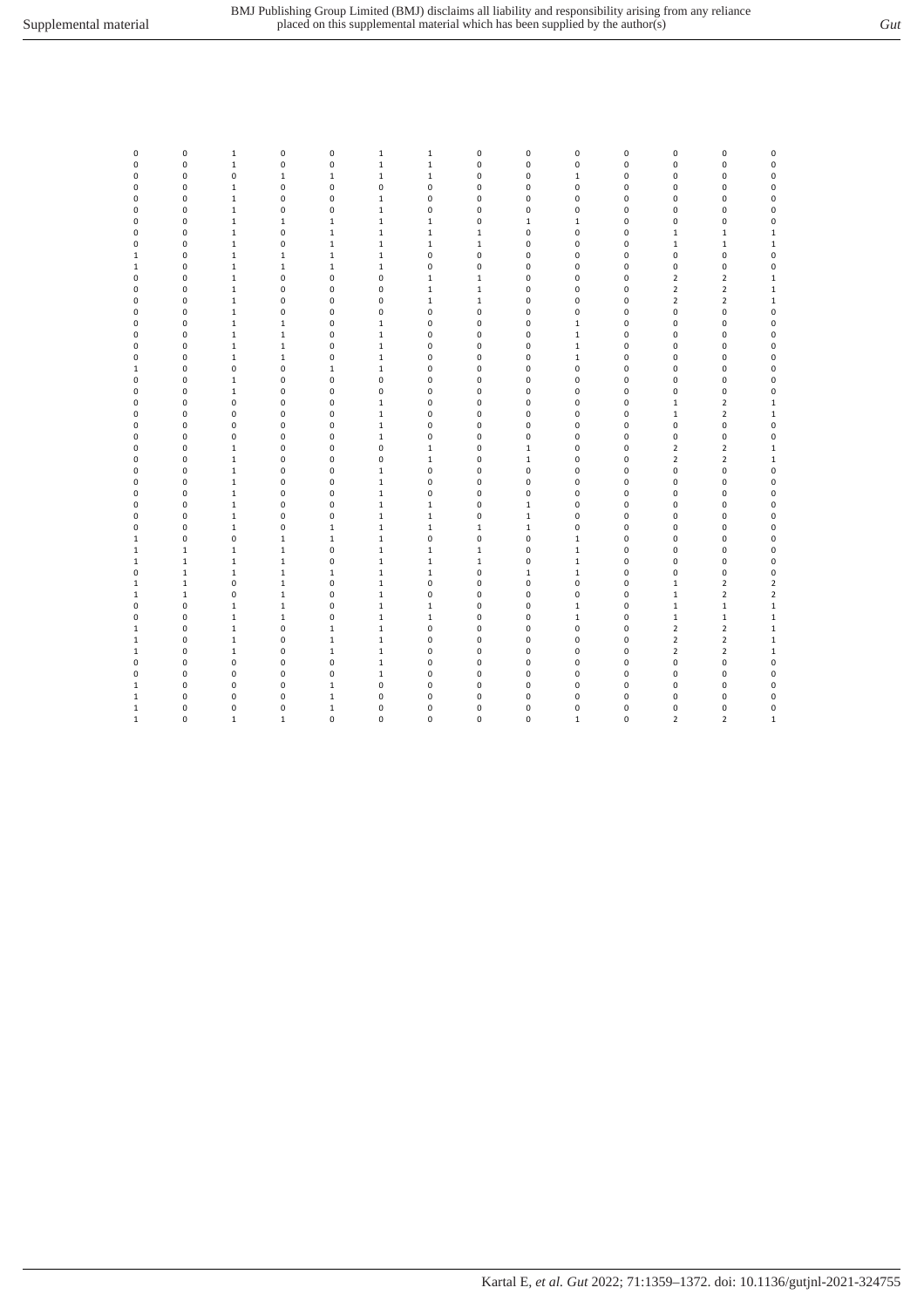| v<br>. . |   |    |
|----------|---|----|
| ٦        | I | ٠. |
| I        | . |    |

| 0            | 0           | $1\,$        | $\mathsf 0$  | $\pmb{0}$    | $\mathbf 1$  | $\mathbf 1$ | $\pmb{0}$    | $\mathsf 0$  | 0            | $\pmb{0}$   | 0                       | $\pmb{0}$               | 0              |
|--------------|-------------|--------------|--------------|--------------|--------------|-------------|--------------|--------------|--------------|-------------|-------------------------|-------------------------|----------------|
| 0            | 0           | $\mathbf 1$  | 0            | $\pmb{0}$    | $\mathbf 1$  | $\mathbf 1$ | $\pmb{0}$    | 0            | 0            | $\pmb{0}$   | 0                       | $\pmb{0}$               | $\pmb{0}$      |
| 0            | 0           | 0            | $1\,$        | $1\,$        | $\mathbf 1$  | $\mathbf 1$ | 0            | 0            | $\mathbf{1}$ | 0           | 0                       | 0                       | $\pmb{0}$      |
| 0            | 0           | $\mathbf{1}$ | 0            | 0            | 0            | $\pmb{0}$   | 0            | 0            | 0            | 0           | 0                       | 0                       | $\pmb{0}$      |
| 0            | 0           | $\mathbf 1$  | 0            | 0            | $\mathbf 1$  | $\pmb{0}$   | 0            | 0            | 0            | 0           | 0                       | $\pmb{0}$               | $\pmb{0}$      |
| 0            | 0           | $\mathbf 1$  | 0            | 0            | $\mathbf 1$  | $\pmb{0}$   | 0            | 0            | 0            | 0           | 0                       | 0                       | 0              |
| 0            | 0           | $\mathbf 1$  | $1\,$        | $1\,$        | $\mathbf 1$  | $\mathbf 1$ | 0            | $\mathbf 1$  | $\mathbf{1}$ | 0           | 0                       | 0                       | $\pmb{0}$      |
| 0            | 0           | $\mathbf 1$  | 0            | $\,1\,$      | $\mathbf 1$  | $\mathbf 1$ | $\mathbf{1}$ | 0            | 0            | 0           | $\mathbf 1$             | $\,1\,$                 | $\mathbf 1$    |
| 0            | 0           | $\mathbf 1$  | 0            | $\mathbf 1$  | $\mathbf 1$  | $\,1\,$     | $\,1\,$      | 0            | 0            | 0           | $1\,$                   | $\mathbf 1$             | $\mathbf 1$    |
| $\mathbf{1}$ | 0           | $\mathbf 1$  | $\mathbf{1}$ | $\,1$        | $\mathbf 1$  | $\pmb{0}$   | $\pmb{0}$    | 0            | 0            | 0           | 0                       | $\pmb{0}$               | $\mathbf 0$    |
| $\mathbf{1}$ | 0           | $\mathbf 1$  | $\mathbf 1$  | $\mathbf 1$  | $\mathbf 1$  | $\pmb{0}$   | 0            | 0            | 0            | 0           | 0                       | 0                       | $\pmb{0}$      |
| 0            | 0           | $\mathbf 1$  | 0            | 0            | 0            | $\mathbf 1$ | $\mathbf 1$  | 0            | 0            | 0           | $\overline{2}$          | $\mathbf 2$             | $\mathbf 1$    |
| 0            | 0           | $\mathbf 1$  | 0            | $\pmb{0}$    | 0            | $\mathbf 1$ | $1\,$        | 0            | 0            | 0           | $\overline{2}$          | $\mathbf 2$             | $\mathbf 1$    |
| 0            | 0           | $\mathbf 1$  | 0            | $\pmb{0}$    | 0            | $\mathbf 1$ | $\,1\,$      | 0            | 0            | 0           | $\overline{\mathbf{c}}$ | $\mathbf 2$             | $\mathbf 1$    |
| $\mathbf 0$  | 0           | $\mathbf 1$  | 0            | 0            | 0            | $\pmb{0}$   | $\mathbf 0$  | 0            | 0            | $\mathbf 0$ | 0                       | 0                       | $\pmb{0}$      |
| $\mathbf 0$  | 0           | $\mathbf 1$  | $\mathbf{1}$ | $\pmb{0}$    | $\mathbf 1$  | $\pmb{0}$   | 0            | 0            | $\mathbf 1$  | 0           | 0                       | $\pmb{0}$               | $\pmb{0}$      |
| 0            | 0           | $\mathbf 1$  | $\mathbf{1}$ | $\pmb{0}$    | $\mathbf 1$  | $\pmb{0}$   | $\pmb{0}$    | 0            | $\mathbf 1$  | 0           | 0                       | $\pmb{0}$               | $\pmb{0}$      |
| $\mathbf 0$  | 0           | $\mathbf 1$  | $\mathbf{1}$ | $\pmb{0}$    | $\mathbf 1$  | $\pmb{0}$   | 0            | 0            | $\mathbf{1}$ | 0           | 0                       | $\pmb{0}$               | $\pmb{0}$      |
| 0            | 0           | $\mathbf 1$  | $\mathbf{1}$ | $\pmb{0}$    | $\mathbf 1$  | $\pmb{0}$   | 0            | 0            | $\mathbf{1}$ | 0           | 0                       | $\pmb{0}$               | $\pmb{0}$      |
| $\mathbf{1}$ | 0           | 0            | 0            | $\,1$        | $\mathbf 1$  | $\pmb{0}$   | 0            | 0            | 0            | 0           | 0                       | 0                       | $\pmb{0}$      |
| 0            | 0           | $\mathbf{1}$ | 0            | 0            | 0            | $\pmb{0}$   | 0            | 0            | 0            | 0           | 0                       | 0                       | 0              |
| 0            | 0           | $\mathbf 1$  | 0            | 0            | $\pmb{0}$    | $\pmb{0}$   | 0            | 0            | 0            | 0           | 0                       | 0                       | $\pmb{0}$      |
| 0            | 0           | 0            | 0            | 0            | $\mathbf 1$  | $\pmb{0}$   | 0            | 0            | 0            | 0           | $\,1$                   | $\overline{2}$          | $\mathbf 1$    |
| 0            | 0           | 0            | 0            | 0            | $\mathbf 1$  | $\pmb{0}$   | 0            | 0            | 0            | 0           | $\,1$                   | $\mathbf 2$             | $\mathbf 1$    |
| 0            | 0           | 0            | 0            | $\pmb{0}$    | $\mathbf 1$  | $\pmb{0}$   | 0            | 0            | 0            | 0           | 0                       | 0                       | $\pmb{0}$      |
| 0            | 0           | 0            | 0            | 0            | $\mathbf 1$  | $\pmb{0}$   | 0            | 0            | 0            | 0           | 0                       | 0                       | $\mathbf 0$    |
| 0            | 0           | $\mathbf 1$  | 0            | 0            | 0            | $\mathbf 1$ | 0            | $\mathbf 1$  | 0            | 0           | $\overline{2}$          | $\mathbf 2$             | $\mathbf 1$    |
| 0            | 0           | $\mathbf 1$  | 0            | 0            | 0            | $\,1\,$     | 0            | $\,1$        | 0            | 0           | $\overline{2}$          | $\mathbf 2$             | $\mathbf 1$    |
| 0            | 0           | $\mathbf 1$  | 0            | $\pmb{0}$    | $\mathbf 1$  | $\pmb{0}$   | 0            | 0            | 0            | 0           | 0                       | 0                       | $\pmb{0}$      |
| 0            | 0           | $\mathbf 1$  | $\pmb{0}$    | 0            | $\mathbf 1$  | $\pmb{0}$   | 0            | 0            | 0            | 0           | 0                       | $\pmb{0}$               | $\mathbf 0$    |
| 0            | 0           | $\mathbf 1$  | 0            | $\pmb{0}$    | $\mathbf 1$  | $\pmb{0}$   | 0            | 0            | 0            | 0           | 0                       | 0                       | 0              |
| 0            | 0           | $\mathbf 1$  | 0            | 0            | $\mathbf 1$  | $\mathbf 1$ | 0            | $\,1$        | 0            | 0           | 0                       | 0                       | $\pmb{0}$      |
| 0            | 0           | $\mathbf 1$  | 0            | 0            | $\mathbf 1$  | $\mathbf 1$ | 0            | $\mathbf 1$  | 0            | 0           | 0                       | 0                       | $\pmb{0}$      |
| 0            | 0           | $\mathbf 1$  | 0            | $\mathbf 1$  | $\mathbf 1$  | $\mathbf 1$ | $\mathbf 1$  | $\,1$        | 0            | 0           | 0                       | 0                       | $\pmb{0}$      |
| $\mathbf{1}$ | 0           | 0            | $\mathbf{1}$ | $\,1$        | $\mathbf{1}$ | $\pmb{0}$   | $\pmb{0}$    | 0            | $\mathbf{1}$ | $\mathbf 0$ | 0                       | $\pmb{0}$               | $\mathbf 0$    |
| $\mathbf{1}$ | $\mathbf 1$ | $\mathbf{1}$ | $\mathbf{1}$ | 0            | $\mathbf 1$  | $\,1\,$     | $\,1\,$      | 0            | $\mathbf{1}$ | 0           | 0                       | $\pmb{0}$               | 0              |
| $\mathbf{1}$ | $\mathbf 1$ | $\mathbf 1$  | $\mathbf{1}$ | $\pmb{0}$    | $\mathbf 1$  | $\mathbf 1$ | $\mathbf 1$  | 0            | $\mathbf 1$  | 0           | 0                       | $\pmb{0}$               | $\pmb{0}$      |
| 0            | $\mathbf 1$ | $\mathbf{1}$ | $\mathbf{1}$ | $\mathbf{1}$ | $\mathbf 1$  | $\,1\,$     | 0            | $\mathbf{1}$ | $\mathbf{1}$ | 0           | 0                       | 0                       | $\pmb{0}$      |
| $\mathbf{1}$ | $\mathbf 1$ | 0            | $\mathbf{1}$ | $\pmb{0}$    | $\mathbf 1$  | $\pmb{0}$   | 0            | 0            | 0            | 0           | $\mathbf 1$             | $\mathbf 2$             | $\mathbf 2$    |
| $\mathbf{1}$ | $\mathbf 1$ | 0            | $\mathbf{1}$ | 0            | $\mathbf 1$  | $\pmb{0}$   | 0            | 0            | 0            | 0           | $\mathbf 1$             | $\mathbf 2$             | $\overline{2}$ |
| 0            | 0           | $\mathbf{1}$ | $\mathbf{1}$ | 0            | $\mathbf 1$  | $\mathbf 1$ | 0            | 0            | $\mathbf{1}$ | 0           | $\mathbf{1}$            | $1\,$                   | $\mathbf 1$    |
| 0            | 0           | $\mathbf 1$  | $\mathbf 1$  | 0            | $\mathbf 1$  | $\,1\,$     | 0            | 0            | $\mathbf 1$  | 0           | $\mathbf 1$             | $\mathbf 1$             | $\mathbf 1$    |
| $1\,$        | 0           | $\mathbf 1$  | 0            | $\mathbf{1}$ | $\mathbf 1$  | $\pmb{0}$   | 0            | 0            | 0            | 0           | $\overline{2}$          | $\overline{\mathbf{2}}$ | $\mathbf 1$    |
| $\mathbf{1}$ | 0           | $\mathbf 1$  | 0            | $\mathbf{1}$ | $\mathbf 1$  | $\pmb{0}$   | 0            | 0            | 0            | 0           | $\overline{2}$          | $\mathbf 2$             | $\mathbf 1$    |
| $\mathbf{1}$ | 0           | $\mathbf 1$  | 0            | $\mathbf 1$  | $\mathbf 1$  | $\pmb{0}$   | 0            | 0            | 0            | 0           | $\overline{2}$          | $\mathbf 2$             | $\mathbf 1$    |
| 0            | 0           | 0            | 0            | 0            | $\mathbf 1$  | $\pmb{0}$   | 0            | 0            | 0            | 0           | 0                       | 0                       | 0              |
| 0            | 0           | 0            | 0            | 0            | $\mathbf 1$  | $\pmb{0}$   | 0            | 0            | 0            | 0           | 0                       | $\pmb{0}$               | $\pmb{0}$      |
| $\mathbf{1}$ | 0           | 0            | 0            | $\,1\,$      | 0            | $\pmb{0}$   | 0            | 0            | 0            | 0           | 0                       | 0                       | 0              |
| $\mathbf{1}$ | 0           | 0            | 0            | $\mathbf 1$  | 0            | 0           | 0            | 0            | 0            | 0           | 0                       | 0                       | 0              |
| $\mathbf{1}$ | 0           | 0            | $\pmb{0}$    | $\mathbf 1$  | 0            | $\pmb{0}$   | 0            | 0            | 0            | 0           | 0                       | $\pmb{0}$               | $\pmb{0}$      |
| $\mathbf{1}$ | 0           | $\mathbf{1}$ | $\mathbf{1}$ | $\mathbf 0$  | 0            | $\mathbf 0$ | 0            | 0            | $\mathbf{1}$ | 0           | $\overline{2}$          | $\overline{2}$          | $\mathbf 1$    |
|              |             |              |              |              |              |             |              |              |              |             |                         |                         |                |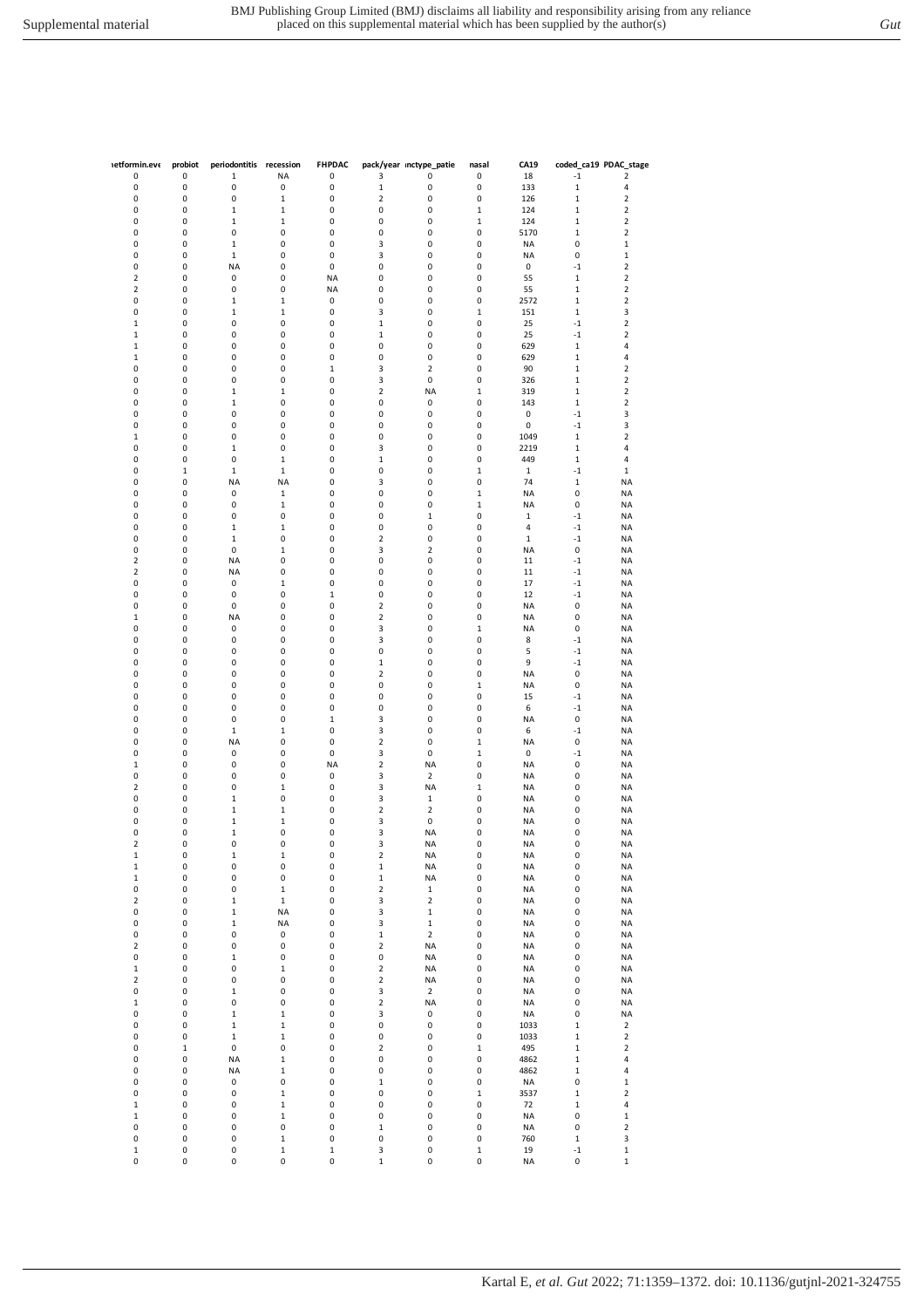| <b>netformin.eve</b>    | probiot     | periodontitis recession     |                              | <b>FHPDAC</b> |                  | pack/year inctype_patie | nasal                       | CA19        | coded_ca19 PDAC_stage       |                                                    |
|-------------------------|-------------|-----------------------------|------------------------------|---------------|------------------|-------------------------|-----------------------------|-------------|-----------------------------|----------------------------------------------------|
| 0                       | 0           | 1                           | NA                           | 0             | 3                | 0                       | 0                           | 18          | $-1$                        | $\mathbf 2$                                        |
| 0                       | 0           | 0                           | 0                            | 0             | $\mathbf 1$      | 0                       | 0                           | 133         | $\mathbf 1$                 | 4                                                  |
| 0                       | 0<br>0      | 0                           | $\mathbf 1$                  | 0             | $\mathbf 2$<br>0 | 0<br>0                  | 0                           | 126         | $\mathbf 1$                 | $\overline{\mathbf{2}}$                            |
| 0<br>0                  | 0           | $\mathbf 1$<br>$\mathbf{1}$ | $\mathbf{1}$<br>$\mathbf{1}$ | 0<br>0        | $\pmb{0}$        | 0                       | $\mathbf 1$<br>$\mathbf{1}$ | 124<br>124  | $\mathbf 1$<br>$\mathbf{1}$ | $\overline{\mathbf{2}}$<br>$\overline{\mathbf{2}}$ |
| 0                       | 0           | 0                           | 0                            | 0             | $\pmb{0}$        | 0                       | 0                           | 5170        | $\mathbf{1}$                | $\mathbf 2$                                        |
| 0                       | 0           | $\mathbf 1$                 | 0                            | 0             | 3                | 0                       | 0                           | <b>NA</b>   | 0                           | $\mathbf 1$                                        |
|                         |             |                             |                              |               |                  |                         |                             |             |                             |                                                    |
| 0                       | 0           | $\mathbf 1$                 | 0                            | 0             | 3                | 0                       | 0                           | <b>NA</b>   | 0                           | $\mathbf 1$<br>$\mathbf 2$                         |
| 0                       | 0           | <b>NA</b>                   | 0                            | 0             | $\pmb{0}$        | 0                       | 0                           | 0           | $^{\rm -1}$                 |                                                    |
| 2                       | 0           | 0                           | 0                            | <b>NA</b>     | $\pmb{0}$        | 0                       | 0                           | 55          | $\mathbf 1$                 | $\mathbf 2$                                        |
| 2                       | 0           | 0                           | 0                            | NA            | $\pmb{0}$        | 0                       | 0                           | 55          | $\mathbf 1$                 | 2                                                  |
| 0                       | 0           | $\mathbf 1$                 | $\mathbf 1$                  | 0             | $\pmb{0}$        | 0                       | 0                           | 2572        | $\mathbf{1}$                | 2                                                  |
| 0                       | 0           | $\mathbf{1}$                | $\mathbf{1}$                 | 0             | 3                | 0                       | $\mathbf 1$                 | 151         | 1                           | 3                                                  |
| 1                       | 0           | 0                           | 0                            | 0             | $\mathbf 1$      | 0                       | 0                           | 25          | $^{\rm -1}$                 | $\mathbf 2$                                        |
| $\mathbf 1$             | 0           | 0                           | 0                            | 0             | $\mathbf 1$      | 0                       | 0                           | 25          | $^{\rm -1}$                 | $\mathbf 2$                                        |
| $\mathbf 1$             | 0           | 0                           | 0                            | 0             | $\pmb{0}$        | 0                       | 0                           | 629         | $\mathbf 1$                 | 4                                                  |
| 1                       | 0           | 0                           | 0                            | 0             | $\pmb{0}$        | 0                       | 0                           | 629         | $\mathbf 1$                 | 4                                                  |
| 0                       | 0           | 0                           | 0                            | $\mathbf 1$   | 3                | $\mathbf 2$             | 0                           | 90          | $\mathbf 1$                 | 2                                                  |
| 0                       | 0           | 0                           | 0                            | 0             | 3                | $\pmb{0}$               | 0                           | 326         | $\mathbf 1$                 | 2                                                  |
| 0                       | 0           | $\mathbf{1}$                | $\mathbf{1}$                 | 0             | $\mathbf 2$      | <b>NA</b>               | $\mathbf 1$                 | 319         | $\mathbf 1$                 | $\mathbf 2$                                        |
| 0                       | 0           | $\mathbf{1}$                | 0                            | 0             | $\pmb{0}$        | 0                       | 0                           | 143         | $\mathbf 1$                 | $\mathbf 2$                                        |
| 0                       | 0           | 0                           | 0                            | 0             | 0                | 0                       | 0                           | 0           | $-1$                        | 3                                                  |
| 0                       | 0           | 0                           | 0                            | 0             | $\pmb{0}$        | 0                       | 0                           | 0           | $^{\rm -1}$                 | 3                                                  |
| 1                       | 0           | 0                           | 0                            | 0             | $\pmb{0}$        | 0                       | 0                           | 1049        | $\mathbf 1$                 | $\mathbf 2$                                        |
| 0                       | 0           | 1                           | 0                            | 0             | 3                | 0                       | 0                           | 2219        | $\mathbf 1$                 | 4                                                  |
| 0                       | 0           | 0                           | $\mathbf 1$                  | 0             | $\mathbf 1$      | 0                       | 0                           | 449         | $\mathbf 1$                 | 4                                                  |
| 0                       | $\mathbf 1$ | $\mathbf{1}$                | $\mathbf{1}$                 | 0             | 0                | 0                       | $\mathbf 1$                 | $\mathbf 1$ | $-1$                        | $\mathbf{1}$                                       |
| 0                       | 0           | <b>NA</b>                   | <b>NA</b>                    | 0             | 3                | 0                       | 0                           | 74          | $\mathbf{1}$                | <b>NA</b>                                          |
| 0                       | 0           | 0                           | $\mathbf 1$                  | 0             | $\pmb{0}$        | 0                       | 1                           | NA          | 0                           | <b>NA</b>                                          |
| 0                       | 0           | 0                           | $\mathbf 1$                  | 0             | $\pmb{0}$        | 0                       | $\mathbf 1$                 | <b>NA</b>   | $\pmb{0}$                   | <b>NA</b>                                          |
| 0                       | 0           | 0                           | 0                            | 0             | $\pmb{0}$        | $\mathbf 1$             | 0                           | $\mathbf 1$ | $-1$                        | <b>NA</b>                                          |
| 0                       | 0           | $\mathbf 1$                 | $\mathbf 1$                  | 0             | 0                | 0                       | 0                           | 4           | $-1$                        | <b>NA</b>                                          |
| 0                       | 0           | $\mathbf 1$                 | 0                            | 0             | $\mathbf 2$      | 0                       | 0                           | $\,1\,$     | $^{\rm -1}$                 | <b>NA</b>                                          |
| 0                       | 0           | 0                           | $\mathbf{1}$                 | 0             | 3                | $\overline{2}$          | 0                           | <b>NA</b>   | $\pmb{0}$                   | <b>NA</b>                                          |
| $\overline{\mathbf{c}}$ | 0           | <b>NA</b>                   | 0                            | 0             | 0                | 0                       | 0                           | 11          | $-1$                        | <b>NA</b>                                          |
| 2                       | 0           | <b>NA</b>                   | 0                            | 0             | 0                | 0                       | 0                           | 11          | $-1$                        | <b>NA</b>                                          |
| 0                       | 0           | 0                           | $\mathbf 1$                  | 0             | $\pmb{0}$        | 0                       | 0                           | 17          | $^{\rm -1}$                 | <b>NA</b>                                          |
| 0                       | 0           | 0                           | 0                            | $\mathbf 1$   | $\pmb{0}$        | 0                       | 0                           | 12          | $-1$                        | <b>NA</b>                                          |
| 0                       | 0           | 0                           | 0                            | 0             | $\mathbf 2$      | 0                       | 0                           | <b>NA</b>   | $\pmb{0}$                   | NA                                                 |
| 1                       | 0           | <b>NA</b>                   | 0                            | 0             | $\mathbf 2$      | 0                       | 0                           | <b>NA</b>   | 0                           | <b>NA</b>                                          |
| 0                       | 0           | 0                           | 0                            | 0             | 3                | 0                       | $\mathbf 1$                 | <b>NA</b>   | 0                           | <b>NA</b>                                          |
| 0                       | 0           | 0                           | 0                            | 0             | 3                | 0                       | 0                           | 8           | $-1$                        | <b>NA</b>                                          |
| 0                       | 0           | 0                           | 0                            | 0             | $\pmb{0}$        | 0                       | 0                           | 5           | $-1$                        | ΝA                                                 |
| 0                       | 0           | 0                           | 0                            | 0             | $\mathbf 1$      | 0                       | 0                           | 9           | $^{\rm -1}$                 | <b>NA</b>                                          |
| 0                       | 0           | 0                           | 0                            | 0             | $\mathbf 2$      | 0                       | 0                           | <b>NA</b>   | $\pmb{0}$                   | <b>NA</b>                                          |
| 0                       | 0           | 0                           | 0                            | 0             | $\pmb{0}$        | 0                       | $\mathbf 1$                 | <b>NA</b>   | $\pmb{0}$                   | <b>NA</b>                                          |
| 0                       | 0           | 0                           | 0                            | 0             | $\pmb{0}$        | 0                       | 0                           | 15          | $^{\rm -1}$                 | <b>NA</b>                                          |
| 0                       | 0           | 0                           | 0                            | 0             | $\pmb{0}$        | 0                       | 0                           | 6           | $-1$                        | NA                                                 |
| 0                       | 0           | 0                           | 0                            | $\mathbf 1$   | 3                | 0                       | 0                           | <b>NA</b>   | $\pmb{0}$                   | <b>NA</b>                                          |
| 0                       | 0           | $\mathbf 1$                 | $\mathbf 1$                  | 0             | 3                | 0                       | 0                           | 6           | $-1$                        | <b>NA</b>                                          |
| 0                       | 0           | <b>NA</b>                   | 0                            | 0             | $\mathbf 2$      | 0                       | $\mathbf 1$                 | <b>NA</b>   | $\pmb{0}$                   | <b>NA</b>                                          |
| 0                       | 0           | 0                           | 0                            | 0             |                  | 0                       |                             | 0           |                             |                                                    |
|                         |             |                             |                              |               | 3                |                         | $\,1$                       |             | $-1$                        | <b>NA</b>                                          |
| $\mathbf 1$             | 0           | 0                           | 0                            | <b>NA</b>     | $\mathbf 2$      | <b>NA</b>               | 0                           | <b>NA</b>   | $\pmb{0}$                   | NA                                                 |
| 0                       | 0           | 0                           | 0                            | 0             | 3                | $\mathbf 2$             | 0                           | <b>NA</b>   | 0                           | <b>NA</b>                                          |
| 2                       | 0           | 0                           | $\mathbf 1$                  | 0             | 3                | <b>NA</b>               | $\mathbf 1$                 | <b>NA</b>   | 0                           | <b>NA</b>                                          |
| 0                       | 0           | $\mathbf{1}$                | 0                            | 0             | 3                | $\mathbf{1}$            | 0                           | <b>NA</b>   | 0                           | <b>NA</b>                                          |
| 0                       | 0           | $\mathbf{1}$                | $\mathbf 1$                  | 0             | $\mathbf 2$      | $\overline{2}$          | 0                           | <b>NA</b>   | 0                           | <b>NA</b>                                          |
| 0                       | 0           | $\mathbf 1$                 | 1                            | 0             | 3                | 0                       | 0                           | <b>NA</b>   | 0                           | <b>NA</b>                                          |
| 0                       | 0           | $\mathbf 1$                 | 0                            | 0             | 3                | <b>NA</b>               | 0                           | <b>NA</b>   | 0                           | <b>NA</b>                                          |
| 2                       | 0           | 0                           | 0                            | 0             | 3                | <b>NA</b>               | 0                           | <b>NA</b>   | 0                           | <b>NA</b>                                          |
| $\mathbf 1$             | 0           | $\mathbf 1$                 | $\mathbf 1$                  | 0             | $\mathbf 2$      | <b>NA</b>               | 0                           | <b>NA</b>   | 0                           | <b>NA</b>                                          |
| $\mathbf 1$             | 0           | 0                           | 0                            | 0             | $\mathbf 1$      | <b>NA</b>               | 0                           | <b>NA</b>   | 0                           | <b>NA</b>                                          |
| $\mathbf 1$             | 0           | 0                           | 0                            | 0             | $\mathbf 1$      | NA                      | 0                           | <b>NA</b>   | $\pmb{0}$                   | <b>NA</b>                                          |
| 0                       | 0           | 0                           | $\mathbf 1$                  | 0             | $\mathbf 2$      | $\mathbf 1$             | 0                           | <b>NA</b>   | 0                           | <b>NA</b>                                          |
| $\overline{\mathbf{c}}$ | 0           | $\mathbf 1$                 | $\,1$                        | 0             | 3                | $\mathbf 2$             | 0                           | <b>NA</b>   | 0                           | <b>NA</b>                                          |
| 0                       | 0           | $\mathbf 1$                 | <b>NA</b>                    | $\pmb{0}$     | 3                | $\mathbf 1$             | 0                           | <b>NA</b>   | 0                           | <b>NA</b>                                          |
| 0                       | 0           | $\mathbf 1$                 | <b>NA</b>                    | 0             | 3                | $\mathbf 1$             | 0                           | <b>NA</b>   | 0                           | <b>NA</b>                                          |
| 0                       | 0           | 0                           | 0                            | 0             | $\mathbf 1$      | $\mathbf 2$             | 0                           | <b>NA</b>   | 0                           | <b>NA</b>                                          |
| 2                       | 0           | 0                           | 0                            | 0             | $\mathbf 2$      | <b>NA</b>               | 0                           | <b>NA</b>   | 0                           | <b>NA</b>                                          |
| 0                       | 0           | $\mathbf 1$                 | 0                            | 0             | $\pmb{0}$        | <b>NA</b>               | 0                           | <b>NA</b>   | 0                           | NA                                                 |
| $\mathbf{1}$            | 0           | 0                           | $\mathbf 1$                  | 0             | $\mathbf 2$      | <b>NA</b>               | 0                           | <b>NA</b>   | 0                           | NA                                                 |
| $\overline{\mathbf{c}}$ | 0           | 0                           | 0                            | 0             | $\mathbf 2$      | <b>NA</b>               | 0                           | <b>NA</b>   | 0                           | <b>NA</b>                                          |
| 0                       | 0           | $\mathbf 1$                 | 0                            | 0             | 3                | $\mathbf 2$             | 0                           | <b>NA</b>   | $\pmb{0}$                   | <b>NA</b>                                          |
| $\mathbf 1$             | 0           | 0                           | 0                            | 0             | $\mathbf 2$      | <b>NA</b>               | 0                           | <b>NA</b>   | 0                           | <b>NA</b>                                          |
| 0                       | 0           | $\mathbf 1$                 | $\mathbf 1$                  | 0             | 3                | 0                       | 0                           | <b>NA</b>   | $\pmb{0}$                   | <b>NA</b>                                          |
| 0                       | 0           | $\mathbf 1$                 | $\mathbf 1$                  | 0             | $\pmb{0}$        | 0                       | 0                           | 1033        | $\mathbf 1$                 | 2                                                  |
| 0                       | 0           | $\mathbf 1$                 | $\mathbf 1$                  | 0             | $\pmb{0}$        | 0                       | 0                           | 1033        | $\mathbf 1$                 | $\overline{\mathbf{c}}$                            |
| 0                       | $\mathbf 1$ | 0                           | 0                            | 0             | $\mathbf 2$      | 0                       | $\mathbf 1$                 | 495         | $\mathbf 1$                 | $\overline{\mathbf{c}}$                            |
| 0                       | 0           | <b>NA</b>                   | $\mathbf 1$                  | 0             | 0                | 0                       | 0                           | 4862        | $\mathbf 1$                 | 4                                                  |
| 0                       | 0           | <b>NA</b>                   | $\mathbf 1$                  | $\pmb{0}$     | $\pmb{0}$        | $\pmb{0}$               | $\pmb{0}$                   | 4862        | $\mathbf 1$                 | 4                                                  |
| 0                       | 0           | 0                           | 0                            | 0             | $\mathbf 1$      | 0                       | 0                           | <b>NA</b>   | 0                           | $\mathbf 1$                                        |
| 0                       | 0           | 0                           | $\mathbf 1$                  | 0             | $\pmb{0}$        | 0                       | $\mathbf 1$                 | 3537        | $\mathbf 1$                 | $\overline{2}$                                     |
| $\mathbf 1$             | 0           | 0                           | $\mathbf 1$                  | 0             | 0                | 0                       | 0                           | 72          | $\mathbf 1$                 | 4                                                  |
| $\mathbf 1$             | 0           | 0                           | $\mathbf 1$                  | 0             | $\pmb{0}$        | 0                       | 0                           | NA          | 0                           | $\mathbf 1$                                        |
| 0                       | 0           | 0                           | 0                            | 0             | $\mathbf 1$      | 0                       | 0                           | <b>NA</b>   | 0                           | $\mathbf 2$                                        |
| 0                       | 0           | 0                           | $\mathbf 1$                  | 0             | 0                | 0                       | 0                           | 760         | $\mathbf 1$                 | 3                                                  |
| $\mathbf 1$             | 0           | 0                           | $\mathbf 1$                  | $\mathbf 1$   | 3                | 0                       | 1                           | 19          | $^{\rm -1}$                 | $\mathbf 1$                                        |
| 0                       | 0           | 0                           | 0                            | 0             | $\mathbf 1$      | 0                       | 0                           | <b>NA</b>   | 0                           | $\mathbf 1$                                        |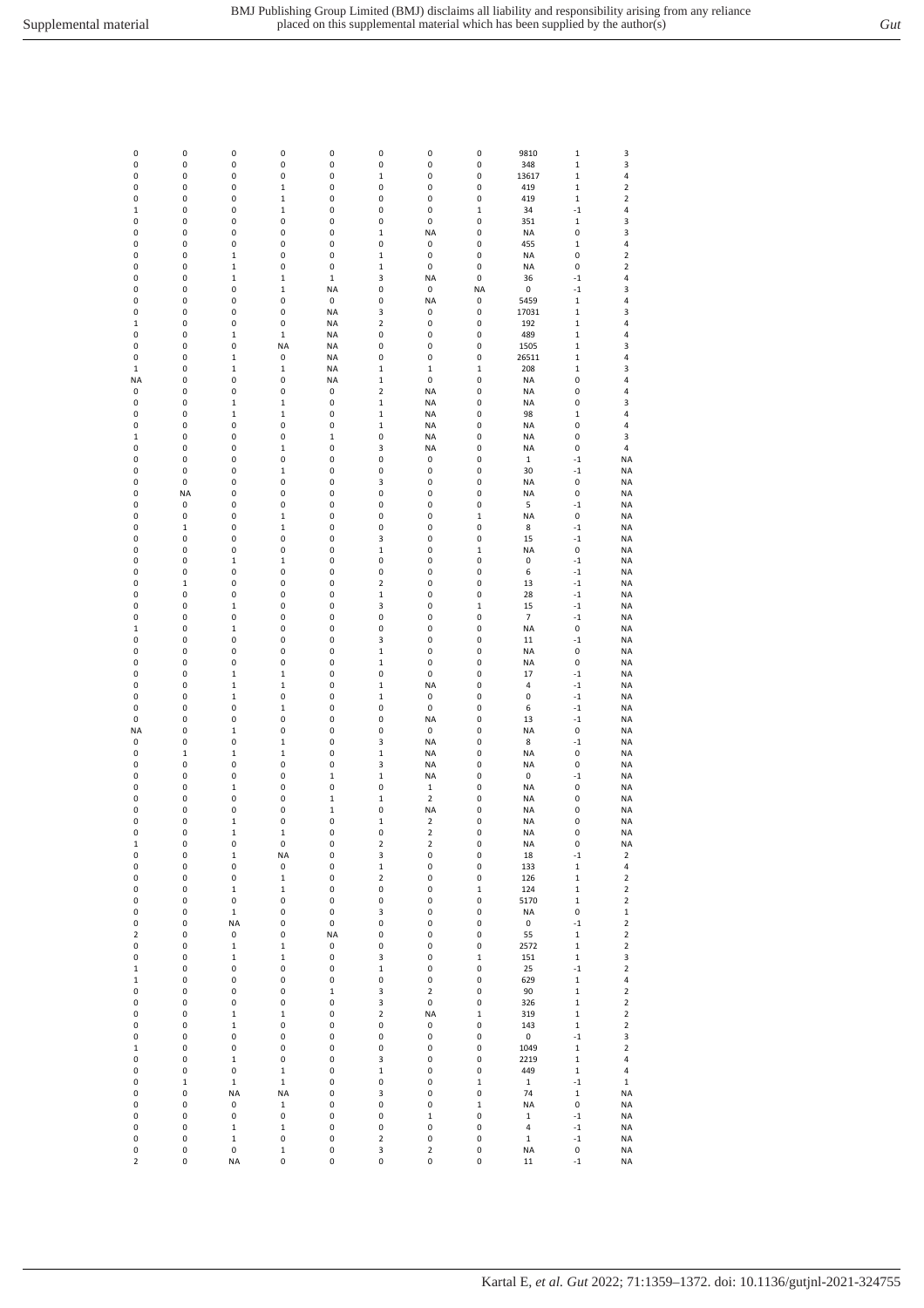| 0                       | 0           | 0                        | 0                | 0           | 0            | 0                       | 0                | 9810              | $\mathbf{1}$               | 3                          |
|-------------------------|-------------|--------------------------|------------------|-------------|--------------|-------------------------|------------------|-------------------|----------------------------|----------------------------|
| 0                       | 0           | $\pmb{0}$                | 0                | 0           | 0            | 0                       | 0                | 348               | $\mathbf 1$                | 3                          |
| 0                       | 0           | 0                        | 0                | 0           | 1            | 0                       | 0                | 13617             | $\mathbf 1$                | 4                          |
| 0                       | 0           | 0                        | $\mathbf 1$      | 0           | 0            | 0                       | 0                | 419               | $\mathbf 1$                | 2                          |
| 0                       | 0           | 0                        | 1                | 0           | 0            | 0                       | 0                | 419               | $\mathbf 1$                | $\overline{\mathbf{c}}$    |
| $\mathbf 1$             | 0           | 0                        | 1                | 0           | 0            | 0                       | $\mathbf 1$      | 34                | $^{\rm -1}$                | 4                          |
| 0                       | 0           | 0                        | 0                | 0           | 0            | 0                       | 0                | 351               | $\mathbf 1$                | 3                          |
| 0                       | 0           | 0                        | 0                | 0           | $\mathbf{1}$ | <b>NA</b>               | 0                | NA                | 0                          | 3                          |
| 0                       | 0           | 0                        | 0                | 0           | 0            | 0                       | 0                | 455               | $\mathbf{1}$               | 4                          |
| 0                       | 0           | $\mathbf 1$              | 0                | 0           | 1            | 0                       | 0                | <b>NA</b>         | 0                          | $\overline{\mathbf{c}}$    |
| 0                       | 0           | $\mathbf 1$              | 0                | 0           | $\mathbf 1$  | 0                       | 0                | NA                | 0                          | 2                          |
| 0                       | 0           | $\mathbf 1$              | $\mathbf 1$      | $\,1\,$     | 3            | <b>NA</b>               | 0                | 36                | $^{\rm -1}$                | 4                          |
| 0                       | 0           | 0                        | $\mathbf 1$      | <b>NA</b>   | 0            | 0                       | NA               | 0                 | $^{\rm -1}$                | 3                          |
| 0                       | 0           | 0                        | 0                | 0           | 0            | <b>NA</b>               | 0                | 5459              | $\mathbf{1}$               | 4                          |
| 0                       | 0           | 0                        | 0                | <b>NA</b>   | 3            | 0                       | 0                | 17031             | $\mathbf 1$                | 3                          |
| 1                       | 0           | 0                        | 0                | <b>NA</b>   | 2            | 0                       | 0                | 192               | $\mathbf 1$                | 4                          |
| 0                       | 0           | $\mathbf 1$              | $\mathbf 1$      | <b>NA</b>   | 0            | 0                       | 0                | 489               | $\mathbf{1}$               | 4                          |
| 0                       | 0           | 0                        | <b>NA</b>        | <b>NA</b>   | 0            | 0                       | 0                | 1505              | $\mathbf 1$                | 3                          |
| 0                       | 0           | $\mathbf 1$              | 0                | <b>NA</b>   | 0            | 0                       | 0                | 26511             | $\mathbf 1$                | 4                          |
| $\mathbf 1$             | 0           | $\mathbf 1$              | 1                | <b>NA</b>   | $\mathbf{1}$ | $\mathbf 1$             | $\mathbf 1$      | 208               | $\mathbf 1$                | 3                          |
| <b>NA</b>               | 0           | 0                        | 0                | <b>NA</b>   | $\mathbf 1$  | 0                       | 0                | <b>NA</b>         | 0                          | 4                          |
| 0                       | 0           | 0                        | 0                | 0           | 2            | <b>NA</b>               | 0                | <b>NA</b>         | 0                          | 4                          |
| 0                       | 0           | $\mathbf{1}$             | 1                | 0           | 1            | <b>NA</b>               | 0                | <b>NA</b>         | 0                          | 3                          |
| 0                       | 0           | $\mathbf 1$              | 1                | 0           | 1            | <b>NA</b>               | 0                | 98                | $\mathbf 1$                | 4                          |
| 0                       | 0           | 0                        | 0                | 0           | $\mathbf 1$  | <b>NA</b>               | 0                | <b>NA</b>         | 0                          | 4                          |
| $\,1\,$                 | 0           | 0                        | 0                | $\,1\,$     | 0            | <b>NA</b>               | 0                | <b>NA</b>         | 0                          | 3                          |
| 0                       | 0           | 0                        | 1                | 0           | 3            | <b>NA</b>               | 0                | NA                | 0                          | 4                          |
| 0                       | 0           | 0                        | 0                | 0           | 0            | 0                       | 0                | $\mathbf 1$       | $-1$                       | <b>NA</b>                  |
| 0                       | 0           | 0                        | 1                | 0           | 0            | 0                       | 0                | 30                | $-1$                       | <b>NA</b>                  |
| 0                       | 0           | 0                        | 0                | 0           | 3            | 0                       | 0                | <b>NA</b>         | 0                          | <b>NA</b>                  |
| 0                       | <b>NA</b>   | 0                        | 0                | 0           | 0            | 0                       | 0                | <b>NA</b>         | 0                          | <b>NA</b>                  |
| 0                       | 0           | 0                        | 0                | 0           | 0            | 0                       | 0                | 5                 | $^{\rm -1}$                | <b>NA</b>                  |
| 0                       | 0           | 0                        | 1                | 0           | 0            | 0                       | $\mathbf 1$      | <b>NA</b>         | 0                          | <b>NA</b>                  |
| 0                       | $\mathbf 1$ | 0                        | 1                | 0           | 0            | 0                       | 0                | 8                 | $-1$                       | <b>NA</b>                  |
| 0                       | 0           | 0                        | 0                | 0           | 3            | 0                       | 0                | 15                | $-1$                       | <b>NA</b>                  |
| 0                       | 0           | 0                        | 0                | 0           | 1            | 0                       | $\mathbf 1$      | <b>NA</b>         | 0                          | <b>NA</b>                  |
| 0                       | 0           | $\mathbf 1$              | $\mathbf 1$      | 0           | 0            | 0                       | 0                | 0                 | $-1$                       | <b>NA</b>                  |
| 0                       | 0           | 0                        | 0                | 0           | 0            | 0                       | 0                | 6                 | $-1$                       | <b>NA</b>                  |
| 0                       | $\mathbf 1$ | $\pmb{0}$                | 0                | 0           | 2            | 0                       | 0                | 13                | $^{\circ}1$                | <b>NA</b>                  |
| 0                       | 0           | 0                        | 0                | 0           | $\mathbf 1$  | 0                       | 0                | 28                | $-1$                       | <b>NA</b>                  |
| 0                       | 0           | $\mathbf 1$              | 0                | 0           | 3            | 0                       | $\mathbf 1$      | 15                | $-1$                       | <b>NA</b>                  |
| 0                       | 0           | 0                        | 0                | 0           | 0            | 0                       | 0                | 7                 | $-1$                       | <b>NA</b>                  |
| $\mathbf 1$             | 0           | $\mathbf{1}$             | 0                | 0           | 0            | 0                       | 0                | <b>NA</b>         | 0                          | <b>NA</b>                  |
| 0                       | 0           | 0                        | 0                | 0           | 3            | 0                       | 0                | 11                | $-1$                       | <b>NA</b>                  |
| 0                       | 0           | 0                        | 0                | 0           | 1            | 0                       | 0                | <b>NA</b>         | 0                          | <b>NA</b>                  |
| 0                       | 0           | 0                        | 0                | 0           | 1            | 0                       | 0                | <b>NA</b>         | 0                          | <b>NA</b>                  |
| 0                       | 0           | $\mathbf 1$              | $\mathbf 1$      | 0           | 0            | 0                       | 0                | 17                | $^{\rm -1}$                | <b>NA</b>                  |
| 0                       | 0           | $\mathbf 1$              | $\mathbf 1$      | 0           | $\mathbf 1$  | <b>NA</b>               | 0                | 4                 | $^{\rm -1}$                | <b>NA</b>                  |
| 0                       | 0           | $\mathbf 1$              | 0                | 0           | $\mathbf 1$  | 0                       | 0                | 0                 | $^{\circ}1$                | <b>NA</b>                  |
| 0                       | 0           | 0                        | $\mathbf 1$      | 0           | 0            | 0                       | 0                | 6                 | $-1$                       | <b>NA</b>                  |
| 0                       | 0           | 0                        | 0                | 0           | 0            | <b>NA</b>               | 0                | 13                | $-1$                       | <b>NA</b>                  |
| <b>NA</b>               | 0           | $\mathbf 1$              | 0                | 0           | 0            | 0                       | 0                | <b>NA</b>         | 0                          | <b>NA</b>                  |
| 0                       | 0           | 0                        | $\mathbf 1$      | 0           | 3            | <b>NA</b>               | 0                | 8                 | $^{\rm -1}$                | <b>NA</b>                  |
| 0                       | $\mathbf 1$ | $\mathbf 1$              | $\mathbf 1$      | 0           | $\mathbf 1$  | <b>NA</b>               | 0                | <b>NA</b>         | 0                          | <b>NA</b>                  |
| 0                       | 0           | 0                        | 0                | 0           | 3            | <b>NA</b>               | 0                | <b>NA</b>         | 0                          | <b>NA</b>                  |
| 0                       | 0           | 0                        | 0                | $\,1\,$     | $\mathbf 1$  | <b>NA</b>               | 0                | 0                 | $^{\rm -1}$                | <b>NA</b>                  |
| 0                       | 0           | $\mathbf 1$              | 0                | 0           | 0            | 1                       | 0                | <b>NA</b>         | 0                          | <b>NA</b>                  |
| 0                       | 0           | 0                        | 0                | $\mathbf 1$ | 1            | $\overline{\mathbf{c}}$ | 0                | <b>NA</b>         | 0                          | <b>NA</b>                  |
| 0                       | 0           | 0                        | 0                | $\mathbf 1$ | 0            | <b>NA</b>               | 0                | <b>NA</b>         | 0                          | <b>NA</b>                  |
| 0                       | 0           | $\mathbf 1$              | 0                | 0           | 1            | $\mathbf 2$             | 0                | <b>NA</b>         | 0                          | <b>NA</b>                  |
| 0                       | 0           | $\mathbf 1$              | $\,1$            | 0           | 0            | 2                       | 0                | <b>NA</b>         | $\pmb{0}$                  | <b>NA</b>                  |
| $\mathbf 1$             | 0           | $\pmb{0}$                | 0                | 0           | $\mathbf 2$  | $\mathbf 2$             | $\pmb{0}$        | <b>NA</b>         | $\pmb{0}$                  | <b>NA</b>                  |
| 0                       | 0           | $\mathbf 1$              | <b>NA</b>        | 0           | 3            | 0                       | 0                | 18                | $^{\rm -1}$                | 2                          |
| 0                       | 0           | 0                        | 0                | 0           | $\mathbf 1$  | 0                       | 0                | 133               | $\mathbf 1$<br>$\mathbf 1$ | 4<br>$\mathbf 2$           |
| 0                       | 0           | 0                        | $\mathbf 1$      | 0           | 2            | 0                       | 0                | 126               |                            |                            |
| 0<br>0                  | 0<br>0      | $\mathbf 1$<br>$\pmb{0}$ | $\mathbf 1$<br>0 | 0<br>0      | 0<br>0       | 0<br>0                  | $\mathbf 1$<br>0 | 124               | $\mathbf 1$<br>$\mathbf 1$ | $\mathbf 2$<br>$\mathbf 2$ |
| 0                       | 0           | $\mathbf 1$              | 0                | 0           | 3            | 0                       | 0                | 5170<br><b>NA</b> | 0                          | $\mathbf 1$                |
| 0                       | 0           | NA                       | 0                | 0           | 0            | 0                       | 0                | 0                 | $-1$                       | $\mathbf 2$                |
| 2                       | 0           | 0                        | 0                | NA          | 0            | 0                       | 0                | 55                | $\mathbf 1$                | $\mathbf 2$                |
| 0                       | 0           | $\mathbf 1$              | $\,1$            | 0           | 0            | 0                       | 0                | 2572              | $\mathbf 1$                | $\mathbf 2$                |
| 0                       | 0           | $\mathbf 1$              | $\mathbf 1$      | 0           | 3            | 0                       | $\mathbf 1$      | 151               | $\mathbf 1$                | 3                          |
| $\mathbf 1$             | 0           | $\pmb{0}$                | 0                | 0           | $\mathbf 1$  | 0                       | 0                | 25                | $-1$                       | $\mathbf 2$                |
| $\mathbf 1$             | 0           | $\pmb{0}$                | 0                | 0           | 0            | 0                       | 0                | 629               | $\mathbf 1$                | 4                          |
| 0                       | 0           | $\pmb{0}$                | 0                | $\mathbf 1$ | 3            | $\mathbf 2$             | 0                | 90                | $\mathbf 1$                | $\mathbf 2$                |
| 0                       | 0           | $\pmb{0}$                | 0                | 0           | 3            | 0                       | $\pmb{0}$        | 326               | $\mathbf 1$                | $\mathbf 2$                |
| 0                       | 0           | $\mathbf 1$              | $\mathbf 1$      | 0           | $\mathbf 2$  | <b>NA</b>               | $\mathbf 1$      | 319               | $\mathbf 1$                | $\mathbf 2$                |
| 0                       | 0           | $\mathbf 1$              | 0                | 0           | 0            | 0                       | 0                | 143               | $\mathbf 1$                | $\mathbf 2$                |
| 0                       | 0           | 0                        | 0                | 0           | 0            | 0                       | 0                | 0                 | $-1$                       | 3                          |
| $\mathbf 1$             | 0           | $\pmb{0}$                | 0                | 0           | 0            | 0                       | 0                | 1049              | $\mathbf 1$                | $\mathbf 2$                |
| 0                       | 0           | $\mathbf 1$              | 0                | 0           | 3            | 0                       | 0                | 2219              | $\mathbf 1$                | 4                          |
| 0                       | 0           | $\pmb{0}$                | $\mathbf 1$      | 0           | $\mathbf 1$  | 0                       | 0                | 449               | $\mathbf 1$                | 4                          |
| 0                       | $\mathbf 1$ | $\mathbf 1$              | $\mathbf 1$      | 0           | 0            | 0                       | $\mathbf 1$      | $\mathbf 1$       | $-1$                       | $\mathbf 1$                |
| 0                       | 0           | NA                       | NA               | 0           | 3            | 0                       | 0                | 74                | $\mathbf 1$                | <b>NA</b>                  |
| 0                       | 0           | 0                        | $\mathbf 1$      | 0           | 0            | 0                       | $\mathbf 1$      | <b>NA</b>         | $\pmb{0}$                  | <b>NA</b>                  |
| 0                       | 0           | 0                        | 0                | 0           | 0            | $\,1$                   | 0                | $\mathbf 1$       | $^{\circ}1$                | <b>NA</b>                  |
| 0                       | 0           | $\mathbf 1$              | $\mathbf 1$      | 0           | 0            | 0                       | 0                | 4                 | $^{\rm -1}$                | <b>NA</b>                  |
| 0                       | 0           | $\mathbf 1$              | 0                | 0           | 2            | 0                       | 0                | $\mathbf 1$       | $-1$                       | <b>NA</b>                  |
| 0                       | 0           | 0                        | $\mathbf 1$      | 0           | 3            | $\mathbf 2$             | 0                | <b>NA</b>         | 0                          | <b>NA</b>                  |
| $\overline{\mathbf{c}}$ | 0           | NA                       | 0                | 0           | 0            | 0                       | 0                | $11\,$            | $-1$                       | <b>NA</b>                  |
|                         |             |                          |                  |             |              |                         |                  |                   |                            |                            |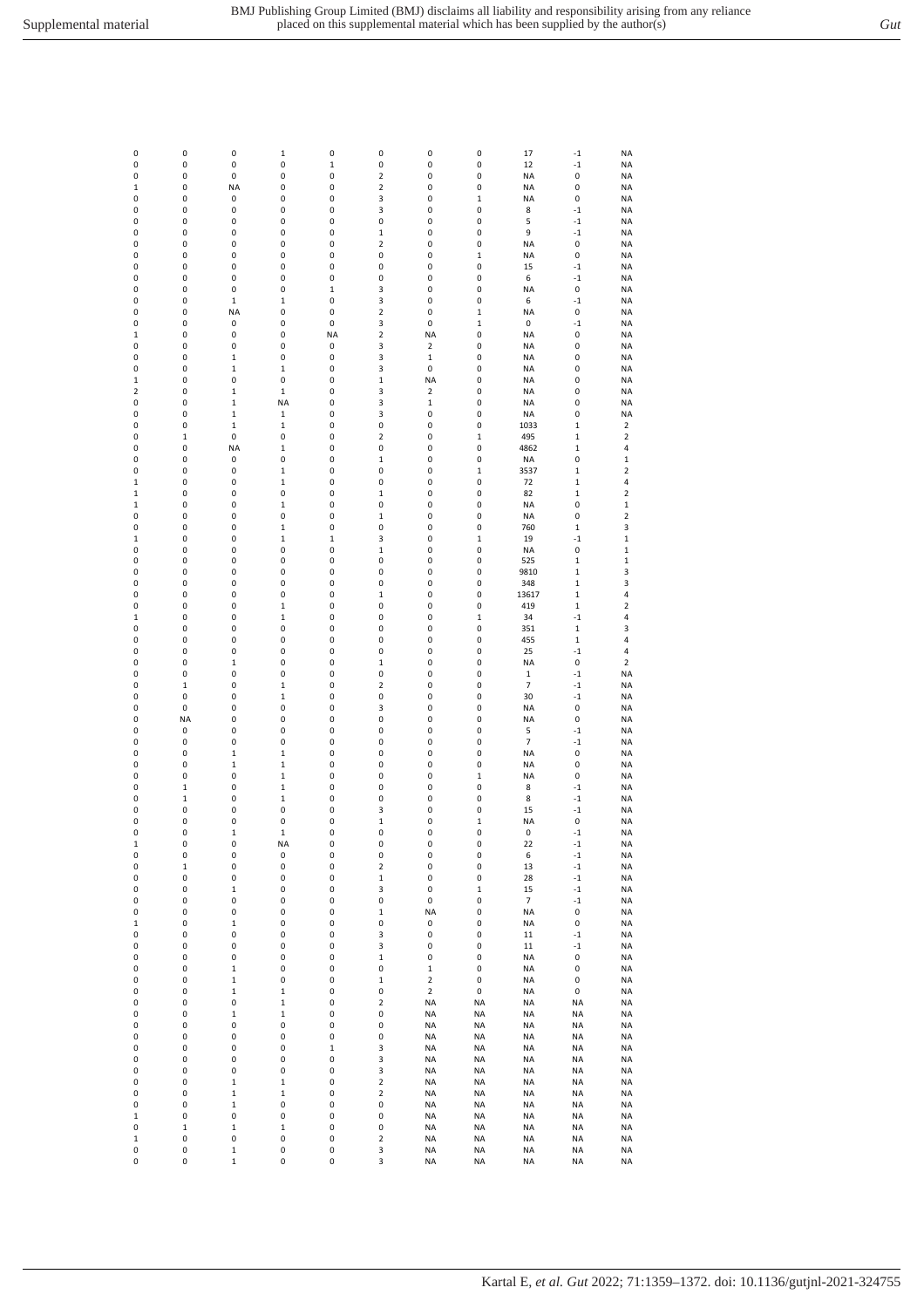| 0           | 0                          | 0                | $\mathbf 1$      | 0                | 0                                      | 0                       | 0                | 17              | $^{\rm -1}$         | <b>NA</b>               |
|-------------|----------------------------|------------------|------------------|------------------|----------------------------------------|-------------------------|------------------|-----------------|---------------------|-------------------------|
| 0           | 0                          | 0                | 0                | $\,1$            | 0                                      | 0                       | 0                | 12              | $-1$                | <b>NA</b>               |
| 0           | 0                          | 0                | 0                | 0                | 2                                      | 0                       | 0                | <b>NA</b>       | 0                   | <b>NA</b>               |
| 1           | 0                          | <b>NA</b>        | 0                | 0                | 2                                      | 0                       | 0                | <b>NA</b>       | 0                   | <b>NA</b>               |
| 0<br>0      | 0<br>0                     | 0<br>0           | 0<br>0           | 0<br>0           | 3<br>3                                 | 0<br>0                  | $\mathbf 1$<br>0 | NA<br>8         | 0<br>$-1$           | <b>NA</b><br><b>NA</b>  |
| 0           | 0                          | 0                | 0                | 0                | 0                                      | 0                       | 0                | 5               | $-1$                | <b>NA</b>               |
| 0           | 0                          | 0                | 0                | 0                | $\mathbf 1$                            | 0                       | 0                | 9               | $^{\rm -1}$         | <b>NA</b>               |
| 0           | 0                          | 0                | 0                | 0                | 2                                      | 0                       | 0                | <b>NA</b>       | 0                   | <b>NA</b>               |
| 0           | 0                          | 0                | 0                | 0                | 0                                      | 0                       | $\mathbf 1$      | <b>NA</b>       | 0                   | <b>NA</b>               |
| 0           | 0                          | 0                | 0                | 0                | 0                                      | 0                       | 0                | 15              | $-1$                | <b>NA</b>               |
| 0<br>0      | 0<br>0                     | 0<br>0           | 0<br>0           | 0<br>$\mathbf 1$ | 0<br>3                                 | 0<br>0                  | 0<br>0           | 6<br><b>NA</b>  | $-1$<br>0           | <b>NA</b><br>ΝA         |
| 0           | 0                          | $\mathbf{1}$     | $\mathbf 1$      | 0                | 3                                      | 0                       | 0                | 6               | $-1$                | <b>NA</b>               |
| 0           | 0                          | <b>NA</b>        | 0                | 0                | 2                                      | 0                       | $\mathbf 1$      | <b>NA</b>       | 0                   | <b>NA</b>               |
| 0           | 0                          | 0                | 0                | 0                | 3                                      | 0                       | $\mathbf 1$      | 0               | $-1$                | <b>NA</b>               |
| 1           | 0                          | 0                | 0                | NA               | 2                                      | NA                      | 0                | NA              | 0                   | <b>NA</b>               |
| 0<br>0      | 0                          | 0<br>$\mathbf 1$ | 0                | 0                | 3<br>3                                 | 2<br>$\mathbf 1$        | 0                | <b>NA</b>       | 0                   | <b>NA</b>               |
| 0           | 0<br>0                     | $\mathbf 1$      | 0<br>$\mathbf 1$ | 0<br>0           | 3                                      | 0                       | 0<br>0           | NA<br><b>NA</b> | 0<br>0              | <b>NA</b><br><b>NA</b>  |
| 1           | 0                          | 0                | 0                | 0                | $\mathbf 1$                            | <b>NA</b>               | 0                | <b>NA</b>       | 0                   | <b>NA</b>               |
| 2           | 0                          | $\mathbf 1$      | $\mathbf 1$      | 0                | 3                                      | 2                       | 0                | <b>NA</b>       | 0                   | <b>NA</b>               |
| 0           | 0                          | 1                | <b>NA</b>        | 0                | 3                                      | $\mathbf 1$             | 0                | <b>NA</b>       | 0                   | <b>NA</b>               |
| 0           | 0                          | $\mathbf 1$      | 1                | 0                | 3                                      | 0                       | 0                | NA              | 0                   | <b>NA</b>               |
| 0           | 0                          | $\mathbf 1$      | $\mathbf 1$      | 0                | 0                                      | 0                       | 0                | 1033            | $\mathbf{1}$        | 2                       |
| 0<br>0      | $\mathbf 1$<br>0           | 0<br><b>NA</b>   | 0<br>$\mathbf 1$ | 0<br>0           | 2<br>0                                 | 0<br>0                  | $\mathbf 1$<br>0 | 495<br>4862     | 1<br>$\mathbf 1$    | 2<br>4                  |
| 0           | 0                          | 0                | 0                | 0                | $\mathbf 1$                            | 0                       | 0                | NA              | 0                   | $\mathbf 1$             |
| 0           | 0                          | 0                | $\mathbf 1$      | 0                | 0                                      | 0                       | $\mathbf 1$      | 3537            | $\mathbf 1$         | $\mathbf 2$             |
| $\mathbf 1$ | 0                          | 0                | $\mathbf 1$      | 0                | 0                                      | 0                       | 0                | 72              | $\mathbf 1$         | 4                       |
| 1           | 0                          | 0                | 0                | 0                | $\mathbf 1$                            | 0                       | 0                | 82              | $\mathbf 1$         | $\overline{\mathbf{2}}$ |
| $\mathbf 1$ | 0                          | 0                | $\,1$            | 0                | 0                                      | 0                       | 0                | <b>NA</b>       | 0                   | $\mathbf 1$             |
| 0           | 0                          | 0                | 0                | 0                | $\mathbf 1$                            | 0                       | 0                | NA              | 0                   | $\overline{2}$          |
| 0<br>1      | 0<br>0                     | 0<br>0           | $\mathbf 1$<br>1 | 0<br>$\mathbf 1$ | 0<br>3                                 | 0<br>0                  | 0<br>$\mathbf 1$ | 760<br>19       | $\mathbf 1$<br>$-1$ | 3<br>$\mathbf 1$        |
| 0           | 0                          | 0                | 0                | 0                | $\mathbf 1$                            | 0                       | 0                | NA              | 0                   | $\mathbf 1$             |
| 0           | 0                          | 0                | 0                | 0                | 0                                      | 0                       | 0                | 525             | $\mathbf 1$         | $\,1$                   |
| 0           | 0                          | 0                | 0                | 0                | 0                                      | 0                       | 0                | 9810            | 1                   | 3                       |
| 0           | 0                          | 0                | 0                | 0                | 0                                      | 0                       | 0                | 348             | 1                   | 3                       |
| 0           | 0                          | 0                | 0                | 0                | $\mathbf 1$                            | 0                       | 0                | 13617           | 1                   | 4                       |
| 0           | 0                          | 0                | $\mathbf 1$      | 0                | 0                                      | 0                       | 0                | 419             | $\mathbf{1}$        | $\overline{2}$          |
| 1<br>0      | 0<br>0                     | 0<br>0           | 1<br>0           | 0<br>0           | 0<br>0                                 | 0<br>0                  | $\mathbf 1$<br>0 | 34              | $-1$<br>$\mathbf 1$ | 4<br>3                  |
| 0           | 0                          | 0                | 0                | 0                | 0                                      | 0                       | 0                | 351<br>455      | $\mathbf 1$         | 4                       |
| 0           | 0                          | 0                | 0                | 0                | 0                                      | 0                       | 0                | 25              | $^{\rm -1}$         | 4                       |
| 0           | 0                          | $\mathbf 1$      | 0                | 0                | $\mathbf 1$                            | 0                       | 0                | <b>NA</b>       | 0                   | $\overline{\mathbf{2}}$ |
| 0           | 0                          | 0                | 0                | 0                | 0                                      | 0                       | 0                | $\mathbf{1}$    | $-1$                | <b>NA</b>               |
| 0           | $\mathbf 1$                | 0                | $\mathbf 1$      | 0                | 2                                      | 0                       | 0                | $\overline{7}$  | $-1$                | <b>NA</b>               |
| 0           | 0                          | 0                | 1                | 0                | 0                                      | 0                       | 0                | 30              | $-1$                | <b>NA</b>               |
| 0<br>0      | 0<br><b>NA</b>             | 0<br>0           | 0<br>0           | 0<br>0           | 3<br>0                                 | 0<br>0                  | 0<br>0           | <b>NA</b><br>NA | 0<br>0              | ΝA<br><b>NA</b>         |
| 0           | 0                          | 0                | 0                | 0                | 0                                      | 0                       | 0                | 5               | $-1$                | <b>NA</b>               |
| 0           | 0                          | 0                | 0                | 0                | 0                                      | 0                       | 0                | $\overline{7}$  | $-1$                | <b>NA</b>               |
| 0           | 0                          | $\mathbf{1}$     | 1                | 0                | 0                                      | 0                       | 0                | NA              | 0                   | <b>NA</b>               |
| 0           | 0                          | $\mathbf 1$      | $\mathbf 1$      | 0                | 0                                      | 0                       | 0                | <b>NA</b>       | 0                   | <b>NA</b>               |
| 0           | 0                          | 0                | 1                | 0                | 0                                      | 0                       | $\mathbf 1$      | <b>NA</b>       | 0                   | <b>NA</b>               |
| 0<br>0      | $\mathbf 1$<br>$\mathbf 1$ | 0<br>0           | $\mathbf 1$<br>1 | 0<br>0           | 0<br>0                                 | 0<br>0                  | 0<br>0           | 8<br>8          | $-1$<br>$-1$        | <b>NA</b><br><b>NA</b>  |
| 0           | 0                          | 0                | 0                | 0                | 3                                      | 0                       | 0                | 15              | $^{\rm -1}$         | <b>NA</b>               |
| O           | 0                          | 0                | 0                | 0                | $\mathbf 1$                            | 0                       | 1                | NA              | 0                   | <b>NA</b>               |
| 0           | 0                          | $\mathbf 1$      | $\mathbf 1$      | 0                | 0                                      | 0                       | 0                | 0               | $-1$                | NA                      |
| $\,1$       | 0                          | 0                | NA               | 0                | 0                                      | 0                       | 0                | 22              | $-1$                | <b>NA</b>               |
| 0           | 0                          | 0                | 0                | 0                | 0                                      | 0                       | 0                | 6               | $-1$                | <b>NA</b>               |
| 0<br>0      | $\mathbf 1$<br>0           | 0<br>0           | 0<br>0           | 0<br>0           | $\overline{\mathbf{c}}$<br>$\mathbf 1$ | $\pmb{0}$<br>0          | 0<br>0           | 13<br>28        | $^{\rm -1}$<br>$-1$ | <b>NA</b><br><b>NA</b>  |
| 0           | 0                          | $\mathbf 1$      | 0                | 0                | 3                                      | 0                       | $\mathbf 1$      | 15              | $-1$                | <b>NA</b>               |
| 0           | 0                          | 0                | 0                | 0                | 0                                      | 0                       | 0                | 7               | $-1$                | NA                      |
| 0           | 0                          | 0                | 0                | 0                | $\mathbf 1$                            | NA                      | 0                | NA              | 0                   | <b>NA</b>               |
| $\,1$       | 0                          | 1                | 0                | 0                | 0                                      | 0                       | 0                | NA              | 0                   | NA                      |
| 0           | 0                          | 0                | 0                | 0                | 3                                      | 0                       | 0                | 11              | $-1$                | NA                      |
| 0           | 0                          | 0                | 0                | 0                | 3                                      | 0                       | 0                | $11\,$          | $^{\rm -1}$         | <b>NA</b>               |
| 0<br>0      | 0<br>0                     | 0<br>1           | 0<br>0           | 0<br>0           | $\mathbf 1$<br>0                       | 0<br>$\mathbf 1$        | 0<br>0           | NA<br>NA        | 0<br>0              | NA<br><b>NA</b>         |
| 0           | 0                          | 1                | 0                | 0                | $\mathbf 1$                            | $\overline{\mathbf{c}}$ | 0                | NA              | 0                   | NA                      |
| 0           | 0                          | 1                | $\,1$            | 0                | 0                                      | $\mathbf 2$             | 0                | NA              | 0                   | <b>NA</b>               |
| 0           | 0                          | 0                | $\,1$            | 0                | $\overline{\mathbf{c}}$                | NA                      | NA               | NA              | NA                  | NA                      |
| 0           | 0                          | $\mathbf 1$      | 1                | 0                | 0                                      | NA                      | NA               | NA              | NA                  | NA                      |
| 0           | 0                          | 0                | 0                | 0                | 0                                      | <b>NA</b>               | <b>NA</b>        | NA              | <b>NA</b>           | NA                      |
| 0           | 0                          | 0                | 0                | 0                | 0<br>3                                 | NA                      | <b>NA</b>        | NA              | <b>NA</b>           | NA<br><b>NA</b>         |
| 0<br>0      | 0<br>0                     | 0<br>0           | 0<br>0           | $\,1$<br>0       | 3                                      | <b>NA</b><br>NA         | NA<br>NA         | NA<br>NA        | NA<br>NA            | NA                      |
| 0           | 0                          | 0                | 0                | 0                | 3                                      | NA                      | NA               | NA              | NA                  | NA                      |
| 0           | 0                          | 1                | $\,1$            | 0                | $\overline{\mathbf{c}}$                | NA                      | NA               | ΝA              | <b>NA</b>           | NA                      |
| 0           | 0                          | $\mathbf 1$      | $\,1$            | 0                | $\overline{\mathbf{c}}$                | <b>NA</b>               | NA               | ΝA              | <b>NA</b>           | NA                      |
| 0           | 0                          | 1                | 0                | 0                | 0                                      | NA                      | NA               | <b>NA</b>       | NA                  | NA                      |
| $\,1$       | 0                          | 0                | 0                | 0                | 0                                      | <b>NA</b>               | <b>NA</b>        | <b>NA</b>       | <b>NA</b>           | <b>NA</b>               |
| 0<br>$\,1$  | $\mathbf 1$<br>0           | 1<br>0           | $\,1$<br>0       | 0<br>0           | 0<br>$\overline{\mathbf{c}}$           | NA<br>NA                | NA<br>NA         | NA<br>NA        | NA<br><b>NA</b>     | NA<br><b>NA</b>         |
| 0           | 0                          | 1                | 0                | 0                | 3                                      | NA                      | NA               | NA              | NA                  | NA                      |
| 0           | 0                          | 1                | 0                | 0                | 3                                      | <b>NA</b>               | NA               | NA              | NA                  | NA                      |
|             |                            |                  |                  |                  |                                        |                         |                  |                 |                     |                         |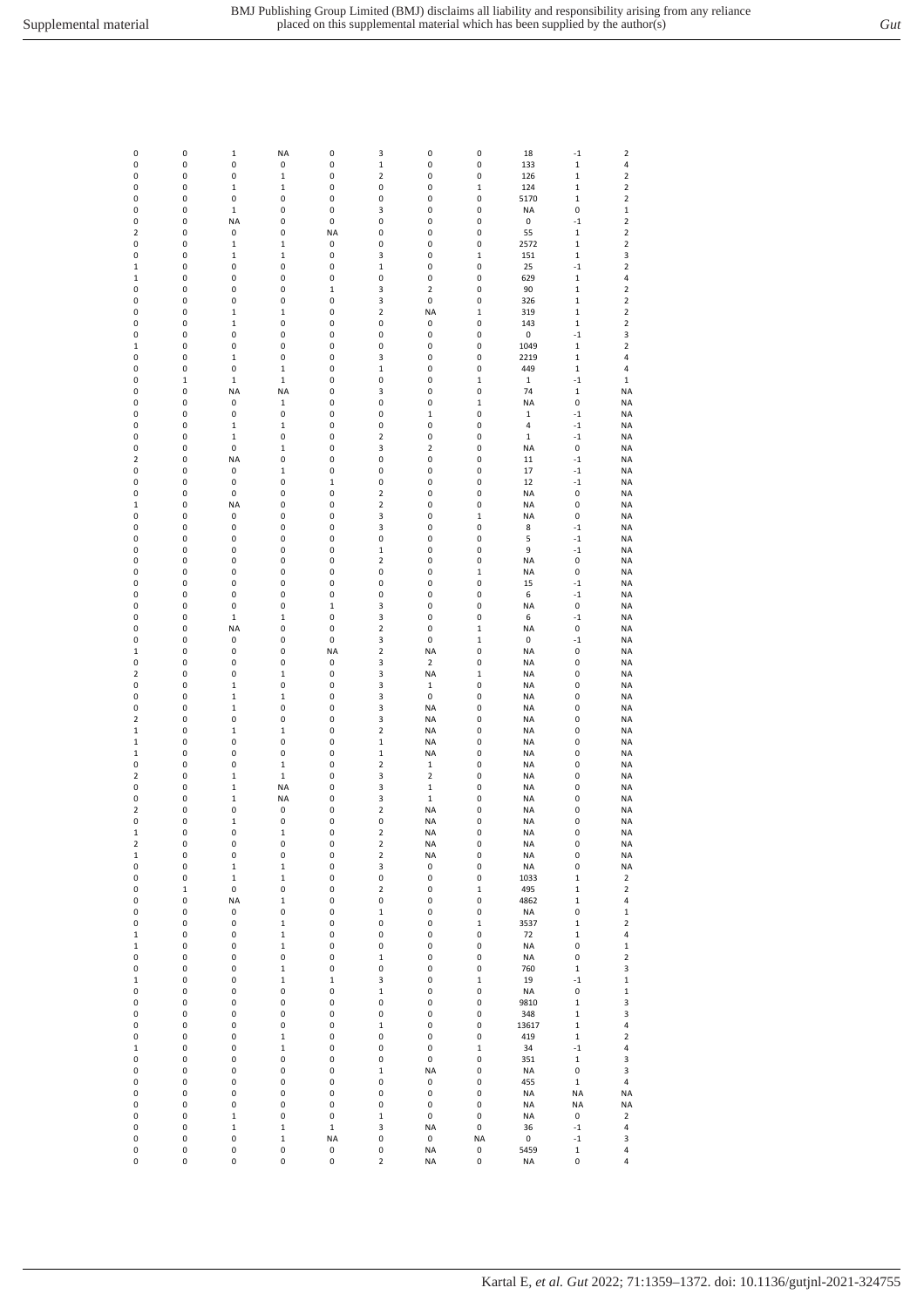| 0                       | 0           | $\mathbf 1$  | <b>NA</b>   | 0           | 3                       | $\pmb{0}$               | 0           | 18          | $-1$         | $\overline{\mathbf{2}}$ |
|-------------------------|-------------|--------------|-------------|-------------|-------------------------|-------------------------|-------------|-------------|--------------|-------------------------|
| 0                       | 0           | 0            | 0           | 0           | $\mathbf 1$             | 0                       | 0           | 133         | $\mathbf 1$  | 4                       |
| 0                       | 0           | 0            | $\mathbf 1$ | 0           | 2                       | 0                       | 0           | 126         | $\mathbf 1$  | $\mathbf 2$             |
| 0                       | 0           | 1            | 1           | 0           | 0                       | 0                       | $\mathbf 1$ | 124         | $\mathbf 1$  | $\mathbf 2$             |
| 0                       | 0           | 0            | 0           | 0           | 0                       | 0                       | 0           | 5170        | $\mathbf 1$  | $\mathbf 2$             |
| 0                       | 0           | $\mathbf 1$  | 0           | 0           | 3                       | 0                       | 0           | NA          | $\pmb{0}$    | $\mathbf 1$             |
| 0                       | 0           | <b>NA</b>    | 0           | 0           | 0                       | 0                       | 0           | 0           | $^{\rm -1}$  | $\mathbf 2$             |
| 2                       | 0           | 0            | 0           | <b>NA</b>   | 0                       | 0                       | 0           | 55          | $\mathbf 1$  | $\mathbf 2$             |
| 0                       | 0           | $\mathbf 1$  | $\mathbf 1$ | 0           | 0                       | 0                       | 0           | 2572        | $\mathbf 1$  | 2                       |
|                         |             |              |             |             |                         |                         |             |             |              |                         |
| 0                       | 0           | $\mathbf 1$  | $\mathbf 1$ | 0           | 3                       | 0                       | $\mathbf 1$ | 151         | $\mathbf 1$  | 3                       |
| 1                       | 0           | 0            | 0           | 0           | $\mathbf 1$             | 0                       | 0           | 25          | $-1$         | $\mathbf 2$             |
| 1                       | 0           | 0            | 0           | 0           | 0                       | 0                       | 0           | 629         | $\mathbf 1$  | 4                       |
| 0                       | 0           | 0            | 0           | 1           | 3                       | $\overline{\mathbf{c}}$ | 0           | 90          | $\mathbf 1$  | $\overline{\mathbf{c}}$ |
| 0                       | 0           | 0            | 0           | 0           | 3                       | $\pmb{0}$               | 0           | 326         | $\mathbf{1}$ | $\overline{\mathbf{c}}$ |
| 0                       | 0           | 1            | $\mathbf 1$ | 0           | 2                       | <b>NA</b>               | $\mathbf 1$ | 319         | $\mathbf 1$  | $\mathbf 2$             |
| 0                       | 0           | $\mathbf 1$  | 0           | 0           | 0                       | 0                       | 0           | 143         | $\mathbf 1$  | $\mathbf 2$             |
| 0                       | 0           | 0            | 0           | 0           | 0                       | 0                       | 0           | 0           | $-1$         | 3                       |
| 1                       | 0           | 0            | 0           | 0           | 0                       | 0                       | 0           | 1049        | $\mathbf 1$  | $\mathbf 2$             |
| 0                       | 0           | $\mathbf 1$  | 0           | 0           | 3                       | 0                       | 0           | 2219        | $\mathbf 1$  | 4                       |
| 0                       | 0           | 0            | $\mathbf 1$ | 0           | $\mathbf 1$             | 0                       | 0           | 449         | $\mathbf 1$  | 4                       |
| 0                       | $\mathbf 1$ | $\mathbf 1$  | $\mathbf 1$ | 0           | 0                       | 0                       | $\mathbf 1$ | $\,1$       | $-1$         | $\mathbf 1$             |
| 0                       | 0           | <b>NA</b>    | NA          | 0           | 3                       | 0                       | 0           | 74          | $\mathbf 1$  | <b>NA</b>               |
|                         |             |              |             |             |                         |                         |             |             |              |                         |
| 0                       | 0           | 0            | $\mathbf 1$ | 0           | 0                       | 0                       | $\mathbf 1$ | <b>NA</b>   | 0            | <b>NA</b>               |
| 0                       | 0           | 0            | 0           | 0           | 0                       | $\mathbf 1$             | 0           | 1           | $-1$         | <b>NA</b>               |
| 0                       | 0           | $\mathbf 1$  | $\mathbf 1$ | 0           | 0                       | 0                       | 0           | 4           | $^{\rm -1}$  | <b>NA</b>               |
| 0                       | 0           | $\mathbf 1$  | 0           | 0           | $\overline{2}$          | 0                       | 0           | $\mathbf 1$ | $^{\rm -1}$  | <b>NA</b>               |
| 0                       | 0           | 0            | $\mathbf 1$ | 0           | 3                       | $\overline{\mathbf{c}}$ | 0           | <b>NA</b>   | $\pmb{0}$    | <b>NA</b>               |
| 2                       | 0           | <b>NA</b>    | 0           | 0           | 0                       | 0                       | 0           | 11          | $^{\rm -1}$  | <b>NA</b>               |
| 0                       | 0           | 0            | $\mathbf 1$ | 0           | 0                       | 0                       | 0           | 17          | $^{\rm -1}$  | <b>NA</b>               |
| 0                       | 0           | 0            | 0           | $\mathbf 1$ | 0                       | 0                       | 0           | 12          | $^{\rm -1}$  | <b>NA</b>               |
| 0                       | 0           | 0            | 0           | 0           | 2                       | 0                       | 0           | <b>NA</b>   | 0            | <b>NA</b>               |
| 1                       | 0           | <b>NA</b>    | 0           | 0           | 2                       | 0                       | 0           | <b>NA</b>   | 0            | <b>NA</b>               |
| 0                       | 0           | 0            | 0           | 0           | 3                       | 0                       | $\mathbf 1$ | NA          | 0            | <b>NA</b>               |
| 0                       | 0           | $\pmb{0}$    | 0           | 0           | 3                       | 0                       | 0           | 8           | $^{\rm -1}$  | <b>NA</b>               |
|                         | 0           | 0            | 0           | 0           | 0                       | 0                       | 0           | 5           | $^{\rm -1}$  | <b>NA</b>               |
| 0                       |             |              |             |             |                         |                         |             |             |              |                         |
| 0                       | 0           | 0            | 0           | 0           | $\mathbf 1$             | 0                       | 0           | 9           | $-1$         | <b>NA</b>               |
| 0                       | 0           | 0            | 0           | 0           | 2                       | 0                       | 0           | <b>NA</b>   | 0            | <b>NA</b>               |
| 0                       | 0           | 0            | 0           | 0           | 0                       | 0                       | $\mathbf 1$ | <b>NA</b>   | 0            | <b>NA</b>               |
| 0                       | 0           | 0            | 0           | 0           | 0                       | 0                       | 0           | 15          | $^{\rm -1}$  | <b>NA</b>               |
| 0                       | 0           | 0            | 0           | 0           | 0                       | 0                       | 0           | 6           | $-1$         | <b>NA</b>               |
| 0                       | 0           | 0            | 0           | $\mathbf 1$ | 3                       | 0                       | 0           | <b>NA</b>   | 0            | <b>NA</b>               |
| 0                       | 0           | $\mathbf 1$  | $\mathbf 1$ | 0           | 3                       | 0                       | 0           | 6           | $^{\rm -1}$  | <b>NA</b>               |
| 0                       | 0           | <b>NA</b>    | 0           | 0           | 2                       | 0                       | $\mathbf 1$ | <b>NA</b>   | 0            | <b>NA</b>               |
| 0                       | 0           | 0            | 0           | 0           | 3                       | 0                       | $\mathbf 1$ | 0           | $^{\rm -1}$  | <b>NA</b>               |
| 1                       | 0           | 0            | 0           | NA          | 2                       | <b>NA</b>               | 0           | <b>NA</b>   | 0            | NA                      |
| 0                       | 0           | 0            | 0           | 0           | 3                       | $\mathbf 2$             | 0           | <b>NA</b>   | 0            | <b>NA</b>               |
| 2                       | 0           | 0            | $\mathbf 1$ | 0           | 3                       | <b>NA</b>               | $\mathbf 1$ | NA          | 0            | <b>NA</b>               |
|                         |             |              |             |             |                         |                         |             |             |              |                         |
| 0                       | 0           | 1            | 0           | 0           | 3                       | $\mathbf 1$             | 0           | NA          | 0            | <b>NA</b>               |
| 0                       | 0           | $\mathbf 1$  | $\mathbf 1$ | 0           | 3                       | 0                       | 0           | <b>NA</b>   | 0            | <b>NA</b>               |
| 0                       | 0           | 1            | 0           | 0           | 3                       | <b>NA</b>               | 0           | NA          | 0            | <b>NA</b>               |
| 2                       | 0           | 0            | 0           | 0           | 3                       | <b>NA</b>               | 0           | <b>NA</b>   | 0            | <b>NA</b>               |
| $\mathbf 1$             | 0           | 1            | $\mathbf 1$ | 0           | $\mathbf 2$             | <b>NA</b>               | 0           | NA          | 0            | <b>NA</b>               |
| $\mathbf 1$             | 0           | 0            | 0           | 0           | $\mathbf 1$             | <b>NA</b>               | 0           | <b>NA</b>   | 0            | <b>NA</b>               |
| $\mathbf 1$             | 0           | 0            | 0           | 0           | $\mathbf 1$             | <b>NA</b>               | 0           | NA          | 0            | <b>NA</b>               |
| 0                       | 0           | 0            | $\mathbf 1$ | 0           | 2                       | $\mathbf 1$             | 0           | NA          | 0            | <b>NA</b>               |
| 2                       | 0           | $\mathbf 1$  | $\mathbf 1$ | 0           | 3                       | $\overline{\mathbf{2}}$ | 0           | <b>NA</b>   | 0            | <b>NA</b>               |
| 0                       | 0           | 1            | <b>NA</b>   | 0           | 3                       | $\mathbf 1$             | 0           | NA          | 0            | NA                      |
| 0                       | 0           | $\mathbf 1$  | NA          | 0           | 3                       | $\mathbf 1$             | 0           | <b>NA</b>   | 0            | <b>NA</b>               |
| 2                       | 0           | 0            | 0           | 0           | 2                       | <b>NA</b>               | 0           | <b>NA</b>   | 0            | <b>NA</b>               |
| 0                       | 0           | 1            | 0           | 0           | 0                       |                         | 0           | <b>NA</b>   | 0            | NA                      |
|                         |             | 0            |             |             | $\mathbf 2$             | <b>NA</b>               | 0           |             | 0            |                         |
| $\mathbf 1$             | 0           |              | $\mathbf 1$ | 0           |                         | NA                      |             | NA          |              | <b>NA</b>               |
| $\overline{\mathbf{c}}$ | 0           | $\pmb{0}$    | 0           | 0           | $\overline{\mathbf{c}}$ | <b>NA</b>               | 0           | NA          | 0            | <b>NA</b>               |
| $\mathbf 1$             | 0           | $\pmb{0}$    | 0           | 0           | $\mathbf 2$             | <b>NA</b>               | 0           | NA          | 0            | <b>NA</b>               |
| 0                       | 0           | $\mathbf{1}$ | $\mathbf 1$ | 0           | 3                       | $\pmb{0}$               | 0           | <b>NA</b>   | 0            | NA                      |
| 0                       | 0           | $\mathbf 1$  | $\mathbf 1$ | 0           | 0                       | 0                       | 0           | 1033        | $\mathbf 1$  | 2                       |
| 0                       | $\mathbf 1$ | 0            | 0           | 0           | $\overline{\mathbf{c}}$ | $\pmb{0}$               | $\mathbf 1$ | 495         | $\mathbf 1$  | $\overline{\mathbf{c}}$ |
| 0                       | 0           | <b>NA</b>    | $\mathbf 1$ | 0           | 0                       | 0                       | 0           | 4862        | $\mathbf 1$  | 4                       |
| 0                       | 0           | 0            | 0           | 0           | $\mathbf 1$             | 0                       | 0           | <b>NA</b>   | 0            | $\mathbf 1$             |
| 0                       | 0           | 0            | $\mathbf 1$ | 0           | 0                       | 0                       | $\mathbf 1$ | 3537        | $\mathbf 1$  | $\mathbf 2$             |
| $\mathbf 1$             | 0           | $\pmb{0}$    | $\mathbf 1$ | 0           | 0                       | 0                       | 0           | 72          | $\mathbf{1}$ | 4                       |
| $\mathbf 1$             | $\pmb{0}$   | $\pmb{0}$    | $\mathbf 1$ | 0           | 0                       | $\pmb{0}$               | 0           | <b>NA</b>   | 0            | $\mathbf 1$             |
| 0                       | 0           | 0            | 0           | 0           | $\mathbf 1$             | 0                       | 0           | NA          | $\pmb{0}$    | $\mathbf 2$             |
| 0                       | 0           | 0            | $\mathbf 1$ | 0           | 0                       | 0                       | 0           | 760         | $\mathbf 1$  | 3                       |
| $\mathbf 1$             | 0           | 0            | $\mathbf 1$ | $\mathbf 1$ | 3                       | 0                       | $\mathbf 1$ | 19          | $^{\rm -1}$  | $\mathbf 1$             |
| 0                       | 0           | 0            | 0           | 0           | $\mathbf 1$             | 0                       | 0           | <b>NA</b>   | 0            | $\mathbf 1$             |
| 0                       | 0           | 0            | 0           | 0           | 0                       | 0                       | 0           | 9810        | $\mathbf 1$  | 3                       |
|                         |             | $\pmb{0}$    |             |             | 0                       |                         | 0           |             | $\mathbf 1$  | 3                       |
| 0                       | 0           |              | 0           | 0           |                         | 0                       |             | 348         |              |                         |
| 0                       | 0           | 0            | 0           | 0           | $\mathbf 1$             | 0                       | 0           | 13617       | $\mathbf 1$  | 4                       |
| 0                       | 0           | 0            | $\mathbf 1$ | 0           | 0                       | 0                       | 0           | 419         | $\mathbf 1$  | $\mathbf 2$             |
| $\mathbf 1$             | 0           | $\pmb{0}$    | $\mathbf 1$ | 0           | 0                       | $\pmb{0}$               | $\mathbf 1$ | 34          | $^{\rm -1}$  | 4                       |
| 0                       | 0           | 0            | 0           | 0           | 0                       | 0                       | 0           | 351         | $\mathbf 1$  | 3                       |
| 0                       | 0           | 0            | 0           | 0           | $\mathbf 1$             | <b>NA</b>               | 0           | <b>NA</b>   | 0            | 3                       |
| 0                       | 0           | 0            | 0           | 0           | 0                       | 0                       | 0           | 455         | $\mathbf 1$  | 4                       |
| 0                       | 0           | $\pmb{0}$    | 0           | 0           | 0                       | $\pmb{0}$               | 0           | <b>NA</b>   | NA           | NA                      |
| 0                       | $\pmb{0}$   | $\pmb{0}$    | 0           | 0           | 0                       | $\pmb{0}$               | 0           | <b>NA</b>   | <b>NA</b>    | <b>NA</b>               |
| 0                       | 0           | $\mathbf 1$  | 0           | 0           | $\mathbf 1$             | $\pmb{0}$               | 0           | <b>NA</b>   | 0            | $\overline{\mathbf{c}}$ |
| 0                       | 0           | 1            | $\mathbf 1$ | $\mathbf 1$ | 3                       | <b>NA</b>               | 0           | 36          | $^{\rm -1}$  | 4                       |
| 0                       | 0           | $\pmb{0}$    | $\mathbf 1$ | NA          | 0                       | 0                       | <b>NA</b>   | 0           | $^{\rm -1}$  | 3                       |
| 0                       | 0           | 0            | 0           | 0           | 0                       | <b>NA</b>               | 0           | 5459        | $\mathbf 1$  | 4                       |
| 0                       | 0           | 0            | 0           | 0           | 2                       | <b>NA</b>               | 0           | NA          | 0            | 4                       |
|                         |             |              |             |             |                         |                         |             |             |              |                         |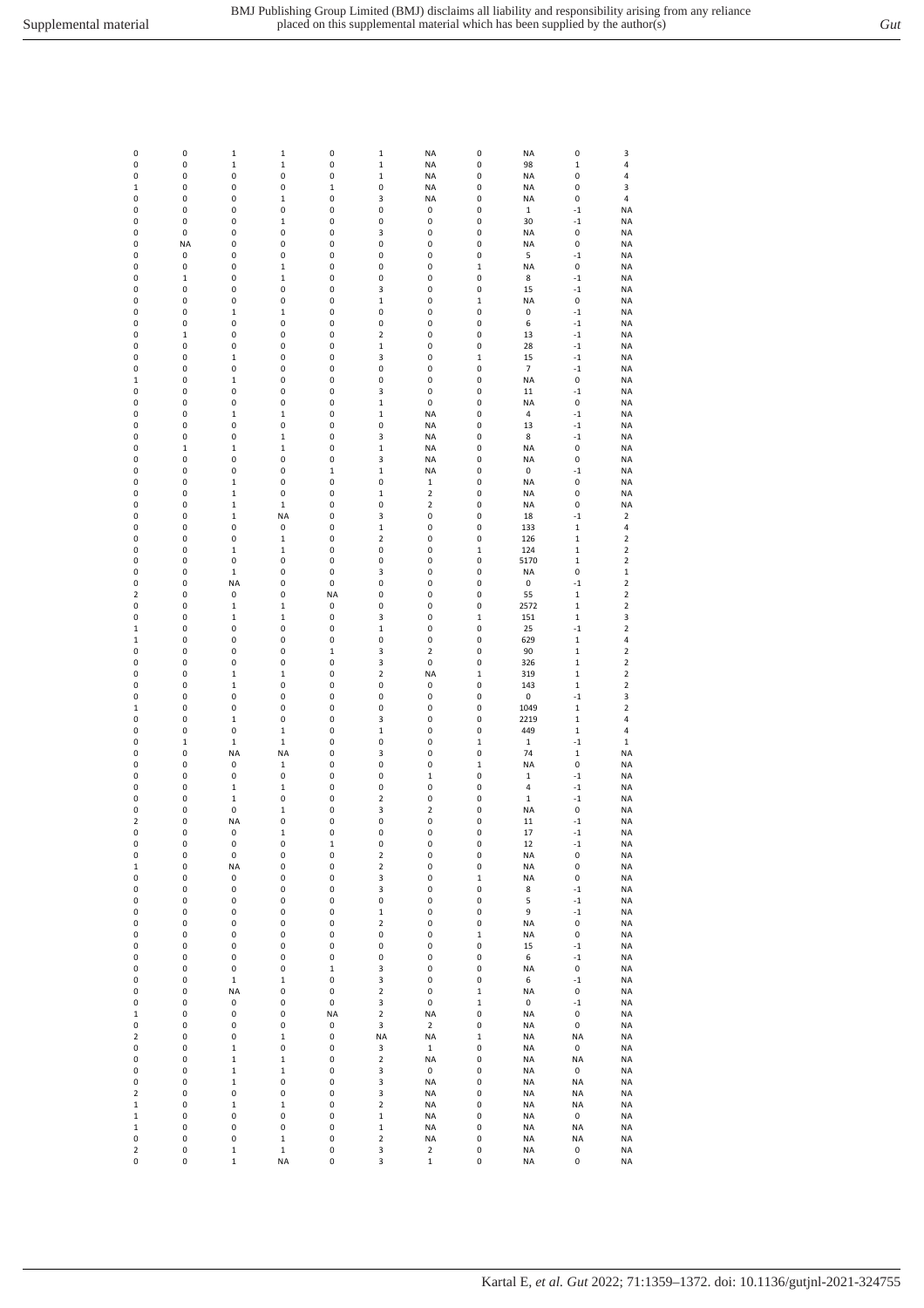| 0              | 0           | $\mathbf 1$      | $\mathbf 1$      | 0           |                            | <b>NA</b>               | 0           | <b>NA</b>                   | 0           |                         |
|----------------|-------------|------------------|------------------|-------------|----------------------------|-------------------------|-------------|-----------------------------|-------------|-------------------------|
| 0              | 0           | $\mathbf 1$      | $\mathbf 1$      | 0           | $\mathbf 1$<br>$\mathbf 1$ | <b>NA</b>               | 0           | 98                          | $\mathbf 1$ | 3<br>4                  |
| 0              | 0           | 0                | 0                | 0           | $\mathbf 1$                | <b>NA</b>               | 0           | NA                          | 0           | 4                       |
| $\mathbf 1$    | 0           | 0                | 0                | $\mathbf 1$ | 0                          | <b>NA</b>               | 0           | <b>NA</b>                   | 0           | 3                       |
| 0              | 0           | 0                | $\mathbf 1$      | 0           | 3                          | <b>NA</b>               | 0           | <b>NA</b>                   | 0           | 4                       |
| 0              | 0           | 0                | 0                | 0           | 0                          | 0                       | 0           | $\,1$                       | $-1$        | <b>NA</b>               |
| 0              | 0           | 0                | $\mathbf 1$      | 0           | 0                          | 0                       | 0           | 30                          | $-1$        | <b>NA</b>               |
| 0              | 0           | 0                | 0                | 0           | 3                          | 0                       | 0           | <b>NA</b>                   | 0           | <b>NA</b>               |
| 0              | <b>NA</b>   | 0                | 0                | 0           | 0                          | 0                       | 0           | <b>NA</b>                   | 0           | <b>NA</b>               |
| 0              | 0           | 0                | 0                | 0           | 0                          | 0                       | 0           | 5                           | $-1$        | <b>NA</b>               |
| 0              | 0           | 0                | $\mathbf 1$      | 0           | 0                          | 0                       | $\,1$       | <b>NA</b>                   | 0           | <b>NA</b>               |
| 0              | $\mathbf 1$ | 0                | $\mathbf 1$      | 0           | 0                          | 0                       | 0           | 8                           | $-1$        | <b>NA</b>               |
| 0              | 0           | 0                | 0                | 0           | 3                          | 0                       | 0           | 15                          | $-1$        | <b>NA</b>               |
| 0              | 0           | 0                | 0                | 0           | $\mathbf 1$                | 0                       | $\mathbf 1$ | <b>NA</b>                   | 0           | <b>NA</b>               |
| 0              | 0           | 1                | $\mathbf 1$      | 0           | 0                          | 0                       | 0           | 0                           | $-1$        | <b>NA</b>               |
| 0              | 0           | 0                | 0                | 0           | 0                          | 0                       | 0           | 6                           | $-1$        | <b>NA</b>               |
| 0              | $\mathbf 1$ | 0                | 0                | 0           | 2                          | 0                       | 0           | 13                          | $-1$        | <b>NA</b>               |
| 0              | 0           | 0                | 0                | 0           | $\mathbf 1$                | 0                       | 0           | 28                          | $-1$        | <b>NA</b>               |
| 0              | 0           | $\mathbf 1$      | 0                | 0           | 3                          | 0                       | $\mathbf 1$ | 15                          | $-1$        | <b>NA</b>               |
| 0              | 0           | 0                | 0                | 0           | 0                          | 0                       | 0           | $\overline{7}$              | $-1$        | <b>NA</b>               |
|                | 0           | 1                | 0                | 0           | 0                          | 0                       | 0           |                             |             |                         |
| $\mathbf 1$    |             |                  |                  |             |                            |                         |             | <b>NA</b>                   | 0           | <b>NA</b>               |
| 0              | 0           | 0                | 0                | 0           | 3                          | 0                       | 0           | 11                          | $-1$        | <b>NA</b>               |
| 0              | 0           | 0                | 0                | 0           | $\mathbf 1$                | 0                       | 0           | <b>NA</b><br>$\overline{4}$ | 0           | <b>NA</b>               |
| 0              | 0<br>0      | $\mathbf 1$<br>0 | $\mathbf 1$<br>0 | 0           | $\mathbf 1$                | <b>NA</b>               | 0           |                             | $-1$        | <b>NA</b>               |
| 0              |             |                  |                  | 0           | 0                          | <b>NA</b>               | 0           | 13                          | $-1$        | <b>NA</b>               |
| 0              | 0           | 0                | $\mathbf 1$      | 0           | 3                          | <b>NA</b>               | 0           | 8                           | $-1$        | <b>NA</b>               |
| 0              | $\mathbf 1$ | 1                | $\mathbf 1$      | 0           | $\mathbf 1$                | <b>NA</b>               | 0           | <b>NA</b>                   | 0           | <b>NA</b>               |
| 0              | 0           | 0                | 0                | 0           | 3                          | <b>NA</b>               | 0           | <b>NA</b>                   | 0           | <b>NA</b>               |
| 0              | 0           | 0                | 0                | $\mathbf 1$ | $\mathbf 1$                | <b>NA</b>               | 0           | 0                           | $-1$        | <b>NA</b>               |
| 0              | 0           | $\mathbf 1$      | 0                | 0           | 0                          | $\mathbf 1$             | 0           | <b>NA</b>                   | 0           | <b>NA</b>               |
| 0              | 0           | $\mathbf 1$      | 0                | 0           | $\mathbf 1$                | $\mathbf 2$             | 0           | <b>NA</b>                   | 0           | <b>NA</b>               |
| 0              | 0           | $\mathbf 1$      | $\mathbf 1$      | 0           | 0                          | $\overline{\mathbf{2}}$ | 0           | <b>NA</b>                   | 0           | <b>NA</b>               |
| 0              | 0           | $\mathbf 1$      | NA               | 0           | 3                          | 0                       | 0           | 18                          | $-1$        | 2                       |
| 0              | 0           | 0                | 0                | 0           | $\mathbf 1$                | 0                       | 0           | 133                         | $\mathbf 1$ | 4                       |
| 0              | 0           | 0                | $\mathbf 1$      | 0           | $\overline{\mathbf{c}}$    | 0                       | 0           | 126                         | $\mathbf 1$ | $\overline{\mathbf{2}}$ |
| 0              | 0           | 1                | $\mathbf 1$      | 0           | 0                          | 0                       | $\mathbf 1$ | 124                         | $\mathbf 1$ | $\overline{\mathbf{2}}$ |
| 0              | 0           | 0                | 0                | 0           | 0                          | 0                       | 0           | 5170                        | $\mathbf 1$ | $\overline{\mathbf{2}}$ |
| 0              | 0           | $\mathbf 1$      | 0                | 0           | 3                          | 0                       | 0           | NA                          | 0           | $\mathbf 1$             |
| 0              | 0           | <b>NA</b>        | 0                | 0           | 0                          | 0                       | 0           | 0                           | $-1$        | $\overline{\mathbf{2}}$ |
| 2              | 0           | 0                | 0                | <b>NA</b>   | 0                          | 0                       | 0           | 55                          | $\mathbf 1$ | $\overline{\mathbf{2}}$ |
| 0              | 0           | $\mathbf{1}$     | $\mathbf 1$      | 0           | 0                          | 0                       | 0           | 2572                        | $\mathbf 1$ | $\overline{\mathbf{2}}$ |
| 0              | 0           | 1                | $\mathbf 1$      | 0           | 3                          | 0                       | $\mathbf 1$ | 151                         | $\mathbf 1$ | 3                       |
| $\mathbf 1$    | 0           | 0                | 0                | 0           | $\mathbf 1$                | 0                       | 0           | 25                          | $-1$        | $\overline{\mathbf{2}}$ |
| $\mathbf 1$    | 0           | 0                | 0                | 0           | 0                          | 0                       | 0           | 629                         | $\mathbf 1$ | 4                       |
| 0              | 0           | 0                | 0                | $\mathbf 1$ | 3                          | $\mathbf 2$             | 0           | 90                          | $\mathbf 1$ | 2                       |
| 0              | 0           | 0                | 0                | 0           | 3                          | 0                       | 0           | 326                         | $\mathbf 1$ | 2                       |
| 0              | 0           | $\mathbf{1}$     | $\mathbf 1$      | 0           | $\overline{\mathbf{c}}$    | ΝA                      | $\mathbf 1$ | 319                         | $\mathbf 1$ | $\overline{\mathbf{2}}$ |
| 0              | 0           | $\mathbf 1$      | 0                | 0           | 0                          | 0                       | 0           | 143                         | $\mathbf 1$ | $\overline{2}$          |
| 0              | 0           | 0                | 0                | 0           | 0                          | 0                       | 0           | 0                           | $-1$        | 3                       |
| $\mathbf 1$    | 0           | 0                | 0                | 0           | 0                          | 0                       | 0           | 1049                        | $\mathbf 1$ | $\mathbf 2$             |
| 0              | 0           | 1                | 0                | 0           | 3                          | 0                       | 0           | 2219                        | $\mathbf 1$ | 4                       |
| 0              | 0           | 0                | $\mathbf 1$      | 0           | $\mathbf 1$                | 0                       | 0           | 449                         | 1           | 4                       |
| 0              | $\mathbf 1$ | $\mathbf 1$      | $\mathbf 1$      | 0           | 0                          | 0                       | $\mathbf 1$ | $\mathbf 1$                 | $-1$        | $\mathbf 1$             |
| 0              | 0           | <b>NA</b>        | NA               | 0           | 3                          | 0                       | 0           | 74                          | $\mathbf 1$ | <b>NA</b>               |
| 0              | 0           | 0                | $\mathbf 1$      | 0           | 0                          | 0                       | 1           | <b>NA</b>                   | 0           | <b>NA</b>               |
| 0              | 0           | 0                | 0                | 0           | 0                          | $\mathbf 1$             | 0           | $\mathbf 1$                 | $-1$        | <b>NA</b>               |
| 0              | $\pmb{0}$   | 1                | $\mathbf 1$      | 0           | 0                          | 0                       | 0           | 4                           | $-1$        | <b>NA</b>               |
| 0              | 0           | 1                | 0                | 0           | 2                          | 0                       | 0           | $\mathbf 1$                 | $-1$        | <b>NA</b>               |
| 0              | 0           | 0                | $\mathbf 1$      | 0           | 3                          | $\mathbf 2$             | 0           | <b>NA</b>                   | 0           | <b>NA</b>               |
| 2              | 0           | <b>NA</b>        | 0                | 0           | 0                          | 0                       | 0           | 11                          | $-1$        | NA                      |
| 0              | 0           | 0                | $\mathbf 1$      | 0           | 0                          | 0                       | $\pmb{0}$   | 17                          | $^{\rm -1}$ | <b>NA</b>               |
| 0              | 0           | 0                | 0                | $\mathbf 1$ | 0                          | 0                       | $\pmb{0}$   | 12                          | $-1$        | <b>NA</b>               |
| 0              | 0           | 0                | 0                | 0           | $\overline{\mathbf{c}}$    | 0                       | 0           | <b>NA</b>                   | 0           | <b>NA</b>               |
| $\mathbf 1$    | 0           | <b>NA</b>        | 0                | 0           | $\overline{\mathbf{c}}$    | 0                       | 0           | <b>NA</b>                   | 0           | <b>NA</b>               |
| 0              | 0           | 0                | 0                | 0           | 3                          | 0                       | $\mathbf 1$ | <b>NA</b>                   | 0           | <b>NA</b>               |
| 0              | 0           | 0                | 0                | 0           | 3                          | 0                       | 0           | 8                           | $^{\rm -1}$ | <b>NA</b>               |
| 0              | 0           | 0                | 0                | 0           | 0                          | 0                       | 0           | 5                           | $^{\circ}1$ | <b>NA</b>               |
| 0              | 0           | 0                | 0                | 0           | $\mathbf 1$                | 0                       | 0           | 9                           | $^{\rm -1}$ | <b>NA</b>               |
| 0              | 0           | 0                | 0                | 0           | $\overline{\mathbf{c}}$    | 0                       | 0           | <b>NA</b>                   | 0           | <b>NA</b>               |
| 0              | 0           | 0                | 0                | 0           | 0                          | 0                       | $\mathbf 1$ | <b>NA</b>                   | 0           | NA                      |
| 0              | 0           | 0                | 0                | 0           | $\pmb{0}$                  | $\pmb{0}$               | $\pmb{0}$   | 15                          | $^{\rm -1}$ | <b>NA</b>               |
| 0              | 0           | 0                | 0                | 0           | 0                          | 0                       | 0           | 6                           | $^{\rm -1}$ | <b>NA</b>               |
| 0              | 0           | 0                | 0                | $\mathbf 1$ | 3                          | 0                       | 0           | <b>NA</b>                   | $\pmb{0}$   | <b>NA</b>               |
| 0              | 0           | $\mathbf 1$      | $\mathbf 1$      | 0           | 3                          | 0                       | 0           | 6                           | $^{\rm -1}$ | <b>NA</b>               |
| 0              | 0           | <b>NA</b>        | 0                | 0           | $\overline{\mathbf{c}}$    | 0                       | $\mathbf 1$ | <b>NA</b>                   | 0           | <b>NA</b>               |
| 0              | 0           | 0                | 0                | 0           | 3                          | 0                       | $\mathbf 1$ | 0                           | $-1$        | NA                      |
| $\mathbf 1$    | 0           | 0                | 0                | <b>NA</b>   | $\mathbf 2$                | <b>NA</b>               | $\pmb{0}$   | <b>NA</b>                   | 0           | <b>NA</b>               |
| 0              | 0           | 0                | 0                | 0           | 3                          | $\mathbf 2$             | 0           | <b>NA</b>                   | 0           | NA                      |
| $\mathbf 2$    | 0           | 0                | $\mathbf 1$      | 0           | <b>NA</b>                  | <b>NA</b>               | $\mathbf 1$ | <b>NA</b>                   | <b>NA</b>   | <b>NA</b>               |
| 0              | $\pmb{0}$   | $\mathbf 1$      | 0                | 0           | 3                          | $\mathbf 1$             | 0           | <b>NA</b>                   | $\pmb{0}$   | <b>NA</b>               |
| 0              | 0           | $\mathbf 1$      | $\mathbf 1$      | 0           | $\mathbf 2$                | <b>NA</b>               | 0           | <b>NA</b>                   | <b>NA</b>   | <b>NA</b>               |
| 0              | 0           | $\mathbf 1$      | $\mathbf 1$      | 0           | 3                          | 0                       | 0           | <b>NA</b>                   | $\pmb{0}$   | <b>NA</b>               |
| 0              | 0           | 1                | 0                | 0           | 3                          | <b>NA</b>               | 0           | <b>NA</b>                   | <b>NA</b>   | NA                      |
| $\overline{2}$ | 0           | 0                | 0                | 0           | 3                          | <b>NA</b>               | 0           | NA                          | <b>NA</b>   | NA                      |
| $\mathbf 1$    | 0           | $\mathbf{1}$     | $\mathbf 1$      | 0           | $\mathbf 2$                | <b>NA</b>               | $\pmb{0}$   | NA                          | <b>NA</b>   | NA                      |
| $\mathbf 1$    | $\pmb{0}$   | 0                | 0                | 0           | $\mathbf{1}$               | <b>NA</b>               | $\pmb{0}$   | <b>NA</b>                   | $\pmb{0}$   | NA                      |
| $\mathbf 1$    | 0           | 0                | 0                | 0           | $\mathbf 1$                | <b>NA</b>               | 0           | <b>NA</b>                   | <b>NA</b>   | <b>NA</b>               |
| 0              | 0           | 0                | $\mathbf 1$      | 0           | $\overline{\mathbf{c}}$    | <b>NA</b>               | 0           | <b>NA</b>                   | <b>NA</b>   | <b>NA</b>               |
| 2              | 0           | 1                | $\mathbf 1$      | 0           | 3                          | 2                       | 0           | <b>NA</b>                   | 0           | NA                      |
| 0              | 0           | $\mathbf{1}$     | <b>NA</b>        | 0           | 3                          | $\mathbf 1$             | 0           | <b>NA</b>                   | 0           | <b>NA</b>               |
|                |             |                  |                  |             |                            |                         |             |                             |             |                         |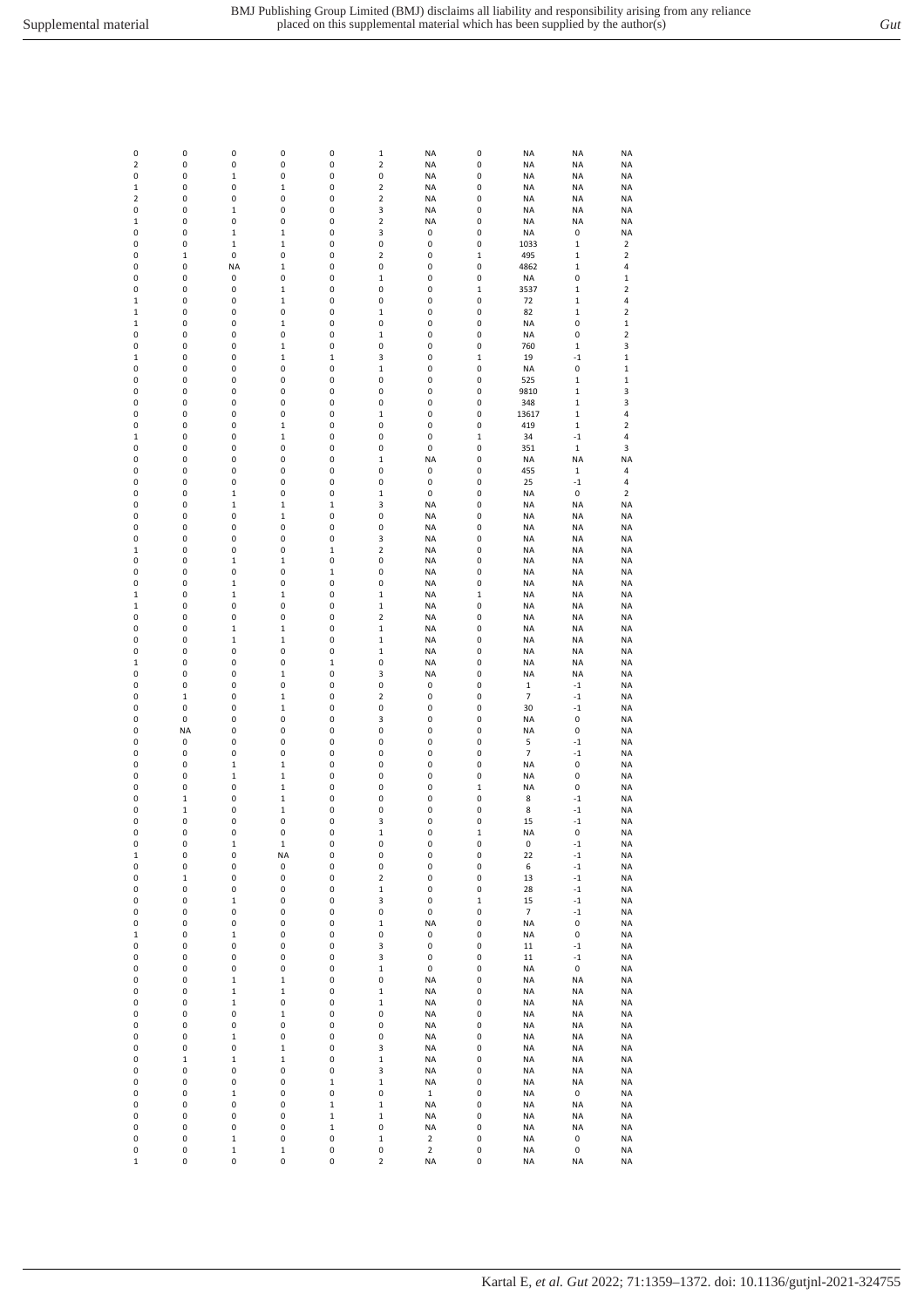| 0                          | $\pmb{0}$         | 0                | 0                          | 0                | $\mathbf 1$             | <b>NA</b>              | 0           | NA                       | <b>NA</b>              | <b>NA</b>                    |
|----------------------------|-------------------|------------------|----------------------------|------------------|-------------------------|------------------------|-------------|--------------------------|------------------------|------------------------------|
| $\mathbf 2$                | 0                 | 0                | 0                          | 0                | $\overline{\mathbf{c}}$ | <b>NA</b>              | 0           | <b>NA</b>                | <b>NA</b>              | <b>NA</b>                    |
| 0                          | 0                 | $\mathbf 1$      | 0                          | 0                | 0                       | <b>NA</b>              | 0           | <b>NA</b>                | <b>NA</b>              | <b>NA</b>                    |
| $\mathbf 1$                | 0                 | 0                | 1                          | 0                | $\mathbf 2$             | <b>NA</b>              | 0           | NA                       | <b>NA</b>              | <b>NA</b>                    |
| $\mathbf 2$                | 0                 | 0                | 0                          | 0                | $\mathbf 2$             | <b>NA</b>              | 0           | NA                       | <b>NA</b>              | <b>NA</b>                    |
| 0                          | 0                 | $\mathbf{1}$     | 0                          | 0                | 3                       | <b>NA</b>              | 0           | <b>NA</b>                | <b>NA</b>              | <b>NA</b>                    |
| $\mathbf 1$                | 0                 | 0                | 0                          | 0                | $\overline{2}$          | <b>NA</b>              | 0           | NA                       | <b>NA</b>              | <b>NA</b>                    |
| 0                          | 0                 | $\mathbf 1$      | $\mathbf 1$                | 0                | 3                       | 0                      | 0           | NA                       | 0                      | <b>NA</b>                    |
| 0                          | 0                 | $\mathbf 1$      | $\,1\,$                    | 0                | 0                       | 0                      | 0           | 1033                     | $\mathbf 1$            | $\overline{\mathbf{2}}$      |
| 0                          | $\mathbf 1$       | 0                | 0                          | 0                | $\overline{\mathbf{c}}$ | 0                      | $\mathbf 1$ | 495                      | $\mathbf 1$            | $\overline{\mathbf{2}}$      |
| 0                          | $\pmb{0}$         | <b>NA</b>        | $\mathbf 1$                | 0                | 0                       | 0                      | 0           | 4862                     | $\mathbf 1$            | 4                            |
| 0                          | 0                 | 0                | 0                          | 0                | $\mathbf 1$             | 0                      | 0           | NA                       | 0                      | 1                            |
| 0                          | 0                 | 0                | $\mathbf 1$                | 0                | 0                       | 0                      | 1           | 3537                     | $\mathbf 1$            | 2                            |
| $\mathbf 1$                | 0                 | 0                | $\mathbf 1$                | 0                | 0                       | 0                      | 0           | 72                       | $\mathbf 1$            | 4<br>$\overline{\mathbf{c}}$ |
| $\mathbf 1$<br>$\mathbf 1$ | 0<br>0            | 0<br>0           | 0<br>$\mathbf 1$           | 0<br>0           | $\mathbf{1}$<br>0       | 0<br>0                 | 0<br>0      | 82<br><b>NA</b>          | $\mathbf 1$<br>0       | $\mathbf 1$                  |
| 0                          | 0                 | 0                | 0                          | 0                | $\mathbf 1$             | 0                      | 0           | <b>NA</b>                | 0                      | $\mathbf 2$                  |
| 0                          | 0                 | 0                | $\mathbf 1$                | 0                | 0                       | 0                      | 0           | 760                      | $\mathbf 1$            | 3                            |
| $\mathbf 1$                | 0                 | 0                | $\mathbf 1$                | $\,1$            | 3                       | 0                      | $\,1$       | 19                       | $-1$                   | $\,1$                        |
| 0                          | 0                 | 0                | 0                          | 0                | $\mathbf 1$             | 0                      | 0           | <b>NA</b>                | 0                      | $\mathbf{1}$                 |
| 0                          | 0                 | 0                | 0                          | 0                | 0                       | 0                      | 0           | 525                      | $\mathbf 1$            | $\mathbf 1$                  |
| 0                          | 0                 | 0                | 0                          | 0                | 0                       | 0                      | 0           | 9810                     | $\mathbf 1$            | 3                            |
| 0                          | 0                 | 0                | 0                          | 0                | 0                       | 0                      | 0           | 348                      | $\mathbf 1$            | 3                            |
| 0                          | $\pmb{0}$         | 0                | 0                          | 0                | $\mathbf 1$             | 0                      | 0           | 13617                    | $\mathbf 1$            | 4                            |
| 0                          | 0                 | 0                | $\mathbf 1$                | 0                | 0                       | 0                      | 0           | 419                      | $\mathbf 1$            | $\mathbf 2$                  |
| $\mathbf 1$                | 0                 | 0                | $\mathbf 1$                | 0                | 0                       | 0                      | 1           | 34                       | $-1$                   | 4                            |
| 0                          | 0                 | 0                | 0                          | 0                | 0                       | 0                      | 0           | 351                      | $\mathbf 1$            | 3                            |
| 0                          | 0                 | 0                | 0                          | 0                | $\mathbf{1}$            | <b>NA</b>              | 0           | <b>NA</b>                | <b>NA</b>              | <b>NA</b>                    |
| 0                          | 0                 | 0                | 0                          | 0                | 0                       | 0                      | 0           | 455                      | $\mathbf 1$            | 4                            |
| 0                          | 0                 | 0                | 0                          | 0                | 0                       | 0                      | 0           | 25                       | $-1$                   | 4                            |
| 0                          | 0                 | $\mathbf 1$      | 0                          | 0                | $\mathbf 1$             | 0                      | 0           | NA                       | 0                      | $\overline{\mathbf{2}}$      |
| 0                          | 0                 | $\mathbf 1$      | $\,1\,$                    | $\mathbf 1$      | 3                       | <b>NA</b>              | 0           | <b>NA</b>                | <b>NA</b>              | <b>NA</b>                    |
| 0                          | 0                 | 0                | $\mathbf 1$                | 0                | 0                       | <b>NA</b>              | 0           | NA                       | <b>NA</b>              | <b>NA</b>                    |
| 0                          | 0                 | 0                | 0                          | 0                | 0                       | <b>NA</b>              | 0           | <b>NA</b>                | <b>NA</b>              | <b>NA</b>                    |
| 0                          | 0                 | 0                | 0                          | 0                | 3                       | <b>NA</b>              | 0           | <b>NA</b>                | <b>NA</b>              | <b>NA</b>                    |
| 1                          | 0                 | 0                | 0                          | 1                | $\mathbf 2$             | <b>NA</b>              | 0           | NA                       | <b>NA</b>              | <b>NA</b>                    |
| 0<br>0                     | 0<br>$\pmb{0}$    | $\mathbf 1$<br>0 | $\mathbf 1$<br>0           | 0<br>$\mathbf 1$ | 0<br>0                  | <b>NA</b><br><b>NA</b> | 0<br>0      | NA<br>NA                 | <b>NA</b><br><b>NA</b> | <b>NA</b><br><b>NA</b>       |
| 0                          | 0                 | $\mathbf 1$      | 0                          | 0                | 0                       | <b>NA</b>              | 0           | <b>NA</b>                | <b>NA</b>              | <b>NA</b>                    |
| $\mathbf 1$                | 0                 | 1                | $\mathbf 1$                | 0                | $\mathbf 1$             | <b>NA</b>              | 1           | NA                       | <b>NA</b>              | <b>NA</b>                    |
| $\mathbf 1$                | 0                 | 0                | 0                          | 0                | $\mathbf 1$             | <b>NA</b>              | 0           | NA                       | <b>NA</b>              | <b>NA</b>                    |
| 0                          | 0                 | 0                | 0                          | 0                | $\overline{2}$          | <b>NA</b>              | 0           | <b>NA</b>                | <b>NA</b>              | <b>NA</b>                    |
| 0                          | 0                 | $\mathbf 1$      | $\mathbf 1$                | 0                | $\mathbf 1$             | <b>NA</b>              | 0           | NA                       | <b>NA</b>              | <b>NA</b>                    |
| 0                          | 0                 | $\mathbf 1$      | $\mathbf 1$                | 0                | $\mathbf{1}$            | <b>NA</b>              | 0           | NA                       | <b>NA</b>              | <b>NA</b>                    |
| 0                          | 0                 | 0                | 0                          | 0                | $\mathbf 1$             | <b>NA</b>              | 0           | <b>NA</b>                | <b>NA</b>              | <b>NA</b>                    |
| $\mathbf 1$                | 0                 | 0                | 0                          | $\mathbf 1$      | 0                       | <b>NA</b>              | 0           | <b>NA</b>                | <b>NA</b>              | <b>NA</b>                    |
| 0                          | $\pmb{0}$         | 0                | $\mathbf 1$                | 0                | 3                       | <b>NA</b>              | 0           | NA                       | <b>NA</b>              | <b>NA</b>                    |
| 0                          | $\pmb{0}$         | 0                | 0                          | 0                | 0                       | 0                      | 0           | 1                        | $-1$                   | <b>NA</b>                    |
| 0                          | $\mathbf 1$       | 0                | $\mathbf 1$                | 0                | $\overline{\mathbf{c}}$ | 0                      | 0           | 7                        | $-1$                   | <b>NA</b>                    |
| 0                          | 0                 | 0                | $\mathbf 1$                | 0                | 0                       | 0                      | 0           | 30                       | $-1$                   | <b>NA</b>                    |
| 0                          | $\pmb{0}$         | 0                | 0                          | 0                | 3                       | 0                      | 0           | NA                       | 0                      | ΝA                           |
| 0                          | <b>NA</b>         | 0                | 0                          | 0                | 0                       | 0                      | 0           | <b>NA</b>                | 0                      | <b>NA</b>                    |
| 0                          | $\pmb{0}$         | 0                | 0                          | 0                | 0                       | 0                      | 0           | 5                        | $^{\rm -1}$            | <b>NA</b>                    |
| 0                          | $\pmb{0}$         | 0                | 0                          | 0                | 0                       | 0                      | 0           | 7                        | $-1$                   | <b>NA</b>                    |
| 0                          | 0                 | $\mathbf 1$      | 1                          | 0                | 0                       | 0                      | 0           | <b>NA</b>                | 0                      | <b>NA</b>                    |
| 0                          | 0                 | $\mathbf{1}$     | $\mathbf 1$                | 0                | 0                       | 0                      | 0           | <b>NA</b>                | 0                      | <b>NA</b>                    |
| 0                          | 0<br>$\mathbf{1}$ | 0<br>0           | $\mathbf 1$<br>$\mathbf 1$ | 0<br>0           | 0<br>0                  | 0<br>0                 | 1<br>0      | NA                       | 0                      | <b>NA</b>                    |
| 0<br>0                     | 1                 | 0                | $\mathbf 1$                | 0                | 0                       | 0                      | 0           | 8<br>8                   | $-1$<br>$-1$           | <b>NA</b><br><b>NA</b>       |
| 0                          | 0                 | 0                | 0                          | 0                | 3                       | 0                      | 0           | 15                       | $^{\rm -1}$            | <b>NA</b>                    |
| 0                          | $\pmb{0}$         | 0                | 0                          | 0                | $\mathbf 1$             | 0                      | $\,1$       | <b>NA</b>                | 0                      | <b>NA</b>                    |
| 0                          | 0                 | $\mathbf 1$      | $\mathbf 1$                | 0                | 0                       | 0                      | 0           | 0                        | $^{\rm -1}$            | <b>NA</b>                    |
| $\mathbf 1$                | $\pmb{0}$         | 0                | <b>NA</b>                  | 0                | 0                       | 0                      | 0           | 22                       | $-1$                   | <b>NA</b>                    |
| 0                          | 0                 | 0                | 0                          | 0                | 0                       | 0                      | 0           | 6                        | $-1$                   | <b>NA</b>                    |
| 0                          | $\mathbf 1$       | 0                | 0                          | 0                | $\overline{2}$          | 0                      | 0           | 13                       | $^{\circ}1$            | <b>NA</b>                    |
| 0                          | $\pmb{0}$         | 0                | 0                          | 0                | $\mathbf 1$             | $\pmb{0}$              | 0           | 28                       | $^{\circ}1$            | <b>NA</b>                    |
| 0                          | $\pmb{0}$         | $\mathbf 1$      | 0                          | 0                | 3                       | 0                      | $\mathbf 1$ | 15                       | $^{\circ}1$            | <b>NA</b>                    |
| 0                          | $\pmb{0}$         | 0                | 0                          | 0                | 0                       | $\pmb{0}$              | 0           | $\overline{\phantom{a}}$ | $^{\circ}1$            | <b>NA</b>                    |
| 0                          | 0                 | 0                | 0                          | 0                | $\mathbf 1$             | <b>NA</b>              | 0           | <b>NA</b>                | 0                      | <b>NA</b>                    |
| $\mathbf 1$                | 0                 | $\mathbf 1$      | 0                          | 0                | 0                       | 0                      | 0           | NA                       | 0                      | NA                           |
| 0                          | 0                 | 0                | 0                          | 0                | 3                       | 0                      | 0           | 11                       | $-1$                   | NA                           |
| 0                          | $\pmb{0}$         | 0                | 0                          | 0                | 3                       | $\pmb{0}$              | 0           | 11                       | $^{\circ}1$            | NA                           |
| 0                          | 0                 | 0                | 0                          | 0                | $\mathbf{1}$            | $\pmb{0}$              | 0           | <b>NA</b>                | 0                      | <b>NA</b>                    |
| 0                          | 0                 | $\mathbf 1$      | $\mathbf 1$                | 0                | 0                       | <b>NA</b>              | 0           | <b>NA</b>                | <b>NA</b>              | <b>NA</b>                    |
| 0                          | $\pmb{0}$         | $\mathbf 1$      | $\mathbf 1$                | 0                | $\mathbf 1$             | <b>NA</b>              | 0<br>0      | <b>NA</b>                | <b>NA</b>              | <b>NA</b>                    |
| 0<br>0                     | $\pmb{0}$<br>0    | $\mathbf 1$      | 0                          | 0                | $\mathbf 1$             | <b>NA</b>              |             | <b>NA</b>                | <b>NA</b>              | <b>NA</b>                    |
| 0                          | 0                 | 0<br>0           | $\mathbf 1$<br>0           | 0<br>0           | 0<br>0                  | <b>NA</b><br><b>NA</b> | 0<br>0      | <b>NA</b><br><b>NA</b>   | <b>NA</b><br><b>NA</b> | <b>NA</b><br>NA              |
| 0                          | $\pmb{0}$         | $\mathbf 1$      | 0                          | 0                | 0                       | <b>NA</b>              | 0           | NA                       | <b>NA</b>              | NA                           |
| 0                          | $\pmb{0}$         | 0                | $\mathbf 1$                | 0                | 3                       | <b>NA</b>              | 0           | <b>NA</b>                | <b>NA</b>              | <b>NA</b>                    |
| 0                          | $\mathbf 1$       | $\mathbf 1$      | $\mathbf 1$                | 0                | $\mathbf 1$             | <b>NA</b>              | 0           | <b>NA</b>                | <b>NA</b>              | <b>NA</b>                    |
| 0                          | 0                 | 0                | 0                          | 0                | 3                       | <b>NA</b>              | 0           | <b>NA</b>                | <b>NA</b>              | <b>NA</b>                    |
| 0                          | 0                 | 0                | 0                          | $\mathbf 1$      | $\mathbf 1$             | <b>NA</b>              | 0           | <b>NA</b>                | <b>NA</b>              | <b>NA</b>                    |
| 0                          | 0                 | $\mathbf 1$      | 0                          | 0                | 0                       | $\mathbf 1$            | 0           | <b>NA</b>                | 0                      | NA                           |
| 0                          | 0                 | 0                | 0                          | $\mathbf 1$      | $\mathbf 1$             | <b>NA</b>              | 0           | NA                       | <b>NA</b>              | NA                           |
| 0                          | 0                 | 0                | 0                          | $\mathbf 1$      | $\mathbf{1}$            | <b>NA</b>              | 0           | <b>NA</b>                | <b>NA</b>              | NA                           |
| 0                          | 0                 | 0                | 0                          | $\mathbf 1$      | 0                       | <b>NA</b>              | 0           | <b>NA</b>                | <b>NA</b>              | NA                           |
| 0                          | $\pmb{0}$         | $\mathbf 1$      | 0                          | 0                | $\mathbf{1}$            | $\mathbf 2$            | 0           | NA                       | 0                      | NA                           |
| 0                          | 0                 | $\mathbf 1$      | $\mathbf 1$                | 0                | 0                       | $\overline{2}$         | 0           | <b>NA</b>                | 0                      | <b>NA</b>                    |
| $\mathbf 1$                | 0                 | 0                | 0                          | 0                | $\mathbf 2$             | <b>NA</b>              | 0           | <b>NA</b>                | <b>NA</b>              | <b>NA</b>                    |
|                            |                   |                  |                            |                  |                         |                        |             |                          |                        |                              |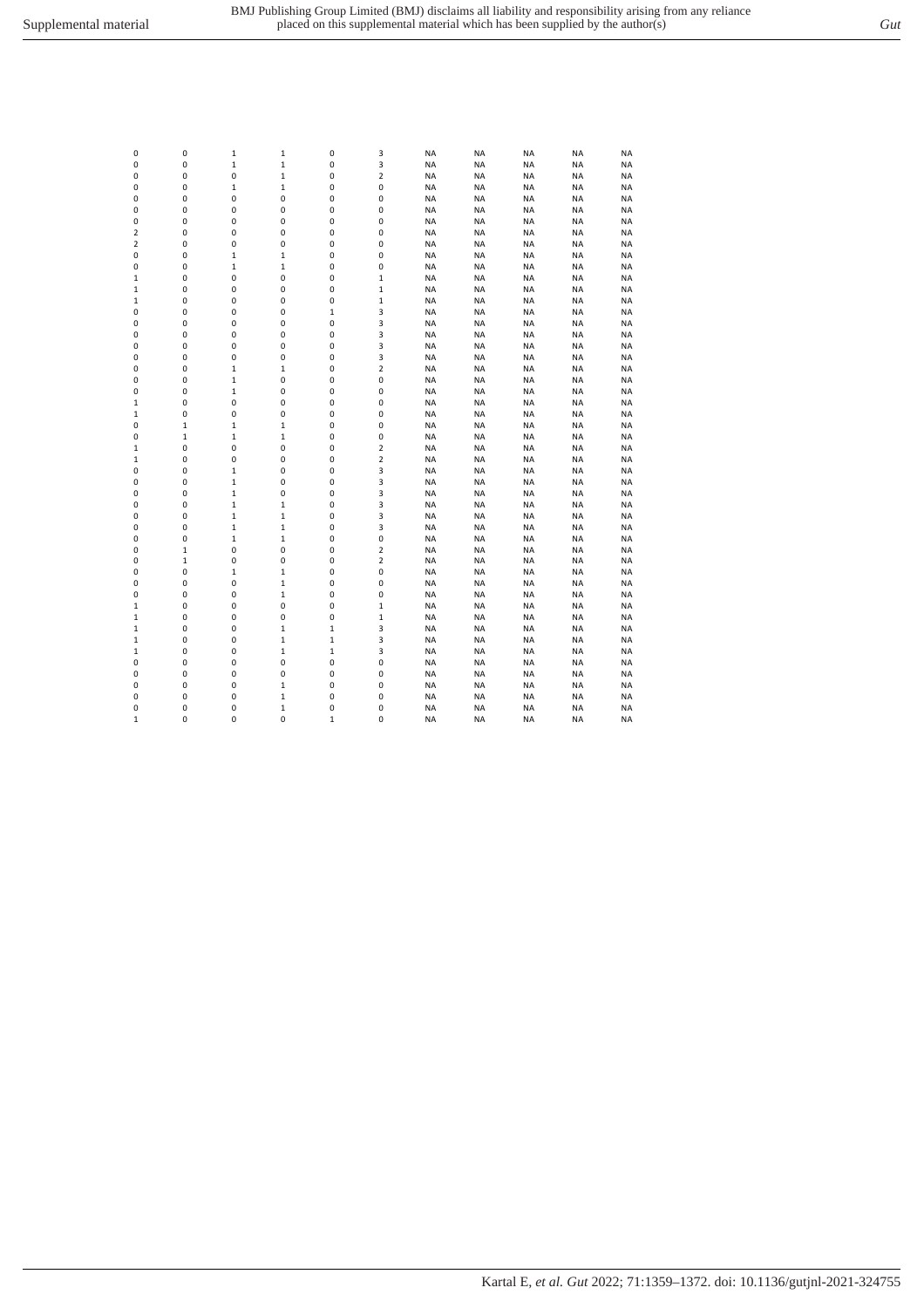| 0              | 0           | 1            | $\mathbf 1$  | 0           | 3                       | <b>NA</b> | NA        | <b>NA</b> | <b>NA</b> | <b>NA</b> |
|----------------|-------------|--------------|--------------|-------------|-------------------------|-----------|-----------|-----------|-----------|-----------|
| 0              | 0           | 1            | $\mathbf 1$  | 0           | 3                       | <b>NA</b> | <b>NA</b> | <b>NA</b> | <b>NA</b> | <b>NA</b> |
| 0              | 0           | 0            | $\mathbf 1$  | 0           | 2                       | <b>NA</b> | NA        | <b>NA</b> | <b>NA</b> | <b>NA</b> |
| 0              | 0           | 1            | $\mathbf 1$  | 0           | $\pmb{0}$               | <b>NA</b> | NA        | <b>NA</b> | <b>NA</b> | NA        |
| 0              | 0           | 0            | 0            | 0           | 0                       | <b>NA</b> | <b>NA</b> | <b>NA</b> | <b>NA</b> | NA        |
| 0              | 0           | 0            | 0            | 0           | 0                       | <b>NA</b> | <b>NA</b> | <b>NA</b> | <b>NA</b> | <b>NA</b> |
| 0              | 0           | 0            | 0            | 0           | 0                       | <b>NA</b> | <b>NA</b> | <b>NA</b> | <b>NA</b> | <b>NA</b> |
| $\overline{2}$ | 0           | 0            | 0            | 0           | $\mathbf 0$             | <b>NA</b> | <b>NA</b> | <b>NA</b> | <b>NA</b> | <b>NA</b> |
| $\overline{2}$ | 0           | 0            | 0            | 0           | $\mathbf 0$             | <b>NA</b> | <b>NA</b> | <b>NA</b> | <b>NA</b> | NA        |
| 0              | $\pmb{0}$   | $\mathbf{1}$ | $\mathbf{1}$ | 0           | 0                       | <b>NA</b> | NA        | <b>NA</b> | <b>NA</b> | NA        |
| 0              | 0           | 1            | $\mathbf 1$  | 0           | 0                       | <b>NA</b> | <b>NA</b> | <b>NA</b> | <b>NA</b> | NA        |
| $\mathbf 1$    | $\pmb{0}$   | 0            | 0            | 0           | $\mathbf{1}$            | <b>NA</b> | NA        | <b>NA</b> | <b>NA</b> | ΝA        |
| $\mathbf 1$    | 0           | 0            | 0            | 0           | $\mathbf{1}$            | <b>NA</b> | NA        | <b>NA</b> | <b>NA</b> | NA        |
| $\mathbf 1$    | 0           | 0            | 0            | 0           | $\mathbf{1}$            | <b>NA</b> | NA        | <b>NA</b> | <b>NA</b> | <b>NA</b> |
| 0              | 0           | 0            | 0            | $\mathbf 1$ | 3                       | <b>NA</b> | NA        | <b>NA</b> | <b>NA</b> | <b>NA</b> |
| 0              | 0           | 0            | 0            | 0           | 3                       | <b>NA</b> | <b>NA</b> | <b>NA</b> | <b>NA</b> | <b>NA</b> |
| 0              | 0           | 0            | 0            | 0           | 3                       | <b>NA</b> | <b>NA</b> | <b>NA</b> | <b>NA</b> | <b>NA</b> |
| 0              | 0           | $\mathbf 0$  | 0            | 0           | 3                       | <b>NA</b> | <b>NA</b> | <b>NA</b> | <b>NA</b> | <b>NA</b> |
| 0              | 0           | 0            | 0            | 0           | 3                       | <b>NA</b> | <b>NA</b> | <b>NA</b> | <b>NA</b> | <b>NA</b> |
| 0              | $\pmb{0}$   | $\mathbf{1}$ | $\mathbf 1$  | 0           | $\overline{\mathbf{c}}$ | <b>NA</b> | NA        | <b>NA</b> | <b>NA</b> | ΝA        |
|                | $\pmb{0}$   |              | 0            | 0           | 0                       | <b>NA</b> |           |           |           |           |
| 0              |             | 1            |              | 0           |                         | <b>NA</b> | NA        | <b>NA</b> | <b>NA</b> | NA        |
| 0              | 0           | 1            | 0            |             | 0                       |           | NA        | <b>NA</b> | <b>NA</b> | ΝA        |
| $\mathbf 1$    | 0           | 0            | 0            | 0           | 0                       | <b>NA</b> | NA        | <b>NA</b> | <b>NA</b> | ΝA        |
| $\mathbf 1$    | 0           | 0            | 0            | 0           | 0                       | <b>NA</b> | NA        | <b>NA</b> | <b>NA</b> | <b>NA</b> |
| 0              | $\mathbf 1$ | 1            | $\,1\,$      | 0           | 0                       | <b>NA</b> | NA        | <b>NA</b> | <b>NA</b> | ΝA        |
| 0              | $\mathbf 1$ | 1            | $\mathbf{1}$ | 0           | $\mathbf 0$             | <b>NA</b> | <b>NA</b> | <b>NA</b> | <b>NA</b> | <b>NA</b> |
| $\mathbf 1$    | 0           | 0            | 0            | 0           | $\overline{\mathbf{c}}$ | <b>NA</b> | <b>NA</b> | <b>NA</b> | <b>NA</b> | <b>NA</b> |
| $\mathbf 1$    | 0           | 0            | 0            | 0           | $\overline{\mathbf{c}}$ | <b>NA</b> | <b>NA</b> | <b>NA</b> | <b>NA</b> | <b>NA</b> |
| 0              | 0           | $\mathbf{1}$ | 0            | 0           | 3                       | <b>NA</b> | <b>NA</b> | <b>NA</b> | <b>NA</b> | <b>NA</b> |
| 0              | 0           | $\mathbf{1}$ | 0            | 0           | 3                       | <b>NA</b> | <b>NA</b> | <b>NA</b> | <b>NA</b> | <b>NA</b> |
| 0              | $\pmb{0}$   | 1            | 0            | 0           | 3                       | <b>NA</b> | NA        | <b>NA</b> | <b>NA</b> | <b>NA</b> |
| 0              | 0           | 1            | $\mathbf 1$  | 0           | 3                       | <b>NA</b> | NA        | <b>NA</b> | <b>NA</b> | <b>NA</b> |
| 0              | 0           | 1            | $\mathbf 1$  | 0           | 3                       | <b>NA</b> | NA        | <b>NA</b> | <b>NA</b> | <b>NA</b> |
| 0              | $\pmb{0}$   | 1            | $\mathbf 1$  | 0           | 3                       | <b>NA</b> | NA        | <b>NA</b> | <b>NA</b> | NA        |
| 0              | 0           | 1            | $\mathbf 1$  | 0           | 0                       | <b>NA</b> | NA        | <b>NA</b> | <b>NA</b> | NA        |
| 0              | $\mathbf 1$ | 0            | 0            | 0           | $\overline{\mathbf{c}}$ | <b>NA</b> | <b>NA</b> | <b>NA</b> | <b>NA</b> | <b>NA</b> |
| 0              | $\mathbf 1$ | 0            | 0            | 0           | $\overline{\mathbf{c}}$ | <b>NA</b> | <b>NA</b> | <b>NA</b> | <b>NA</b> | <b>NA</b> |
| 0              | 0           | $\mathbf{1}$ | $\mathbf{1}$ | 0           | 0                       | <b>NA</b> | <b>NA</b> | <b>NA</b> | <b>NA</b> | <b>NA</b> |
| 0              | 0           | 0            | $\mathbf 1$  | 0           | $\mathbf 0$             | <b>NA</b> | <b>NA</b> | <b>NA</b> | <b>NA</b> | <b>NA</b> |
| 0              | 0           | 0            | $\mathbf{1}$ | 0           | $\mathbf 0$             | <b>NA</b> | <b>NA</b> | <b>NA</b> | <b>NA</b> | <b>NA</b> |
| $\mathbf 1$    | 0           | 0            | 0            | 0           | $\mathbf{1}$            | <b>NA</b> | NA        | <b>NA</b> | <b>NA</b> | <b>NA</b> |
| $\mathbf 1$    | $\pmb{0}$   | 0            | 0            | 0           | $\mathbf{1}$            | <b>NA</b> | NA        | <b>NA</b> | <b>NA</b> | ΝA        |
| $\mathbf 1$    | 0           | 0            | $\mathbf 1$  | $\mathbf 1$ | 3                       | <b>NA</b> | <b>NA</b> | <b>NA</b> | <b>NA</b> | NA        |
| $\mathbf 1$    | 0           | 0            | $\mathbf 1$  | $\mathbf 1$ | 3                       | <b>NA</b> | NA        | <b>NA</b> | <b>NA</b> | <b>NA</b> |
| $\mathbf 1$    | 0           | 0            | $\mathbf 1$  | $\mathbf 1$ | 3                       | <b>NA</b> | NA        | <b>NA</b> | <b>NA</b> | NA        |
| 0              | 0           | 0            | 0            | 0           | 0                       | <b>NA</b> | NA        | <b>NA</b> | <b>NA</b> | <b>NA</b> |
| 0              | 0           | 0            | 0            | 0           | 0                       | <b>NA</b> | <b>NA</b> | <b>NA</b> | <b>NA</b> | <b>NA</b> |
| 0              | 0           | 0            | $\mathbf{1}$ | 0           | $\mathbf 0$             | <b>NA</b> | <b>NA</b> | <b>NA</b> | <b>NA</b> | <b>NA</b> |
| 0              | $\pmb{0}$   | 0            | $\mathbf 1$  | 0           | 0                       | <b>NA</b> | <b>NA</b> | <b>NA</b> | <b>NA</b> | NA        |
| 0              | $\pmb{0}$   | 0            | $\,1\,$      | 0           | 0                       | <b>NA</b> | <b>NA</b> | <b>NA</b> | <b>NA</b> | <b>NA</b> |
| $\mathbf{1}$   | $\mathbf 0$ | $\mathbf 0$  | 0            | $\mathbf 1$ | 0                       | <b>NA</b> | NA        | <b>NA</b> | <b>NA</b> | <b>NA</b> |
|                |             |              |              |             |                         |           |           |           |           |           |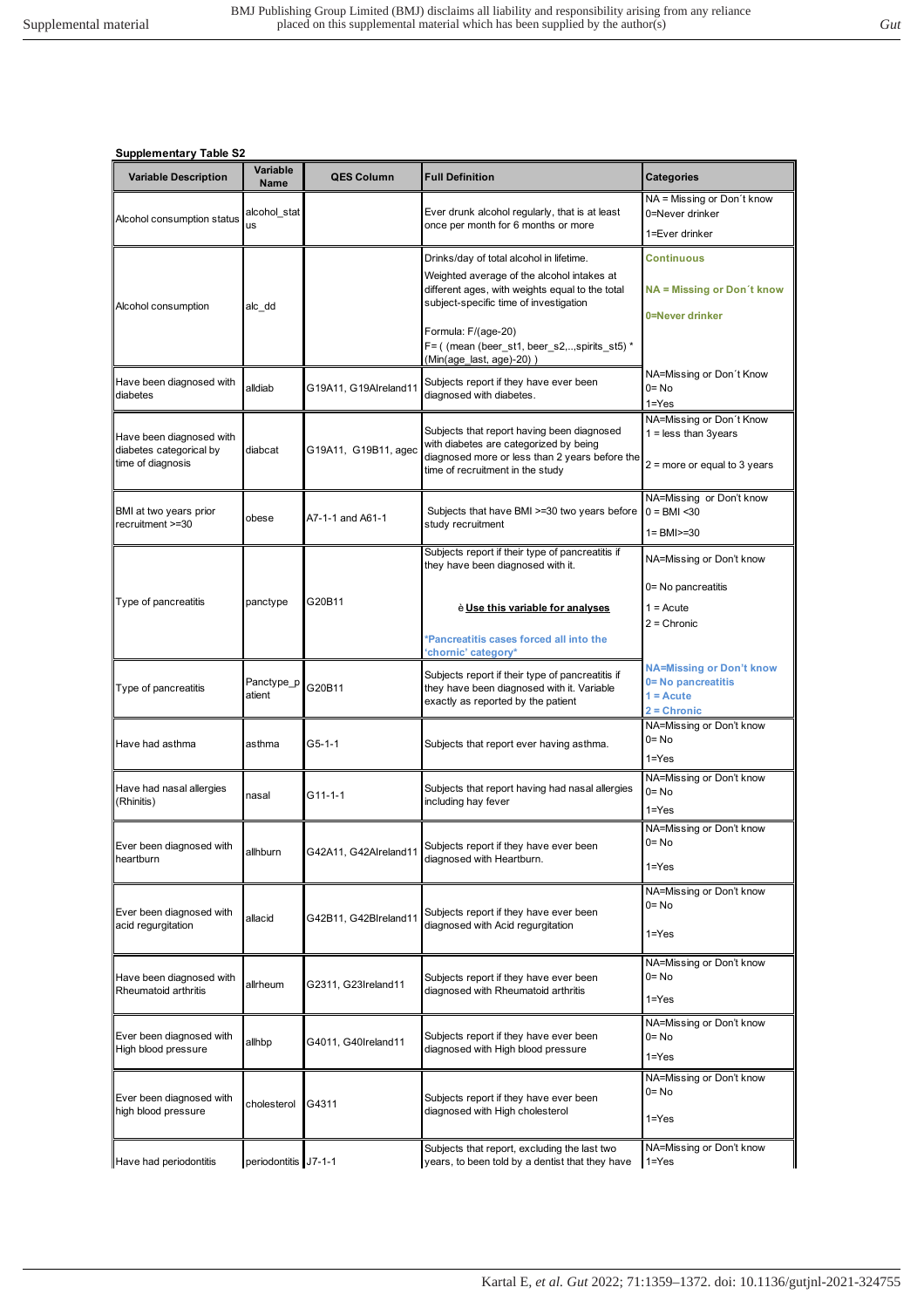| <b>Variable Description</b>                                              | Variable<br><b>Name</b>   | <b>QES Column</b>     | <b>Full Definition</b>                                                                                                                                                                                                                                                                  | <b>Categories</b>                                                                     |
|--------------------------------------------------------------------------|---------------------------|-----------------------|-----------------------------------------------------------------------------------------------------------------------------------------------------------------------------------------------------------------------------------------------------------------------------------------|---------------------------------------------------------------------------------------|
| Alcohol consumption status                                               | alcohol stat<br><b>us</b> |                       | Ever drunk alcohol regularly, that is at least<br>once per month for 6 months or more                                                                                                                                                                                                   | NA = Missing or Don't know<br>0=Never drinker<br>1=Ever drinker                       |
| Alcohol consumption                                                      | alc dd                    |                       | Drinks/day of total alcohol in lifetime.<br>Weighted average of the alcohol intakes at<br>different ages, with weights equal to the total<br>subject-specific time of investigation<br>Formula: F/(age-20)<br>F= ( (mean (beer_st1, beer_s2,,spirits_st5) *<br>(Min(age last, age)-20)) | Continuous<br>$NA = Missing$ or Don't know<br>0=Never drinker                         |
| Have been diagnosed with<br>diabetes                                     | alldiab                   | G19A11, G19Alreland11 | Subjects report if they have ever been<br>diagnosed with diabetes.                                                                                                                                                                                                                      | NA=Missing or Don't Know<br>$0 = No$<br>$1 = Yes$                                     |
| Have been diagnosed with<br>diabetes categorical by<br>time of diagnosis | diabcat                   | G19A11, G19B11, agec  | Subjects that report having been diagnosed<br>with diabetes are categorized by being<br>diagnosed more or less than 2 years before the<br>time of recruitment in the study                                                                                                              | NA=Missing or Don't Know<br>$1 =$ less than 3years<br>$2$ = more or equal to 3 years  |
| BMI at two years prior<br>recruitment >=30                               | obese                     | A7-1-1 and A61-1      | Subjects that have BMI >=30 two years before<br>study recruitment                                                                                                                                                                                                                       | NA=Missing or Don't know<br>$0 = BMI < 30$<br>$1 = BMI > = 30$                        |
| Type of pancreatitis                                                     | panctype                  | G20B11                | Subjects report if their type of pancreatitis if<br>they have been diagnosed with it.<br>è Use this variable for analyses                                                                                                                                                               | NA=Missing or Don't know<br>0= No pancreatitis<br>$1 = Acute$<br>$2 =$ Chronic        |
|                                                                          |                           |                       | *Pancreatitis cases forced all into the<br>chornic' category*                                                                                                                                                                                                                           |                                                                                       |
| Type of pancreatitis                                                     | Panctype_p<br>atient      | G20B11                | Subjects report if their type of pancreatitis if<br>they have been diagnosed with it. Variable<br>exactly as reported by the patient                                                                                                                                                    | <b>NA=Missing or Don't know</b><br>0= No pancreatitis<br>$1 = Acute$<br>$2 =$ Chronic |
| Have had asthma                                                          | asthma                    | G5-1-1                | Subjects that report ever having asthma.                                                                                                                                                                                                                                                | NA=Missing or Don't know<br>$0 = No$<br>$1 = Yes$                                     |
| Have had nasal allergies<br>(Rhinitis)                                   | nasal                     | G11-1-1               | Subjects that report having had nasal allergies<br>including hay fever                                                                                                                                                                                                                  | NA=Missing or Don't know<br>$0 = No$<br>$1 = Yes$                                     |
| Ever been diagnosed with<br>heartburn                                    | allhburn                  | G42A11, G42Alreland11 | Subjects report if they have ever been<br>diagnosed with Heartburn.                                                                                                                                                                                                                     | NA=Missing or Don't know<br>$0 = No$<br>$1 = Yes$                                     |
| Ever been diagnosed with<br>acid regurgitation                           | allacid                   | G42B11, G42Blreland11 | Subjects report if they have ever been<br>diagnosed with Acid regurgitation                                                                                                                                                                                                             | NA=Missing or Don't know<br>$0 = No$<br>$1 = Yes$                                     |
| Have been diagnosed with<br>Rheumatoid arthritis                         | allrheum                  | G2311, G23Ireland11   | Subjects report if they have ever been<br>diagnosed with Rheumatoid arthritis                                                                                                                                                                                                           | NA=Missing or Don't know<br>$0 = No$<br>$1 = Yes$                                     |
| Ever been diagnosed with<br>High blood pressure                          | allhbp                    | G4011, G40Ireland11   | Subjects report if they have ever been<br>diagnosed with High blood pressure                                                                                                                                                                                                            | NA=Missing or Don't know<br>$0 = No$<br>$1 = Yes$                                     |
| Ever been diagnosed with<br>high blood pressure                          | cholesterol               | G4311                 | Subjects report if they have ever been<br>diagnosed with High cholesterol                                                                                                                                                                                                               | NA=Missing or Don't know<br>$0 = No$<br>$1 = Yes$                                     |
| Have had periodontitis                                                   | periodontitis J7-1-1      |                       | Subjects that report, excluding the last two<br>years, to been told by a dentist that they have                                                                                                                                                                                         | NA=Missing or Don't know<br>$1 = Yes$                                                 |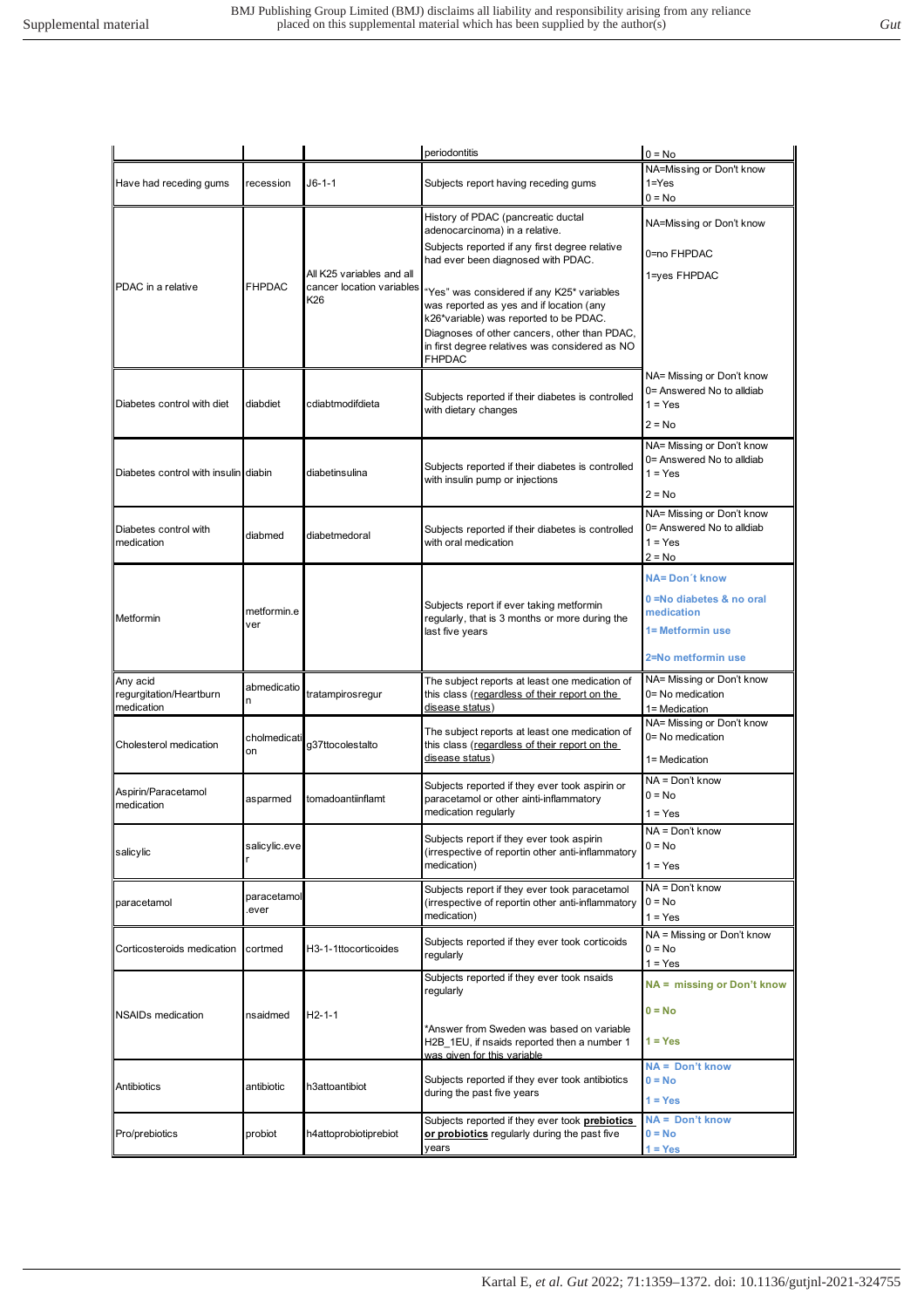|                                                   |                      |                                                               | periodontitis                                                                                                                                                                                                                                       | $0 = No$                                                                                                  |
|---------------------------------------------------|----------------------|---------------------------------------------------------------|-----------------------------------------------------------------------------------------------------------------------------------------------------------------------------------------------------------------------------------------------------|-----------------------------------------------------------------------------------------------------------|
| Have had receding gums                            | recession            | J6-1-1                                                        | Subjects report having receding gums                                                                                                                                                                                                                | NA=Missing or Don't know<br>$1 = Yes$<br>$0 = No$                                                         |
|                                                   |                      |                                                               | History of PDAC (pancreatic ductal<br>adenocarcinoma) in a relative.                                                                                                                                                                                | NA=Missing or Don't know                                                                                  |
|                                                   |                      |                                                               | Subjects reported if any first degree relative<br>had ever been diagnosed with PDAC.                                                                                                                                                                | 0=no FHPDAC                                                                                               |
| PDAC in a relative                                | <b>FHPDAC</b>        | All K25 variables and all<br>cancer location variables<br>K26 | "Yes" was considered if any K25* variables<br>was reported as yes and if location (any<br>k26*variable) was reported to be PDAC.<br>Diagnoses of other cancers, other than PDAC,<br>in first degree relatives was considered as NO<br><b>FHPDAC</b> | 1=yes FHPDAC                                                                                              |
| Diabetes control with diet                        | diabdiet             | cdiabtmodifdieta                                              | Subjects reported if their diabetes is controlled<br>with dietary changes                                                                                                                                                                           | NA= Missing or Don't know<br>0= Answered No to alldiab<br>$1 = Yes$<br>$2 = No$                           |
| Diabetes control with insulin diabin              |                      | diabetinsulina                                                | Subjects reported if their diabetes is controlled<br>with insulin pump or injections                                                                                                                                                                | NA= Missing or Don't know<br>0= Answered No to alldiab<br>$1 = Yes$<br>$2 = No$                           |
| Diabetes control with<br>medication               | diabmed              | diabetmedoral                                                 | Subjects reported if their diabetes is controlled<br>with oral medication                                                                                                                                                                           | NA= Missing or Don't know<br>0= Answered No to alldiab<br>$1 = Yes$<br>$2 = No$                           |
| Metformin                                         | metformin.e<br>ver   |                                                               | Subjects report if ever taking metformin<br>regularly, that is 3 months or more during the<br>last five years                                                                                                                                       | <b>NA=Don't know</b><br>0 = No diabetes & no oral<br>medication<br>1= Metformin use<br>2=No metformin use |
| Any acid<br>regurgitation/Heartburn<br>medication | abmedicatio<br>n     | tratampirosregur                                              | The subject reports at least one medication of<br>this class (regardless of their report on the<br>disease status)                                                                                                                                  | NA= Missing or Don't know<br>0= No medication<br>1= Medication                                            |
| Cholesterol medication                            | cholmedicati<br>on   | g37ttocolestalto                                              | The subject reports at least one medication of<br>this class (regardless of their report on the<br>disease status)                                                                                                                                  | NA= Missing or Don't know<br>0= No medication<br>1= Medication                                            |
| Aspirin/Paracetamol<br>medication                 | asparmed             | tomadoantiinflamt                                             | Subjects reported if they ever took aspirin or<br>paracetamol or other ainti-inflammatory<br>medication regularly                                                                                                                                   | NA = Don't know<br>$0 = No$<br>$1 = Yes$                                                                  |
| salicylic                                         | salicylic.eve        |                                                               | Subjects report if they ever took aspirin<br>(irrespective of reportin other anti-inflammatory<br>medication)                                                                                                                                       | $NA = Don't know$<br>$0 = No$<br>1 = Yes                                                                  |
| paracetamol                                       | paracetamol<br>ever. |                                                               | Subjects report if they ever took paracetamol<br>(irrespective of reportin other anti-inflammatory<br>medication)                                                                                                                                   | NA = Don't know<br>$0 = No$<br>$1 = Yes$                                                                  |
| Corticosteroids medication                        | cortmed              | H3-1-1ttocorticoides                                          | Subjects reported if they ever took corticoids<br>regularly                                                                                                                                                                                         | NA = Missing or Don't know<br>$0 = No$<br>$1 = Yes$                                                       |
|                                                   |                      |                                                               | Subjects reported if they ever took nsaids<br>regularly                                                                                                                                                                                             | NA = missing or Don't know                                                                                |
| <b>NSAIDs medication</b>                          | nsaidmed             | $H2-1-1$                                                      | *Answer from Sweden was based on variable<br>H2B 1EU, if nsaids reported then a number 1<br>was given for this variable                                                                                                                             | $0 = No$<br>$1 = Yes$                                                                                     |
| Antibiotics                                       | antibiotic           | h3attoantibiot                                                | Subjects reported if they ever took antibiotics<br>during the past five years                                                                                                                                                                       | NA = Don't know<br>$0 = No$<br>$1 = Yes$                                                                  |
| Pro/prebiotics                                    | probiot              | h4attoprobiotiprebiot                                         | Subjects reported if they ever took prebiotics<br>or probiotics regularly during the past five<br>vears                                                                                                                                             | NA = Don't know<br>$0 = No$<br>$1 = Yes$                                                                  |
|                                                   |                      |                                                               |                                                                                                                                                                                                                                                     |                                                                                                           |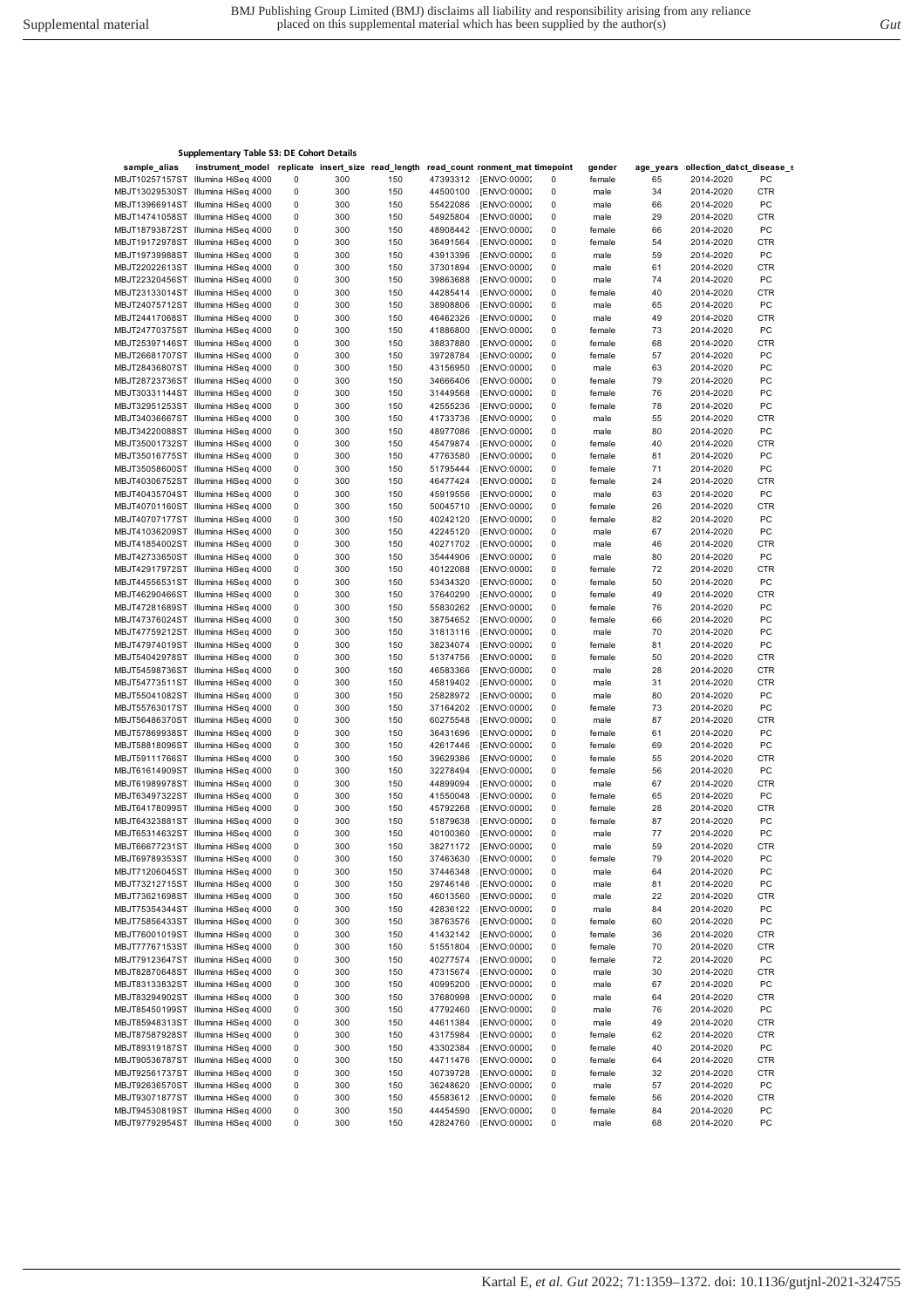| sample_alias | instrument_model replicate insert_size read_length read_count ronment_mat timepoint |                |            |            |                      |                              |                        | gender |          | age_years ollection_datct_disease_s |                  |
|--------------|-------------------------------------------------------------------------------------|----------------|------------|------------|----------------------|------------------------------|------------------------|--------|----------|-------------------------------------|------------------|
|              | MBJT10257157ST Illumina HiSeq 4000                                                  | 0              | 300        | 150        | 47393312             | [ENVO:00002                  | 0                      | female | 65       | 2014-2020                           | PC               |
|              | MBJT13029530ST Illumina HiSeq 4000                                                  | 0              | 300        | 150        | 44500100             | [ENVO:00002]                 | 0                      | male   | 34       | 2014-2020                           | <b>CTR</b>       |
|              | MBJT13966914ST Illumina HiSeq 4000                                                  | 0              | 300        | 150        | 55422086             | [ENVO:00002]                 | 0                      | male   | 66       | 2014-2020                           | PC               |
|              | MBJT14741058ST Illumina HiSeq 4000                                                  | 0              | 300        | 150        | 54925804             | [ENVO:00002                  | 0                      | male   | 29       | 2014-2020                           | <b>CTR</b>       |
|              | MBJT18793872ST Illumina HiSeq 4000                                                  | 0              | 300        | 150        | 48908442             | [ENVO:00002]                 | 0                      | female | 66       | 2014-2020                           | PC               |
|              | MBJT19172978ST Illumina HiSeq 4000                                                  | 0              | 300        | 150        | 36491564             | [ENVO:00002]                 | $\pmb{0}$              | female | 54       | 2014-2020                           | <b>CTR</b>       |
|              | MBJT19739988ST Illumina HiSeq 4000                                                  | 0              | 300        | 150        | 43913396             | [ENVO:00002]                 | $\pmb{0}$              | male   | 59       | 2014-2020                           | PC               |
|              | MBJT22022613ST Illumina HiSeq 4000                                                  | 0              | 300        | 150        | 37301894             | [ENVO:00002]                 | 0                      | male   | 61       | 2014-2020                           | <b>CTR</b>       |
|              | MBJT22320456ST Illumina HiSeq 4000                                                  | 0              | 300        | 150        | 39863688             | [ENVO:00002]                 | 0                      | male   | 74       | 2014-2020                           | PC               |
|              | MBJT23133014ST Illumina HiSeq 4000                                                  | 0              | 300        | 150        | 44285414             | [ENVO:00002]                 | 0                      | female | 40       | 2014-2020                           | <b>CTR</b>       |
|              | MBJT24075712ST Illumina HiSeq 4000                                                  | 0              | 300        | 150        | 38908806             | [ENVO:00002]                 | $\pmb{0}$              | male   | 65       | 2014-2020                           | PC               |
|              | MBJT24417068ST Illumina HiSeq 4000                                                  | 0              | 300        | 150        | 46462326             | [ENVO:00002]                 | 0                      | male   | 49       | 2014-2020                           | <b>CTR</b>       |
|              | MBJT24770375ST Illumina HiSeq 4000                                                  | 0              | 300        | 150        | 41886800             | [ENVO:00002]                 | 0                      | female | 73       | 2014-2020                           | PC               |
|              | MBJT25397146ST Illumina HiSeq 4000                                                  | 0              | 300        | 150        | 38837880             | [ENVO:00002]                 | 0                      | female | 68       | 2014-2020                           | <b>CTR</b>       |
|              | MBJT26681707ST Illumina HiSeq 4000                                                  | 0              | 300        | 150        | 39728784             | [ENVO:00002]                 | 0                      | female | 57       | 2014-2020                           | PC               |
|              | MBJT28436807ST Illumina HiSeq 4000                                                  | 0              | 300        | 150        | 43156950             | [ENVO:00002]                 | $\pmb{0}$              | male   | 63       | 2014-2020                           | PC               |
|              | MBJT28723736ST Illumina HiSeq 4000                                                  | 0              | 300        | 150        | 34666406             | [ENVO:00002]                 | 0                      | female | 79       | 2014-2020                           | PC               |
|              | MBJT30331144ST Illumina HiSeq 4000                                                  | 0              | 300        | 150        | 31449568             | [ENVO:00002]                 | 0                      | female | 76       | 2014-2020                           | PC               |
|              | MBJT32951253ST Illumina HiSeq 4000                                                  | 0              | 300        | 150        | 42555236             | [ENVO:00002]                 | 0                      | female | 78       | 2014-2020                           | PC               |
|              | MBJT34036667ST Illumina HiSeq 4000                                                  | 0              | 300        | 150        | 41733736             | [ENVO:00002                  | 0                      | male   | 55       | 2014-2020                           | <b>CTR</b>       |
|              | MBJT34220088ST Illumina HiSeq 4000                                                  | 0              | 300        | 150        | 48977086             | [ENVO:00002]                 | 0                      | male   | 80       | 2014-2020                           | PC               |
|              | MBJT35001732ST Illumina HiSeq 4000                                                  | 0              | 300        | 150        | 45479874             | [ENVO:00002]                 | 0                      | female | 40       | 2014-2020                           | CTR              |
|              | MBJT35016775ST Illumina HiSeq 4000                                                  | 0              | 300        | 150        | 47763580             | [ENVO:00002]                 | 0                      | female | 81       | 2014-2020                           | PC               |
|              | MBJT35058600ST Illumina HiSeq 4000                                                  | 0              | 300        | 150        | 51795444             | [ENVO:00002]                 | $\pmb{0}$              | female | 71       | 2014-2020                           | PC               |
|              | MBJT40306752ST Illumina HiSeq 4000                                                  | 0              | 300        | 150        | 46477424             | [ENVO:00002]                 | 0                      | female | 24       | 2014-2020                           | <b>CTR</b>       |
|              | MBJT40435704ST Illumina HiSeq 4000                                                  | 0              | 300        | 150        | 45919556             | [ENVO:00002]                 | 0                      | male   | 63       | 2014-2020                           | PC               |
|              | MBJT40701160ST Illumina HiSeq 4000                                                  | 0              | 300        | 150        | 50045710             | [ENVO:00002                  | $\pmb{0}$              | female | 26       | 2014-2020                           | <b>CTR</b>       |
|              | MBJT40707177ST Illumina HiSeq 4000                                                  | 0              | 300        | 150        | 40242120             | [ENVO:00002                  | 0                      | female | 82       | 2014-2020                           | PC               |
|              | MBJT41036209ST Illumina HiSeq 4000                                                  | 0              | 300        | 150        | 42245120             | [ENVO:00002]                 | 0                      | male   | 67       | 2014-2020                           | PC               |
|              | MBJT41854002ST Illumina HiSeq 4000                                                  | 0              | 300        | 150        | 40271702             | [ENVO:00002                  | 0                      | male   | 46       | 2014-2020                           | <b>CTR</b>       |
|              | MBJT42733650ST Illumina HiSeq 4000                                                  | 0              | 300        | 150        | 35444906             | [ENVO:00002]                 | 0                      | male   | 80       | 2014-2020                           | PC               |
|              | MBJT42917972ST Illumina HiSeq 4000                                                  | 0              | 300        | 150        | 40122088             | [ENVO:00002]                 | 0                      | female | 72       | 2014-2020                           | CTR              |
|              | MBJT44556531ST Illumina HiSeq 4000                                                  | 0              | 300        | 150        | 53434320             | [ENVO:00002]                 | 0                      | female | 50       | 2014-2020                           | PC               |
|              | MBJT46290466ST Illumina HiSeq 4000                                                  | 0              | 300        | 150        | 37640290             | [ENVO:00002]                 | 0                      | female | 49       | 2014-2020                           | <b>CTR</b>       |
|              | MBJT47281689ST Illumina HiSeq 4000                                                  | 0              | 300        | 150        | 55830262             | [ENVO:00002]                 | 0                      | female | 76       | 2014-2020                           | PC               |
|              | MBJT47376024ST Illumina HiSeq 4000                                                  | 0              | 300        | 150        | 38754652             | [ENVO:00002]                 | $\pmb{0}$              | female | 66       | 2014-2020                           | PC               |
|              | MBJT47759212ST Illumina HiSeq 4000                                                  | 0              | 300        | 150        | 31813116             | [ENVO:00002]                 | 0                      | male   | 70       | 2014-2020                           | PC               |
|              | MBJT47974019ST Illumina HiSeq 4000                                                  | 0              | 300        | 150        | 38234074             | [ENVO:00002]                 | 0                      | female | 81       | 2014-2020                           | PC               |
|              | MBJT54042978ST Illumina HiSeq 4000                                                  | 0              | 300        | 150        | 51374756             | [ENVO:00002]                 | 0                      | female | 50       | 2014-2020                           | CTR              |
|              | MBJT54598736ST Illumina HiSeq 4000                                                  | 0              | 300        | 150        | 46583366             | [ENVO:00002                  | 0                      | male   | 28       | 2014-2020                           | <b>CTR</b>       |
|              | MBJT54773511ST Illumina HiSeq 4000                                                  | 0              | 300        | 150        | 45819402             | [ENVO:00002                  | $\pmb{0}$              | male   | 31       | 2014-2020                           | <b>CTR</b>       |
|              | MBJT55041082ST Illumina HiSeq 4000                                                  | 0              | 300        | 150        | 25828972             | [ENVO:00002]                 | 0                      | male   | 80       | 2014-2020                           | PC               |
|              | MBJT55763017ST Illumina HiSeq 4000                                                  | 0              | 300        | 150        | 37164202             | [ENVO:00002]                 | 0                      | female | 73       | 2014-2020                           | PC               |
|              | MBJT56486370ST Illumina HiSeq 4000                                                  | 0              | 300        | 150        | 60275548             | [ENVO:00002                  | $\pmb{0}$              | male   | 87       | 2014-2020                           | CTR              |
|              | MBJT57869938ST Illumina HiSeq 4000                                                  | 0              | 300        | 150        | 36431696             | [ENVO:00002]                 | 0                      | female | 61       | 2014-2020                           | PC               |
|              | MBJT58818096ST Illumina HiSeq 4000                                                  | 0              | 300        | 150        | 42617446             | [ENVO:00002]                 | 0                      | female | 69       | 2014-2020                           | PC               |
|              | MBJT59111766ST Illumina HiSeq 4000                                                  | 0              | 300        | 150        | 39629386             | [ENVO:00002]                 | 0                      | female | 55       | 2014-2020                           | <b>CTR</b>       |
|              | MBJT61614909ST Illumina HiSeq 4000                                                  | 0              | 300        | 150        | 32278494             | [ENVO:00002]                 | 0                      | female | 56       | 2014-2020                           | PC               |
|              | MBJT61989978ST Illumina HiSeq 4000                                                  | 0              | 300        | 150        | 44899094             | [ENVO:00002]                 | 0                      | male   | 67       | 2014-2020                           | <b>CTR</b>       |
|              | MBJT63497322ST Illumina HiSeq 4000                                                  | 0              | 300        | 150        | 41550048             | [ENVO:00002]                 | 0                      | female | 65       | 2014-2020                           | PC               |
|              | MBJT64178099ST Illumina HiSeq 4000                                                  | 0              | 300        | 150        | 45792268             | [ENVO:00002]                 | 0                      | female | 28       | 2014-2020                           | <b>CTR</b>       |
|              | MBJT64323881ST Illumina HiSeq 4000                                                  | 0              | 300        | 150        | 51879638             | [ENVO:00002]                 | 0                      | female | 87       | 2014-2020                           | PC               |
|              | MBJT65314632ST Illumina HiSeq 4000                                                  | 0              | 300        | 150        | 40100360             | [ENVO:00002]                 | 0                      | male   | 77       | 2014-2020                           | PC               |
|              | MBJT66677231ST Illumina HiSeq 4000                                                  | $\overline{0}$ | 300        | 150        |                      | 38271172 [ENVO:00002         | 0                      | male   | 59       | 2014-2020                           | <b>CTR</b>       |
|              | MBJT69789353ST Illumina HiSeq 4000                                                  | 0              | 300        | 150        | 37463630             | [ENVO:00002                  | 0                      | female | 79       | 2014-2020                           | РC               |
|              | MBJT71206045ST Illumina HiSeq 4000                                                  | 0              | 300        | 150        | 37446348             | [ENVO:00002                  | $\pmb{0}$              | male   | 64       | 2014-2020                           | PC               |
|              | MBJT73212715ST Illumina HiSeq 4000                                                  | 0              | 300        | 150        | 29746146             | [ENVO:00002                  | 0                      | male   | 81       | 2014-2020                           | PC               |
|              | MBJT73621698ST Illumina HiSeq 4000                                                  | 0              | 300        | 150        | 46013560             | [ENVO:00002                  | 0                      | male   | 22       | 2014-2020                           | <b>CTR</b>       |
|              | MBJT75354344ST Illumina HiSeq 4000                                                  | 0              | 300        | 150        | 42836122             | [ENVO:00002]                 | 0                      | male   | 84       | 2014-2020                           | PC               |
|              | MBJT75856433ST Illumina HiSeq 4000                                                  | 0              | 300        | 150        | 38763576             | [ENVO:00002                  | $\pmb{0}$              | female | 60       | 2014-2020                           | PC               |
|              | MBJT76001019ST Illumina HiSeq 4000                                                  | 0              | 300        | 150        | 41432142             | [ENVO:00002                  | $\pmb{0}$              | female | 36       | 2014-2020                           | <b>CTR</b>       |
|              | MBJT77767153ST Illumina HiSeq 4000                                                  | 0              | 300        | 150        | 51551804             | [ENVO:00002]                 | 0                      | female | 70       | 2014-2020                           | <b>CTR</b>       |
|              | MBJT79123647ST Illumina HiSeq 4000                                                  | 0              |            |            | 40277574             |                              |                        | female |          |                                     |                  |
|              | MBJT82870648ST Illumina HiSeq 4000                                                  | 0              | 300<br>300 | 150        | 47315674             | [ENVO:00002]<br>[ENVO:00002] | 0<br>$\pmb{0}$         |        | 72       | 2014-2020<br>2014-2020              | PC<br><b>CTR</b> |
|              | MBJT83133832ST Illumina HiSeq 4000                                                  | 0              | 300        | 150<br>150 | 40995200             | [ENVO:00002]                 | 0                      | male   | 30<br>67 | 2014-2020                           | PC               |
|              | MBJT83294902ST Illumina HiSeq 4000                                                  | 0              |            |            | 37680998             |                              |                        | male   |          | 2014-2020                           | <b>CTR</b>       |
|              | MBJT85450199ST Illumina HiSeq 4000                                                  |                | 300        | 150        |                      | [ENVO:00002                  | 0                      | male   | 64       |                                     |                  |
|              |                                                                                     | 0              | 300<br>300 | 150<br>150 | 47792460<br>44611384 | [ENVO:00002                  | $\pmb{0}$<br>$\pmb{0}$ | male   | 76<br>49 | 2014-2020                           | PC               |
|              | MBJT85948313ST Illumina HiSeq 4000                                                  | 0              |            |            | 43175984             | [ENVO:00002]<br>[ENVO:00002  |                        | male   |          | 2014-2020                           | <b>CTR</b>       |
|              | MBJT87587928ST Illumina HiSeq 4000                                                  | 0              | 300        | 150        |                      |                              | 0                      | female | 62       | 2014-2020                           | <b>CTR</b>       |
|              | MBJT89319187ST Illumina HiSeq 4000<br>MBJT90536787ST Illumina HiSeq 4000            | 0              | 300        | 150        | 43302384             | [ENVO:00002]                 | $\pmb{0}$              | female | 40       | 2014-2020                           | PC               |
|              |                                                                                     | 0              | 300        | 150        | 44711476             | [ENVO:00002                  | $\pmb{0}$              | female | 64       | 2014-2020                           | <b>CTR</b>       |
|              | MBJT92561737ST Illumina HiSeq 4000                                                  | 0              | 300        | 150        | 40739728             | [ENVO:00002                  | 0                      | female | 32       | 2014-2020                           | <b>CTR</b>       |
|              | MBJT92636570ST Illumina HiSeq 4000                                                  | 0              | 300        | 150        | 36248620             | [ENVO:00002                  | 0                      | male   | 57       | 2014-2020                           | PC               |
|              | MBJT93071877ST Illumina HiSeq 4000                                                  | 0              | 300        | 150        | 45583612             | [ENVO:00002                  | 0                      | female | 56       | 2014-2020                           | <b>CTR</b>       |
|              | MBJT94530819ST Illumina HiSeq 4000<br>MBJT97792954ST Illumina HiSeq 4000            | 0<br>0         | 300        | 150        | 44454590             | [ENVO:00002                  | 0<br>0                 | female | 84       | 2014-2020                           | PC<br>PC         |
|              |                                                                                     |                | 300        | 150        | 42824760             | [ENVO:00002                  |                        | male   | 68       | 2014-2020                           |                  |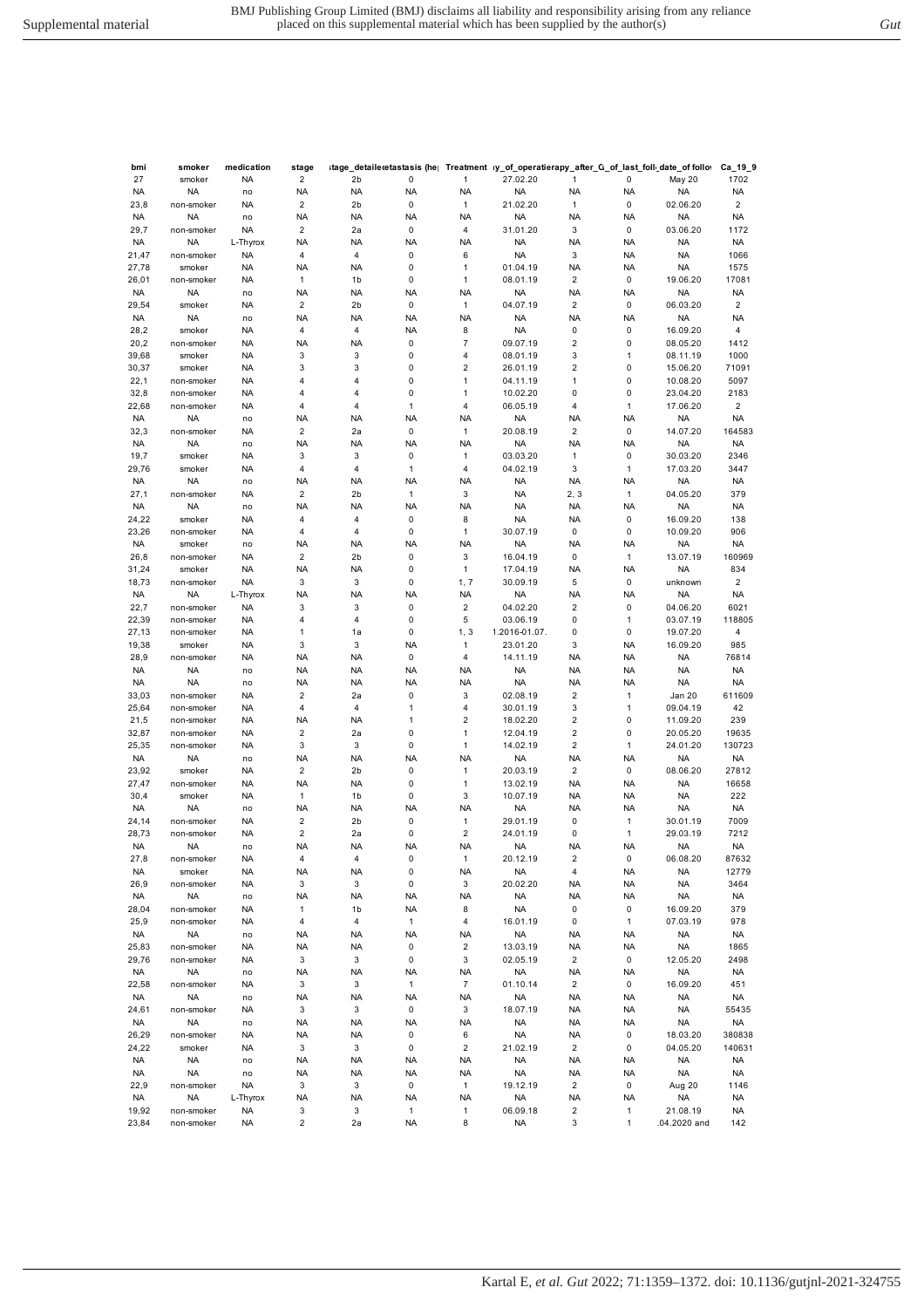| ۰. | v<br>. . |        |  |
|----|----------|--------|--|
| ×  | ۰,       | I<br>. |  |
|    |          |        |  |

| bmi       | smoker     | medication | stage                   |                |              |                         | itage_detaileɾetastasis (he∣  Treatment  ıy_of_operatierapy_after_G_of_last_foll،_date_of follo∗، |                |              |              | Ca_19_9                 |
|-----------|------------|------------|-------------------------|----------------|--------------|-------------------------|---------------------------------------------------------------------------------------------------|----------------|--------------|--------------|-------------------------|
| 27        | smoker     | <b>NA</b>  | $\overline{c}$          | 2 <sub>b</sub> | 0            | 1                       | 27.02.20                                                                                          | 1              | 0            | May 20       | 1702                    |
| <b>NA</b> | <b>NA</b>  | no         | <b>NA</b>               | <b>NA</b>      | <b>NA</b>    | <b>NA</b>               | <b>NA</b>                                                                                         | <b>NA</b>      | <b>NA</b>    | NA           | <b>NA</b>               |
| 23,8      | non-smoker | <b>NA</b>  | 2                       | 2 <sub>b</sub> | 0            | 1                       | 21.02.20                                                                                          | 1              | 0            | 02.06.20     | $\overline{2}$          |
| <b>NA</b> | <b>NA</b>  | no         | NA                      | <b>NA</b>      | <b>NA</b>    | <b>NA</b>               | <b>NA</b>                                                                                         | <b>NA</b>      | <b>NA</b>    | NA           | <b>NA</b>               |
| 29,7      | non-smoker | <b>NA</b>  | $\overline{2}$          | 2a             | 0            | 4                       | 31.01.20                                                                                          | 3              | 0            | 03.06.20     | 1172                    |
| <b>NA</b> | <b>NA</b>  | L-Thyrox   | NA                      | <b>NA</b>      | <b>NA</b>    | <b>NA</b>               | <b>NA</b>                                                                                         | <b>NA</b>      | <b>NA</b>    | <b>NA</b>    | <b>NA</b>               |
| 21,47     | non-smoker | <b>NA</b>  | 4                       | $\overline{4}$ | 0            | 6                       | <b>NA</b>                                                                                         | 3              | NA           | <b>NA</b>    | 1066                    |
| 27,78     | smoker     | <b>NA</b>  | NA                      | <b>NA</b>      | 0            | 1                       | 01.04.19                                                                                          | <b>NA</b>      | <b>NA</b>    | <b>NA</b>    | 1575                    |
| 26,01     | non-smoker | <b>NA</b>  | $\mathbf{1}$            | 1b             | 0            | 1                       | 08.01.19                                                                                          | $\overline{c}$ | $\pmb{0}$    | 19.06.20     | 17081                   |
| NA        | <b>NA</b>  | no         | NA                      | <b>NA</b>      | <b>NA</b>    | <b>NA</b>               | <b>NA</b>                                                                                         | <b>NA</b>      | <b>NA</b>    | NA           | <b>NA</b>               |
| 29,54     | smoker     | <b>NA</b>  | $\overline{2}$          | 2 <sub>b</sub> | 0            | 1                       | 04.07.19                                                                                          | $\overline{2}$ | 0            | 06.03.20     | $\sqrt{2}$              |
| <b>NA</b> | <b>NA</b>  | no         | NA                      | <b>NA</b>      | <b>NA</b>    | <b>NA</b>               | <b>NA</b>                                                                                         | <b>NA</b>      | <b>NA</b>    | NA           | <b>NA</b>               |
| 28,2      | smoker     | <b>NA</b>  | 4                       | 4              | <b>NA</b>    | 8                       | <b>NA</b>                                                                                         | 0              | 0            | 16.09.20     | 4                       |
| 20,2      | non-smoker | <b>NA</b>  | NA                      | <b>NA</b>      | 0            | 7                       | 09.07.19                                                                                          | $\overline{2}$ | $\pmb{0}$    | 08.05.20     | 1412                    |
| 39,68     | smoker     | <b>NA</b>  | 3                       | 3              | 0            | 4                       | 08.01.19                                                                                          | 3              | $\mathbf{1}$ | 08.11.19     | 1000                    |
| 30,37     | smoker     | <b>NA</b>  | 3                       | 3              | 0            | $\overline{2}$          | 26.01.19                                                                                          | $\overline{2}$ | $\pmb{0}$    | 15.06.20     | 71091                   |
| 22,1      | non-smoker | <b>NA</b>  | 4                       | 4              | 0            | 1                       | 04.11.19                                                                                          | 1              | $\pmb{0}$    | 10.08.20     | 5097                    |
| 32,8      | non-smoker | <b>NA</b>  | 4                       | 4              | 0            | 1                       | 10.02.20                                                                                          | 0              | $\pmb{0}$    | 23.04.20     | 2183                    |
| 22,68     | non-smoker | <b>NA</b>  | 4                       | 4              | 1            | 4                       | 06.05.19                                                                                          | 4              | $\mathbf{1}$ | 17.06.20     | $\overline{\mathbf{c}}$ |
| <b>NA</b> | <b>NA</b>  | no         | NA                      | <b>NA</b>      | <b>NA</b>    | <b>NA</b>               | <b>NA</b>                                                                                         | <b>NA</b>      | <b>NA</b>    | NA           | <b>NA</b>               |
| 32,3      | non-smoker | <b>NA</b>  | $\overline{2}$          | 2a             | 0            | 1                       | 20.08.19                                                                                          | $\overline{2}$ | $\pmb{0}$    | 14.07.20     | 164583                  |
| <b>NA</b> | <b>NA</b>  | no         | NA                      | <b>NA</b>      | <b>NA</b>    | <b>NA</b>               | <b>NA</b>                                                                                         | <b>NA</b>      | <b>NA</b>    | NA           | <b>NA</b>               |
| 19,7      | smoker     | <b>NA</b>  | 3                       | 3              | 0            | 1                       | 03.03.20                                                                                          | 1              | 0            | 30.03.20     | 2346                    |
| 29,76     | smoker     | <b>NA</b>  | 4                       | 4              | $\mathbf{1}$ | 4                       | 04.02.19                                                                                          | 3              | $\mathbf{1}$ | 17.03.20     | 3447                    |
| <b>NA</b> | <b>NA</b>  | no         | NA                      | <b>NA</b>      | <b>NA</b>    | <b>NA</b>               | <b>NA</b>                                                                                         | <b>NA</b>      | <b>NA</b>    | NA           | <b>NA</b>               |
| 27,1      | non-smoker | <b>NA</b>  | $\overline{2}$          | 2 <sub>b</sub> | 1            | 3                       | <b>NA</b>                                                                                         | 2, 3           | $\mathbf{1}$ | 04.05.20     | 379                     |
| <b>NA</b> | <b>NA</b>  | no         | NA                      | <b>NA</b>      | <b>NA</b>    | <b>NA</b>               | <b>NA</b>                                                                                         | <b>NA</b>      | <b>NA</b>    | NA           | <b>NA</b>               |
| 24,22     | smoker     | <b>NA</b>  | 4                       | 4              | 0            | 8                       | <b>NA</b>                                                                                         | <b>NA</b>      | $\pmb{0}$    | 16.09.20     | 138                     |
| 23,26     | non-smoker | <b>NA</b>  | 4                       | 4              | 0            | 1                       | 30.07.19                                                                                          | $\pmb{0}$      | $\pmb{0}$    | 10.09.20     | 906                     |
| <b>NA</b> | smoker     | no         | NA                      | <b>NA</b>      | <b>NA</b>    | <b>NA</b>               | <b>NA</b>                                                                                         | <b>NA</b>      | <b>NA</b>    | NA           | NA                      |
| 26,8      | non-smoker | <b>NA</b>  | $\overline{2}$          | 2 <sub>b</sub> | 0            | 3                       | 16.04.19                                                                                          | 0              | $\mathbf{1}$ | 13.07.19     | 160969                  |
| 31,24     | smoker     | <b>NA</b>  | NA                      | <b>NA</b>      | 0            | 1                       | 17.04.19                                                                                          | <b>NA</b>      | <b>NA</b>    | <b>NA</b>    | 834                     |
| 18,73     | non-smoker | <b>NA</b>  | 3                       | 3              | 0            | 1, 7                    | 30.09.19                                                                                          | 5              | 0            | unknown      | $\overline{2}$          |
| <b>NA</b> | <b>NA</b>  | L-Thyrox   | NA                      | <b>NA</b>      | <b>NA</b>    | <b>NA</b>               | <b>NA</b>                                                                                         | <b>NA</b>      | <b>NA</b>    | NA           | <b>NA</b>               |
| 22,7      | non-smoker | <b>NA</b>  | 3                       | 3              | 0            | $\overline{\mathbf{c}}$ | 04.02.20                                                                                          | $\overline{2}$ | $\pmb{0}$    | 04.06.20     | 6021                    |
| 22,39     | non-smoker | <b>NA</b>  | $\overline{4}$          | 4              | 0            | 5                       | 03.06.19                                                                                          | 0              | $\mathbf{1}$ | 03.07.19     | 118805                  |
| 27,13     | non-smoker | <b>NA</b>  | 1                       | 1a             | 0            | 1, 3                    | 1.2016-01.07.                                                                                     | $\mathbf 0$    | $\pmb{0}$    | 19.07.20     | 4                       |
|           |            |            | 3                       | 3              |              |                         |                                                                                                   | 3              |              |              |                         |
| 19,38     | smoker     | <b>NA</b>  |                         |                | <b>NA</b>    | 1                       | 23.01.20                                                                                          |                | <b>NA</b>    | 16.09.20     | 985                     |
| 28,9      | non-smoker | <b>NA</b>  | NA                      | <b>NA</b>      | 0            | 4                       | 14.11.19                                                                                          | <b>NA</b>      | <b>NA</b>    | <b>NA</b>    | 76814                   |
| NA.       | <b>NA</b>  | no         | NA                      | <b>NA</b>      | <b>NA</b>    | <b>NA</b>               | <b>NA</b>                                                                                         | <b>NA</b>      | <b>NA</b>    | <b>NA</b>    | <b>NA</b>               |
| <b>NA</b> | <b>NA</b>  | no         | NA                      | <b>NA</b>      | <b>NA</b>    | <b>NA</b>               | <b>NA</b>                                                                                         | <b>NA</b>      | <b>NA</b>    | <b>NA</b>    | <b>NA</b>               |
| 33,03     | non-smoker | <b>NA</b>  | $\overline{2}$          | 2a             | 0            | 3                       | 02.08.19                                                                                          | $\overline{2}$ | $\mathbf{1}$ | Jan 20       | 611609                  |
| 25,64     | non-smoker | <b>NA</b>  | 4                       | 4              | $\mathbf{1}$ | 4                       | 30.01.19                                                                                          | 3              | $\mathbf{1}$ | 09.04.19     | 42                      |
| 21,5      | non-smoker | <b>NA</b>  | NA                      | <b>NA</b>      | $\mathbf{1}$ | 2                       | 18.02.20                                                                                          | $\overline{2}$ | $\pmb{0}$    | 11.09.20     | 239                     |
| 32,87     | non-smoker | <b>NA</b>  | $\mathbf 2$             | 2a             | 0            | 1                       | 12.04.19                                                                                          | $\overline{2}$ | $\pmb{0}$    | 20.05.20     | 19635                   |
| 25,35     | non-smoker | <b>NA</b>  | 3                       | 3              | 0            | 1                       | 14.02.19                                                                                          | $\overline{c}$ | $\mathbf{1}$ | 24.01.20     | 130723                  |
| <b>NA</b> | <b>NA</b>  | no         | NA                      | <b>NA</b>      | <b>NA</b>    | <b>NA</b>               | <b>NA</b>                                                                                         | <b>NA</b>      | <b>NA</b>    | NA           | <b>NA</b>               |
| 23,92     | smoker     | <b>NA</b>  | 2                       | 2b             | 0            | 1                       | 20.03.19                                                                                          | $\overline{2}$ | 0            | 08.06.20     | 27812                   |
| 27,47     | non-smoker | <b>NA</b>  | NA                      | <b>NA</b>      | 0            | 1                       | 13.02.19                                                                                          | <b>NA</b>      | <b>NA</b>    | NA           | 16658                   |
| 30,4      | smoker     | <b>NA</b>  | 1                       | 1b             | 0            | 3                       | 10.07.19                                                                                          | <b>NA</b>      | <b>NA</b>    | <b>NA</b>    | 222                     |
| <b>NA</b> | <b>NA</b>  | no         | NA                      | <b>NA</b>      | <b>NA</b>    | <b>NA</b>               | <b>NA</b>                                                                                         | <b>NA</b>      | <b>NA</b>    | <b>NA</b>    | <b>NA</b>               |
| 24,14     | non-smoker | <b>NA</b>  | $\mathbf 2$             | 2 <sub>b</sub> | 0            | 1                       | 29.01.19                                                                                          | 0              | 1            | 30.01.19     | 7009                    |
| 28,73     | non-smoker | <b>NA</b>  | $\overline{c}$          | 2a             | 0            | 2                       | 24.01.19                                                                                          | 0              | $\mathbf{1}$ | 29.03.19     | 7212                    |
| <b>NA</b> | <b>NA</b>  | no         | NA                      | NA             | <b>NA</b>    | <b>NA</b>               | <b>NA</b>                                                                                         | <b>NA</b>      | NA           | NA           | <b>NA</b>               |
| 27,8      | non-smoker | <b>NA</b>  | $\overline{\mathbf{4}}$ | $\overline{4}$ | $\pmb{0}$    | $\mathbf{1}$            | 20.12.19                                                                                          | $\overline{2}$ | $\pmb{0}$    | 06.08.20     | 87632                   |
| <b>NA</b> | smoker     | <b>NA</b>  | NA                      | <b>NA</b>      | 0            | <b>NA</b>               | <b>NA</b>                                                                                         | $\overline{4}$ | <b>NA</b>    | <b>NA</b>    | 12779                   |
| 26,9      | non-smoker | <b>NA</b>  | 3                       | 3              | 0            | 3                       | 20.02.20                                                                                          | <b>NA</b>      | <b>NA</b>    | <b>NA</b>    | 3464                    |
| NA        | <b>NA</b>  | no         | NA                      | <b>NA</b>      | <b>NA</b>    | <b>NA</b>               | <b>NA</b>                                                                                         | <b>NA</b>      | NA           | <b>NA</b>    | NA                      |
| 28,04     | non-smoker | <b>NA</b>  | $\mathbf{1}$            | 1 <sub>b</sub> | <b>NA</b>    | 8                       | <b>NA</b>                                                                                         | $\mathsf 0$    | $\mathsf 0$  | 16.09.20     | 379                     |
| 25,9      | non-smoker | <b>NA</b>  | 4                       | $\overline{4}$ | $\mathbf{1}$ | 4                       | 16.01.19                                                                                          | 0              | $\mathbf{1}$ | 07.03.19     | 978                     |
| NA        | <b>NA</b>  | no         | ΝA                      | <b>NA</b>      | <b>NA</b>    | <b>NA</b>               | <b>NA</b>                                                                                         | <b>NA</b>      | NA           | <b>NA</b>    | <b>NA</b>               |
| 25,83     | non-smoker | <b>NA</b>  | NA                      | <b>NA</b>      | 0            | $\overline{c}$          | 13.03.19                                                                                          | <b>NA</b>      | NA           | <b>NA</b>    | 1865                    |
| 29,76     | non-smoker | <b>NA</b>  | 3                       | 3              | 0            | 3                       | 02.05.19                                                                                          | $\overline{c}$ | 0            | 12.05.20     | 2498                    |
| <b>NA</b> | <b>NA</b>  | no         | ΝA                      | <b>NA</b>      | <b>NA</b>    | <b>NA</b>               | <b>NA</b>                                                                                         | <b>NA</b>      | NA           | <b>NA</b>    | <b>NA</b>               |
| 22,58     | non-smoker | <b>NA</b>  | 3                       | 3              | $\mathbf{1}$ | $\boldsymbol{7}$        | 01.10.14                                                                                          | $\overline{c}$ | $\mathsf 0$  | 16.09.20     | 451                     |
| <b>NA</b> | <b>NA</b>  | no         | ΝA                      | <b>NA</b>      | <b>NA</b>    | <b>NA</b>               | <b>NA</b>                                                                                         | <b>NA</b>      | <b>NA</b>    | <b>NA</b>    | <b>NA</b>               |
| 24,61     | non-smoker | <b>NA</b>  | 3                       | 3              | 0            | 3                       | 18.07.19                                                                                          | <b>NA</b>      | <b>NA</b>    | <b>NA</b>    | 55435                   |
| NA        | <b>NA</b>  | no         | NA                      | <b>NA</b>      | <b>NA</b>    | <b>NA</b>               | <b>NA</b>                                                                                         | <b>NA</b>      | NA           | <b>NA</b>    | NA                      |
| 26,29     | non-smoker | <b>NA</b>  | <b>NA</b>               | <b>NA</b>      | 0            | 6                       | <b>NA</b>                                                                                         | <b>NA</b>      | $\pmb{0}$    | 18.03.20     | 380838                  |
|           |            |            | 3                       | 3              | 0            | $\overline{c}$          | 21.02.19                                                                                          | $\overline{2}$ |              |              |                         |
| 24,22     | smoker     | <b>NA</b>  |                         |                |              |                         |                                                                                                   |                | 0            | 04.05.20     | 140631                  |
| <b>NA</b> | <b>NA</b>  | no         | NA                      | <b>NA</b>      | <b>NA</b>    | <b>NA</b>               | <b>NA</b>                                                                                         | <b>NA</b>      | <b>NA</b>    | <b>NA</b>    | <b>NA</b>               |
| NA        | <b>NA</b>  | no         | NA                      | <b>NA</b>      | <b>NA</b>    | <b>NA</b>               | <b>NA</b>                                                                                         | <b>NA</b>      | NA           | <b>NA</b>    | <b>NA</b>               |
| 22,9      | non-smoker | <b>NA</b>  | 3                       | 3              | 0            | $\mathbf{1}$            | 19.12.19                                                                                          | 2              | 0            | Aug 20       | 1146                    |
| <b>NA</b> | <b>NA</b>  | L-Thyrox   | NA                      | <b>NA</b>      | <b>NA</b>    | <b>NA</b>               | <b>NA</b>                                                                                         | <b>NA</b>      | <b>NA</b>    | <b>NA</b>    | <b>NA</b>               |
| 19,92     | non-smoker | <b>NA</b>  | 3                       | 3              | 1            | 1                       | 06.09.18                                                                                          | $\overline{c}$ | $\mathbf{1}$ | 21.08.19     | <b>NA</b>               |
| 23,84     | non-smoker | <b>NA</b>  | 2                       | 2a             | <b>NA</b>    | 8                       | <b>NA</b>                                                                                         | 3              | $\mathbf{1}$ | .04.2020 and | 142                     |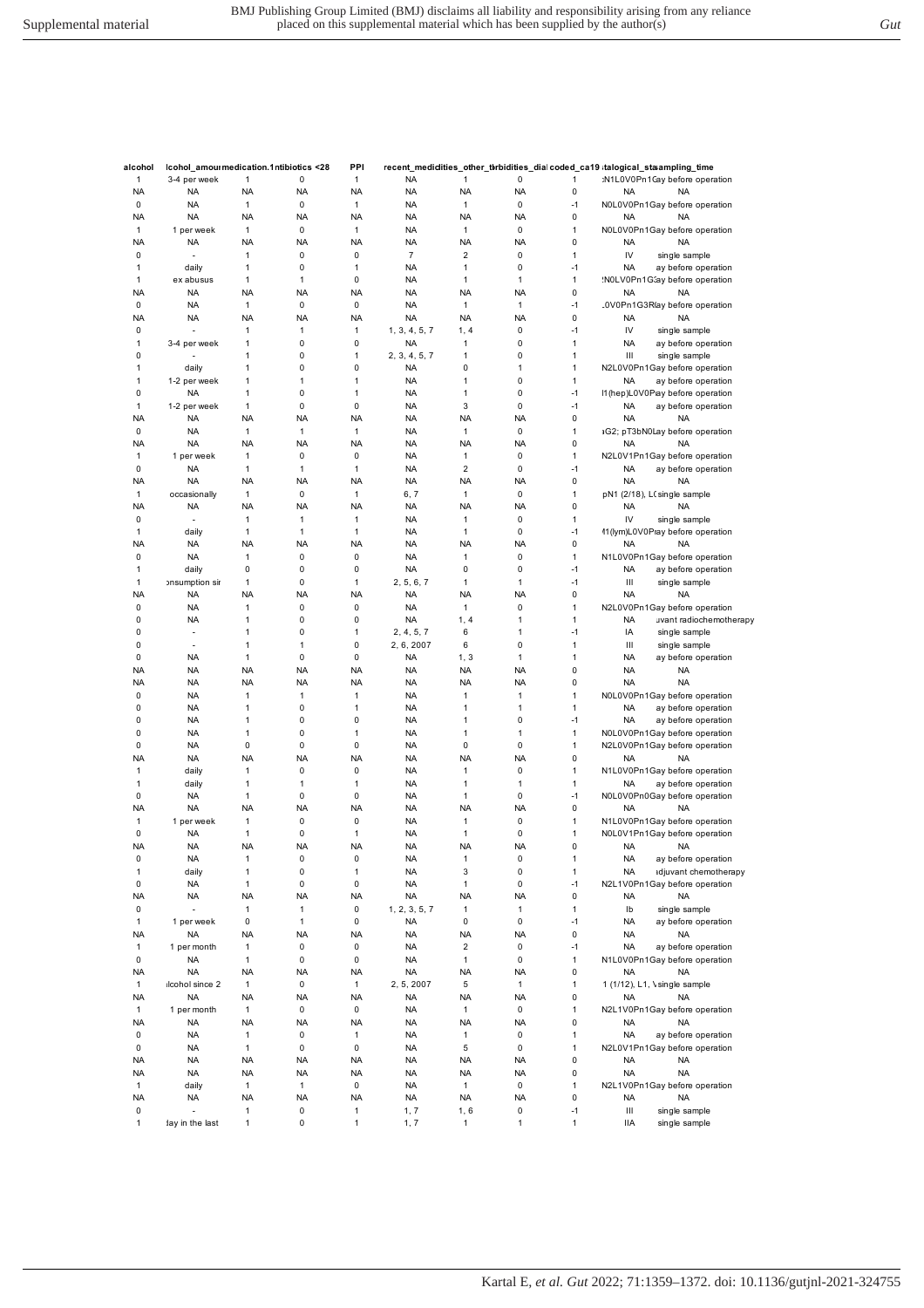| alcohol      | Icohol_amourmedication.1ntibiotics <28 |              |              | PPI          |               |                |              |              |           | recent_mediclities_other_tbrbidities_dial coded_ca19 ;talogical_staampling_time |
|--------------|----------------------------------------|--------------|--------------|--------------|---------------|----------------|--------------|--------------|-----------|---------------------------------------------------------------------------------|
| 1            | 3-4 per week                           | $\mathbf{1}$ | 0            | $\mathbf{1}$ | <b>NA</b>     | 1              | 0            | 1            |           | :N1L0V0Pn1Cay before operation                                                  |
| <b>NA</b>    | <b>NA</b>                              | <b>NA</b>    | NA           | <b>NA</b>    | <b>NA</b>     | <b>NA</b>      | <b>NA</b>    | 0            | NA        | <b>NA</b>                                                                       |
| 0            | <b>NA</b>                              | $\mathbf{1}$ | $\pmb{0}$    | $\mathbf{1}$ | <b>NA</b>     | $\mathbf{1}$   | 0            | $-1$         |           | N0L0V0Pn1Gay before operation                                                   |
| <b>NA</b>    | <b>NA</b>                              | NA           | NA           | <b>NA</b>    | <b>NA</b>     | <b>NA</b>      | <b>NA</b>    | 0            | <b>NA</b> | <b>NA</b>                                                                       |
| $\mathbf{1}$ | 1 per week                             | 1            | $\mathbf 0$  | 1            | <b>NA</b>     | 1              | 0            | $\mathbf{1}$ |           | N0L0V0Pn1Gay before operation                                                   |
| <b>NA</b>    | <b>NA</b>                              | <b>NA</b>    | <b>NA</b>    | <b>NA</b>    | <b>NA</b>     | <b>NA</b>      | <b>NA</b>    | 0            | <b>NA</b> | <b>NA</b>                                                                       |
| 0            | ÷,                                     | 1            | $\pmb{0}$    | $\pmb{0}$    | 7             | $\overline{2}$ | 0            | 1            | IV        | single sample                                                                   |
| 1            | daily                                  | 1            | $\pmb{0}$    | $\mathbf{1}$ | <b>NA</b>     | $\mathbf{1}$   | 0            | $-1$         | <b>NA</b> | ay before operation                                                             |
| 1            | ex abusus                              | 1            | 1            | $\pmb{0}$    | <b>NA</b>     | 1              | 1            | 1            |           | NOLV0Pn1G3ay before operation                                                   |
| <b>NA</b>    | <b>NA</b>                              | NA           | NA           | <b>NA</b>    | <b>NA</b>     | <b>NA</b>      | <b>NA</b>    | 0            | <b>NA</b> | <b>NA</b>                                                                       |
| 0            | <b>NA</b>                              | $\mathbf{1}$ | $\pmb{0}$    | $\pmb{0}$    | <b>NA</b>     | $\mathbf{1}$   | $\mathbf{1}$ | $-1$         |           | .0V0Pn1G3R(ay before operation                                                  |
| <b>NA</b>    | <b>NA</b>                              | <b>NA</b>    | NA           | <b>NA</b>    | <b>NA</b>     | <b>NA</b>      | <b>NA</b>    | 0            | <b>NA</b> | <b>NA</b>                                                                       |
| 0            |                                        | 1            | 1            | $\mathbf{1}$ | 1, 3, 4, 5, 7 | 1, 4           | 0            | $-1$         | IV        | single sample                                                                   |
| 1            | 3-4 per week                           | 1            | 0            | $\pmb{0}$    | <b>NA</b>     | 1              | 0            | 1            | <b>NA</b> | ay before operation                                                             |
| 0            |                                        | 1            | 0            | 1            | 2, 3, 4, 5, 7 | 1              | 0            | 1            | Ш         | single sample                                                                   |
| 1            | daily                                  | 1            | 0            | $\pmb{0}$    | <b>NA</b>     | 0              | 1            | 1            |           | N2L0V0Pn1Gay before operation                                                   |
| 1            | 1-2 per week                           | 1            | 1            | $\mathbf{1}$ | <b>NA</b>     | 1              | 0            | 1            | <b>NA</b> | ay before operation                                                             |
| 0            | <b>NA</b>                              | 1            | 0            | $\mathbf{1}$ | <b>NA</b>     | $\mathbf{1}$   | 0            | $-1$         |           | I1(hep)L0V0Pay before operation                                                 |
| 1            | 1-2 per week                           | 1            | 0            | $\pmb{0}$    | <b>NA</b>     | 3              | 0            | $-1$         | <b>NA</b> | ay before operation                                                             |
| <b>NA</b>    | <b>NA</b>                              | <b>NA</b>    | <b>NA</b>    | <b>NA</b>    | <b>NA</b>     | <b>NA</b>      | <b>NA</b>    | 0            | <b>NA</b> | <b>NA</b>                                                                       |
| 0            | <b>NA</b>                              | $\mathbf{1}$ | $\mathbf{1}$ | $\mathbf{1}$ | <b>NA</b>     | $\mathbf{1}$   | 0            | 1            |           | aG2; pT3bN0Lay before operation                                                 |
| <b>NA</b>    | <b>NA</b>                              | NA           | NA           | <b>NA</b>    | <b>NA</b>     | <b>NA</b>      | <b>NA</b>    | 0            | <b>NA</b> | <b>NA</b>                                                                       |
| $\mathbf{1}$ | 1 per week                             | $\mathbf{1}$ | $\pmb{0}$    | $\pmb{0}$    | <b>NA</b>     | $\mathbf{1}$   | 0            | $\mathbf{1}$ |           | N2L0V1Pn1Gay before operation                                                   |
| 0            | <b>NA</b>                              | 1            | $\mathbf{1}$ | $\mathbf{1}$ | <b>NA</b>     | $\overline{2}$ | 0            | $-1$         | <b>NA</b> | ay before operation                                                             |
| <b>NA</b>    | <b>NA</b>                              | NA           | NA           | <b>NA</b>    | <b>NA</b>     | <b>NA</b>      | <b>NA</b>    | 0            | <b>NA</b> | <b>NA</b>                                                                       |
| 1            | occasionally                           | 1            | 0            | $\mathbf{1}$ | 6, 7          | $\mathbf{1}$   | 0            | 1            |           | pN1 (2/18), LCsingle sample                                                     |
| <b>NA</b>    | <b>NA</b>                              | NA           | NA           | <b>NA</b>    | <b>NA</b>     | <b>NA</b>      | <b>NA</b>    | 0            | <b>NA</b> | <b>NA</b>                                                                       |
|              |                                        |              |              |              |               |                |              |              |           |                                                                                 |
| $\mathbf 0$  | $\overline{\phantom{a}}$               | $\mathbf{1}$ | $\mathbf{1}$ | $\mathbf{1}$ | <b>NA</b>     | 1              | 0            | 1            | IV        | single sample                                                                   |
| 1            | daily                                  | 1            | 1            | $\mathbf{1}$ | <b>NA</b>     | $\mathbf{1}$   | 0            | $-1$         |           | 11 (lym)L0V0Pray before operation                                               |
| <b>NA</b>    | <b>NA</b>                              | NA           | NA           | <b>NA</b>    | <b>NA</b>     | <b>NA</b>      | <b>NA</b>    | 0            | <b>NA</b> | <b>NA</b>                                                                       |
| $\mathbf 0$  | <b>NA</b>                              | 1            | $\pmb{0}$    | $\pmb{0}$    | <b>NA</b>     | 1              | 0            | $\mathbf{1}$ |           | N1L0V0Pn1Gay before operation                                                   |
| 1            | daily                                  | 0            | $\mathbf 0$  | $\pmb{0}$    | <b>NA</b>     | 0              | 0            | $-1$         | <b>NA</b> | ay before operation                                                             |
| 1            | onsumption sir                         | 1            | $\pmb{0}$    | 1            | 2, 5, 6, 7    | $\mathbf{1}$   | 1            | $-1$         | Ш         | single sample                                                                   |
| <b>NA</b>    | <b>NA</b>                              | <b>NA</b>    | NA           | <b>NA</b>    | <b>NA</b>     | <b>NA</b>      | <b>NA</b>    | 0            | <b>NA</b> | <b>NA</b>                                                                       |
| 0            | <b>NA</b>                              | 1            | 0            | $\pmb{0}$    | <b>NA</b>     | 1              | 0            | 1            |           | N2L0V0Pn1Gay before operation                                                   |
| 0            | <b>NA</b>                              | 1            | 0            | $\pmb{0}$    | <b>NA</b>     | 1, 4           | 1            | $\mathbf{1}$ | <b>NA</b> | uvant radiochemotherapy                                                         |
| 0            | $\overline{\phantom{a}}$               | 1            | $\mathbf 0$  | 1            | 2, 4, 5, 7    | 6              | 1            | -1           | IA        | single sample                                                                   |
| 0            | $\overline{\phantom{a}}$               | 1            | 1            | $\pmb{0}$    | 2, 6, 2007    | 6              | 0            | $\mathbf{1}$ | Ш         | single sample                                                                   |
| 0            | <b>NA</b>                              | 1            | $\pmb{0}$    | $\pmb{0}$    | <b>NA</b>     | 1, 3           | 1            | 1            | <b>NA</b> | ay before operation                                                             |
| <b>NA</b>    | <b>NA</b>                              | <b>NA</b>    | <b>NA</b>    | <b>NA</b>    | <b>NA</b>     | <b>NA</b>      | <b>NA</b>    | 0            | <b>NA</b> | <b>NA</b>                                                                       |
| <b>NA</b>    | <b>NA</b>                              | NA           | NA           | <b>NA</b>    | <b>NA</b>     | <b>NA</b>      | <b>NA</b>    | 0            | <b>NA</b> | <b>NA</b>                                                                       |
| $\mathbf 0$  | <b>NA</b>                              | 1            | $\mathbf{1}$ | $\mathbf{1}$ | <b>NA</b>     | 1              | 1            | $\mathbf{1}$ |           | N0L0V0Pn1Gay before operation                                                   |
| $\mathbf 0$  | <b>NA</b>                              | 1            | $\pmb{0}$    | $\mathbf{1}$ | <b>NA</b>     | 1              | $\mathbf{1}$ | $\mathbf{1}$ | <b>NA</b> | ay before operation                                                             |
| 0            | <b>NA</b>                              | 1            | $\mathbf 0$  | $\pmb{0}$    | <b>NA</b>     | 1              | 0            | $-1$         | <b>NA</b> | ay before operation                                                             |
| 0            | <b>NA</b>                              | 1            | 0            | 1            | <b>NA</b>     | 1              | 1            | $\mathbf{1}$ |           | N0L0V0Pn1Gay before operation                                                   |
| 0            | <b>NA</b>                              | 0            | 0            | $\pmb{0}$    | <b>NA</b>     | 0              | 0            | $\mathbf{1}$ |           | N2L0V0Pn1Gay before operation                                                   |
| <b>NA</b>    | <b>NA</b>                              | <b>NA</b>    | NA           | <b>NA</b>    | <b>NA</b>     | <b>NA</b>      | <b>NA</b>    | 0            | <b>NA</b> | <b>NA</b>                                                                       |
| 1            |                                        |              | $\pmb{0}$    | $\pmb{0}$    | <b>NA</b>     | $\mathbf{1}$   | 0            | $\mathbf{1}$ |           |                                                                                 |
|              | daily                                  | 1            |              |              |               |                |              |              |           | N1L0V0Pn1Gay before operation                                                   |
| 1            | daily                                  | 1            | 1            | 1            | <b>NA</b>     | 1              | 1            | $\mathbf{1}$ | <b>NA</b> | ay before operation                                                             |
| $\mathbf 0$  | <b>NA</b>                              | $\mathbf{1}$ | $\pmb{0}$    | $\mathbf 0$  | <b>NA</b>     | 1              | 0            | $-1$         |           | N0L0V0Pn0Gay before operation                                                   |
| <b>NA</b>    | <b>NA</b>                              | <b>NA</b>    | NA           | <b>NA</b>    | <b>NA</b>     | <b>NA</b>      | <b>NA</b>    | 0            | <b>NA</b> | <b>NA</b>                                                                       |
| 1            | 1 per week                             | 1            | 0            | $\pmb{0}$    | <b>NA</b>     | 1              | 0            | 1            |           | N1L0V0Pn1Gay before operation                                                   |
| 0            | <b>NA</b>                              | 1            | 0            | $\mathbf{1}$ | <b>NA</b>     | $\mathbf{1}$   | 0            | 1            |           | N0L0V1Pn1Gay before operation                                                   |
| <b>NA</b>    | <b>NA</b>                              | <b>NA</b>    | NA           | <b>NA</b>    | <b>NA</b>     | <b>NA</b>      | <b>NA</b>    | 0            | <b>NA</b> | <b>NA</b>                                                                       |
| 0            | <b>NA</b>                              | 1            | 0            | $\pmb{0}$    | <b>NA</b>     | $\mathbf{1}$   | 0            | $\mathbf{1}$ | NA        | ay before operation                                                             |
| $\mathbf{1}$ | daily                                  | 1            | 0            | $\mathbf{1}$ | <b>NA</b>     | 3              | 0            | $\mathbf{1}$ | <b>NA</b> | idjuvant chemotherapy                                                           |
| $\mathbf 0$  | <b>NA</b>                              | $\mathbf{1}$ | $\mathbf 0$  | $\mathbf 0$  | <b>NA</b>     | $\mathbf{1}$   | $\mathbf 0$  | $-1$         |           | N2L1V0Pn1Gay before operation                                                   |
| <b>NA</b>    | <b>NA</b>                              | <b>NA</b>    | <b>NA</b>    | <b>NA</b>    | <b>NA</b>     | <b>NA</b>      | <b>NA</b>    | 0            | <b>NA</b> | <b>NA</b>                                                                       |
| $\mathbf 0$  |                                        | $\mathbf{1}$ | $\mathbf{1}$ | $\mathbf 0$  | 1, 2, 3, 5, 7 | $\mathbf{1}$   | $\mathbf{1}$ | $\mathbf{1}$ | Ib        | single sample                                                                   |
| $\mathbf{1}$ | 1 per week                             | $\mathbf 0$  | $\mathbf{1}$ | $\mathbf 0$  | <b>NA</b>     | $\mathbf 0$    | 0            | $-1$         | <b>NA</b> | ay before operation                                                             |
| <b>NA</b>    | <b>NA</b>                              | <b>NA</b>    | <b>NA</b>    | <b>NA</b>    | <b>NA</b>     | <b>NA</b>      | <b>NA</b>    | 0            | <b>NA</b> | <b>NA</b>                                                                       |
| $\mathbf{1}$ | 1 per month                            | $\mathbf{1}$ | $\mathbf 0$  | $\mathbf 0$  | <b>NA</b>     | $\overline{2}$ | 0            | $-1$         | <b>NA</b> | ay before operation                                                             |
| $\pmb{0}$    | <b>NA</b>                              | $\mathbf{1}$ | $\mathbf 0$  | $\mathbf 0$  | <b>NA</b>     | $\mathbf{1}$   | 0            | $\mathbf{1}$ |           | N1L0V0Pn1Gay before operation                                                   |
| <b>NA</b>    | <b>NA</b>                              | <b>NA</b>    | <b>NA</b>    | <b>NA</b>    | <b>NA</b>     | <b>NA</b>      | <b>NA</b>    | 0            | <b>NA</b> | <b>NA</b>                                                                       |
| $\mathbf{1}$ | <b>ilcohol since 2</b>                 | $\mathbf{1}$ | $\mathbf 0$  | $\mathbf{1}$ | 2, 5, 2007    | 5              | $\mathbf{1}$ | $\mathbf{1}$ |           | 1 (1/12), L1, \single sample                                                    |
| <b>NA</b>    | <b>NA</b>                              | <b>NA</b>    | <b>NA</b>    | <b>NA</b>    | <b>NA</b>     | <b>NA</b>      | <b>NA</b>    | 0            | <b>NA</b> | <b>NA</b>                                                                       |
|              |                                        |              |              |              |               |                |              |              |           |                                                                                 |
| $\mathbf{1}$ | 1 per month                            | $\mathbf{1}$ | $\mathbf 0$  | $\mathbf 0$  | <b>NA</b>     | $\mathbf{1}$   | 0            | $\mathbf{1}$ |           | N2L1V0Pn1Gay before operation                                                   |
| <b>NA</b>    | <b>NA</b>                              | <b>NA</b>    | <b>NA</b>    | <b>NA</b>    | <b>NA</b>     | <b>NA</b>      | <b>NA</b>    | 0            | <b>NA</b> | <b>NA</b>                                                                       |
| $\pmb{0}$    | <b>NA</b>                              | $\mathbf{1}$ | $\pmb{0}$    | $\mathbf{1}$ | <b>NA</b>     | $\mathbf{1}$   | 0            | $\mathbf{1}$ | <b>NA</b> | ay before operation                                                             |
| $\mathbf 0$  | <b>NA</b>                              | $\mathbf{1}$ | $\mathbf 0$  | $\mathbf 0$  | <b>NA</b>     | 5              | 0            | 1            |           | N2L0V1Pn1Gay before operation                                                   |
| <b>NA</b>    | <b>NA</b>                              | <b>NA</b>    | <b>NA</b>    | <b>NA</b>    | <b>NA</b>     | <b>NA</b>      | <b>NA</b>    | 0            | <b>NA</b> | <b>NA</b>                                                                       |
| <b>NA</b>    | <b>NA</b>                              | <b>NA</b>    | <b>NA</b>    | <b>NA</b>    | <b>NA</b>     | <b>NA</b>      | <b>NA</b>    | 0            | <b>NA</b> | <b>NA</b>                                                                       |
| $\mathbf{1}$ | daily                                  | $\mathbf{1}$ | $\mathbf{1}$ | $\mathbf 0$  | <b>NA</b>     | $\mathbf{1}$   | 0            | 1            |           | N2L1V0Pn1Gay before operation                                                   |
| <b>NA</b>    | <b>NA</b>                              | <b>NA</b>    | <b>NA</b>    | <b>NA</b>    | <b>NA</b>     | <b>NA</b>      | <b>NA</b>    | 0            | <b>NA</b> | <b>NA</b>                                                                       |
| $\mathbf 0$  |                                        | $\mathbf{1}$ | $\pmb{0}$    | $\mathbf{1}$ | 1, 7          | 1, 6           | 0            | $-1$         | Ш         | single sample                                                                   |
| $\mathbf{1}$ | lay in the last                        | 1            | 0            | $\mathbf{1}$ | 1, 7          | $\mathbf{1}$   | 1            | 1            | IIA       | single sample                                                                   |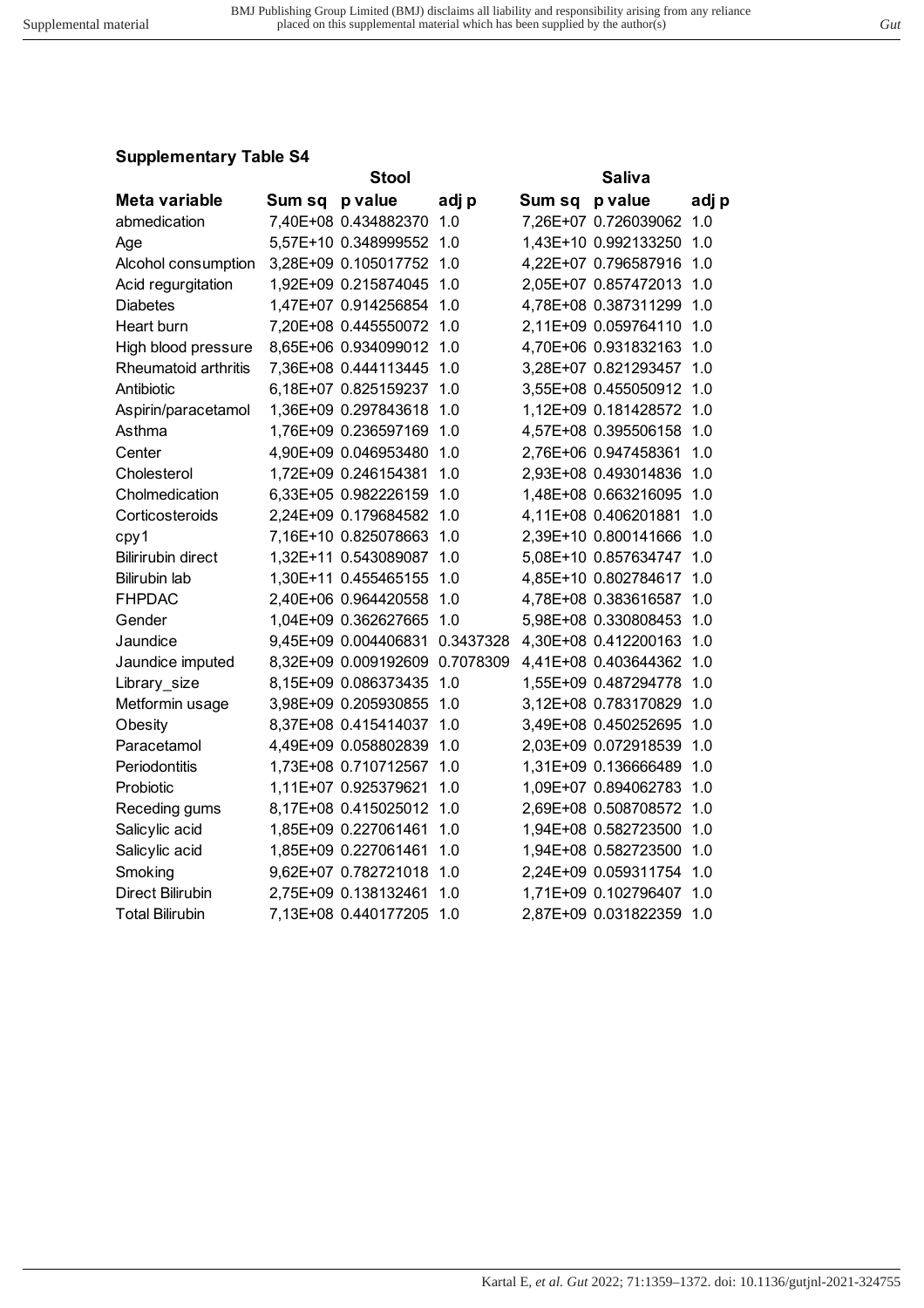|                           |        | <b>Stool</b>         |           |                | Saliva               |       |
|---------------------------|--------|----------------------|-----------|----------------|----------------------|-------|
| Meta variable             | Sum sq | p value              | adj p     | Sum sq p value |                      | adj p |
| abmedication              |        | 7,40E+08 0.434882370 | 1.0       |                | 7,26E+07 0.726039062 | 1.0   |
| Age                       |        | 5,57E+10 0.348999552 | 1.0       |                | 1,43E+10 0.992133250 | 1.0   |
| Alcohol consumption       |        | 3,28E+09 0.105017752 | 1.0       |                | 4,22E+07 0.796587916 | 1.0   |
| Acid regurgitation        |        | 1,92E+09 0.215874045 | 1.0       |                | 2,05E+07 0.857472013 | 1.0   |
| <b>Diabetes</b>           |        | 1,47E+07 0.914256854 | 1.0       |                | 4,78E+08 0.387311299 | 1.0   |
| Heart burn                |        | 7,20E+08 0.445550072 | 1.0       |                | 2,11E+09 0.059764110 | 1.0   |
| High blood pressure       |        | 8,65E+06 0.934099012 | 1.0       |                | 4,70E+06 0.931832163 | 1.0   |
| Rheumatoid arthritis      |        | 7,36E+08 0.444113445 | 1.0       |                | 3,28E+07 0.821293457 | 1.0   |
| Antibiotic                |        | 6,18E+07 0.825159237 | 1.0       |                | 3,55E+08 0.455050912 | 1.0   |
| Aspirin/paracetamol       |        | 1,36E+09 0.297843618 | 1.0       |                | 1,12E+09 0.181428572 | 1.0   |
| Asthma                    |        | 1,76E+09 0.236597169 | 1.0       |                | 4,57E+08 0.395506158 | 1.0   |
| Center                    |        | 4,90E+09 0.046953480 | 1.0       |                | 2,76E+06 0.947458361 | 1.0   |
| Cholesterol               |        | 1,72E+09 0.246154381 | 1.0       |                | 2,93E+08 0.493014836 | 1.0   |
| Cholmedication            |        | 6,33E+05 0.982226159 | 1.0       |                | 1,48E+08 0.663216095 | 1.0   |
| Corticosteroids           |        | 2,24E+09 0.179684582 | 1.0       |                | 4,11E+08 0.406201881 | 1.0   |
| cpy1                      |        | 7,16E+10 0.825078663 | 1.0       |                | 2,39E+10 0.800141666 | 1.0   |
| <b>Bilirirubin direct</b> |        | 1,32E+11 0.543089087 | 1.0       |                | 5,08E+10 0.857634747 | 1.0   |
| <b>Bilirubin lab</b>      |        | 1,30E+11 0.455465155 | 1.0       |                | 4,85E+10 0.802784617 | 1.0   |
| <b>FHPDAC</b>             |        | 2,40E+06 0.964420558 | 1.0       |                | 4,78E+08 0.383616587 | 1.0   |
| Gender                    |        | 1,04E+09 0.362627665 | 1.0       |                | 5,98E+08 0.330808453 | 1.0   |
| Jaundice                  |        | 9,45E+09 0.004406831 | 0.3437328 |                | 4,30E+08 0.412200163 | 1.0   |
| Jaundice imputed          |        | 8,32E+09 0.009192609 | 0.7078309 |                | 4,41E+08 0.403644362 | 1.0   |
| Library_size              |        | 8,15E+09 0.086373435 | 1.0       |                | 1,55E+09 0.487294778 | 1.0   |
| Metformin usage           |        | 3,98E+09 0.205930855 | 1.0       |                | 3,12E+08 0.783170829 | 1.0   |
| Obesity                   |        | 8,37E+08 0.415414037 | 1.0       |                | 3,49E+08 0.450252695 | 1.0   |
| Paracetamol               |        | 4,49E+09 0.058802839 | 1.0       |                | 2,03E+09 0.072918539 | 1.0   |
| Periodontitis             |        | 1,73E+08 0.710712567 | 1.0       |                | 1,31E+09 0.136666489 | 1.0   |
| Probiotic                 |        | 1,11E+07 0.925379621 | 1.0       |                | 1,09E+07 0.894062783 | 1.0   |
| Receding gums             |        | 8,17E+08 0.415025012 | 1.0       |                | 2,69E+08 0.508708572 | 1.0   |
| Salicylic acid            |        | 1,85E+09 0.227061461 | 1.0       |                | 1,94E+08 0.582723500 | 1.0   |
| Salicylic acid            |        | 1,85E+09 0.227061461 | 1.0       |                | 1,94E+08 0.582723500 | 1.0   |
| Smoking                   |        | 9,62E+07 0.782721018 | 1.0       |                | 2,24E+09 0.059311754 | 1.0   |
| <b>Direct Bilirubin</b>   |        | 2,75E+09 0.138132461 | 1.0       |                | 1,71E+09 0.102796407 | 1.0   |
| Total Bilirubin           |        | 7,13E+08 0.440177205 | 1.0       |                | 2,87E+09 0.031822359 | 1.0   |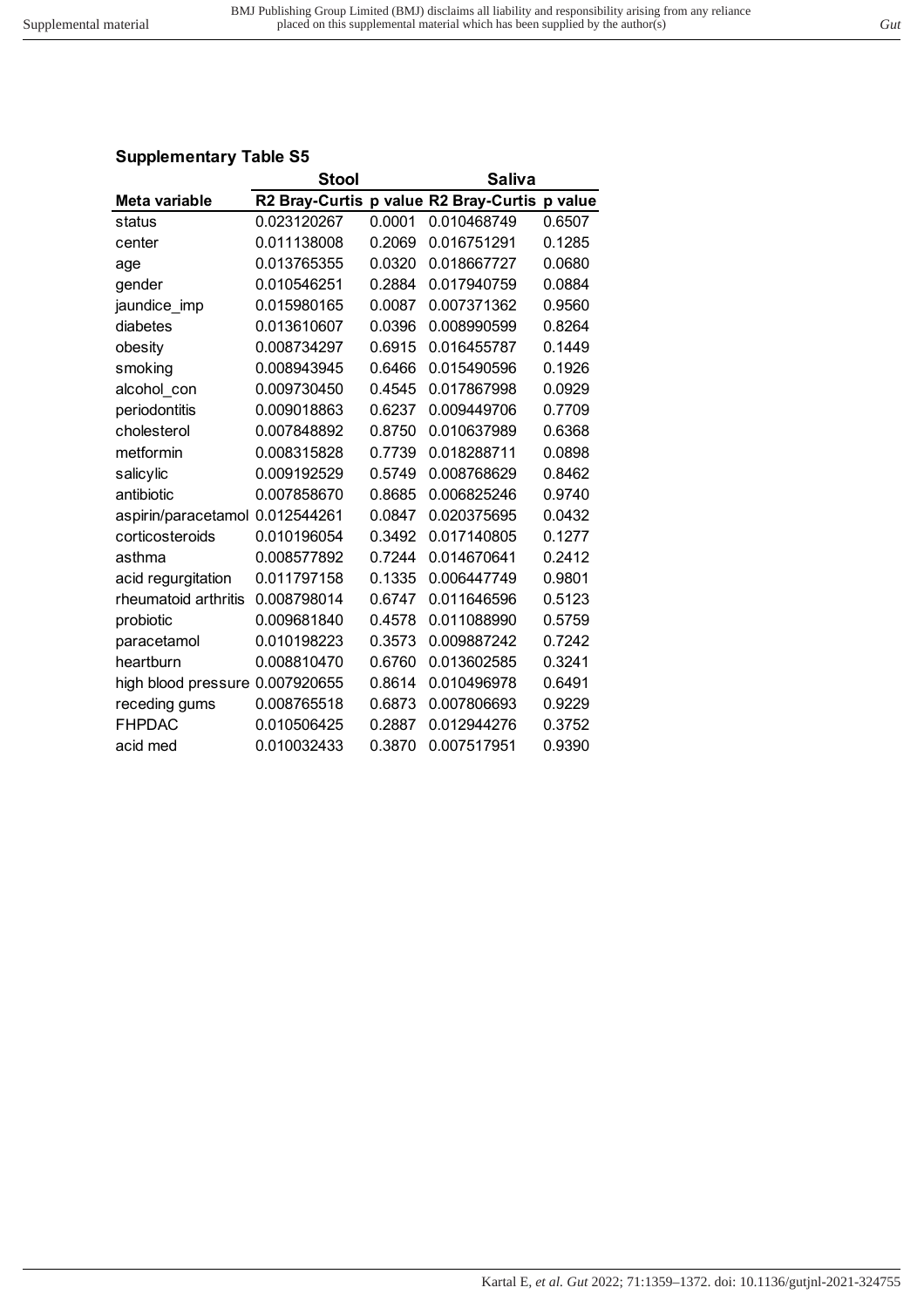|                      | <b>Stool</b> |        | Saliva                                |         |
|----------------------|--------------|--------|---------------------------------------|---------|
| Meta variable        |              |        | R2 Bray-Curtis p value R2 Bray-Curtis | p value |
| status               | 0.023120267  | 0.0001 | 0.010468749                           | 0.6507  |
| center               | 0.011138008  | 0.2069 | 0.016751291                           | 0.1285  |
| age                  | 0.013765355  | 0.0320 | 0.018667727                           | 0.0680  |
| gender               | 0.010546251  | 0.2884 | 0.017940759                           | 0.0884  |
| jaundice imp         | 0.015980165  | 0.0087 | 0.007371362                           | 0.9560  |
| diabetes             | 0.013610607  | 0.0396 | 0.008990599                           | 0.8264  |
| obesity              | 0.008734297  | 0.6915 | 0.016455787                           | 0.1449  |
| smoking              | 0.008943945  | 0.6466 | 0.015490596                           | 0.1926  |
| alcohol con          | 0.009730450  | 0.4545 | 0.017867998                           | 0.0929  |
| periodontitis        | 0.009018863  | 0.6237 | 0.009449706                           | 0.7709  |
| cholesterol          | 0.007848892  | 0.8750 | 0.010637989                           | 0.6368  |
| metformin            | 0.008315828  | 0.7739 | 0.018288711                           | 0.0898  |
| salicylic            | 0.009192529  | 0.5749 | 0.008768629                           | 0.8462  |
| antibiotic           | 0.007858670  | 0.8685 | 0.006825246                           | 0.9740  |
| aspirin/paracetamol  | 0.012544261  | 0.0847 | 0.020375695                           | 0.0432  |
| corticosteroids      | 0.010196054  | 0.3492 | 0.017140805                           | 0.1277  |
| asthma               | 0.008577892  | 0.7244 | 0.014670641                           | 0.2412  |
| acid regurgitation   | 0.011797158  | 0.1335 | 0.006447749                           | 0.9801  |
| rheumatoid arthritis | 0.008798014  | 0.6747 | 0.011646596                           | 0.5123  |
| probiotic            | 0.009681840  | 0.4578 | 0.011088990                           | 0.5759  |
| paracetamol          | 0.010198223  | 0.3573 | 0.009887242                           | 0.7242  |
| heartburn            | 0.008810470  | 0.6760 | 0.013602585                           | 0.3241  |
| high blood pressure  | 0.007920655  | 0.8614 | 0.010496978                           | 0.6491  |
| receding gums        | 0.008765518  | 0.6873 | 0.007806693                           | 0.9229  |
| <b>FHPDAC</b>        | 0.010506425  | 0.2887 | 0.012944276                           | 0.3752  |
| acid med             | 0.010032433  | 0.3870 | 0.007517951                           | 0.9390  |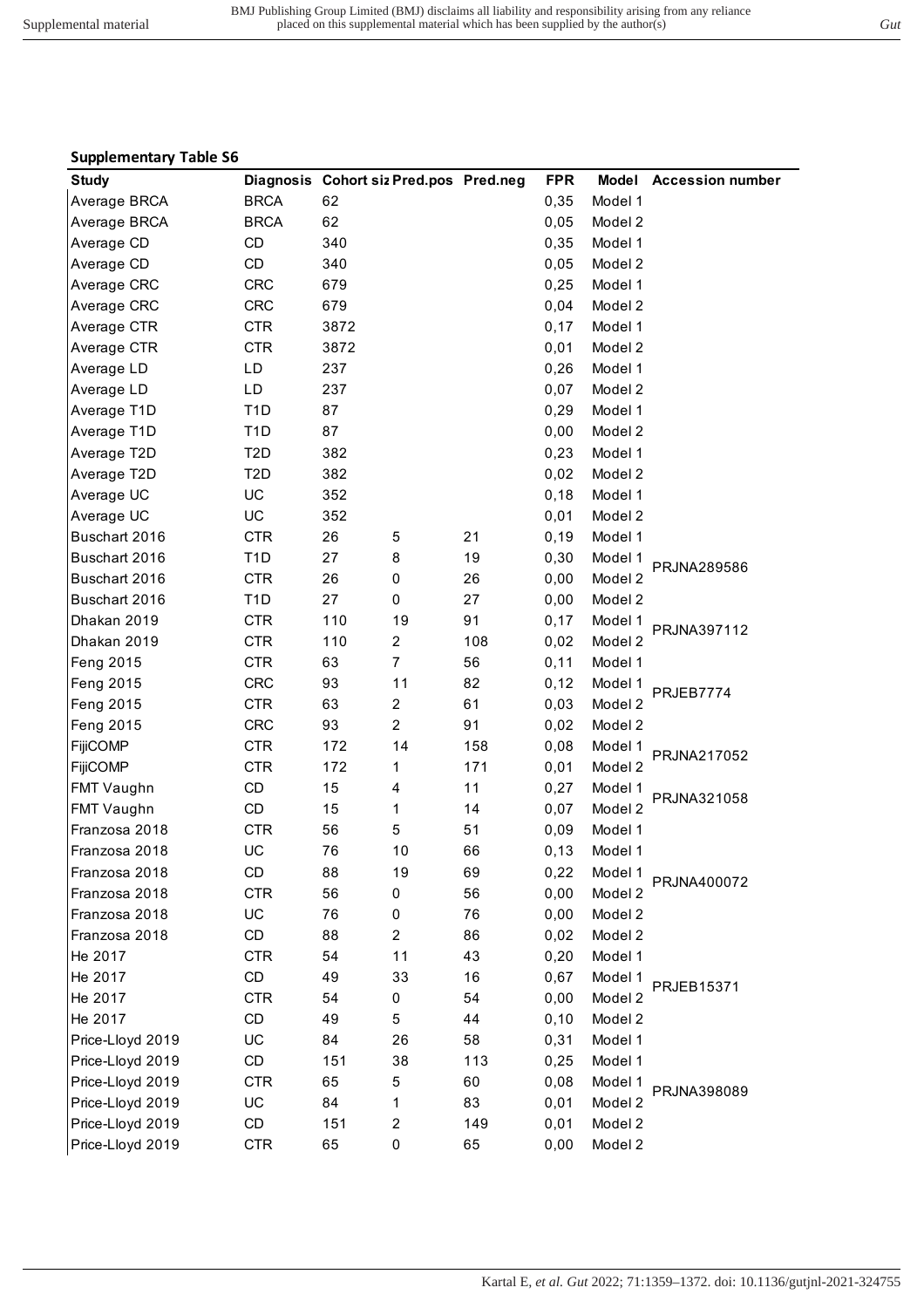| . .               |                                        |      |                         |     |            |         |                        |
|-------------------|----------------------------------------|------|-------------------------|-----|------------|---------|------------------------|
| <b>Study</b>      | Diagnosis Cohort siz Pred.pos Pred.neg |      |                         |     | <b>FPR</b> |         | Model Accession number |
| Average BRCA      | <b>BRCA</b>                            | 62   |                         |     | 0,35       | Model 1 |                        |
| Average BRCA      | <b>BRCA</b>                            | 62   |                         |     | 0,05       | Model 2 |                        |
| Average CD        | CD                                     | 340  |                         |     | 0,35       | Model 1 |                        |
| Average CD        | CD                                     | 340  |                         |     | 0,05       | Model 2 |                        |
| Average CRC       | <b>CRC</b>                             | 679  |                         |     | 0,25       | Model 1 |                        |
| Average CRC       | <b>CRC</b>                             | 679  |                         |     | 0,04       | Model 2 |                        |
| Average CTR       | <b>CTR</b>                             | 3872 |                         |     | 0,17       | Model 1 |                        |
| Average CTR       | <b>CTR</b>                             | 3872 |                         |     | 0,01       | Model 2 |                        |
| Average LD        | LD                                     | 237  |                         |     | 0,26       | Model 1 |                        |
| Average LD        | LD                                     | 237  |                         |     | 0,07       | Model 2 |                        |
| Average T1D       | T <sub>1</sub> D                       | 87   |                         |     | 0,29       | Model 1 |                        |
| Average T1D       | T <sub>1</sub> D                       | 87   |                         |     | 0,00       | Model 2 |                        |
| Average T2D       | T <sub>2</sub> D                       | 382  |                         |     | 0,23       | Model 1 |                        |
| Average T2D       | T <sub>2</sub> D                       | 382  |                         |     | 0,02       | Model 2 |                        |
| Average UC        | UC                                     | 352  |                         |     | 0,18       | Model 1 |                        |
| Average UC        | UC                                     | 352  |                         |     | 0,01       | Model 2 |                        |
| Buschart 2016     | <b>CTR</b>                             | 26   | 5                       | 21  | 0, 19      | Model 1 |                        |
| Buschart 2016     | T <sub>1</sub> D                       | 27   | 8                       | 19  | 0,30       | Model 1 |                        |
| Buschart 2016     | <b>CTR</b>                             | 26   | 0                       | 26  | 0,00       | Model 2 | PRJNA289586            |
| Buschart 2016     | T <sub>1</sub> D                       | 27   | 0                       | 27  | 0,00       | Model 2 |                        |
| Dhakan 2019       | <b>CTR</b>                             | 110  | 19                      | 91  | 0,17       | Model 1 |                        |
| Dhakan 2019       | <b>CTR</b>                             | 110  | $\overline{c}$          | 108 | 0,02       | Model 2 | PRJNA397112            |
| Feng 2015         | <b>CTR</b>                             | 63   | $\overline{7}$          | 56  | 0,11       | Model 1 |                        |
| Feng 2015         | <b>CRC</b>                             | 93   | 11                      | 82  | 0,12       | Model 1 |                        |
| Feng 2015         | <b>CTR</b>                             | 63   | $\overline{c}$          | 61  | 0,03       | Model 2 | PRJEB7774              |
| Feng 2015         | <b>CRC</b>                             | 93   | $\overline{a}$          | 91  | 0,02       | Model 2 |                        |
| <b>FijiCOMP</b>   | <b>CTR</b>                             | 172  | 14                      | 158 | 0,08       | Model 1 |                        |
| <b>FijiCOMP</b>   | <b>CTR</b>                             | 172  | 1                       | 171 | 0,01       | Model 2 | PRJNA217052            |
| FMT Vaughn        | CD                                     | 15   | 4                       | 11  | 0,27       | Model 1 |                        |
| <b>FMT Vaughn</b> | CD                                     | 15   | 1                       | 14  | 0,07       | Model 2 | PRJNA321058            |
| Franzosa 2018     | <b>CTR</b>                             | 56   | 5                       | 51  | 0,09       | Model 1 |                        |
| Franzosa 2018     | UC                                     | 76   | 10                      | 66  | 0, 13      | Model 1 |                        |
| Franzosa 2018     | CD                                     | 88   | 19                      | 69  | 0,22       | Model 1 |                        |
| Franzosa 2018     | <b>CTR</b>                             | 56   | 0                       | 56  | 0,00       | Model 2 | PRJNA400072            |
| Franzosa 2018     | UC                                     | 76   | 0                       | 76  | 0,00       | Model 2 |                        |
| Franzosa 2018     | CD                                     | 88   | $\overline{c}$          | 86  | 0,02       | Model 2 |                        |
| He 2017           | <b>CTR</b>                             | 54   | 11                      | 43  | 0,20       | Model 1 |                        |
| He 2017           | CD                                     | 49   | 33                      | 16  | 0,67       | Model 1 |                        |
| He 2017           | <b>CTR</b>                             | 54   | 0                       | 54  | 0,00       | Model 2 | PRJEB15371             |
| He 2017           | CD                                     | 49   | 5                       | 44  | 0, 10      | Model 2 |                        |
| Price-Lloyd 2019  | UC                                     | 84   | 26                      | 58  | 0,31       | Model 1 |                        |
|                   |                                        |      |                         |     |            |         |                        |
| Price-Lloyd 2019  | CD                                     | 151  | 38                      | 113 | 0,25       | Model 1 |                        |
| Price-Lloyd 2019  | <b>CTR</b>                             | 65   | 5                       | 60  | 0,08       | Model 1 | PRJNA398089            |
| Price-Lloyd 2019  | UC                                     | 84   | 1                       | 83  | 0,01       | Model 2 |                        |
| Price-Lloyd 2019  | CD                                     | 151  | $\overline{\mathbf{c}}$ | 149 | 0,01       | Model 2 |                        |
| Price-Lloyd 2019  | <b>CTR</b>                             | 65   | 0                       | 65  | 0,00       | Model 2 |                        |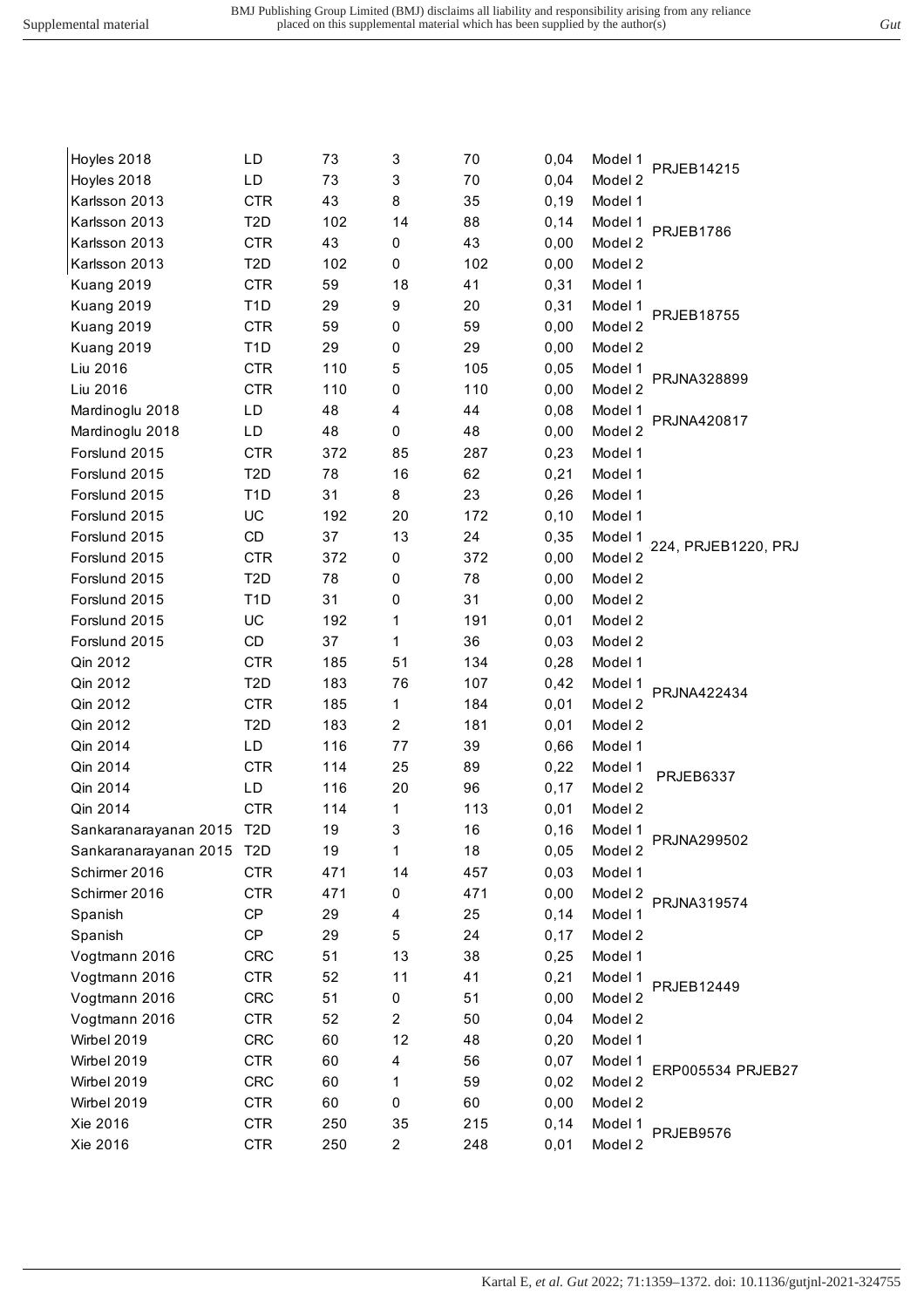| Hoyles 2018               | LD               | 73  | 3              | 70   | 0,04  | Model 1 | PRJEB14215          |
|---------------------------|------------------|-----|----------------|------|-------|---------|---------------------|
| Hoyles 2018               | LD               | 73  | 3              | $70$ | 0,04  | Model 2 |                     |
| Karlsson 2013             | <b>CTR</b>       | 43  | 8              | 35   | 0, 19 | Model 1 |                     |
| Karlsson 2013             | T2D              | 102 | 14             | 88   | 0,14  | Model 1 |                     |
| Karlsson 2013             | <b>CTR</b>       | 43  | 0              | 43   | 0,00  | Model 2 | PRJEB1786           |
| Karlsson 2013             | T <sub>2</sub> D | 102 | 0              | 102  | 0,00  | Model 2 |                     |
| Kuang 2019                | <b>CTR</b>       | 59  | 18             | 41   | 0,31  | Model 1 |                     |
| Kuang 2019                | T <sub>1</sub> D | 29  | 9              | 20   | 0,31  | Model 1 |                     |
| Kuang 2019                | <b>CTR</b>       | 59  | 0              | 59   | 0,00  | Model 2 | PRJEB18755          |
| Kuang 2019                | T <sub>1</sub> D | 29  | 0              | 29   | 0,00  | Model 2 |                     |
| Liu 2016                  | <b>CTR</b>       | 110 | 5              | 105  | 0,05  | Model 1 |                     |
| Liu 2016                  | <b>CTR</b>       | 110 | 0              | 110  | 0,00  | Model 2 | PRJNA328899         |
| Mardinoglu 2018           | LD               | 48  | 4              | 44   | 0,08  | Model 1 |                     |
| Mardinoglu 2018           | LD               | 48  | 0              | 48   | 0,00  | Model 2 | PRJNA420817         |
| Forslund 2015             | <b>CTR</b>       | 372 | 85             | 287  | 0,23  | Model 1 |                     |
| Forslund 2015             | T2D              | 78  | 16             | 62   | 0,21  | Model 1 |                     |
| Forslund 2015             | T <sub>1</sub> D | 31  | 8              | 23   | 0,26  | Model 1 |                     |
| Forslund 2015             | UC               | 192 | 20             | 172  | 0, 10 | Model 1 |                     |
| Forslund 2015             | CD               | 37  | 13             | 24   | 0,35  | Model 1 |                     |
| Forslund 2015             | <b>CTR</b>       | 372 | 0              | 372  | 0,00  | Model 2 | 224, PRJEB1220, PRJ |
| Forslund 2015             | T <sub>2</sub> D | 78  | 0              | 78   | 0,00  | Model 2 |                     |
| Forslund 2015             | T <sub>1</sub> D | 31  | 0              | 31   | 0,00  | Model 2 |                     |
| Forslund 2015             | UC               | 192 | 1              | 191  | 0,01  | Model 2 |                     |
| Forslund 2015             | CD               | 37  | 1              | 36   | 0,03  | Model 2 |                     |
| Qin 2012                  | <b>CTR</b>       | 185 | 51             | 134  | 0,28  | Model 1 |                     |
| Qin 2012                  | T <sub>2</sub> D | 183 | 76             | 107  | 0,42  | Model 1 |                     |
| Qin 2012                  | <b>CTR</b>       | 185 | $\mathbf{1}$   | 184  | 0,01  | Model 2 | PRJNA422434         |
| Qin 2012                  | T <sub>2</sub> D | 183 | $\overline{c}$ | 181  | 0,01  | Model 2 |                     |
| Qin 2014                  | LD               | 116 | 77             | 39   | 0,66  | Model 1 |                     |
| Qin 2014                  | <b>CTR</b>       | 114 | 25             | 89   | 0,22  | Model 1 |                     |
| Qin 2014                  | LD               | 116 | 20             | 96   | 0,17  | Model 2 | <b>PRJEB6337</b>    |
| Qin 2014                  | <b>CTR</b>       | 114 | 1              | 113  | 0,01  | Model 2 |                     |
| Sankaranarayanan 2015 T2D |                  | 19  | 3              | 16   | 0, 16 | Model 1 | PRJNA299502         |
| Sankaranarayanan 2015     | T <sub>2</sub> D | 19  | 1              | 18   | 0,05  | Model 2 |                     |
| Schirmer 2016             | <b>CTR</b>       | 471 | 14             | 457  | 0,03  | Model 1 |                     |
| Schirmer 2016             | <b>CTR</b>       | 471 | 0              | 471  | 0,00  | Model 2 | PRJNA319574         |
| Spanish                   | CP               | 29  | 4              | 25   | 0,14  | Model 1 |                     |
| Spanish                   | CP               | 29  | 5              | 24   | 0,17  | Model 2 |                     |
| Vogtmann 2016             | <b>CRC</b>       | 51  | 13             | 38   | 0,25  | Model 1 |                     |
| Vogtmann 2016             | <b>CTR</b>       | 52  | 11             | 41   | 0,21  | Model 1 | PRJEB12449          |
| Vogtmann 2016             | <b>CRC</b>       | 51  | 0              | 51   | 0,00  | Model 2 |                     |
| Vogtmann 2016             | <b>CTR</b>       | 52  | $\overline{c}$ | 50   | 0,04  | Model 2 |                     |
| Wirbel 2019               | <b>CRC</b>       | 60  | 12             | 48   | 0,20  | Model 1 |                     |
| Wirbel 2019               | <b>CTR</b>       | 60  | 4              | 56   | 0,07  | Model 1 | ERP005534 PRJEB27   |
| Wirbel 2019               | <b>CRC</b>       | 60  | 1              | 59   | 0,02  | Model 2 |                     |
| Wirbel 2019               | <b>CTR</b>       | 60  | 0              | 60   | 0,00  | Model 2 |                     |
| Xie 2016                  | <b>CTR</b>       | 250 | 35             | 215  | 0,14  | Model 1 | <b>PRJEB9576</b>    |
| Xie 2016                  | <b>CTR</b>       | 250 | $\overline{c}$ | 248  | 0,01  | Model 2 |                     |
|                           |                  |     |                |      |       |         |                     |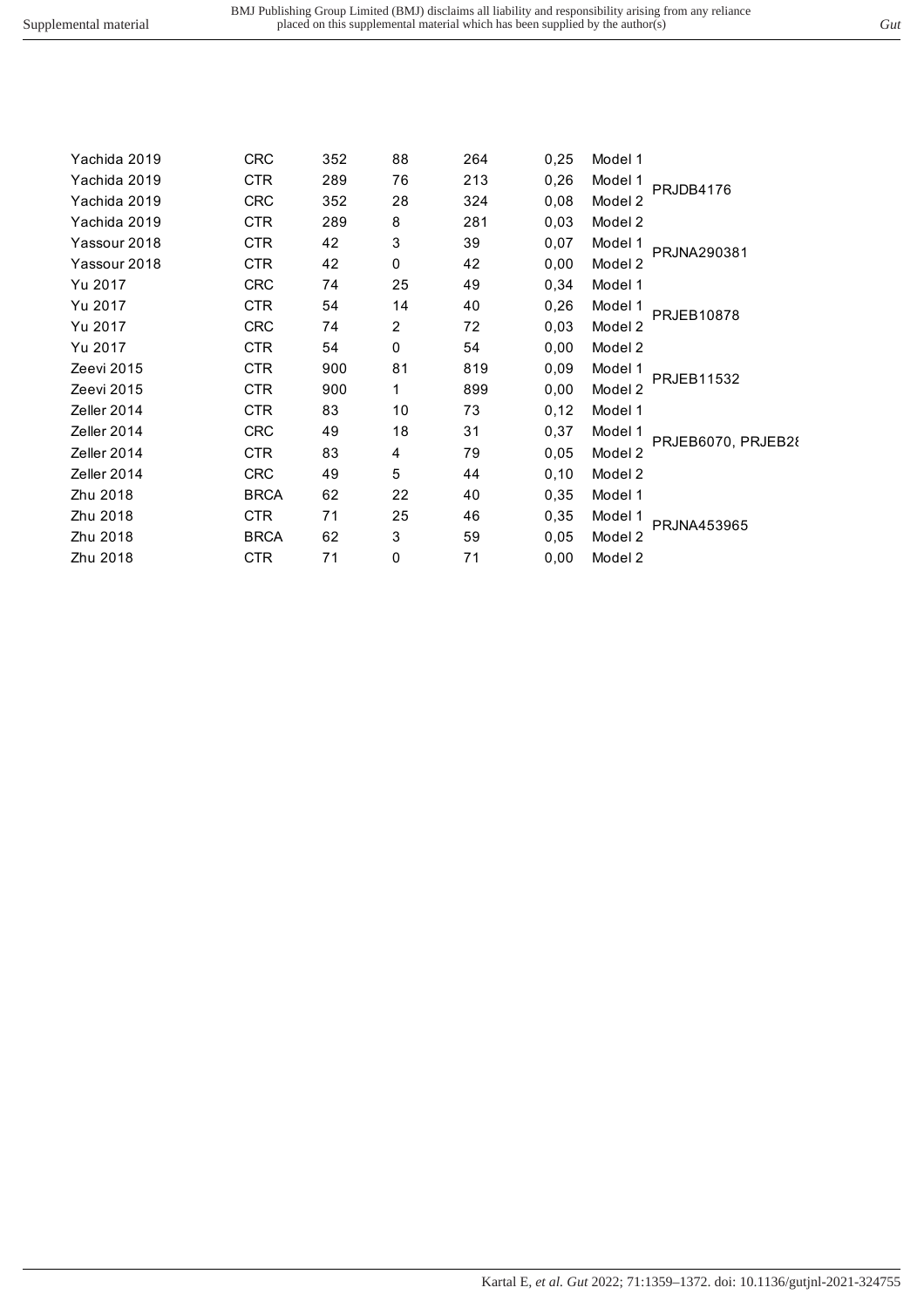| Yachida 2019 | <b>CRC</b>  | 352 | 88             | 264 | 0,25 | Model 1                       |
|--------------|-------------|-----|----------------|-----|------|-------------------------------|
| Yachida 2019 | <b>CTR</b>  | 289 | 76             | 213 | 0,26 | Model 1<br>PRJDB4176          |
| Yachida 2019 | <b>CRC</b>  | 352 | 28             | 324 | 0,08 | Model 2                       |
| Yachida 2019 | <b>CTR</b>  | 289 | 8              | 281 | 0,03 | Model 2                       |
| Yassour 2018 | <b>CTR</b>  | 42  | 3              | 39  | 0,07 | Model 1<br>PRJNA290381        |
| Yassour 2018 | <b>CTR</b>  | 42  | 0              | 42  | 0,00 | Model 2                       |
| Yu 2017      | <b>CRC</b>  | 74  | 25             | 49  | 0,34 | Model 1                       |
| Yu 2017      | <b>CTR</b>  | 54  | 14             | 40  | 0,26 | Model 1<br><b>PRJEB10878</b>  |
| Yu 2017      | <b>CRC</b>  | 74  | $\overline{2}$ | 72  | 0,03 | Model 2                       |
| Yu 2017      | CTR.        | 54  | 0              | 54  | 0,00 | Model 2                       |
| Zeevi 2015   | <b>CTR</b>  | 900 | 81             | 819 | 0,09 | Model 1<br><b>PRJEB11532</b>  |
| Zeevi 2015   | <b>CTR</b>  | 900 | 1              | 899 | 0,00 | Model 2                       |
| Zeller 2014  | <b>CTR</b>  | 83  | 10             | 73  | 0,12 | Model 1                       |
| Zeller 2014  | <b>CRC</b>  | 49  | 18             | 31  | 0,37 | Model 1                       |
| Zeller 2014  | <b>CTR</b>  | 83  | 4              | 79  | 0.05 | PRJEB6070, PRJEB28<br>Model 2 |
| Zeller 2014  | <b>CRC</b>  | 49  | 5              | 44  | 0,10 | Model 2                       |
| Zhu 2018     | <b>BRCA</b> | 62  | 22             | 40  | 0,35 | Model 1                       |
| Zhu 2018     | <b>CTR</b>  | 71  | 25             | 46  | 0,35 | Model 1                       |
| Zhu 2018     | <b>BRCA</b> | 62  | 3              | 59  | 0,05 | PRJNA453965<br>Model 2        |
| Zhu 2018     | <b>CTR</b>  | 71  | $\mathbf 0$    | 71  | 0,00 | Model 2                       |